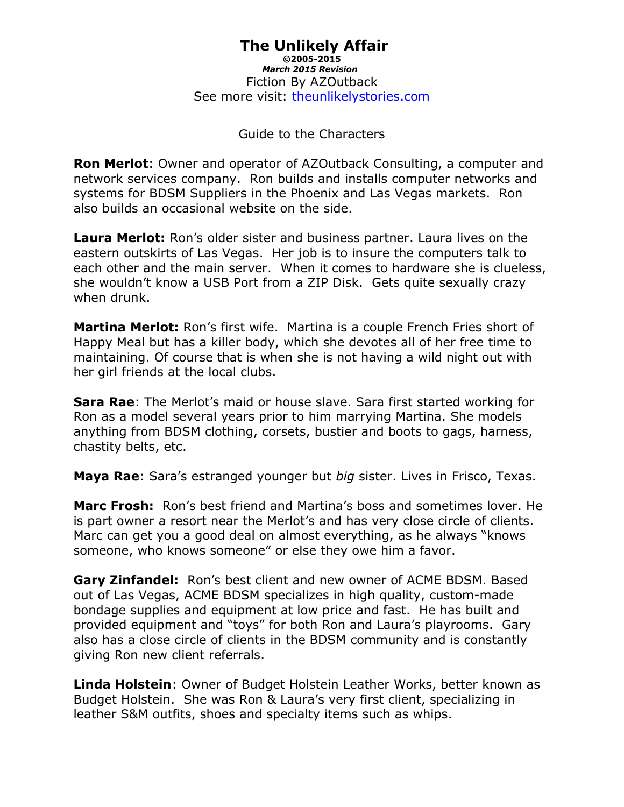#### Guide to the Characters

**Ron Merlot**: Owner and operator of AZOutback Consulting, a computer and network services company. Ron builds and installs computer networks and systems for BDSM Suppliers in the Phoenix and Las Vegas markets. Ron also builds an occasional website on the side.

**Laura Merlot:** Ron's older sister and business partner. Laura lives on the eastern outskirts of Las Vegas. Her job is to insure the computers talk to each other and the main server. When it comes to hardware she is clueless, she wouldn't know a USB Port from a ZIP Disk. Gets quite sexually crazy when drunk.

**Martina Merlot:** Ron's first wife. Martina is a couple French Fries short of Happy Meal but has a killer body, which she devotes all of her free time to maintaining. Of course that is when she is not having a wild night out with her girl friends at the local clubs.

**Sara Rae**: The Merlot's maid or house slave. Sara first started working for Ron as a model several years prior to him marrying Martina. She models anything from BDSM clothing, corsets, bustier and boots to gags, harness, chastity belts, etc.

**Maya Rae**: Sara's estranged younger but *big* sister. Lives in Frisco, Texas.

**Marc Frosh:** Ron's best friend and Martina's boss and sometimes lover. He is part owner a resort near the Merlot's and has very close circle of clients. Marc can get you a good deal on almost everything, as he always "knows someone, who knows someone" or else they owe him a favor.

**Gary Zinfandel:** Ron's best client and new owner of ACME BDSM. Based out of Las Vegas, ACME BDSM specializes in high quality, custom-made bondage supplies and equipment at low price and fast. He has built and provided equipment and "toys" for both Ron and Laura's playrooms. Gary also has a close circle of clients in the BDSM community and is constantly giving Ron new client referrals.

**Linda Holstein**: Owner of Budget Holstein Leather Works, better known as Budget Holstein. She was Ron & Laura's very first client, specializing in leather S&M outfits, shoes and specialty items such as whips.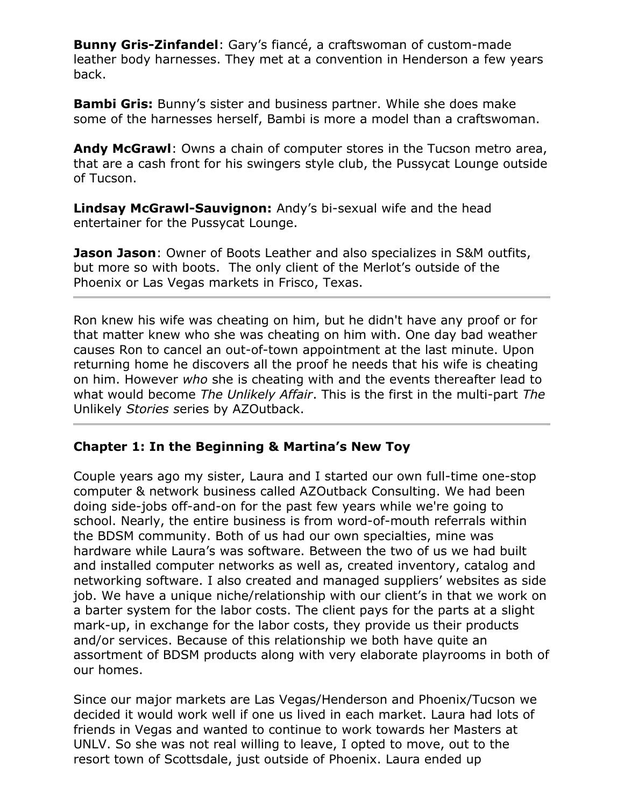**Bunny Gris-Zinfandel**: Gary's fiancé, a craftswoman of custom-made leather body harnesses. They met at a convention in Henderson a few years back.

**Bambi Gris:** Bunny's sister and business partner. While she does make some of the harnesses herself, Bambi is more a model than a craftswoman.

**Andy McGrawl**: Owns a chain of computer stores in the Tucson metro area, that are a cash front for his swingers style club, the Pussycat Lounge outside of Tucson.

**Lindsay McGrawl-Sauvignon:** Andy's bi-sexual wife and the head entertainer for the Pussycat Lounge.

**Jason Jason**: Owner of Boots Leather and also specializes in S&M outfits, but more so with boots. The only client of the Merlot's outside of the Phoenix or Las Vegas markets in Frisco, Texas.

Ron knew his wife was cheating on him, but he didn't have any proof or for that matter knew who she was cheating on him with. One day bad weather causes Ron to cancel an out-of-town appointment at the last minute. Upon returning home he discovers all the proof he needs that his wife is cheating on him. However *who* she is cheating with and the events thereafter lead to what would become *The Unlikely Affair*. This is the first in the multi-part *The* Unlikely *Stories s*eries by AZOutback.

## **Chapter 1: In the Beginning & Martina's New Toy**

Couple years ago my sister, Laura and I started our own full-time one-stop computer & network business called AZOutback Consulting. We had been doing side-jobs off-and-on for the past few years while we're going to school. Nearly, the entire business is from word-of-mouth referrals within the BDSM community. Both of us had our own specialties, mine was hardware while Laura's was software. Between the two of us we had built and installed computer networks as well as, created inventory, catalog and networking software. I also created and managed suppliers' websites as side job. We have a unique niche/relationship with our client's in that we work on a barter system for the labor costs. The client pays for the parts at a slight mark-up, in exchange for the labor costs, they provide us their products and/or services. Because of this relationship we both have quite an assortment of BDSM products along with very elaborate playrooms in both of our homes.

Since our major markets are Las Vegas/Henderson and Phoenix/Tucson we decided it would work well if one us lived in each market. Laura had lots of friends in Vegas and wanted to continue to work towards her Masters at UNLV. So she was not real willing to leave, I opted to move, out to the resort town of Scottsdale, just outside of Phoenix. Laura ended up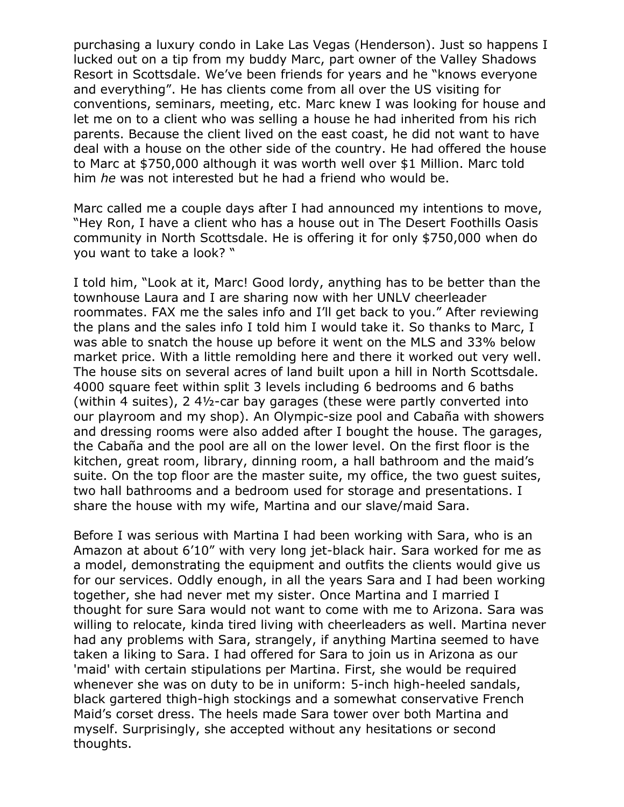purchasing a luxury condo in Lake Las Vegas (Henderson). Just so happens I lucked out on a tip from my buddy Marc, part owner of the Valley Shadows Resort in Scottsdale. We've been friends for years and he "knows everyone and everything". He has clients come from all over the US visiting for conventions, seminars, meeting, etc. Marc knew I was looking for house and let me on to a client who was selling a house he had inherited from his rich parents. Because the client lived on the east coast, he did not want to have deal with a house on the other side of the country. He had offered the house to Marc at \$750,000 although it was worth well over \$1 Million. Marc told him *he* was not interested but he had a friend who would be.

Marc called me a couple days after I had announced my intentions to move, "Hey Ron, I have a client who has a house out in The Desert Foothills Oasis community in North Scottsdale. He is offering it for only \$750,000 when do you want to take a look? "

I told him, "Look at it, Marc! Good lordy, anything has to be better than the townhouse Laura and I are sharing now with her UNLV cheerleader roommates. FAX me the sales info and I'll get back to you." After reviewing the plans and the sales info I told him I would take it. So thanks to Marc, I was able to snatch the house up before it went on the MLS and 33% below market price. With a little remolding here and there it worked out very well. The house sits on several acres of land built upon a hill in North Scottsdale. 4000 square feet within split 3 levels including 6 bedrooms and 6 baths (within 4 suites), 2 4½-car bay garages (these were partly converted into our playroom and my shop). An Olympic-size pool and Cabaña with showers and dressing rooms were also added after I bought the house. The garages, the Cabaña and the pool are all on the lower level. On the first floor is the kitchen, great room, library, dinning room, a hall bathroom and the maid's suite. On the top floor are the master suite, my office, the two guest suites, two hall bathrooms and a bedroom used for storage and presentations. I share the house with my wife, Martina and our slave/maid Sara.

Before I was serious with Martina I had been working with Sara, who is an Amazon at about 6'10" with very long jet-black hair. Sara worked for me as a model, demonstrating the equipment and outfits the clients would give us for our services. Oddly enough, in all the years Sara and I had been working together, she had never met my sister. Once Martina and I married I thought for sure Sara would not want to come with me to Arizona. Sara was willing to relocate, kinda tired living with cheerleaders as well. Martina never had any problems with Sara, strangely, if anything Martina seemed to have taken a liking to Sara. I had offered for Sara to join us in Arizona as our 'maid' with certain stipulations per Martina. First, she would be required whenever she was on duty to be in uniform: 5-inch high-heeled sandals, black gartered thigh-high stockings and a somewhat conservative French Maid's corset dress. The heels made Sara tower over both Martina and myself. Surprisingly, she accepted without any hesitations or second thoughts.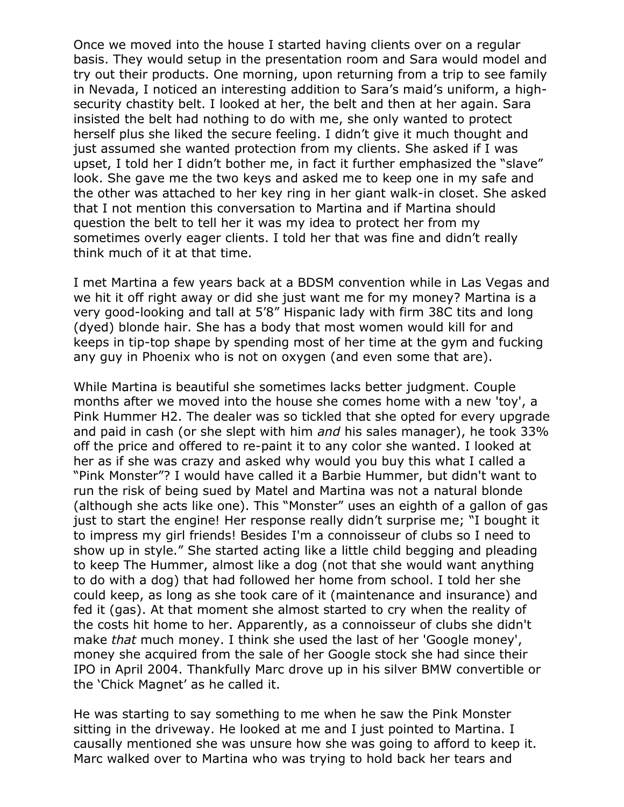Once we moved into the house I started having clients over on a regular basis. They would setup in the presentation room and Sara would model and try out their products. One morning, upon returning from a trip to see family in Nevada, I noticed an interesting addition to Sara's maid's uniform, a highsecurity chastity belt. I looked at her, the belt and then at her again. Sara insisted the belt had nothing to do with me, she only wanted to protect herself plus she liked the secure feeling. I didn't give it much thought and just assumed she wanted protection from my clients. She asked if I was upset, I told her I didn't bother me, in fact it further emphasized the "slave" look. She gave me the two keys and asked me to keep one in my safe and the other was attached to her key ring in her giant walk-in closet. She asked that I not mention this conversation to Martina and if Martina should question the belt to tell her it was my idea to protect her from my sometimes overly eager clients. I told her that was fine and didn't really think much of it at that time.

I met Martina a few years back at a BDSM convention while in Las Vegas and we hit it off right away or did she just want me for my money? Martina is a very good-looking and tall at 5'8" Hispanic lady with firm 38C tits and long (dyed) blonde hair. She has a body that most women would kill for and keeps in tip-top shape by spending most of her time at the gym and fucking any guy in Phoenix who is not on oxygen (and even some that are).

While Martina is beautiful she sometimes lacks better judgment. Couple months after we moved into the house she comes home with a new 'toy', a Pink Hummer H2. The dealer was so tickled that she opted for every upgrade and paid in cash (or she slept with him *and* his sales manager), he took 33% off the price and offered to re-paint it to any color she wanted. I looked at her as if she was crazy and asked why would you buy this what I called a "Pink Monster"? I would have called it a Barbie Hummer, but didn't want to run the risk of being sued by Matel and Martina was not a natural blonde (although she acts like one). This "Monster" uses an eighth of a gallon of gas just to start the engine! Her response really didn't surprise me; "I bought it to impress my girl friends! Besides I'm a connoisseur of clubs so I need to show up in style." She started acting like a little child begging and pleading to keep The Hummer, almost like a dog (not that she would want anything to do with a dog) that had followed her home from school. I told her she could keep, as long as she took care of it (maintenance and insurance) and fed it (gas). At that moment she almost started to cry when the reality of the costs hit home to her. Apparently, as a connoisseur of clubs she didn't make *that* much money. I think she used the last of her 'Google money', money she acquired from the sale of her Google stock she had since their IPO in April 2004. Thankfully Marc drove up in his silver BMW convertible or the 'Chick Magnet' as he called it.

He was starting to say something to me when he saw the Pink Monster sitting in the driveway. He looked at me and I just pointed to Martina. I causally mentioned she was unsure how she was going to afford to keep it. Marc walked over to Martina who was trying to hold back her tears and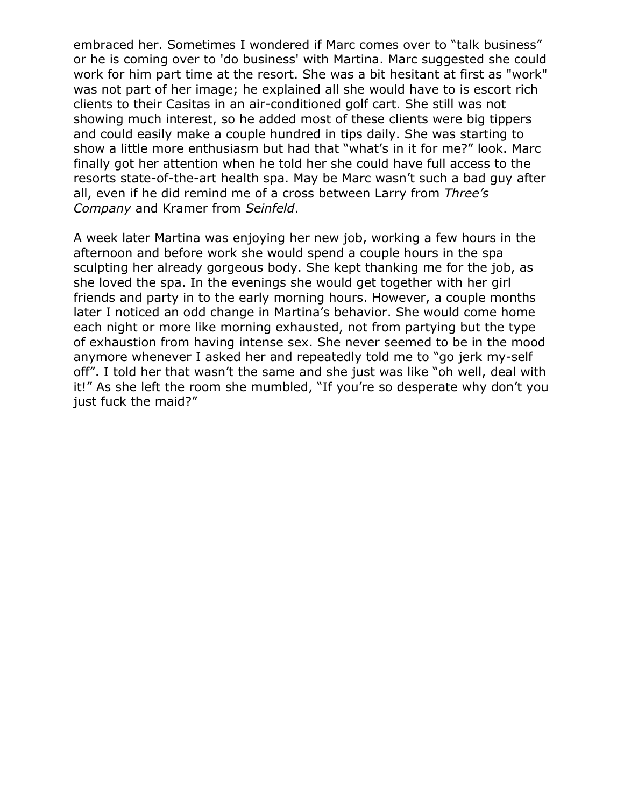embraced her. Sometimes I wondered if Marc comes over to "talk business" or he is coming over to 'do business' with Martina. Marc suggested she could work for him part time at the resort. She was a bit hesitant at first as "work" was not part of her image; he explained all she would have to is escort rich clients to their Casitas in an air-conditioned golf cart. She still was not showing much interest, so he added most of these clients were big tippers and could easily make a couple hundred in tips daily. She was starting to show a little more enthusiasm but had that "what's in it for me?" look. Marc finally got her attention when he told her she could have full access to the resorts state-of-the-art health spa. May be Marc wasn't such a bad guy after all, even if he did remind me of a cross between Larry from *Three's Company* and Kramer from *Seinfeld*.

A week later Martina was enjoying her new job, working a few hours in the afternoon and before work she would spend a couple hours in the spa sculpting her already gorgeous body. She kept thanking me for the job, as she loved the spa. In the evenings she would get together with her girl friends and party in to the early morning hours. However, a couple months later I noticed an odd change in Martina's behavior. She would come home each night or more like morning exhausted, not from partying but the type of exhaustion from having intense sex. She never seemed to be in the mood anymore whenever I asked her and repeatedly told me to "go jerk my-self off". I told her that wasn't the same and she just was like "oh well, deal with it!" As she left the room she mumbled, "If you're so desperate why don't you just fuck the maid?"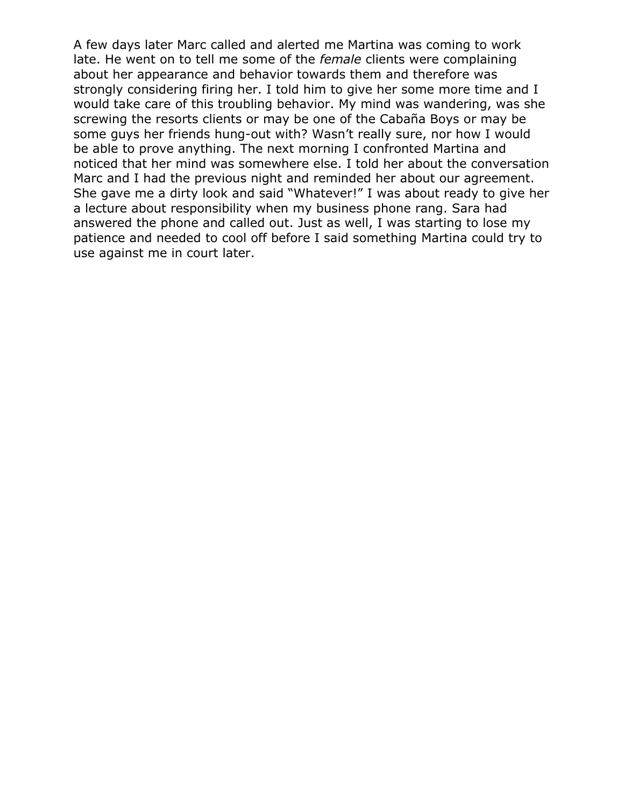A few days later Marc called and alerted me Martina was coming to work late. He went on to tell me some of the *female* clients were complaining about her appearance and behavior towards them and therefore was strongly considering firing her. I told him to give her some more time and I would take care of this troubling behavior. My mind was wandering, was she screwing the resorts clients or may be one of the Cabaña Boys or may be some guys her friends hung-out with? Wasn't really sure, nor how I would be able to prove anything. The next morning I confronted Martina and noticed that her mind was somewhere else. I told her about the conversation Marc and I had the previous night and reminded her about our agreement. She gave me a dirty look and said "Whatever!" I was about ready to give her a lecture about responsibility when my business phone rang. Sara had answered the phone and called out. Just as well, I was starting to lose my patience and needed to cool off before I said something Martina could try to use against me in court later.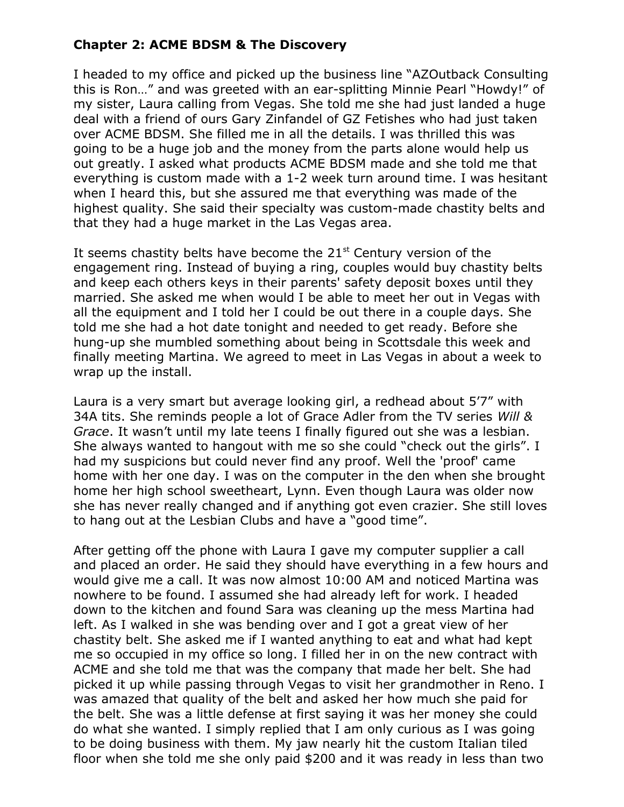## **Chapter 2: ACME BDSM & The Discovery**

I headed to my office and picked up the business line "AZOutback Consulting this is Ron…" and was greeted with an ear-splitting Minnie Pearl "Howdy!" of my sister, Laura calling from Vegas. She told me she had just landed a huge deal with a friend of ours Gary Zinfandel of GZ Fetishes who had just taken over ACME BDSM. She filled me in all the details. I was thrilled this was going to be a huge job and the money from the parts alone would help us out greatly. I asked what products ACME BDSM made and she told me that everything is custom made with a 1-2 week turn around time. I was hesitant when I heard this, but she assured me that everything was made of the highest quality. She said their specialty was custom-made chastity belts and that they had a huge market in the Las Vegas area.

It seems chastity belts have become the  $21<sup>st</sup>$  Century version of the engagement ring. Instead of buying a ring, couples would buy chastity belts and keep each others keys in their parents' safety deposit boxes until they married. She asked me when would I be able to meet her out in Vegas with all the equipment and I told her I could be out there in a couple days. She told me she had a hot date tonight and needed to get ready. Before she hung-up she mumbled something about being in Scottsdale this week and finally meeting Martina. We agreed to meet in Las Vegas in about a week to wrap up the install.

Laura is a very smart but average looking girl, a redhead about 5'7" with 34A tits. She reminds people a lot of Grace Adler from the TV series *Will & Grace*. It wasn't until my late teens I finally figured out she was a lesbian. She always wanted to hangout with me so she could "check out the girls". I had my suspicions but could never find any proof. Well the 'proof' came home with her one day. I was on the computer in the den when she brought home her high school sweetheart, Lynn. Even though Laura was older now she has never really changed and if anything got even crazier. She still loves to hang out at the Lesbian Clubs and have a "good time".

After getting off the phone with Laura I gave my computer supplier a call and placed an order. He said they should have everything in a few hours and would give me a call. It was now almost 10:00 AM and noticed Martina was nowhere to be found. I assumed she had already left for work. I headed down to the kitchen and found Sara was cleaning up the mess Martina had left. As I walked in she was bending over and I got a great view of her chastity belt. She asked me if I wanted anything to eat and what had kept me so occupied in my office so long. I filled her in on the new contract with ACME and she told me that was the company that made her belt. She had picked it up while passing through Vegas to visit her grandmother in Reno. I was amazed that quality of the belt and asked her how much she paid for the belt. She was a little defense at first saying it was her money she could do what she wanted. I simply replied that I am only curious as I was going to be doing business with them. My jaw nearly hit the custom Italian tiled floor when she told me she only paid \$200 and it was ready in less than two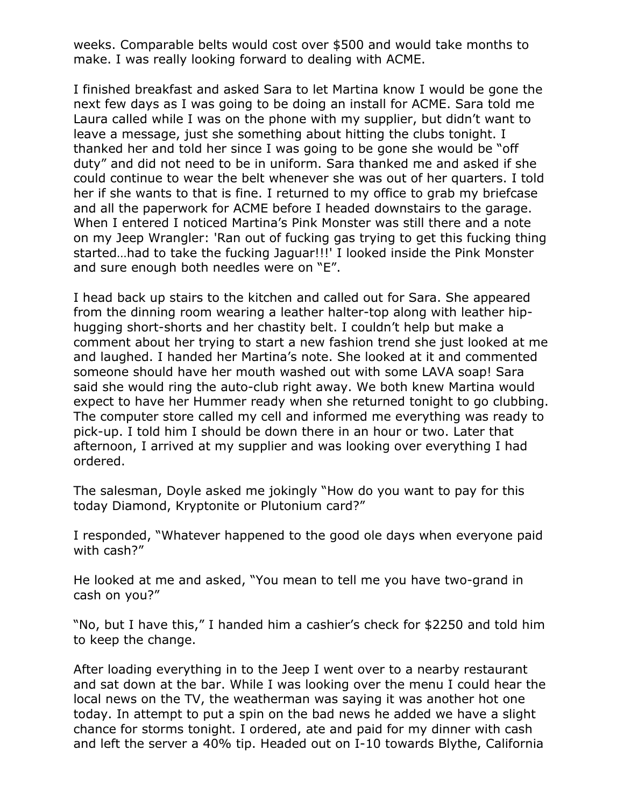weeks. Comparable belts would cost over \$500 and would take months to make. I was really looking forward to dealing with ACME.

I finished breakfast and asked Sara to let Martina know I would be gone the next few days as I was going to be doing an install for ACME. Sara told me Laura called while I was on the phone with my supplier, but didn't want to leave a message, just she something about hitting the clubs tonight. I thanked her and told her since I was going to be gone she would be "off duty" and did not need to be in uniform. Sara thanked me and asked if she could continue to wear the belt whenever she was out of her quarters. I told her if she wants to that is fine. I returned to my office to grab my briefcase and all the paperwork for ACME before I headed downstairs to the garage. When I entered I noticed Martina's Pink Monster was still there and a note on my Jeep Wrangler: 'Ran out of fucking gas trying to get this fucking thing started…had to take the fucking Jaguar!!!' I looked inside the Pink Monster and sure enough both needles were on "E".

I head back up stairs to the kitchen and called out for Sara. She appeared from the dinning room wearing a leather halter-top along with leather hiphugging short-shorts and her chastity belt. I couldn't help but make a comment about her trying to start a new fashion trend she just looked at me and laughed. I handed her Martina's note. She looked at it and commented someone should have her mouth washed out with some LAVA soap! Sara said she would ring the auto-club right away. We both knew Martina would expect to have her Hummer ready when she returned tonight to go clubbing. The computer store called my cell and informed me everything was ready to pick-up. I told him I should be down there in an hour or two. Later that afternoon, I arrived at my supplier and was looking over everything I had ordered.

The salesman, Doyle asked me jokingly "How do you want to pay for this today Diamond, Kryptonite or Plutonium card?"

I responded, "Whatever happened to the good ole days when everyone paid with cash?"

He looked at me and asked, "You mean to tell me you have two-grand in cash on you?"

"No, but I have this," I handed him a cashier's check for \$2250 and told him to keep the change.

After loading everything in to the Jeep I went over to a nearby restaurant and sat down at the bar. While I was looking over the menu I could hear the local news on the TV, the weatherman was saying it was another hot one today. In attempt to put a spin on the bad news he added we have a slight chance for storms tonight. I ordered, ate and paid for my dinner with cash and left the server a 40% tip. Headed out on I-10 towards Blythe, California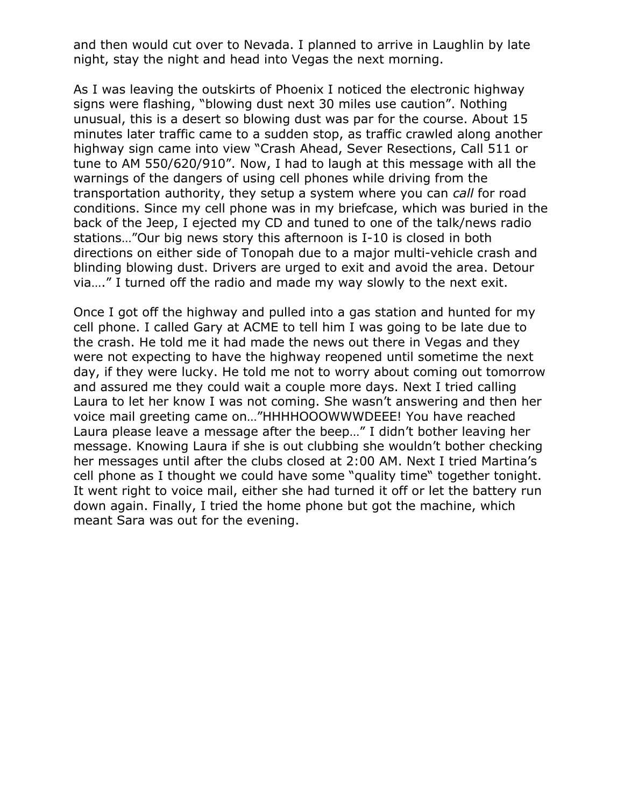and then would cut over to Nevada. I planned to arrive in Laughlin by late night, stay the night and head into Vegas the next morning.

As I was leaving the outskirts of Phoenix I noticed the electronic highway signs were flashing, "blowing dust next 30 miles use caution". Nothing unusual, this is a desert so blowing dust was par for the course. About 15 minutes later traffic came to a sudden stop, as traffic crawled along another highway sign came into view "Crash Ahead, Sever Resections, Call 511 or tune to AM 550/620/910". Now, I had to laugh at this message with all the warnings of the dangers of using cell phones while driving from the transportation authority, they setup a system where you can *call* for road conditions. Since my cell phone was in my briefcase, which was buried in the back of the Jeep, I ejected my CD and tuned to one of the talk/news radio stations…"Our big news story this afternoon is I-10 is closed in both directions on either side of Tonopah due to a major multi-vehicle crash and blinding blowing dust. Drivers are urged to exit and avoid the area. Detour via…." I turned off the radio and made my way slowly to the next exit.

Once I got off the highway and pulled into a gas station and hunted for my cell phone. I called Gary at ACME to tell him I was going to be late due to the crash. He told me it had made the news out there in Vegas and they were not expecting to have the highway reopened until sometime the next day, if they were lucky. He told me not to worry about coming out tomorrow and assured me they could wait a couple more days. Next I tried calling Laura to let her know I was not coming. She wasn't answering and then her voice mail greeting came on…"HHHHOOOWWWDEEE! You have reached Laura please leave a message after the beep…" I didn't bother leaving her message. Knowing Laura if she is out clubbing she wouldn't bother checking her messages until after the clubs closed at 2:00 AM. Next I tried Martina's cell phone as I thought we could have some "quality time" together tonight. It went right to voice mail, either she had turned it off or let the battery run down again. Finally, I tried the home phone but got the machine, which meant Sara was out for the evening.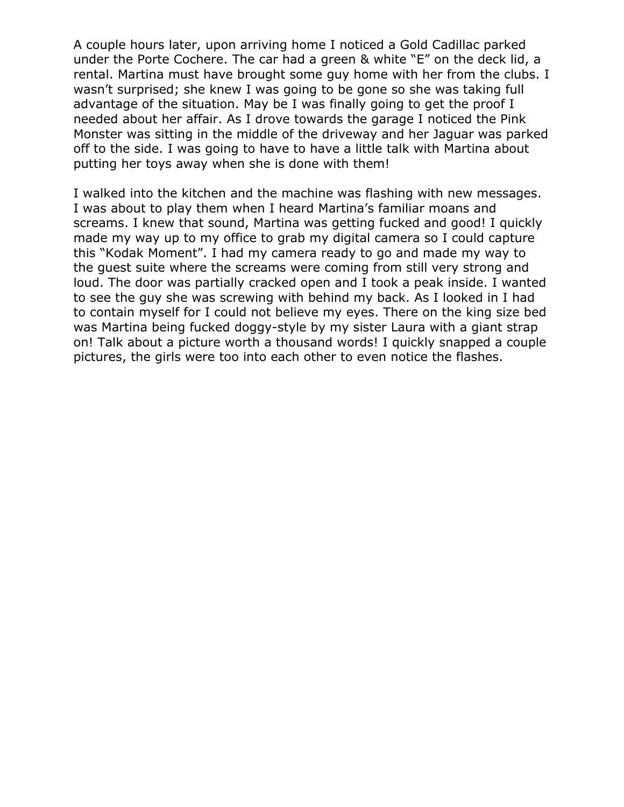A couple hours later, upon arriving home I noticed a Gold Cadillac parked under the Porte Cochere. The car had a green & white "E" on the deck lid, a rental. Martina must have brought some guy home with her from the clubs. I wasn't surprised; she knew I was going to be gone so she was taking full advantage of the situation. May be I was finally going to get the proof I needed about her affair. As I drove towards the garage I noticed the Pink Monster was sitting in the middle of the driveway and her Jaguar was parked off to the side. I was going to have to have a little talk with Martina about putting her toys away when she is done with them!

I walked into the kitchen and the machine was flashing with new messages. I was about to play them when I heard Martina's familiar moans and screams. I knew that sound, Martina was getting fucked and good! I quickly made my way up to my office to grab my digital camera so I could capture this "Kodak Moment". I had my camera ready to go and made my way to the guest suite where the screams were coming from still very strong and loud. The door was partially cracked open and I took a peak inside. I wanted to see the guy she was screwing with behind my back. As I looked in I had to contain myself for I could not believe my eyes. There on the king size bed was Martina being fucked doggy-style by my sister Laura with a giant strap on! Talk about a picture worth a thousand words! I quickly snapped a couple pictures, the girls were too into each other to even notice the flashes.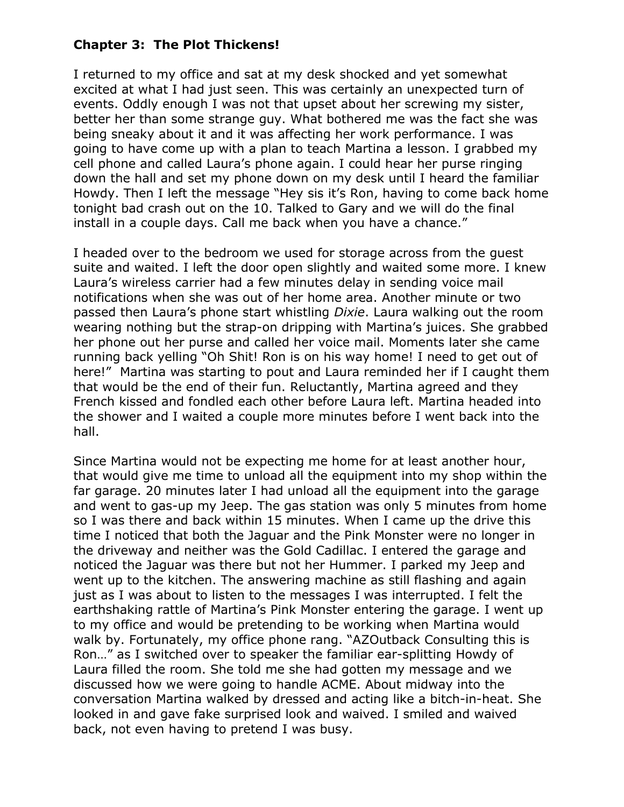## **Chapter 3: The Plot Thickens!**

I returned to my office and sat at my desk shocked and yet somewhat excited at what I had just seen. This was certainly an unexpected turn of events. Oddly enough I was not that upset about her screwing my sister, better her than some strange guy. What bothered me was the fact she was being sneaky about it and it was affecting her work performance. I was going to have come up with a plan to teach Martina a lesson. I grabbed my cell phone and called Laura's phone again. I could hear her purse ringing down the hall and set my phone down on my desk until I heard the familiar Howdy. Then I left the message "Hey sis it's Ron, having to come back home tonight bad crash out on the 10. Talked to Gary and we will do the final install in a couple days. Call me back when you have a chance."

I headed over to the bedroom we used for storage across from the guest suite and waited. I left the door open slightly and waited some more. I knew Laura's wireless carrier had a few minutes delay in sending voice mail notifications when she was out of her home area. Another minute or two passed then Laura's phone start whistling *Dixie*. Laura walking out the room wearing nothing but the strap-on dripping with Martina's juices. She grabbed her phone out her purse and called her voice mail. Moments later she came running back yelling "Oh Shit! Ron is on his way home! I need to get out of here!" Martina was starting to pout and Laura reminded her if I caught them that would be the end of their fun. Reluctantly, Martina agreed and they French kissed and fondled each other before Laura left. Martina headed into the shower and I waited a couple more minutes before I went back into the hall.

Since Martina would not be expecting me home for at least another hour, that would give me time to unload all the equipment into my shop within the far garage. 20 minutes later I had unload all the equipment into the garage and went to gas-up my Jeep. The gas station was only 5 minutes from home so I was there and back within 15 minutes. When I came up the drive this time I noticed that both the Jaguar and the Pink Monster were no longer in the driveway and neither was the Gold Cadillac. I entered the garage and noticed the Jaguar was there but not her Hummer. I parked my Jeep and went up to the kitchen. The answering machine as still flashing and again just as I was about to listen to the messages I was interrupted. I felt the earthshaking rattle of Martina's Pink Monster entering the garage. I went up to my office and would be pretending to be working when Martina would walk by. Fortunately, my office phone rang. "AZOutback Consulting this is Ron…" as I switched over to speaker the familiar ear-splitting Howdy of Laura filled the room. She told me she had gotten my message and we discussed how we were going to handle ACME. About midway into the conversation Martina walked by dressed and acting like a bitch-in-heat. She looked in and gave fake surprised look and waived. I smiled and waived back, not even having to pretend I was busy.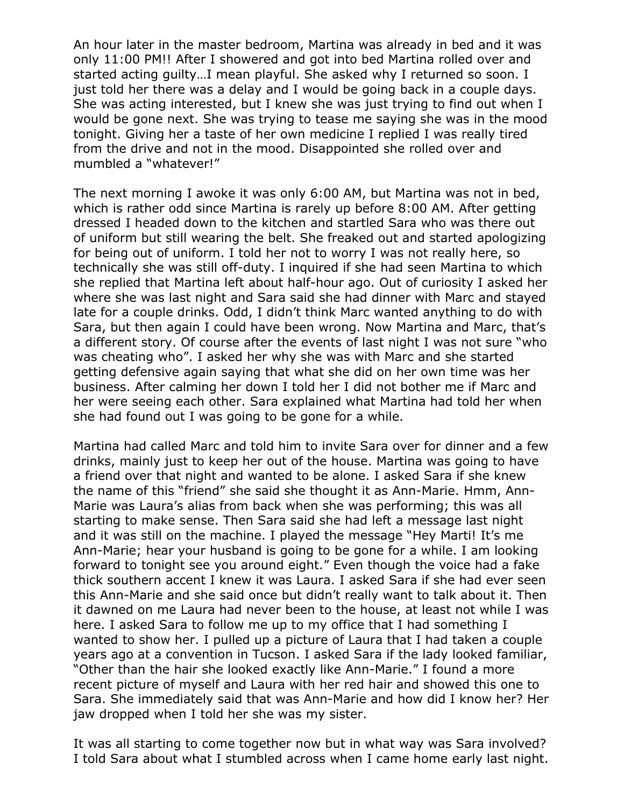An hour later in the master bedroom, Martina was already in bed and it was only 11:00 PM!! After I showered and got into bed Martina rolled over and started acting guilty…I mean playful. She asked why I returned so soon. I just told her there was a delay and I would be going back in a couple days. She was acting interested, but I knew she was just trying to find out when I would be gone next. She was trying to tease me saying she was in the mood tonight. Giving her a taste of her own medicine I replied I was really tired from the drive and not in the mood. Disappointed she rolled over and mumbled a "whatever!"

The next morning I awoke it was only 6:00 AM, but Martina was not in bed, which is rather odd since Martina is rarely up before 8:00 AM. After getting dressed I headed down to the kitchen and startled Sara who was there out of uniform but still wearing the belt. She freaked out and started apologizing for being out of uniform. I told her not to worry I was not really here, so technically she was still off-duty. I inquired if she had seen Martina to which she replied that Martina left about half-hour ago. Out of curiosity I asked her where she was last night and Sara said she had dinner with Marc and stayed late for a couple drinks. Odd, I didn't think Marc wanted anything to do with Sara, but then again I could have been wrong. Now Martina and Marc, that's a different story. Of course after the events of last night I was not sure "who was cheating who". I asked her why she was with Marc and she started getting defensive again saying that what she did on her own time was her business. After calming her down I told her I did not bother me if Marc and her were seeing each other. Sara explained what Martina had told her when she had found out I was going to be gone for a while.

Martina had called Marc and told him to invite Sara over for dinner and a few drinks, mainly just to keep her out of the house. Martina was going to have a friend over that night and wanted to be alone. I asked Sara if she knew the name of this "friend" she said she thought it as Ann-Marie. Hmm, Ann-Marie was Laura's alias from back when she was performing; this was all starting to make sense. Then Sara said she had left a message last night and it was still on the machine. I played the message "Hey Marti! It's me Ann-Marie; hear your husband is going to be gone for a while. I am looking forward to tonight see you around eight." Even though the voice had a fake thick southern accent I knew it was Laura. I asked Sara if she had ever seen this Ann-Marie and she said once but didn't really want to talk about it. Then it dawned on me Laura had never been to the house, at least not while I was here. I asked Sara to follow me up to my office that I had something I wanted to show her. I pulled up a picture of Laura that I had taken a couple years ago at a convention in Tucson. I asked Sara if the lady looked familiar, "Other than the hair she looked exactly like Ann-Marie." I found a more recent picture of myself and Laura with her red hair and showed this one to Sara. She immediately said that was Ann-Marie and how did I know her? Her jaw dropped when I told her she was my sister.

It was all starting to come together now but in what way was Sara involved? I told Sara about what I stumbled across when I came home early last night.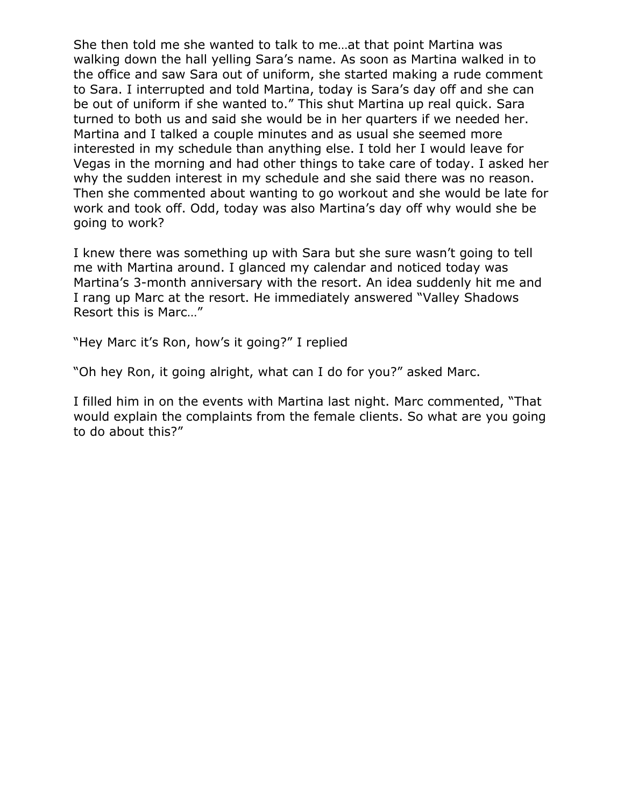She then told me she wanted to talk to me…at that point Martina was walking down the hall yelling Sara's name. As soon as Martina walked in to the office and saw Sara out of uniform, she started making a rude comment to Sara. I interrupted and told Martina, today is Sara's day off and she can be out of uniform if she wanted to." This shut Martina up real quick. Sara turned to both us and said she would be in her quarters if we needed her. Martina and I talked a couple minutes and as usual she seemed more interested in my schedule than anything else. I told her I would leave for Vegas in the morning and had other things to take care of today. I asked her why the sudden interest in my schedule and she said there was no reason. Then she commented about wanting to go workout and she would be late for work and took off. Odd, today was also Martina's day off why would she be going to work?

I knew there was something up with Sara but she sure wasn't going to tell me with Martina around. I glanced my calendar and noticed today was Martina's 3-month anniversary with the resort. An idea suddenly hit me and I rang up Marc at the resort. He immediately answered "Valley Shadows Resort this is Marc…"

"Hey Marc it's Ron, how's it going?" I replied

"Oh hey Ron, it going alright, what can I do for you?" asked Marc.

I filled him in on the events with Martina last night. Marc commented, "That would explain the complaints from the female clients. So what are you going to do about this?"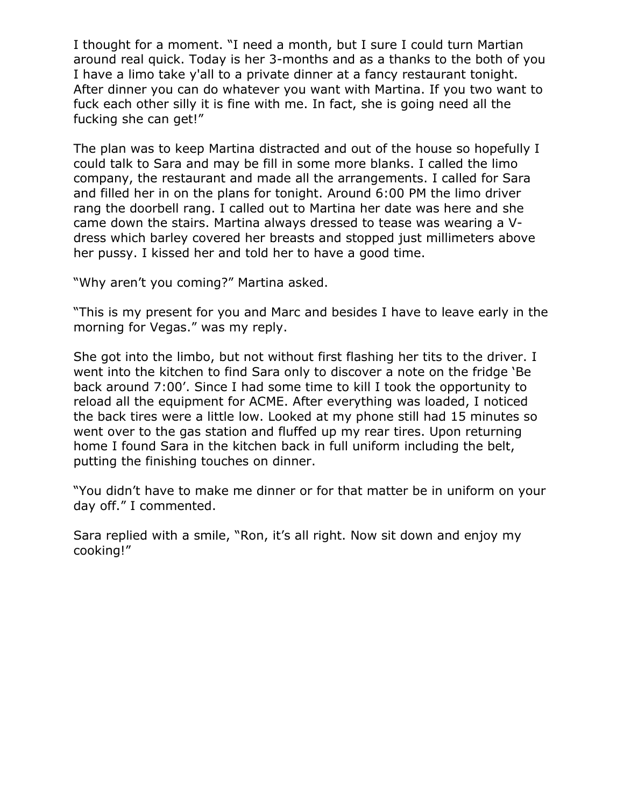I thought for a moment. "I need a month, but I sure I could turn Martian around real quick. Today is her 3-months and as a thanks to the both of you I have a limo take y'all to a private dinner at a fancy restaurant tonight. After dinner you can do whatever you want with Martina. If you two want to fuck each other silly it is fine with me. In fact, she is going need all the fucking she can get!"

The plan was to keep Martina distracted and out of the house so hopefully I could talk to Sara and may be fill in some more blanks. I called the limo company, the restaurant and made all the arrangements. I called for Sara and filled her in on the plans for tonight. Around 6:00 PM the limo driver rang the doorbell rang. I called out to Martina her date was here and she came down the stairs. Martina always dressed to tease was wearing a Vdress which barley covered her breasts and stopped just millimeters above her pussy. I kissed her and told her to have a good time.

"Why aren't you coming?" Martina asked.

"This is my present for you and Marc and besides I have to leave early in the morning for Vegas." was my reply.

She got into the limbo, but not without first flashing her tits to the driver. I went into the kitchen to find Sara only to discover a note on the fridge 'Be back around 7:00'. Since I had some time to kill I took the opportunity to reload all the equipment for ACME. After everything was loaded, I noticed the back tires were a little low. Looked at my phone still had 15 minutes so went over to the gas station and fluffed up my rear tires. Upon returning home I found Sara in the kitchen back in full uniform including the belt, putting the finishing touches on dinner.

"You didn't have to make me dinner or for that matter be in uniform on your day off." I commented.

Sara replied with a smile, "Ron, it's all right. Now sit down and enjoy my cooking!"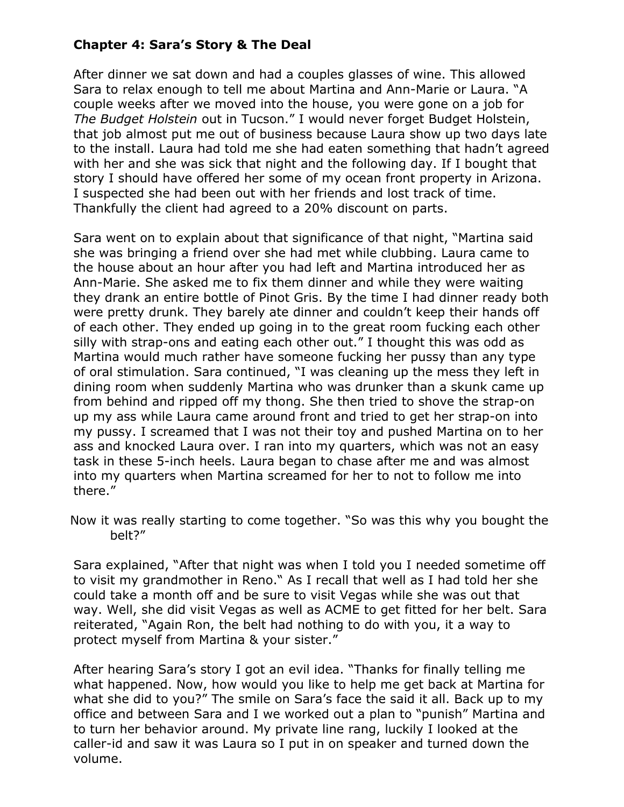# **Chapter 4: Sara's Story & The Deal**

After dinner we sat down and had a couples glasses of wine. This allowed Sara to relax enough to tell me about Martina and Ann-Marie or Laura. "A couple weeks after we moved into the house, you were gone on a job for *The Budget Holstein* out in Tucson." I would never forget Budget Holstein, that job almost put me out of business because Laura show up two days late to the install. Laura had told me she had eaten something that hadn't agreed with her and she was sick that night and the following day. If I bought that story I should have offered her some of my ocean front property in Arizona. I suspected she had been out with her friends and lost track of time. Thankfully the client had agreed to a 20% discount on parts.

Sara went on to explain about that significance of that night, "Martina said she was bringing a friend over she had met while clubbing. Laura came to the house about an hour after you had left and Martina introduced her as Ann-Marie. She asked me to fix them dinner and while they were waiting they drank an entire bottle of Pinot Gris. By the time I had dinner ready both were pretty drunk. They barely ate dinner and couldn't keep their hands off of each other. They ended up going in to the great room fucking each other silly with strap-ons and eating each other out." I thought this was odd as Martina would much rather have someone fucking her pussy than any type of oral stimulation. Sara continued, "I was cleaning up the mess they left in dining room when suddenly Martina who was drunker than a skunk came up from behind and ripped off my thong. She then tried to shove the strap-on up my ass while Laura came around front and tried to get her strap-on into my pussy. I screamed that I was not their toy and pushed Martina on to her ass and knocked Laura over. I ran into my quarters, which was not an easy task in these 5-inch heels. Laura began to chase after me and was almost into my quarters when Martina screamed for her to not to follow me into there."

Now it was really starting to come together. "So was this why you bought the belt?"

Sara explained, "After that night was when I told you I needed sometime off to visit my grandmother in Reno." As I recall that well as I had told her she could take a month off and be sure to visit Vegas while she was out that way. Well, she did visit Vegas as well as ACME to get fitted for her belt. Sara reiterated, "Again Ron, the belt had nothing to do with you, it a way to protect myself from Martina & your sister."

After hearing Sara's story I got an evil idea. "Thanks for finally telling me what happened. Now, how would you like to help me get back at Martina for what she did to you?" The smile on Sara's face the said it all. Back up to my office and between Sara and I we worked out a plan to "punish" Martina and to turn her behavior around. My private line rang, luckily I looked at the caller-id and saw it was Laura so I put in on speaker and turned down the volume.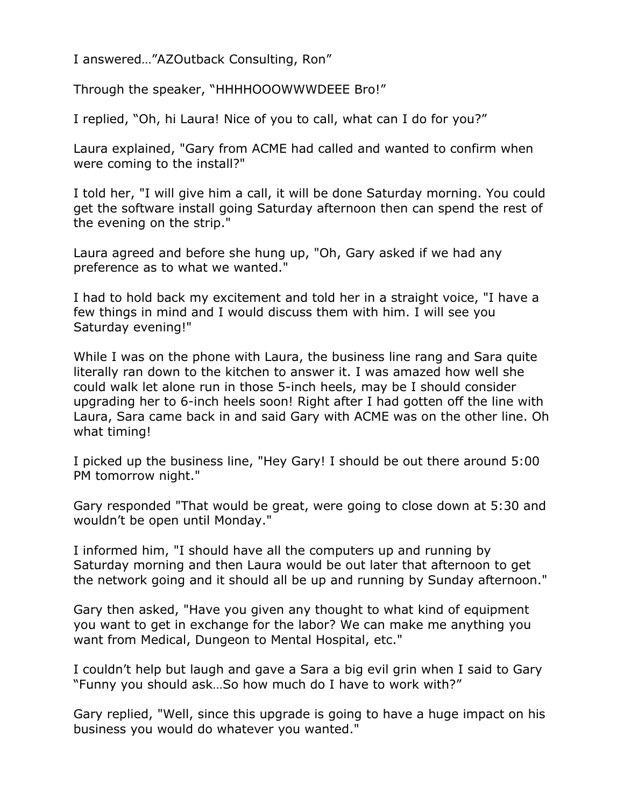I answered…"AZOutback Consulting, Ron"

Through the speaker, "HHHHOOOWWWDEEE Bro!"

I replied, "Oh, hi Laura! Nice of you to call, what can I do for you?"

Laura explained, "Gary from ACME had called and wanted to confirm when were coming to the install?"

I told her, "I will give him a call, it will be done Saturday morning. You could get the software install going Saturday afternoon then can spend the rest of the evening on the strip."

Laura agreed and before she hung up, "Oh, Gary asked if we had any preference as to what we wanted."

I had to hold back my excitement and told her in a straight voice, "I have a few things in mind and I would discuss them with him. I will see you Saturday evening!"

While I was on the phone with Laura, the business line rang and Sara quite literally ran down to the kitchen to answer it. I was amazed how well she could walk let alone run in those 5-inch heels, may be I should consider upgrading her to 6-inch heels soon! Right after I had gotten off the line with Laura, Sara came back in and said Gary with ACME was on the other line. Oh what timing!

I picked up the business line, "Hey Gary! I should be out there around 5:00 PM tomorrow night."

Gary responded "That would be great, were going to close down at 5:30 and wouldn't be open until Monday."

I informed him, "I should have all the computers up and running by Saturday morning and then Laura would be out later that afternoon to get the network going and it should all be up and running by Sunday afternoon."

Gary then asked, "Have you given any thought to what kind of equipment you want to get in exchange for the labor? We can make me anything you want from Medical, Dungeon to Mental Hospital, etc."

I couldn't help but laugh and gave a Sara a big evil grin when I said to Gary "Funny you should ask…So how much do I have to work with?"

Gary replied, "Well, since this upgrade is going to have a huge impact on his business you would do whatever you wanted."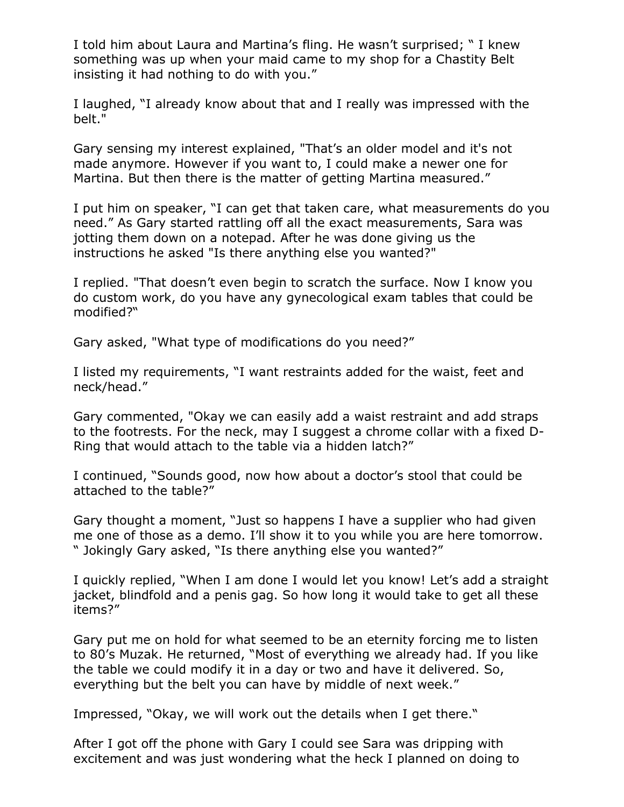I told him about Laura and Martina's fling. He wasn't surprised; " I knew something was up when your maid came to my shop for a Chastity Belt insisting it had nothing to do with you."

I laughed, "I already know about that and I really was impressed with the belt."

Gary sensing my interest explained, "That's an older model and it's not made anymore. However if you want to, I could make a newer one for Martina. But then there is the matter of getting Martina measured."

I put him on speaker, "I can get that taken care, what measurements do you need." As Gary started rattling off all the exact measurements, Sara was jotting them down on a notepad. After he was done giving us the instructions he asked "Is there anything else you wanted?"

I replied. "That doesn't even begin to scratch the surface. Now I know you do custom work, do you have any gynecological exam tables that could be modified?"

Gary asked, "What type of modifications do you need?"

I listed my requirements, "I want restraints added for the waist, feet and neck/head."

Gary commented, "Okay we can easily add a waist restraint and add straps to the footrests. For the neck, may I suggest a chrome collar with a fixed D-Ring that would attach to the table via a hidden latch?"

I continued, "Sounds good, now how about a doctor's stool that could be attached to the table?"

Gary thought a moment, "Just so happens I have a supplier who had given me one of those as a demo. I'll show it to you while you are here tomorrow. " Jokingly Gary asked, "Is there anything else you wanted?"

I quickly replied, "When I am done I would let you know! Let's add a straight jacket, blindfold and a penis gag. So how long it would take to get all these items?"

Gary put me on hold for what seemed to be an eternity forcing me to listen to 80's Muzak. He returned, "Most of everything we already had. If you like the table we could modify it in a day or two and have it delivered. So, everything but the belt you can have by middle of next week."

Impressed, "Okay, we will work out the details when I get there."

After I got off the phone with Gary I could see Sara was dripping with excitement and was just wondering what the heck I planned on doing to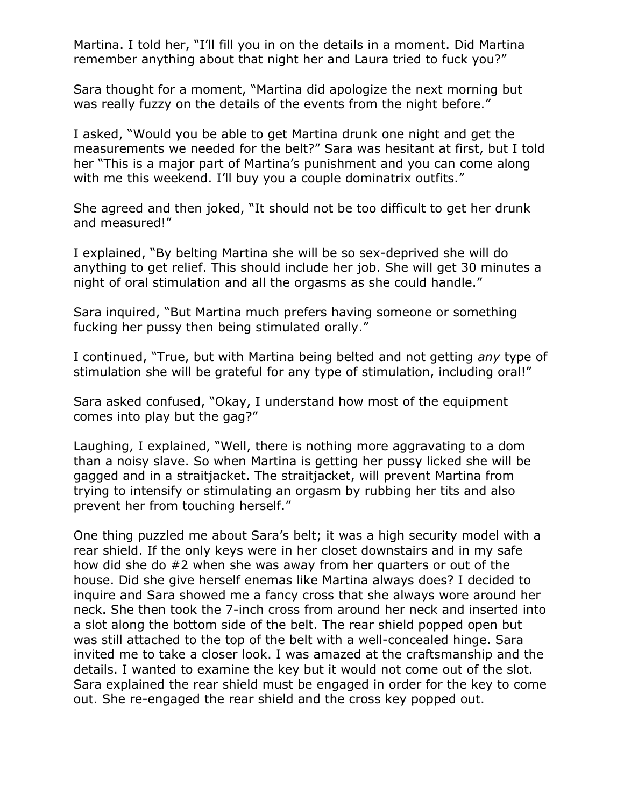Martina. I told her, "I'll fill you in on the details in a moment. Did Martina remember anything about that night her and Laura tried to fuck you?"

Sara thought for a moment, "Martina did apologize the next morning but was really fuzzy on the details of the events from the night before."

I asked, "Would you be able to get Martina drunk one night and get the measurements we needed for the belt?" Sara was hesitant at first, but I told her "This is a major part of Martina's punishment and you can come along with me this weekend. I'll buy you a couple dominatrix outfits."

She agreed and then joked, "It should not be too difficult to get her drunk and measured!"

I explained, "By belting Martina she will be so sex-deprived she will do anything to get relief. This should include her job. She will get 30 minutes a night of oral stimulation and all the orgasms as she could handle."

Sara inquired, "But Martina much prefers having someone or something fucking her pussy then being stimulated orally."

I continued, "True, but with Martina being belted and not getting *any* type of stimulation she will be grateful for any type of stimulation, including oral!"

Sara asked confused, "Okay, I understand how most of the equipment comes into play but the gag?"

Laughing, I explained, "Well, there is nothing more aggravating to a dom than a noisy slave. So when Martina is getting her pussy licked she will be gagged and in a straitjacket. The straitjacket, will prevent Martina from trying to intensify or stimulating an orgasm by rubbing her tits and also prevent her from touching herself."

One thing puzzled me about Sara's belt; it was a high security model with a rear shield. If the only keys were in her closet downstairs and in my safe how did she do #2 when she was away from her quarters or out of the house. Did she give herself enemas like Martina always does? I decided to inquire and Sara showed me a fancy cross that she always wore around her neck. She then took the 7-inch cross from around her neck and inserted into a slot along the bottom side of the belt. The rear shield popped open but was still attached to the top of the belt with a well-concealed hinge. Sara invited me to take a closer look. I was amazed at the craftsmanship and the details. I wanted to examine the key but it would not come out of the slot. Sara explained the rear shield must be engaged in order for the key to come out. She re-engaged the rear shield and the cross key popped out.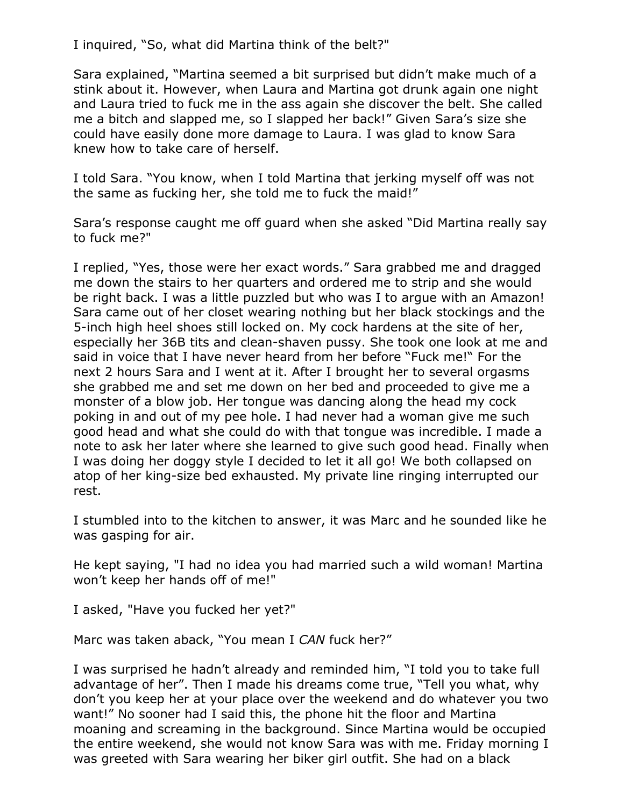I inquired, "So, what did Martina think of the belt?"

Sara explained, "Martina seemed a bit surprised but didn't make much of a stink about it. However, when Laura and Martina got drunk again one night and Laura tried to fuck me in the ass again she discover the belt. She called me a bitch and slapped me, so I slapped her back!" Given Sara's size she could have easily done more damage to Laura. I was glad to know Sara knew how to take care of herself.

I told Sara. "You know, when I told Martina that jerking myself off was not the same as fucking her, she told me to fuck the maid!"

Sara's response caught me off guard when she asked "Did Martina really say to fuck me?"

I replied, "Yes, those were her exact words." Sara grabbed me and dragged me down the stairs to her quarters and ordered me to strip and she would be right back. I was a little puzzled but who was I to argue with an Amazon! Sara came out of her closet wearing nothing but her black stockings and the 5-inch high heel shoes still locked on. My cock hardens at the site of her, especially her 36B tits and clean-shaven pussy. She took one look at me and said in voice that I have never heard from her before "Fuck me!" For the next 2 hours Sara and I went at it. After I brought her to several orgasms she grabbed me and set me down on her bed and proceeded to give me a monster of a blow job. Her tongue was dancing along the head my cock poking in and out of my pee hole. I had never had a woman give me such good head and what she could do with that tongue was incredible. I made a note to ask her later where she learned to give such good head. Finally when I was doing her doggy style I decided to let it all go! We both collapsed on atop of her king-size bed exhausted. My private line ringing interrupted our rest.

I stumbled into to the kitchen to answer, it was Marc and he sounded like he was gasping for air.

He kept saying, "I had no idea you had married such a wild woman! Martina won't keep her hands off of me!"

I asked, "Have you fucked her yet?"

Marc was taken aback, "You mean I *CAN* fuck her?"

I was surprised he hadn't already and reminded him, "I told you to take full advantage of her". Then I made his dreams come true, "Tell you what, why don't you keep her at your place over the weekend and do whatever you two want!" No sooner had I said this, the phone hit the floor and Martina moaning and screaming in the background. Since Martina would be occupied the entire weekend, she would not know Sara was with me. Friday morning I was greeted with Sara wearing her biker girl outfit. She had on a black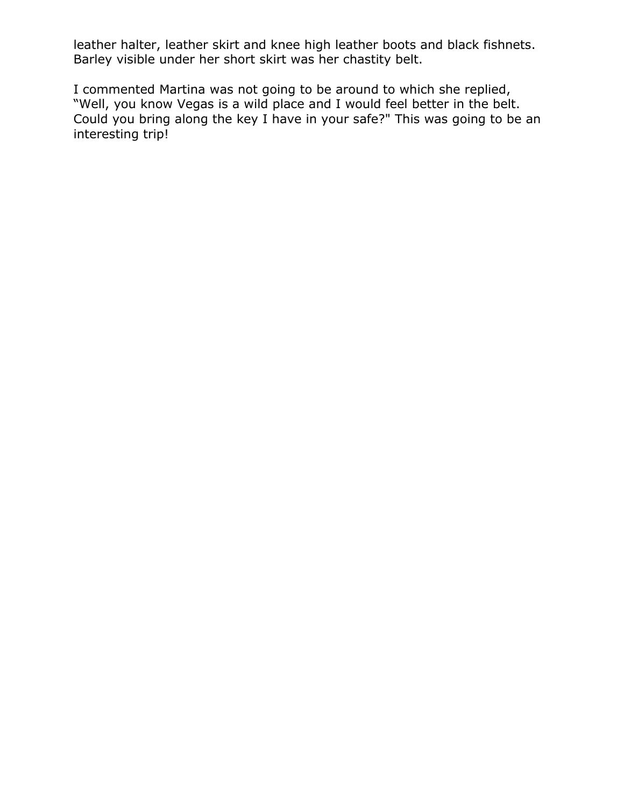leather halter, leather skirt and knee high leather boots and black fishnets. Barley visible under her short skirt was her chastity belt.

I commented Martina was not going to be around to which she replied, "Well, you know Vegas is a wild place and I would feel better in the belt. Could you bring along the key I have in your safe?" This was going to be an interesting trip!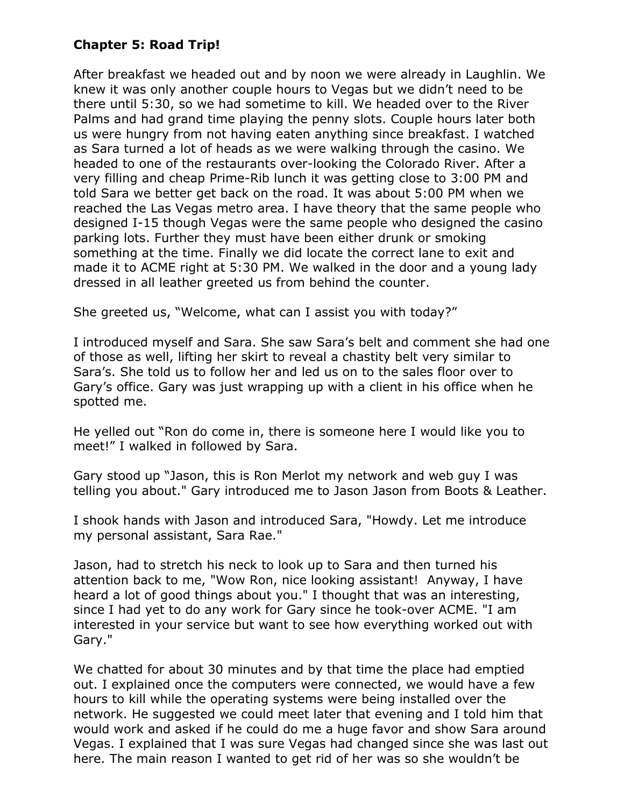# **Chapter 5: Road Trip!**

After breakfast we headed out and by noon we were already in Laughlin. We knew it was only another couple hours to Vegas but we didn't need to be there until 5:30, so we had sometime to kill. We headed over to the River Palms and had grand time playing the penny slots. Couple hours later both us were hungry from not having eaten anything since breakfast. I watched as Sara turned a lot of heads as we were walking through the casino. We headed to one of the restaurants over-looking the Colorado River. After a very filling and cheap Prime-Rib lunch it was getting close to 3:00 PM and told Sara we better get back on the road. It was about 5:00 PM when we reached the Las Vegas metro area. I have theory that the same people who designed I-15 though Vegas were the same people who designed the casino parking lots. Further they must have been either drunk or smoking something at the time. Finally we did locate the correct lane to exit and made it to ACME right at 5:30 PM. We walked in the door and a young lady dressed in all leather greeted us from behind the counter.

She greeted us, "Welcome, what can I assist you with today?"

I introduced myself and Sara. She saw Sara's belt and comment she had one of those as well, lifting her skirt to reveal a chastity belt very similar to Sara's. She told us to follow her and led us on to the sales floor over to Gary's office. Gary was just wrapping up with a client in his office when he spotted me.

He yelled out "Ron do come in, there is someone here I would like you to meet!" I walked in followed by Sara.

Gary stood up "Jason, this is Ron Merlot my network and web guy I was telling you about." Gary introduced me to Jason Jason from Boots & Leather.

I shook hands with Jason and introduced Sara, "Howdy. Let me introduce my personal assistant, Sara Rae."

Jason, had to stretch his neck to look up to Sara and then turned his attention back to me, "Wow Ron, nice looking assistant! Anyway, I have heard a lot of good things about you." I thought that was an interesting, since I had yet to do any work for Gary since he took-over ACME. "I am interested in your service but want to see how everything worked out with Gary."

We chatted for about 30 minutes and by that time the place had emptied out. I explained once the computers were connected, we would have a few hours to kill while the operating systems were being installed over the network. He suggested we could meet later that evening and I told him that would work and asked if he could do me a huge favor and show Sara around Vegas. I explained that I was sure Vegas had changed since she was last out here. The main reason I wanted to get rid of her was so she wouldn't be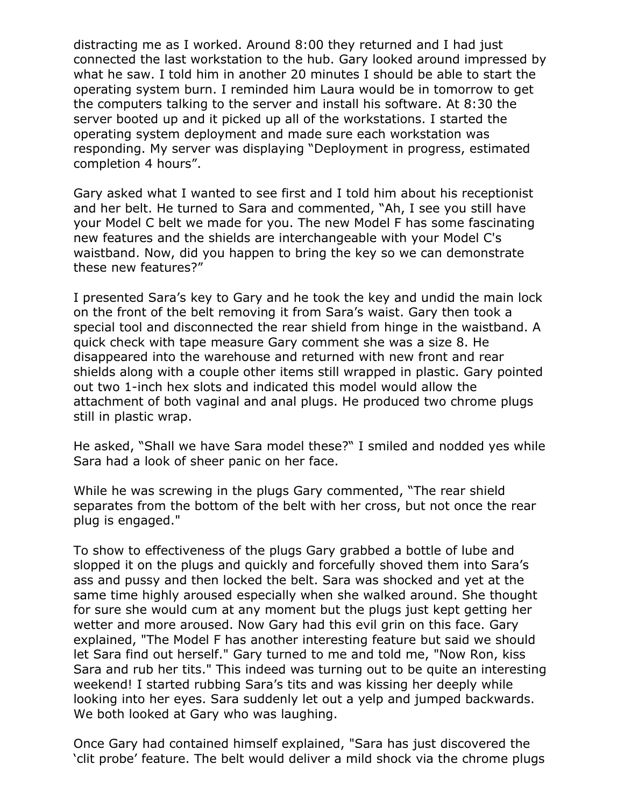distracting me as I worked. Around 8:00 they returned and I had just connected the last workstation to the hub. Gary looked around impressed by what he saw. I told him in another 20 minutes I should be able to start the operating system burn. I reminded him Laura would be in tomorrow to get the computers talking to the server and install his software. At 8:30 the server booted up and it picked up all of the workstations. I started the operating system deployment and made sure each workstation was responding. My server was displaying "Deployment in progress, estimated completion 4 hours".

Gary asked what I wanted to see first and I told him about his receptionist and her belt. He turned to Sara and commented, "Ah, I see you still have your Model C belt we made for you. The new Model F has some fascinating new features and the shields are interchangeable with your Model C's waistband. Now, did you happen to bring the key so we can demonstrate these new features?"

I presented Sara's key to Gary and he took the key and undid the main lock on the front of the belt removing it from Sara's waist. Gary then took a special tool and disconnected the rear shield from hinge in the waistband. A quick check with tape measure Gary comment she was a size 8. He disappeared into the warehouse and returned with new front and rear shields along with a couple other items still wrapped in plastic. Gary pointed out two 1-inch hex slots and indicated this model would allow the attachment of both vaginal and anal plugs. He produced two chrome plugs still in plastic wrap.

He asked, "Shall we have Sara model these?" I smiled and nodded yes while Sara had a look of sheer panic on her face.

While he was screwing in the plugs Gary commented, "The rear shield separates from the bottom of the belt with her cross, but not once the rear plug is engaged."

To show to effectiveness of the plugs Gary grabbed a bottle of lube and slopped it on the plugs and quickly and forcefully shoved them into Sara's ass and pussy and then locked the belt. Sara was shocked and yet at the same time highly aroused especially when she walked around. She thought for sure she would cum at any moment but the plugs just kept getting her wetter and more aroused. Now Gary had this evil grin on this face. Gary explained, "The Model F has another interesting feature but said we should let Sara find out herself." Gary turned to me and told me, "Now Ron, kiss Sara and rub her tits." This indeed was turning out to be quite an interesting weekend! I started rubbing Sara's tits and was kissing her deeply while looking into her eyes. Sara suddenly let out a yelp and jumped backwards. We both looked at Gary who was laughing.

Once Gary had contained himself explained, "Sara has just discovered the 'clit probe' feature. The belt would deliver a mild shock via the chrome plugs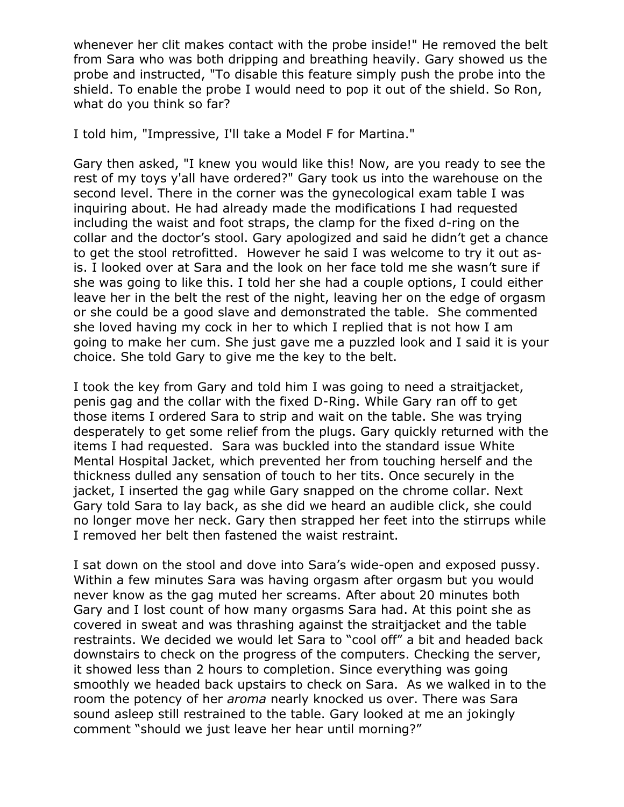whenever her clit makes contact with the probe inside!" He removed the belt from Sara who was both dripping and breathing heavily. Gary showed us the probe and instructed, "To disable this feature simply push the probe into the shield. To enable the probe I would need to pop it out of the shield. So Ron, what do you think so far?

I told him, "Impressive, I'll take a Model F for Martina."

Gary then asked, "I knew you would like this! Now, are you ready to see the rest of my toys y'all have ordered?" Gary took us into the warehouse on the second level. There in the corner was the gynecological exam table I was inquiring about. He had already made the modifications I had requested including the waist and foot straps, the clamp for the fixed d-ring on the collar and the doctor's stool. Gary apologized and said he didn't get a chance to get the stool retrofitted. However he said I was welcome to try it out asis. I looked over at Sara and the look on her face told me she wasn't sure if she was going to like this. I told her she had a couple options, I could either leave her in the belt the rest of the night, leaving her on the edge of orgasm or she could be a good slave and demonstrated the table. She commented she loved having my cock in her to which I replied that is not how I am going to make her cum. She just gave me a puzzled look and I said it is your choice. She told Gary to give me the key to the belt.

I took the key from Gary and told him I was going to need a straitjacket, penis gag and the collar with the fixed D-Ring. While Gary ran off to get those items I ordered Sara to strip and wait on the table. She was trying desperately to get some relief from the plugs. Gary quickly returned with the items I had requested. Sara was buckled into the standard issue White Mental Hospital Jacket, which prevented her from touching herself and the thickness dulled any sensation of touch to her tits. Once securely in the jacket, I inserted the gag while Gary snapped on the chrome collar. Next Gary told Sara to lay back, as she did we heard an audible click, she could no longer move her neck. Gary then strapped her feet into the stirrups while I removed her belt then fastened the waist restraint.

I sat down on the stool and dove into Sara's wide-open and exposed pussy. Within a few minutes Sara was having orgasm after orgasm but you would never know as the gag muted her screams. After about 20 minutes both Gary and I lost count of how many orgasms Sara had. At this point she as covered in sweat and was thrashing against the straitjacket and the table restraints. We decided we would let Sara to "cool off" a bit and headed back downstairs to check on the progress of the computers. Checking the server, it showed less than 2 hours to completion. Since everything was going smoothly we headed back upstairs to check on Sara. As we walked in to the room the potency of her *aroma* nearly knocked us over. There was Sara sound asleep still restrained to the table. Gary looked at me an jokingly comment "should we just leave her hear until morning?"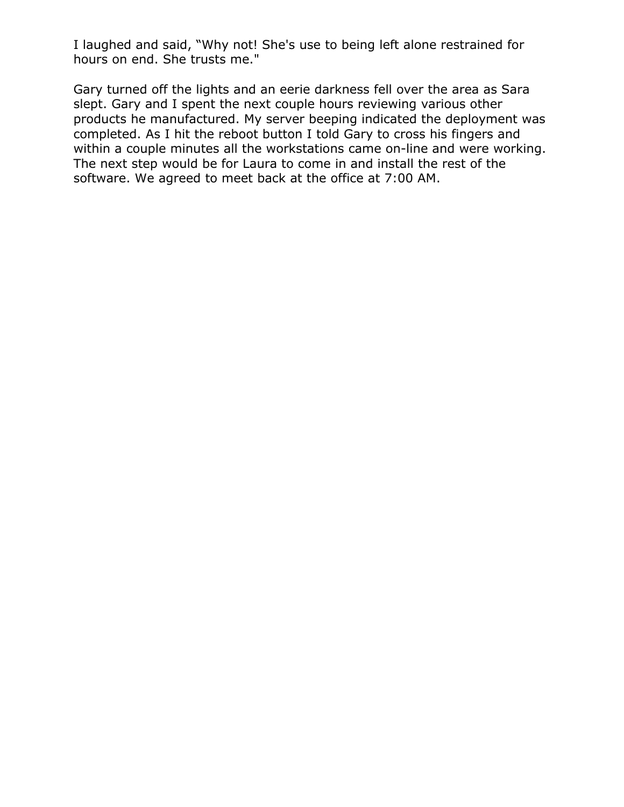I laughed and said, "Why not! She's use to being left alone restrained for hours on end. She trusts me."

Gary turned off the lights and an eerie darkness fell over the area as Sara slept. Gary and I spent the next couple hours reviewing various other products he manufactured. My server beeping indicated the deployment was completed. As I hit the reboot button I told Gary to cross his fingers and within a couple minutes all the workstations came on-line and were working. The next step would be for Laura to come in and install the rest of the software. We agreed to meet back at the office at 7:00 AM.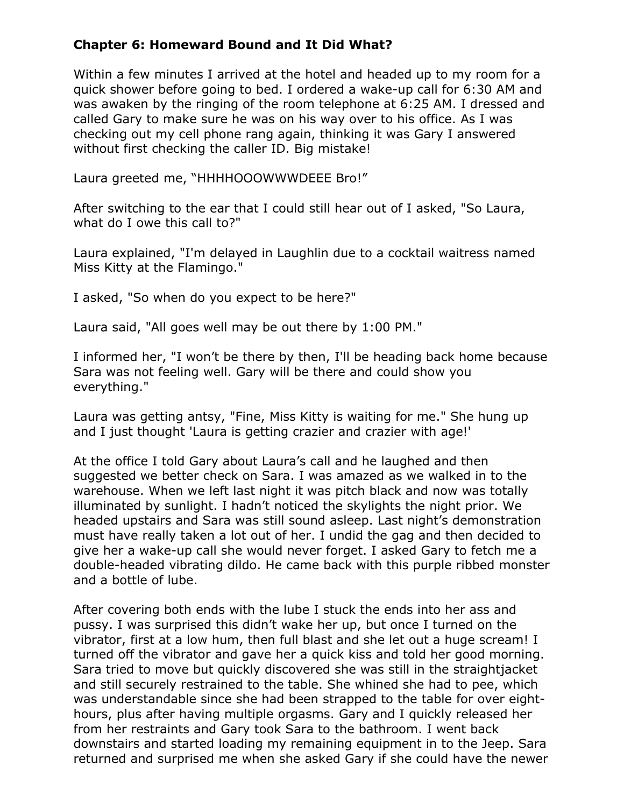## **Chapter 6: Homeward Bound and It Did What?**

Within a few minutes I arrived at the hotel and headed up to my room for a quick shower before going to bed. I ordered a wake-up call for 6:30 AM and was awaken by the ringing of the room telephone at 6:25 AM. I dressed and called Gary to make sure he was on his way over to his office. As I was checking out my cell phone rang again, thinking it was Gary I answered without first checking the caller ID. Big mistake!

Laura greeted me, "HHHHOOOWWWDEEE Bro!"

After switching to the ear that I could still hear out of I asked, "So Laura, what do I owe this call to?"

Laura explained, "I'm delayed in Laughlin due to a cocktail waitress named Miss Kitty at the Flamingo."

I asked, "So when do you expect to be here?"

Laura said, "All goes well may be out there by 1:00 PM."

I informed her, "I won't be there by then, I'll be heading back home because Sara was not feeling well. Gary will be there and could show you everything."

Laura was getting antsy, "Fine, Miss Kitty is waiting for me." She hung up and I just thought 'Laura is getting crazier and crazier with age!'

At the office I told Gary about Laura's call and he laughed and then suggested we better check on Sara. I was amazed as we walked in to the warehouse. When we left last night it was pitch black and now was totally illuminated by sunlight. I hadn't noticed the skylights the night prior. We headed upstairs and Sara was still sound asleep. Last night's demonstration must have really taken a lot out of her. I undid the gag and then decided to give her a wake-up call she would never forget. I asked Gary to fetch me a double-headed vibrating dildo. He came back with this purple ribbed monster and a bottle of lube.

After covering both ends with the lube I stuck the ends into her ass and pussy. I was surprised this didn't wake her up, but once I turned on the vibrator, first at a low hum, then full blast and she let out a huge scream! I turned off the vibrator and gave her a quick kiss and told her good morning. Sara tried to move but quickly discovered she was still in the straightjacket and still securely restrained to the table. She whined she had to pee, which was understandable since she had been strapped to the table for over eighthours, plus after having multiple orgasms. Gary and I quickly released her from her restraints and Gary took Sara to the bathroom. I went back downstairs and started loading my remaining equipment in to the Jeep. Sara returned and surprised me when she asked Gary if she could have the newer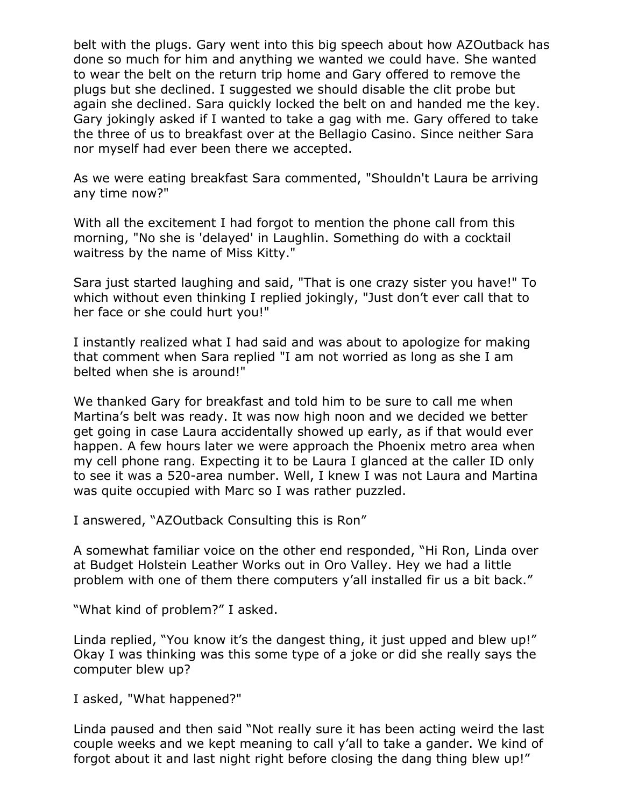belt with the plugs. Gary went into this big speech about how AZOutback has done so much for him and anything we wanted we could have. She wanted to wear the belt on the return trip home and Gary offered to remove the plugs but she declined. I suggested we should disable the clit probe but again she declined. Sara quickly locked the belt on and handed me the key. Gary jokingly asked if I wanted to take a gag with me. Gary offered to take the three of us to breakfast over at the Bellagio Casino. Since neither Sara nor myself had ever been there we accepted.

As we were eating breakfast Sara commented, "Shouldn't Laura be arriving any time now?"

With all the excitement I had forgot to mention the phone call from this morning, "No she is 'delayed' in Laughlin. Something do with a cocktail waitress by the name of Miss Kitty."

Sara just started laughing and said, "That is one crazy sister you have!" To which without even thinking I replied jokingly, "Just don't ever call that to her face or she could hurt you!"

I instantly realized what I had said and was about to apologize for making that comment when Sara replied "I am not worried as long as she I am belted when she is around!"

We thanked Gary for breakfast and told him to be sure to call me when Martina's belt was ready. It was now high noon and we decided we better get going in case Laura accidentally showed up early, as if that would ever happen. A few hours later we were approach the Phoenix metro area when my cell phone rang. Expecting it to be Laura I glanced at the caller ID only to see it was a 520-area number. Well, I knew I was not Laura and Martina was quite occupied with Marc so I was rather puzzled.

I answered, "AZOutback Consulting this is Ron"

A somewhat familiar voice on the other end responded, "Hi Ron, Linda over at Budget Holstein Leather Works out in Oro Valley. Hey we had a little problem with one of them there computers y'all installed fir us a bit back."

"What kind of problem?" I asked.

Linda replied, "You know it's the dangest thing, it just upped and blew up!" Okay I was thinking was this some type of a joke or did she really says the computer blew up?

I asked, "What happened?"

Linda paused and then said "Not really sure it has been acting weird the last couple weeks and we kept meaning to call y'all to take a gander. We kind of forgot about it and last night right before closing the dang thing blew up!"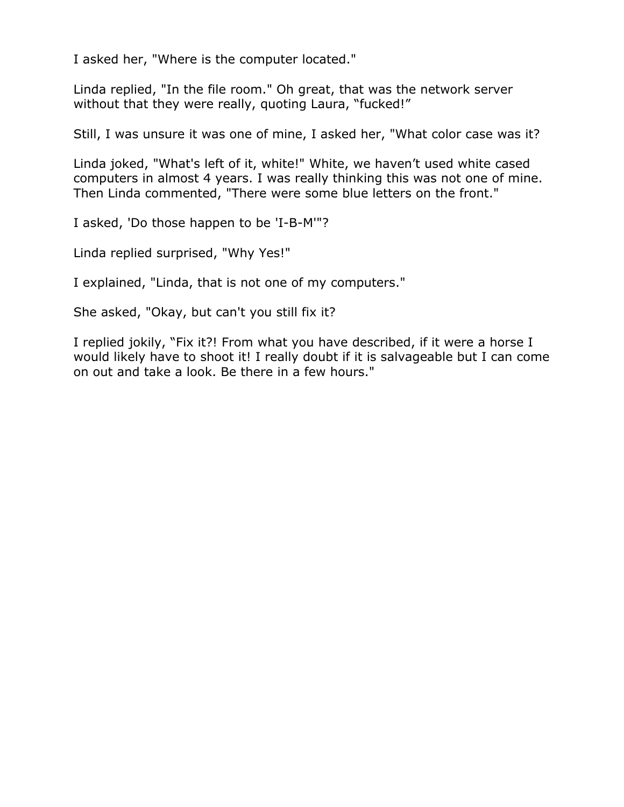I asked her, "Where is the computer located."

Linda replied, "In the file room." Oh great, that was the network server without that they were really, quoting Laura, "fucked!"

Still, I was unsure it was one of mine, I asked her, "What color case was it?

Linda joked, "What's left of it, white!" White, we haven't used white cased computers in almost 4 years. I was really thinking this was not one of mine. Then Linda commented, "There were some blue letters on the front."

I asked, 'Do those happen to be 'I-B-M'"?

Linda replied surprised, "Why Yes!"

I explained, "Linda, that is not one of my computers."

She asked, "Okay, but can't you still fix it?

I replied jokily, "Fix it?! From what you have described, if it were a horse I would likely have to shoot it! I really doubt if it is salvageable but I can come on out and take a look. Be there in a few hours."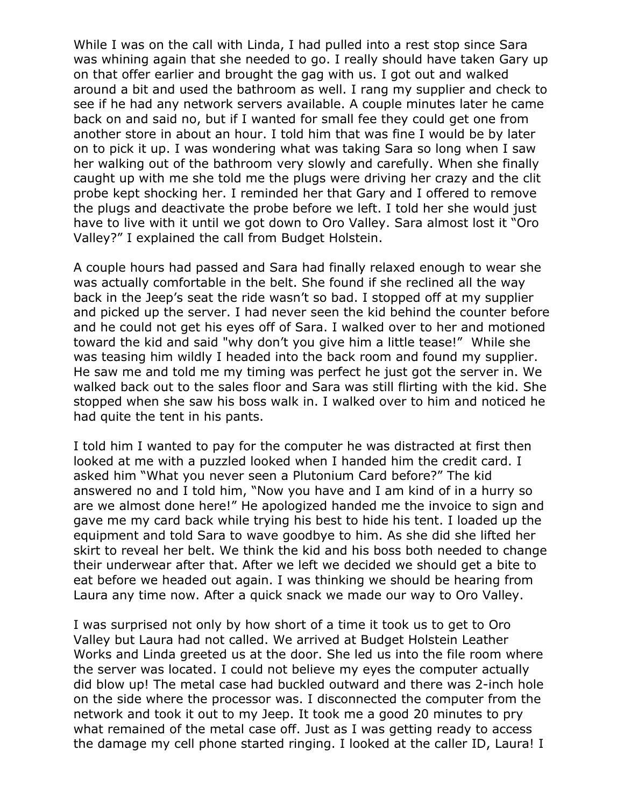While I was on the call with Linda, I had pulled into a rest stop since Sara was whining again that she needed to go. I really should have taken Gary up on that offer earlier and brought the gag with us. I got out and walked around a bit and used the bathroom as well. I rang my supplier and check to see if he had any network servers available. A couple minutes later he came back on and said no, but if I wanted for small fee they could get one from another store in about an hour. I told him that was fine I would be by later on to pick it up. I was wondering what was taking Sara so long when I saw her walking out of the bathroom very slowly and carefully. When she finally caught up with me she told me the plugs were driving her crazy and the clit probe kept shocking her. I reminded her that Gary and I offered to remove the plugs and deactivate the probe before we left. I told her she would just have to live with it until we got down to Oro Valley. Sara almost lost it "Oro Valley?" I explained the call from Budget Holstein.

A couple hours had passed and Sara had finally relaxed enough to wear she was actually comfortable in the belt. She found if she reclined all the way back in the Jeep's seat the ride wasn't so bad. I stopped off at my supplier and picked up the server. I had never seen the kid behind the counter before and he could not get his eyes off of Sara. I walked over to her and motioned toward the kid and said "why don't you give him a little tease!" While she was teasing him wildly I headed into the back room and found my supplier. He saw me and told me my timing was perfect he just got the server in. We walked back out to the sales floor and Sara was still flirting with the kid. She stopped when she saw his boss walk in. I walked over to him and noticed he had quite the tent in his pants.

I told him I wanted to pay for the computer he was distracted at first then looked at me with a puzzled looked when I handed him the credit card. I asked him "What you never seen a Plutonium Card before?" The kid answered no and I told him, "Now you have and I am kind of in a hurry so are we almost done here!" He apologized handed me the invoice to sign and gave me my card back while trying his best to hide his tent. I loaded up the equipment and told Sara to wave goodbye to him. As she did she lifted her skirt to reveal her belt. We think the kid and his boss both needed to change their underwear after that. After we left we decided we should get a bite to eat before we headed out again. I was thinking we should be hearing from Laura any time now. After a quick snack we made our way to Oro Valley.

I was surprised not only by how short of a time it took us to get to Oro Valley but Laura had not called. We arrived at Budget Holstein Leather Works and Linda greeted us at the door. She led us into the file room where the server was located. I could not believe my eyes the computer actually did blow up! The metal case had buckled outward and there was 2-inch hole on the side where the processor was. I disconnected the computer from the network and took it out to my Jeep. It took me a good 20 minutes to pry what remained of the metal case off. Just as I was getting ready to access the damage my cell phone started ringing. I looked at the caller ID, Laura! I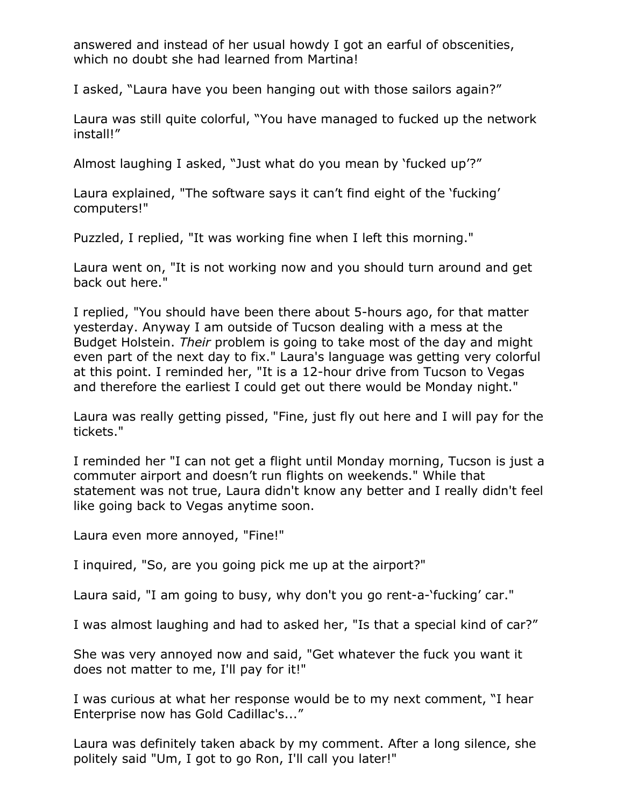answered and instead of her usual howdy I got an earful of obscenities, which no doubt she had learned from Martina!

I asked, "Laura have you been hanging out with those sailors again?"

Laura was still quite colorful, "You have managed to fucked up the network install!"

Almost laughing I asked, "Just what do you mean by 'fucked up'?"

Laura explained, "The software says it can't find eight of the 'fucking' computers!"

Puzzled, I replied, "It was working fine when I left this morning."

Laura went on, "It is not working now and you should turn around and get back out here."

I replied, "You should have been there about 5-hours ago, for that matter yesterday. Anyway I am outside of Tucson dealing with a mess at the Budget Holstein. *Their* problem is going to take most of the day and might even part of the next day to fix." Laura's language was getting very colorful at this point. I reminded her, "It is a 12-hour drive from Tucson to Vegas and therefore the earliest I could get out there would be Monday night."

Laura was really getting pissed, "Fine, just fly out here and I will pay for the tickets."

I reminded her "I can not get a flight until Monday morning, Tucson is just a commuter airport and doesn't run flights on weekends." While that statement was not true, Laura didn't know any better and I really didn't feel like going back to Vegas anytime soon.

Laura even more annoyed, "Fine!"

I inquired, "So, are you going pick me up at the airport?"

Laura said, "I am going to busy, why don't you go rent-a-'fucking' car."

I was almost laughing and had to asked her, "Is that a special kind of car?"

She was very annoyed now and said, "Get whatever the fuck you want it does not matter to me, I'll pay for it!"

I was curious at what her response would be to my next comment, "I hear Enterprise now has Gold Cadillac's..."

Laura was definitely taken aback by my comment. After a long silence, she politely said "Um, I got to go Ron, I'll call you later!"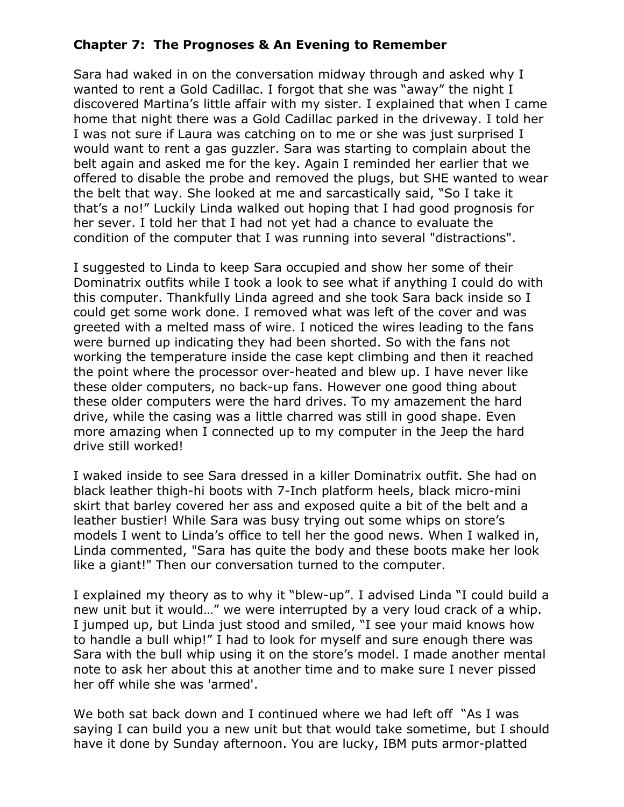# **Chapter 7: The Prognoses & An Evening to Remember**

Sara had waked in on the conversation midway through and asked why I wanted to rent a Gold Cadillac. I forgot that she was "away" the night I discovered Martina's little affair with my sister. I explained that when I came home that night there was a Gold Cadillac parked in the driveway. I told her I was not sure if Laura was catching on to me or she was just surprised I would want to rent a gas guzzler. Sara was starting to complain about the belt again and asked me for the key. Again I reminded her earlier that we offered to disable the probe and removed the plugs, but SHE wanted to wear the belt that way. She looked at me and sarcastically said, "So I take it that's a no!" Luckily Linda walked out hoping that I had good prognosis for her sever. I told her that I had not yet had a chance to evaluate the condition of the computer that I was running into several "distractions".

I suggested to Linda to keep Sara occupied and show her some of their Dominatrix outfits while I took a look to see what if anything I could do with this computer. Thankfully Linda agreed and she took Sara back inside so I could get some work done. I removed what was left of the cover and was greeted with a melted mass of wire. I noticed the wires leading to the fans were burned up indicating they had been shorted. So with the fans not working the temperature inside the case kept climbing and then it reached the point where the processor over-heated and blew up. I have never like these older computers, no back-up fans. However one good thing about these older computers were the hard drives. To my amazement the hard drive, while the casing was a little charred was still in good shape. Even more amazing when I connected up to my computer in the Jeep the hard drive still worked!

I waked inside to see Sara dressed in a killer Dominatrix outfit. She had on black leather thigh-hi boots with 7-Inch platform heels, black micro-mini skirt that barley covered her ass and exposed quite a bit of the belt and a leather bustier! While Sara was busy trying out some whips on store's models I went to Linda's office to tell her the good news. When I walked in, Linda commented, "Sara has quite the body and these boots make her look like a giant!" Then our conversation turned to the computer.

I explained my theory as to why it "blew-up". I advised Linda "I could build a new unit but it would…" we were interrupted by a very loud crack of a whip. I jumped up, but Linda just stood and smiled, "I see your maid knows how to handle a bull whip!" I had to look for myself and sure enough there was Sara with the bull whip using it on the store's model. I made another mental note to ask her about this at another time and to make sure I never pissed her off while she was 'armed'.

We both sat back down and I continued where we had left off "As I was saying I can build you a new unit but that would take sometime, but I should have it done by Sunday afternoon. You are lucky, IBM puts armor-platted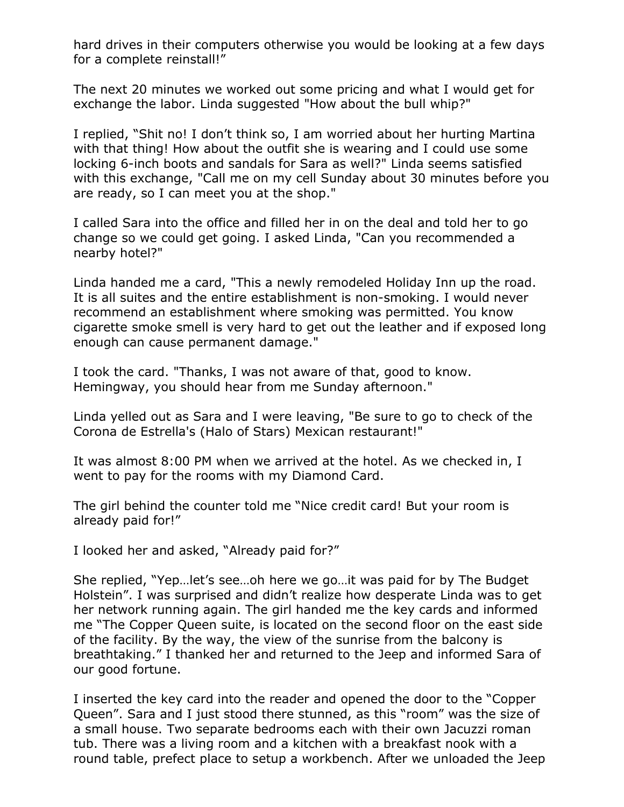hard drives in their computers otherwise you would be looking at a few days for a complete reinstall!"

The next 20 minutes we worked out some pricing and what I would get for exchange the labor. Linda suggested "How about the bull whip?"

I replied, "Shit no! I don't think so, I am worried about her hurting Martina with that thing! How about the outfit she is wearing and I could use some locking 6-inch boots and sandals for Sara as well?" Linda seems satisfied with this exchange, "Call me on my cell Sunday about 30 minutes before you are ready, so I can meet you at the shop."

I called Sara into the office and filled her in on the deal and told her to go change so we could get going. I asked Linda, "Can you recommended a nearby hotel?"

Linda handed me a card, "This a newly remodeled Holiday Inn up the road. It is all suites and the entire establishment is non-smoking. I would never recommend an establishment where smoking was permitted. You know cigarette smoke smell is very hard to get out the leather and if exposed long enough can cause permanent damage."

I took the card. "Thanks, I was not aware of that, good to know. Hemingway, you should hear from me Sunday afternoon."

Linda yelled out as Sara and I were leaving, "Be sure to go to check of the Corona de Estrella's (Halo of Stars) Mexican restaurant!"

It was almost 8:00 PM when we arrived at the hotel. As we checked in, I went to pay for the rooms with my Diamond Card.

The girl behind the counter told me "Nice credit card! But your room is already paid for!"

I looked her and asked, "Already paid for?"

She replied, "Yep…let's see…oh here we go…it was paid for by The Budget Holstein". I was surprised and didn't realize how desperate Linda was to get her network running again. The girl handed me the key cards and informed me "The Copper Queen suite, is located on the second floor on the east side of the facility. By the way, the view of the sunrise from the balcony is breathtaking." I thanked her and returned to the Jeep and informed Sara of our good fortune.

I inserted the key card into the reader and opened the door to the "Copper Queen". Sara and I just stood there stunned, as this "room" was the size of a small house. Two separate bedrooms each with their own Jacuzzi roman tub. There was a living room and a kitchen with a breakfast nook with a round table, prefect place to setup a workbench. After we unloaded the Jeep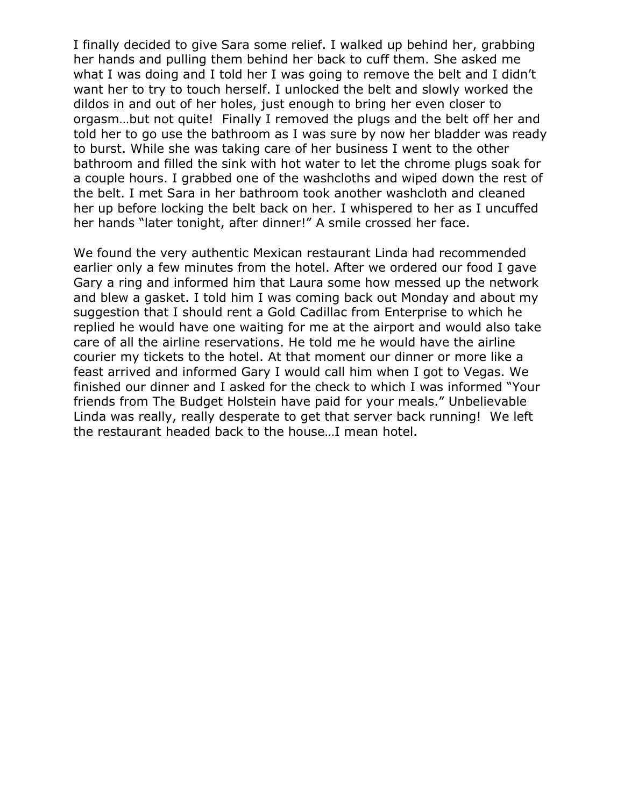I finally decided to give Sara some relief. I walked up behind her, grabbing her hands and pulling them behind her back to cuff them. She asked me what I was doing and I told her I was going to remove the belt and I didn't want her to try to touch herself. I unlocked the belt and slowly worked the dildos in and out of her holes, just enough to bring her even closer to orgasm…but not quite! Finally I removed the plugs and the belt off her and told her to go use the bathroom as I was sure by now her bladder was ready to burst. While she was taking care of her business I went to the other bathroom and filled the sink with hot water to let the chrome plugs soak for a couple hours. I grabbed one of the washcloths and wiped down the rest of the belt. I met Sara in her bathroom took another washcloth and cleaned her up before locking the belt back on her. I whispered to her as I uncuffed her hands "later tonight, after dinner!" A smile crossed her face.

We found the very authentic Mexican restaurant Linda had recommended earlier only a few minutes from the hotel. After we ordered our food I gave Gary a ring and informed him that Laura some how messed up the network and blew a gasket. I told him I was coming back out Monday and about my suggestion that I should rent a Gold Cadillac from Enterprise to which he replied he would have one waiting for me at the airport and would also take care of all the airline reservations. He told me he would have the airline courier my tickets to the hotel. At that moment our dinner or more like a feast arrived and informed Gary I would call him when I got to Vegas. We finished our dinner and I asked for the check to which I was informed "Your friends from The Budget Holstein have paid for your meals." Unbelievable Linda was really, really desperate to get that server back running! We left the restaurant headed back to the house…I mean hotel.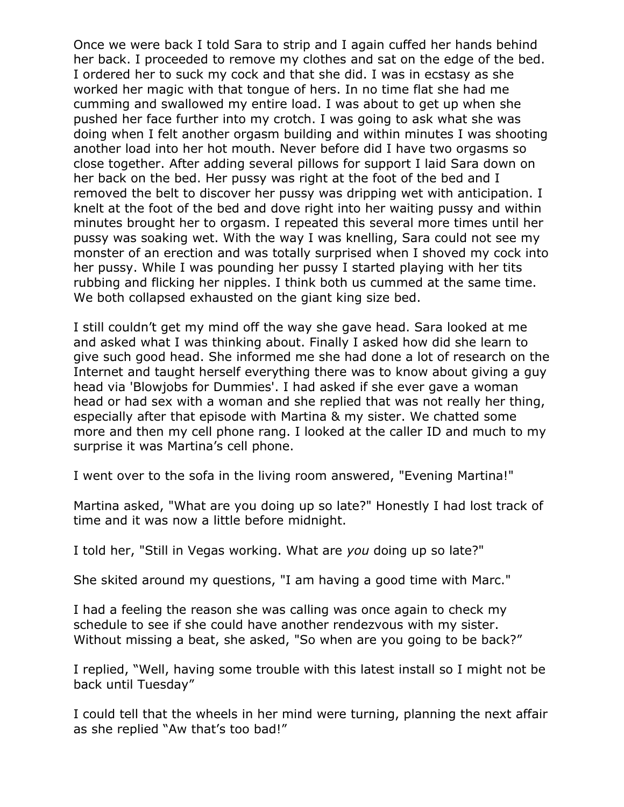Once we were back I told Sara to strip and I again cuffed her hands behind her back. I proceeded to remove my clothes and sat on the edge of the bed. I ordered her to suck my cock and that she did. I was in ecstasy as she worked her magic with that tongue of hers. In no time flat she had me cumming and swallowed my entire load. I was about to get up when she pushed her face further into my crotch. I was going to ask what she was doing when I felt another orgasm building and within minutes I was shooting another load into her hot mouth. Never before did I have two orgasms so close together. After adding several pillows for support I laid Sara down on her back on the bed. Her pussy was right at the foot of the bed and I removed the belt to discover her pussy was dripping wet with anticipation. I knelt at the foot of the bed and dove right into her waiting pussy and within minutes brought her to orgasm. I repeated this several more times until her pussy was soaking wet. With the way I was knelling, Sara could not see my monster of an erection and was totally surprised when I shoved my cock into her pussy. While I was pounding her pussy I started playing with her tits rubbing and flicking her nipples. I think both us cummed at the same time. We both collapsed exhausted on the giant king size bed.

I still couldn't get my mind off the way she gave head. Sara looked at me and asked what I was thinking about. Finally I asked how did she learn to give such good head. She informed me she had done a lot of research on the Internet and taught herself everything there was to know about giving a guy head via 'Blowjobs for Dummies'. I had asked if she ever gave a woman head or had sex with a woman and she replied that was not really her thing, especially after that episode with Martina & my sister. We chatted some more and then my cell phone rang. I looked at the caller ID and much to my surprise it was Martina's cell phone.

I went over to the sofa in the living room answered, "Evening Martina!"

Martina asked, "What are you doing up so late?" Honestly I had lost track of time and it was now a little before midnight.

I told her, "Still in Vegas working. What are *you* doing up so late?"

She skited around my questions, "I am having a good time with Marc."

I had a feeling the reason she was calling was once again to check my schedule to see if she could have another rendezvous with my sister. Without missing a beat, she asked, "So when are you going to be back?"

I replied, "Well, having some trouble with this latest install so I might not be back until Tuesday"

I could tell that the wheels in her mind were turning, planning the next affair as she replied "Aw that's too bad!"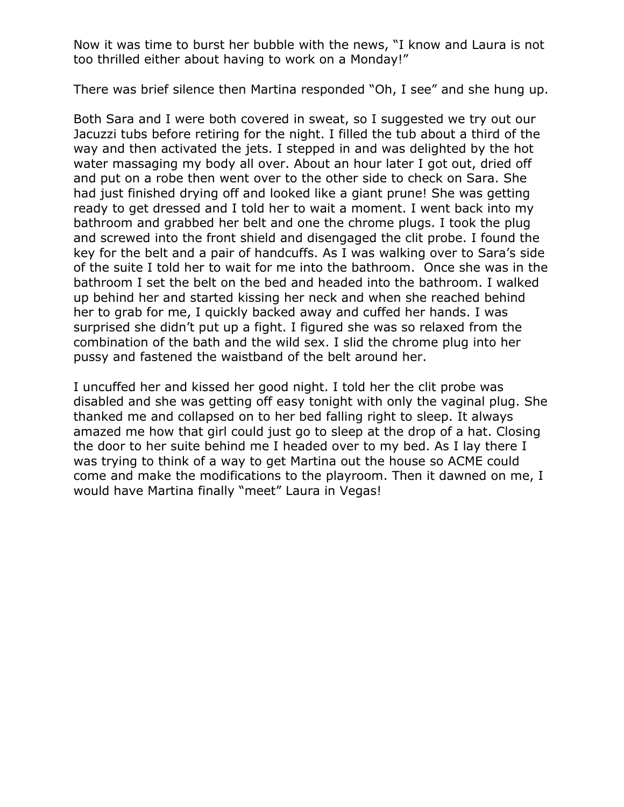Now it was time to burst her bubble with the news, "I know and Laura is not too thrilled either about having to work on a Monday!"

There was brief silence then Martina responded "Oh, I see" and she hung up.

Both Sara and I were both covered in sweat, so I suggested we try out our Jacuzzi tubs before retiring for the night. I filled the tub about a third of the way and then activated the jets. I stepped in and was delighted by the hot water massaging my body all over. About an hour later I got out, dried off and put on a robe then went over to the other side to check on Sara. She had just finished drying off and looked like a giant prune! She was getting ready to get dressed and I told her to wait a moment. I went back into my bathroom and grabbed her belt and one the chrome plugs. I took the plug and screwed into the front shield and disengaged the clit probe. I found the key for the belt and a pair of handcuffs. As I was walking over to Sara's side of the suite I told her to wait for me into the bathroom. Once she was in the bathroom I set the belt on the bed and headed into the bathroom. I walked up behind her and started kissing her neck and when she reached behind her to grab for me, I quickly backed away and cuffed her hands. I was surprised she didn't put up a fight. I figured she was so relaxed from the combination of the bath and the wild sex. I slid the chrome plug into her pussy and fastened the waistband of the belt around her.

I uncuffed her and kissed her good night. I told her the clit probe was disabled and she was getting off easy tonight with only the vaginal plug. She thanked me and collapsed on to her bed falling right to sleep. It always amazed me how that girl could just go to sleep at the drop of a hat. Closing the door to her suite behind me I headed over to my bed. As I lay there I was trying to think of a way to get Martina out the house so ACME could come and make the modifications to the playroom. Then it dawned on me, I would have Martina finally "meet" Laura in Vegas!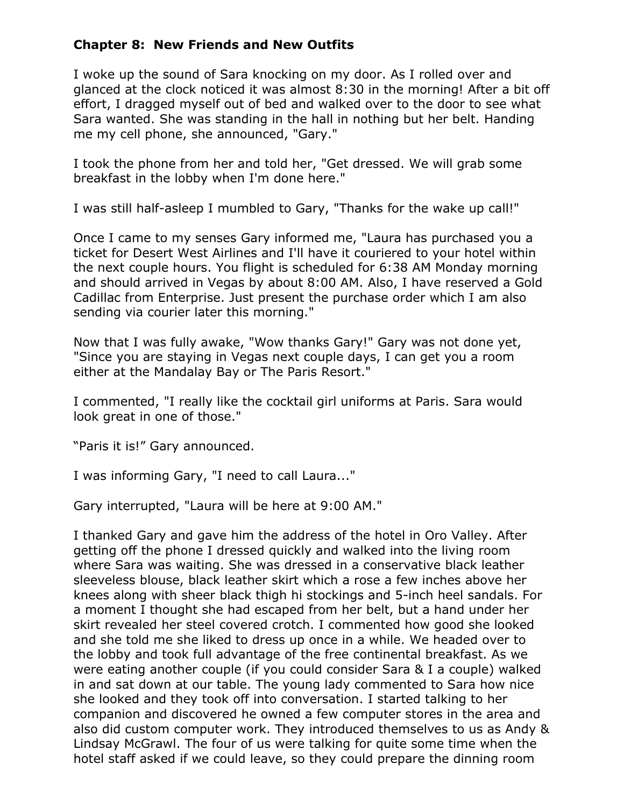#### **Chapter 8: New Friends and New Outfits**

I woke up the sound of Sara knocking on my door. As I rolled over and glanced at the clock noticed it was almost 8:30 in the morning! After a bit off effort, I dragged myself out of bed and walked over to the door to see what Sara wanted. She was standing in the hall in nothing but her belt. Handing me my cell phone, she announced, "Gary."

I took the phone from her and told her, "Get dressed. We will grab some breakfast in the lobby when I'm done here."

I was still half-asleep I mumbled to Gary, "Thanks for the wake up call!"

Once I came to my senses Gary informed me, "Laura has purchased you a ticket for Desert West Airlines and I'll have it couriered to your hotel within the next couple hours. You flight is scheduled for 6:38 AM Monday morning and should arrived in Vegas by about 8:00 AM. Also, I have reserved a Gold Cadillac from Enterprise. Just present the purchase order which I am also sending via courier later this morning."

Now that I was fully awake, "Wow thanks Gary!" Gary was not done yet, "Since you are staying in Vegas next couple days, I can get you a room either at the Mandalay Bay or The Paris Resort."

I commented, "I really like the cocktail girl uniforms at Paris. Sara would look great in one of those."

"Paris it is!" Gary announced.

I was informing Gary, "I need to call Laura..."

Gary interrupted, "Laura will be here at 9:00 AM."

I thanked Gary and gave him the address of the hotel in Oro Valley. After getting off the phone I dressed quickly and walked into the living room where Sara was waiting. She was dressed in a conservative black leather sleeveless blouse, black leather skirt which a rose a few inches above her knees along with sheer black thigh hi stockings and 5-inch heel sandals. For a moment I thought she had escaped from her belt, but a hand under her skirt revealed her steel covered crotch. I commented how good she looked and she told me she liked to dress up once in a while. We headed over to the lobby and took full advantage of the free continental breakfast. As we were eating another couple (if you could consider Sara & I a couple) walked in and sat down at our table. The young lady commented to Sara how nice she looked and they took off into conversation. I started talking to her companion and discovered he owned a few computer stores in the area and also did custom computer work. They introduced themselves to us as Andy & Lindsay McGrawl. The four of us were talking for quite some time when the hotel staff asked if we could leave, so they could prepare the dinning room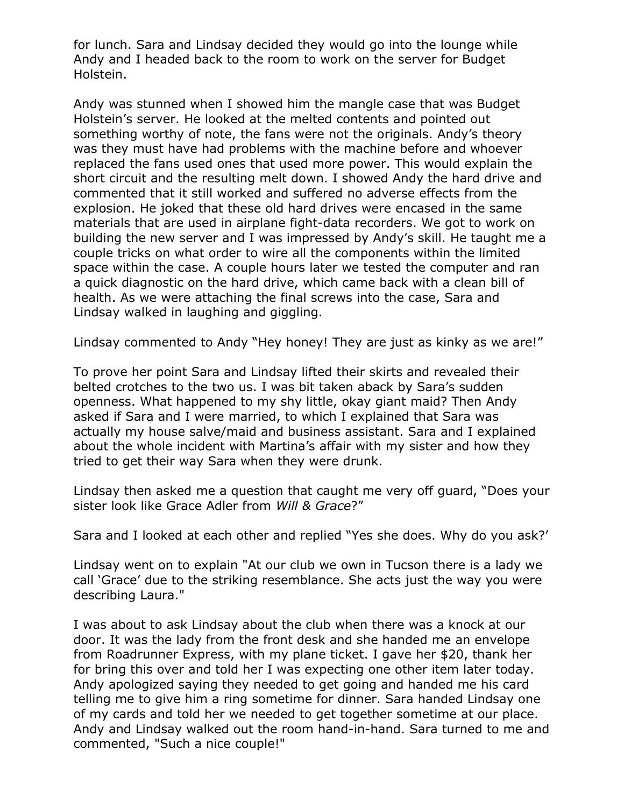for lunch. Sara and Lindsay decided they would go into the lounge while Andy and I headed back to the room to work on the server for Budget Holstein.

Andy was stunned when I showed him the mangle case that was Budget Holstein's server. He looked at the melted contents and pointed out something worthy of note, the fans were not the originals. Andy's theory was they must have had problems with the machine before and whoever replaced the fans used ones that used more power. This would explain the short circuit and the resulting melt down. I showed Andy the hard drive and commented that it still worked and suffered no adverse effects from the explosion. He joked that these old hard drives were encased in the same materials that are used in airplane fight-data recorders. We got to work on building the new server and I was impressed by Andy's skill. He taught me a couple tricks on what order to wire all the components within the limited space within the case. A couple hours later we tested the computer and ran a quick diagnostic on the hard drive, which came back with a clean bill of health. As we were attaching the final screws into the case, Sara and Lindsay walked in laughing and giggling.

Lindsay commented to Andy "Hey honey! They are just as kinky as we are!"

To prove her point Sara and Lindsay lifted their skirts and revealed their belted crotches to the two us. I was bit taken aback by Sara's sudden openness. What happened to my shy little, okay giant maid? Then Andy asked if Sara and I were married, to which I explained that Sara was actually my house salve/maid and business assistant. Sara and I explained about the whole incident with Martina's affair with my sister and how they tried to get their way Sara when they were drunk.

Lindsay then asked me a question that caught me very off guard, "Does your sister look like Grace Adler from *Will & Grace*?"

Sara and I looked at each other and replied "Yes she does. Why do you ask?'

Lindsay went on to explain "At our club we own in Tucson there is a lady we call 'Grace' due to the striking resemblance. She acts just the way you were describing Laura."

I was about to ask Lindsay about the club when there was a knock at our door. It was the lady from the front desk and she handed me an envelope from Roadrunner Express, with my plane ticket. I gave her \$20, thank her for bring this over and told her I was expecting one other item later today. Andy apologized saying they needed to get going and handed me his card telling me to give him a ring sometime for dinner. Sara handed Lindsay one of my cards and told her we needed to get together sometime at our place. Andy and Lindsay walked out the room hand-in-hand. Sara turned to me and commented, "Such a nice couple!"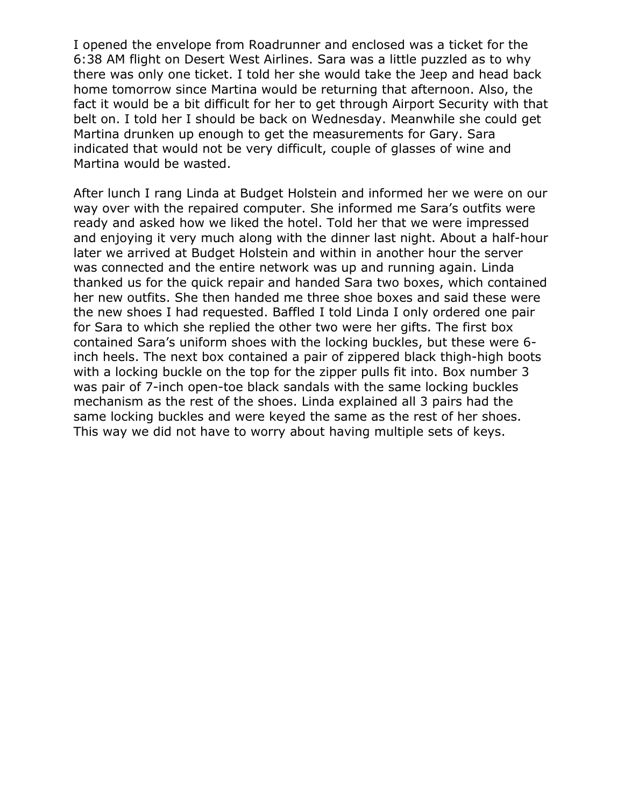I opened the envelope from Roadrunner and enclosed was a ticket for the 6:38 AM flight on Desert West Airlines. Sara was a little puzzled as to why there was only one ticket. I told her she would take the Jeep and head back home tomorrow since Martina would be returning that afternoon. Also, the fact it would be a bit difficult for her to get through Airport Security with that belt on. I told her I should be back on Wednesday. Meanwhile she could get Martina drunken up enough to get the measurements for Gary. Sara indicated that would not be very difficult, couple of glasses of wine and Martina would be wasted.

After lunch I rang Linda at Budget Holstein and informed her we were on our way over with the repaired computer. She informed me Sara's outfits were ready and asked how we liked the hotel. Told her that we were impressed and enjoying it very much along with the dinner last night. About a half-hour later we arrived at Budget Holstein and within in another hour the server was connected and the entire network was up and running again. Linda thanked us for the quick repair and handed Sara two boxes, which contained her new outfits. She then handed me three shoe boxes and said these were the new shoes I had requested. Baffled I told Linda I only ordered one pair for Sara to which she replied the other two were her gifts. The first box contained Sara's uniform shoes with the locking buckles, but these were 6 inch heels. The next box contained a pair of zippered black thigh-high boots with a locking buckle on the top for the zipper pulls fit into. Box number 3 was pair of 7-inch open-toe black sandals with the same locking buckles mechanism as the rest of the shoes. Linda explained all 3 pairs had the same locking buckles and were keyed the same as the rest of her shoes. This way we did not have to worry about having multiple sets of keys.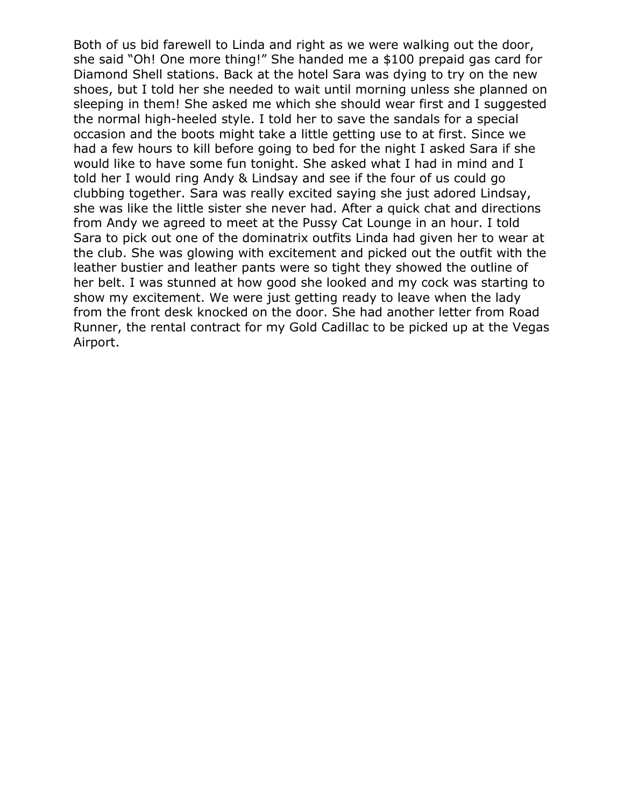Both of us bid farewell to Linda and right as we were walking out the door, she said "Oh! One more thing!" She handed me a \$100 prepaid gas card for Diamond Shell stations. Back at the hotel Sara was dying to try on the new shoes, but I told her she needed to wait until morning unless she planned on sleeping in them! She asked me which she should wear first and I suggested the normal high-heeled style. I told her to save the sandals for a special occasion and the boots might take a little getting use to at first. Since we had a few hours to kill before going to bed for the night I asked Sara if she would like to have some fun tonight. She asked what I had in mind and I told her I would ring Andy & Lindsay and see if the four of us could go clubbing together. Sara was really excited saying she just adored Lindsay, she was like the little sister she never had. After a quick chat and directions from Andy we agreed to meet at the Pussy Cat Lounge in an hour. I told Sara to pick out one of the dominatrix outfits Linda had given her to wear at the club. She was glowing with excitement and picked out the outfit with the leather bustier and leather pants were so tight they showed the outline of her belt. I was stunned at how good she looked and my cock was starting to show my excitement. We were just getting ready to leave when the lady from the front desk knocked on the door. She had another letter from Road Runner, the rental contract for my Gold Cadillac to be picked up at the Vegas Airport.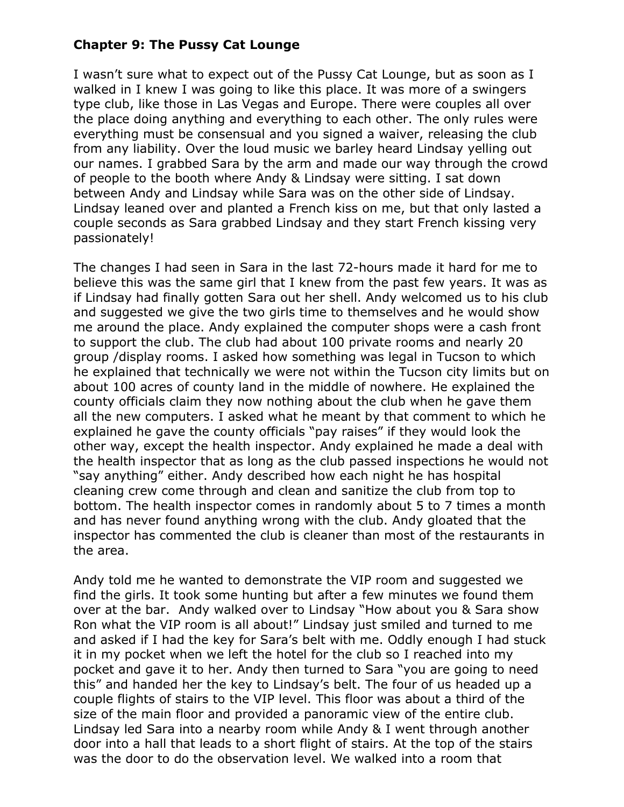# **Chapter 9: The Pussy Cat Lounge**

I wasn't sure what to expect out of the Pussy Cat Lounge, but as soon as I walked in I knew I was going to like this place. It was more of a swingers type club, like those in Las Vegas and Europe. There were couples all over the place doing anything and everything to each other. The only rules were everything must be consensual and you signed a waiver, releasing the club from any liability. Over the loud music we barley heard Lindsay yelling out our names. I grabbed Sara by the arm and made our way through the crowd of people to the booth where Andy & Lindsay were sitting. I sat down between Andy and Lindsay while Sara was on the other side of Lindsay. Lindsay leaned over and planted a French kiss on me, but that only lasted a couple seconds as Sara grabbed Lindsay and they start French kissing very passionately!

The changes I had seen in Sara in the last 72-hours made it hard for me to believe this was the same girl that I knew from the past few years. It was as if Lindsay had finally gotten Sara out her shell. Andy welcomed us to his club and suggested we give the two girls time to themselves and he would show me around the place. Andy explained the computer shops were a cash front to support the club. The club had about 100 private rooms and nearly 20 group /display rooms. I asked how something was legal in Tucson to which he explained that technically we were not within the Tucson city limits but on about 100 acres of county land in the middle of nowhere. He explained the county officials claim they now nothing about the club when he gave them all the new computers. I asked what he meant by that comment to which he explained he gave the county officials "pay raises" if they would look the other way, except the health inspector. Andy explained he made a deal with the health inspector that as long as the club passed inspections he would not "say anything" either. Andy described how each night he has hospital cleaning crew come through and clean and sanitize the club from top to bottom. The health inspector comes in randomly about 5 to 7 times a month and has never found anything wrong with the club. Andy gloated that the inspector has commented the club is cleaner than most of the restaurants in the area.

Andy told me he wanted to demonstrate the VIP room and suggested we find the girls. It took some hunting but after a few minutes we found them over at the bar. Andy walked over to Lindsay "How about you & Sara show Ron what the VIP room is all about!" Lindsay just smiled and turned to me and asked if I had the key for Sara's belt with me. Oddly enough I had stuck it in my pocket when we left the hotel for the club so I reached into my pocket and gave it to her. Andy then turned to Sara "you are going to need this" and handed her the key to Lindsay's belt. The four of us headed up a couple flights of stairs to the VIP level. This floor was about a third of the size of the main floor and provided a panoramic view of the entire club. Lindsay led Sara into a nearby room while Andy & I went through another door into a hall that leads to a short flight of stairs. At the top of the stairs was the door to do the observation level. We walked into a room that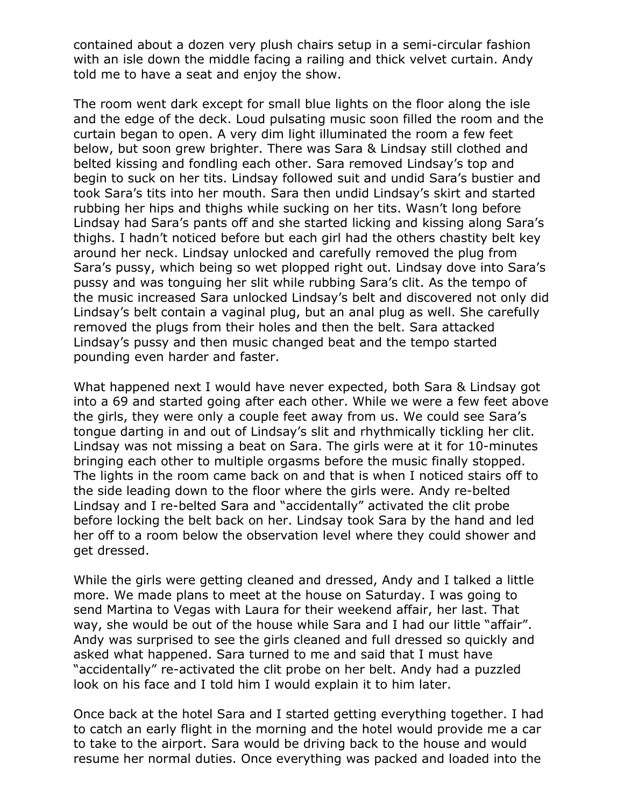contained about a dozen very plush chairs setup in a semi-circular fashion with an isle down the middle facing a railing and thick velvet curtain. Andy told me to have a seat and enjoy the show.

The room went dark except for small blue lights on the floor along the isle and the edge of the deck. Loud pulsating music soon filled the room and the curtain began to open. A very dim light illuminated the room a few feet below, but soon grew brighter. There was Sara & Lindsay still clothed and belted kissing and fondling each other. Sara removed Lindsay's top and begin to suck on her tits. Lindsay followed suit and undid Sara's bustier and took Sara's tits into her mouth. Sara then undid Lindsay's skirt and started rubbing her hips and thighs while sucking on her tits. Wasn't long before Lindsay had Sara's pants off and she started licking and kissing along Sara's thighs. I hadn't noticed before but each girl had the others chastity belt key around her neck. Lindsay unlocked and carefully removed the plug from Sara's pussy, which being so wet plopped right out. Lindsay dove into Sara's pussy and was tonguing her slit while rubbing Sara's clit. As the tempo of the music increased Sara unlocked Lindsay's belt and discovered not only did Lindsay's belt contain a vaginal plug, but an anal plug as well. She carefully removed the plugs from their holes and then the belt. Sara attacked Lindsay's pussy and then music changed beat and the tempo started pounding even harder and faster.

What happened next I would have never expected, both Sara & Lindsay got into a 69 and started going after each other. While we were a few feet above the girls, they were only a couple feet away from us. We could see Sara's tongue darting in and out of Lindsay's slit and rhythmically tickling her clit. Lindsay was not missing a beat on Sara. The girls were at it for 10-minutes bringing each other to multiple orgasms before the music finally stopped. The lights in the room came back on and that is when I noticed stairs off to the side leading down to the floor where the girls were. Andy re-belted Lindsay and I re-belted Sara and "accidentally" activated the clit probe before locking the belt back on her. Lindsay took Sara by the hand and led her off to a room below the observation level where they could shower and get dressed.

While the girls were getting cleaned and dressed, Andy and I talked a little more. We made plans to meet at the house on Saturday. I was going to send Martina to Vegas with Laura for their weekend affair, her last. That way, she would be out of the house while Sara and I had our little "affair". Andy was surprised to see the girls cleaned and full dressed so quickly and asked what happened. Sara turned to me and said that I must have "accidentally" re-activated the clit probe on her belt. Andy had a puzzled look on his face and I told him I would explain it to him later.

Once back at the hotel Sara and I started getting everything together. I had to catch an early flight in the morning and the hotel would provide me a car to take to the airport. Sara would be driving back to the house and would resume her normal duties. Once everything was packed and loaded into the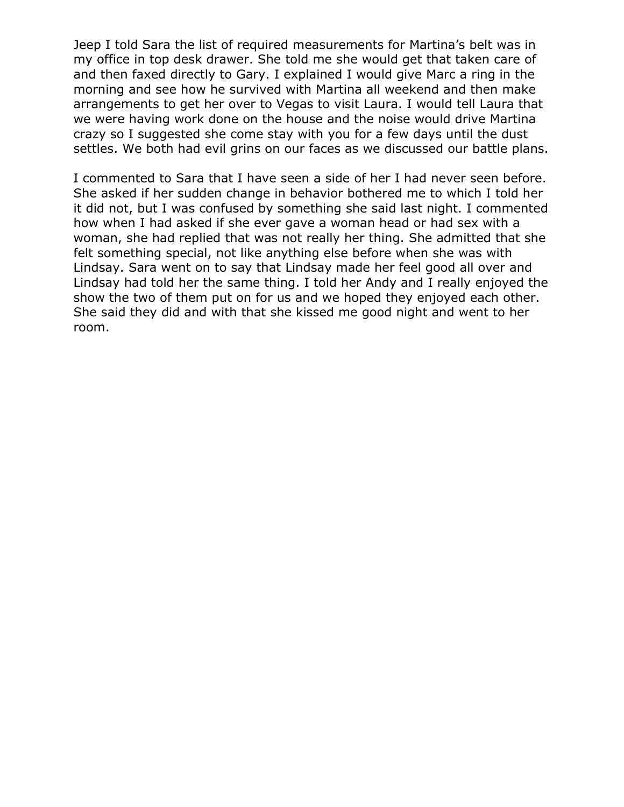Jeep I told Sara the list of required measurements for Martina's belt was in my office in top desk drawer. She told me she would get that taken care of and then faxed directly to Gary. I explained I would give Marc a ring in the morning and see how he survived with Martina all weekend and then make arrangements to get her over to Vegas to visit Laura. I would tell Laura that we were having work done on the house and the noise would drive Martina crazy so I suggested she come stay with you for a few days until the dust settles. We both had evil grins on our faces as we discussed our battle plans.

I commented to Sara that I have seen a side of her I had never seen before. She asked if her sudden change in behavior bothered me to which I told her it did not, but I was confused by something she said last night. I commented how when I had asked if she ever gave a woman head or had sex with a woman, she had replied that was not really her thing. She admitted that she felt something special, not like anything else before when she was with Lindsay. Sara went on to say that Lindsay made her feel good all over and Lindsay had told her the same thing. I told her Andy and I really enjoyed the show the two of them put on for us and we hoped they enjoyed each other. She said they did and with that she kissed me good night and went to her room.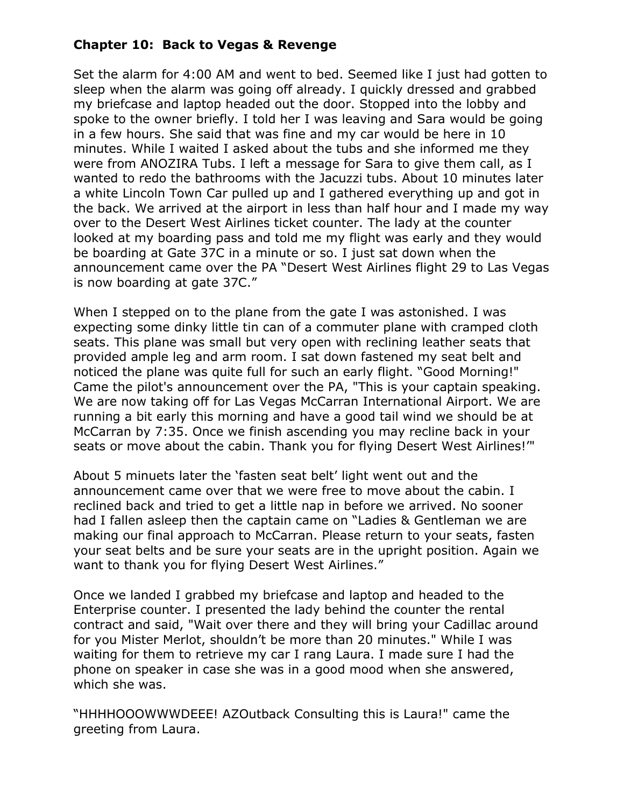# **Chapter 10: Back to Vegas & Revenge**

Set the alarm for 4:00 AM and went to bed. Seemed like I just had gotten to sleep when the alarm was going off already. I quickly dressed and grabbed my briefcase and laptop headed out the door. Stopped into the lobby and spoke to the owner briefly. I told her I was leaving and Sara would be going in a few hours. She said that was fine and my car would be here in 10 minutes. While I waited I asked about the tubs and she informed me they were from ANOZIRA Tubs. I left a message for Sara to give them call, as I wanted to redo the bathrooms with the Jacuzzi tubs. About 10 minutes later a white Lincoln Town Car pulled up and I gathered everything up and got in the back. We arrived at the airport in less than half hour and I made my way over to the Desert West Airlines ticket counter. The lady at the counter looked at my boarding pass and told me my flight was early and they would be boarding at Gate 37C in a minute or so. I just sat down when the announcement came over the PA "Desert West Airlines flight 29 to Las Vegas is now boarding at gate 37C."

When I stepped on to the plane from the gate I was astonished. I was expecting some dinky little tin can of a commuter plane with cramped cloth seats. This plane was small but very open with reclining leather seats that provided ample leg and arm room. I sat down fastened my seat belt and noticed the plane was quite full for such an early flight. "Good Morning!" Came the pilot's announcement over the PA, "This is your captain speaking. We are now taking off for Las Vegas McCarran International Airport. We are running a bit early this morning and have a good tail wind we should be at McCarran by 7:35. Once we finish ascending you may recline back in your seats or move about the cabin. Thank you for flying Desert West Airlines!'"

About 5 minuets later the 'fasten seat belt' light went out and the announcement came over that we were free to move about the cabin. I reclined back and tried to get a little nap in before we arrived. No sooner had I fallen asleep then the captain came on "Ladies & Gentleman we are making our final approach to McCarran. Please return to your seats, fasten your seat belts and be sure your seats are in the upright position. Again we want to thank you for flying Desert West Airlines."

Once we landed I grabbed my briefcase and laptop and headed to the Enterprise counter. I presented the lady behind the counter the rental contract and said, "Wait over there and they will bring your Cadillac around for you Mister Merlot, shouldn't be more than 20 minutes." While I was waiting for them to retrieve my car I rang Laura. I made sure I had the phone on speaker in case she was in a good mood when she answered, which she was.

"HHHHOOOWWWDEEE! AZOutback Consulting this is Laura!" came the greeting from Laura.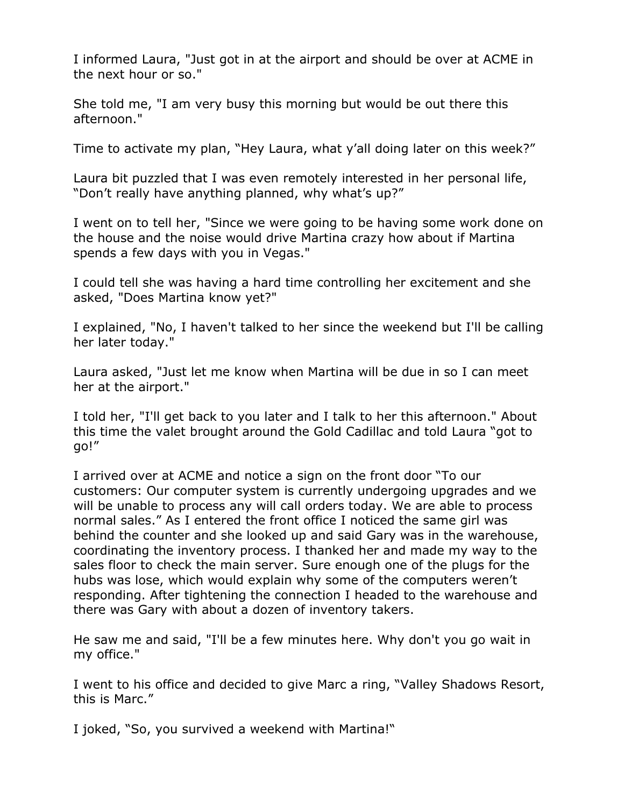I informed Laura, "Just got in at the airport and should be over at ACME in the next hour or so."

She told me, "I am very busy this morning but would be out there this afternoon."

Time to activate my plan, "Hey Laura, what y'all doing later on this week?"

Laura bit puzzled that I was even remotely interested in her personal life, "Don't really have anything planned, why what's up?"

I went on to tell her, "Since we were going to be having some work done on the house and the noise would drive Martina crazy how about if Martina spends a few days with you in Vegas."

I could tell she was having a hard time controlling her excitement and she asked, "Does Martina know yet?"

I explained, "No, I haven't talked to her since the weekend but I'll be calling her later today."

Laura asked, "Just let me know when Martina will be due in so I can meet her at the airport."

I told her, "I'll get back to you later and I talk to her this afternoon." About this time the valet brought around the Gold Cadillac and told Laura "got to go!"

I arrived over at ACME and notice a sign on the front door "To our customers: Our computer system is currently undergoing upgrades and we will be unable to process any will call orders today. We are able to process normal sales." As I entered the front office I noticed the same girl was behind the counter and she looked up and said Gary was in the warehouse, coordinating the inventory process. I thanked her and made my way to the sales floor to check the main server. Sure enough one of the plugs for the hubs was lose, which would explain why some of the computers weren't responding. After tightening the connection I headed to the warehouse and there was Gary with about a dozen of inventory takers.

He saw me and said, "I'll be a few minutes here. Why don't you go wait in my office."

I went to his office and decided to give Marc a ring, "Valley Shadows Resort, this is Marc."

I joked, "So, you survived a weekend with Martina!"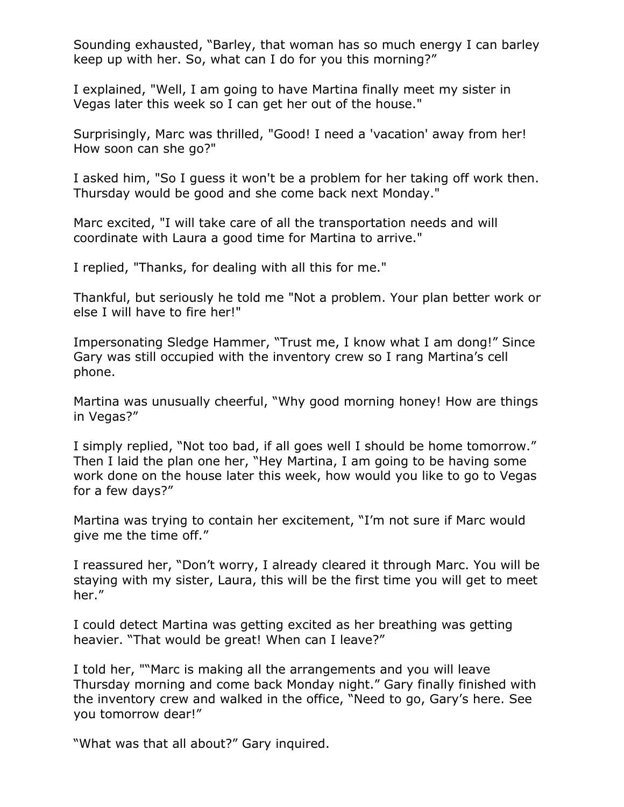Sounding exhausted, "Barley, that woman has so much energy I can barley keep up with her. So, what can I do for you this morning?"

I explained, "Well, I am going to have Martina finally meet my sister in Vegas later this week so I can get her out of the house."

Surprisingly, Marc was thrilled, "Good! I need a 'vacation' away from her! How soon can she go?"

I asked him, "So I guess it won't be a problem for her taking off work then. Thursday would be good and she come back next Monday."

Marc excited, "I will take care of all the transportation needs and will coordinate with Laura a good time for Martina to arrive."

I replied, "Thanks, for dealing with all this for me."

Thankful, but seriously he told me "Not a problem. Your plan better work or else I will have to fire her!"

Impersonating Sledge Hammer, "Trust me, I know what I am dong!" Since Gary was still occupied with the inventory crew so I rang Martina's cell phone.

Martina was unusually cheerful, "Why good morning honey! How are things in Vegas?"

I simply replied, "Not too bad, if all goes well I should be home tomorrow." Then I laid the plan one her, "Hey Martina, I am going to be having some work done on the house later this week, how would you like to go to Vegas for a few days?"

Martina was trying to contain her excitement, "I'm not sure if Marc would give me the time off."

I reassured her, "Don't worry, I already cleared it through Marc. You will be staying with my sister, Laura, this will be the first time you will get to meet her."

I could detect Martina was getting excited as her breathing was getting heavier. "That would be great! When can I leave?"

I told her, ""Marc is making all the arrangements and you will leave Thursday morning and come back Monday night." Gary finally finished with the inventory crew and walked in the office, "Need to go, Gary's here. See you tomorrow dear!"

"What was that all about?" Gary inquired.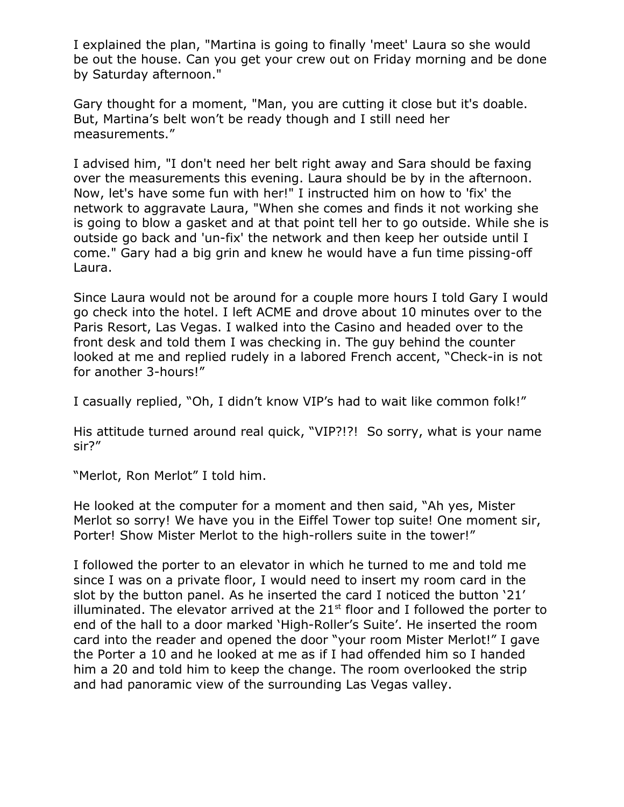I explained the plan, "Martina is going to finally 'meet' Laura so she would be out the house. Can you get your crew out on Friday morning and be done by Saturday afternoon."

Gary thought for a moment, "Man, you are cutting it close but it's doable. But, Martina's belt won't be ready though and I still need her measurements."

I advised him, "I don't need her belt right away and Sara should be faxing over the measurements this evening. Laura should be by in the afternoon. Now, let's have some fun with her!" I instructed him on how to 'fix' the network to aggravate Laura, "When she comes and finds it not working she is going to blow a gasket and at that point tell her to go outside. While she is outside go back and 'un-fix' the network and then keep her outside until I come." Gary had a big grin and knew he would have a fun time pissing-off Laura.

Since Laura would not be around for a couple more hours I told Gary I would go check into the hotel. I left ACME and drove about 10 minutes over to the Paris Resort, Las Vegas. I walked into the Casino and headed over to the front desk and told them I was checking in. The guy behind the counter looked at me and replied rudely in a labored French accent, "Check-in is not for another 3-hours!"

I casually replied, "Oh, I didn't know VIP's had to wait like common folk!"

His attitude turned around real quick, "VIP?!?! So sorry, what is your name sir?"

"Merlot, Ron Merlot" I told him.

He looked at the computer for a moment and then said, "Ah yes, Mister Merlot so sorry! We have you in the Eiffel Tower top suite! One moment sir, Porter! Show Mister Merlot to the high-rollers suite in the tower!"

I followed the porter to an elevator in which he turned to me and told me since I was on a private floor, I would need to insert my room card in the slot by the button panel. As he inserted the card I noticed the button '21' illuminated. The elevator arrived at the  $21<sup>st</sup>$  floor and I followed the porter to end of the hall to a door marked 'High-Roller's Suite'. He inserted the room card into the reader and opened the door "your room Mister Merlot!" I gave the Porter a 10 and he looked at me as if I had offended him so I handed him a 20 and told him to keep the change. The room overlooked the strip and had panoramic view of the surrounding Las Vegas valley.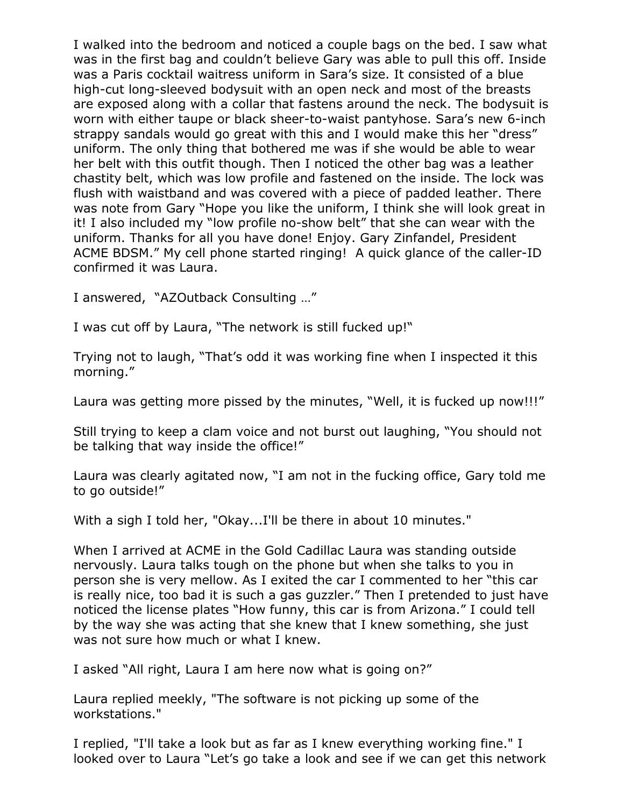I walked into the bedroom and noticed a couple bags on the bed. I saw what was in the first bag and couldn't believe Gary was able to pull this off. Inside was a Paris cocktail waitress uniform in Sara's size. It consisted of a blue high-cut long-sleeved bodysuit with an open neck and most of the breasts are exposed along with a collar that fastens around the neck. The bodysuit is worn with either taupe or black sheer-to-waist pantyhose. Sara's new 6-inch strappy sandals would go great with this and I would make this her "dress" uniform. The only thing that bothered me was if she would be able to wear her belt with this outfit though. Then I noticed the other bag was a leather chastity belt, which was low profile and fastened on the inside. The lock was flush with waistband and was covered with a piece of padded leather. There was note from Gary "Hope you like the uniform, I think she will look great in it! I also included my "low profile no-show belt" that she can wear with the uniform. Thanks for all you have done! Enjoy. Gary Zinfandel, President ACME BDSM." My cell phone started ringing! A quick glance of the caller-ID confirmed it was Laura.

I answered, "AZOutback Consulting …"

I was cut off by Laura, "The network is still fucked up!"

Trying not to laugh, "That's odd it was working fine when I inspected it this morning."

Laura was getting more pissed by the minutes, "Well, it is fucked up now!!!"

Still trying to keep a clam voice and not burst out laughing, "You should not be talking that way inside the office!"

Laura was clearly agitated now, "I am not in the fucking office, Gary told me to go outside!"

With a sigh I told her, "Okay...I'll be there in about 10 minutes."

When I arrived at ACME in the Gold Cadillac Laura was standing outside nervously. Laura talks tough on the phone but when she talks to you in person she is very mellow. As I exited the car I commented to her "this car is really nice, too bad it is such a gas guzzler." Then I pretended to just have noticed the license plates "How funny, this car is from Arizona." I could tell by the way she was acting that she knew that I knew something, she just was not sure how much or what I knew.

I asked "All right, Laura I am here now what is going on?"

Laura replied meekly, "The software is not picking up some of the workstations."

I replied, "I'll take a look but as far as I knew everything working fine." I looked over to Laura "Let's go take a look and see if we can get this network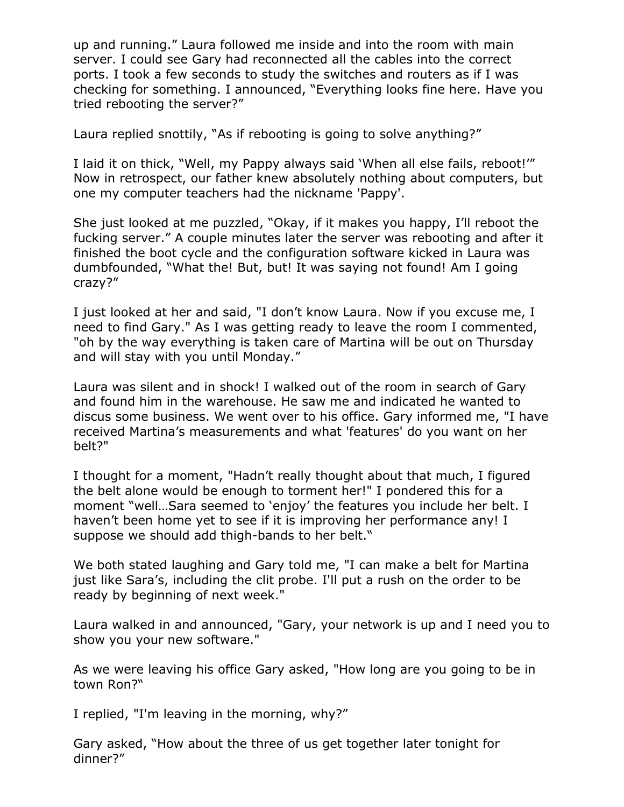up and running." Laura followed me inside and into the room with main server. I could see Gary had reconnected all the cables into the correct ports. I took a few seconds to study the switches and routers as if I was checking for something. I announced, "Everything looks fine here. Have you tried rebooting the server?"

Laura replied snottily, "As if rebooting is going to solve anything?"

I laid it on thick, "Well, my Pappy always said 'When all else fails, reboot!'" Now in retrospect, our father knew absolutely nothing about computers, but one my computer teachers had the nickname 'Pappy'.

She just looked at me puzzled, "Okay, if it makes you happy, I'll reboot the fucking server." A couple minutes later the server was rebooting and after it finished the boot cycle and the configuration software kicked in Laura was dumbfounded, "What the! But, but! It was saying not found! Am I going crazy?"

I just looked at her and said, "I don't know Laura. Now if you excuse me, I need to find Gary." As I was getting ready to leave the room I commented, "oh by the way everything is taken care of Martina will be out on Thursday and will stay with you until Monday."

Laura was silent and in shock! I walked out of the room in search of Gary and found him in the warehouse. He saw me and indicated he wanted to discus some business. We went over to his office. Gary informed me, "I have received Martina's measurements and what 'features' do you want on her belt?"

I thought for a moment, "Hadn't really thought about that much, I figured the belt alone would be enough to torment her!" I pondered this for a moment "well…Sara seemed to 'enjoy' the features you include her belt. I haven't been home yet to see if it is improving her performance any! I suppose we should add thigh-bands to her belt."

We both stated laughing and Gary told me, "I can make a belt for Martina just like Sara's, including the clit probe. I'll put a rush on the order to be ready by beginning of next week."

Laura walked in and announced, "Gary, your network is up and I need you to show you your new software."

As we were leaving his office Gary asked, "How long are you going to be in town Ron?"

I replied, "I'm leaving in the morning, why?"

Gary asked, "How about the three of us get together later tonight for dinner?"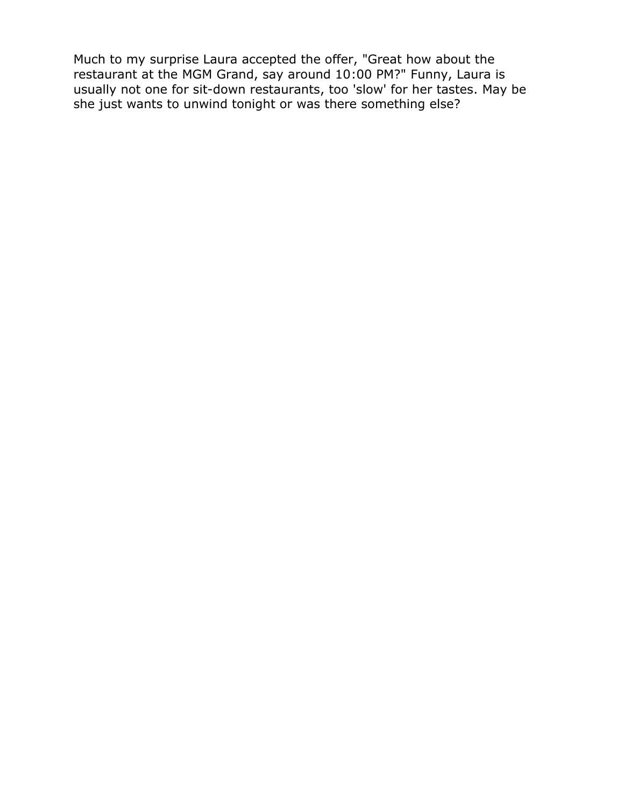Much to my surprise Laura accepted the offer, "Great how about the restaurant at the MGM Grand, say around 10:00 PM?" Funny, Laura is usually not one for sit-down restaurants, too 'slow' for her tastes. May be she just wants to unwind tonight or was there something else?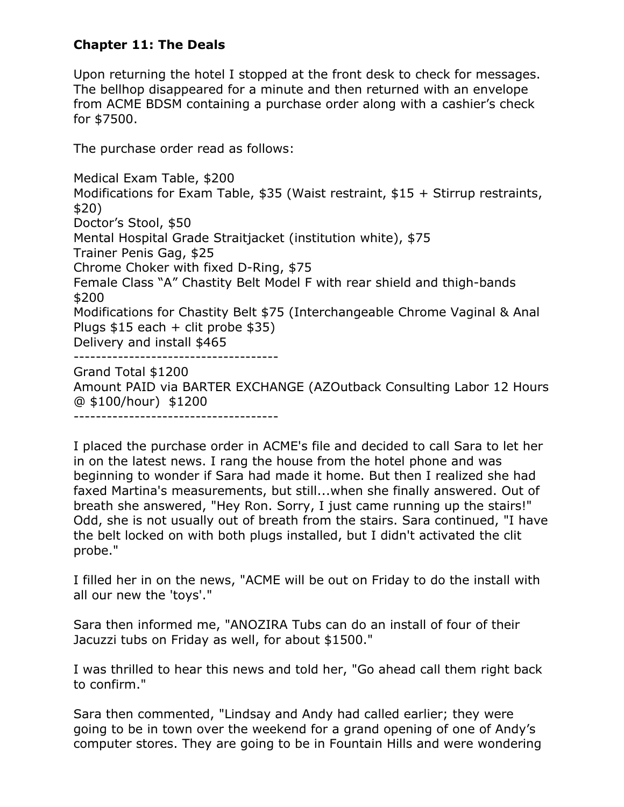# **Chapter 11: The Deals**

Upon returning the hotel I stopped at the front desk to check for messages. The bellhop disappeared for a minute and then returned with an envelope from ACME BDSM containing a purchase order along with a cashier's check for \$7500.

The purchase order read as follows:

Medical Exam Table, \$200 Modifications for Exam Table, \$35 (Waist restraint, \$15 + Stirrup restraints, \$20) Doctor's Stool, \$50 Mental Hospital Grade Straitjacket (institution white), \$75 Trainer Penis Gag, \$25 Chrome Choker with fixed D-Ring, \$75 Female Class "A" Chastity Belt Model F with rear shield and thigh-bands \$200 Modifications for Chastity Belt \$75 (Interchangeable Chrome Vaginal & Anal Plugs \$15 each + clit probe \$35) Delivery and install \$465 ------------------------------------- Grand Total \$1200 Amount PAID via BARTER EXCHANGE (AZOutback Consulting Labor 12 Hours @ \$100/hour) \$1200

-------------------------------------

I placed the purchase order in ACME's file and decided to call Sara to let her in on the latest news. I rang the house from the hotel phone and was beginning to wonder if Sara had made it home. But then I realized she had faxed Martina's measurements, but still...when she finally answered. Out of breath she answered, "Hey Ron. Sorry, I just came running up the stairs!" Odd, she is not usually out of breath from the stairs. Sara continued, "I have the belt locked on with both plugs installed, but I didn't activated the clit probe."

I filled her in on the news, "ACME will be out on Friday to do the install with all our new the 'toys'."

Sara then informed me, "ANOZIRA Tubs can do an install of four of their Jacuzzi tubs on Friday as well, for about \$1500."

I was thrilled to hear this news and told her, "Go ahead call them right back to confirm."

Sara then commented, "Lindsay and Andy had called earlier; they were going to be in town over the weekend for a grand opening of one of Andy's computer stores. They are going to be in Fountain Hills and were wondering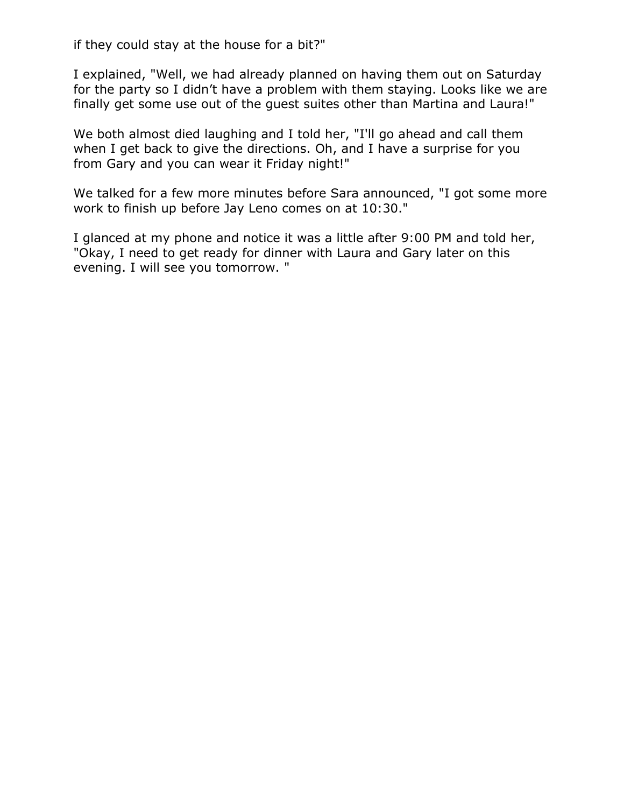if they could stay at the house for a bit?"

I explained, "Well, we had already planned on having them out on Saturday for the party so I didn't have a problem with them staying. Looks like we are finally get some use out of the guest suites other than Martina and Laura!"

We both almost died laughing and I told her, "I'll go ahead and call them when I get back to give the directions. Oh, and I have a surprise for you from Gary and you can wear it Friday night!"

We talked for a few more minutes before Sara announced, "I got some more work to finish up before Jay Leno comes on at 10:30."

I glanced at my phone and notice it was a little after 9:00 PM and told her, "Okay, I need to get ready for dinner with Laura and Gary later on this evening. I will see you tomorrow. "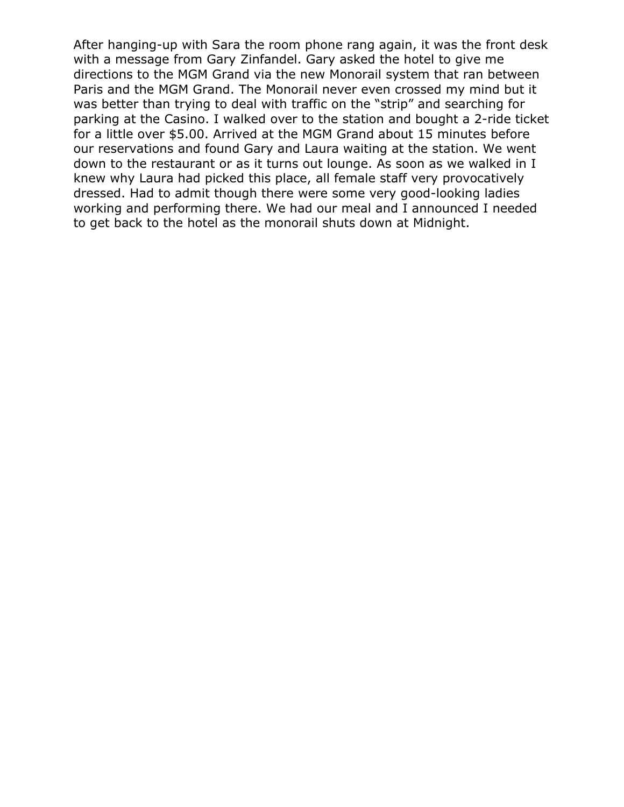After hanging-up with Sara the room phone rang again, it was the front desk with a message from Gary Zinfandel. Gary asked the hotel to give me directions to the MGM Grand via the new Monorail system that ran between Paris and the MGM Grand. The Monorail never even crossed my mind but it was better than trying to deal with traffic on the "strip" and searching for parking at the Casino. I walked over to the station and bought a 2-ride ticket for a little over \$5.00. Arrived at the MGM Grand about 15 minutes before our reservations and found Gary and Laura waiting at the station. We went down to the restaurant or as it turns out lounge. As soon as we walked in I knew why Laura had picked this place, all female staff very provocatively dressed. Had to admit though there were some very good-looking ladies working and performing there. We had our meal and I announced I needed to get back to the hotel as the monorail shuts down at Midnight.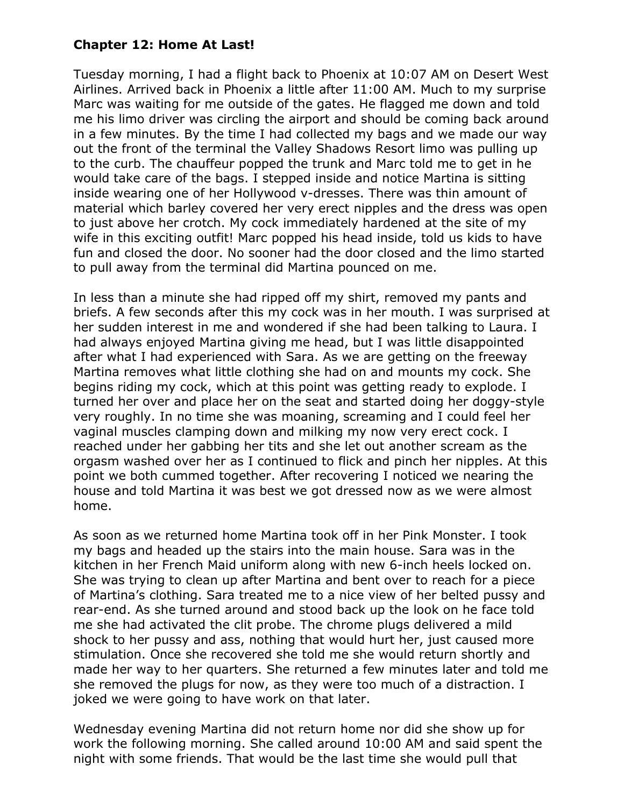## **Chapter 12: Home At Last!**

Tuesday morning, I had a flight back to Phoenix at 10:07 AM on Desert West Airlines. Arrived back in Phoenix a little after 11:00 AM. Much to my surprise Marc was waiting for me outside of the gates. He flagged me down and told me his limo driver was circling the airport and should be coming back around in a few minutes. By the time I had collected my bags and we made our way out the front of the terminal the Valley Shadows Resort limo was pulling up to the curb. The chauffeur popped the trunk and Marc told me to get in he would take care of the bags. I stepped inside and notice Martina is sitting inside wearing one of her Hollywood v-dresses. There was thin amount of material which barley covered her very erect nipples and the dress was open to just above her crotch. My cock immediately hardened at the site of my wife in this exciting outfit! Marc popped his head inside, told us kids to have fun and closed the door. No sooner had the door closed and the limo started to pull away from the terminal did Martina pounced on me.

In less than a minute she had ripped off my shirt, removed my pants and briefs. A few seconds after this my cock was in her mouth. I was surprised at her sudden interest in me and wondered if she had been talking to Laura. I had always enjoyed Martina giving me head, but I was little disappointed after what I had experienced with Sara. As we are getting on the freeway Martina removes what little clothing she had on and mounts my cock. She begins riding my cock, which at this point was getting ready to explode. I turned her over and place her on the seat and started doing her doggy-style very roughly. In no time she was moaning, screaming and I could feel her vaginal muscles clamping down and milking my now very erect cock. I reached under her gabbing her tits and she let out another scream as the orgasm washed over her as I continued to flick and pinch her nipples. At this point we both cummed together. After recovering I noticed we nearing the house and told Martina it was best we got dressed now as we were almost home.

As soon as we returned home Martina took off in her Pink Monster. I took my bags and headed up the stairs into the main house. Sara was in the kitchen in her French Maid uniform along with new 6-inch heels locked on. She was trying to clean up after Martina and bent over to reach for a piece of Martina's clothing. Sara treated me to a nice view of her belted pussy and rear-end. As she turned around and stood back up the look on he face told me she had activated the clit probe. The chrome plugs delivered a mild shock to her pussy and ass, nothing that would hurt her, just caused more stimulation. Once she recovered she told me she would return shortly and made her way to her quarters. She returned a few minutes later and told me she removed the plugs for now, as they were too much of a distraction. I joked we were going to have work on that later.

Wednesday evening Martina did not return home nor did she show up for work the following morning. She called around 10:00 AM and said spent the night with some friends. That would be the last time she would pull that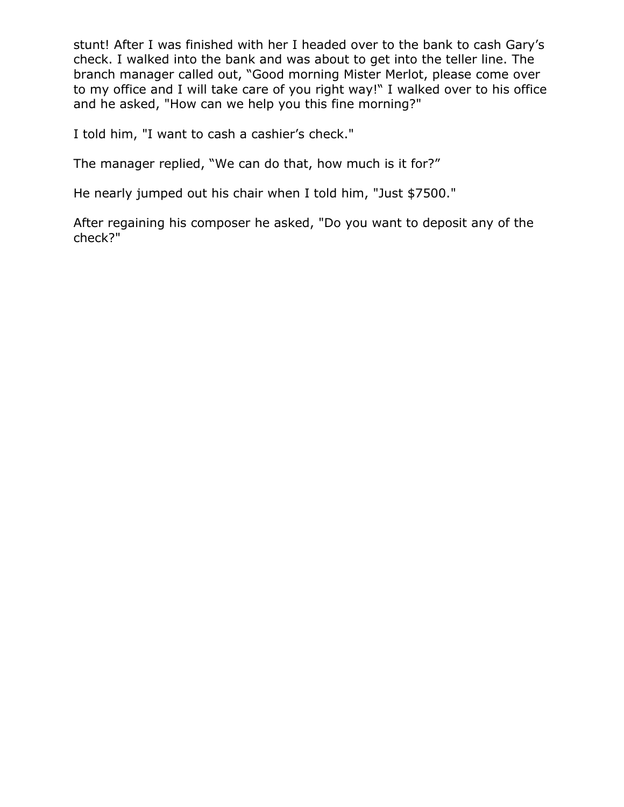stunt! After I was finished with her I headed over to the bank to cash Gary's check. I walked into the bank and was about to get into the teller line. The branch manager called out, "Good morning Mister Merlot, please come over to my office and I will take care of you right way!" I walked over to his office and he asked, "How can we help you this fine morning?"

I told him, "I want to cash a cashier's check."

The manager replied, "We can do that, how much is it for?"

He nearly jumped out his chair when I told him, "Just \$7500."

After regaining his composer he asked, "Do you want to deposit any of the check?"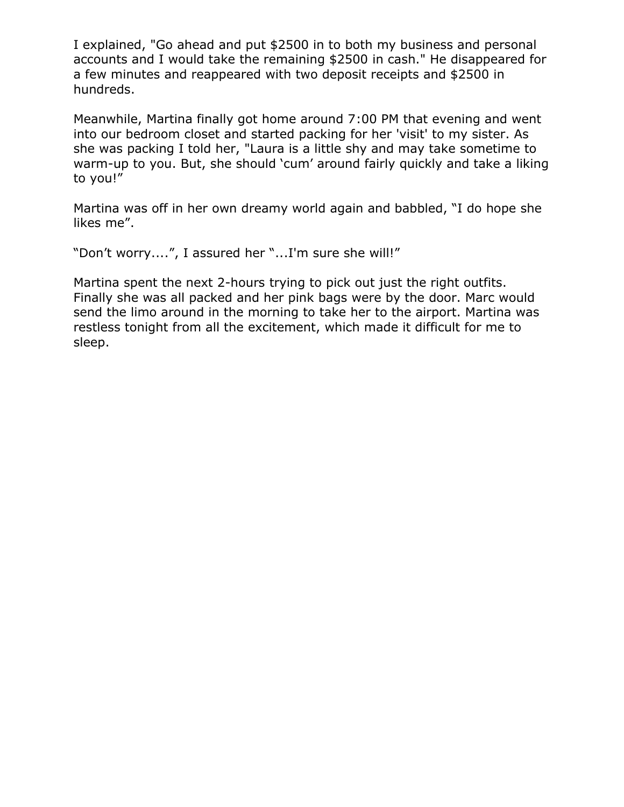I explained, "Go ahead and put \$2500 in to both my business and personal accounts and I would take the remaining \$2500 in cash." He disappeared for a few minutes and reappeared with two deposit receipts and \$2500 in hundreds.

Meanwhile, Martina finally got home around 7:00 PM that evening and went into our bedroom closet and started packing for her 'visit' to my sister. As she was packing I told her, "Laura is a little shy and may take sometime to warm-up to you. But, she should 'cum' around fairly quickly and take a liking to you!"

Martina was off in her own dreamy world again and babbled, "I do hope she likes me".

"Don't worry....", I assured her "...I'm sure she will!"

Martina spent the next 2-hours trying to pick out just the right outfits. Finally she was all packed and her pink bags were by the door. Marc would send the limo around in the morning to take her to the airport. Martina was restless tonight from all the excitement, which made it difficult for me to sleep.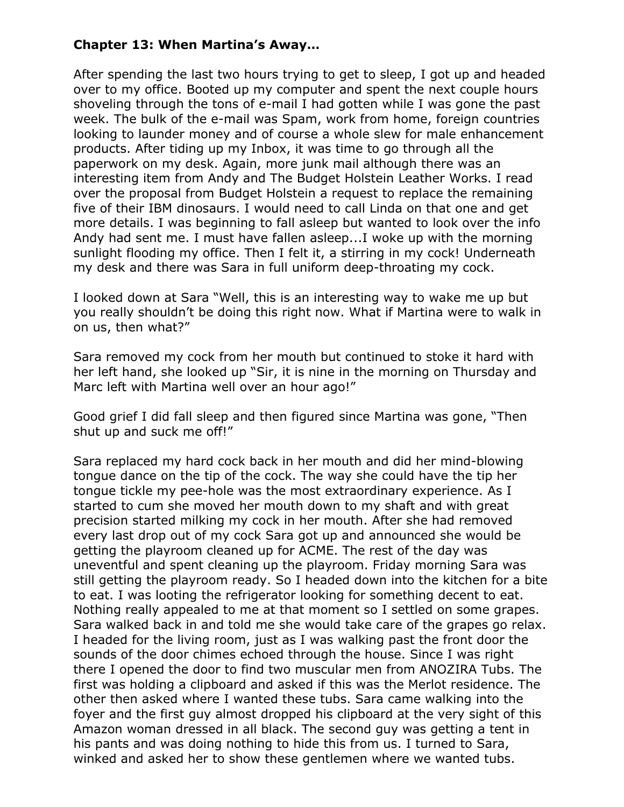## **Chapter 13: When Martina's Away…**

After spending the last two hours trying to get to sleep, I got up and headed over to my office. Booted up my computer and spent the next couple hours shoveling through the tons of e-mail I had gotten while I was gone the past week. The bulk of the e-mail was Spam, work from home, foreign countries looking to launder money and of course a whole slew for male enhancement products. After tiding up my Inbox, it was time to go through all the paperwork on my desk. Again, more junk mail although there was an interesting item from Andy and The Budget Holstein Leather Works. I read over the proposal from Budget Holstein a request to replace the remaining five of their IBM dinosaurs. I would need to call Linda on that one and get more details. I was beginning to fall asleep but wanted to look over the info Andy had sent me. I must have fallen asleep...I woke up with the morning sunlight flooding my office. Then I felt it, a stirring in my cock! Underneath my desk and there was Sara in full uniform deep-throating my cock.

I looked down at Sara "Well, this is an interesting way to wake me up but you really shouldn't be doing this right now. What if Martina were to walk in on us, then what?"

Sara removed my cock from her mouth but continued to stoke it hard with her left hand, she looked up "Sir, it is nine in the morning on Thursday and Marc left with Martina well over an hour ago!"

Good grief I did fall sleep and then figured since Martina was gone, "Then shut up and suck me off!"

Sara replaced my hard cock back in her mouth and did her mind-blowing tongue dance on the tip of the cock. The way she could have the tip her tongue tickle my pee-hole was the most extraordinary experience. As I started to cum she moved her mouth down to my shaft and with great precision started milking my cock in her mouth. After she had removed every last drop out of my cock Sara got up and announced she would be getting the playroom cleaned up for ACME. The rest of the day was uneventful and spent cleaning up the playroom. Friday morning Sara was still getting the playroom ready. So I headed down into the kitchen for a bite to eat. I was looting the refrigerator looking for something decent to eat. Nothing really appealed to me at that moment so I settled on some grapes. Sara walked back in and told me she would take care of the grapes go relax. I headed for the living room, just as I was walking past the front door the sounds of the door chimes echoed through the house. Since I was right there I opened the door to find two muscular men from ANOZIRA Tubs. The first was holding a clipboard and asked if this was the Merlot residence. The other then asked where I wanted these tubs. Sara came walking into the foyer and the first guy almost dropped his clipboard at the very sight of this Amazon woman dressed in all black. The second guy was getting a tent in his pants and was doing nothing to hide this from us. I turned to Sara, winked and asked her to show these gentlemen where we wanted tubs.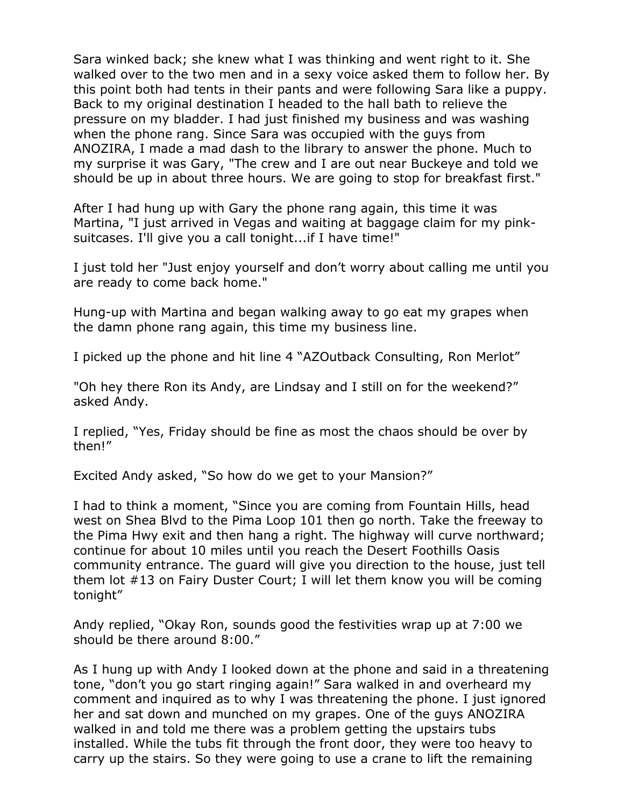Sara winked back; she knew what I was thinking and went right to it. She walked over to the two men and in a sexy voice asked them to follow her. By this point both had tents in their pants and were following Sara like a puppy. Back to my original destination I headed to the hall bath to relieve the pressure on my bladder. I had just finished my business and was washing when the phone rang. Since Sara was occupied with the guys from ANOZIRA, I made a mad dash to the library to answer the phone. Much to my surprise it was Gary, "The crew and I are out near Buckeye and told we should be up in about three hours. We are going to stop for breakfast first."

After I had hung up with Gary the phone rang again, this time it was Martina, "I just arrived in Vegas and waiting at baggage claim for my pinksuitcases. I'll give you a call tonight...if I have time!"

I just told her "Just enjoy yourself and don't worry about calling me until you are ready to come back home."

Hung-up with Martina and began walking away to go eat my grapes when the damn phone rang again, this time my business line.

I picked up the phone and hit line 4 "AZOutback Consulting, Ron Merlot"

"Oh hey there Ron its Andy, are Lindsay and I still on for the weekend?" asked Andy.

I replied, "Yes, Friday should be fine as most the chaos should be over by then!"

Excited Andy asked, "So how do we get to your Mansion?"

I had to think a moment, "Since you are coming from Fountain Hills, head west on Shea Blvd to the Pima Loop 101 then go north. Take the freeway to the Pima Hwy exit and then hang a right. The highway will curve northward; continue for about 10 miles until you reach the Desert Foothills Oasis community entrance. The guard will give you direction to the house, just tell them lot #13 on Fairy Duster Court; I will let them know you will be coming tonight"

Andy replied, "Okay Ron, sounds good the festivities wrap up at 7:00 we should be there around 8:00."

As I hung up with Andy I looked down at the phone and said in a threatening tone, "don't you go start ringing again!" Sara walked in and overheard my comment and inquired as to why I was threatening the phone. I just ignored her and sat down and munched on my grapes. One of the guys ANOZIRA walked in and told me there was a problem getting the upstairs tubs installed. While the tubs fit through the front door, they were too heavy to carry up the stairs. So they were going to use a crane to lift the remaining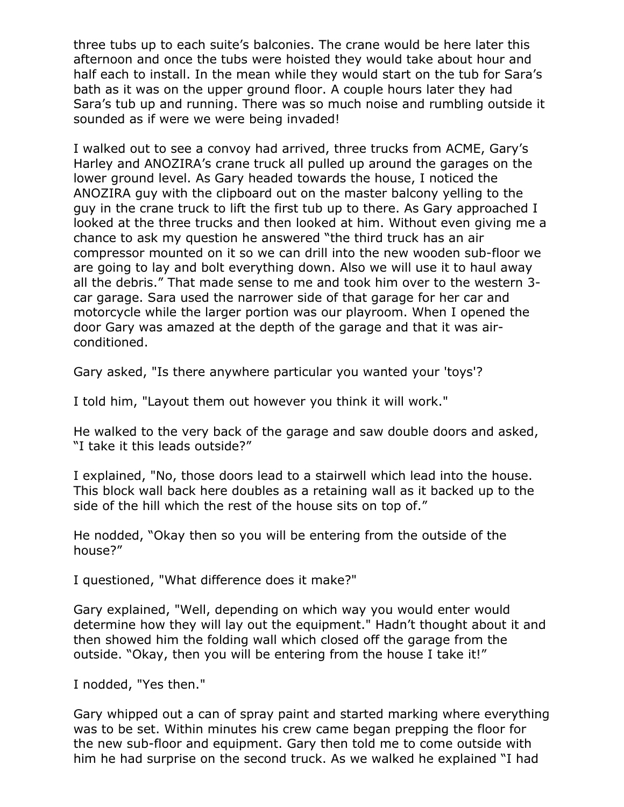three tubs up to each suite's balconies. The crane would be here later this afternoon and once the tubs were hoisted they would take about hour and half each to install. In the mean while they would start on the tub for Sara's bath as it was on the upper ground floor. A couple hours later they had Sara's tub up and running. There was so much noise and rumbling outside it sounded as if were we were being invaded!

I walked out to see a convoy had arrived, three trucks from ACME, Gary's Harley and ANOZIRA's crane truck all pulled up around the garages on the lower ground level. As Gary headed towards the house, I noticed the ANOZIRA guy with the clipboard out on the master balcony yelling to the guy in the crane truck to lift the first tub up to there. As Gary approached I looked at the three trucks and then looked at him. Without even giving me a chance to ask my question he answered "the third truck has an air compressor mounted on it so we can drill into the new wooden sub-floor we are going to lay and bolt everything down. Also we will use it to haul away all the debris." That made sense to me and took him over to the western 3 car garage. Sara used the narrower side of that garage for her car and motorcycle while the larger portion was our playroom. When I opened the door Gary was amazed at the depth of the garage and that it was airconditioned.

Gary asked, "Is there anywhere particular you wanted your 'toys'?

I told him, "Layout them out however you think it will work."

He walked to the very back of the garage and saw double doors and asked, "I take it this leads outside?"

I explained, "No, those doors lead to a stairwell which lead into the house. This block wall back here doubles as a retaining wall as it backed up to the side of the hill which the rest of the house sits on top of."

He nodded, "Okay then so you will be entering from the outside of the house?"

I questioned, "What difference does it make?"

Gary explained, "Well, depending on which way you would enter would determine how they will lay out the equipment." Hadn't thought about it and then showed him the folding wall which closed off the garage from the outside. "Okay, then you will be entering from the house I take it!"

I nodded, "Yes then."

Gary whipped out a can of spray paint and started marking where everything was to be set. Within minutes his crew came began prepping the floor for the new sub-floor and equipment. Gary then told me to come outside with him he had surprise on the second truck. As we walked he explained "I had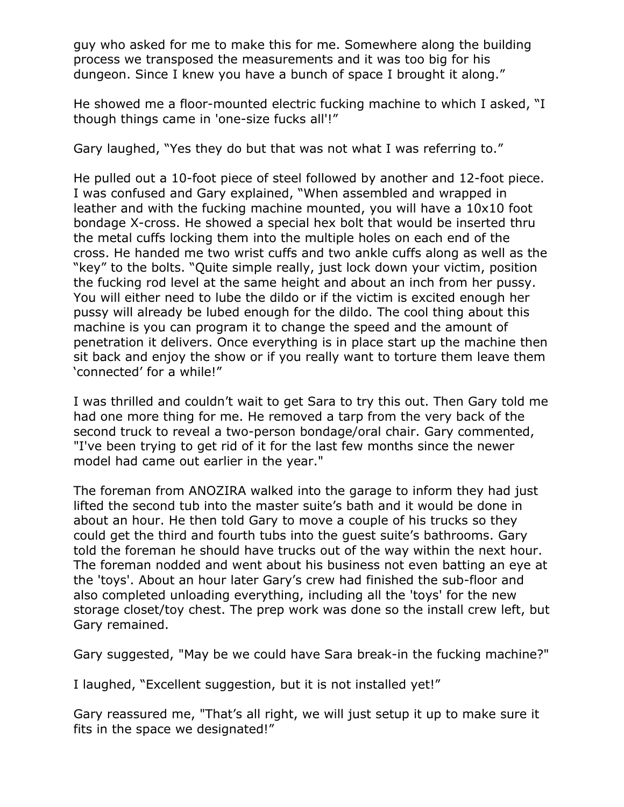guy who asked for me to make this for me. Somewhere along the building process we transposed the measurements and it was too big for his dungeon. Since I knew you have a bunch of space I brought it along."

He showed me a floor-mounted electric fucking machine to which I asked, "I though things came in 'one-size fucks all'!"

Gary laughed, "Yes they do but that was not what I was referring to."

He pulled out a 10-foot piece of steel followed by another and 12-foot piece. I was confused and Gary explained, "When assembled and wrapped in leather and with the fucking machine mounted, you will have a 10x10 foot bondage X-cross. He showed a special hex bolt that would be inserted thru the metal cuffs locking them into the multiple holes on each end of the cross. He handed me two wrist cuffs and two ankle cuffs along as well as the "key" to the bolts. "Quite simple really, just lock down your victim, position the fucking rod level at the same height and about an inch from her pussy. You will either need to lube the dildo or if the victim is excited enough her pussy will already be lubed enough for the dildo. The cool thing about this machine is you can program it to change the speed and the amount of penetration it delivers. Once everything is in place start up the machine then sit back and enjoy the show or if you really want to torture them leave them 'connected' for a while!"

I was thrilled and couldn't wait to get Sara to try this out. Then Gary told me had one more thing for me. He removed a tarp from the very back of the second truck to reveal a two-person bondage/oral chair. Gary commented, "I've been trying to get rid of it for the last few months since the newer model had came out earlier in the year."

The foreman from ANOZIRA walked into the garage to inform they had just lifted the second tub into the master suite's bath and it would be done in about an hour. He then told Gary to move a couple of his trucks so they could get the third and fourth tubs into the guest suite's bathrooms. Gary told the foreman he should have trucks out of the way within the next hour. The foreman nodded and went about his business not even batting an eye at the 'toys'. About an hour later Gary's crew had finished the sub-floor and also completed unloading everything, including all the 'toys' for the new storage closet/toy chest. The prep work was done so the install crew left, but Gary remained.

Gary suggested, "May be we could have Sara break-in the fucking machine?"

I laughed, "Excellent suggestion, but it is not installed yet!"

Gary reassured me, "That's all right, we will just setup it up to make sure it fits in the space we designated!"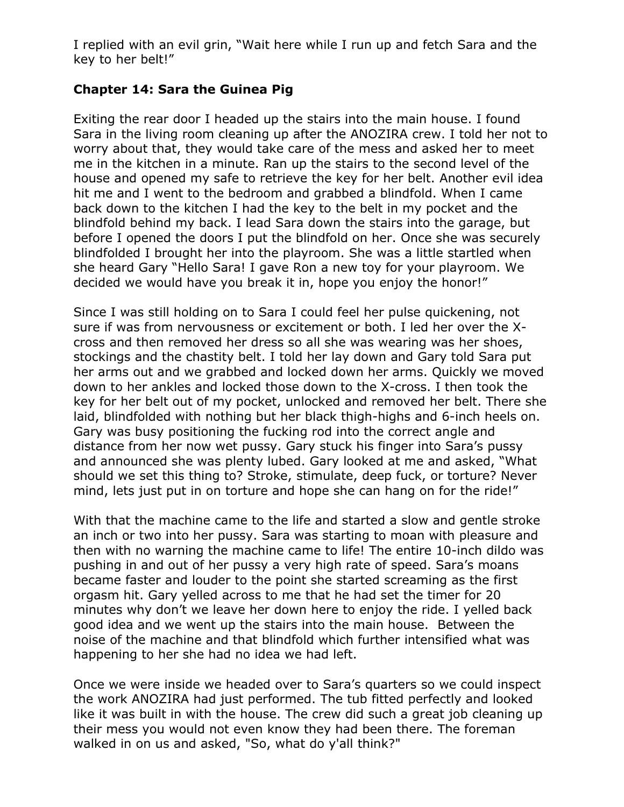I replied with an evil grin, "Wait here while I run up and fetch Sara and the key to her belt!"

## **Chapter 14: Sara the Guinea Pig**

Exiting the rear door I headed up the stairs into the main house. I found Sara in the living room cleaning up after the ANOZIRA crew. I told her not to worry about that, they would take care of the mess and asked her to meet me in the kitchen in a minute. Ran up the stairs to the second level of the house and opened my safe to retrieve the key for her belt. Another evil idea hit me and I went to the bedroom and grabbed a blindfold. When I came back down to the kitchen I had the key to the belt in my pocket and the blindfold behind my back. I lead Sara down the stairs into the garage, but before I opened the doors I put the blindfold on her. Once she was securely blindfolded I brought her into the playroom. She was a little startled when she heard Gary "Hello Sara! I gave Ron a new toy for your playroom. We decided we would have you break it in, hope you enjoy the honor!"

Since I was still holding on to Sara I could feel her pulse quickening, not sure if was from nervousness or excitement or both. I led her over the Xcross and then removed her dress so all she was wearing was her shoes, stockings and the chastity belt. I told her lay down and Gary told Sara put her arms out and we grabbed and locked down her arms. Quickly we moved down to her ankles and locked those down to the X-cross. I then took the key for her belt out of my pocket, unlocked and removed her belt. There she laid, blindfolded with nothing but her black thigh-highs and 6-inch heels on. Gary was busy positioning the fucking rod into the correct angle and distance from her now wet pussy. Gary stuck his finger into Sara's pussy and announced she was plenty lubed. Gary looked at me and asked, "What should we set this thing to? Stroke, stimulate, deep fuck, or torture? Never mind, lets just put in on torture and hope she can hang on for the ride!"

With that the machine came to the life and started a slow and gentle stroke an inch or two into her pussy. Sara was starting to moan with pleasure and then with no warning the machine came to life! The entire 10-inch dildo was pushing in and out of her pussy a very high rate of speed. Sara's moans became faster and louder to the point she started screaming as the first orgasm hit. Gary yelled across to me that he had set the timer for 20 minutes why don't we leave her down here to enjoy the ride. I yelled back good idea and we went up the stairs into the main house. Between the noise of the machine and that blindfold which further intensified what was happening to her she had no idea we had left.

Once we were inside we headed over to Sara's quarters so we could inspect the work ANOZIRA had just performed. The tub fitted perfectly and looked like it was built in with the house. The crew did such a great job cleaning up their mess you would not even know they had been there. The foreman walked in on us and asked, "So, what do y'all think?"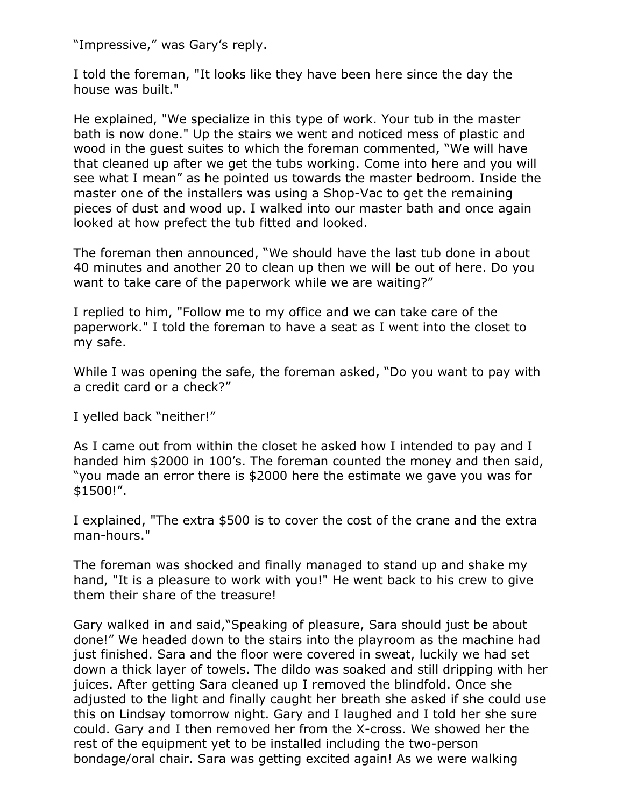"Impressive," was Gary's reply.

I told the foreman, "It looks like they have been here since the day the house was built."

He explained, "We specialize in this type of work. Your tub in the master bath is now done." Up the stairs we went and noticed mess of plastic and wood in the guest suites to which the foreman commented, "We will have that cleaned up after we get the tubs working. Come into here and you will see what I mean" as he pointed us towards the master bedroom. Inside the master one of the installers was using a Shop-Vac to get the remaining pieces of dust and wood up. I walked into our master bath and once again looked at how prefect the tub fitted and looked.

The foreman then announced, "We should have the last tub done in about 40 minutes and another 20 to clean up then we will be out of here. Do you want to take care of the paperwork while we are waiting?"

I replied to him, "Follow me to my office and we can take care of the paperwork." I told the foreman to have a seat as I went into the closet to my safe.

While I was opening the safe, the foreman asked, "Do you want to pay with a credit card or a check?"

I yelled back "neither!"

As I came out from within the closet he asked how I intended to pay and I handed him \$2000 in 100's. The foreman counted the money and then said, "you made an error there is \$2000 here the estimate we gave you was for \$1500!".

I explained, "The extra \$500 is to cover the cost of the crane and the extra man-hours."

The foreman was shocked and finally managed to stand up and shake my hand, "It is a pleasure to work with you!" He went back to his crew to give them their share of the treasure!

Gary walked in and said,"Speaking of pleasure, Sara should just be about done!" We headed down to the stairs into the playroom as the machine had just finished. Sara and the floor were covered in sweat, luckily we had set down a thick layer of towels. The dildo was soaked and still dripping with her juices. After getting Sara cleaned up I removed the blindfold. Once she adjusted to the light and finally caught her breath she asked if she could use this on Lindsay tomorrow night. Gary and I laughed and I told her she sure could. Gary and I then removed her from the X-cross. We showed her the rest of the equipment yet to be installed including the two-person bondage/oral chair. Sara was getting excited again! As we were walking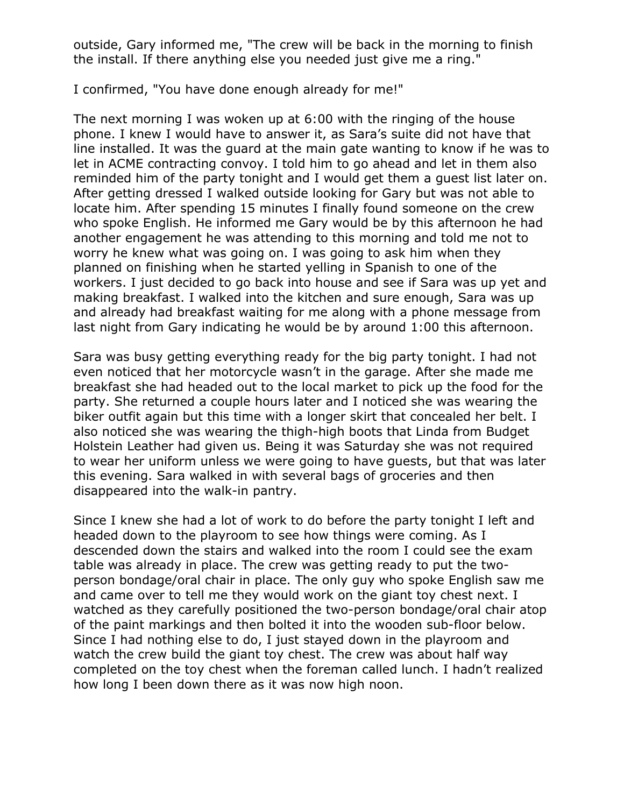outside, Gary informed me, "The crew will be back in the morning to finish the install. If there anything else you needed just give me a ring."

I confirmed, "You have done enough already for me!"

The next morning I was woken up at 6:00 with the ringing of the house phone. I knew I would have to answer it, as Sara's suite did not have that line installed. It was the guard at the main gate wanting to know if he was to let in ACME contracting convoy. I told him to go ahead and let in them also reminded him of the party tonight and I would get them a guest list later on. After getting dressed I walked outside looking for Gary but was not able to locate him. After spending 15 minutes I finally found someone on the crew who spoke English. He informed me Gary would be by this afternoon he had another engagement he was attending to this morning and told me not to worry he knew what was going on. I was going to ask him when they planned on finishing when he started yelling in Spanish to one of the workers. I just decided to go back into house and see if Sara was up yet and making breakfast. I walked into the kitchen and sure enough, Sara was up and already had breakfast waiting for me along with a phone message from last night from Gary indicating he would be by around 1:00 this afternoon.

Sara was busy getting everything ready for the big party tonight. I had not even noticed that her motorcycle wasn't in the garage. After she made me breakfast she had headed out to the local market to pick up the food for the party. She returned a couple hours later and I noticed she was wearing the biker outfit again but this time with a longer skirt that concealed her belt. I also noticed she was wearing the thigh-high boots that Linda from Budget Holstein Leather had given us. Being it was Saturday she was not required to wear her uniform unless we were going to have guests, but that was later this evening. Sara walked in with several bags of groceries and then disappeared into the walk-in pantry.

Since I knew she had a lot of work to do before the party tonight I left and headed down to the playroom to see how things were coming. As I descended down the stairs and walked into the room I could see the exam table was already in place. The crew was getting ready to put the twoperson bondage/oral chair in place. The only guy who spoke English saw me and came over to tell me they would work on the giant toy chest next. I watched as they carefully positioned the two-person bondage/oral chair atop of the paint markings and then bolted it into the wooden sub-floor below. Since I had nothing else to do, I just stayed down in the playroom and watch the crew build the giant toy chest. The crew was about half way completed on the toy chest when the foreman called lunch. I hadn't realized how long I been down there as it was now high noon.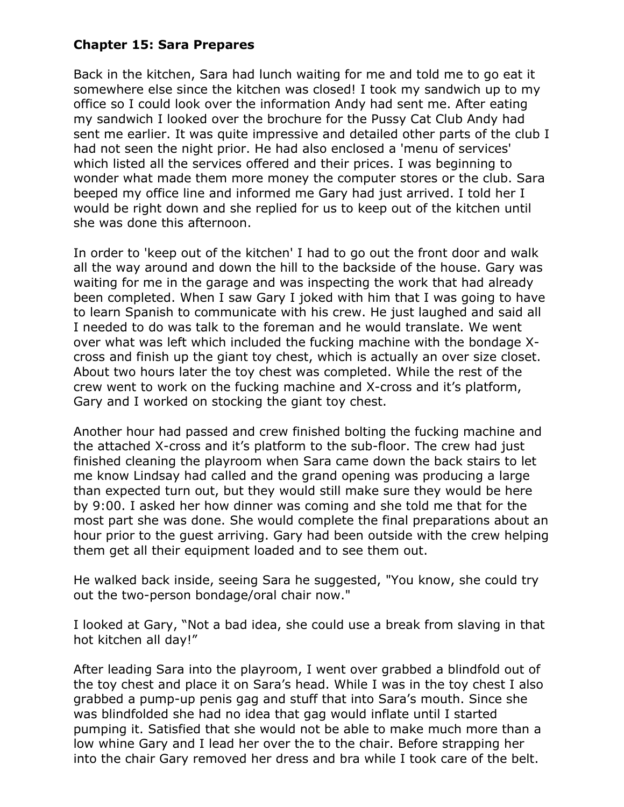## **Chapter 15: Sara Prepares**

Back in the kitchen, Sara had lunch waiting for me and told me to go eat it somewhere else since the kitchen was closed! I took my sandwich up to my office so I could look over the information Andy had sent me. After eating my sandwich I looked over the brochure for the Pussy Cat Club Andy had sent me earlier. It was quite impressive and detailed other parts of the club I had not seen the night prior. He had also enclosed a 'menu of services' which listed all the services offered and their prices. I was beginning to wonder what made them more money the computer stores or the club. Sara beeped my office line and informed me Gary had just arrived. I told her I would be right down and she replied for us to keep out of the kitchen until she was done this afternoon.

In order to 'keep out of the kitchen' I had to go out the front door and walk all the way around and down the hill to the backside of the house. Gary was waiting for me in the garage and was inspecting the work that had already been completed. When I saw Gary I joked with him that I was going to have to learn Spanish to communicate with his crew. He just laughed and said all I needed to do was talk to the foreman and he would translate. We went over what was left which included the fucking machine with the bondage Xcross and finish up the giant toy chest, which is actually an over size closet. About two hours later the toy chest was completed. While the rest of the crew went to work on the fucking machine and X-cross and it's platform, Gary and I worked on stocking the giant toy chest.

Another hour had passed and crew finished bolting the fucking machine and the attached X-cross and it's platform to the sub-floor. The crew had just finished cleaning the playroom when Sara came down the back stairs to let me know Lindsay had called and the grand opening was producing a large than expected turn out, but they would still make sure they would be here by 9:00. I asked her how dinner was coming and she told me that for the most part she was done. She would complete the final preparations about an hour prior to the guest arriving. Gary had been outside with the crew helping them get all their equipment loaded and to see them out.

He walked back inside, seeing Sara he suggested, "You know, she could try out the two-person bondage/oral chair now."

I looked at Gary, "Not a bad idea, she could use a break from slaving in that hot kitchen all day!"

After leading Sara into the playroom, I went over grabbed a blindfold out of the toy chest and place it on Sara's head. While I was in the toy chest I also grabbed a pump-up penis gag and stuff that into Sara's mouth. Since she was blindfolded she had no idea that gag would inflate until I started pumping it. Satisfied that she would not be able to make much more than a low whine Gary and I lead her over the to the chair. Before strapping her into the chair Gary removed her dress and bra while I took care of the belt.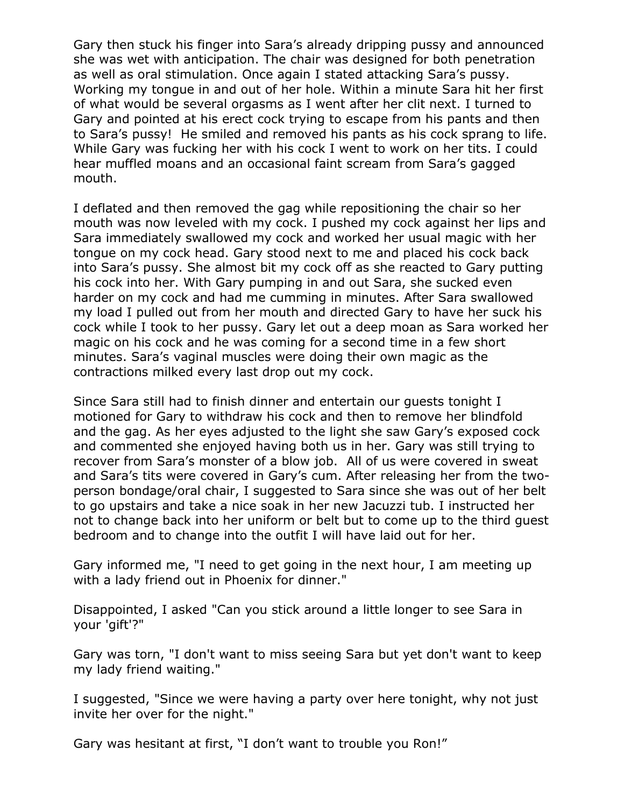Gary then stuck his finger into Sara's already dripping pussy and announced she was wet with anticipation. The chair was designed for both penetration as well as oral stimulation. Once again I stated attacking Sara's pussy. Working my tongue in and out of her hole. Within a minute Sara hit her first of what would be several orgasms as I went after her clit next. I turned to Gary and pointed at his erect cock trying to escape from his pants and then to Sara's pussy! He smiled and removed his pants as his cock sprang to life. While Gary was fucking her with his cock I went to work on her tits. I could hear muffled moans and an occasional faint scream from Sara's gagged mouth.

I deflated and then removed the gag while repositioning the chair so her mouth was now leveled with my cock. I pushed my cock against her lips and Sara immediately swallowed my cock and worked her usual magic with her tongue on my cock head. Gary stood next to me and placed his cock back into Sara's pussy. She almost bit my cock off as she reacted to Gary putting his cock into her. With Gary pumping in and out Sara, she sucked even harder on my cock and had me cumming in minutes. After Sara swallowed my load I pulled out from her mouth and directed Gary to have her suck his cock while I took to her pussy. Gary let out a deep moan as Sara worked her magic on his cock and he was coming for a second time in a few short minutes. Sara's vaginal muscles were doing their own magic as the contractions milked every last drop out my cock.

Since Sara still had to finish dinner and entertain our guests tonight I motioned for Gary to withdraw his cock and then to remove her blindfold and the gag. As her eyes adjusted to the light she saw Gary's exposed cock and commented she enjoyed having both us in her. Gary was still trying to recover from Sara's monster of a blow job. All of us were covered in sweat and Sara's tits were covered in Gary's cum. After releasing her from the twoperson bondage/oral chair, I suggested to Sara since she was out of her belt to go upstairs and take a nice soak in her new Jacuzzi tub. I instructed her not to change back into her uniform or belt but to come up to the third guest bedroom and to change into the outfit I will have laid out for her.

Gary informed me, "I need to get going in the next hour, I am meeting up with a lady friend out in Phoenix for dinner."

Disappointed, I asked "Can you stick around a little longer to see Sara in your 'gift'?"

Gary was torn, "I don't want to miss seeing Sara but yet don't want to keep my lady friend waiting."

I suggested, "Since we were having a party over here tonight, why not just invite her over for the night."

Gary was hesitant at first, "I don't want to trouble you Ron!"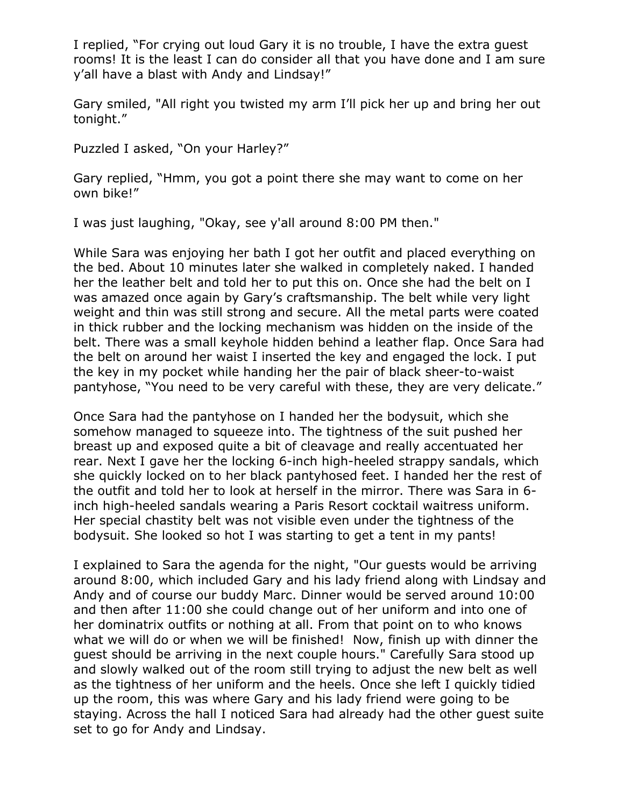I replied, "For crying out loud Gary it is no trouble, I have the extra guest rooms! It is the least I can do consider all that you have done and I am sure y'all have a blast with Andy and Lindsay!"

Gary smiled, "All right you twisted my arm I'll pick her up and bring her out tonight."

Puzzled I asked, "On your Harley?"

Gary replied, "Hmm, you got a point there she may want to come on her own bike!"

I was just laughing, "Okay, see y'all around 8:00 PM then."

While Sara was enjoying her bath I got her outfit and placed everything on the bed. About 10 minutes later she walked in completely naked. I handed her the leather belt and told her to put this on. Once she had the belt on I was amazed once again by Gary's craftsmanship. The belt while very light weight and thin was still strong and secure. All the metal parts were coated in thick rubber and the locking mechanism was hidden on the inside of the belt. There was a small keyhole hidden behind a leather flap. Once Sara had the belt on around her waist I inserted the key and engaged the lock. I put the key in my pocket while handing her the pair of black sheer-to-waist pantyhose, "You need to be very careful with these, they are very delicate."

Once Sara had the pantyhose on I handed her the bodysuit, which she somehow managed to squeeze into. The tightness of the suit pushed her breast up and exposed quite a bit of cleavage and really accentuated her rear. Next I gave her the locking 6-inch high-heeled strappy sandals, which she quickly locked on to her black pantyhosed feet. I handed her the rest of the outfit and told her to look at herself in the mirror. There was Sara in 6 inch high-heeled sandals wearing a Paris Resort cocktail waitress uniform. Her special chastity belt was not visible even under the tightness of the bodysuit. She looked so hot I was starting to get a tent in my pants!

I explained to Sara the agenda for the night, "Our guests would be arriving around 8:00, which included Gary and his lady friend along with Lindsay and Andy and of course our buddy Marc. Dinner would be served around 10:00 and then after 11:00 she could change out of her uniform and into one of her dominatrix outfits or nothing at all. From that point on to who knows what we will do or when we will be finished! Now, finish up with dinner the guest should be arriving in the next couple hours." Carefully Sara stood up and slowly walked out of the room still trying to adjust the new belt as well as the tightness of her uniform and the heels. Once she left I quickly tidied up the room, this was where Gary and his lady friend were going to be staying. Across the hall I noticed Sara had already had the other guest suite set to go for Andy and Lindsay.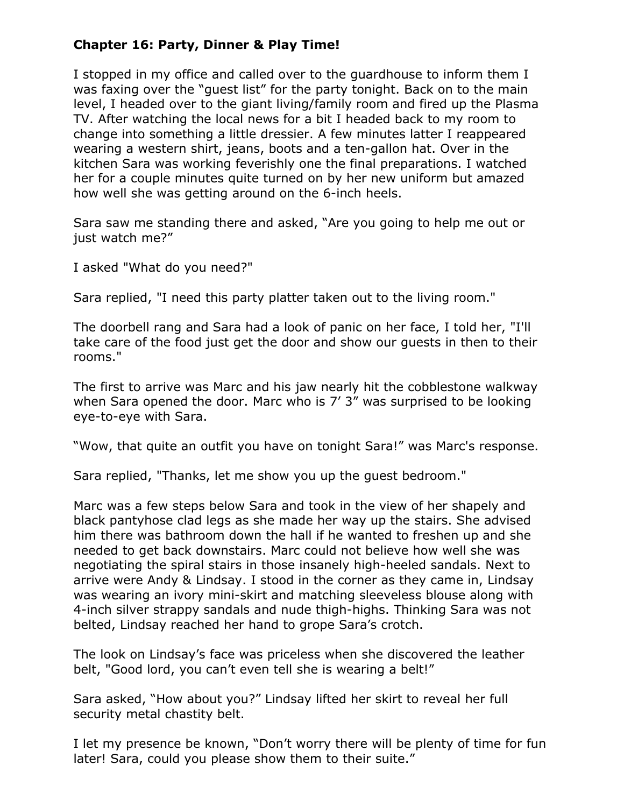# **Chapter 16: Party, Dinner & Play Time!**

I stopped in my office and called over to the guardhouse to inform them I was faxing over the "guest list" for the party tonight. Back on to the main level, I headed over to the giant living/family room and fired up the Plasma TV. After watching the local news for a bit I headed back to my room to change into something a little dressier. A few minutes latter I reappeared wearing a western shirt, jeans, boots and a ten-gallon hat. Over in the kitchen Sara was working feverishly one the final preparations. I watched her for a couple minutes quite turned on by her new uniform but amazed how well she was getting around on the 6-inch heels.

Sara saw me standing there and asked, "Are you going to help me out or just watch me?"

I asked "What do you need?"

Sara replied, "I need this party platter taken out to the living room."

The doorbell rang and Sara had a look of panic on her face, I told her, "I'll take care of the food just get the door and show our guests in then to their rooms."

The first to arrive was Marc and his jaw nearly hit the cobblestone walkway when Sara opened the door. Marc who is 7' 3" was surprised to be looking eye-to-eye with Sara.

"Wow, that quite an outfit you have on tonight Sara!" was Marc's response.

Sara replied, "Thanks, let me show you up the guest bedroom."

Marc was a few steps below Sara and took in the view of her shapely and black pantyhose clad legs as she made her way up the stairs. She advised him there was bathroom down the hall if he wanted to freshen up and she needed to get back downstairs. Marc could not believe how well she was negotiating the spiral stairs in those insanely high-heeled sandals. Next to arrive were Andy & Lindsay. I stood in the corner as they came in, Lindsay was wearing an ivory mini-skirt and matching sleeveless blouse along with 4-inch silver strappy sandals and nude thigh-highs. Thinking Sara was not belted, Lindsay reached her hand to grope Sara's crotch.

The look on Lindsay's face was priceless when she discovered the leather belt, "Good lord, you can't even tell she is wearing a belt!"

Sara asked, "How about you?" Lindsay lifted her skirt to reveal her full security metal chastity belt.

I let my presence be known, "Don't worry there will be plenty of time for fun later! Sara, could you please show them to their suite."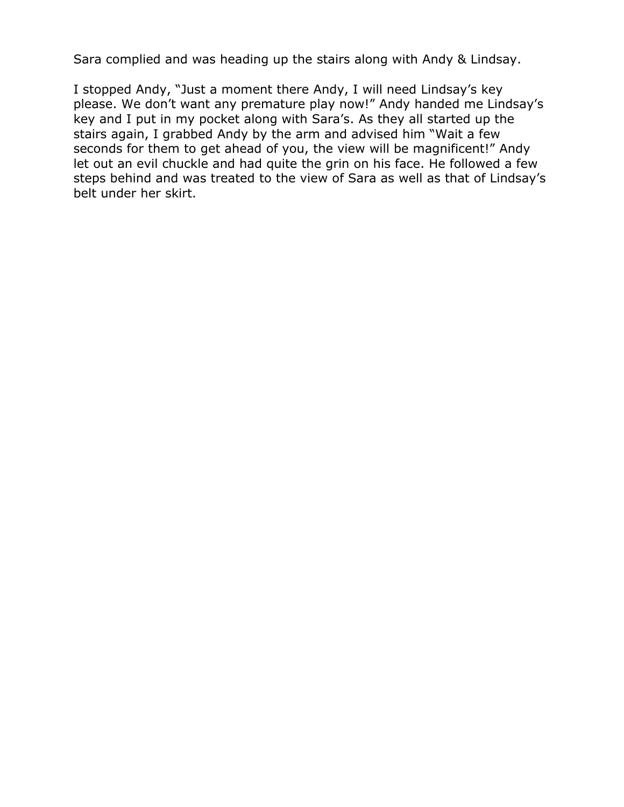Sara complied and was heading up the stairs along with Andy & Lindsay.

I stopped Andy, "Just a moment there Andy, I will need Lindsay's key please. We don't want any premature play now!" Andy handed me Lindsay's key and I put in my pocket along with Sara's. As they all started up the stairs again, I grabbed Andy by the arm and advised him "Wait a few seconds for them to get ahead of you, the view will be magnificent!" Andy let out an evil chuckle and had quite the grin on his face. He followed a few steps behind and was treated to the view of Sara as well as that of Lindsay's belt under her skirt.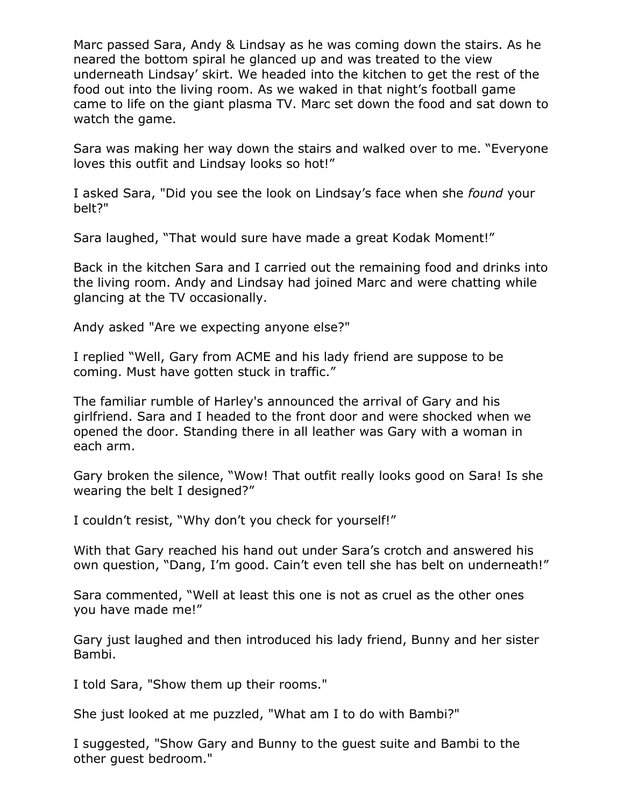Marc passed Sara, Andy & Lindsay as he was coming down the stairs. As he neared the bottom spiral he glanced up and was treated to the view underneath Lindsay' skirt. We headed into the kitchen to get the rest of the food out into the living room. As we waked in that night's football game came to life on the giant plasma TV. Marc set down the food and sat down to watch the game.

Sara was making her way down the stairs and walked over to me. "Everyone loves this outfit and Lindsay looks so hot!"

I asked Sara, "Did you see the look on Lindsay's face when she *found* your belt?"

Sara laughed, "That would sure have made a great Kodak Moment!"

Back in the kitchen Sara and I carried out the remaining food and drinks into the living room. Andy and Lindsay had joined Marc and were chatting while glancing at the TV occasionally.

Andy asked "Are we expecting anyone else?"

I replied "Well, Gary from ACME and his lady friend are suppose to be coming. Must have gotten stuck in traffic."

The familiar rumble of Harley's announced the arrival of Gary and his girlfriend. Sara and I headed to the front door and were shocked when we opened the door. Standing there in all leather was Gary with a woman in each arm.

Gary broken the silence, "Wow! That outfit really looks good on Sara! Is she wearing the belt I designed?"

I couldn't resist, "Why don't you check for yourself!"

With that Gary reached his hand out under Sara's crotch and answered his own question, "Dang, I'm good. Cain't even tell she has belt on underneath!"

Sara commented, "Well at least this one is not as cruel as the other ones you have made me!"

Gary just laughed and then introduced his lady friend, Bunny and her sister Bambi.

I told Sara, "Show them up their rooms."

She just looked at me puzzled, "What am I to do with Bambi?"

I suggested, "Show Gary and Bunny to the guest suite and Bambi to the other guest bedroom."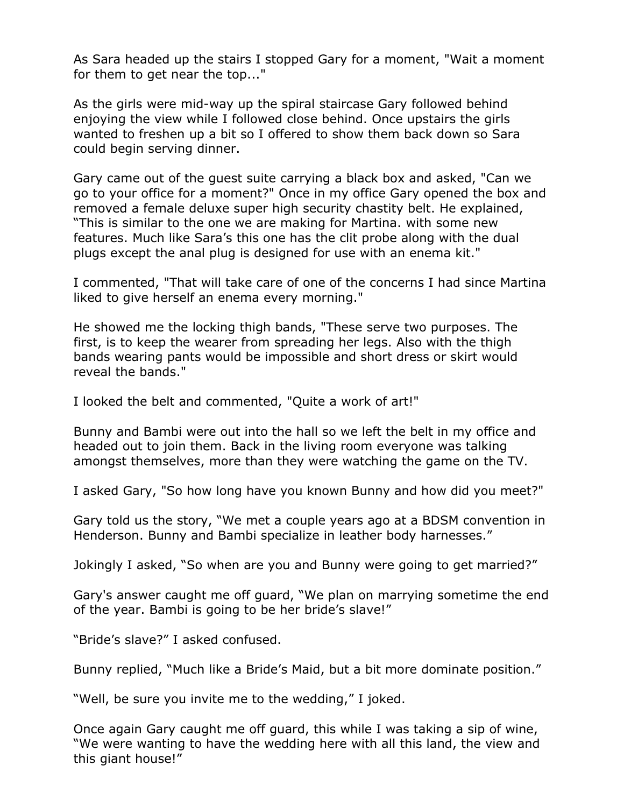As Sara headed up the stairs I stopped Gary for a moment, "Wait a moment for them to get near the top..."

As the girls were mid-way up the spiral staircase Gary followed behind enjoying the view while I followed close behind. Once upstairs the girls wanted to freshen up a bit so I offered to show them back down so Sara could begin serving dinner.

Gary came out of the guest suite carrying a black box and asked, "Can we go to your office for a moment?" Once in my office Gary opened the box and removed a female deluxe super high security chastity belt. He explained, "This is similar to the one we are making for Martina. with some new features. Much like Sara's this one has the clit probe along with the dual plugs except the anal plug is designed for use with an enema kit."

I commented, "That will take care of one of the concerns I had since Martina liked to give herself an enema every morning."

He showed me the locking thigh bands, "These serve two purposes. The first, is to keep the wearer from spreading her legs. Also with the thigh bands wearing pants would be impossible and short dress or skirt would reveal the bands."

I looked the belt and commented, "Quite a work of art!"

Bunny and Bambi were out into the hall so we left the belt in my office and headed out to join them. Back in the living room everyone was talking amongst themselves, more than they were watching the game on the TV.

I asked Gary, "So how long have you known Bunny and how did you meet?"

Gary told us the story, "We met a couple years ago at a BDSM convention in Henderson. Bunny and Bambi specialize in leather body harnesses."

Jokingly I asked, "So when are you and Bunny were going to get married?"

Gary's answer caught me off guard, "We plan on marrying sometime the end of the year. Bambi is going to be her bride's slave!"

"Bride's slave?" I asked confused.

Bunny replied, "Much like a Bride's Maid, but a bit more dominate position."

"Well, be sure you invite me to the wedding," I joked.

Once again Gary caught me off guard, this while I was taking a sip of wine, "We were wanting to have the wedding here with all this land, the view and this giant house!"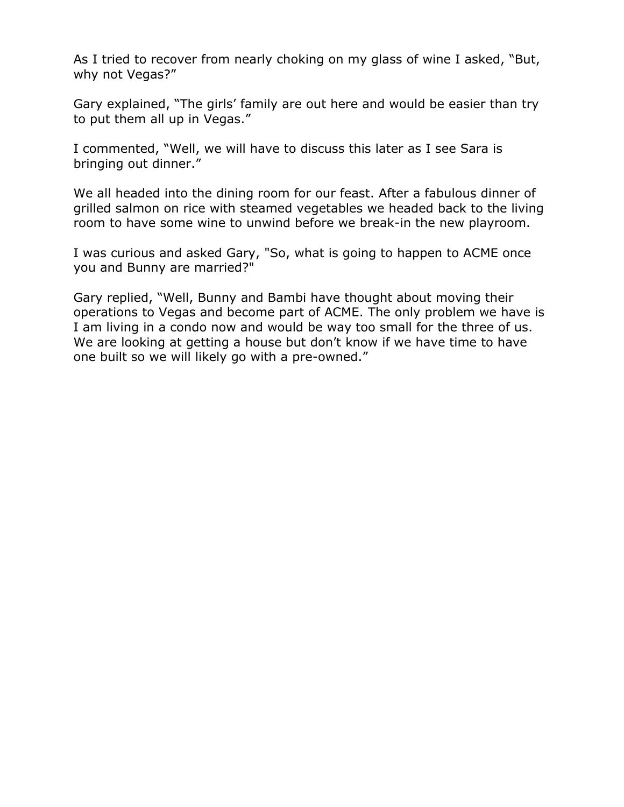As I tried to recover from nearly choking on my glass of wine I asked, "But, why not Vegas?"

Gary explained, "The girls' family are out here and would be easier than try to put them all up in Vegas."

I commented, "Well, we will have to discuss this later as I see Sara is bringing out dinner."

We all headed into the dining room for our feast. After a fabulous dinner of grilled salmon on rice with steamed vegetables we headed back to the living room to have some wine to unwind before we break-in the new playroom.

I was curious and asked Gary, "So, what is going to happen to ACME once you and Bunny are married?"

Gary replied, "Well, Bunny and Bambi have thought about moving their operations to Vegas and become part of ACME. The only problem we have is I am living in a condo now and would be way too small for the three of us. We are looking at getting a house but don't know if we have time to have one built so we will likely go with a pre-owned."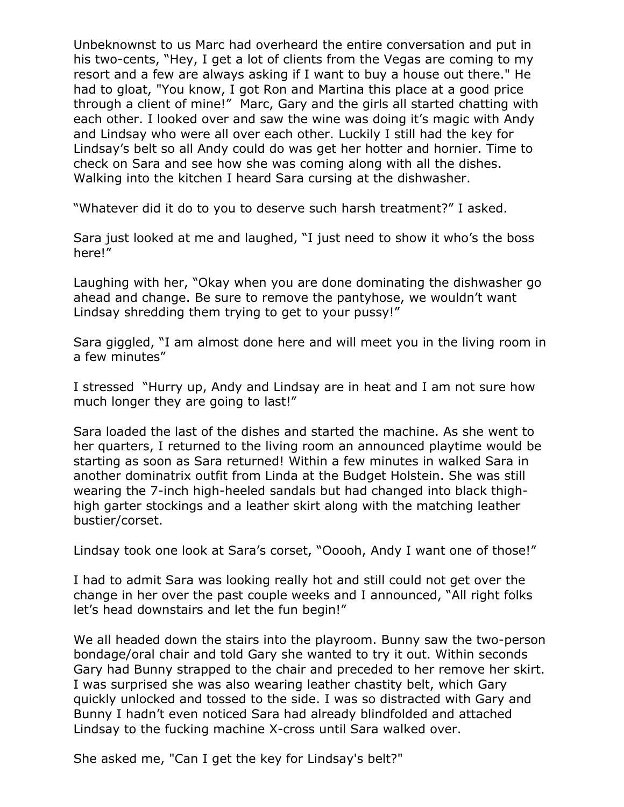Unbeknownst to us Marc had overheard the entire conversation and put in his two-cents, "Hey, I get a lot of clients from the Vegas are coming to my resort and a few are always asking if I want to buy a house out there." He had to gloat, "You know, I got Ron and Martina this place at a good price through a client of mine!" Marc, Gary and the girls all started chatting with each other. I looked over and saw the wine was doing it's magic with Andy and Lindsay who were all over each other. Luckily I still had the key for Lindsay's belt so all Andy could do was get her hotter and hornier. Time to check on Sara and see how she was coming along with all the dishes. Walking into the kitchen I heard Sara cursing at the dishwasher.

"Whatever did it do to you to deserve such harsh treatment?" I asked.

Sara just looked at me and laughed, "I just need to show it who's the boss here!"

Laughing with her, "Okay when you are done dominating the dishwasher go ahead and change. Be sure to remove the pantyhose, we wouldn't want Lindsay shredding them trying to get to your pussy!"

Sara giggled, "I am almost done here and will meet you in the living room in a few minutes"

I stressed "Hurry up, Andy and Lindsay are in heat and I am not sure how much longer they are going to last!"

Sara loaded the last of the dishes and started the machine. As she went to her quarters, I returned to the living room an announced playtime would be starting as soon as Sara returned! Within a few minutes in walked Sara in another dominatrix outfit from Linda at the Budget Holstein. She was still wearing the 7-inch high-heeled sandals but had changed into black thighhigh garter stockings and a leather skirt along with the matching leather bustier/corset.

Lindsay took one look at Sara's corset, "Ooooh, Andy I want one of those!"

I had to admit Sara was looking really hot and still could not get over the change in her over the past couple weeks and I announced, "All right folks let's head downstairs and let the fun begin!"

We all headed down the stairs into the playroom. Bunny saw the two-person bondage/oral chair and told Gary she wanted to try it out. Within seconds Gary had Bunny strapped to the chair and preceded to her remove her skirt. I was surprised she was also wearing leather chastity belt, which Gary quickly unlocked and tossed to the side. I was so distracted with Gary and Bunny I hadn't even noticed Sara had already blindfolded and attached Lindsay to the fucking machine X-cross until Sara walked over.

She asked me, "Can I get the key for Lindsay's belt?"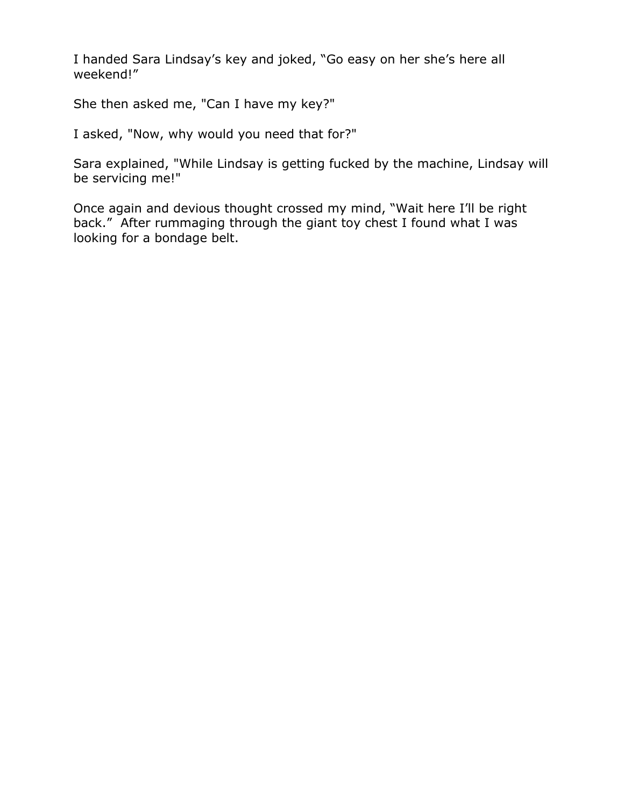I handed Sara Lindsay's key and joked, "Go easy on her she's here all weekend!"

She then asked me, "Can I have my key?"

I asked, "Now, why would you need that for?"

Sara explained, "While Lindsay is getting fucked by the machine, Lindsay will be servicing me!"

Once again and devious thought crossed my mind, "Wait here I'll be right back." After rummaging through the giant toy chest I found what I was looking for a bondage belt.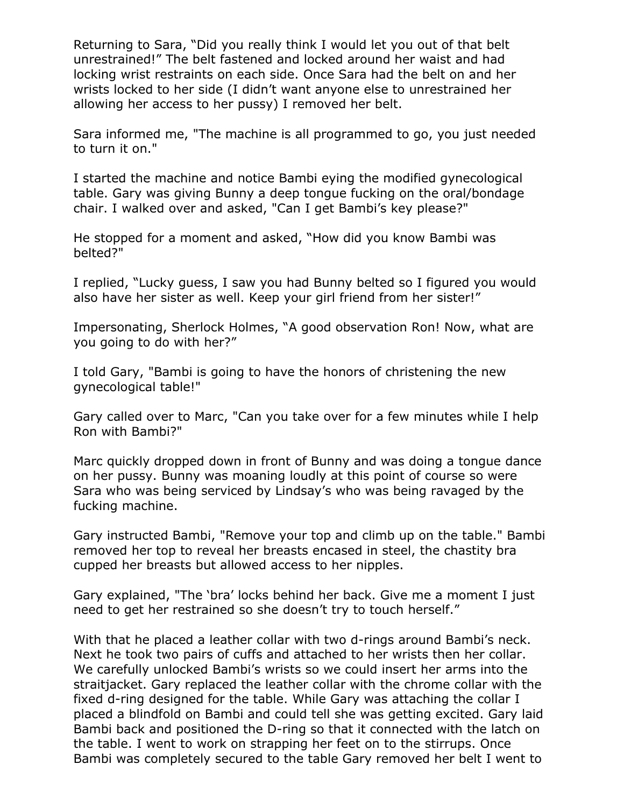Returning to Sara, "Did you really think I would let you out of that belt unrestrained!" The belt fastened and locked around her waist and had locking wrist restraints on each side. Once Sara had the belt on and her wrists locked to her side (I didn't want anyone else to unrestrained her allowing her access to her pussy) I removed her belt.

Sara informed me, "The machine is all programmed to go, you just needed to turn it on."

I started the machine and notice Bambi eying the modified gynecological table. Gary was giving Bunny a deep tongue fucking on the oral/bondage chair. I walked over and asked, "Can I get Bambi's key please?"

He stopped for a moment and asked, "How did you know Bambi was belted?"

I replied, "Lucky guess, I saw you had Bunny belted so I figured you would also have her sister as well. Keep your girl friend from her sister!"

Impersonating, Sherlock Holmes, "A good observation Ron! Now, what are you going to do with her?"

I told Gary, "Bambi is going to have the honors of christening the new gynecological table!"

Gary called over to Marc, "Can you take over for a few minutes while I help Ron with Bambi?"

Marc quickly dropped down in front of Bunny and was doing a tongue dance on her pussy. Bunny was moaning loudly at this point of course so were Sara who was being serviced by Lindsay's who was being ravaged by the fucking machine.

Gary instructed Bambi, "Remove your top and climb up on the table." Bambi removed her top to reveal her breasts encased in steel, the chastity bra cupped her breasts but allowed access to her nipples.

Gary explained, "The 'bra' locks behind her back. Give me a moment I just need to get her restrained so she doesn't try to touch herself."

With that he placed a leather collar with two d-rings around Bambi's neck. Next he took two pairs of cuffs and attached to her wrists then her collar. We carefully unlocked Bambi's wrists so we could insert her arms into the straitjacket. Gary replaced the leather collar with the chrome collar with the fixed d-ring designed for the table. While Gary was attaching the collar I placed a blindfold on Bambi and could tell she was getting excited. Gary laid Bambi back and positioned the D-ring so that it connected with the latch on the table. I went to work on strapping her feet on to the stirrups. Once Bambi was completely secured to the table Gary removed her belt I went to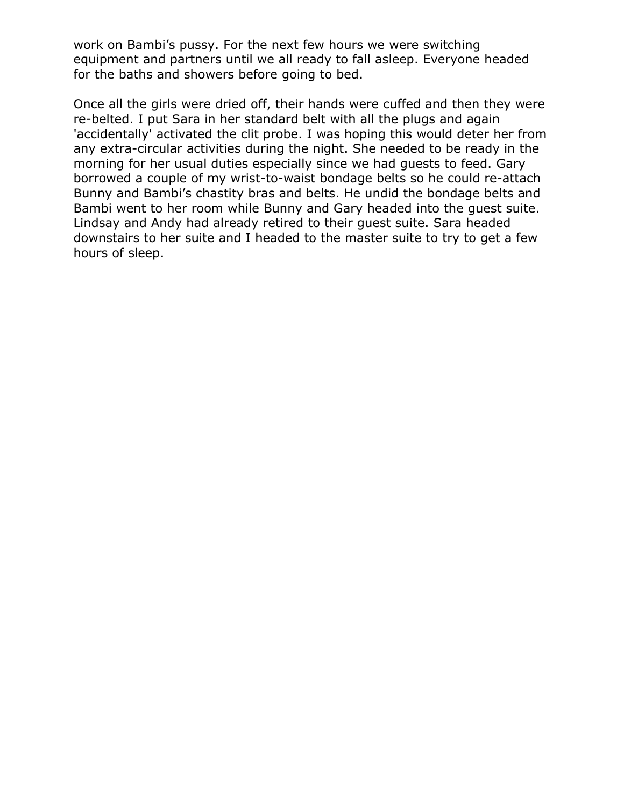work on Bambi's pussy. For the next few hours we were switching equipment and partners until we all ready to fall asleep. Everyone headed for the baths and showers before going to bed.

Once all the girls were dried off, their hands were cuffed and then they were re-belted. I put Sara in her standard belt with all the plugs and again 'accidentally' activated the clit probe. I was hoping this would deter her from any extra-circular activities during the night. She needed to be ready in the morning for her usual duties especially since we had guests to feed. Gary borrowed a couple of my wrist-to-waist bondage belts so he could re-attach Bunny and Bambi's chastity bras and belts. He undid the bondage belts and Bambi went to her room while Bunny and Gary headed into the guest suite. Lindsay and Andy had already retired to their guest suite. Sara headed downstairs to her suite and I headed to the master suite to try to get a few hours of sleep.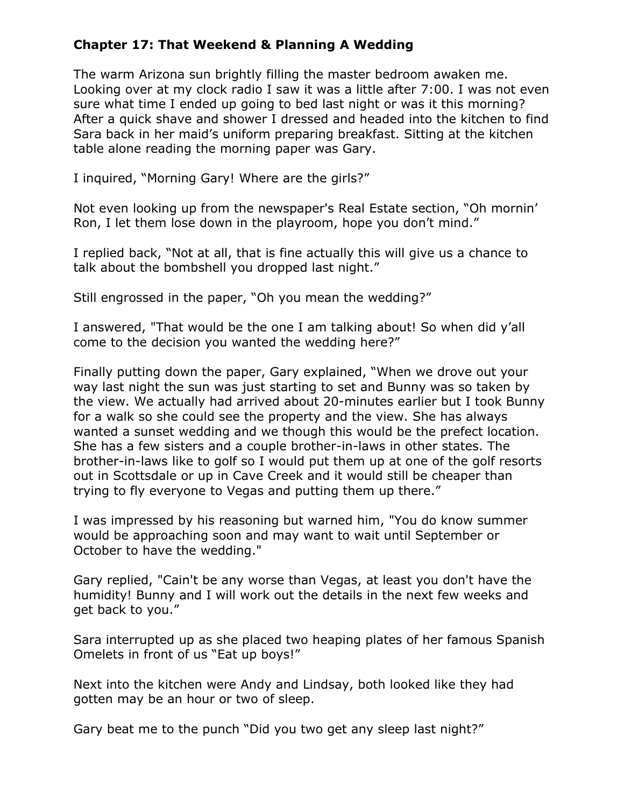## **Chapter 17: That Weekend & Planning A Wedding**

The warm Arizona sun brightly filling the master bedroom awaken me. Looking over at my clock radio I saw it was a little after 7:00. I was not even sure what time I ended up going to bed last night or was it this morning? After a quick shave and shower I dressed and headed into the kitchen to find Sara back in her maid's uniform preparing breakfast. Sitting at the kitchen table alone reading the morning paper was Gary.

I inquired, "Morning Gary! Where are the girls?"

Not even looking up from the newspaper's Real Estate section, "Oh mornin' Ron, I let them lose down in the playroom, hope you don't mind."

I replied back, "Not at all, that is fine actually this will give us a chance to talk about the bombshell you dropped last night."

Still engrossed in the paper, "Oh you mean the wedding?"

I answered, "That would be the one I am talking about! So when did y'all come to the decision you wanted the wedding here?"

Finally putting down the paper, Gary explained, "When we drove out your way last night the sun was just starting to set and Bunny was so taken by the view. We actually had arrived about 20-minutes earlier but I took Bunny for a walk so she could see the property and the view. She has always wanted a sunset wedding and we though this would be the prefect location. She has a few sisters and a couple brother-in-laws in other states. The brother-in-laws like to golf so I would put them up at one of the golf resorts out in Scottsdale or up in Cave Creek and it would still be cheaper than trying to fly everyone to Vegas and putting them up there."

I was impressed by his reasoning but warned him, "You do know summer would be approaching soon and may want to wait until September or October to have the wedding."

Gary replied, "Cain't be any worse than Vegas, at least you don't have the humidity! Bunny and I will work out the details in the next few weeks and get back to you."

Sara interrupted up as she placed two heaping plates of her famous Spanish Omelets in front of us "Eat up boys!"

Next into the kitchen were Andy and Lindsay, both looked like they had gotten may be an hour or two of sleep.

Gary beat me to the punch "Did you two get any sleep last night?"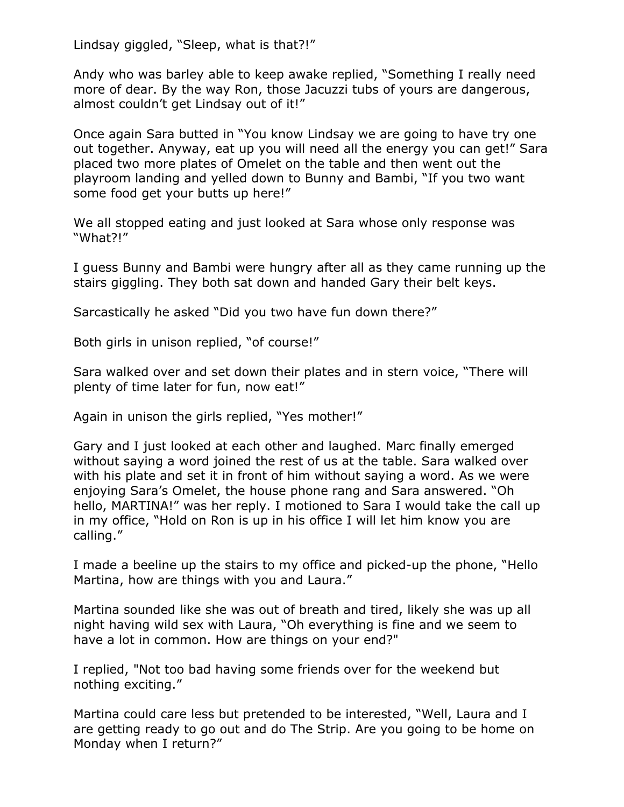Lindsay giggled, "Sleep, what is that?!"

Andy who was barley able to keep awake replied, "Something I really need more of dear. By the way Ron, those Jacuzzi tubs of yours are dangerous, almost couldn't get Lindsay out of it!"

Once again Sara butted in "You know Lindsay we are going to have try one out together. Anyway, eat up you will need all the energy you can get!" Sara placed two more plates of Omelet on the table and then went out the playroom landing and yelled down to Bunny and Bambi, "If you two want some food get your butts up here!"

We all stopped eating and just looked at Sara whose only response was "What?!"

I guess Bunny and Bambi were hungry after all as they came running up the stairs giggling. They both sat down and handed Gary their belt keys.

Sarcastically he asked "Did you two have fun down there?"

Both girls in unison replied, "of course!"

Sara walked over and set down their plates and in stern voice, "There will plenty of time later for fun, now eat!"

Again in unison the girls replied, "Yes mother!"

Gary and I just looked at each other and laughed. Marc finally emerged without saying a word joined the rest of us at the table. Sara walked over with his plate and set it in front of him without saying a word. As we were enjoying Sara's Omelet, the house phone rang and Sara answered. "Oh hello, MARTINA!" was her reply. I motioned to Sara I would take the call up in my office, "Hold on Ron is up in his office I will let him know you are calling."

I made a beeline up the stairs to my office and picked-up the phone, "Hello Martina, how are things with you and Laura."

Martina sounded like she was out of breath and tired, likely she was up all night having wild sex with Laura, "Oh everything is fine and we seem to have a lot in common. How are things on your end?"

I replied, "Not too bad having some friends over for the weekend but nothing exciting."

Martina could care less but pretended to be interested, "Well, Laura and I are getting ready to go out and do The Strip. Are you going to be home on Monday when I return?"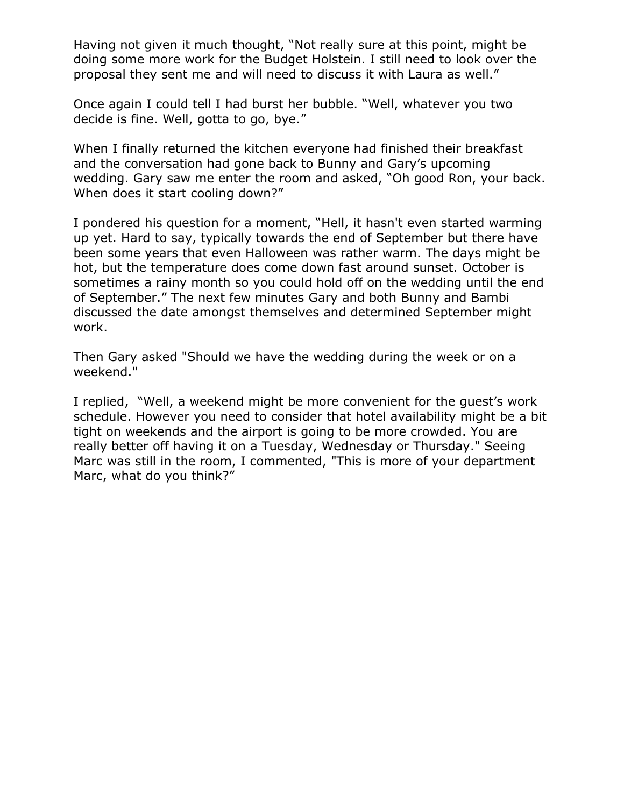Having not given it much thought, "Not really sure at this point, might be doing some more work for the Budget Holstein. I still need to look over the proposal they sent me and will need to discuss it with Laura as well."

Once again I could tell I had burst her bubble. "Well, whatever you two decide is fine. Well, gotta to go, bye."

When I finally returned the kitchen everyone had finished their breakfast and the conversation had gone back to Bunny and Gary's upcoming wedding. Gary saw me enter the room and asked, "Oh good Ron, your back. When does it start cooling down?"

I pondered his question for a moment, "Hell, it hasn't even started warming up yet. Hard to say, typically towards the end of September but there have been some years that even Halloween was rather warm. The days might be hot, but the temperature does come down fast around sunset. October is sometimes a rainy month so you could hold off on the wedding until the end of September." The next few minutes Gary and both Bunny and Bambi discussed the date amongst themselves and determined September might work.

Then Gary asked "Should we have the wedding during the week or on a weekend."

I replied, "Well, a weekend might be more convenient for the guest's work schedule. However you need to consider that hotel availability might be a bit tight on weekends and the airport is going to be more crowded. You are really better off having it on a Tuesday, Wednesday or Thursday." Seeing Marc was still in the room, I commented, "This is more of your department Marc, what do you think?"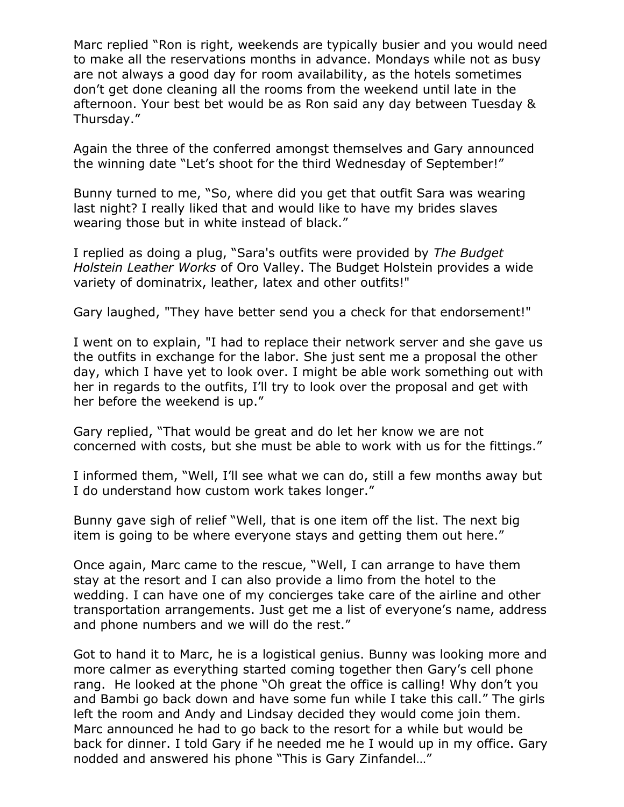Marc replied "Ron is right, weekends are typically busier and you would need to make all the reservations months in advance. Mondays while not as busy are not always a good day for room availability, as the hotels sometimes don't get done cleaning all the rooms from the weekend until late in the afternoon. Your best bet would be as Ron said any day between Tuesday & Thursday."

Again the three of the conferred amongst themselves and Gary announced the winning date "Let's shoot for the third Wednesday of September!"

Bunny turned to me, "So, where did you get that outfit Sara was wearing last night? I really liked that and would like to have my brides slaves wearing those but in white instead of black."

I replied as doing a plug, "Sara's outfits were provided by *The Budget Holstein Leather Works* of Oro Valley. The Budget Holstein provides a wide variety of dominatrix, leather, latex and other outfits!"

Gary laughed, "They have better send you a check for that endorsement!"

I went on to explain, "I had to replace their network server and she gave us the outfits in exchange for the labor. She just sent me a proposal the other day, which I have yet to look over. I might be able work something out with her in regards to the outfits, I'll try to look over the proposal and get with her before the weekend is up."

Gary replied, "That would be great and do let her know we are not concerned with costs, but she must be able to work with us for the fittings."

I informed them, "Well, I'll see what we can do, still a few months away but I do understand how custom work takes longer."

Bunny gave sigh of relief "Well, that is one item off the list. The next big item is going to be where everyone stays and getting them out here."

Once again, Marc came to the rescue, "Well, I can arrange to have them stay at the resort and I can also provide a limo from the hotel to the wedding. I can have one of my concierges take care of the airline and other transportation arrangements. Just get me a list of everyone's name, address and phone numbers and we will do the rest."

Got to hand it to Marc, he is a logistical genius. Bunny was looking more and more calmer as everything started coming together then Gary's cell phone rang. He looked at the phone "Oh great the office is calling! Why don't you and Bambi go back down and have some fun while I take this call." The girls left the room and Andy and Lindsay decided they would come join them. Marc announced he had to go back to the resort for a while but would be back for dinner. I told Gary if he needed me he I would up in my office. Gary nodded and answered his phone "This is Gary Zinfandel…"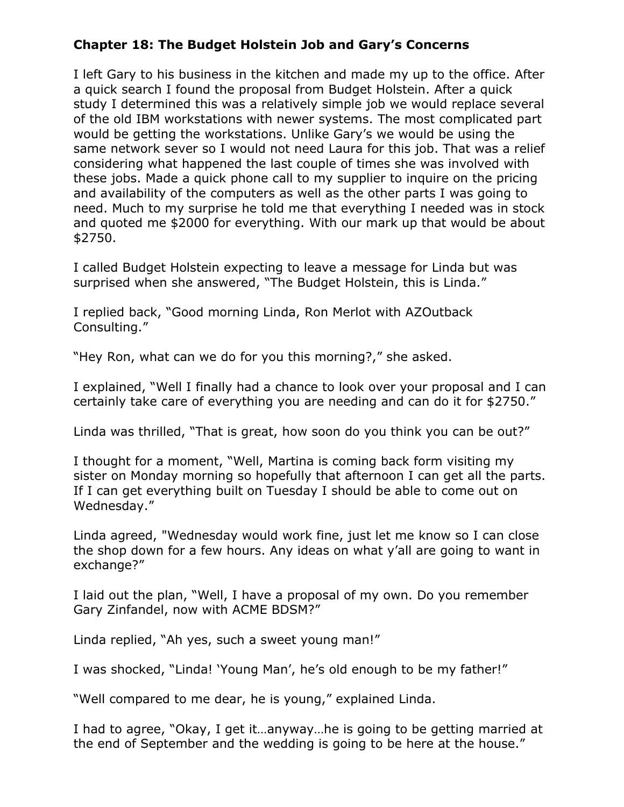# **Chapter 18: The Budget Holstein Job and Gary's Concerns**

I left Gary to his business in the kitchen and made my up to the office. After a quick search I found the proposal from Budget Holstein. After a quick study I determined this was a relatively simple job we would replace several of the old IBM workstations with newer systems. The most complicated part would be getting the workstations. Unlike Gary's we would be using the same network sever so I would not need Laura for this job. That was a relief considering what happened the last couple of times she was involved with these jobs. Made a quick phone call to my supplier to inquire on the pricing and availability of the computers as well as the other parts I was going to need. Much to my surprise he told me that everything I needed was in stock and quoted me \$2000 for everything. With our mark up that would be about \$2750.

I called Budget Holstein expecting to leave a message for Linda but was surprised when she answered, "The Budget Holstein, this is Linda."

I replied back, "Good morning Linda, Ron Merlot with AZOutback Consulting."

"Hey Ron, what can we do for you this morning?," she asked.

I explained, "Well I finally had a chance to look over your proposal and I can certainly take care of everything you are needing and can do it for \$2750."

Linda was thrilled, "That is great, how soon do you think you can be out?"

I thought for a moment, "Well, Martina is coming back form visiting my sister on Monday morning so hopefully that afternoon I can get all the parts. If I can get everything built on Tuesday I should be able to come out on Wednesday."

Linda agreed, "Wednesday would work fine, just let me know so I can close the shop down for a few hours. Any ideas on what y'all are going to want in exchange?"

I laid out the plan, "Well, I have a proposal of my own. Do you remember Gary Zinfandel, now with ACME BDSM?"

Linda replied, "Ah yes, such a sweet young man!"

I was shocked, "Linda! 'Young Man', he's old enough to be my father!"

"Well compared to me dear, he is young," explained Linda.

I had to agree, "Okay, I get it…anyway…he is going to be getting married at the end of September and the wedding is going to be here at the house."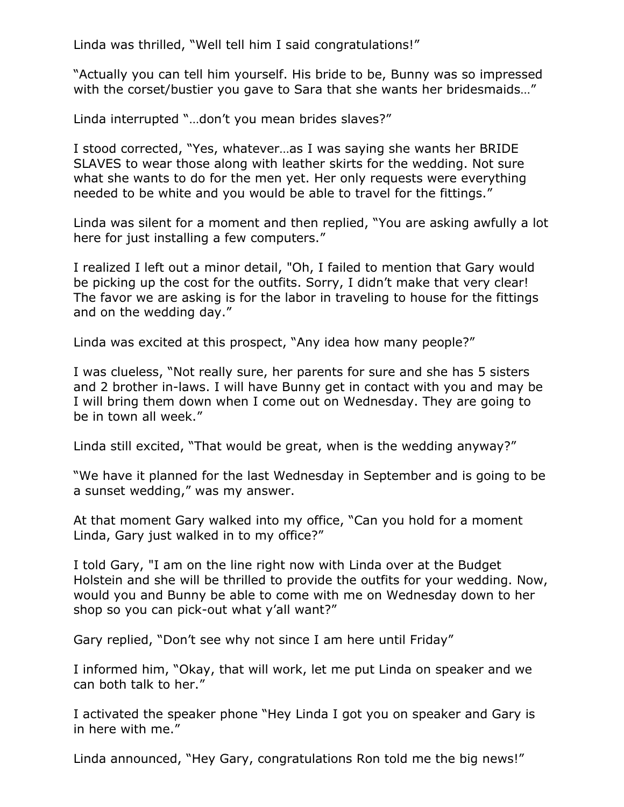Linda was thrilled, "Well tell him I said congratulations!"

"Actually you can tell him yourself. His bride to be, Bunny was so impressed with the corset/bustier you gave to Sara that she wants her bridesmaids..."

Linda interrupted "…don't you mean brides slaves?"

I stood corrected, "Yes, whatever…as I was saying she wants her BRIDE SLAVES to wear those along with leather skirts for the wedding. Not sure what she wants to do for the men yet. Her only requests were everything needed to be white and you would be able to travel for the fittings."

Linda was silent for a moment and then replied, "You are asking awfully a lot here for just installing a few computers."

I realized I left out a minor detail, "Oh, I failed to mention that Gary would be picking up the cost for the outfits. Sorry, I didn't make that very clear! The favor we are asking is for the labor in traveling to house for the fittings and on the wedding day."

Linda was excited at this prospect, "Any idea how many people?"

I was clueless, "Not really sure, her parents for sure and she has 5 sisters and 2 brother in-laws. I will have Bunny get in contact with you and may be I will bring them down when I come out on Wednesday. They are going to be in town all week."

Linda still excited, "That would be great, when is the wedding anyway?"

"We have it planned for the last Wednesday in September and is going to be a sunset wedding," was my answer.

At that moment Gary walked into my office, "Can you hold for a moment Linda, Gary just walked in to my office?"

I told Gary, "I am on the line right now with Linda over at the Budget Holstein and she will be thrilled to provide the outfits for your wedding. Now, would you and Bunny be able to come with me on Wednesday down to her shop so you can pick-out what y'all want?"

Gary replied, "Don't see why not since I am here until Friday"

I informed him, "Okay, that will work, let me put Linda on speaker and we can both talk to her."

I activated the speaker phone "Hey Linda I got you on speaker and Gary is in here with me."

Linda announced, "Hey Gary, congratulations Ron told me the big news!"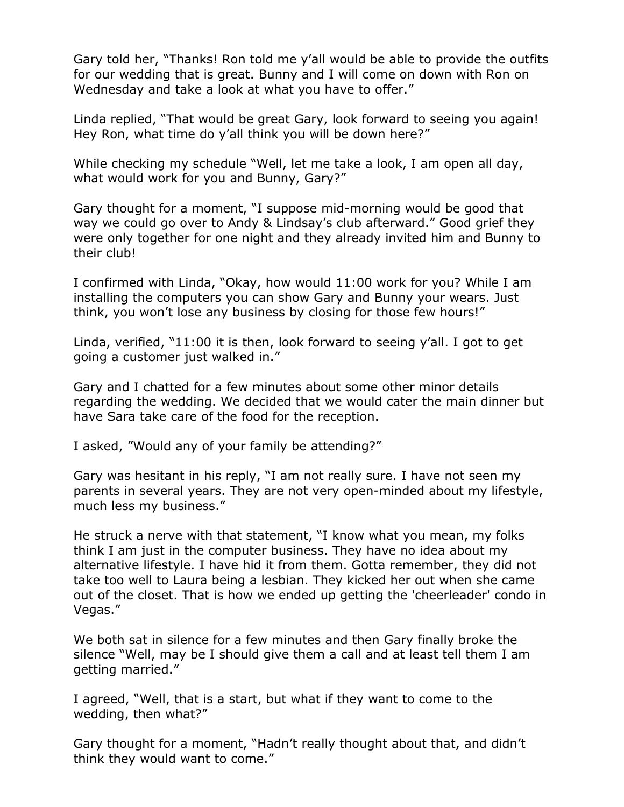Gary told her, "Thanks! Ron told me y'all would be able to provide the outfits for our wedding that is great. Bunny and I will come on down with Ron on Wednesday and take a look at what you have to offer."

Linda replied, "That would be great Gary, look forward to seeing you again! Hey Ron, what time do y'all think you will be down here?"

While checking my schedule "Well, let me take a look, I am open all day, what would work for you and Bunny, Gary?"

Gary thought for a moment, "I suppose mid-morning would be good that way we could go over to Andy & Lindsay's club afterward." Good grief they were only together for one night and they already invited him and Bunny to their club!

I confirmed with Linda, "Okay, how would 11:00 work for you? While I am installing the computers you can show Gary and Bunny your wears. Just think, you won't lose any business by closing for those few hours!"

Linda, verified, "11:00 it is then, look forward to seeing y'all. I got to get going a customer just walked in."

Gary and I chatted for a few minutes about some other minor details regarding the wedding. We decided that we would cater the main dinner but have Sara take care of the food for the reception.

I asked, "Would any of your family be attending?"

Gary was hesitant in his reply, "I am not really sure. I have not seen my parents in several years. They are not very open-minded about my lifestyle, much less my business."

He struck a nerve with that statement, "I know what you mean, my folks think I am just in the computer business. They have no idea about my alternative lifestyle. I have hid it from them. Gotta remember, they did not take too well to Laura being a lesbian. They kicked her out when she came out of the closet. That is how we ended up getting the 'cheerleader' condo in Vegas."

We both sat in silence for a few minutes and then Gary finally broke the silence "Well, may be I should give them a call and at least tell them I am getting married."

I agreed, "Well, that is a start, but what if they want to come to the wedding, then what?"

Gary thought for a moment, "Hadn't really thought about that, and didn't think they would want to come."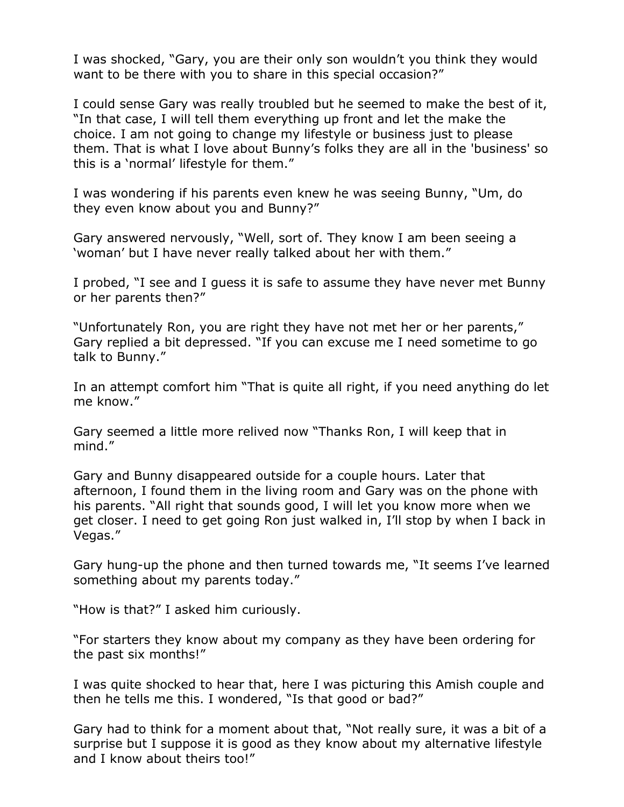I was shocked, "Gary, you are their only son wouldn't you think they would want to be there with you to share in this special occasion?"

I could sense Gary was really troubled but he seemed to make the best of it, "In that case, I will tell them everything up front and let the make the choice. I am not going to change my lifestyle or business just to please them. That is what I love about Bunny's folks they are all in the 'business' so this is a 'normal' lifestyle for them."

I was wondering if his parents even knew he was seeing Bunny, "Um, do they even know about you and Bunny?"

Gary answered nervously, "Well, sort of. They know I am been seeing a 'woman' but I have never really talked about her with them."

I probed, "I see and I guess it is safe to assume they have never met Bunny or her parents then?"

"Unfortunately Ron, you are right they have not met her or her parents," Gary replied a bit depressed. "If you can excuse me I need sometime to go talk to Bunny."

In an attempt comfort him "That is quite all right, if you need anything do let me know."

Gary seemed a little more relived now "Thanks Ron, I will keep that in mind."

Gary and Bunny disappeared outside for a couple hours. Later that afternoon, I found them in the living room and Gary was on the phone with his parents. "All right that sounds good, I will let you know more when we get closer. I need to get going Ron just walked in, I'll stop by when I back in Vegas."

Gary hung-up the phone and then turned towards me, "It seems I've learned something about my parents today."

"How is that?" I asked him curiously.

"For starters they know about my company as they have been ordering for the past six months!"

I was quite shocked to hear that, here I was picturing this Amish couple and then he tells me this. I wondered, "Is that good or bad?"

Gary had to think for a moment about that, "Not really sure, it was a bit of a surprise but I suppose it is good as they know about my alternative lifestyle and I know about theirs too!"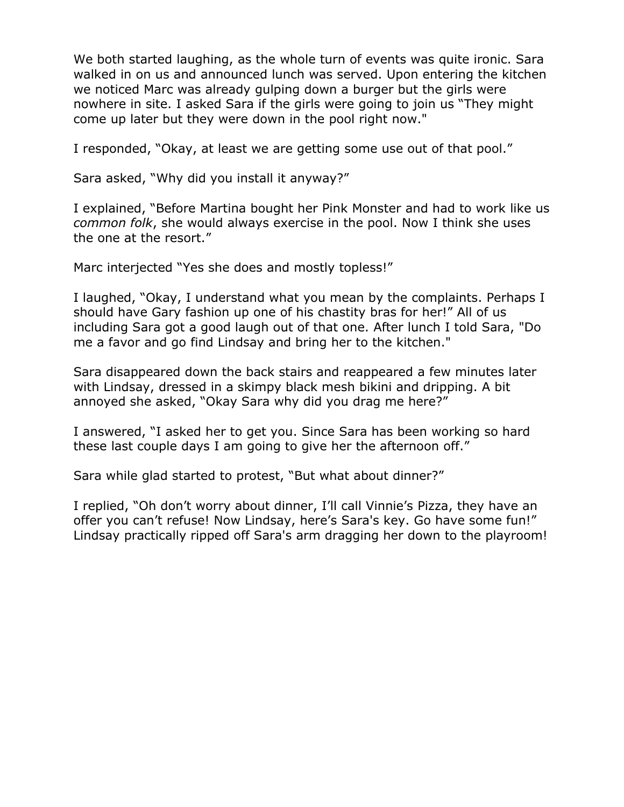We both started laughing, as the whole turn of events was quite ironic. Sara walked in on us and announced lunch was served. Upon entering the kitchen we noticed Marc was already gulping down a burger but the girls were nowhere in site. I asked Sara if the girls were going to join us "They might come up later but they were down in the pool right now."

I responded, "Okay, at least we are getting some use out of that pool."

Sara asked, "Why did you install it anyway?"

I explained, "Before Martina bought her Pink Monster and had to work like us *common folk*, she would always exercise in the pool. Now I think she uses the one at the resort."

Marc interjected "Yes she does and mostly topless!"

I laughed, "Okay, I understand what you mean by the complaints. Perhaps I should have Gary fashion up one of his chastity bras for her!" All of us including Sara got a good laugh out of that one. After lunch I told Sara, "Do me a favor and go find Lindsay and bring her to the kitchen."

Sara disappeared down the back stairs and reappeared a few minutes later with Lindsay, dressed in a skimpy black mesh bikini and dripping. A bit annoyed she asked, "Okay Sara why did you drag me here?"

I answered, "I asked her to get you. Since Sara has been working so hard these last couple days I am going to give her the afternoon off."

Sara while glad started to protest, "But what about dinner?"

I replied, "Oh don't worry about dinner, I'll call Vinnie's Pizza, they have an offer you can't refuse! Now Lindsay, here's Sara's key. Go have some fun!" Lindsay practically ripped off Sara's arm dragging her down to the playroom!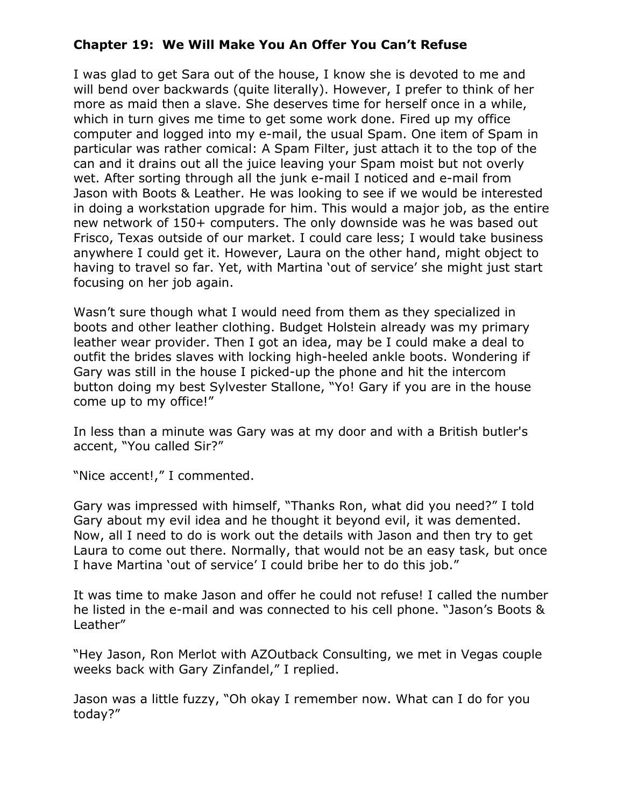### **Chapter 19: We Will Make You An Offer You Can't Refuse**

I was glad to get Sara out of the house, I know she is devoted to me and will bend over backwards (quite literally). However, I prefer to think of her more as maid then a slave. She deserves time for herself once in a while, which in turn gives me time to get some work done. Fired up my office computer and logged into my e-mail, the usual Spam. One item of Spam in particular was rather comical: A Spam Filter, just attach it to the top of the can and it drains out all the juice leaving your Spam moist but not overly wet. After sorting through all the junk e-mail I noticed and e-mail from Jason with Boots & Leather. He was looking to see if we would be interested in doing a workstation upgrade for him. This would a major job, as the entire new network of 150+ computers. The only downside was he was based out Frisco, Texas outside of our market. I could care less; I would take business anywhere I could get it. However, Laura on the other hand, might object to having to travel so far. Yet, with Martina 'out of service' she might just start focusing on her job again.

Wasn't sure though what I would need from them as they specialized in boots and other leather clothing. Budget Holstein already was my primary leather wear provider. Then I got an idea, may be I could make a deal to outfit the brides slaves with locking high-heeled ankle boots. Wondering if Gary was still in the house I picked-up the phone and hit the intercom button doing my best Sylvester Stallone, "Yo! Gary if you are in the house come up to my office!"

In less than a minute was Gary was at my door and with a British butler's accent, "You called Sir?"

"Nice accent!," I commented.

Gary was impressed with himself, "Thanks Ron, what did you need?" I told Gary about my evil idea and he thought it beyond evil, it was demented. Now, all I need to do is work out the details with Jason and then try to get Laura to come out there. Normally, that would not be an easy task, but once I have Martina 'out of service' I could bribe her to do this job."

It was time to make Jason and offer he could not refuse! I called the number he listed in the e-mail and was connected to his cell phone. "Jason's Boots & Leather"

"Hey Jason, Ron Merlot with AZOutback Consulting, we met in Vegas couple weeks back with Gary Zinfandel," I replied.

Jason was a little fuzzy, "Oh okay I remember now. What can I do for you today?"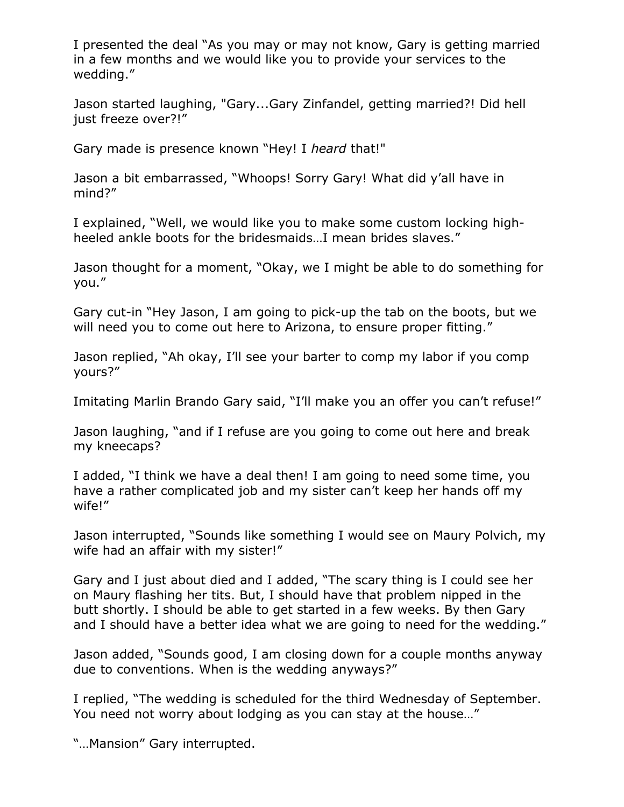I presented the deal "As you may or may not know, Gary is getting married in a few months and we would like you to provide your services to the wedding."

Jason started laughing, "Gary...Gary Zinfandel, getting married?! Did hell just freeze over?!"

Gary made is presence known "Hey! I *heard* that!"

Jason a bit embarrassed, "Whoops! Sorry Gary! What did y'all have in mind?"

I explained, "Well, we would like you to make some custom locking highheeled ankle boots for the bridesmaids…I mean brides slaves."

Jason thought for a moment, "Okay, we I might be able to do something for you."

Gary cut-in "Hey Jason, I am going to pick-up the tab on the boots, but we will need you to come out here to Arizona, to ensure proper fitting."

Jason replied, "Ah okay, I'll see your barter to comp my labor if you comp yours?"

Imitating Marlin Brando Gary said, "I'll make you an offer you can't refuse!"

Jason laughing, "and if I refuse are you going to come out here and break my kneecaps?

I added, "I think we have a deal then! I am going to need some time, you have a rather complicated job and my sister can't keep her hands off my wife!"

Jason interrupted, "Sounds like something I would see on Maury Polvich, my wife had an affair with my sister!"

Gary and I just about died and I added, "The scary thing is I could see her on Maury flashing her tits. But, I should have that problem nipped in the butt shortly. I should be able to get started in a few weeks. By then Gary and I should have a better idea what we are going to need for the wedding."

Jason added, "Sounds good, I am closing down for a couple months anyway due to conventions. When is the wedding anyways?"

I replied, "The wedding is scheduled for the third Wednesday of September. You need not worry about lodging as you can stay at the house…"

"…Mansion" Gary interrupted.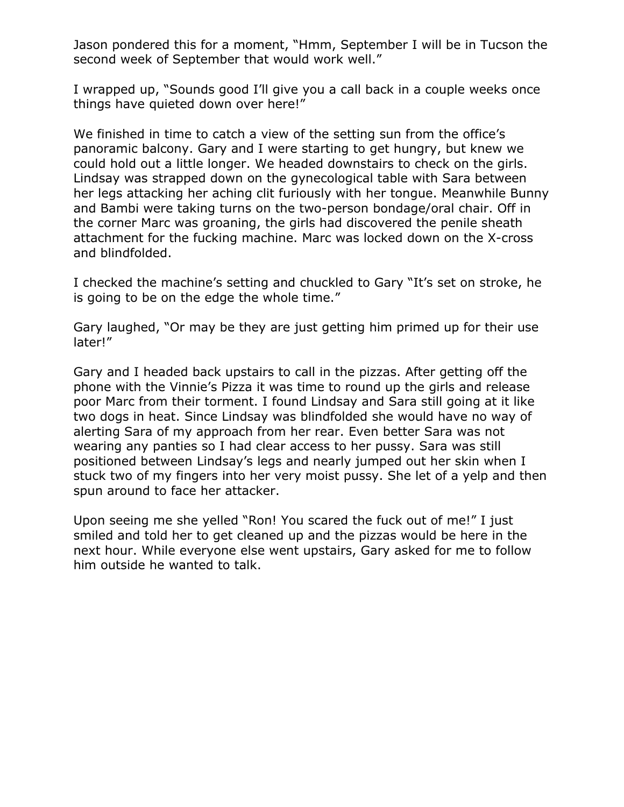Jason pondered this for a moment, "Hmm, September I will be in Tucson the second week of September that would work well."

I wrapped up, "Sounds good I'll give you a call back in a couple weeks once things have quieted down over here!"

We finished in time to catch a view of the setting sun from the office's panoramic balcony. Gary and I were starting to get hungry, but knew we could hold out a little longer. We headed downstairs to check on the girls. Lindsay was strapped down on the gynecological table with Sara between her legs attacking her aching clit furiously with her tongue. Meanwhile Bunny and Bambi were taking turns on the two-person bondage/oral chair. Off in the corner Marc was groaning, the girls had discovered the penile sheath attachment for the fucking machine. Marc was locked down on the X-cross and blindfolded.

I checked the machine's setting and chuckled to Gary "It's set on stroke, he is going to be on the edge the whole time."

Gary laughed, "Or may be they are just getting him primed up for their use later!"

Gary and I headed back upstairs to call in the pizzas. After getting off the phone with the Vinnie's Pizza it was time to round up the girls and release poor Marc from their torment. I found Lindsay and Sara still going at it like two dogs in heat. Since Lindsay was blindfolded she would have no way of alerting Sara of my approach from her rear. Even better Sara was not wearing any panties so I had clear access to her pussy. Sara was still positioned between Lindsay's legs and nearly jumped out her skin when I stuck two of my fingers into her very moist pussy. She let of a yelp and then spun around to face her attacker.

Upon seeing me she yelled "Ron! You scared the fuck out of me!" I just smiled and told her to get cleaned up and the pizzas would be here in the next hour. While everyone else went upstairs, Gary asked for me to follow him outside he wanted to talk.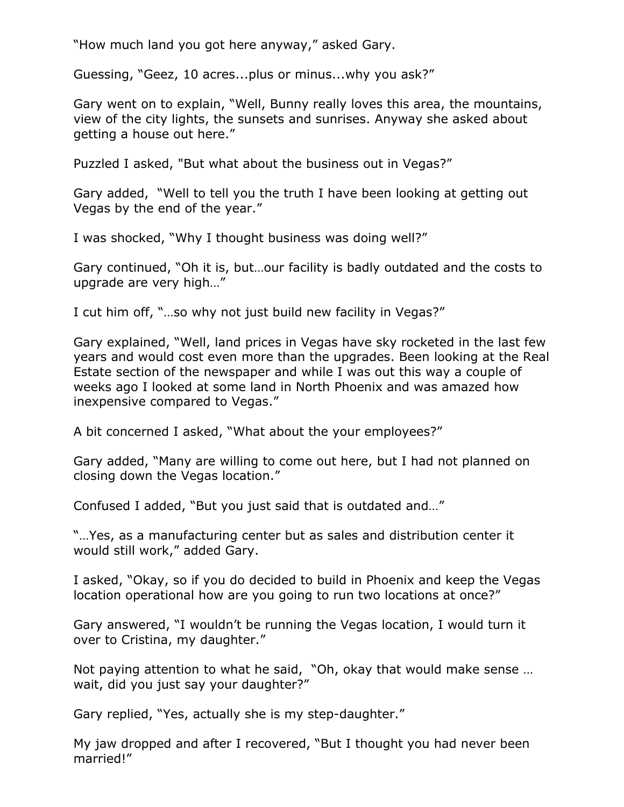"How much land you got here anyway," asked Gary.

Guessing, "Geez, 10 acres...plus or minus...why you ask?"

Gary went on to explain, "Well, Bunny really loves this area, the mountains, view of the city lights, the sunsets and sunrises. Anyway she asked about getting a house out here."

Puzzled I asked, "But what about the business out in Vegas?"

Gary added, "Well to tell you the truth I have been looking at getting out Vegas by the end of the year."

I was shocked, "Why I thought business was doing well?"

Gary continued, "Oh it is, but…our facility is badly outdated and the costs to upgrade are very high…"

I cut him off, "…so why not just build new facility in Vegas?"

Gary explained, "Well, land prices in Vegas have sky rocketed in the last few years and would cost even more than the upgrades. Been looking at the Real Estate section of the newspaper and while I was out this way a couple of weeks ago I looked at some land in North Phoenix and was amazed how inexpensive compared to Vegas."

A bit concerned I asked, "What about the your employees?"

Gary added, "Many are willing to come out here, but I had not planned on closing down the Vegas location."

Confused I added, "But you just said that is outdated and…"

"…Yes, as a manufacturing center but as sales and distribution center it would still work," added Gary.

I asked, "Okay, so if you do decided to build in Phoenix and keep the Vegas location operational how are you going to run two locations at once?"

Gary answered, "I wouldn't be running the Vegas location, I would turn it over to Cristina, my daughter."

Not paying attention to what he said, "Oh, okay that would make sense … wait, did you just say your daughter?"

Gary replied, "Yes, actually she is my step-daughter."

My jaw dropped and after I recovered, "But I thought you had never been married!"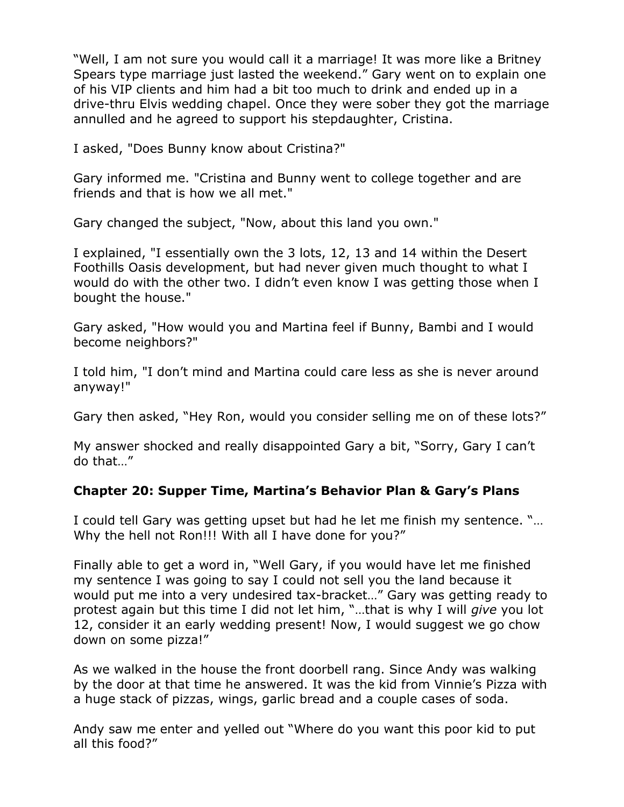"Well, I am not sure you would call it a marriage! It was more like a Britney Spears type marriage just lasted the weekend." Gary went on to explain one of his VIP clients and him had a bit too much to drink and ended up in a drive-thru Elvis wedding chapel. Once they were sober they got the marriage annulled and he agreed to support his stepdaughter, Cristina.

I asked, "Does Bunny know about Cristina?"

Gary informed me. "Cristina and Bunny went to college together and are friends and that is how we all met."

Gary changed the subject, "Now, about this land you own."

I explained, "I essentially own the 3 lots, 12, 13 and 14 within the Desert Foothills Oasis development, but had never given much thought to what I would do with the other two. I didn't even know I was getting those when I bought the house."

Gary asked, "How would you and Martina feel if Bunny, Bambi and I would become neighbors?"

I told him, "I don't mind and Martina could care less as she is never around anyway!"

Gary then asked, "Hey Ron, would you consider selling me on of these lots?"

My answer shocked and really disappointed Gary a bit, "Sorry, Gary I can't do that…"

## **Chapter 20: Supper Time, Martina's Behavior Plan & Gary's Plans**

I could tell Gary was getting upset but had he let me finish my sentence. "… Why the hell not Ron!!! With all I have done for you?"

Finally able to get a word in, "Well Gary, if you would have let me finished my sentence I was going to say I could not sell you the land because it would put me into a very undesired tax-bracket…" Gary was getting ready to protest again but this time I did not let him, "…that is why I will *give* you lot 12, consider it an early wedding present! Now, I would suggest we go chow down on some pizza!"

As we walked in the house the front doorbell rang. Since Andy was walking by the door at that time he answered. It was the kid from Vinnie's Pizza with a huge stack of pizzas, wings, garlic bread and a couple cases of soda.

Andy saw me enter and yelled out "Where do you want this poor kid to put all this food?"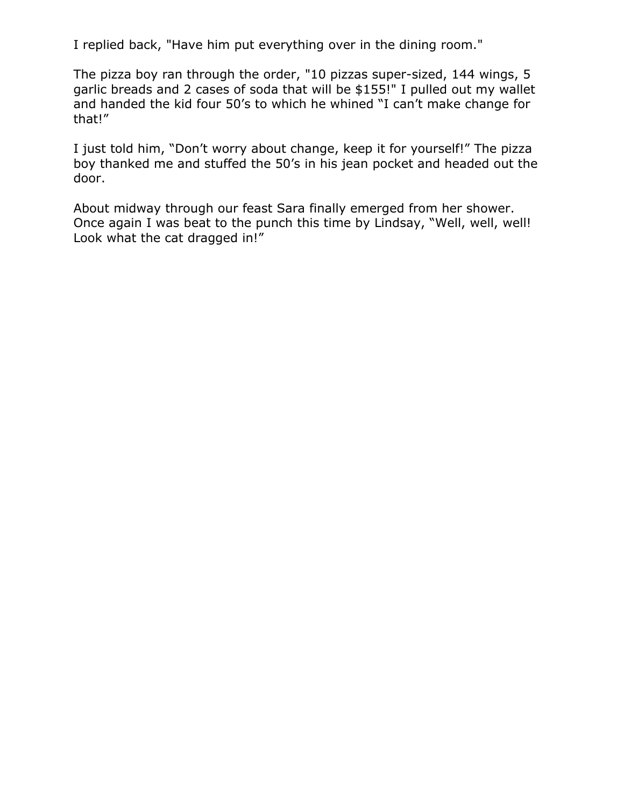I replied back, "Have him put everything over in the dining room."

The pizza boy ran through the order, "10 pizzas super-sized, 144 wings, 5 garlic breads and 2 cases of soda that will be \$155!" I pulled out my wallet and handed the kid four 50's to which he whined "I can't make change for that!"

I just told him, "Don't worry about change, keep it for yourself!" The pizza boy thanked me and stuffed the 50's in his jean pocket and headed out the door.

About midway through our feast Sara finally emerged from her shower. Once again I was beat to the punch this time by Lindsay, "Well, well, well! Look what the cat dragged in!"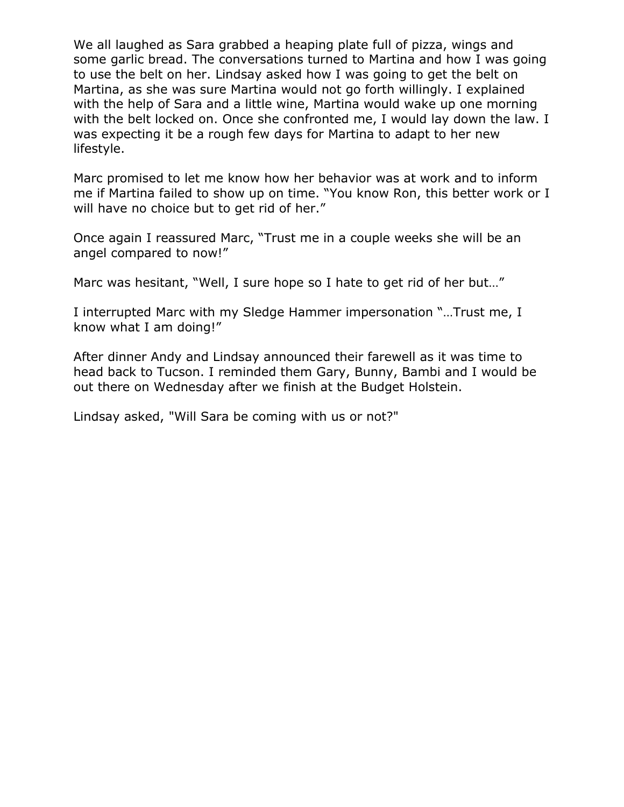We all laughed as Sara grabbed a heaping plate full of pizza, wings and some garlic bread. The conversations turned to Martina and how I was going to use the belt on her. Lindsay asked how I was going to get the belt on Martina, as she was sure Martina would not go forth willingly. I explained with the help of Sara and a little wine, Martina would wake up one morning with the belt locked on. Once she confronted me, I would lay down the law. I was expecting it be a rough few days for Martina to adapt to her new lifestyle.

Marc promised to let me know how her behavior was at work and to inform me if Martina failed to show up on time. "You know Ron, this better work or I will have no choice but to get rid of her."

Once again I reassured Marc, "Trust me in a couple weeks she will be an angel compared to now!"

Marc was hesitant, "Well, I sure hope so I hate to get rid of her but…"

I interrupted Marc with my Sledge Hammer impersonation "…Trust me, I know what I am doing!"

After dinner Andy and Lindsay announced their farewell as it was time to head back to Tucson. I reminded them Gary, Bunny, Bambi and I would be out there on Wednesday after we finish at the Budget Holstein.

Lindsay asked, "Will Sara be coming with us or not?"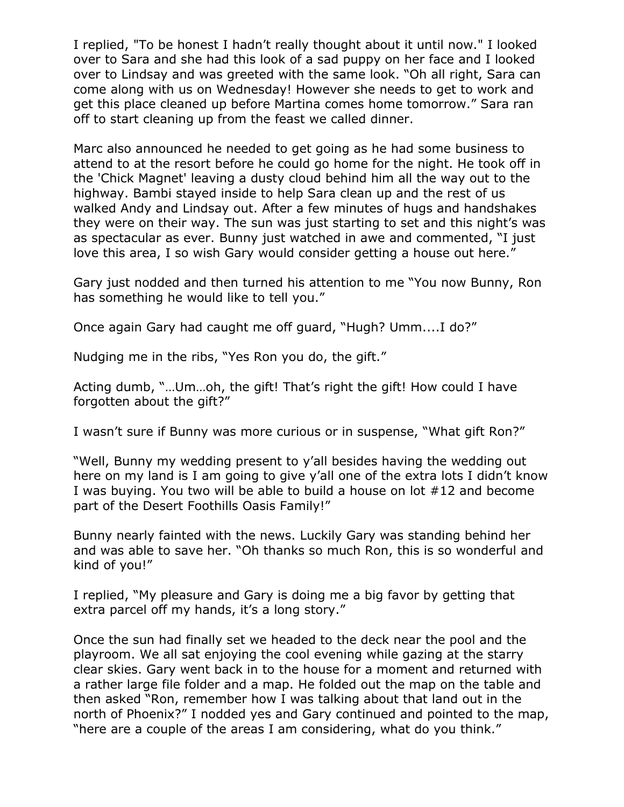I replied, "To be honest I hadn't really thought about it until now." I looked over to Sara and she had this look of a sad puppy on her face and I looked over to Lindsay and was greeted with the same look. "Oh all right, Sara can come along with us on Wednesday! However she needs to get to work and get this place cleaned up before Martina comes home tomorrow." Sara ran off to start cleaning up from the feast we called dinner.

Marc also announced he needed to get going as he had some business to attend to at the resort before he could go home for the night. He took off in the 'Chick Magnet' leaving a dusty cloud behind him all the way out to the highway. Bambi stayed inside to help Sara clean up and the rest of us walked Andy and Lindsay out. After a few minutes of hugs and handshakes they were on their way. The sun was just starting to set and this night's was as spectacular as ever. Bunny just watched in awe and commented, "I just love this area, I so wish Gary would consider getting a house out here."

Gary just nodded and then turned his attention to me "You now Bunny, Ron has something he would like to tell you."

Once again Gary had caught me off guard, "Hugh? Umm....I do?"

Nudging me in the ribs, "Yes Ron you do, the gift."

Acting dumb, "…Um…oh, the gift! That's right the gift! How could I have forgotten about the gift?"

I wasn't sure if Bunny was more curious or in suspense, "What gift Ron?"

"Well, Bunny my wedding present to y'all besides having the wedding out here on my land is I am going to give y'all one of the extra lots I didn't know I was buying. You two will be able to build a house on lot #12 and become part of the Desert Foothills Oasis Family!"

Bunny nearly fainted with the news. Luckily Gary was standing behind her and was able to save her. "Oh thanks so much Ron, this is so wonderful and kind of you!"

I replied, "My pleasure and Gary is doing me a big favor by getting that extra parcel off my hands, it's a long story."

Once the sun had finally set we headed to the deck near the pool and the playroom. We all sat enjoying the cool evening while gazing at the starry clear skies. Gary went back in to the house for a moment and returned with a rather large file folder and a map. He folded out the map on the table and then asked "Ron, remember how I was talking about that land out in the north of Phoenix?" I nodded yes and Gary continued and pointed to the map, "here are a couple of the areas I am considering, what do you think."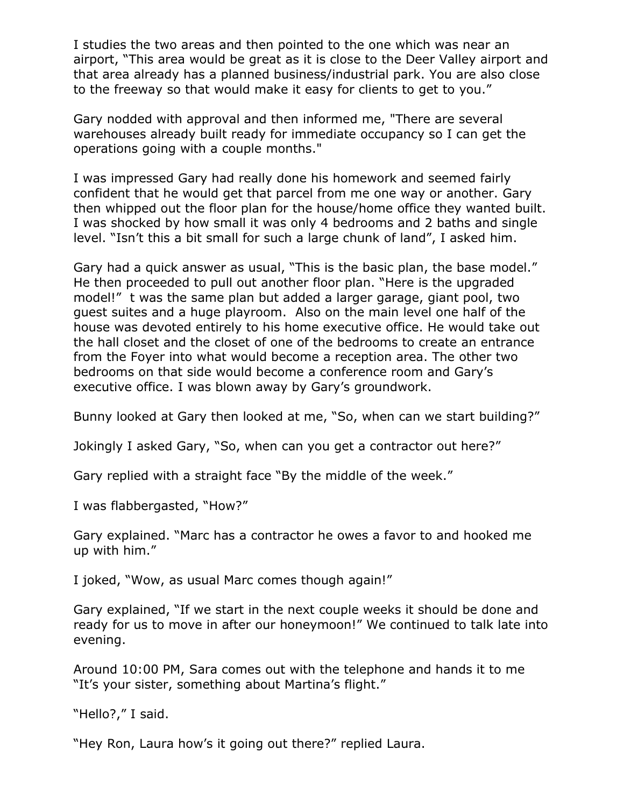I studies the two areas and then pointed to the one which was near an airport, "This area would be great as it is close to the Deer Valley airport and that area already has a planned business/industrial park. You are also close to the freeway so that would make it easy for clients to get to you."

Gary nodded with approval and then informed me, "There are several warehouses already built ready for immediate occupancy so I can get the operations going with a couple months."

I was impressed Gary had really done his homework and seemed fairly confident that he would get that parcel from me one way or another. Gary then whipped out the floor plan for the house/home office they wanted built. I was shocked by how small it was only 4 bedrooms and 2 baths and single level. "Isn't this a bit small for such a large chunk of land", I asked him.

Gary had a quick answer as usual, "This is the basic plan, the base model." He then proceeded to pull out another floor plan. "Here is the upgraded model!" t was the same plan but added a larger garage, giant pool, two guest suites and a huge playroom. Also on the main level one half of the house was devoted entirely to his home executive office. He would take out the hall closet and the closet of one of the bedrooms to create an entrance from the Foyer into what would become a reception area. The other two bedrooms on that side would become a conference room and Gary's executive office. I was blown away by Gary's groundwork.

Bunny looked at Gary then looked at me, "So, when can we start building?"

Jokingly I asked Gary, "So, when can you get a contractor out here?"

Gary replied with a straight face "By the middle of the week."

I was flabbergasted, "How?"

Gary explained. "Marc has a contractor he owes a favor to and hooked me up with him."

I joked, "Wow, as usual Marc comes though again!"

Gary explained, "If we start in the next couple weeks it should be done and ready for us to move in after our honeymoon!" We continued to talk late into evening.

Around 10:00 PM, Sara comes out with the telephone and hands it to me "It's your sister, something about Martina's flight."

"Hello?," I said.

"Hey Ron, Laura how's it going out there?" replied Laura.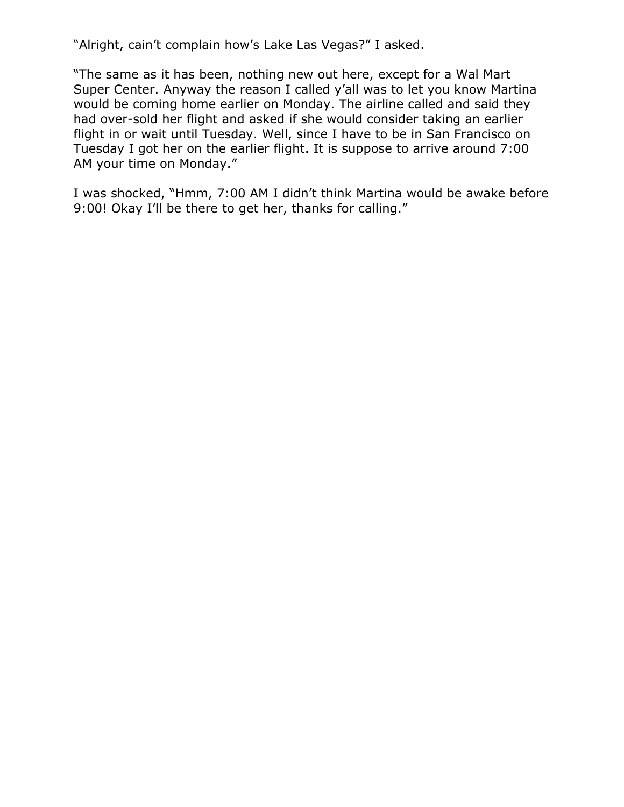"Alright, cain't complain how's Lake Las Vegas?" I asked.

"The same as it has been, nothing new out here, except for a Wal Mart Super Center. Anyway the reason I called y'all was to let you know Martina would be coming home earlier on Monday. The airline called and said they had over-sold her flight and asked if she would consider taking an earlier flight in or wait until Tuesday. Well, since I have to be in San Francisco on Tuesday I got her on the earlier flight. It is suppose to arrive around 7:00 AM your time on Monday."

I was shocked, "Hmm, 7:00 AM I didn't think Martina would be awake before 9:00! Okay I'll be there to get her, thanks for calling."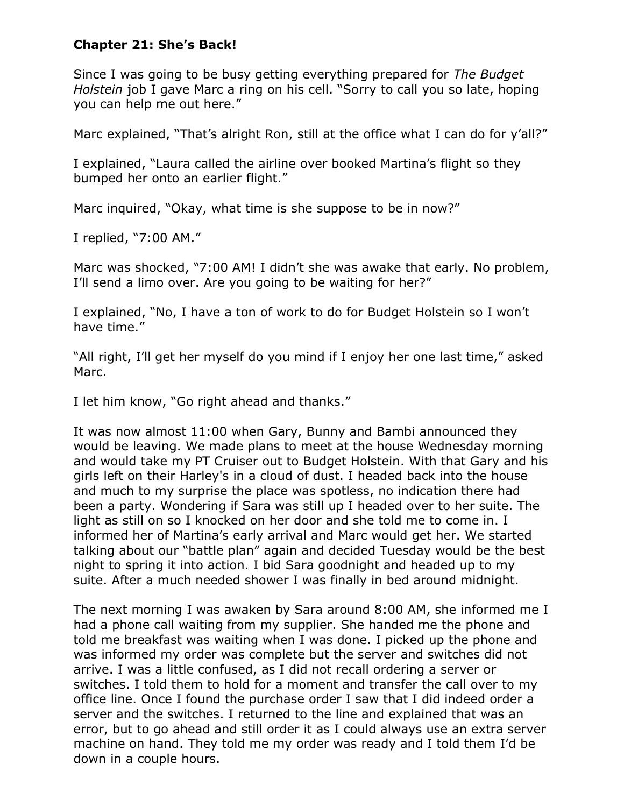#### **Chapter 21: She's Back!**

Since I was going to be busy getting everything prepared for *The Budget Holstein* job I gave Marc a ring on his cell. "Sorry to call you so late, hoping you can help me out here."

Marc explained, "That's alright Ron, still at the office what I can do for y'all?"

I explained, "Laura called the airline over booked Martina's flight so they bumped her onto an earlier flight."

Marc inquired, "Okay, what time is she suppose to be in now?"

I replied, "7:00 AM."

Marc was shocked, "7:00 AM! I didn't she was awake that early. No problem, I'll send a limo over. Are you going to be waiting for her?"

I explained, "No, I have a ton of work to do for Budget Holstein so I won't have time."

"All right, I'll get her myself do you mind if I enjoy her one last time," asked Marc.

I let him know, "Go right ahead and thanks."

It was now almost 11:00 when Gary, Bunny and Bambi announced they would be leaving. We made plans to meet at the house Wednesday morning and would take my PT Cruiser out to Budget Holstein. With that Gary and his girls left on their Harley's in a cloud of dust. I headed back into the house and much to my surprise the place was spotless, no indication there had been a party. Wondering if Sara was still up I headed over to her suite. The light as still on so I knocked on her door and she told me to come in. I informed her of Martina's early arrival and Marc would get her. We started talking about our "battle plan" again and decided Tuesday would be the best night to spring it into action. I bid Sara goodnight and headed up to my suite. After a much needed shower I was finally in bed around midnight.

The next morning I was awaken by Sara around 8:00 AM, she informed me I had a phone call waiting from my supplier. She handed me the phone and told me breakfast was waiting when I was done. I picked up the phone and was informed my order was complete but the server and switches did not arrive. I was a little confused, as I did not recall ordering a server or switches. I told them to hold for a moment and transfer the call over to my office line. Once I found the purchase order I saw that I did indeed order a server and the switches. I returned to the line and explained that was an error, but to go ahead and still order it as I could always use an extra server machine on hand. They told me my order was ready and I told them I'd be down in a couple hours.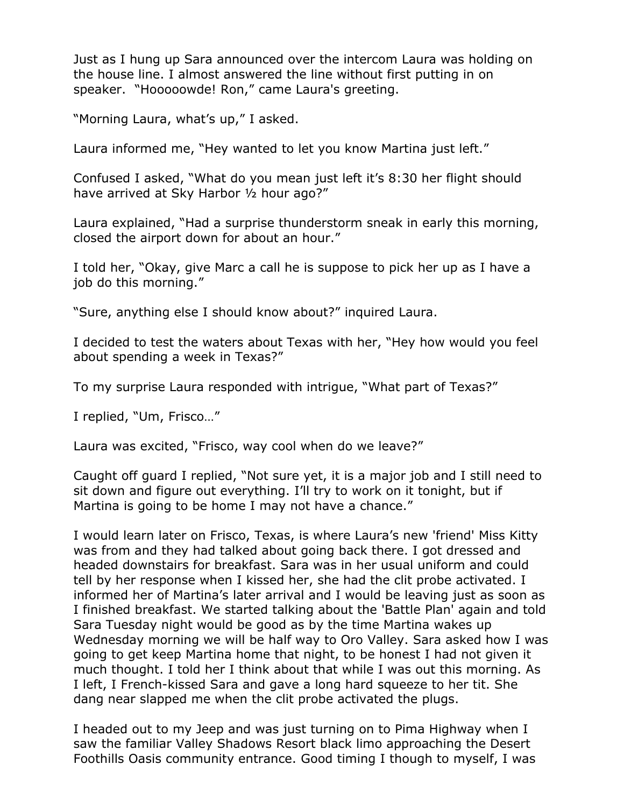Just as I hung up Sara announced over the intercom Laura was holding on the house line. I almost answered the line without first putting in on speaker. "Hooooowde! Ron," came Laura's greeting.

"Morning Laura, what's up," I asked.

Laura informed me, "Hey wanted to let you know Martina just left."

Confused I asked, "What do you mean just left it's 8:30 her flight should have arrived at Sky Harbor ½ hour ago?"

Laura explained, "Had a surprise thunderstorm sneak in early this morning, closed the airport down for about an hour."

I told her, "Okay, give Marc a call he is suppose to pick her up as I have a job do this morning."

"Sure, anything else I should know about?" inquired Laura.

I decided to test the waters about Texas with her, "Hey how would you feel about spending a week in Texas?"

To my surprise Laura responded with intrigue, "What part of Texas?"

I replied, "Um, Frisco…"

Laura was excited, "Frisco, way cool when do we leave?"

Caught off guard I replied, "Not sure yet, it is a major job and I still need to sit down and figure out everything. I'll try to work on it tonight, but if Martina is going to be home I may not have a chance."

I would learn later on Frisco, Texas, is where Laura's new 'friend' Miss Kitty was from and they had talked about going back there. I got dressed and headed downstairs for breakfast. Sara was in her usual uniform and could tell by her response when I kissed her, she had the clit probe activated. I informed her of Martina's later arrival and I would be leaving just as soon as I finished breakfast. We started talking about the 'Battle Plan' again and told Sara Tuesday night would be good as by the time Martina wakes up Wednesday morning we will be half way to Oro Valley. Sara asked how I was going to get keep Martina home that night, to be honest I had not given it much thought. I told her I think about that while I was out this morning. As I left, I French-kissed Sara and gave a long hard squeeze to her tit. She dang near slapped me when the clit probe activated the plugs.

I headed out to my Jeep and was just turning on to Pima Highway when I saw the familiar Valley Shadows Resort black limo approaching the Desert Foothills Oasis community entrance. Good timing I though to myself, I was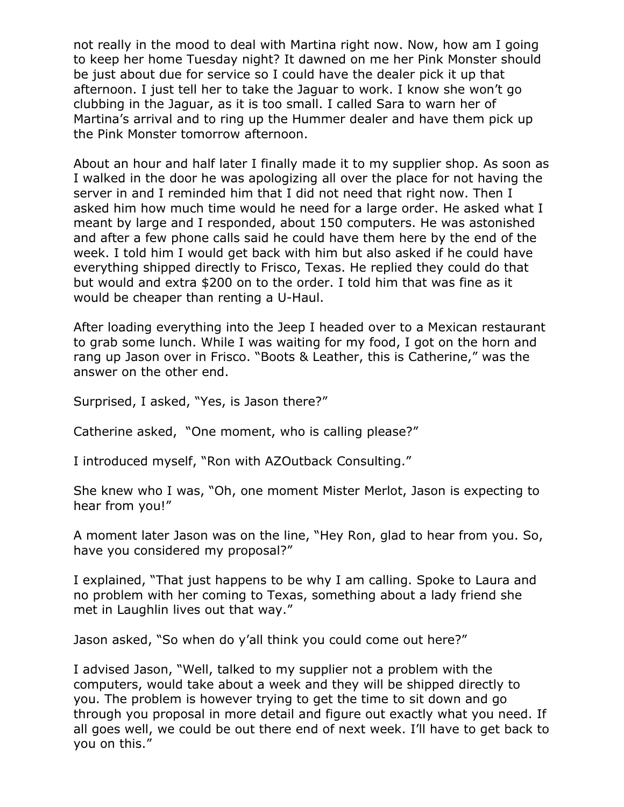not really in the mood to deal with Martina right now. Now, how am I going to keep her home Tuesday night? It dawned on me her Pink Monster should be just about due for service so I could have the dealer pick it up that afternoon. I just tell her to take the Jaguar to work. I know she won't go clubbing in the Jaguar, as it is too small. I called Sara to warn her of Martina's arrival and to ring up the Hummer dealer and have them pick up the Pink Monster tomorrow afternoon.

About an hour and half later I finally made it to my supplier shop. As soon as I walked in the door he was apologizing all over the place for not having the server in and I reminded him that I did not need that right now. Then I asked him how much time would he need for a large order. He asked what I meant by large and I responded, about 150 computers. He was astonished and after a few phone calls said he could have them here by the end of the week. I told him I would get back with him but also asked if he could have everything shipped directly to Frisco, Texas. He replied they could do that but would and extra \$200 on to the order. I told him that was fine as it would be cheaper than renting a U-Haul.

After loading everything into the Jeep I headed over to a Mexican restaurant to grab some lunch. While I was waiting for my food, I got on the horn and rang up Jason over in Frisco. "Boots & Leather, this is Catherine," was the answer on the other end.

Surprised, I asked, "Yes, is Jason there?"

Catherine asked, "One moment, who is calling please?"

I introduced myself, "Ron with AZOutback Consulting."

She knew who I was, "Oh, one moment Mister Merlot, Jason is expecting to hear from you!"

A moment later Jason was on the line, "Hey Ron, glad to hear from you. So, have you considered my proposal?"

I explained, "That just happens to be why I am calling. Spoke to Laura and no problem with her coming to Texas, something about a lady friend she met in Laughlin lives out that way."

Jason asked, "So when do y'all think you could come out here?"

I advised Jason, "Well, talked to my supplier not a problem with the computers, would take about a week and they will be shipped directly to you. The problem is however trying to get the time to sit down and go through you proposal in more detail and figure out exactly what you need. If all goes well, we could be out there end of next week. I'll have to get back to you on this."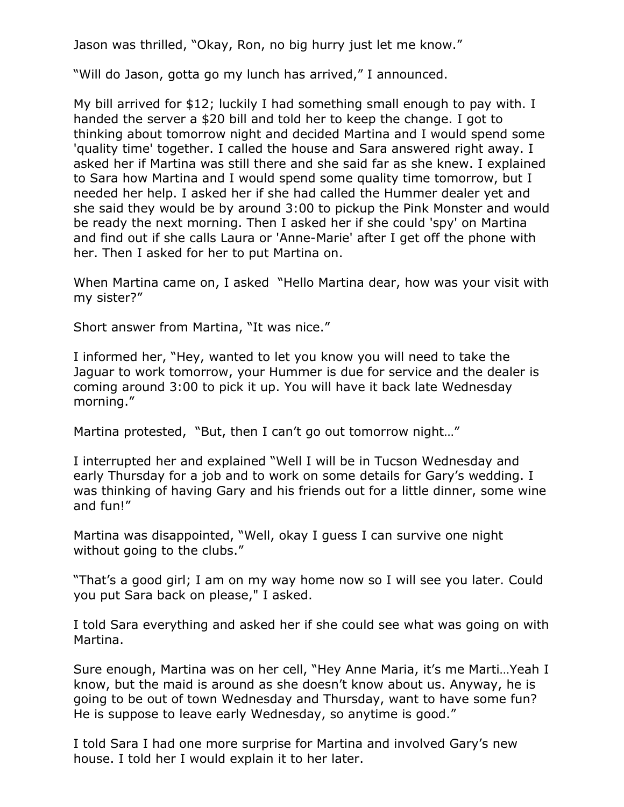Jason was thrilled, "Okay, Ron, no big hurry just let me know."

"Will do Jason, gotta go my lunch has arrived," I announced.

My bill arrived for \$12; luckily I had something small enough to pay with. I handed the server a \$20 bill and told her to keep the change. I got to thinking about tomorrow night and decided Martina and I would spend some 'quality time' together. I called the house and Sara answered right away. I asked her if Martina was still there and she said far as she knew. I explained to Sara how Martina and I would spend some quality time tomorrow, but I needed her help. I asked her if she had called the Hummer dealer yet and she said they would be by around 3:00 to pickup the Pink Monster and would be ready the next morning. Then I asked her if she could 'spy' on Martina and find out if she calls Laura or 'Anne-Marie' after I get off the phone with her. Then I asked for her to put Martina on.

When Martina came on, I asked "Hello Martina dear, how was your visit with my sister?"

Short answer from Martina, "It was nice."

I informed her, "Hey, wanted to let you know you will need to take the Jaguar to work tomorrow, your Hummer is due for service and the dealer is coming around 3:00 to pick it up. You will have it back late Wednesday morning."

Martina protested, "But, then I can't go out tomorrow night..."

I interrupted her and explained "Well I will be in Tucson Wednesday and early Thursday for a job and to work on some details for Gary's wedding. I was thinking of having Gary and his friends out for a little dinner, some wine and fun!"

Martina was disappointed, "Well, okay I guess I can survive one night without going to the clubs."

"That's a good girl; I am on my way home now so I will see you later. Could you put Sara back on please," I asked.

I told Sara everything and asked her if she could see what was going on with Martina.

Sure enough, Martina was on her cell, "Hey Anne Maria, it's me Marti…Yeah I know, but the maid is around as she doesn't know about us. Anyway, he is going to be out of town Wednesday and Thursday, want to have some fun? He is suppose to leave early Wednesday, so anytime is good."

I told Sara I had one more surprise for Martina and involved Gary's new house. I told her I would explain it to her later.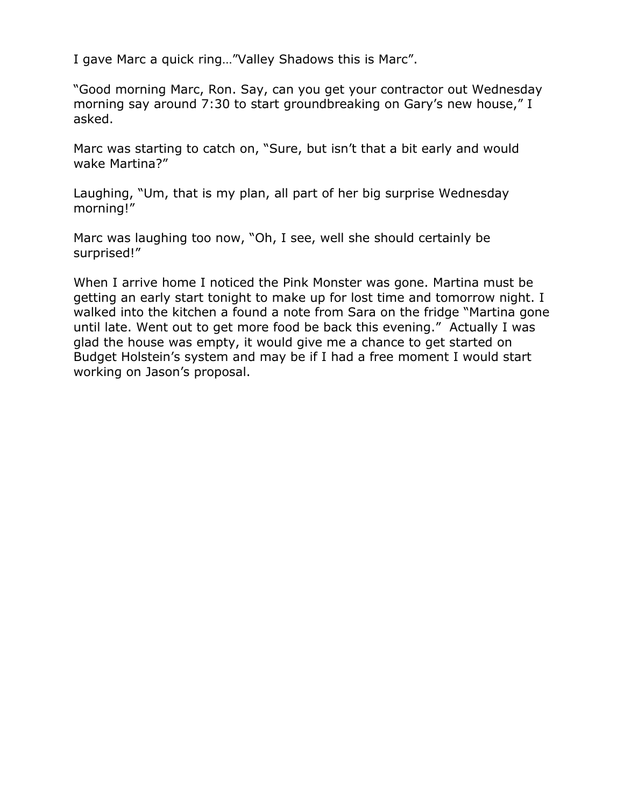I gave Marc a quick ring…"Valley Shadows this is Marc".

"Good morning Marc, Ron. Say, can you get your contractor out Wednesday morning say around 7:30 to start groundbreaking on Gary's new house," I asked.

Marc was starting to catch on, "Sure, but isn't that a bit early and would wake Martina?"

Laughing, "Um, that is my plan, all part of her big surprise Wednesday morning!"

Marc was laughing too now, "Oh, I see, well she should certainly be surprised!"

When I arrive home I noticed the Pink Monster was gone. Martina must be getting an early start tonight to make up for lost time and tomorrow night. I walked into the kitchen a found a note from Sara on the fridge "Martina gone until late. Went out to get more food be back this evening." Actually I was glad the house was empty, it would give me a chance to get started on Budget Holstein's system and may be if I had a free moment I would start working on Jason's proposal.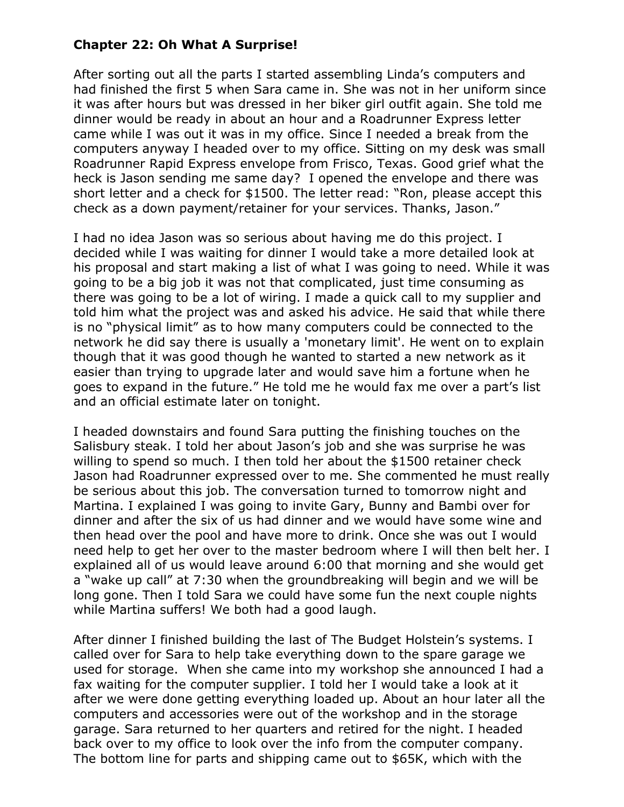#### **Chapter 22: Oh What A Surprise!**

After sorting out all the parts I started assembling Linda's computers and had finished the first 5 when Sara came in. She was not in her uniform since it was after hours but was dressed in her biker girl outfit again. She told me dinner would be ready in about an hour and a Roadrunner Express letter came while I was out it was in my office. Since I needed a break from the computers anyway I headed over to my office. Sitting on my desk was small Roadrunner Rapid Express envelope from Frisco, Texas. Good grief what the heck is Jason sending me same day? I opened the envelope and there was short letter and a check for \$1500. The letter read: "Ron, please accept this check as a down payment/retainer for your services. Thanks, Jason."

I had no idea Jason was so serious about having me do this project. I decided while I was waiting for dinner I would take a more detailed look at his proposal and start making a list of what I was going to need. While it was going to be a big job it was not that complicated, just time consuming as there was going to be a lot of wiring. I made a quick call to my supplier and told him what the project was and asked his advice. He said that while there is no "physical limit" as to how many computers could be connected to the network he did say there is usually a 'monetary limit'. He went on to explain though that it was good though he wanted to started a new network as it easier than trying to upgrade later and would save him a fortune when he goes to expand in the future." He told me he would fax me over a part's list and an official estimate later on tonight.

I headed downstairs and found Sara putting the finishing touches on the Salisbury steak. I told her about Jason's job and she was surprise he was willing to spend so much. I then told her about the \$1500 retainer check Jason had Roadrunner expressed over to me. She commented he must really be serious about this job. The conversation turned to tomorrow night and Martina. I explained I was going to invite Gary, Bunny and Bambi over for dinner and after the six of us had dinner and we would have some wine and then head over the pool and have more to drink. Once she was out I would need help to get her over to the master bedroom where I will then belt her. I explained all of us would leave around 6:00 that morning and she would get a "wake up call" at 7:30 when the groundbreaking will begin and we will be long gone. Then I told Sara we could have some fun the next couple nights while Martina suffers! We both had a good laugh.

After dinner I finished building the last of The Budget Holstein's systems. I called over for Sara to help take everything down to the spare garage we used for storage. When she came into my workshop she announced I had a fax waiting for the computer supplier. I told her I would take a look at it after we were done getting everything loaded up. About an hour later all the computers and accessories were out of the workshop and in the storage garage. Sara returned to her quarters and retired for the night. I headed back over to my office to look over the info from the computer company. The bottom line for parts and shipping came out to \$65K, which with the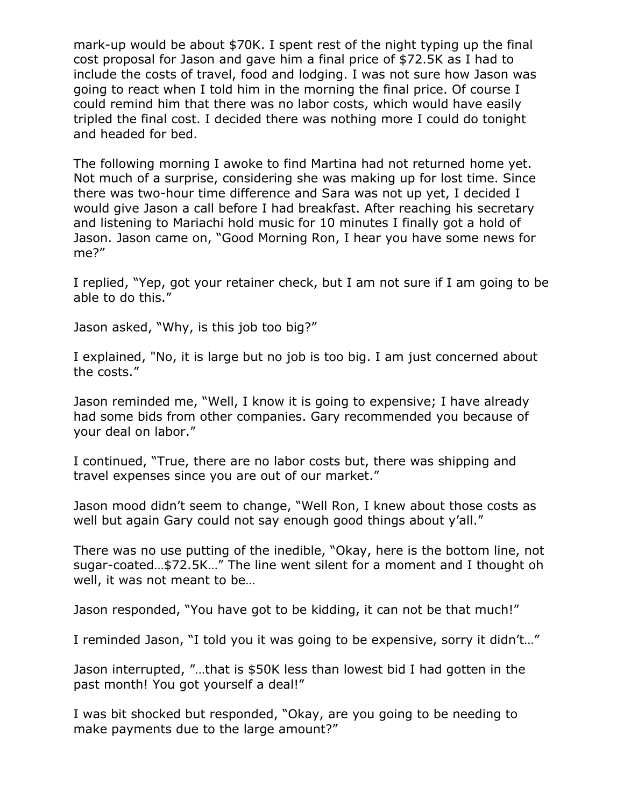mark-up would be about \$70K. I spent rest of the night typing up the final cost proposal for Jason and gave him a final price of \$72.5K as I had to include the costs of travel, food and lodging. I was not sure how Jason was going to react when I told him in the morning the final price. Of course I could remind him that there was no labor costs, which would have easily tripled the final cost. I decided there was nothing more I could do tonight and headed for bed.

The following morning I awoke to find Martina had not returned home yet. Not much of a surprise, considering she was making up for lost time. Since there was two-hour time difference and Sara was not up yet, I decided I would give Jason a call before I had breakfast. After reaching his secretary and listening to Mariachi hold music for 10 minutes I finally got a hold of Jason. Jason came on, "Good Morning Ron, I hear you have some news for me?"

I replied, "Yep, got your retainer check, but I am not sure if I am going to be able to do this."

Jason asked, "Why, is this job too big?"

I explained, "No, it is large but no job is too big. I am just concerned about the costs."

Jason reminded me, "Well, I know it is going to expensive; I have already had some bids from other companies. Gary recommended you because of your deal on labor."

I continued, "True, there are no labor costs but, there was shipping and travel expenses since you are out of our market."

Jason mood didn't seem to change, "Well Ron, I knew about those costs as well but again Gary could not say enough good things about y'all."

There was no use putting of the inedible, "Okay, here is the bottom line, not sugar-coated…\$72.5K…" The line went silent for a moment and I thought oh well, it was not meant to be…

Jason responded, "You have got to be kidding, it can not be that much!"

I reminded Jason, "I told you it was going to be expensive, sorry it didn't…"

Jason interrupted, "…that is \$50K less than lowest bid I had gotten in the past month! You got yourself a deal!"

I was bit shocked but responded, "Okay, are you going to be needing to make payments due to the large amount?"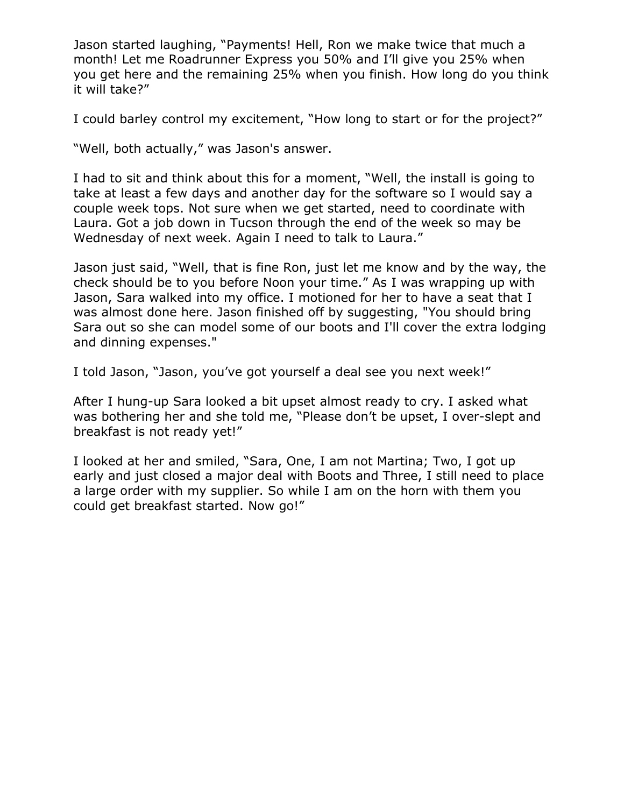Jason started laughing, "Payments! Hell, Ron we make twice that much a month! Let me Roadrunner Express you 50% and I'll give you 25% when you get here and the remaining 25% when you finish. How long do you think it will take?"

I could barley control my excitement, "How long to start or for the project?"

"Well, both actually," was Jason's answer.

I had to sit and think about this for a moment, "Well, the install is going to take at least a few days and another day for the software so I would say a couple week tops. Not sure when we get started, need to coordinate with Laura. Got a job down in Tucson through the end of the week so may be Wednesday of next week. Again I need to talk to Laura."

Jason just said, "Well, that is fine Ron, just let me know and by the way, the check should be to you before Noon your time." As I was wrapping up with Jason, Sara walked into my office. I motioned for her to have a seat that I was almost done here. Jason finished off by suggesting, "You should bring Sara out so she can model some of our boots and I'll cover the extra lodging and dinning expenses."

I told Jason, "Jason, you've got yourself a deal see you next week!"

After I hung-up Sara looked a bit upset almost ready to cry. I asked what was bothering her and she told me, "Please don't be upset, I over-slept and breakfast is not ready yet!"

I looked at her and smiled, "Sara, One, I am not Martina; Two, I got up early and just closed a major deal with Boots and Three, I still need to place a large order with my supplier. So while I am on the horn with them you could get breakfast started. Now go!"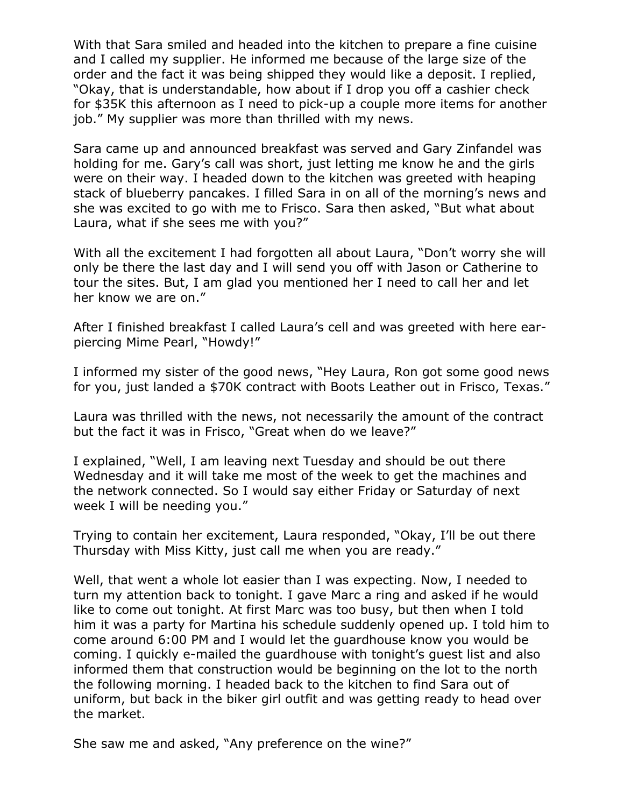With that Sara smiled and headed into the kitchen to prepare a fine cuisine and I called my supplier. He informed me because of the large size of the order and the fact it was being shipped they would like a deposit. I replied, "Okay, that is understandable, how about if I drop you off a cashier check for \$35K this afternoon as I need to pick-up a couple more items for another job." My supplier was more than thrilled with my news.

Sara came up and announced breakfast was served and Gary Zinfandel was holding for me. Gary's call was short, just letting me know he and the girls were on their way. I headed down to the kitchen was greeted with heaping stack of blueberry pancakes. I filled Sara in on all of the morning's news and she was excited to go with me to Frisco. Sara then asked, "But what about Laura, what if she sees me with you?"

With all the excitement I had forgotten all about Laura, "Don't worry she will only be there the last day and I will send you off with Jason or Catherine to tour the sites. But, I am glad you mentioned her I need to call her and let her know we are on."

After I finished breakfast I called Laura's cell and was greeted with here earpiercing Mime Pearl, "Howdy!"

I informed my sister of the good news, "Hey Laura, Ron got some good news for you, just landed a \$70K contract with Boots Leather out in Frisco, Texas."

Laura was thrilled with the news, not necessarily the amount of the contract but the fact it was in Frisco, "Great when do we leave?"

I explained, "Well, I am leaving next Tuesday and should be out there Wednesday and it will take me most of the week to get the machines and the network connected. So I would say either Friday or Saturday of next week I will be needing you."

Trying to contain her excitement, Laura responded, "Okay, I'll be out there Thursday with Miss Kitty, just call me when you are ready."

Well, that went a whole lot easier than I was expecting. Now, I needed to turn my attention back to tonight. I gave Marc a ring and asked if he would like to come out tonight. At first Marc was too busy, but then when I told him it was a party for Martina his schedule suddenly opened up. I told him to come around 6:00 PM and I would let the guardhouse know you would be coming. I quickly e-mailed the guardhouse with tonight's guest list and also informed them that construction would be beginning on the lot to the north the following morning. I headed back to the kitchen to find Sara out of uniform, but back in the biker girl outfit and was getting ready to head over the market.

She saw me and asked, "Any preference on the wine?"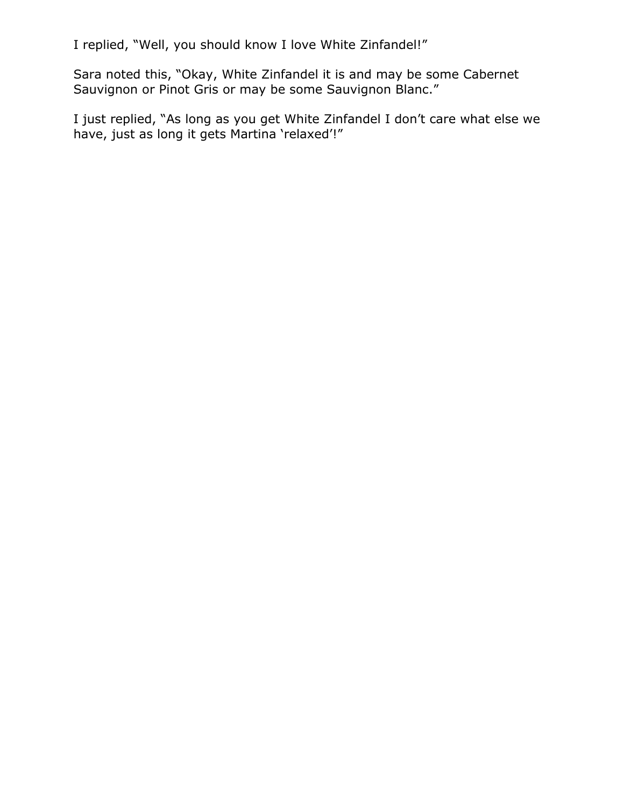I replied, "Well, you should know I love White Zinfandel!"

Sara noted this, "Okay, White Zinfandel it is and may be some Cabernet Sauvignon or Pinot Gris or may be some Sauvignon Blanc."

I just replied, "As long as you get White Zinfandel I don't care what else we have, just as long it gets Martina 'relaxed'!"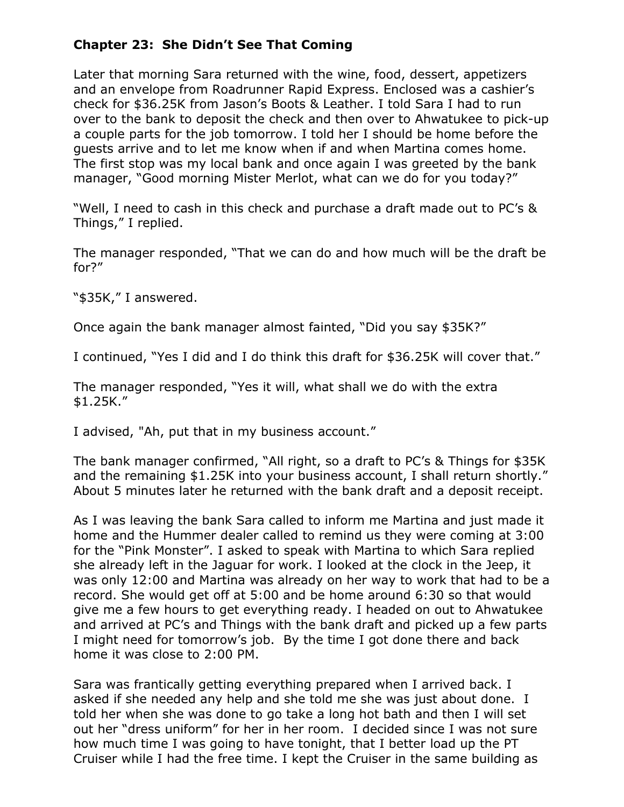# **Chapter 23: She Didn't See That Coming**

Later that morning Sara returned with the wine, food, dessert, appetizers and an envelope from Roadrunner Rapid Express. Enclosed was a cashier's check for \$36.25K from Jason's Boots & Leather. I told Sara I had to run over to the bank to deposit the check and then over to Ahwatukee to pick-up a couple parts for the job tomorrow. I told her I should be home before the guests arrive and to let me know when if and when Martina comes home. The first stop was my local bank and once again I was greeted by the bank manager, "Good morning Mister Merlot, what can we do for you today?"

"Well, I need to cash in this check and purchase a draft made out to PC's & Things," I replied.

The manager responded, "That we can do and how much will be the draft be for?"

"\$35K," I answered.

Once again the bank manager almost fainted, "Did you say \$35K?"

I continued, "Yes I did and I do think this draft for \$36.25K will cover that."

The manager responded, "Yes it will, what shall we do with the extra \$1.25K."

I advised, "Ah, put that in my business account."

The bank manager confirmed, "All right, so a draft to PC's & Things for \$35K and the remaining \$1.25K into your business account, I shall return shortly." About 5 minutes later he returned with the bank draft and a deposit receipt.

As I was leaving the bank Sara called to inform me Martina and just made it home and the Hummer dealer called to remind us they were coming at 3:00 for the "Pink Monster". I asked to speak with Martina to which Sara replied she already left in the Jaguar for work. I looked at the clock in the Jeep, it was only 12:00 and Martina was already on her way to work that had to be a record. She would get off at 5:00 and be home around 6:30 so that would give me a few hours to get everything ready. I headed on out to Ahwatukee and arrived at PC's and Things with the bank draft and picked up a few parts I might need for tomorrow's job. By the time I got done there and back home it was close to 2:00 PM.

Sara was frantically getting everything prepared when I arrived back. I asked if she needed any help and she told me she was just about done. I told her when she was done to go take a long hot bath and then I will set out her "dress uniform" for her in her room. I decided since I was not sure how much time I was going to have tonight, that I better load up the PT Cruiser while I had the free time. I kept the Cruiser in the same building as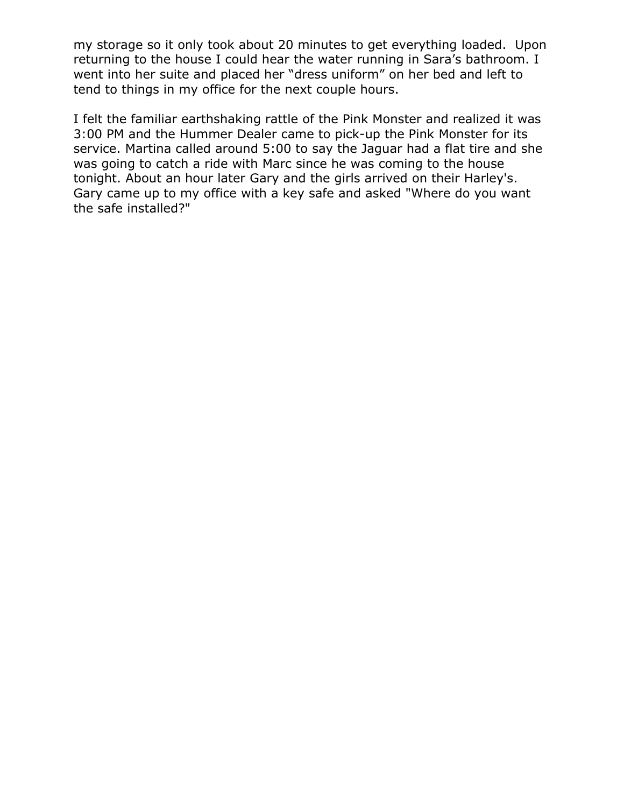my storage so it only took about 20 minutes to get everything loaded. Upon returning to the house I could hear the water running in Sara's bathroom. I went into her suite and placed her "dress uniform" on her bed and left to tend to things in my office for the next couple hours.

I felt the familiar earthshaking rattle of the Pink Monster and realized it was 3:00 PM and the Hummer Dealer came to pick-up the Pink Monster for its service. Martina called around 5:00 to say the Jaguar had a flat tire and she was going to catch a ride with Marc since he was coming to the house tonight. About an hour later Gary and the girls arrived on their Harley's. Gary came up to my office with a key safe and asked "Where do you want the safe installed?"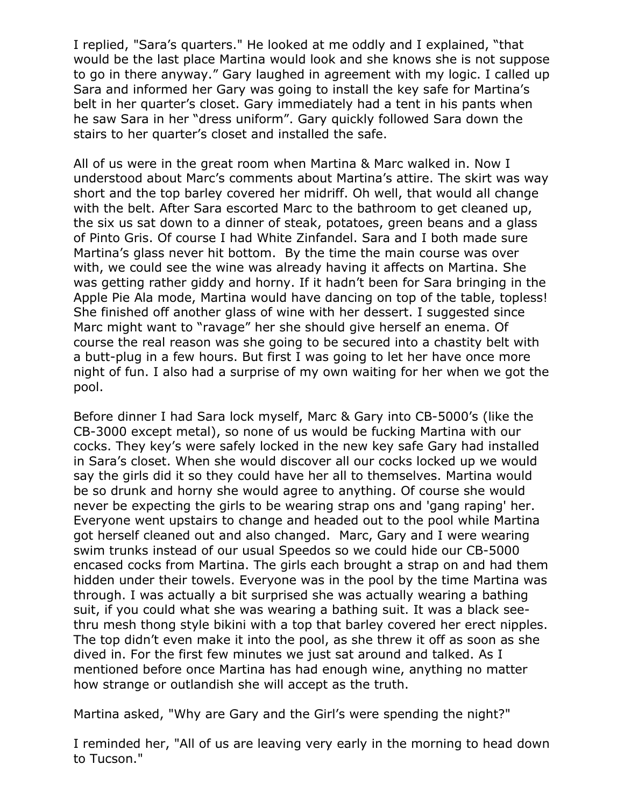I replied, "Sara's quarters." He looked at me oddly and I explained, "that would be the last place Martina would look and she knows she is not suppose to go in there anyway." Gary laughed in agreement with my logic. I called up Sara and informed her Gary was going to install the key safe for Martina's belt in her quarter's closet. Gary immediately had a tent in his pants when he saw Sara in her "dress uniform". Gary quickly followed Sara down the stairs to her quarter's closet and installed the safe.

All of us were in the great room when Martina & Marc walked in. Now I understood about Marc's comments about Martina's attire. The skirt was way short and the top barley covered her midriff. Oh well, that would all change with the belt. After Sara escorted Marc to the bathroom to get cleaned up, the six us sat down to a dinner of steak, potatoes, green beans and a glass of Pinto Gris. Of course I had White Zinfandel. Sara and I both made sure Martina's glass never hit bottom. By the time the main course was over with, we could see the wine was already having it affects on Martina. She was getting rather giddy and horny. If it hadn't been for Sara bringing in the Apple Pie Ala mode, Martina would have dancing on top of the table, topless! She finished off another glass of wine with her dessert. I suggested since Marc might want to "ravage" her she should give herself an enema. Of course the real reason was she going to be secured into a chastity belt with a butt-plug in a few hours. But first I was going to let her have once more night of fun. I also had a surprise of my own waiting for her when we got the pool.

Before dinner I had Sara lock myself, Marc & Gary into CB-5000's (like the CB-3000 except metal), so none of us would be fucking Martina with our cocks. They key's were safely locked in the new key safe Gary had installed in Sara's closet. When she would discover all our cocks locked up we would say the girls did it so they could have her all to themselves. Martina would be so drunk and horny she would agree to anything. Of course she would never be expecting the girls to be wearing strap ons and 'gang raping' her. Everyone went upstairs to change and headed out to the pool while Martina got herself cleaned out and also changed. Marc, Gary and I were wearing swim trunks instead of our usual Speedos so we could hide our CB-5000 encased cocks from Martina. The girls each brought a strap on and had them hidden under their towels. Everyone was in the pool by the time Martina was through. I was actually a bit surprised she was actually wearing a bathing suit, if you could what she was wearing a bathing suit. It was a black seethru mesh thong style bikini with a top that barley covered her erect nipples. The top didn't even make it into the pool, as she threw it off as soon as she dived in. For the first few minutes we just sat around and talked. As I mentioned before once Martina has had enough wine, anything no matter how strange or outlandish she will accept as the truth.

Martina asked, "Why are Gary and the Girl's were spending the night?"

I reminded her, "All of us are leaving very early in the morning to head down to Tucson."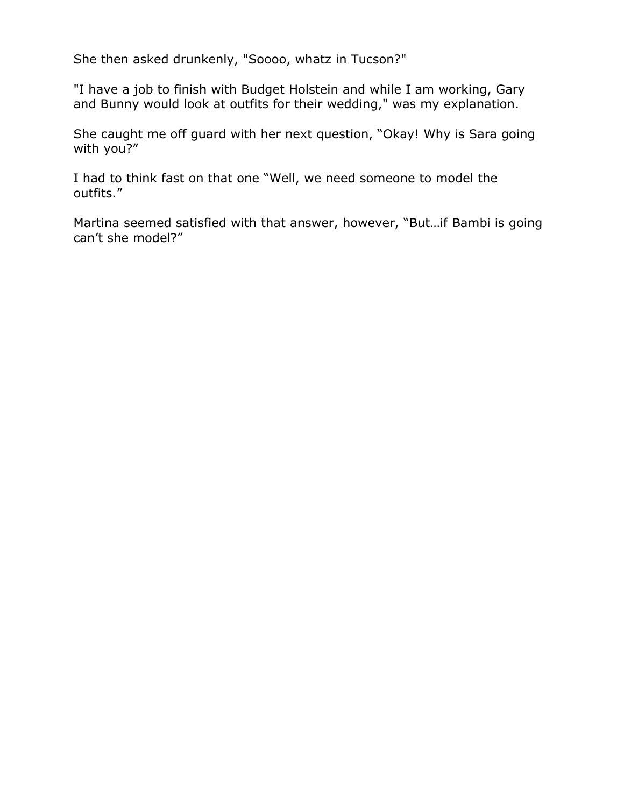She then asked drunkenly, "Soooo, whatz in Tucson?"

"I have a job to finish with Budget Holstein and while I am working, Gary and Bunny would look at outfits for their wedding," was my explanation.

She caught me off guard with her next question, "Okay! Why is Sara going with you?"

I had to think fast on that one "Well, we need someone to model the outfits."

Martina seemed satisfied with that answer, however, "But…if Bambi is going can't she model?"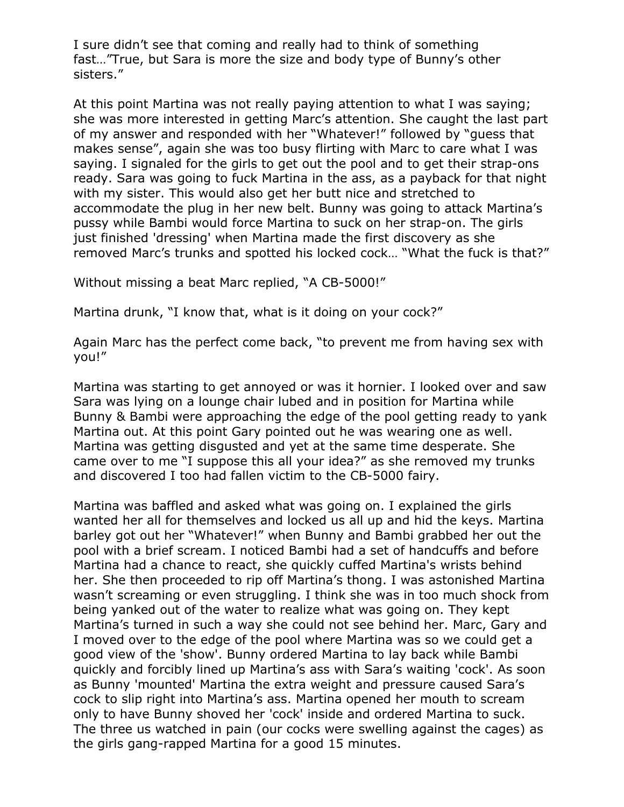I sure didn't see that coming and really had to think of something fast…"True, but Sara is more the size and body type of Bunny's other sisters."

At this point Martina was not really paying attention to what I was saying; she was more interested in getting Marc's attention. She caught the last part of my answer and responded with her "Whatever!" followed by "guess that makes sense", again she was too busy flirting with Marc to care what I was saying. I signaled for the girls to get out the pool and to get their strap-ons ready. Sara was going to fuck Martina in the ass, as a payback for that night with my sister. This would also get her butt nice and stretched to accommodate the plug in her new belt. Bunny was going to attack Martina's pussy while Bambi would force Martina to suck on her strap-on. The girls just finished 'dressing' when Martina made the first discovery as she removed Marc's trunks and spotted his locked cock… "What the fuck is that?"

Without missing a beat Marc replied, "A CB-5000!"

Martina drunk, "I know that, what is it doing on your cock?"

Again Marc has the perfect come back, "to prevent me from having sex with you!"

Martina was starting to get annoyed or was it hornier. I looked over and saw Sara was lying on a lounge chair lubed and in position for Martina while Bunny & Bambi were approaching the edge of the pool getting ready to yank Martina out. At this point Gary pointed out he was wearing one as well. Martina was getting disgusted and yet at the same time desperate. She came over to me "I suppose this all your idea?" as she removed my trunks and discovered I too had fallen victim to the CB-5000 fairy.

Martina was baffled and asked what was going on. I explained the girls wanted her all for themselves and locked us all up and hid the keys. Martina barley got out her "Whatever!" when Bunny and Bambi grabbed her out the pool with a brief scream. I noticed Bambi had a set of handcuffs and before Martina had a chance to react, she quickly cuffed Martina's wrists behind her. She then proceeded to rip off Martina's thong. I was astonished Martina wasn't screaming or even struggling. I think she was in too much shock from being yanked out of the water to realize what was going on. They kept Martina's turned in such a way she could not see behind her. Marc, Gary and I moved over to the edge of the pool where Martina was so we could get a good view of the 'show'. Bunny ordered Martina to lay back while Bambi quickly and forcibly lined up Martina's ass with Sara's waiting 'cock'. As soon as Bunny 'mounted' Martina the extra weight and pressure caused Sara's cock to slip right into Martina's ass. Martina opened her mouth to scream only to have Bunny shoved her 'cock' inside and ordered Martina to suck. The three us watched in pain (our cocks were swelling against the cages) as the girls gang-rapped Martina for a good 15 minutes.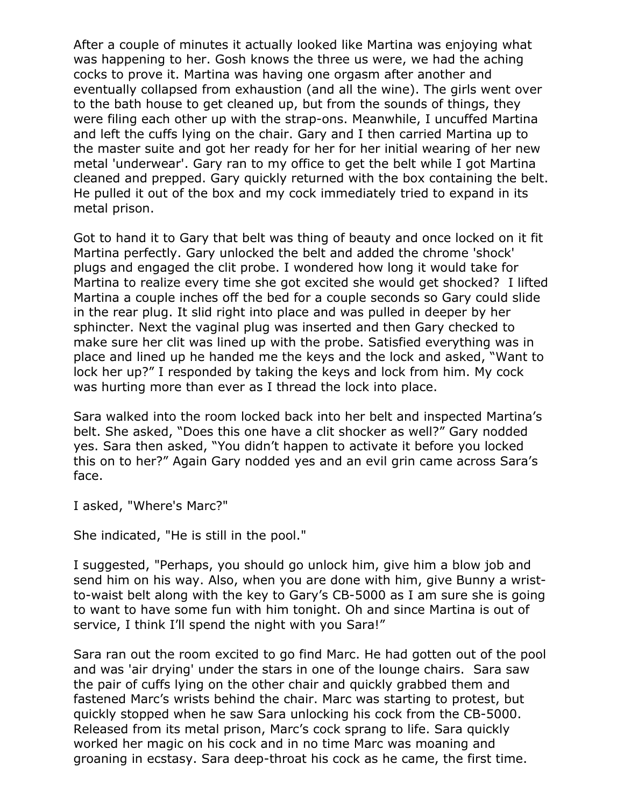After a couple of minutes it actually looked like Martina was enjoying what was happening to her. Gosh knows the three us were, we had the aching cocks to prove it. Martina was having one orgasm after another and eventually collapsed from exhaustion (and all the wine). The girls went over to the bath house to get cleaned up, but from the sounds of things, they were filing each other up with the strap-ons. Meanwhile, I uncuffed Martina and left the cuffs lying on the chair. Gary and I then carried Martina up to the master suite and got her ready for her for her initial wearing of her new metal 'underwear'. Gary ran to my office to get the belt while I got Martina cleaned and prepped. Gary quickly returned with the box containing the belt. He pulled it out of the box and my cock immediately tried to expand in its metal prison.

Got to hand it to Gary that belt was thing of beauty and once locked on it fit Martina perfectly. Gary unlocked the belt and added the chrome 'shock' plugs and engaged the clit probe. I wondered how long it would take for Martina to realize every time she got excited she would get shocked? I lifted Martina a couple inches off the bed for a couple seconds so Gary could slide in the rear plug. It slid right into place and was pulled in deeper by her sphincter. Next the vaginal plug was inserted and then Gary checked to make sure her clit was lined up with the probe. Satisfied everything was in place and lined up he handed me the keys and the lock and asked, "Want to lock her up?" I responded by taking the keys and lock from him. My cock was hurting more than ever as I thread the lock into place.

Sara walked into the room locked back into her belt and inspected Martina's belt. She asked, "Does this one have a clit shocker as well?" Gary nodded yes. Sara then asked, "You didn't happen to activate it before you locked this on to her?" Again Gary nodded yes and an evil grin came across Sara's face.

I asked, "Where's Marc?"

She indicated, "He is still in the pool."

I suggested, "Perhaps, you should go unlock him, give him a blow job and send him on his way. Also, when you are done with him, give Bunny a wristto-waist belt along with the key to Gary's CB-5000 as I am sure she is going to want to have some fun with him tonight. Oh and since Martina is out of service, I think I'll spend the night with you Sara!"

Sara ran out the room excited to go find Marc. He had gotten out of the pool and was 'air drying' under the stars in one of the lounge chairs. Sara saw the pair of cuffs lying on the other chair and quickly grabbed them and fastened Marc's wrists behind the chair. Marc was starting to protest, but quickly stopped when he saw Sara unlocking his cock from the CB-5000. Released from its metal prison, Marc's cock sprang to life. Sara quickly worked her magic on his cock and in no time Marc was moaning and groaning in ecstasy. Sara deep-throat his cock as he came, the first time.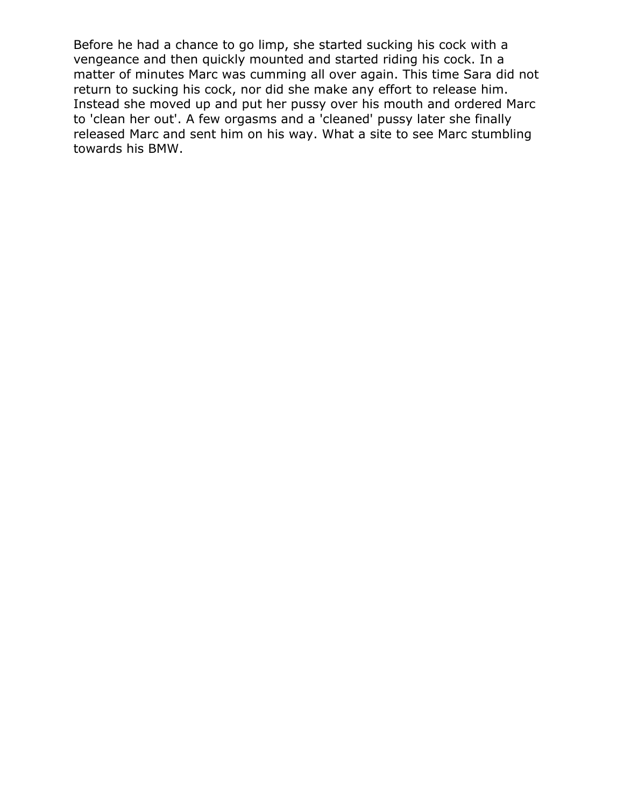Before he had a chance to go limp, she started sucking his cock with a vengeance and then quickly mounted and started riding his cock. In a matter of minutes Marc was cumming all over again. This time Sara did not return to sucking his cock, nor did she make any effort to release him. Instead she moved up and put her pussy over his mouth and ordered Marc to 'clean her out'. A few orgasms and a 'cleaned' pussy later she finally released Marc and sent him on his way. What a site to see Marc stumbling towards his BMW.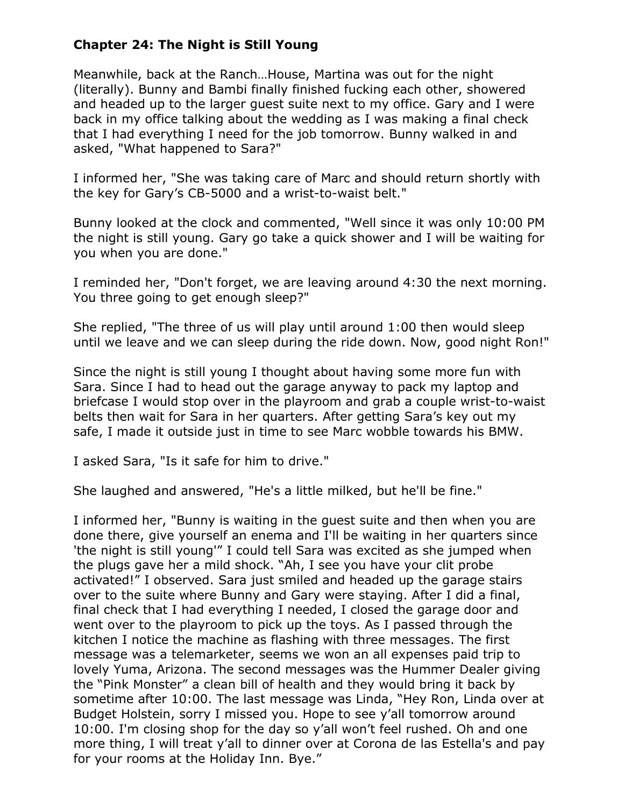## **Chapter 24: The Night is Still Young**

Meanwhile, back at the Ranch…House, Martina was out for the night (literally). Bunny and Bambi finally finished fucking each other, showered and headed up to the larger guest suite next to my office. Gary and I were back in my office talking about the wedding as I was making a final check that I had everything I need for the job tomorrow. Bunny walked in and asked, "What happened to Sara?"

I informed her, "She was taking care of Marc and should return shortly with the key for Gary's CB-5000 and a wrist-to-waist belt."

Bunny looked at the clock and commented, "Well since it was only 10:00 PM the night is still young. Gary go take a quick shower and I will be waiting for you when you are done."

I reminded her, "Don't forget, we are leaving around 4:30 the next morning. You three going to get enough sleep?"

She replied, "The three of us will play until around 1:00 then would sleep until we leave and we can sleep during the ride down. Now, good night Ron!"

Since the night is still young I thought about having some more fun with Sara. Since I had to head out the garage anyway to pack my laptop and briefcase I would stop over in the playroom and grab a couple wrist-to-waist belts then wait for Sara in her quarters. After getting Sara's key out my safe, I made it outside just in time to see Marc wobble towards his BMW.

I asked Sara, "Is it safe for him to drive."

She laughed and answered, "He's a little milked, but he'll be fine."

I informed her, "Bunny is waiting in the guest suite and then when you are done there, give yourself an enema and I'll be waiting in her quarters since 'the night is still young'" I could tell Sara was excited as she jumped when the plugs gave her a mild shock. "Ah, I see you have your clit probe activated!" I observed. Sara just smiled and headed up the garage stairs over to the suite where Bunny and Gary were staying. After I did a final, final check that I had everything I needed, I closed the garage door and went over to the playroom to pick up the toys. As I passed through the kitchen I notice the machine as flashing with three messages. The first message was a telemarketer, seems we won an all expenses paid trip to lovely Yuma, Arizona. The second messages was the Hummer Dealer giving the "Pink Monster" a clean bill of health and they would bring it back by sometime after 10:00. The last message was Linda, "Hey Ron, Linda over at Budget Holstein, sorry I missed you. Hope to see y'all tomorrow around 10:00. I'm closing shop for the day so y'all won't feel rushed. Oh and one more thing, I will treat y'all to dinner over at Corona de las Estella's and pay for your rooms at the Holiday Inn. Bye."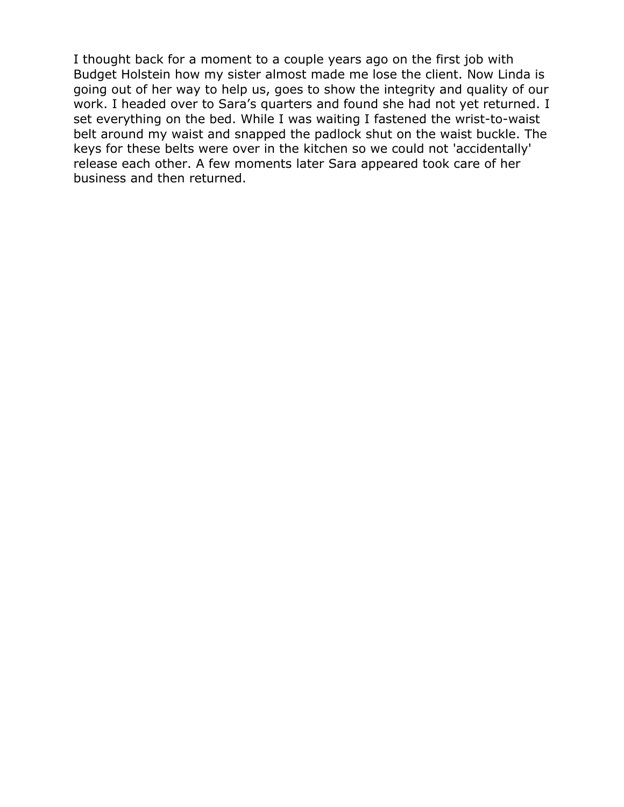I thought back for a moment to a couple years ago on the first job with Budget Holstein how my sister almost made me lose the client. Now Linda is going out of her way to help us, goes to show the integrity and quality of our work. I headed over to Sara's quarters and found she had not yet returned. I set everything on the bed. While I was waiting I fastened the wrist-to-waist belt around my waist and snapped the padlock shut on the waist buckle. The keys for these belts were over in the kitchen so we could not 'accidentally' release each other. A few moments later Sara appeared took care of her business and then returned.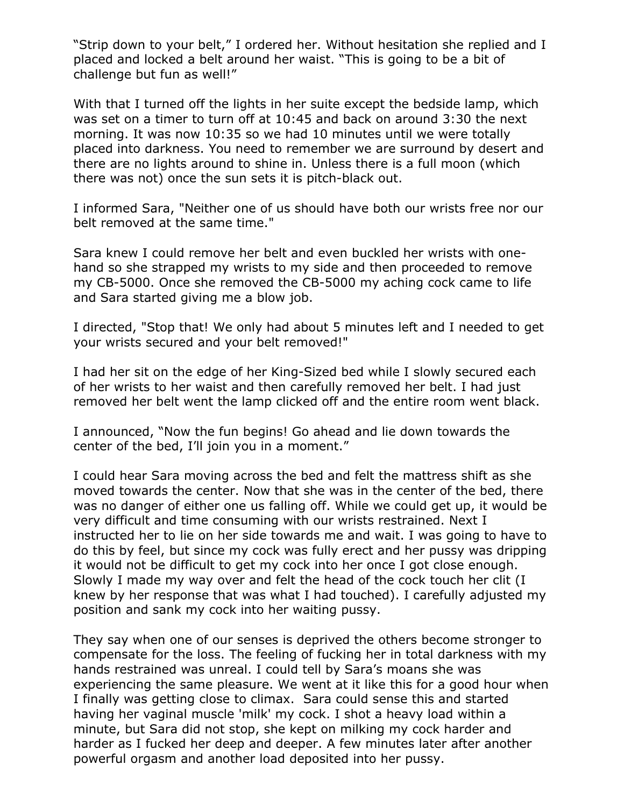"Strip down to your belt," I ordered her. Without hesitation she replied and I placed and locked a belt around her waist. "This is going to be a bit of challenge but fun as well!"

With that I turned off the lights in her suite except the bedside lamp, which was set on a timer to turn off at 10:45 and back on around 3:30 the next morning. It was now 10:35 so we had 10 minutes until we were totally placed into darkness. You need to remember we are surround by desert and there are no lights around to shine in. Unless there is a full moon (which there was not) once the sun sets it is pitch-black out.

I informed Sara, "Neither one of us should have both our wrists free nor our belt removed at the same time."

Sara knew I could remove her belt and even buckled her wrists with onehand so she strapped my wrists to my side and then proceeded to remove my CB-5000. Once she removed the CB-5000 my aching cock came to life and Sara started giving me a blow job.

I directed, "Stop that! We only had about 5 minutes left and I needed to get your wrists secured and your belt removed!"

I had her sit on the edge of her King-Sized bed while I slowly secured each of her wrists to her waist and then carefully removed her belt. I had just removed her belt went the lamp clicked off and the entire room went black.

I announced, "Now the fun begins! Go ahead and lie down towards the center of the bed, I'll join you in a moment."

I could hear Sara moving across the bed and felt the mattress shift as she moved towards the center. Now that she was in the center of the bed, there was no danger of either one us falling off. While we could get up, it would be very difficult and time consuming with our wrists restrained. Next I instructed her to lie on her side towards me and wait. I was going to have to do this by feel, but since my cock was fully erect and her pussy was dripping it would not be difficult to get my cock into her once I got close enough. Slowly I made my way over and felt the head of the cock touch her clit (I knew by her response that was what I had touched). I carefully adjusted my position and sank my cock into her waiting pussy.

They say when one of our senses is deprived the others become stronger to compensate for the loss. The feeling of fucking her in total darkness with my hands restrained was unreal. I could tell by Sara's moans she was experiencing the same pleasure. We went at it like this for a good hour when I finally was getting close to climax. Sara could sense this and started having her vaginal muscle 'milk' my cock. I shot a heavy load within a minute, but Sara did not stop, she kept on milking my cock harder and harder as I fucked her deep and deeper. A few minutes later after another powerful orgasm and another load deposited into her pussy.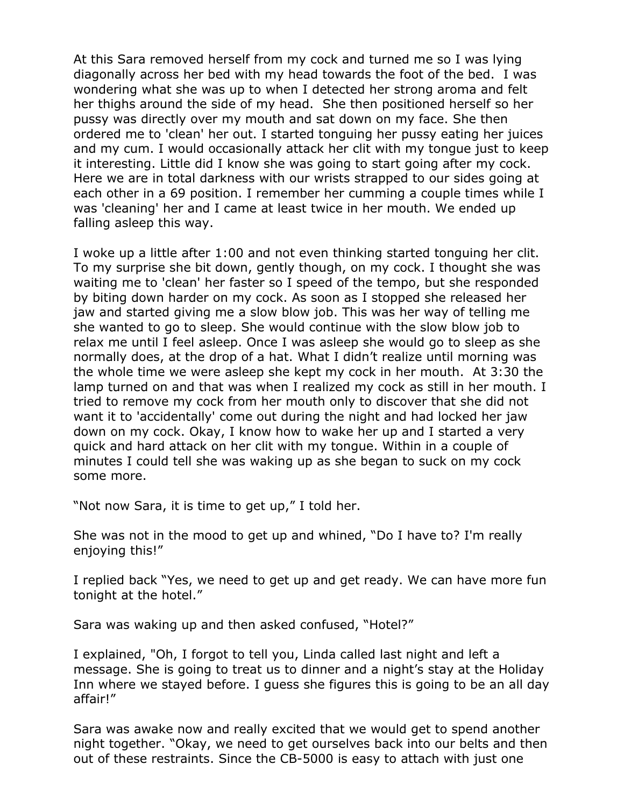At this Sara removed herself from my cock and turned me so I was lying diagonally across her bed with my head towards the foot of the bed. I was wondering what she was up to when I detected her strong aroma and felt her thighs around the side of my head. She then positioned herself so her pussy was directly over my mouth and sat down on my face. She then ordered me to 'clean' her out. I started tonguing her pussy eating her juices and my cum. I would occasionally attack her clit with my tongue just to keep it interesting. Little did I know she was going to start going after my cock. Here we are in total darkness with our wrists strapped to our sides going at each other in a 69 position. I remember her cumming a couple times while I was 'cleaning' her and I came at least twice in her mouth. We ended up falling asleep this way.

I woke up a little after 1:00 and not even thinking started tonguing her clit. To my surprise she bit down, gently though, on my cock. I thought she was waiting me to 'clean' her faster so I speed of the tempo, but she responded by biting down harder on my cock. As soon as I stopped she released her jaw and started giving me a slow blow job. This was her way of telling me she wanted to go to sleep. She would continue with the slow blow job to relax me until I feel asleep. Once I was asleep she would go to sleep as she normally does, at the drop of a hat. What I didn't realize until morning was the whole time we were asleep she kept my cock in her mouth. At 3:30 the lamp turned on and that was when I realized my cock as still in her mouth. I tried to remove my cock from her mouth only to discover that she did not want it to 'accidentally' come out during the night and had locked her jaw down on my cock. Okay, I know how to wake her up and I started a very quick and hard attack on her clit with my tongue. Within in a couple of minutes I could tell she was waking up as she began to suck on my cock some more.

"Not now Sara, it is time to get up," I told her.

She was not in the mood to get up and whined, "Do I have to? I'm really enjoying this!"

I replied back "Yes, we need to get up and get ready. We can have more fun tonight at the hotel."

Sara was waking up and then asked confused, "Hotel?"

I explained, "Oh, I forgot to tell you, Linda called last night and left a message. She is going to treat us to dinner and a night's stay at the Holiday Inn where we stayed before. I guess she figures this is going to be an all day affair!"

Sara was awake now and really excited that we would get to spend another night together. "Okay, we need to get ourselves back into our belts and then out of these restraints. Since the CB-5000 is easy to attach with just one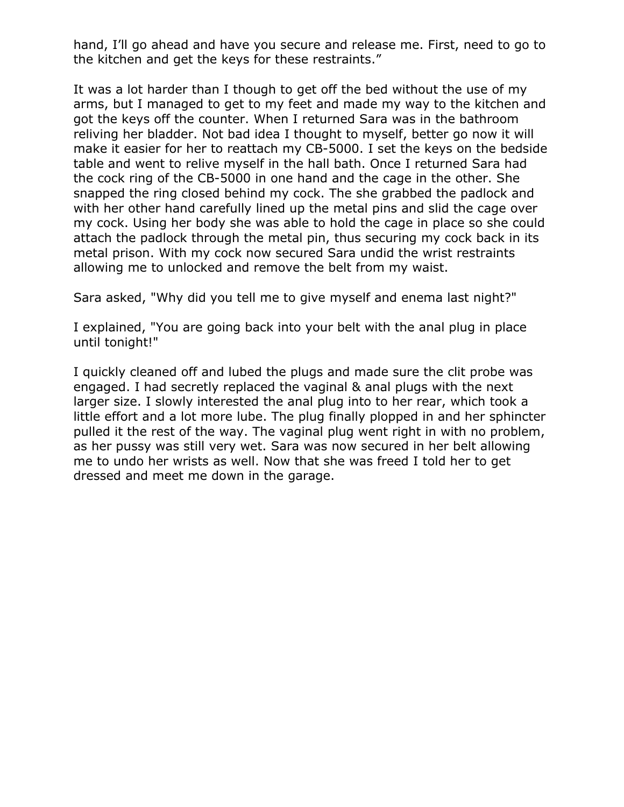hand, I'll go ahead and have you secure and release me. First, need to go to the kitchen and get the keys for these restraints."

It was a lot harder than I though to get off the bed without the use of my arms, but I managed to get to my feet and made my way to the kitchen and got the keys off the counter. When I returned Sara was in the bathroom reliving her bladder. Not bad idea I thought to myself, better go now it will make it easier for her to reattach my CB-5000. I set the keys on the bedside table and went to relive myself in the hall bath. Once I returned Sara had the cock ring of the CB-5000 in one hand and the cage in the other. She snapped the ring closed behind my cock. The she grabbed the padlock and with her other hand carefully lined up the metal pins and slid the cage over my cock. Using her body she was able to hold the cage in place so she could attach the padlock through the metal pin, thus securing my cock back in its metal prison. With my cock now secured Sara undid the wrist restraints allowing me to unlocked and remove the belt from my waist.

Sara asked, "Why did you tell me to give myself and enema last night?"

I explained, "You are going back into your belt with the anal plug in place until tonight!"

I quickly cleaned off and lubed the plugs and made sure the clit probe was engaged. I had secretly replaced the vaginal & anal plugs with the next larger size. I slowly interested the anal plug into to her rear, which took a little effort and a lot more lube. The plug finally plopped in and her sphincter pulled it the rest of the way. The vaginal plug went right in with no problem, as her pussy was still very wet. Sara was now secured in her belt allowing me to undo her wrists as well. Now that she was freed I told her to get dressed and meet me down in the garage.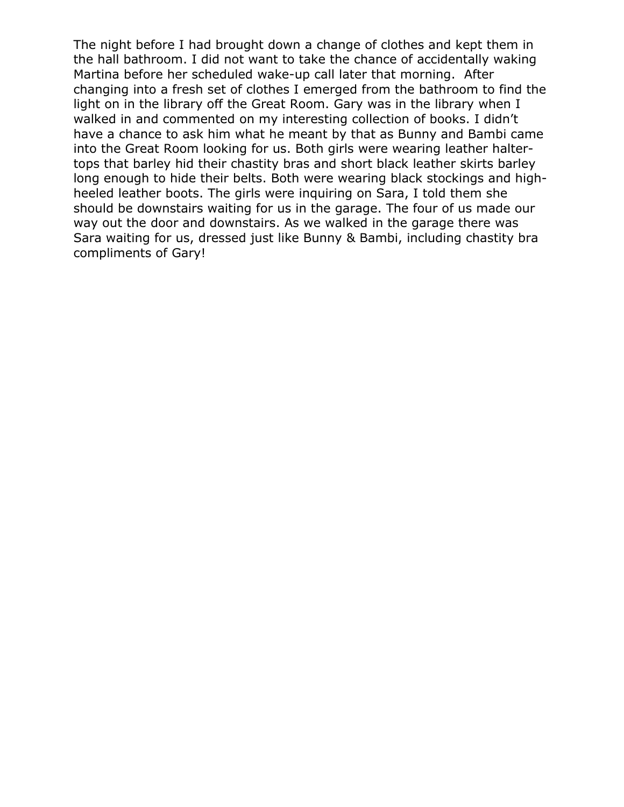The night before I had brought down a change of clothes and kept them in the hall bathroom. I did not want to take the chance of accidentally waking Martina before her scheduled wake-up call later that morning. After changing into a fresh set of clothes I emerged from the bathroom to find the light on in the library off the Great Room. Gary was in the library when I walked in and commented on my interesting collection of books. I didn't have a chance to ask him what he meant by that as Bunny and Bambi came into the Great Room looking for us. Both girls were wearing leather haltertops that barley hid their chastity bras and short black leather skirts barley long enough to hide their belts. Both were wearing black stockings and highheeled leather boots. The girls were inquiring on Sara, I told them she should be downstairs waiting for us in the garage. The four of us made our way out the door and downstairs. As we walked in the garage there was Sara waiting for us, dressed just like Bunny & Bambi, including chastity bra compliments of Gary!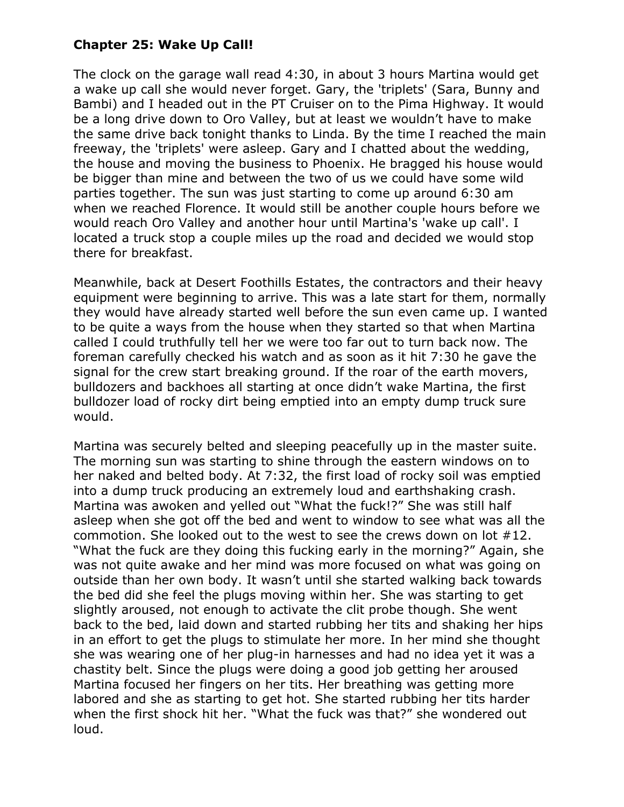### **Chapter 25: Wake Up Call!**

The clock on the garage wall read 4:30, in about 3 hours Martina would get a wake up call she would never forget. Gary, the 'triplets' (Sara, Bunny and Bambi) and I headed out in the PT Cruiser on to the Pima Highway. It would be a long drive down to Oro Valley, but at least we wouldn't have to make the same drive back tonight thanks to Linda. By the time I reached the main freeway, the 'triplets' were asleep. Gary and I chatted about the wedding, the house and moving the business to Phoenix. He bragged his house would be bigger than mine and between the two of us we could have some wild parties together. The sun was just starting to come up around 6:30 am when we reached Florence. It would still be another couple hours before we would reach Oro Valley and another hour until Martina's 'wake up call'. I located a truck stop a couple miles up the road and decided we would stop there for breakfast.

Meanwhile, back at Desert Foothills Estates, the contractors and their heavy equipment were beginning to arrive. This was a late start for them, normally they would have already started well before the sun even came up. I wanted to be quite a ways from the house when they started so that when Martina called I could truthfully tell her we were too far out to turn back now. The foreman carefully checked his watch and as soon as it hit 7:30 he gave the signal for the crew start breaking ground. If the roar of the earth movers, bulldozers and backhoes all starting at once didn't wake Martina, the first bulldozer load of rocky dirt being emptied into an empty dump truck sure would.

Martina was securely belted and sleeping peacefully up in the master suite. The morning sun was starting to shine through the eastern windows on to her naked and belted body. At 7:32, the first load of rocky soil was emptied into a dump truck producing an extremely loud and earthshaking crash. Martina was awoken and yelled out "What the fuck!?" She was still half asleep when she got off the bed and went to window to see what was all the commotion. She looked out to the west to see the crews down on lot #12. "What the fuck are they doing this fucking early in the morning?" Again, she was not quite awake and her mind was more focused on what was going on outside than her own body. It wasn't until she started walking back towards the bed did she feel the plugs moving within her. She was starting to get slightly aroused, not enough to activate the clit probe though. She went back to the bed, laid down and started rubbing her tits and shaking her hips in an effort to get the plugs to stimulate her more. In her mind she thought she was wearing one of her plug-in harnesses and had no idea yet it was a chastity belt. Since the plugs were doing a good job getting her aroused Martina focused her fingers on her tits. Her breathing was getting more labored and she as starting to get hot. She started rubbing her tits harder when the first shock hit her. "What the fuck was that?" she wondered out loud.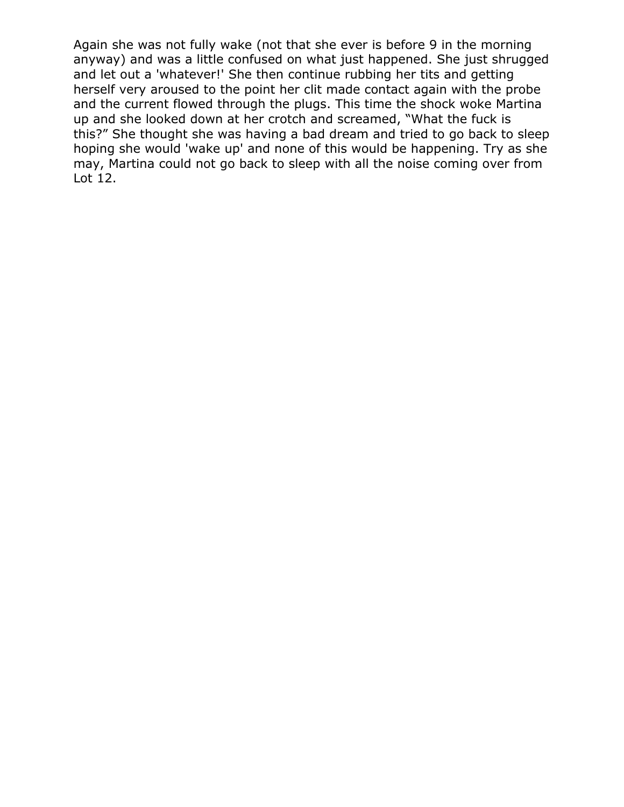Again she was not fully wake (not that she ever is before 9 in the morning anyway) and was a little confused on what just happened. She just shrugged and let out a 'whatever!' She then continue rubbing her tits and getting herself very aroused to the point her clit made contact again with the probe and the current flowed through the plugs. This time the shock woke Martina up and she looked down at her crotch and screamed, "What the fuck is this?" She thought she was having a bad dream and tried to go back to sleep hoping she would 'wake up' and none of this would be happening. Try as she may, Martina could not go back to sleep with all the noise coming over from Lot 12.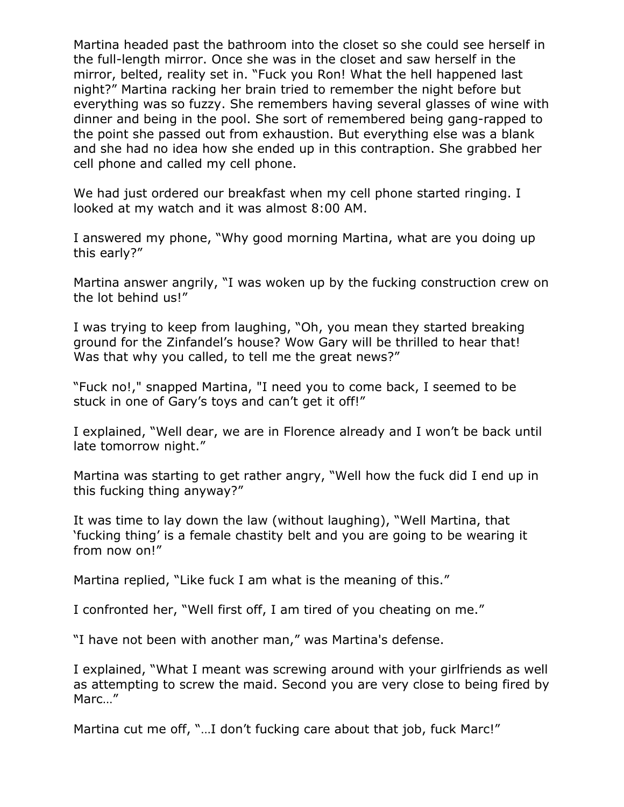Martina headed past the bathroom into the closet so she could see herself in the full-length mirror. Once she was in the closet and saw herself in the mirror, belted, reality set in. "Fuck you Ron! What the hell happened last night?" Martina racking her brain tried to remember the night before but everything was so fuzzy. She remembers having several glasses of wine with dinner and being in the pool. She sort of remembered being gang-rapped to the point she passed out from exhaustion. But everything else was a blank and she had no idea how she ended up in this contraption. She grabbed her cell phone and called my cell phone.

We had just ordered our breakfast when my cell phone started ringing. I looked at my watch and it was almost 8:00 AM.

I answered my phone, "Why good morning Martina, what are you doing up this early?"

Martina answer angrily, "I was woken up by the fucking construction crew on the lot behind us!"

I was trying to keep from laughing, "Oh, you mean they started breaking ground for the Zinfandel's house? Wow Gary will be thrilled to hear that! Was that why you called, to tell me the great news?"

"Fuck no!," snapped Martina, "I need you to come back, I seemed to be stuck in one of Gary's toys and can't get it off!"

I explained, "Well dear, we are in Florence already and I won't be back until late tomorrow night."

Martina was starting to get rather angry, "Well how the fuck did I end up in this fucking thing anyway?"

It was time to lay down the law (without laughing), "Well Martina, that 'fucking thing' is a female chastity belt and you are going to be wearing it from now on!"

Martina replied, "Like fuck I am what is the meaning of this."

I confronted her, "Well first off, I am tired of you cheating on me."

"I have not been with another man," was Martina's defense.

I explained, "What I meant was screwing around with your girlfriends as well as attempting to screw the maid. Second you are very close to being fired by Marc…"

Martina cut me off, "...I don't fucking care about that job, fuck Marc!"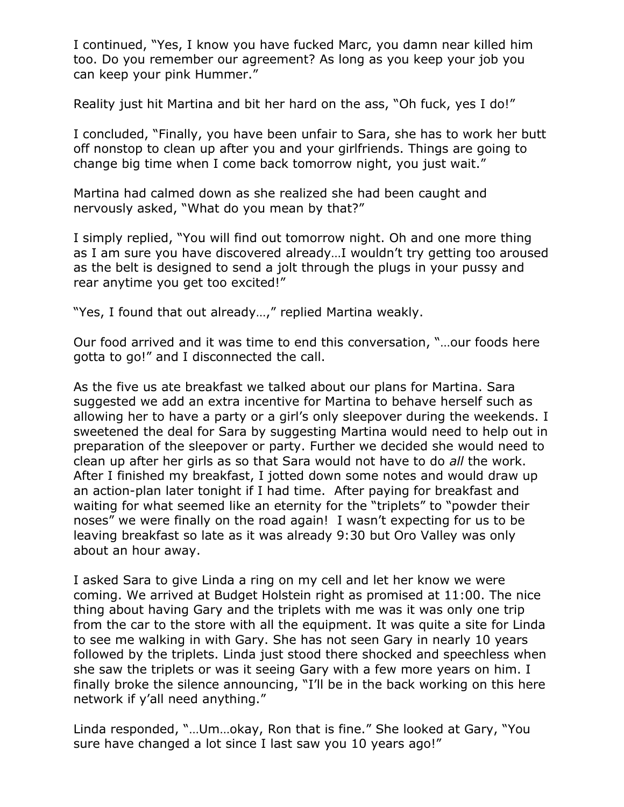I continued, "Yes, I know you have fucked Marc, you damn near killed him too. Do you remember our agreement? As long as you keep your job you can keep your pink Hummer."

Reality just hit Martina and bit her hard on the ass, "Oh fuck, yes I do!"

I concluded, "Finally, you have been unfair to Sara, she has to work her butt off nonstop to clean up after you and your girlfriends. Things are going to change big time when I come back tomorrow night, you just wait."

Martina had calmed down as she realized she had been caught and nervously asked, "What do you mean by that?"

I simply replied, "You will find out tomorrow night. Oh and one more thing as I am sure you have discovered already…I wouldn't try getting too aroused as the belt is designed to send a jolt through the plugs in your pussy and rear anytime you get too excited!"

"Yes, I found that out already…," replied Martina weakly.

Our food arrived and it was time to end this conversation, "…our foods here gotta to go!" and I disconnected the call.

As the five us ate breakfast we talked about our plans for Martina. Sara suggested we add an extra incentive for Martina to behave herself such as allowing her to have a party or a girl's only sleepover during the weekends. I sweetened the deal for Sara by suggesting Martina would need to help out in preparation of the sleepover or party. Further we decided she would need to clean up after her girls as so that Sara would not have to do *all* the work. After I finished my breakfast, I jotted down some notes and would draw up an action-plan later tonight if I had time. After paying for breakfast and waiting for what seemed like an eternity for the "triplets" to "powder their noses" we were finally on the road again! I wasn't expecting for us to be leaving breakfast so late as it was already 9:30 but Oro Valley was only about an hour away.

I asked Sara to give Linda a ring on my cell and let her know we were coming. We arrived at Budget Holstein right as promised at 11:00. The nice thing about having Gary and the triplets with me was it was only one trip from the car to the store with all the equipment. It was quite a site for Linda to see me walking in with Gary. She has not seen Gary in nearly 10 years followed by the triplets. Linda just stood there shocked and speechless when she saw the triplets or was it seeing Gary with a few more years on him. I finally broke the silence announcing, "I'll be in the back working on this here network if y'all need anything."

Linda responded, "…Um…okay, Ron that is fine." She looked at Gary, "You sure have changed a lot since I last saw you 10 years ago!"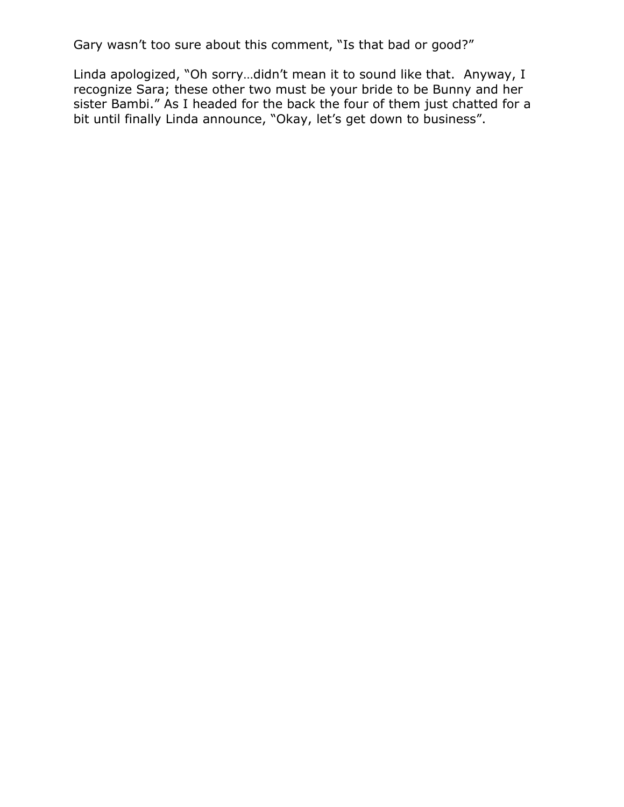Gary wasn't too sure about this comment, "Is that bad or good?"

Linda apologized, "Oh sorry…didn't mean it to sound like that. Anyway, I recognize Sara; these other two must be your bride to be Bunny and her sister Bambi." As I headed for the back the four of them just chatted for a bit until finally Linda announce, "Okay, let's get down to business".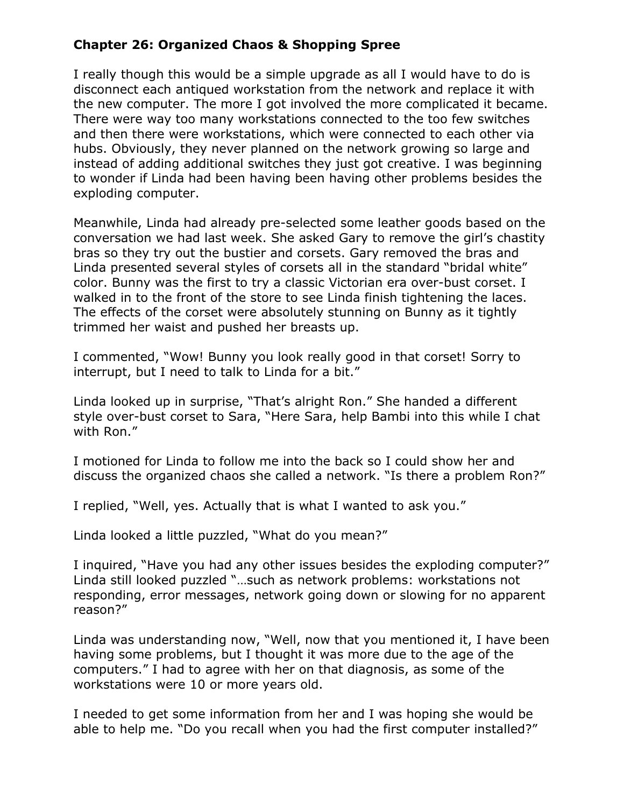# **Chapter 26: Organized Chaos & Shopping Spree**

I really though this would be a simple upgrade as all I would have to do is disconnect each antiqued workstation from the network and replace it with the new computer. The more I got involved the more complicated it became. There were way too many workstations connected to the too few switches and then there were workstations, which were connected to each other via hubs. Obviously, they never planned on the network growing so large and instead of adding additional switches they just got creative. I was beginning to wonder if Linda had been having been having other problems besides the exploding computer.

Meanwhile, Linda had already pre-selected some leather goods based on the conversation we had last week. She asked Gary to remove the girl's chastity bras so they try out the bustier and corsets. Gary removed the bras and Linda presented several styles of corsets all in the standard "bridal white" color. Bunny was the first to try a classic Victorian era over-bust corset. I walked in to the front of the store to see Linda finish tightening the laces. The effects of the corset were absolutely stunning on Bunny as it tightly trimmed her waist and pushed her breasts up.

I commented, "Wow! Bunny you look really good in that corset! Sorry to interrupt, but I need to talk to Linda for a bit."

Linda looked up in surprise, "That's alright Ron." She handed a different style over-bust corset to Sara, "Here Sara, help Bambi into this while I chat with Ron."

I motioned for Linda to follow me into the back so I could show her and discuss the organized chaos she called a network. "Is there a problem Ron?"

I replied, "Well, yes. Actually that is what I wanted to ask you."

Linda looked a little puzzled, "What do you mean?"

I inquired, "Have you had any other issues besides the exploding computer?" Linda still looked puzzled "…such as network problems: workstations not responding, error messages, network going down or slowing for no apparent reason?"

Linda was understanding now, "Well, now that you mentioned it, I have been having some problems, but I thought it was more due to the age of the computers." I had to agree with her on that diagnosis, as some of the workstations were 10 or more years old.

I needed to get some information from her and I was hoping she would be able to help me. "Do you recall when you had the first computer installed?"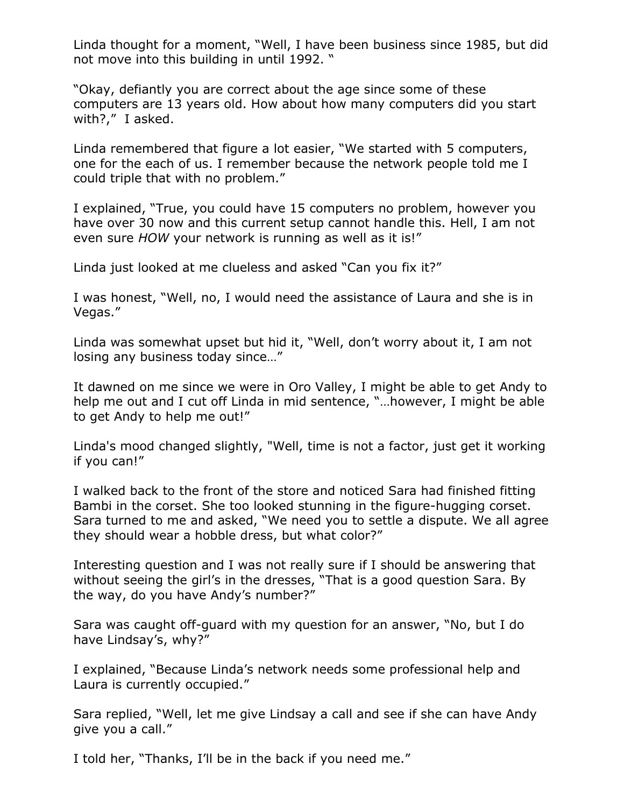Linda thought for a moment, "Well, I have been business since 1985, but did not move into this building in until 1992. "

"Okay, defiantly you are correct about the age since some of these computers are 13 years old. How about how many computers did you start with?," I asked.

Linda remembered that figure a lot easier, "We started with 5 computers, one for the each of us. I remember because the network people told me I could triple that with no problem."

I explained, "True, you could have 15 computers no problem, however you have over 30 now and this current setup cannot handle this. Hell, I am not even sure *HOW* your network is running as well as it is!"

Linda just looked at me clueless and asked "Can you fix it?"

I was honest, "Well, no, I would need the assistance of Laura and she is in Vegas."

Linda was somewhat upset but hid it, "Well, don't worry about it, I am not losing any business today since…"

It dawned on me since we were in Oro Valley, I might be able to get Andy to help me out and I cut off Linda in mid sentence, "…however, I might be able to get Andy to help me out!"

Linda's mood changed slightly, "Well, time is not a factor, just get it working if you can!"

I walked back to the front of the store and noticed Sara had finished fitting Bambi in the corset. She too looked stunning in the figure-hugging corset. Sara turned to me and asked, "We need you to settle a dispute. We all agree they should wear a hobble dress, but what color?"

Interesting question and I was not really sure if I should be answering that without seeing the girl's in the dresses, "That is a good question Sara. By the way, do you have Andy's number?"

Sara was caught off-guard with my question for an answer, "No, but I do have Lindsay's, why?"

I explained, "Because Linda's network needs some professional help and Laura is currently occupied."

Sara replied, "Well, let me give Lindsay a call and see if she can have Andy give you a call."

I told her, "Thanks, I'll be in the back if you need me."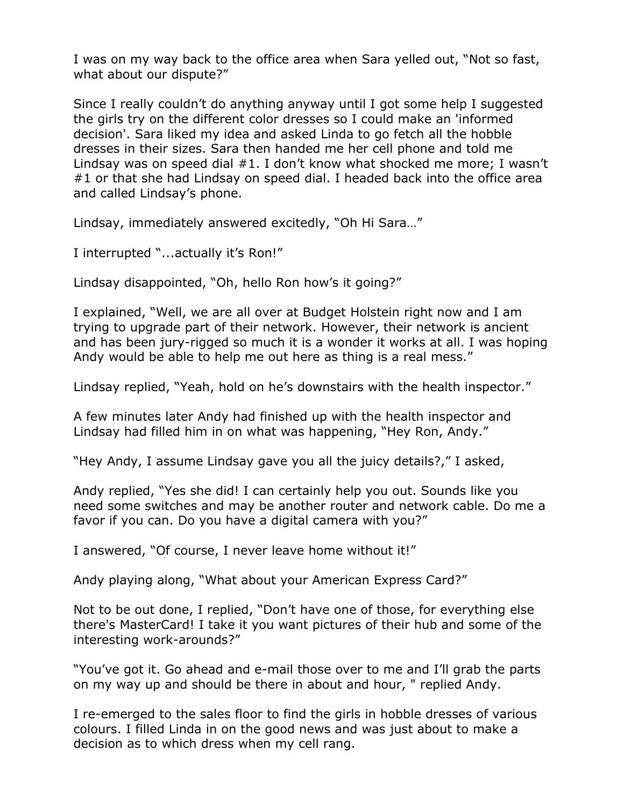I was on my way back to the office area when Sara yelled out, "Not so fast, what about our dispute?"

Since I really couldn't do anything anyway until I got some help I suggested the girls try on the different color dresses so I could make an 'informed decision'. Sara liked my idea and asked Linda to go fetch all the hobble dresses in their sizes. Sara then handed me her cell phone and told me Lindsay was on speed dial #1. I don't know what shocked me more; I wasn't #1 or that she had Lindsay on speed dial. I headed back into the office area and called Lindsay's phone.

Lindsay, immediately answered excitedly, "Oh Hi Sara…"

I interrupted "...actually it's Ron!"

Lindsay disappointed, "Oh, hello Ron how's it going?"

I explained, "Well, we are all over at Budget Holstein right now and I am trying to upgrade part of their network. However, their network is ancient and has been jury-rigged so much it is a wonder it works at all. I was hoping Andy would be able to help me out here as thing is a real mess."

Lindsay replied, "Yeah, hold on he's downstairs with the health inspector."

A few minutes later Andy had finished up with the health inspector and Lindsay had filled him in on what was happening, "Hey Ron, Andy."

"Hey Andy, I assume Lindsay gave you all the juicy details?," I asked,

Andy replied, "Yes she did! I can certainly help you out. Sounds like you need some switches and may be another router and network cable. Do me a favor if you can. Do you have a digital camera with you?"

I answered, "Of course, I never leave home without it!"

Andy playing along, "What about your American Express Card?"

Not to be out done, I replied, "Don't have one of those, for everything else there's MasterCard! I take it you want pictures of their hub and some of the interesting work-arounds?"

"You've got it. Go ahead and e-mail those over to me and I'll grab the parts on my way up and should be there in about and hour, " replied Andy.

I re-emerged to the sales floor to find the girls in hobble dresses of various colours. I filled Linda in on the good news and was just about to make a decision as to which dress when my cell rang.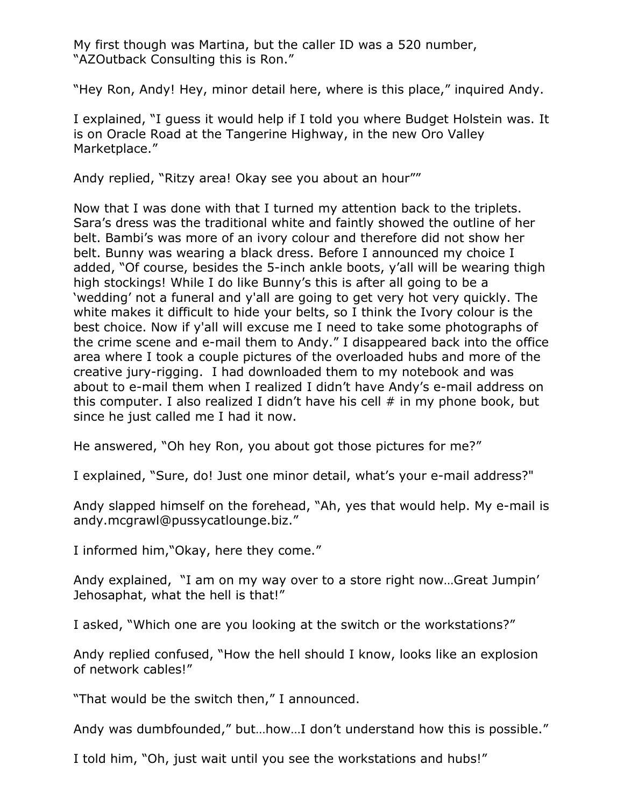My first though was Martina, but the caller ID was a 520 number, "AZOutback Consulting this is Ron."

"Hey Ron, Andy! Hey, minor detail here, where is this place," inquired Andy.

I explained, "I guess it would help if I told you where Budget Holstein was. It is on Oracle Road at the Tangerine Highway, in the new Oro Valley Marketplace."

Andy replied, "Ritzy area! Okay see you about an hour""

Now that I was done with that I turned my attention back to the triplets. Sara's dress was the traditional white and faintly showed the outline of her belt. Bambi's was more of an ivory colour and therefore did not show her belt. Bunny was wearing a black dress. Before I announced my choice I added, "Of course, besides the 5-inch ankle boots, y'all will be wearing thigh high stockings! While I do like Bunny's this is after all going to be a 'wedding' not a funeral and y'all are going to get very hot very quickly. The white makes it difficult to hide your belts, so I think the Ivory colour is the best choice. Now if y'all will excuse me I need to take some photographs of the crime scene and e-mail them to Andy." I disappeared back into the office area where I took a couple pictures of the overloaded hubs and more of the creative jury-rigging. I had downloaded them to my notebook and was about to e-mail them when I realized I didn't have Andy's e-mail address on this computer. I also realized I didn't have his cell # in my phone book, but since he just called me I had it now.

He answered, "Oh hey Ron, you about got those pictures for me?"

I explained, "Sure, do! Just one minor detail, what's your e-mail address?"

Andy slapped himself on the forehead, "Ah, yes that would help. My e-mail is andy.mcgrawl@pussycatlounge.biz."

I informed him,"Okay, here they come."

Andy explained, "I am on my way over to a store right now…Great Jumpin' Jehosaphat, what the hell is that!"

I asked, "Which one are you looking at the switch or the workstations?"

Andy replied confused, "How the hell should I know, looks like an explosion of network cables!"

"That would be the switch then," I announced.

Andy was dumbfounded," but…how…I don't understand how this is possible."

I told him, "Oh, just wait until you see the workstations and hubs!"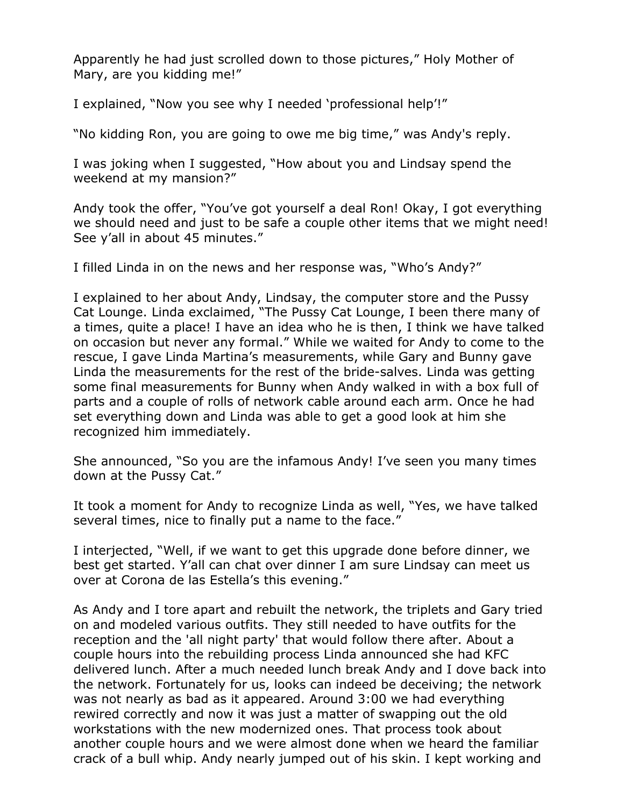Apparently he had just scrolled down to those pictures," Holy Mother of Mary, are you kidding me!"

I explained, "Now you see why I needed 'professional help'!"

"No kidding Ron, you are going to owe me big time," was Andy's reply.

I was joking when I suggested, "How about you and Lindsay spend the weekend at my mansion?"

Andy took the offer, "You've got yourself a deal Ron! Okay, I got everything we should need and just to be safe a couple other items that we might need! See y'all in about 45 minutes."

I filled Linda in on the news and her response was, "Who's Andy?"

I explained to her about Andy, Lindsay, the computer store and the Pussy Cat Lounge. Linda exclaimed, "The Pussy Cat Lounge, I been there many of a times, quite a place! I have an idea who he is then, I think we have talked on occasion but never any formal." While we waited for Andy to come to the rescue, I gave Linda Martina's measurements, while Gary and Bunny gave Linda the measurements for the rest of the bride-salves. Linda was getting some final measurements for Bunny when Andy walked in with a box full of parts and a couple of rolls of network cable around each arm. Once he had set everything down and Linda was able to get a good look at him she recognized him immediately.

She announced, "So you are the infamous Andy! I've seen you many times down at the Pussy Cat."

It took a moment for Andy to recognize Linda as well, "Yes, we have talked several times, nice to finally put a name to the face."

I interjected, "Well, if we want to get this upgrade done before dinner, we best get started. Y'all can chat over dinner I am sure Lindsay can meet us over at Corona de las Estella's this evening."

As Andy and I tore apart and rebuilt the network, the triplets and Gary tried on and modeled various outfits. They still needed to have outfits for the reception and the 'all night party' that would follow there after. About a couple hours into the rebuilding process Linda announced she had KFC delivered lunch. After a much needed lunch break Andy and I dove back into the network. Fortunately for us, looks can indeed be deceiving; the network was not nearly as bad as it appeared. Around 3:00 we had everything rewired correctly and now it was just a matter of swapping out the old workstations with the new modernized ones. That process took about another couple hours and we were almost done when we heard the familiar crack of a bull whip. Andy nearly jumped out of his skin. I kept working and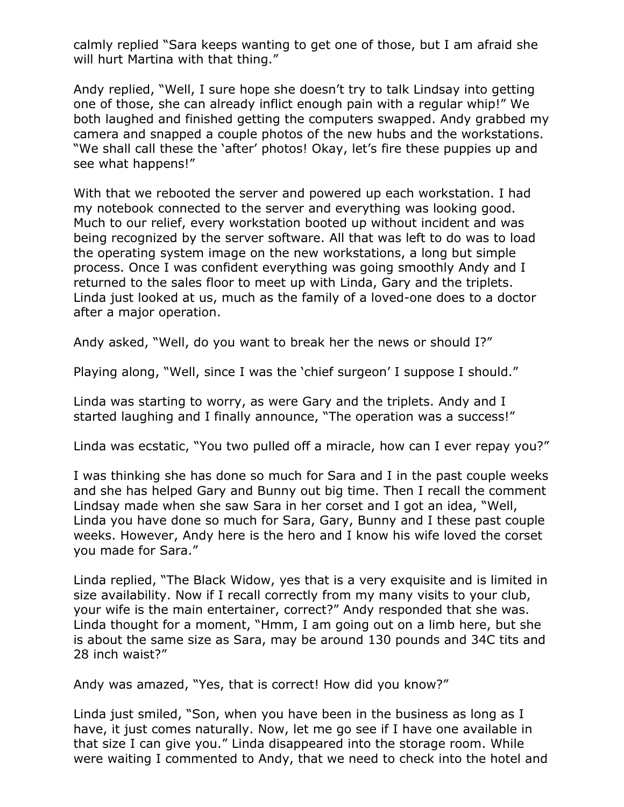calmly replied "Sara keeps wanting to get one of those, but I am afraid she will hurt Martina with that thing."

Andy replied, "Well, I sure hope she doesn't try to talk Lindsay into getting one of those, she can already inflict enough pain with a regular whip!" We both laughed and finished getting the computers swapped. Andy grabbed my camera and snapped a couple photos of the new hubs and the workstations. "We shall call these the 'after' photos! Okay, let's fire these puppies up and see what happens!"

With that we rebooted the server and powered up each workstation. I had my notebook connected to the server and everything was looking good. Much to our relief, every workstation booted up without incident and was being recognized by the server software. All that was left to do was to load the operating system image on the new workstations, a long but simple process. Once I was confident everything was going smoothly Andy and I returned to the sales floor to meet up with Linda, Gary and the triplets. Linda just looked at us, much as the family of a loved-one does to a doctor after a major operation.

Andy asked, "Well, do you want to break her the news or should I?"

Playing along, "Well, since I was the 'chief surgeon' I suppose I should."

Linda was starting to worry, as were Gary and the triplets. Andy and I started laughing and I finally announce, "The operation was a success!"

Linda was ecstatic, "You two pulled off a miracle, how can I ever repay you?"

I was thinking she has done so much for Sara and I in the past couple weeks and she has helped Gary and Bunny out big time. Then I recall the comment Lindsay made when she saw Sara in her corset and I got an idea, "Well, Linda you have done so much for Sara, Gary, Bunny and I these past couple weeks. However, Andy here is the hero and I know his wife loved the corset you made for Sara."

Linda replied, "The Black Widow, yes that is a very exquisite and is limited in size availability. Now if I recall correctly from my many visits to your club, your wife is the main entertainer, correct?" Andy responded that she was. Linda thought for a moment, "Hmm, I am going out on a limb here, but she is about the same size as Sara, may be around 130 pounds and 34C tits and 28 inch waist?"

Andy was amazed, "Yes, that is correct! How did you know?"

Linda just smiled, "Son, when you have been in the business as long as I have, it just comes naturally. Now, let me go see if I have one available in that size I can give you." Linda disappeared into the storage room. While were waiting I commented to Andy, that we need to check into the hotel and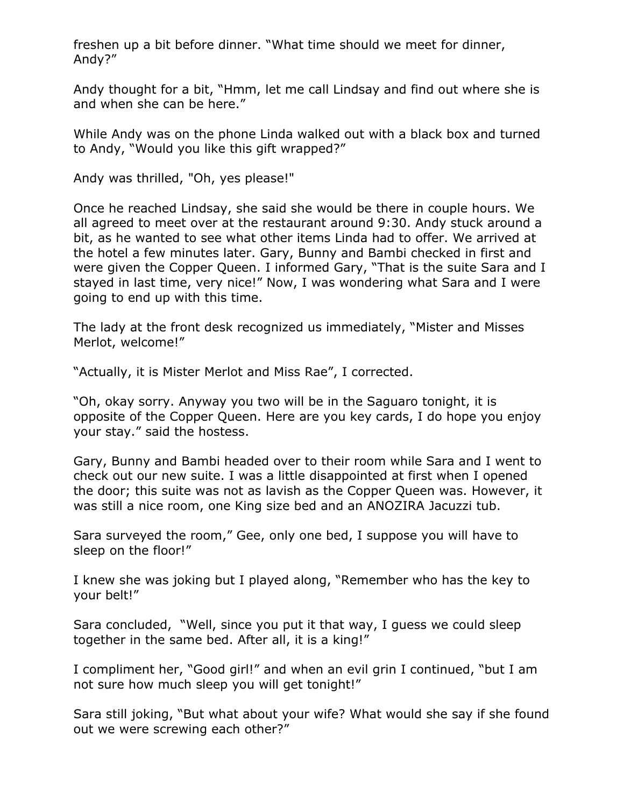freshen up a bit before dinner. "What time should we meet for dinner, Andy?"

Andy thought for a bit, "Hmm, let me call Lindsay and find out where she is and when she can be here."

While Andy was on the phone Linda walked out with a black box and turned to Andy, "Would you like this gift wrapped?"

Andy was thrilled, "Oh, yes please!"

Once he reached Lindsay, she said she would be there in couple hours. We all agreed to meet over at the restaurant around 9:30. Andy stuck around a bit, as he wanted to see what other items Linda had to offer. We arrived at the hotel a few minutes later. Gary, Bunny and Bambi checked in first and were given the Copper Queen. I informed Gary, "That is the suite Sara and I stayed in last time, very nice!" Now, I was wondering what Sara and I were going to end up with this time.

The lady at the front desk recognized us immediately, "Mister and Misses Merlot, welcome!"

"Actually, it is Mister Merlot and Miss Rae", I corrected.

"Oh, okay sorry. Anyway you two will be in the Saguaro tonight, it is opposite of the Copper Queen. Here are you key cards, I do hope you enjoy your stay." said the hostess.

Gary, Bunny and Bambi headed over to their room while Sara and I went to check out our new suite. I was a little disappointed at first when I opened the door; this suite was not as lavish as the Copper Queen was. However, it was still a nice room, one King size bed and an ANOZIRA Jacuzzi tub.

Sara surveyed the room," Gee, only one bed, I suppose you will have to sleep on the floor!"

I knew she was joking but I played along, "Remember who has the key to your belt!"

Sara concluded, "Well, since you put it that way, I guess we could sleep together in the same bed. After all, it is a king!"

I compliment her, "Good girl!" and when an evil grin I continued, "but I am not sure how much sleep you will get tonight!"

Sara still joking, "But what about your wife? What would she say if she found out we were screwing each other?"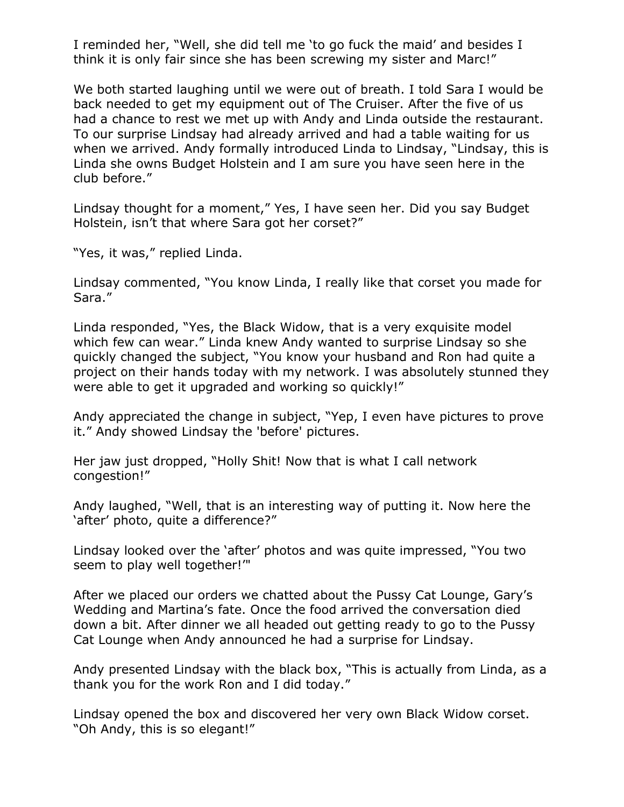I reminded her, "Well, she did tell me 'to go fuck the maid' and besides I think it is only fair since she has been screwing my sister and Marc!"

We both started laughing until we were out of breath. I told Sara I would be back needed to get my equipment out of The Cruiser. After the five of us had a chance to rest we met up with Andy and Linda outside the restaurant. To our surprise Lindsay had already arrived and had a table waiting for us when we arrived. Andy formally introduced Linda to Lindsay, "Lindsay, this is Linda she owns Budget Holstein and I am sure you have seen here in the club before."

Lindsay thought for a moment," Yes, I have seen her. Did you say Budget Holstein, isn't that where Sara got her corset?"

"Yes, it was," replied Linda.

Lindsay commented, "You know Linda, I really like that corset you made for Sara."

Linda responded, "Yes, the Black Widow, that is a very exquisite model which few can wear." Linda knew Andy wanted to surprise Lindsay so she quickly changed the subject, "You know your husband and Ron had quite a project on their hands today with my network. I was absolutely stunned they were able to get it upgraded and working so quickly!"

Andy appreciated the change in subject, "Yep, I even have pictures to prove it." Andy showed Lindsay the 'before' pictures.

Her jaw just dropped, "Holly Shit! Now that is what I call network congestion!"

Andy laughed, "Well, that is an interesting way of putting it. Now here the 'after' photo, quite a difference?"

Lindsay looked over the 'after' photos and was quite impressed, "You two seem to play well together!'"

After we placed our orders we chatted about the Pussy Cat Lounge, Gary's Wedding and Martina's fate. Once the food arrived the conversation died down a bit. After dinner we all headed out getting ready to go to the Pussy Cat Lounge when Andy announced he had a surprise for Lindsay.

Andy presented Lindsay with the black box, "This is actually from Linda, as a thank you for the work Ron and I did today."

Lindsay opened the box and discovered her very own Black Widow corset. "Oh Andy, this is so elegant!"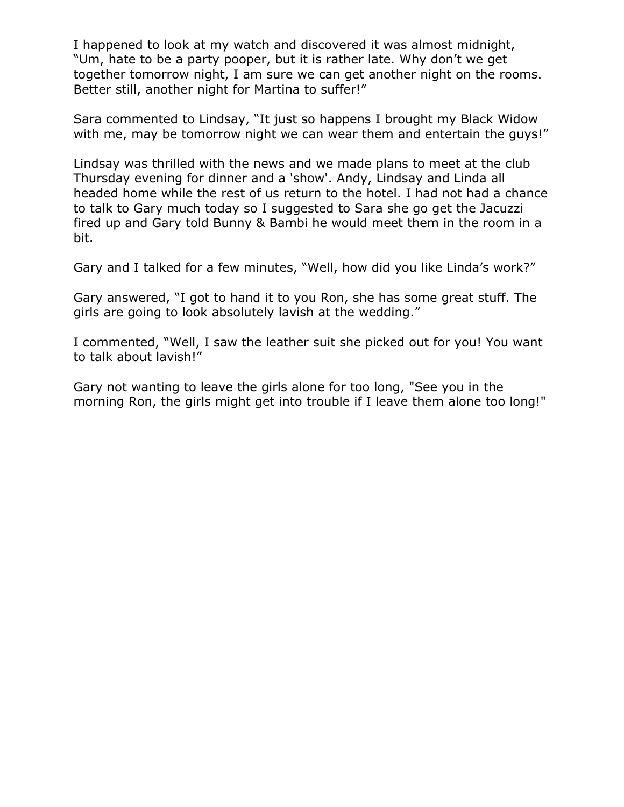I happened to look at my watch and discovered it was almost midnight, "Um, hate to be a party pooper, but it is rather late. Why don't we get together tomorrow night, I am sure we can get another night on the rooms. Better still, another night for Martina to suffer!"

Sara commented to Lindsay, "It just so happens I brought my Black Widow with me, may be tomorrow night we can wear them and entertain the guys!"

Lindsay was thrilled with the news and we made plans to meet at the club Thursday evening for dinner and a 'show'. Andy, Lindsay and Linda all headed home while the rest of us return to the hotel. I had not had a chance to talk to Gary much today so I suggested to Sara she go get the Jacuzzi fired up and Gary told Bunny & Bambi he would meet them in the room in a bit.

Gary and I talked for a few minutes, "Well, how did you like Linda's work?"

Gary answered, "I got to hand it to you Ron, she has some great stuff. The girls are going to look absolutely lavish at the wedding."

I commented, "Well, I saw the leather suit she picked out for you! You want to talk about lavish!"

Gary not wanting to leave the girls alone for too long, "See you in the morning Ron, the girls might get into trouble if I leave them alone too long!"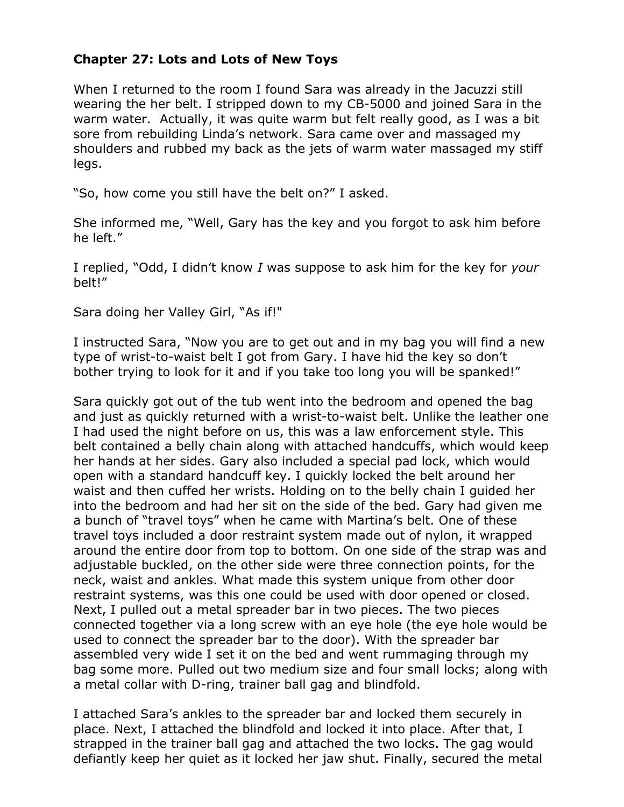### **Chapter 27: Lots and Lots of New Toys**

When I returned to the room I found Sara was already in the Jacuzzi still wearing the her belt. I stripped down to my CB-5000 and joined Sara in the warm water. Actually, it was quite warm but felt really good, as I was a bit sore from rebuilding Linda's network. Sara came over and massaged my shoulders and rubbed my back as the jets of warm water massaged my stiff legs.

"So, how come you still have the belt on?" I asked.

She informed me, "Well, Gary has the key and you forgot to ask him before he left."

I replied, "Odd, I didn't know *I* was suppose to ask him for the key for *your* belt!"

Sara doing her Valley Girl, "As if!"

I instructed Sara, "Now you are to get out and in my bag you will find a new type of wrist-to-waist belt I got from Gary. I have hid the key so don't bother trying to look for it and if you take too long you will be spanked!"

Sara quickly got out of the tub went into the bedroom and opened the bag and just as quickly returned with a wrist-to-waist belt. Unlike the leather one I had used the night before on us, this was a law enforcement style. This belt contained a belly chain along with attached handcuffs, which would keep her hands at her sides. Gary also included a special pad lock, which would open with a standard handcuff key. I quickly locked the belt around her waist and then cuffed her wrists. Holding on to the belly chain I guided her into the bedroom and had her sit on the side of the bed. Gary had given me a bunch of "travel toys" when he came with Martina's belt. One of these travel toys included a door restraint system made out of nylon, it wrapped around the entire door from top to bottom. On one side of the strap was and adjustable buckled, on the other side were three connection points, for the neck, waist and ankles. What made this system unique from other door restraint systems, was this one could be used with door opened or closed. Next, I pulled out a metal spreader bar in two pieces. The two pieces connected together via a long screw with an eye hole (the eye hole would be used to connect the spreader bar to the door). With the spreader bar assembled very wide I set it on the bed and went rummaging through my bag some more. Pulled out two medium size and four small locks; along with a metal collar with D-ring, trainer ball gag and blindfold.

I attached Sara's ankles to the spreader bar and locked them securely in place. Next, I attached the blindfold and locked it into place. After that, I strapped in the trainer ball gag and attached the two locks. The gag would defiantly keep her quiet as it locked her jaw shut. Finally, secured the metal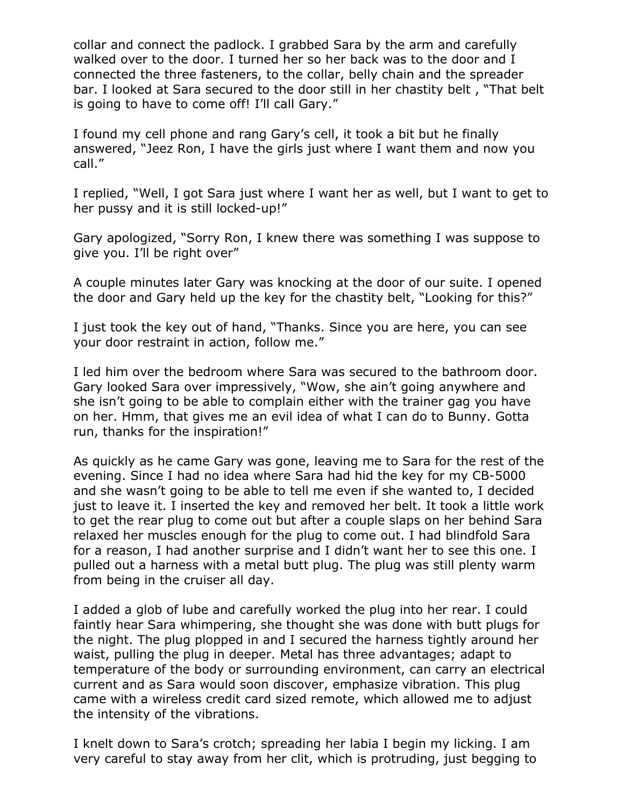collar and connect the padlock. I grabbed Sara by the arm and carefully walked over to the door. I turned her so her back was to the door and I connected the three fasteners, to the collar, belly chain and the spreader bar. I looked at Sara secured to the door still in her chastity belt , "That belt is going to have to come off! I'll call Gary."

I found my cell phone and rang Gary's cell, it took a bit but he finally answered, "Jeez Ron, I have the girls just where I want them and now you call."

I replied, "Well, I got Sara just where I want her as well, but I want to get to her pussy and it is still locked-up!"

Gary apologized, "Sorry Ron, I knew there was something I was suppose to give you. I'll be right over"

A couple minutes later Gary was knocking at the door of our suite. I opened the door and Gary held up the key for the chastity belt, "Looking for this?"

I just took the key out of hand, "Thanks. Since you are here, you can see your door restraint in action, follow me."

I led him over the bedroom where Sara was secured to the bathroom door. Gary looked Sara over impressively, "Wow, she ain't going anywhere and she isn't going to be able to complain either with the trainer gag you have on her. Hmm, that gives me an evil idea of what I can do to Bunny. Gotta run, thanks for the inspiration!"

As quickly as he came Gary was gone, leaving me to Sara for the rest of the evening. Since I had no idea where Sara had hid the key for my CB-5000 and she wasn't going to be able to tell me even if she wanted to, I decided just to leave it. I inserted the key and removed her belt. It took a little work to get the rear plug to come out but after a couple slaps on her behind Sara relaxed her muscles enough for the plug to come out. I had blindfold Sara for a reason, I had another surprise and I didn't want her to see this one. I pulled out a harness with a metal butt plug. The plug was still plenty warm from being in the cruiser all day.

I added a glob of lube and carefully worked the plug into her rear. I could faintly hear Sara whimpering, she thought she was done with butt plugs for the night. The plug plopped in and I secured the harness tightly around her waist, pulling the plug in deeper. Metal has three advantages; adapt to temperature of the body or surrounding environment, can carry an electrical current and as Sara would soon discover, emphasize vibration. This plug came with a wireless credit card sized remote, which allowed me to adjust the intensity of the vibrations.

I knelt down to Sara's crotch; spreading her labia I begin my licking. I am very careful to stay away from her clit, which is protruding, just begging to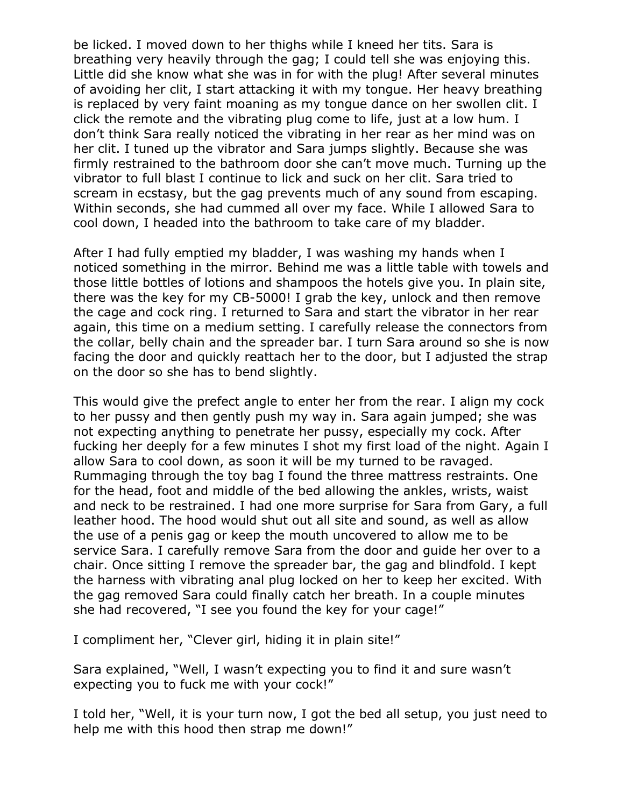be licked. I moved down to her thighs while I kneed her tits. Sara is breathing very heavily through the gag; I could tell she was enjoying this. Little did she know what she was in for with the plug! After several minutes of avoiding her clit, I start attacking it with my tongue. Her heavy breathing is replaced by very faint moaning as my tongue dance on her swollen clit. I click the remote and the vibrating plug come to life, just at a low hum. I don't think Sara really noticed the vibrating in her rear as her mind was on her clit. I tuned up the vibrator and Sara jumps slightly. Because she was firmly restrained to the bathroom door she can't move much. Turning up the vibrator to full blast I continue to lick and suck on her clit. Sara tried to scream in ecstasy, but the gag prevents much of any sound from escaping. Within seconds, she had cummed all over my face. While I allowed Sara to cool down, I headed into the bathroom to take care of my bladder.

After I had fully emptied my bladder, I was washing my hands when I noticed something in the mirror. Behind me was a little table with towels and those little bottles of lotions and shampoos the hotels give you. In plain site, there was the key for my CB-5000! I grab the key, unlock and then remove the cage and cock ring. I returned to Sara and start the vibrator in her rear again, this time on a medium setting. I carefully release the connectors from the collar, belly chain and the spreader bar. I turn Sara around so she is now facing the door and quickly reattach her to the door, but I adjusted the strap on the door so she has to bend slightly.

This would give the prefect angle to enter her from the rear. I align my cock to her pussy and then gently push my way in. Sara again jumped; she was not expecting anything to penetrate her pussy, especially my cock. After fucking her deeply for a few minutes I shot my first load of the night. Again I allow Sara to cool down, as soon it will be my turned to be ravaged. Rummaging through the toy bag I found the three mattress restraints. One for the head, foot and middle of the bed allowing the ankles, wrists, waist and neck to be restrained. I had one more surprise for Sara from Gary, a full leather hood. The hood would shut out all site and sound, as well as allow the use of a penis gag or keep the mouth uncovered to allow me to be service Sara. I carefully remove Sara from the door and guide her over to a chair. Once sitting I remove the spreader bar, the gag and blindfold. I kept the harness with vibrating anal plug locked on her to keep her excited. With the gag removed Sara could finally catch her breath. In a couple minutes she had recovered, "I see you found the key for your cage!"

I compliment her, "Clever girl, hiding it in plain site!"

Sara explained, "Well, I wasn't expecting you to find it and sure wasn't expecting you to fuck me with your cock!"

I told her, "Well, it is your turn now, I got the bed all setup, you just need to help me with this hood then strap me down!"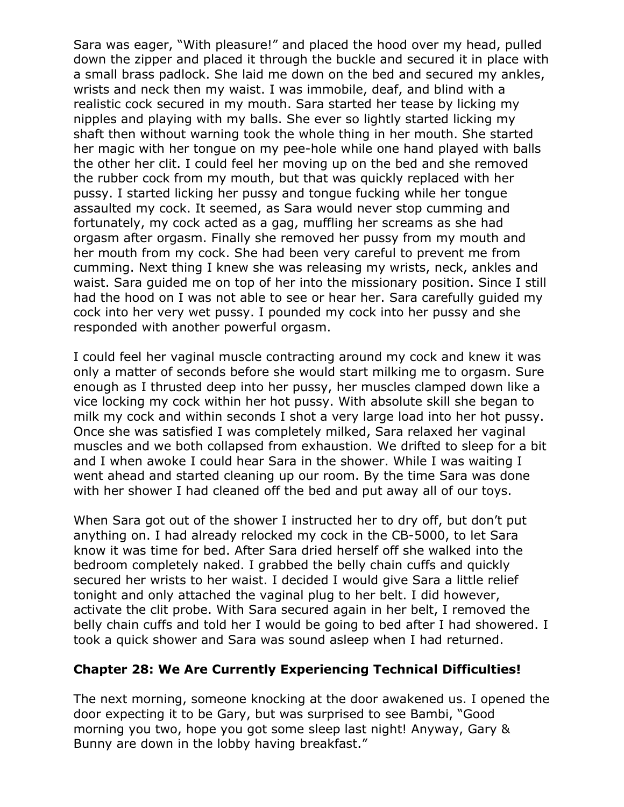Sara was eager, "With pleasure!" and placed the hood over my head, pulled down the zipper and placed it through the buckle and secured it in place with a small brass padlock. She laid me down on the bed and secured my ankles, wrists and neck then my waist. I was immobile, deaf, and blind with a realistic cock secured in my mouth. Sara started her tease by licking my nipples and playing with my balls. She ever so lightly started licking my shaft then without warning took the whole thing in her mouth. She started her magic with her tongue on my pee-hole while one hand played with balls the other her clit. I could feel her moving up on the bed and she removed the rubber cock from my mouth, but that was quickly replaced with her pussy. I started licking her pussy and tongue fucking while her tongue assaulted my cock. It seemed, as Sara would never stop cumming and fortunately, my cock acted as a gag, muffling her screams as she had orgasm after orgasm. Finally she removed her pussy from my mouth and her mouth from my cock. She had been very careful to prevent me from cumming. Next thing I knew she was releasing my wrists, neck, ankles and waist. Sara guided me on top of her into the missionary position. Since I still had the hood on I was not able to see or hear her. Sara carefully guided my cock into her very wet pussy. I pounded my cock into her pussy and she responded with another powerful orgasm.

I could feel her vaginal muscle contracting around my cock and knew it was only a matter of seconds before she would start milking me to orgasm. Sure enough as I thrusted deep into her pussy, her muscles clamped down like a vice locking my cock within her hot pussy. With absolute skill she began to milk my cock and within seconds I shot a very large load into her hot pussy. Once she was satisfied I was completely milked, Sara relaxed her vaginal muscles and we both collapsed from exhaustion. We drifted to sleep for a bit and I when awoke I could hear Sara in the shower. While I was waiting I went ahead and started cleaning up our room. By the time Sara was done with her shower I had cleaned off the bed and put away all of our toys.

When Sara got out of the shower I instructed her to dry off, but don't put anything on. I had already relocked my cock in the CB-5000, to let Sara know it was time for bed. After Sara dried herself off she walked into the bedroom completely naked. I grabbed the belly chain cuffs and quickly secured her wrists to her waist. I decided I would give Sara a little relief tonight and only attached the vaginal plug to her belt. I did however, activate the clit probe. With Sara secured again in her belt, I removed the belly chain cuffs and told her I would be going to bed after I had showered. I took a quick shower and Sara was sound asleep when I had returned.

#### **Chapter 28: We Are Currently Experiencing Technical Difficulties!**

The next morning, someone knocking at the door awakened us. I opened the door expecting it to be Gary, but was surprised to see Bambi, "Good morning you two, hope you got some sleep last night! Anyway, Gary & Bunny are down in the lobby having breakfast."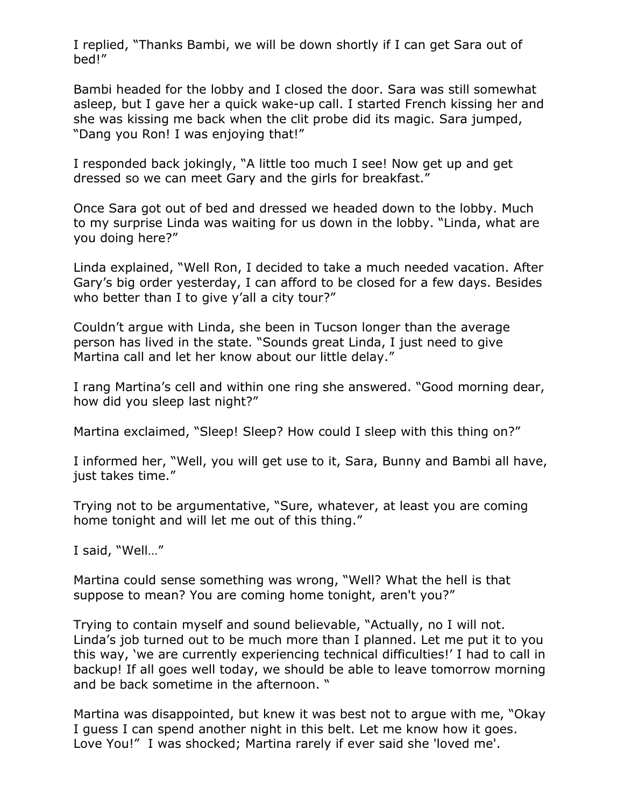I replied, "Thanks Bambi, we will be down shortly if I can get Sara out of bed!"

Bambi headed for the lobby and I closed the door. Sara was still somewhat asleep, but I gave her a quick wake-up call. I started French kissing her and she was kissing me back when the clit probe did its magic. Sara jumped, "Dang you Ron! I was enjoying that!"

I responded back jokingly, "A little too much I see! Now get up and get dressed so we can meet Gary and the girls for breakfast."

Once Sara got out of bed and dressed we headed down to the lobby. Much to my surprise Linda was waiting for us down in the lobby. "Linda, what are you doing here?"

Linda explained, "Well Ron, I decided to take a much needed vacation. After Gary's big order yesterday, I can afford to be closed for a few days. Besides who better than I to give y'all a city tour?"

Couldn't argue with Linda, she been in Tucson longer than the average person has lived in the state. "Sounds great Linda, I just need to give Martina call and let her know about our little delay."

I rang Martina's cell and within one ring she answered. "Good morning dear, how did you sleep last night?"

Martina exclaimed, "Sleep! Sleep? How could I sleep with this thing on?"

I informed her, "Well, you will get use to it, Sara, Bunny and Bambi all have, just takes time."

Trying not to be argumentative, "Sure, whatever, at least you are coming home tonight and will let me out of this thing."

I said, "Well…"

Martina could sense something was wrong, "Well? What the hell is that suppose to mean? You are coming home tonight, aren't you?"

Trying to contain myself and sound believable, "Actually, no I will not. Linda's job turned out to be much more than I planned. Let me put it to you this way, 'we are currently experiencing technical difficulties!' I had to call in backup! If all goes well today, we should be able to leave tomorrow morning and be back sometime in the afternoon. "

Martina was disappointed, but knew it was best not to argue with me, "Okay I guess I can spend another night in this belt. Let me know how it goes. Love You!" I was shocked; Martina rarely if ever said she 'loved me'.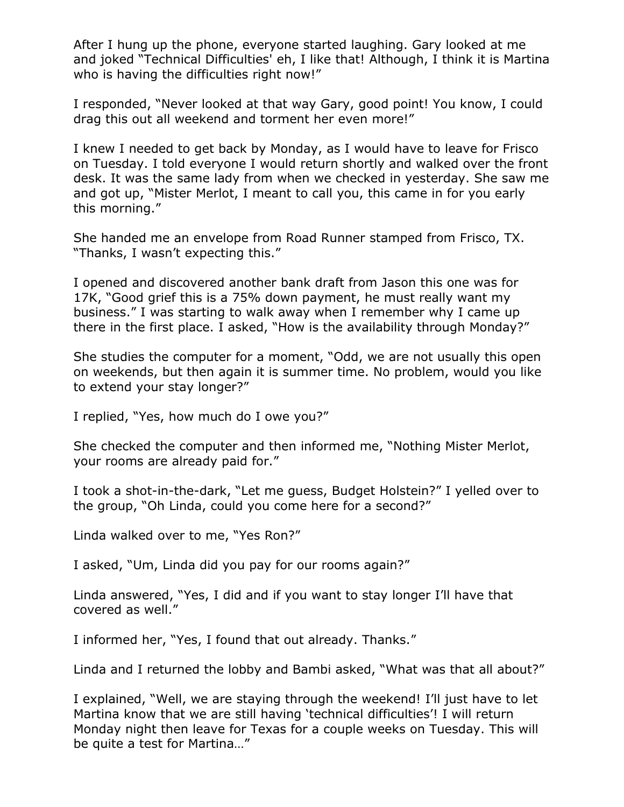After I hung up the phone, everyone started laughing. Gary looked at me and joked "Technical Difficulties' eh, I like that! Although, I think it is Martina who is having the difficulties right now!"

I responded, "Never looked at that way Gary, good point! You know, I could drag this out all weekend and torment her even more!"

I knew I needed to get back by Monday, as I would have to leave for Frisco on Tuesday. I told everyone I would return shortly and walked over the front desk. It was the same lady from when we checked in yesterday. She saw me and got up, "Mister Merlot, I meant to call you, this came in for you early this morning."

She handed me an envelope from Road Runner stamped from Frisco, TX. "Thanks, I wasn't expecting this."

I opened and discovered another bank draft from Jason this one was for 17K, "Good grief this is a 75% down payment, he must really want my business." I was starting to walk away when I remember why I came up there in the first place. I asked, "How is the availability through Monday?"

She studies the computer for a moment, "Odd, we are not usually this open on weekends, but then again it is summer time. No problem, would you like to extend your stay longer?"

I replied, "Yes, how much do I owe you?"

She checked the computer and then informed me, "Nothing Mister Merlot, your rooms are already paid for."

I took a shot-in-the-dark, "Let me guess, Budget Holstein?" I yelled over to the group, "Oh Linda, could you come here for a second?"

Linda walked over to me, "Yes Ron?"

I asked, "Um, Linda did you pay for our rooms again?"

Linda answered, "Yes, I did and if you want to stay longer I'll have that covered as well."

I informed her, "Yes, I found that out already. Thanks."

Linda and I returned the lobby and Bambi asked, "What was that all about?"

I explained, "Well, we are staying through the weekend! I'll just have to let Martina know that we are still having 'technical difficulties'! I will return Monday night then leave for Texas for a couple weeks on Tuesday. This will be quite a test for Martina…"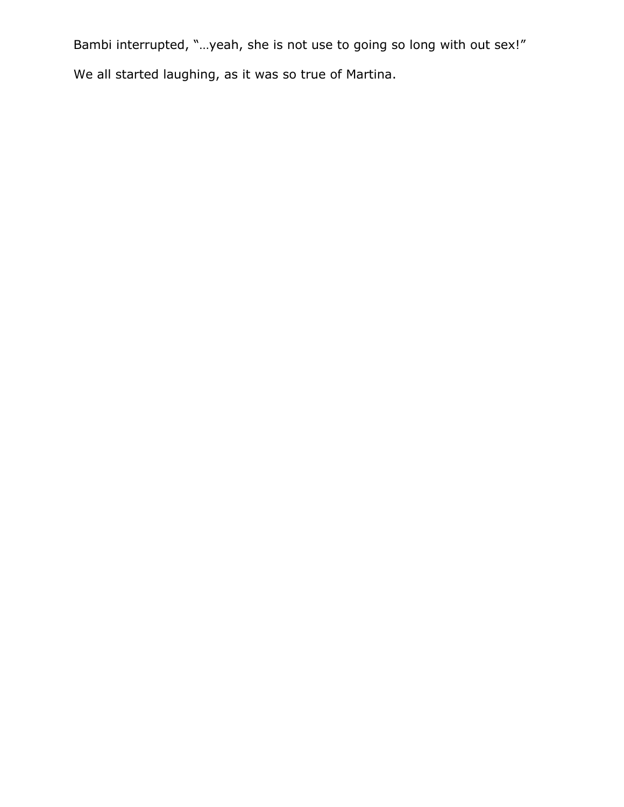Bambi interrupted, "…yeah, she is not use to going so long with out sex!" We all started laughing, as it was so true of Martina.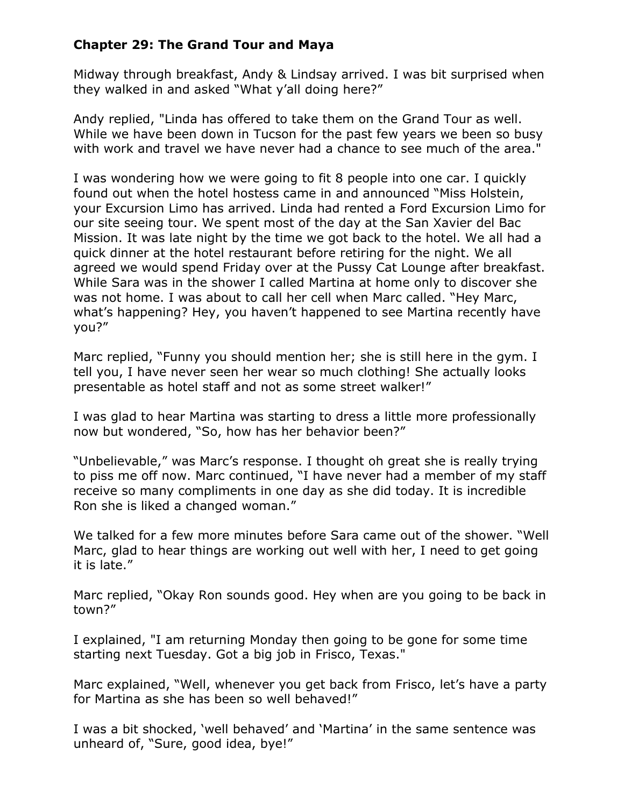# **Chapter 29: The Grand Tour and Maya**

Midway through breakfast, Andy & Lindsay arrived. I was bit surprised when they walked in and asked "What y'all doing here?"

Andy replied, "Linda has offered to take them on the Grand Tour as well. While we have been down in Tucson for the past few years we been so busy with work and travel we have never had a chance to see much of the area."

I was wondering how we were going to fit 8 people into one car. I quickly found out when the hotel hostess came in and announced "Miss Holstein, your Excursion Limo has arrived. Linda had rented a Ford Excursion Limo for our site seeing tour. We spent most of the day at the San Xavier del Bac Mission. It was late night by the time we got back to the hotel. We all had a quick dinner at the hotel restaurant before retiring for the night. We all agreed we would spend Friday over at the Pussy Cat Lounge after breakfast. While Sara was in the shower I called Martina at home only to discover she was not home. I was about to call her cell when Marc called. "Hey Marc, what's happening? Hey, you haven't happened to see Martina recently have you?"

Marc replied, "Funny you should mention her; she is still here in the gym. I tell you, I have never seen her wear so much clothing! She actually looks presentable as hotel staff and not as some street walker!"

I was glad to hear Martina was starting to dress a little more professionally now but wondered, "So, how has her behavior been?"

"Unbelievable," was Marc's response. I thought oh great she is really trying to piss me off now. Marc continued, "I have never had a member of my staff receive so many compliments in one day as she did today. It is incredible Ron she is liked a changed woman."

We talked for a few more minutes before Sara came out of the shower. "Well Marc, glad to hear things are working out well with her, I need to get going it is late."

Marc replied, "Okay Ron sounds good. Hey when are you going to be back in town?"

I explained, "I am returning Monday then going to be gone for some time starting next Tuesday. Got a big job in Frisco, Texas."

Marc explained, "Well, whenever you get back from Frisco, let's have a party for Martina as she has been so well behaved!"

I was a bit shocked, 'well behaved' and 'Martina' in the same sentence was unheard of, "Sure, good idea, bye!"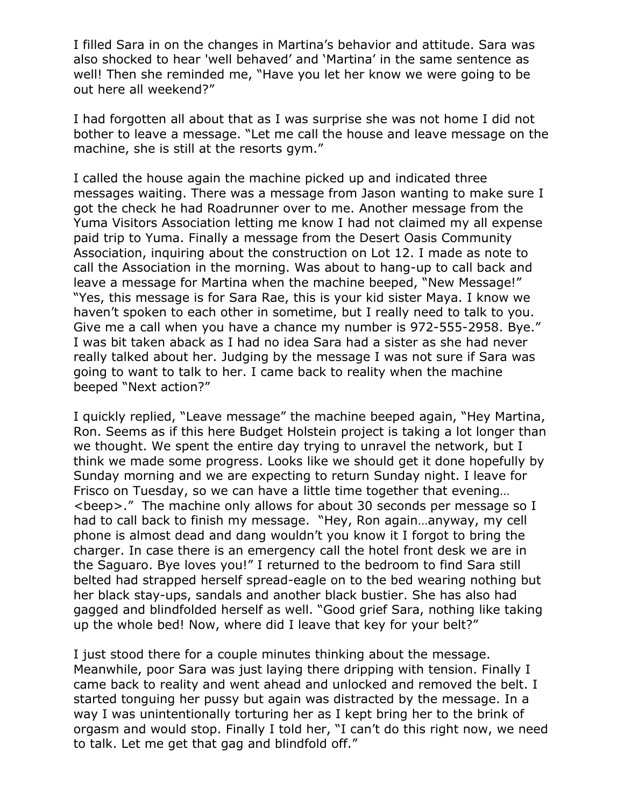I filled Sara in on the changes in Martina's behavior and attitude. Sara was also shocked to hear 'well behaved' and 'Martina' in the same sentence as well! Then she reminded me, "Have you let her know we were going to be out here all weekend?"

I had forgotten all about that as I was surprise she was not home I did not bother to leave a message. "Let me call the house and leave message on the machine, she is still at the resorts gym."

I called the house again the machine picked up and indicated three messages waiting. There was a message from Jason wanting to make sure I got the check he had Roadrunner over to me. Another message from the Yuma Visitors Association letting me know I had not claimed my all expense paid trip to Yuma. Finally a message from the Desert Oasis Community Association, inquiring about the construction on Lot 12. I made as note to call the Association in the morning. Was about to hang-up to call back and leave a message for Martina when the machine beeped, "New Message!" "Yes, this message is for Sara Rae, this is your kid sister Maya. I know we haven't spoken to each other in sometime, but I really need to talk to you. Give me a call when you have a chance my number is 972-555-2958. Bye." I was bit taken aback as I had no idea Sara had a sister as she had never really talked about her. Judging by the message I was not sure if Sara was going to want to talk to her. I came back to reality when the machine beeped "Next action?"

I quickly replied, "Leave message" the machine beeped again, "Hey Martina, Ron. Seems as if this here Budget Holstein project is taking a lot longer than we thought. We spent the entire day trying to unravel the network, but I think we made some progress. Looks like we should get it done hopefully by Sunday morning and we are expecting to return Sunday night. I leave for Frisco on Tuesday, so we can have a little time together that evening… <beep>." The machine only allows for about 30 seconds per message so I had to call back to finish my message. "Hey, Ron again…anyway, my cell phone is almost dead and dang wouldn't you know it I forgot to bring the charger. In case there is an emergency call the hotel front desk we are in the Saguaro. Bye loves you!" I returned to the bedroom to find Sara still belted had strapped herself spread-eagle on to the bed wearing nothing but her black stay-ups, sandals and another black bustier. She has also had gagged and blindfolded herself as well. "Good grief Sara, nothing like taking up the whole bed! Now, where did I leave that key for your belt?"

I just stood there for a couple minutes thinking about the message. Meanwhile, poor Sara was just laying there dripping with tension. Finally I came back to reality and went ahead and unlocked and removed the belt. I started tonguing her pussy but again was distracted by the message. In a way I was unintentionally torturing her as I kept bring her to the brink of orgasm and would stop. Finally I told her, "I can't do this right now, we need to talk. Let me get that gag and blindfold off."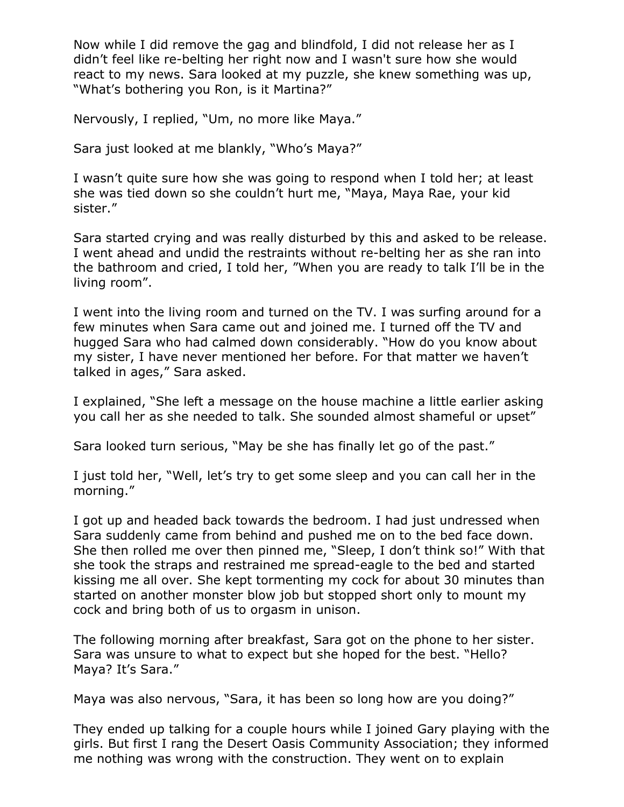Now while I did remove the gag and blindfold, I did not release her as I didn't feel like re-belting her right now and I wasn't sure how she would react to my news. Sara looked at my puzzle, she knew something was up, "What's bothering you Ron, is it Martina?"

Nervously, I replied, "Um, no more like Maya."

Sara just looked at me blankly, "Who's Maya?"

I wasn't quite sure how she was going to respond when I told her; at least she was tied down so she couldn't hurt me, "Maya, Maya Rae, your kid sister."

Sara started crying and was really disturbed by this and asked to be release. I went ahead and undid the restraints without re-belting her as she ran into the bathroom and cried, I told her, "When you are ready to talk I'll be in the living room".

I went into the living room and turned on the TV. I was surfing around for a few minutes when Sara came out and joined me. I turned off the TV and hugged Sara who had calmed down considerably. "How do you know about my sister, I have never mentioned her before. For that matter we haven't talked in ages," Sara asked.

I explained, "She left a message on the house machine a little earlier asking you call her as she needed to talk. She sounded almost shameful or upset"

Sara looked turn serious, "May be she has finally let go of the past."

I just told her, "Well, let's try to get some sleep and you can call her in the morning."

I got up and headed back towards the bedroom. I had just undressed when Sara suddenly came from behind and pushed me on to the bed face down. She then rolled me over then pinned me, "Sleep, I don't think so!" With that she took the straps and restrained me spread-eagle to the bed and started kissing me all over. She kept tormenting my cock for about 30 minutes than started on another monster blow job but stopped short only to mount my cock and bring both of us to orgasm in unison.

The following morning after breakfast, Sara got on the phone to her sister. Sara was unsure to what to expect but she hoped for the best. "Hello? Maya? It's Sara."

Maya was also nervous, "Sara, it has been so long how are you doing?"

They ended up talking for a couple hours while I joined Gary playing with the girls. But first I rang the Desert Oasis Community Association; they informed me nothing was wrong with the construction. They went on to explain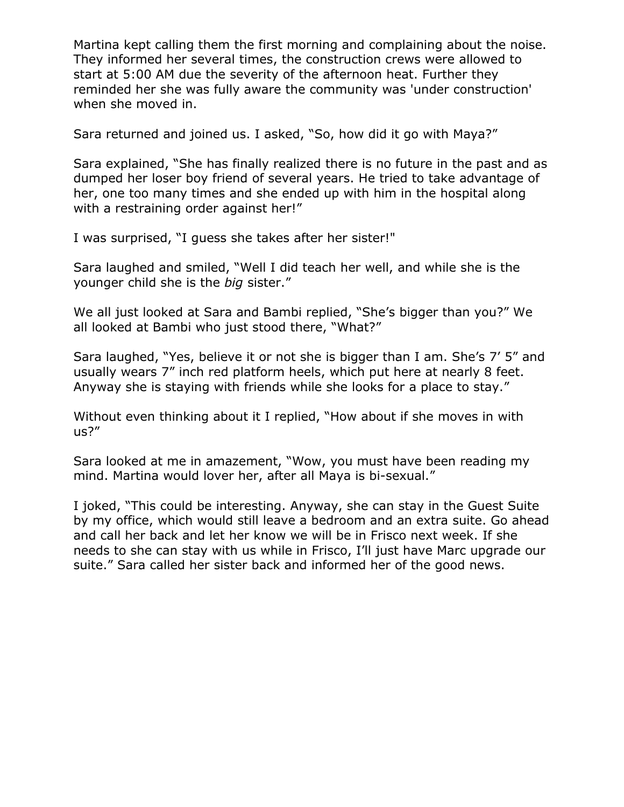Martina kept calling them the first morning and complaining about the noise. They informed her several times, the construction crews were allowed to start at 5:00 AM due the severity of the afternoon heat. Further they reminded her she was fully aware the community was 'under construction' when she moved in.

Sara returned and joined us. I asked, "So, how did it go with Maya?"

Sara explained, "She has finally realized there is no future in the past and as dumped her loser boy friend of several years. He tried to take advantage of her, one too many times and she ended up with him in the hospital along with a restraining order against her!"

I was surprised, "I guess she takes after her sister!"

Sara laughed and smiled, "Well I did teach her well, and while she is the younger child she is the *big* sister."

We all just looked at Sara and Bambi replied, "She's bigger than you?" We all looked at Bambi who just stood there, "What?"

Sara laughed, "Yes, believe it or not she is bigger than I am. She's 7' 5" and usually wears 7" inch red platform heels, which put here at nearly 8 feet. Anyway she is staying with friends while she looks for a place to stay."

Without even thinking about it I replied, "How about if she moves in with us?"

Sara looked at me in amazement, "Wow, you must have been reading my mind. Martina would lover her, after all Maya is bi-sexual."

I joked, "This could be interesting. Anyway, she can stay in the Guest Suite by my office, which would still leave a bedroom and an extra suite. Go ahead and call her back and let her know we will be in Frisco next week. If she needs to she can stay with us while in Frisco, I'll just have Marc upgrade our suite." Sara called her sister back and informed her of the good news.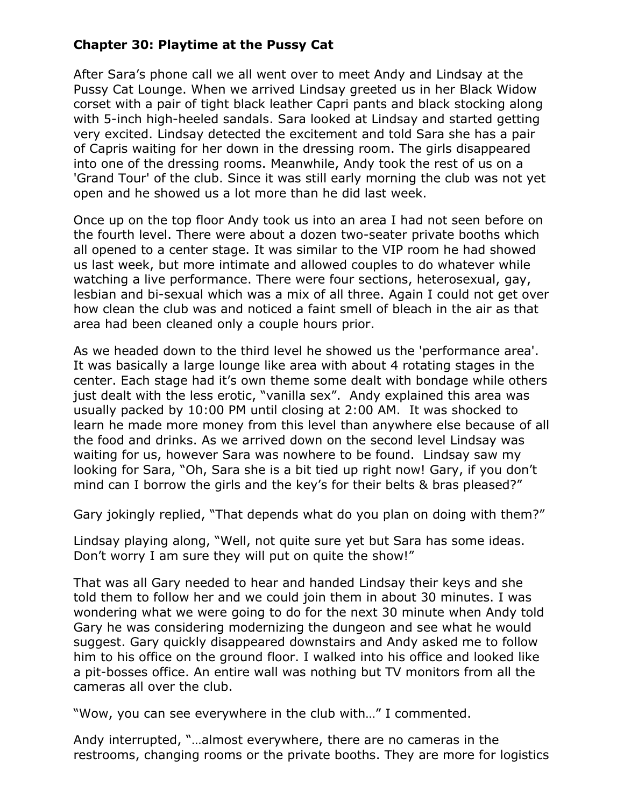# **Chapter 30: Playtime at the Pussy Cat**

After Sara's phone call we all went over to meet Andy and Lindsay at the Pussy Cat Lounge. When we arrived Lindsay greeted us in her Black Widow corset with a pair of tight black leather Capri pants and black stocking along with 5-inch high-heeled sandals. Sara looked at Lindsay and started getting very excited. Lindsay detected the excitement and told Sara she has a pair of Capris waiting for her down in the dressing room. The girls disappeared into one of the dressing rooms. Meanwhile, Andy took the rest of us on a 'Grand Tour' of the club. Since it was still early morning the club was not yet open and he showed us a lot more than he did last week.

Once up on the top floor Andy took us into an area I had not seen before on the fourth level. There were about a dozen two-seater private booths which all opened to a center stage. It was similar to the VIP room he had showed us last week, but more intimate and allowed couples to do whatever while watching a live performance. There were four sections, heterosexual, gay, lesbian and bi-sexual which was a mix of all three. Again I could not get over how clean the club was and noticed a faint smell of bleach in the air as that area had been cleaned only a couple hours prior.

As we headed down to the third level he showed us the 'performance area'. It was basically a large lounge like area with about 4 rotating stages in the center. Each stage had it's own theme some dealt with bondage while others just dealt with the less erotic, "vanilla sex". Andy explained this area was usually packed by 10:00 PM until closing at 2:00 AM. It was shocked to learn he made more money from this level than anywhere else because of all the food and drinks. As we arrived down on the second level Lindsay was waiting for us, however Sara was nowhere to be found. Lindsay saw my looking for Sara, "Oh, Sara she is a bit tied up right now! Gary, if you don't mind can I borrow the girls and the key's for their belts & bras pleased?"

Gary jokingly replied, "That depends what do you plan on doing with them?"

Lindsay playing along, "Well, not quite sure yet but Sara has some ideas. Don't worry I am sure they will put on quite the show!"

That was all Gary needed to hear and handed Lindsay their keys and she told them to follow her and we could join them in about 30 minutes. I was wondering what we were going to do for the next 30 minute when Andy told Gary he was considering modernizing the dungeon and see what he would suggest. Gary quickly disappeared downstairs and Andy asked me to follow him to his office on the ground floor. I walked into his office and looked like a pit-bosses office. An entire wall was nothing but TV monitors from all the cameras all over the club.

"Wow, you can see everywhere in the club with…" I commented.

Andy interrupted, "…almost everywhere, there are no cameras in the restrooms, changing rooms or the private booths. They are more for logistics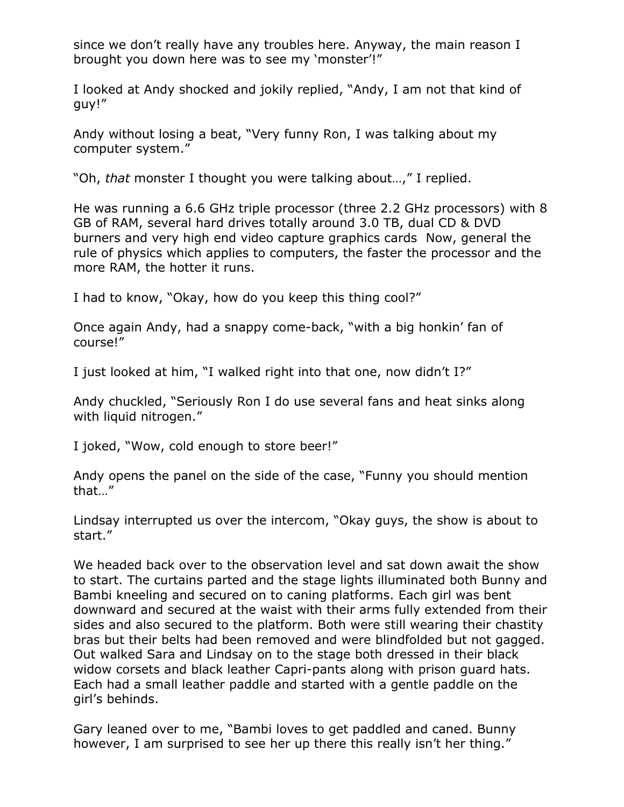since we don't really have any troubles here. Anyway, the main reason I brought you down here was to see my 'monster'!"

I looked at Andy shocked and jokily replied, "Andy, I am not that kind of guy!"

Andy without losing a beat, "Very funny Ron, I was talking about my computer system."

"Oh, *that* monster I thought you were talking about…," I replied.

He was running a 6.6 GHz triple processor (three 2.2 GHz processors) with 8 GB of RAM, several hard drives totally around 3.0 TB, dual CD & DVD burners and very high end video capture graphics cards Now, general the rule of physics which applies to computers, the faster the processor and the more RAM, the hotter it runs.

I had to know, "Okay, how do you keep this thing cool?"

Once again Andy, had a snappy come-back, "with a big honkin' fan of course!"

I just looked at him, "I walked right into that one, now didn't I?"

Andy chuckled, "Seriously Ron I do use several fans and heat sinks along with liquid nitrogen."

I joked, "Wow, cold enough to store beer!"

Andy opens the panel on the side of the case, "Funny you should mention that…"

Lindsay interrupted us over the intercom, "Okay guys, the show is about to start."

We headed back over to the observation level and sat down await the show to start. The curtains parted and the stage lights illuminated both Bunny and Bambi kneeling and secured on to caning platforms. Each girl was bent downward and secured at the waist with their arms fully extended from their sides and also secured to the platform. Both were still wearing their chastity bras but their belts had been removed and were blindfolded but not gagged. Out walked Sara and Lindsay on to the stage both dressed in their black widow corsets and black leather Capri-pants along with prison guard hats. Each had a small leather paddle and started with a gentle paddle on the girl's behinds.

Gary leaned over to me, "Bambi loves to get paddled and caned. Bunny however, I am surprised to see her up there this really isn't her thing."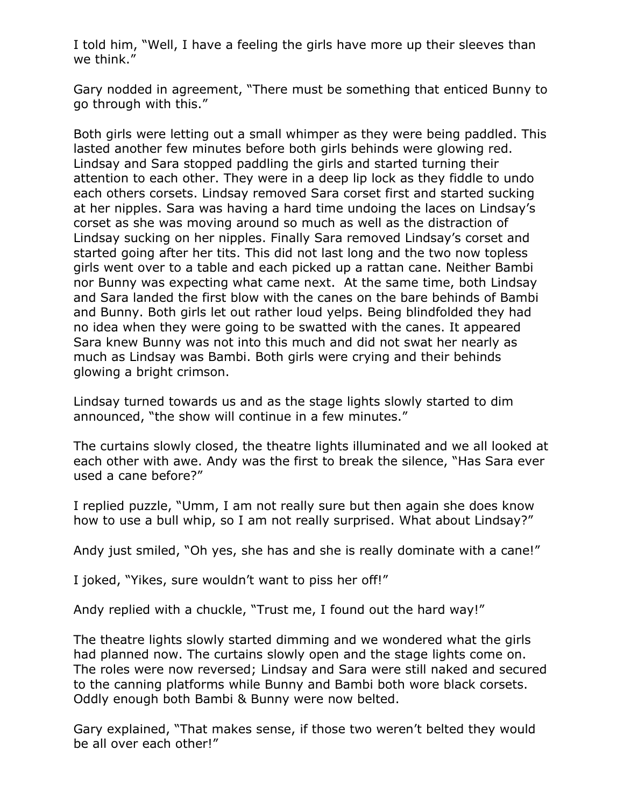I told him, "Well, I have a feeling the girls have more up their sleeves than we think."

Gary nodded in agreement, "There must be something that enticed Bunny to go through with this."

Both girls were letting out a small whimper as they were being paddled. This lasted another few minutes before both girls behinds were glowing red. Lindsay and Sara stopped paddling the girls and started turning their attention to each other. They were in a deep lip lock as they fiddle to undo each others corsets. Lindsay removed Sara corset first and started sucking at her nipples. Sara was having a hard time undoing the laces on Lindsay's corset as she was moving around so much as well as the distraction of Lindsay sucking on her nipples. Finally Sara removed Lindsay's corset and started going after her tits. This did not last long and the two now topless girls went over to a table and each picked up a rattan cane. Neither Bambi nor Bunny was expecting what came next. At the same time, both Lindsay and Sara landed the first blow with the canes on the bare behinds of Bambi and Bunny. Both girls let out rather loud yelps. Being blindfolded they had no idea when they were going to be swatted with the canes. It appeared Sara knew Bunny was not into this much and did not swat her nearly as much as Lindsay was Bambi. Both girls were crying and their behinds glowing a bright crimson.

Lindsay turned towards us and as the stage lights slowly started to dim announced, "the show will continue in a few minutes."

The curtains slowly closed, the theatre lights illuminated and we all looked at each other with awe. Andy was the first to break the silence, "Has Sara ever used a cane before?"

I replied puzzle, "Umm, I am not really sure but then again she does know how to use a bull whip, so I am not really surprised. What about Lindsay?"

Andy just smiled, "Oh yes, she has and she is really dominate with a cane!"

I joked, "Yikes, sure wouldn't want to piss her off!"

Andy replied with a chuckle, "Trust me, I found out the hard way!"

The theatre lights slowly started dimming and we wondered what the girls had planned now. The curtains slowly open and the stage lights come on. The roles were now reversed; Lindsay and Sara were still naked and secured to the canning platforms while Bunny and Bambi both wore black corsets. Oddly enough both Bambi & Bunny were now belted.

Gary explained, "That makes sense, if those two weren't belted they would be all over each other!"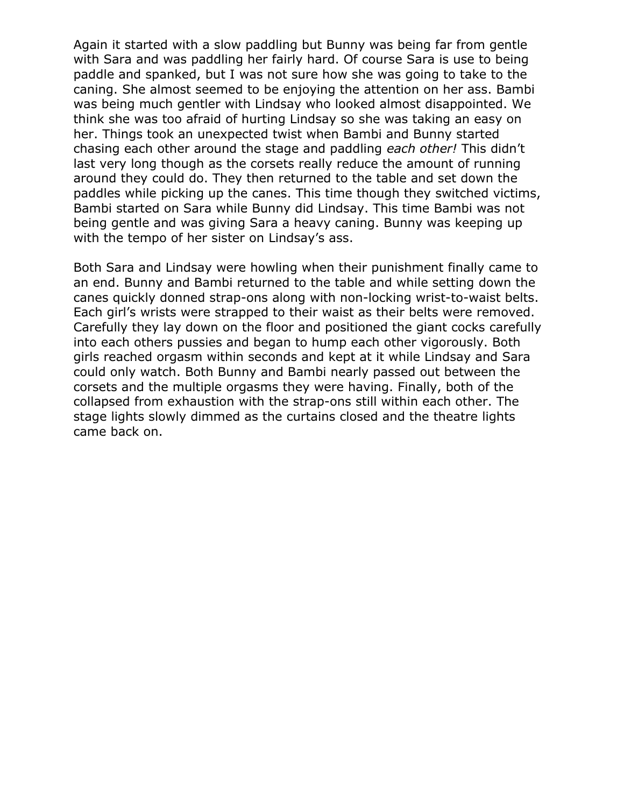Again it started with a slow paddling but Bunny was being far from gentle with Sara and was paddling her fairly hard. Of course Sara is use to being paddle and spanked, but I was not sure how she was going to take to the caning. She almost seemed to be enjoying the attention on her ass. Bambi was being much gentler with Lindsay who looked almost disappointed. We think she was too afraid of hurting Lindsay so she was taking an easy on her. Things took an unexpected twist when Bambi and Bunny started chasing each other around the stage and paddling *each other!* This didn't last very long though as the corsets really reduce the amount of running around they could do. They then returned to the table and set down the paddles while picking up the canes. This time though they switched victims, Bambi started on Sara while Bunny did Lindsay. This time Bambi was not being gentle and was giving Sara a heavy caning. Bunny was keeping up with the tempo of her sister on Lindsay's ass.

Both Sara and Lindsay were howling when their punishment finally came to an end. Bunny and Bambi returned to the table and while setting down the canes quickly donned strap-ons along with non-locking wrist-to-waist belts. Each girl's wrists were strapped to their waist as their belts were removed. Carefully they lay down on the floor and positioned the giant cocks carefully into each others pussies and began to hump each other vigorously. Both girls reached orgasm within seconds and kept at it while Lindsay and Sara could only watch. Both Bunny and Bambi nearly passed out between the corsets and the multiple orgasms they were having. Finally, both of the collapsed from exhaustion with the strap-ons still within each other. The stage lights slowly dimmed as the curtains closed and the theatre lights came back on.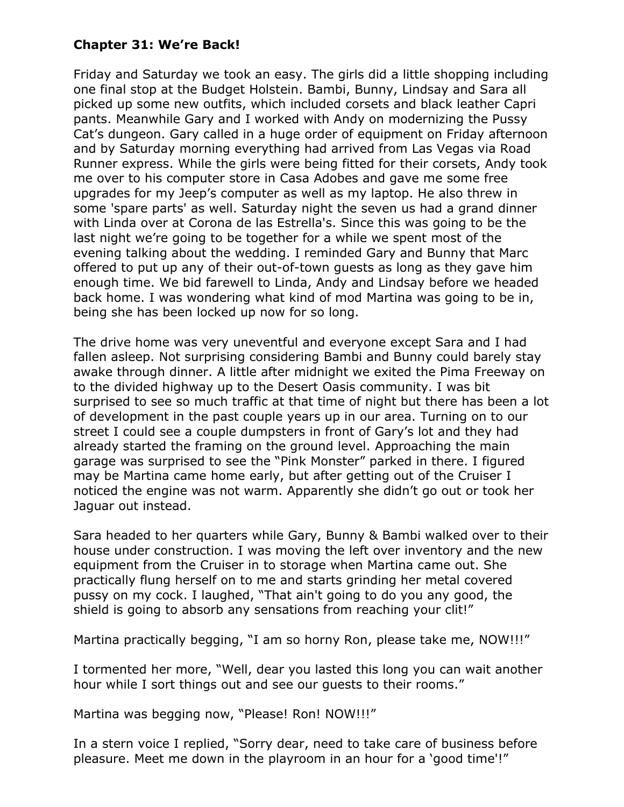## **Chapter 31: We're Back!**

Friday and Saturday we took an easy. The girls did a little shopping including one final stop at the Budget Holstein. Bambi, Bunny, Lindsay and Sara all picked up some new outfits, which included corsets and black leather Capri pants. Meanwhile Gary and I worked with Andy on modernizing the Pussy Cat's dungeon. Gary called in a huge order of equipment on Friday afternoon and by Saturday morning everything had arrived from Las Vegas via Road Runner express. While the girls were being fitted for their corsets, Andy took me over to his computer store in Casa Adobes and gave me some free upgrades for my Jeep's computer as well as my laptop. He also threw in some 'spare parts' as well. Saturday night the seven us had a grand dinner with Linda over at Corona de las Estrella's. Since this was going to be the last night we're going to be together for a while we spent most of the evening talking about the wedding. I reminded Gary and Bunny that Marc offered to put up any of their out-of-town guests as long as they gave him enough time. We bid farewell to Linda, Andy and Lindsay before we headed back home. I was wondering what kind of mod Martina was going to be in, being she has been locked up now for so long.

The drive home was very uneventful and everyone except Sara and I had fallen asleep. Not surprising considering Bambi and Bunny could barely stay awake through dinner. A little after midnight we exited the Pima Freeway on to the divided highway up to the Desert Oasis community. I was bit surprised to see so much traffic at that time of night but there has been a lot of development in the past couple years up in our area. Turning on to our street I could see a couple dumpsters in front of Gary's lot and they had already started the framing on the ground level. Approaching the main garage was surprised to see the "Pink Monster" parked in there. I figured may be Martina came home early, but after getting out of the Cruiser I noticed the engine was not warm. Apparently she didn't go out or took her Jaguar out instead.

Sara headed to her quarters while Gary, Bunny & Bambi walked over to their house under construction. I was moving the left over inventory and the new equipment from the Cruiser in to storage when Martina came out. She practically flung herself on to me and starts grinding her metal covered pussy on my cock. I laughed, "That ain't going to do you any good, the shield is going to absorb any sensations from reaching your clit!"

Martina practically begging, "I am so horny Ron, please take me, NOW!!!"

I tormented her more, "Well, dear you lasted this long you can wait another hour while I sort things out and see our guests to their rooms."

Martina was begging now, "Please! Ron! NOW!!!"

In a stern voice I replied, "Sorry dear, need to take care of business before pleasure. Meet me down in the playroom in an hour for a 'good time'!"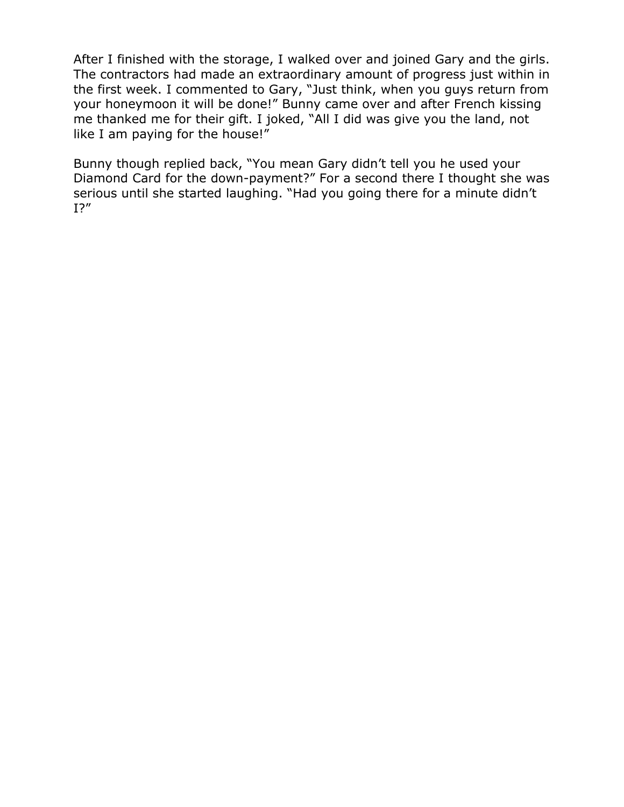After I finished with the storage, I walked over and joined Gary and the girls. The contractors had made an extraordinary amount of progress just within in the first week. I commented to Gary, "Just think, when you guys return from your honeymoon it will be done!" Bunny came over and after French kissing me thanked me for their gift. I joked, "All I did was give you the land, not like I am paying for the house!"

Bunny though replied back, "You mean Gary didn't tell you he used your Diamond Card for the down-payment?" For a second there I thought she was serious until she started laughing. "Had you going there for a minute didn't I?"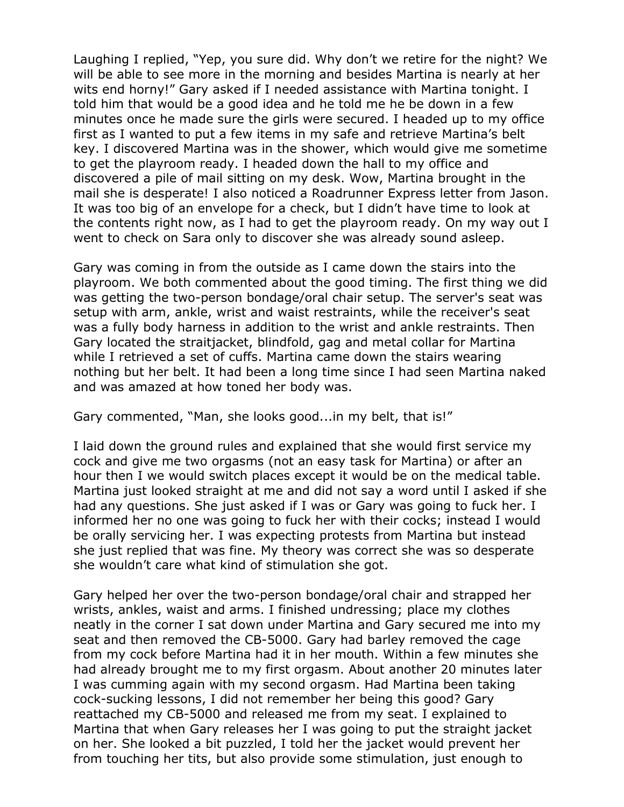Laughing I replied, "Yep, you sure did. Why don't we retire for the night? We will be able to see more in the morning and besides Martina is nearly at her wits end horny!" Gary asked if I needed assistance with Martina tonight. I told him that would be a good idea and he told me he be down in a few minutes once he made sure the girls were secured. I headed up to my office first as I wanted to put a few items in my safe and retrieve Martina's belt key. I discovered Martina was in the shower, which would give me sometime to get the playroom ready. I headed down the hall to my office and discovered a pile of mail sitting on my desk. Wow, Martina brought in the mail she is desperate! I also noticed a Roadrunner Express letter from Jason. It was too big of an envelope for a check, but I didn't have time to look at the contents right now, as I had to get the playroom ready. On my way out I went to check on Sara only to discover she was already sound asleep.

Gary was coming in from the outside as I came down the stairs into the playroom. We both commented about the good timing. The first thing we did was getting the two-person bondage/oral chair setup. The server's seat was setup with arm, ankle, wrist and waist restraints, while the receiver's seat was a fully body harness in addition to the wrist and ankle restraints. Then Gary located the straitjacket, blindfold, gag and metal collar for Martina while I retrieved a set of cuffs. Martina came down the stairs wearing nothing but her belt. It had been a long time since I had seen Martina naked and was amazed at how toned her body was.

Gary commented, "Man, she looks good...in my belt, that is!"

I laid down the ground rules and explained that she would first service my cock and give me two orgasms (not an easy task for Martina) or after an hour then I we would switch places except it would be on the medical table. Martina just looked straight at me and did not say a word until I asked if she had any questions. She just asked if I was or Gary was going to fuck her. I informed her no one was going to fuck her with their cocks; instead I would be orally servicing her. I was expecting protests from Martina but instead she just replied that was fine. My theory was correct she was so desperate she wouldn't care what kind of stimulation she got.

Gary helped her over the two-person bondage/oral chair and strapped her wrists, ankles, waist and arms. I finished undressing; place my clothes neatly in the corner I sat down under Martina and Gary secured me into my seat and then removed the CB-5000. Gary had barley removed the cage from my cock before Martina had it in her mouth. Within a few minutes she had already brought me to my first orgasm. About another 20 minutes later I was cumming again with my second orgasm. Had Martina been taking cock-sucking lessons, I did not remember her being this good? Gary reattached my CB-5000 and released me from my seat. I explained to Martina that when Gary releases her I was going to put the straight jacket on her. She looked a bit puzzled, I told her the jacket would prevent her from touching her tits, but also provide some stimulation, just enough to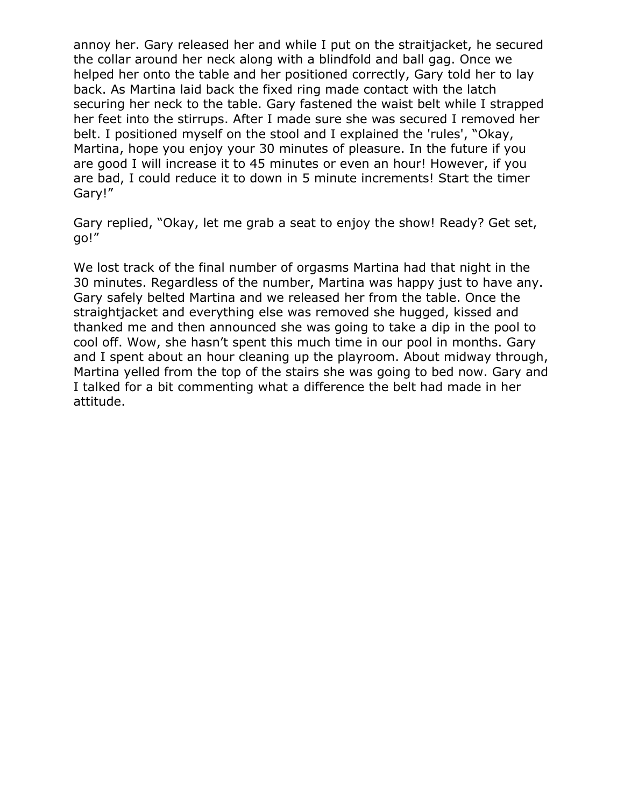annoy her. Gary released her and while I put on the straitjacket, he secured the collar around her neck along with a blindfold and ball gag. Once we helped her onto the table and her positioned correctly, Gary told her to lay back. As Martina laid back the fixed ring made contact with the latch securing her neck to the table. Gary fastened the waist belt while I strapped her feet into the stirrups. After I made sure she was secured I removed her belt. I positioned myself on the stool and I explained the 'rules', "Okay, Martina, hope you enjoy your 30 minutes of pleasure. In the future if you are good I will increase it to 45 minutes or even an hour! However, if you are bad, I could reduce it to down in 5 minute increments! Start the timer Gary!"

Gary replied, "Okay, let me grab a seat to enjoy the show! Ready? Get set, go!"

We lost track of the final number of orgasms Martina had that night in the 30 minutes. Regardless of the number, Martina was happy just to have any. Gary safely belted Martina and we released her from the table. Once the straightjacket and everything else was removed she hugged, kissed and thanked me and then announced she was going to take a dip in the pool to cool off. Wow, she hasn't spent this much time in our pool in months. Gary and I spent about an hour cleaning up the playroom. About midway through, Martina yelled from the top of the stairs she was going to bed now. Gary and I talked for a bit commenting what a difference the belt had made in her attitude.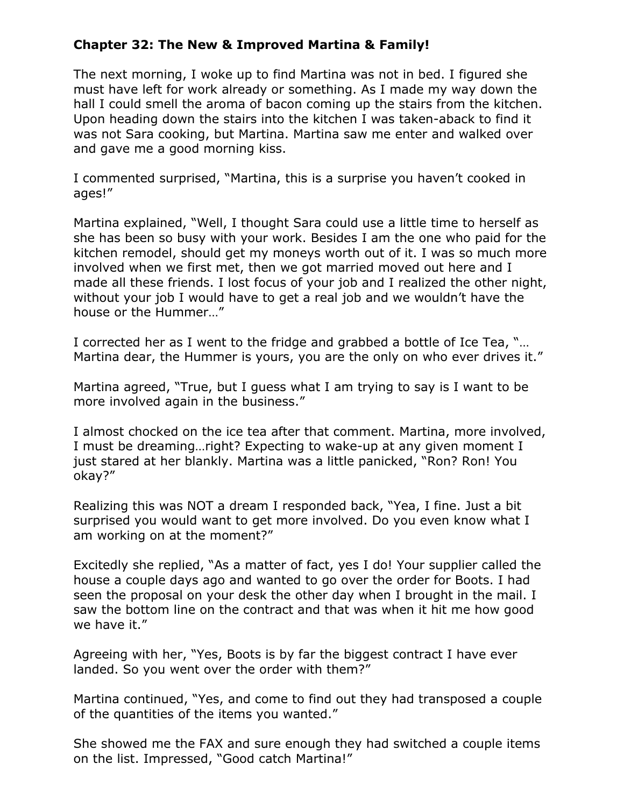# **Chapter 32: The New & Improved Martina & Family!**

The next morning, I woke up to find Martina was not in bed. I figured she must have left for work already or something. As I made my way down the hall I could smell the aroma of bacon coming up the stairs from the kitchen. Upon heading down the stairs into the kitchen I was taken-aback to find it was not Sara cooking, but Martina. Martina saw me enter and walked over and gave me a good morning kiss.

I commented surprised, "Martina, this is a surprise you haven't cooked in ages!"

Martina explained, "Well, I thought Sara could use a little time to herself as she has been so busy with your work. Besides I am the one who paid for the kitchen remodel, should get my moneys worth out of it. I was so much more involved when we first met, then we got married moved out here and I made all these friends. I lost focus of your job and I realized the other night, without your job I would have to get a real job and we wouldn't have the house or the Hummer…"

I corrected her as I went to the fridge and grabbed a bottle of Ice Tea, "… Martina dear, the Hummer is yours, you are the only on who ever drives it."

Martina agreed, "True, but I guess what I am trying to say is I want to be more involved again in the business."

I almost chocked on the ice tea after that comment. Martina, more involved, I must be dreaming…right? Expecting to wake-up at any given moment I just stared at her blankly. Martina was a little panicked, "Ron? Ron! You okay?"

Realizing this was NOT a dream I responded back, "Yea, I fine. Just a bit surprised you would want to get more involved. Do you even know what I am working on at the moment?"

Excitedly she replied, "As a matter of fact, yes I do! Your supplier called the house a couple days ago and wanted to go over the order for Boots. I had seen the proposal on your desk the other day when I brought in the mail. I saw the bottom line on the contract and that was when it hit me how good we have it."

Agreeing with her, "Yes, Boots is by far the biggest contract I have ever landed. So you went over the order with them?"

Martina continued, "Yes, and come to find out they had transposed a couple of the quantities of the items you wanted."

She showed me the FAX and sure enough they had switched a couple items on the list. Impressed, "Good catch Martina!"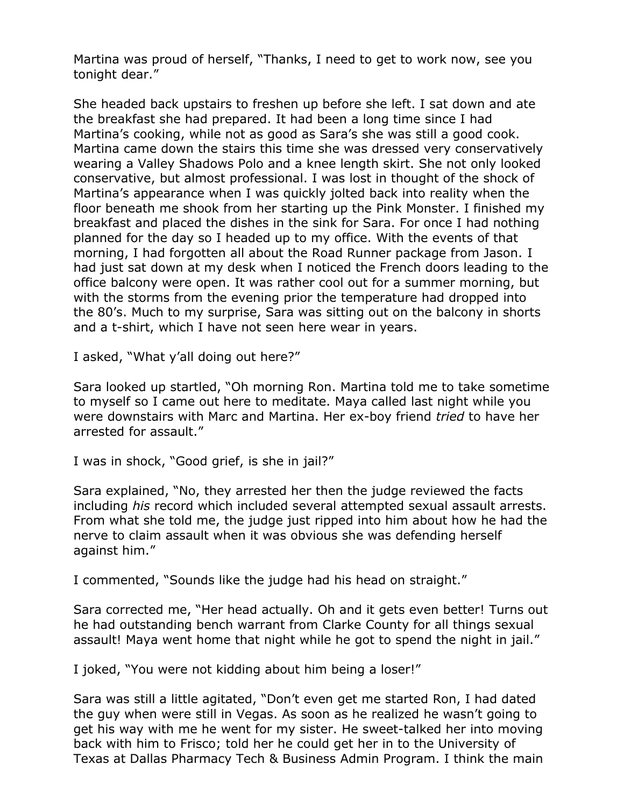Martina was proud of herself, "Thanks, I need to get to work now, see you tonight dear."

She headed back upstairs to freshen up before she left. I sat down and ate the breakfast she had prepared. It had been a long time since I had Martina's cooking, while not as good as Sara's she was still a good cook. Martina came down the stairs this time she was dressed very conservatively wearing a Valley Shadows Polo and a knee length skirt. She not only looked conservative, but almost professional. I was lost in thought of the shock of Martina's appearance when I was quickly jolted back into reality when the floor beneath me shook from her starting up the Pink Monster. I finished my breakfast and placed the dishes in the sink for Sara. For once I had nothing planned for the day so I headed up to my office. With the events of that morning, I had forgotten all about the Road Runner package from Jason. I had just sat down at my desk when I noticed the French doors leading to the office balcony were open. It was rather cool out for a summer morning, but with the storms from the evening prior the temperature had dropped into the 80's. Much to my surprise, Sara was sitting out on the balcony in shorts and a t-shirt, which I have not seen here wear in years.

I asked, "What y'all doing out here?"

Sara looked up startled, "Oh morning Ron. Martina told me to take sometime to myself so I came out here to meditate. Maya called last night while you were downstairs with Marc and Martina. Her ex-boy friend *tried* to have her arrested for assault."

I was in shock, "Good grief, is she in jail?"

Sara explained, "No, they arrested her then the judge reviewed the facts including *his* record which included several attempted sexual assault arrests. From what she told me, the judge just ripped into him about how he had the nerve to claim assault when it was obvious she was defending herself against him."

I commented, "Sounds like the judge had his head on straight."

Sara corrected me, "Her head actually. Oh and it gets even better! Turns out he had outstanding bench warrant from Clarke County for all things sexual assault! Maya went home that night while he got to spend the night in jail."

I joked, "You were not kidding about him being a loser!"

Sara was still a little agitated, "Don't even get me started Ron, I had dated the guy when were still in Vegas. As soon as he realized he wasn't going to get his way with me he went for my sister. He sweet-talked her into moving back with him to Frisco; told her he could get her in to the University of Texas at Dallas Pharmacy Tech & Business Admin Program. I think the main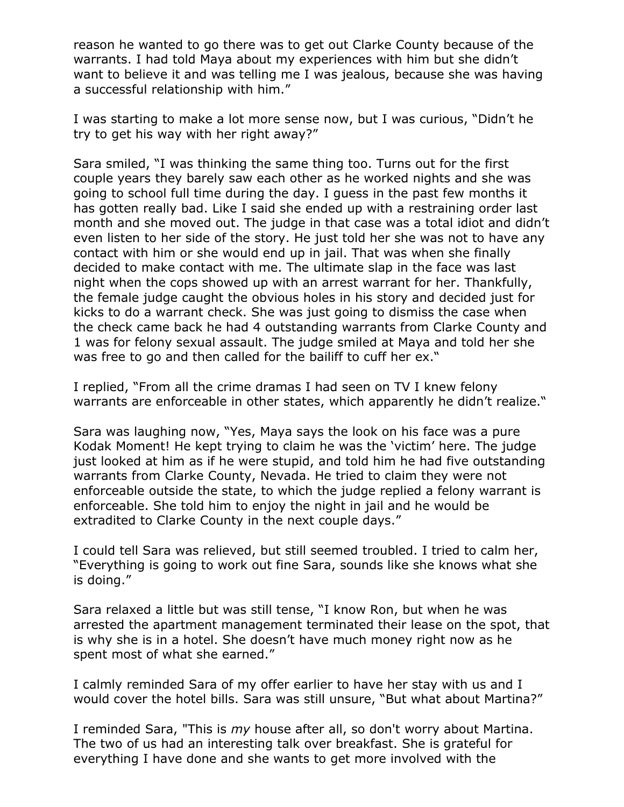reason he wanted to go there was to get out Clarke County because of the warrants. I had told Maya about my experiences with him but she didn't want to believe it and was telling me I was jealous, because she was having a successful relationship with him."

I was starting to make a lot more sense now, but I was curious, "Didn't he try to get his way with her right away?"

Sara smiled, "I was thinking the same thing too. Turns out for the first couple years they barely saw each other as he worked nights and she was going to school full time during the day. I guess in the past few months it has gotten really bad. Like I said she ended up with a restraining order last month and she moved out. The judge in that case was a total idiot and didn't even listen to her side of the story. He just told her she was not to have any contact with him or she would end up in jail. That was when she finally decided to make contact with me. The ultimate slap in the face was last night when the cops showed up with an arrest warrant for her. Thankfully, the female judge caught the obvious holes in his story and decided just for kicks to do a warrant check. She was just going to dismiss the case when the check came back he had 4 outstanding warrants from Clarke County and 1 was for felony sexual assault. The judge smiled at Maya and told her she was free to go and then called for the bailiff to cuff her ex."

I replied, "From all the crime dramas I had seen on TV I knew felony warrants are enforceable in other states, which apparently he didn't realize."

Sara was laughing now, "Yes, Maya says the look on his face was a pure Kodak Moment! He kept trying to claim he was the 'victim' here. The judge just looked at him as if he were stupid, and told him he had five outstanding warrants from Clarke County, Nevada. He tried to claim they were not enforceable outside the state, to which the judge replied a felony warrant is enforceable. She told him to enjoy the night in jail and he would be extradited to Clarke County in the next couple days."

I could tell Sara was relieved, but still seemed troubled. I tried to calm her, "Everything is going to work out fine Sara, sounds like she knows what she is doing."

Sara relaxed a little but was still tense, "I know Ron, but when he was arrested the apartment management terminated their lease on the spot, that is why she is in a hotel. She doesn't have much money right now as he spent most of what she earned."

I calmly reminded Sara of my offer earlier to have her stay with us and I would cover the hotel bills. Sara was still unsure, "But what about Martina?"

I reminded Sara, "This is *my* house after all, so don't worry about Martina. The two of us had an interesting talk over breakfast. She is grateful for everything I have done and she wants to get more involved with the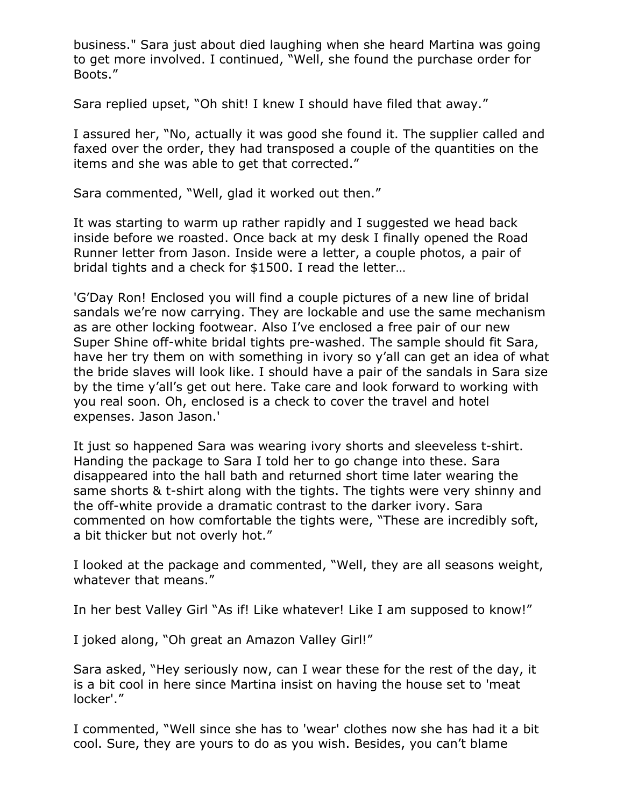business." Sara just about died laughing when she heard Martina was going to get more involved. I continued, "Well, she found the purchase order for Boots."

Sara replied upset, "Oh shit! I knew I should have filed that away."

I assured her, "No, actually it was good she found it. The supplier called and faxed over the order, they had transposed a couple of the quantities on the items and she was able to get that corrected."

Sara commented, "Well, glad it worked out then."

It was starting to warm up rather rapidly and I suggested we head back inside before we roasted. Once back at my desk I finally opened the Road Runner letter from Jason. Inside were a letter, a couple photos, a pair of bridal tights and a check for \$1500. I read the letter…

'G'Day Ron! Enclosed you will find a couple pictures of a new line of bridal sandals we're now carrying. They are lockable and use the same mechanism as are other locking footwear. Also I've enclosed a free pair of our new Super Shine off-white bridal tights pre-washed. The sample should fit Sara, have her try them on with something in ivory so y'all can get an idea of what the bride slaves will look like. I should have a pair of the sandals in Sara size by the time y'all's get out here. Take care and look forward to working with you real soon. Oh, enclosed is a check to cover the travel and hotel expenses. Jason Jason.'

It just so happened Sara was wearing ivory shorts and sleeveless t-shirt. Handing the package to Sara I told her to go change into these. Sara disappeared into the hall bath and returned short time later wearing the same shorts & t-shirt along with the tights. The tights were very shinny and the off-white provide a dramatic contrast to the darker ivory. Sara commented on how comfortable the tights were, "These are incredibly soft, a bit thicker but not overly hot."

I looked at the package and commented, "Well, they are all seasons weight, whatever that means."

In her best Valley Girl "As if! Like whatever! Like I am supposed to know!"

I joked along, "Oh great an Amazon Valley Girl!"

Sara asked, "Hey seriously now, can I wear these for the rest of the day, it is a bit cool in here since Martina insist on having the house set to 'meat locker'."

I commented, "Well since she has to 'wear' clothes now she has had it a bit cool. Sure, they are yours to do as you wish. Besides, you can't blame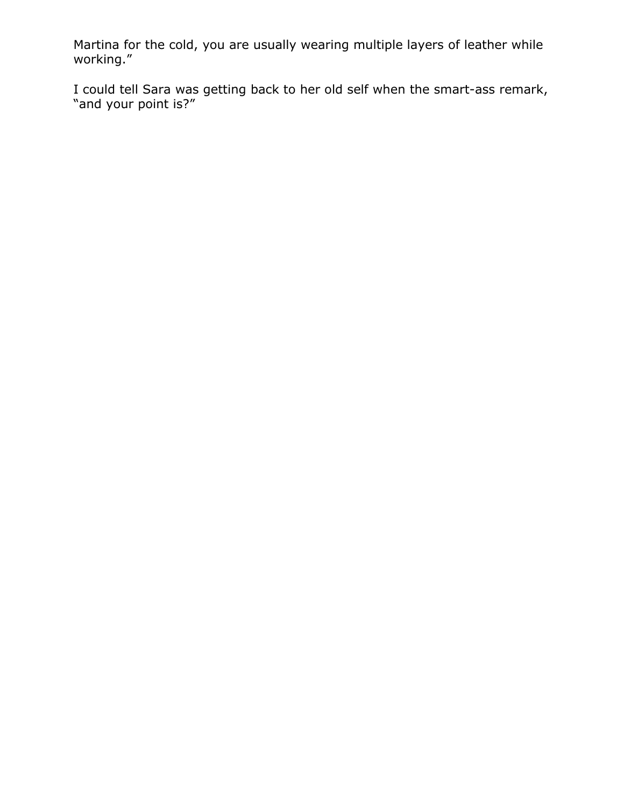Martina for the cold, you are usually wearing multiple layers of leather while working."

I could tell Sara was getting back to her old self when the smart-ass remark, "and your point is?"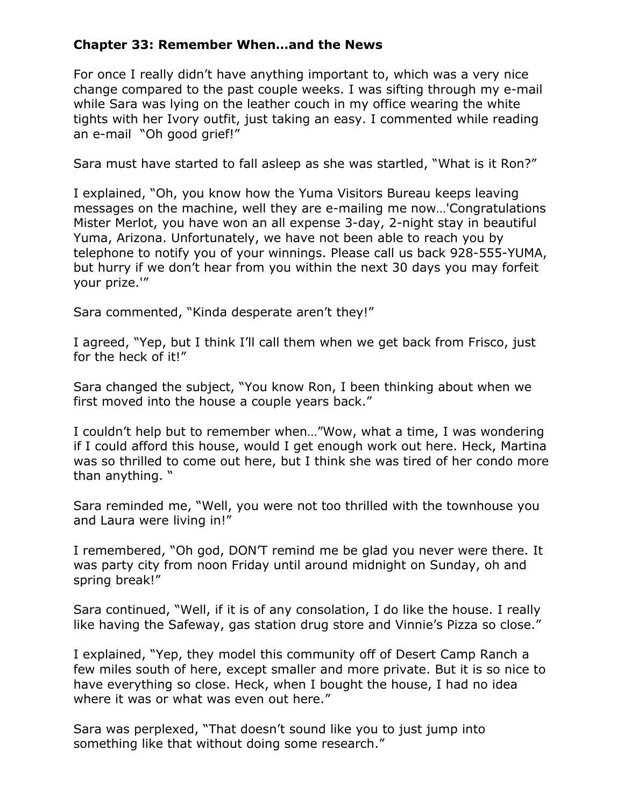## **Chapter 33: Remember When…and the News**

For once I really didn't have anything important to, which was a very nice change compared to the past couple weeks. I was sifting through my e-mail while Sara was lying on the leather couch in my office wearing the white tights with her Ivory outfit, just taking an easy. I commented while reading an e-mail "Oh good grief!"

Sara must have started to fall asleep as she was startled, "What is it Ron?"

I explained, "Oh, you know how the Yuma Visitors Bureau keeps leaving messages on the machine, well they are e-mailing me now…'Congratulations Mister Merlot, you have won an all expense 3-day, 2-night stay in beautiful Yuma, Arizona. Unfortunately, we have not been able to reach you by telephone to notify you of your winnings. Please call us back 928-555-YUMA, but hurry if we don't hear from you within the next 30 days you may forfeit your prize.'"

Sara commented, "Kinda desperate aren't they!"

I agreed, "Yep, but I think I'll call them when we get back from Frisco, just for the heck of it!"

Sara changed the subject, "You know Ron, I been thinking about when we first moved into the house a couple years back."

I couldn't help but to remember when…"Wow, what a time, I was wondering if I could afford this house, would I get enough work out here. Heck, Martina was so thrilled to come out here, but I think she was tired of her condo more than anything. "

Sara reminded me, "Well, you were not too thrilled with the townhouse you and Laura were living in!"

I remembered, "Oh god, DON'T remind me be glad you never were there. It was party city from noon Friday until around midnight on Sunday, oh and spring break!"

Sara continued, "Well, if it is of any consolation, I do like the house. I really like having the Safeway, gas station drug store and Vinnie's Pizza so close."

I explained, "Yep, they model this community off of Desert Camp Ranch a few miles south of here, except smaller and more private. But it is so nice to have everything so close. Heck, when I bought the house, I had no idea where it was or what was even out here."

Sara was perplexed, "That doesn't sound like you to just jump into something like that without doing some research."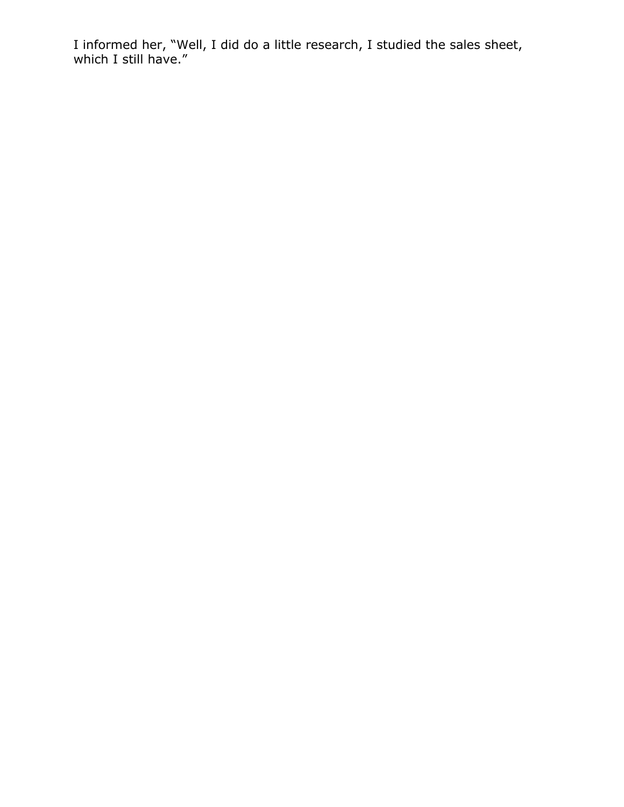I informed her, "Well, I did do a little research, I studied the sales sheet, which I still have."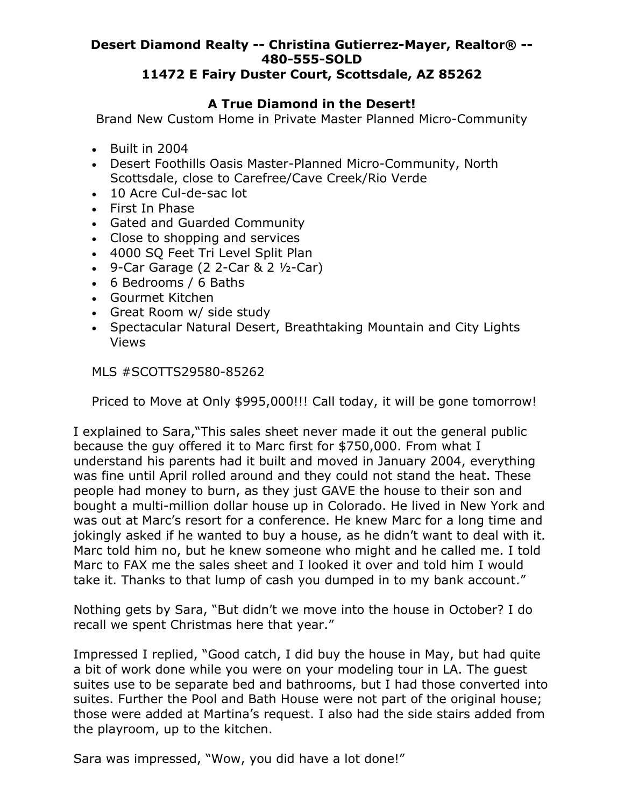#### **Desert Diamond Realty -- Christina Gutierrez-Mayer, Realtor® -- 480-555-SOLD 11472 E Fairy Duster Court, Scottsdale, AZ 85262**

## **A True Diamond in the Desert!**

Brand New Custom Home in Private Master Planned Micro-Community

- $-Bu$ ilt in 2004
- Desert Foothills Oasis Master-Planned Micro-Community, North Scottsdale, close to Carefree/Cave Creek/Rio Verde
- 10 Acre Cul-de-sac lot
- First In Phase
- Gated and Guarded Community
- Close to shopping and services
- 4000 SQ Feet Tri Level Split Plan
- 9-Car Garage  $(2 \ 2$ -Car &  $2 \ V_2$ -Car $)$
- 6 Bedrooms / 6 Baths
- Gourmet Kitchen
- Great Room w/ side study
- Spectacular Natural Desert, Breathtaking Mountain and City Lights Views

#### MLS #SCOTTS29580-85262

Priced to Move at Only \$995,000!!! Call today, it will be gone tomorrow!

I explained to Sara,"This sales sheet never made it out the general public because the guy offered it to Marc first for \$750,000. From what I understand his parents had it built and moved in January 2004, everything was fine until April rolled around and they could not stand the heat. These people had money to burn, as they just GAVE the house to their son and bought a multi-million dollar house up in Colorado. He lived in New York and was out at Marc's resort for a conference. He knew Marc for a long time and jokingly asked if he wanted to buy a house, as he didn't want to deal with it. Marc told him no, but he knew someone who might and he called me. I told Marc to FAX me the sales sheet and I looked it over and told him I would take it. Thanks to that lump of cash you dumped in to my bank account."

Nothing gets by Sara, "But didn't we move into the house in October? I do recall we spent Christmas here that year."

Impressed I replied, "Good catch, I did buy the house in May, but had quite a bit of work done while you were on your modeling tour in LA. The guest suites use to be separate bed and bathrooms, but I had those converted into suites. Further the Pool and Bath House were not part of the original house; those were added at Martina's request. I also had the side stairs added from the playroom, up to the kitchen.

Sara was impressed, "Wow, you did have a lot done!"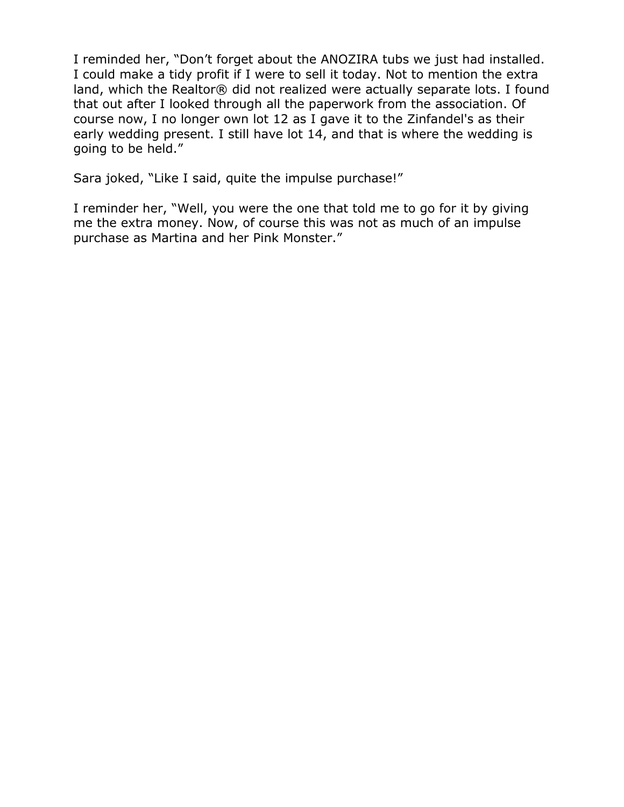I reminded her, "Don't forget about the ANOZIRA tubs we just had installed. I could make a tidy profit if I were to sell it today. Not to mention the extra land, which the Realtor® did not realized were actually separate lots. I found that out after I looked through all the paperwork from the association. Of course now, I no longer own lot 12 as I gave it to the Zinfandel's as their early wedding present. I still have lot 14, and that is where the wedding is going to be held."

Sara joked, "Like I said, quite the impulse purchase!"

I reminder her, "Well, you were the one that told me to go for it by giving me the extra money. Now, of course this was not as much of an impulse purchase as Martina and her Pink Monster."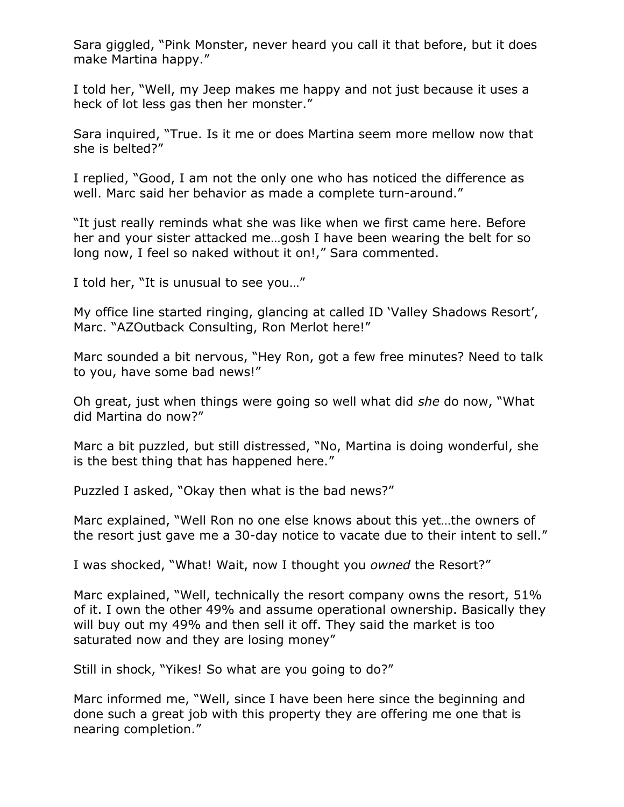Sara giggled, "Pink Monster, never heard you call it that before, but it does make Martina happy."

I told her, "Well, my Jeep makes me happy and not just because it uses a heck of lot less gas then her monster."

Sara inquired, "True. Is it me or does Martina seem more mellow now that she is belted?"

I replied, "Good, I am not the only one who has noticed the difference as well. Marc said her behavior as made a complete turn-around."

"It just really reminds what she was like when we first came here. Before her and your sister attacked me…gosh I have been wearing the belt for so long now, I feel so naked without it on!," Sara commented.

I told her, "It is unusual to see you…"

My office line started ringing, glancing at called ID 'Valley Shadows Resort', Marc. "AZOutback Consulting, Ron Merlot here!"

Marc sounded a bit nervous, "Hey Ron, got a few free minutes? Need to talk to you, have some bad news!"

Oh great, just when things were going so well what did *she* do now, "What did Martina do now?"

Marc a bit puzzled, but still distressed, "No, Martina is doing wonderful, she is the best thing that has happened here."

Puzzled I asked, "Okay then what is the bad news?"

Marc explained, "Well Ron no one else knows about this yet…the owners of the resort just gave me a 30-day notice to vacate due to their intent to sell."

I was shocked, "What! Wait, now I thought you *owned* the Resort?"

Marc explained, "Well, technically the resort company owns the resort, 51% of it. I own the other 49% and assume operational ownership. Basically they will buy out my 49% and then sell it off. They said the market is too saturated now and they are losing money"

Still in shock, "Yikes! So what are you going to do?"

Marc informed me, "Well, since I have been here since the beginning and done such a great job with this property they are offering me one that is nearing completion."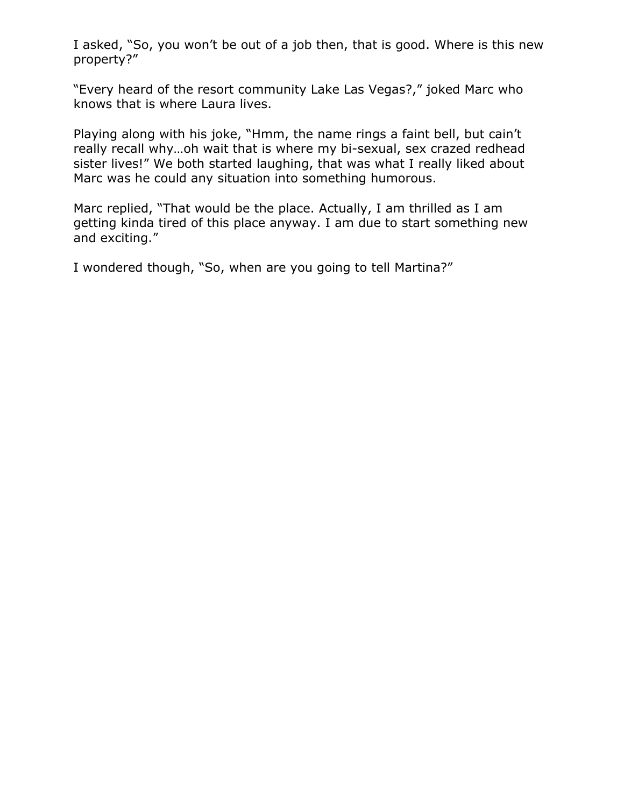I asked, "So, you won't be out of a job then, that is good. Where is this new property?"

"Every heard of the resort community Lake Las Vegas?," joked Marc who knows that is where Laura lives.

Playing along with his joke, "Hmm, the name rings a faint bell, but cain't really recall why…oh wait that is where my bi-sexual, sex crazed redhead sister lives!" We both started laughing, that was what I really liked about Marc was he could any situation into something humorous.

Marc replied, "That would be the place. Actually, I am thrilled as I am getting kinda tired of this place anyway. I am due to start something new and exciting."

I wondered though, "So, when are you going to tell Martina?"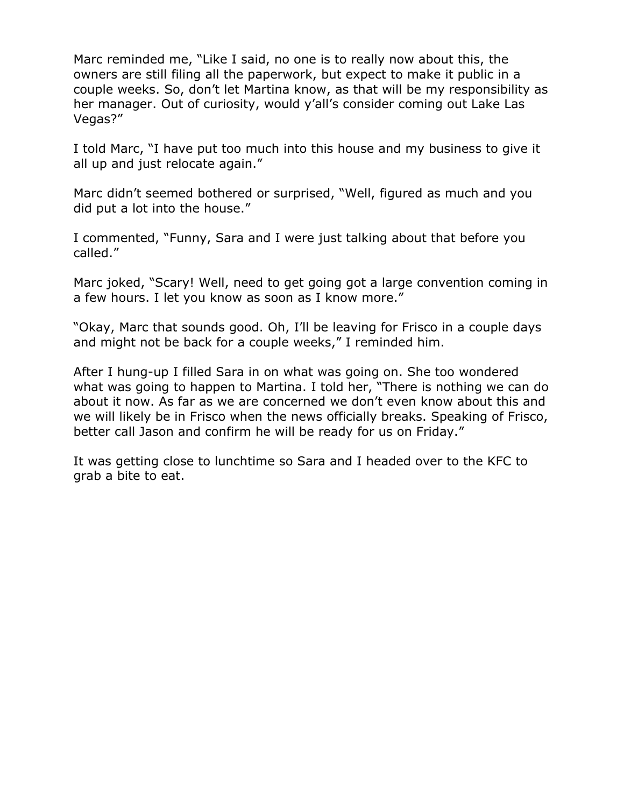Marc reminded me, "Like I said, no one is to really now about this, the owners are still filing all the paperwork, but expect to make it public in a couple weeks. So, don't let Martina know, as that will be my responsibility as her manager. Out of curiosity, would y'all's consider coming out Lake Las Vegas?"

I told Marc, "I have put too much into this house and my business to give it all up and just relocate again."

Marc didn't seemed bothered or surprised, "Well, figured as much and you did put a lot into the house."

I commented, "Funny, Sara and I were just talking about that before you called."

Marc joked, "Scary! Well, need to get going got a large convention coming in a few hours. I let you know as soon as I know more."

"Okay, Marc that sounds good. Oh, I'll be leaving for Frisco in a couple days and might not be back for a couple weeks," I reminded him.

After I hung-up I filled Sara in on what was going on. She too wondered what was going to happen to Martina. I told her, "There is nothing we can do about it now. As far as we are concerned we don't even know about this and we will likely be in Frisco when the news officially breaks. Speaking of Frisco, better call Jason and confirm he will be ready for us on Friday."

It was getting close to lunchtime so Sara and I headed over to the KFC to grab a bite to eat.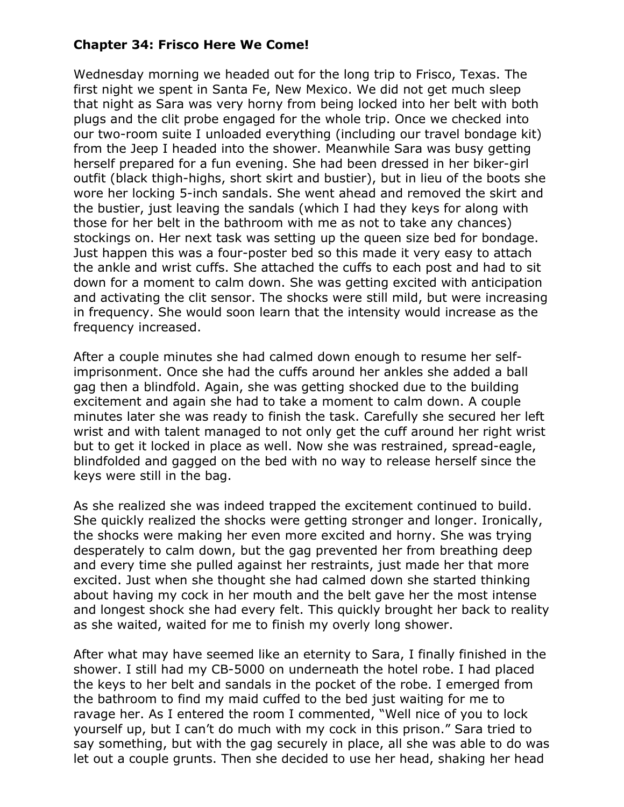## **Chapter 34: Frisco Here We Come!**

Wednesday morning we headed out for the long trip to Frisco, Texas. The first night we spent in Santa Fe, New Mexico. We did not get much sleep that night as Sara was very horny from being locked into her belt with both plugs and the clit probe engaged for the whole trip. Once we checked into our two-room suite I unloaded everything (including our travel bondage kit) from the Jeep I headed into the shower. Meanwhile Sara was busy getting herself prepared for a fun evening. She had been dressed in her biker-girl outfit (black thigh-highs, short skirt and bustier), but in lieu of the boots she wore her locking 5-inch sandals. She went ahead and removed the skirt and the bustier, just leaving the sandals (which I had they keys for along with those for her belt in the bathroom with me as not to take any chances) stockings on. Her next task was setting up the queen size bed for bondage. Just happen this was a four-poster bed so this made it very easy to attach the ankle and wrist cuffs. She attached the cuffs to each post and had to sit down for a moment to calm down. She was getting excited with anticipation and activating the clit sensor. The shocks were still mild, but were increasing in frequency. She would soon learn that the intensity would increase as the frequency increased.

After a couple minutes she had calmed down enough to resume her selfimprisonment. Once she had the cuffs around her ankles she added a ball gag then a blindfold. Again, she was getting shocked due to the building excitement and again she had to take a moment to calm down. A couple minutes later she was ready to finish the task. Carefully she secured her left wrist and with talent managed to not only get the cuff around her right wrist but to get it locked in place as well. Now she was restrained, spread-eagle, blindfolded and gagged on the bed with no way to release herself since the keys were still in the bag.

As she realized she was indeed trapped the excitement continued to build. She quickly realized the shocks were getting stronger and longer. Ironically, the shocks were making her even more excited and horny. She was trying desperately to calm down, but the gag prevented her from breathing deep and every time she pulled against her restraints, just made her that more excited. Just when she thought she had calmed down she started thinking about having my cock in her mouth and the belt gave her the most intense and longest shock she had every felt. This quickly brought her back to reality as she waited, waited for me to finish my overly long shower.

After what may have seemed like an eternity to Sara, I finally finished in the shower. I still had my CB-5000 on underneath the hotel robe. I had placed the keys to her belt and sandals in the pocket of the robe. I emerged from the bathroom to find my maid cuffed to the bed just waiting for me to ravage her. As I entered the room I commented, "Well nice of you to lock yourself up, but I can't do much with my cock in this prison." Sara tried to say something, but with the gag securely in place, all she was able to do was let out a couple grunts. Then she decided to use her head, shaking her head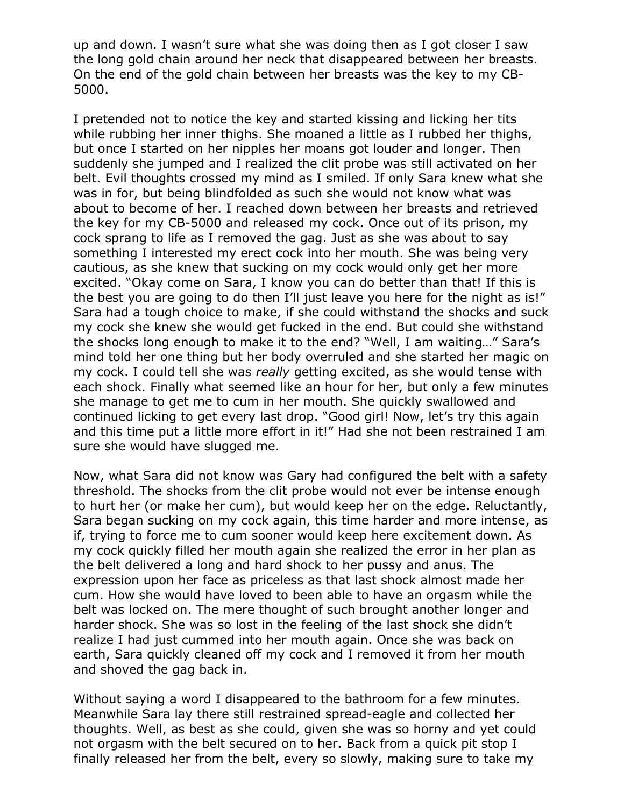up and down. I wasn't sure what she was doing then as I got closer I saw the long gold chain around her neck that disappeared between her breasts. On the end of the gold chain between her breasts was the key to my CB-5000.

I pretended not to notice the key and started kissing and licking her tits while rubbing her inner thighs. She moaned a little as I rubbed her thighs, but once I started on her nipples her moans got louder and longer. Then suddenly she jumped and I realized the clit probe was still activated on her belt. Evil thoughts crossed my mind as I smiled. If only Sara knew what she was in for, but being blindfolded as such she would not know what was about to become of her. I reached down between her breasts and retrieved the key for my CB-5000 and released my cock. Once out of its prison, my cock sprang to life as I removed the gag. Just as she was about to say something I interested my erect cock into her mouth. She was being very cautious, as she knew that sucking on my cock would only get her more excited. "Okay come on Sara, I know you can do better than that! If this is the best you are going to do then I'll just leave you here for the night as is!" Sara had a tough choice to make, if she could withstand the shocks and suck my cock she knew she would get fucked in the end. But could she withstand the shocks long enough to make it to the end? "Well, I am waiting…" Sara's mind told her one thing but her body overruled and she started her magic on my cock. I could tell she was *really* getting excited, as she would tense with each shock. Finally what seemed like an hour for her, but only a few minutes she manage to get me to cum in her mouth. She quickly swallowed and continued licking to get every last drop. "Good girl! Now, let's try this again and this time put a little more effort in it!" Had she not been restrained I am sure she would have slugged me.

Now, what Sara did not know was Gary had configured the belt with a safety threshold. The shocks from the clit probe would not ever be intense enough to hurt her (or make her cum), but would keep her on the edge. Reluctantly, Sara began sucking on my cock again, this time harder and more intense, as if, trying to force me to cum sooner would keep here excitement down. As my cock quickly filled her mouth again she realized the error in her plan as the belt delivered a long and hard shock to her pussy and anus. The expression upon her face as priceless as that last shock almost made her cum. How she would have loved to been able to have an orgasm while the belt was locked on. The mere thought of such brought another longer and harder shock. She was so lost in the feeling of the last shock she didn't realize I had just cummed into her mouth again. Once she was back on earth, Sara quickly cleaned off my cock and I removed it from her mouth and shoved the gag back in.

Without saying a word I disappeared to the bathroom for a few minutes. Meanwhile Sara lay there still restrained spread-eagle and collected her thoughts. Well, as best as she could, given she was so horny and yet could not orgasm with the belt secured on to her. Back from a quick pit stop I finally released her from the belt, every so slowly, making sure to take my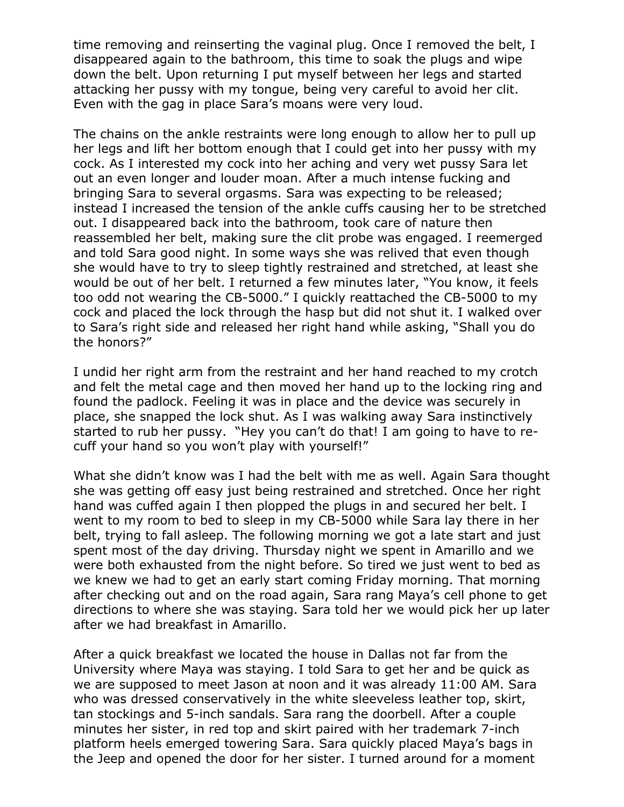time removing and reinserting the vaginal plug. Once I removed the belt, I disappeared again to the bathroom, this time to soak the plugs and wipe down the belt. Upon returning I put myself between her legs and started attacking her pussy with my tongue, being very careful to avoid her clit. Even with the gag in place Sara's moans were very loud.

The chains on the ankle restraints were long enough to allow her to pull up her legs and lift her bottom enough that I could get into her pussy with my cock. As I interested my cock into her aching and very wet pussy Sara let out an even longer and louder moan. After a much intense fucking and bringing Sara to several orgasms. Sara was expecting to be released; instead I increased the tension of the ankle cuffs causing her to be stretched out. I disappeared back into the bathroom, took care of nature then reassembled her belt, making sure the clit probe was engaged. I reemerged and told Sara good night. In some ways she was relived that even though she would have to try to sleep tightly restrained and stretched, at least she would be out of her belt. I returned a few minutes later, "You know, it feels too odd not wearing the CB-5000." I quickly reattached the CB-5000 to my cock and placed the lock through the hasp but did not shut it. I walked over to Sara's right side and released her right hand while asking, "Shall you do the honors?"

I undid her right arm from the restraint and her hand reached to my crotch and felt the metal cage and then moved her hand up to the locking ring and found the padlock. Feeling it was in place and the device was securely in place, she snapped the lock shut. As I was walking away Sara instinctively started to rub her pussy. "Hey you can't do that! I am going to have to recuff your hand so you won't play with yourself!"

What she didn't know was I had the belt with me as well. Again Sara thought she was getting off easy just being restrained and stretched. Once her right hand was cuffed again I then plopped the plugs in and secured her belt. I went to my room to bed to sleep in my CB-5000 while Sara lay there in her belt, trying to fall asleep. The following morning we got a late start and just spent most of the day driving. Thursday night we spent in Amarillo and we were both exhausted from the night before. So tired we just went to bed as we knew we had to get an early start coming Friday morning. That morning after checking out and on the road again, Sara rang Maya's cell phone to get directions to where she was staying. Sara told her we would pick her up later after we had breakfast in Amarillo.

After a quick breakfast we located the house in Dallas not far from the University where Maya was staying. I told Sara to get her and be quick as we are supposed to meet Jason at noon and it was already 11:00 AM. Sara who was dressed conservatively in the white sleeveless leather top, skirt, tan stockings and 5-inch sandals. Sara rang the doorbell. After a couple minutes her sister, in red top and skirt paired with her trademark 7-inch platform heels emerged towering Sara. Sara quickly placed Maya's bags in the Jeep and opened the door for her sister. I turned around for a moment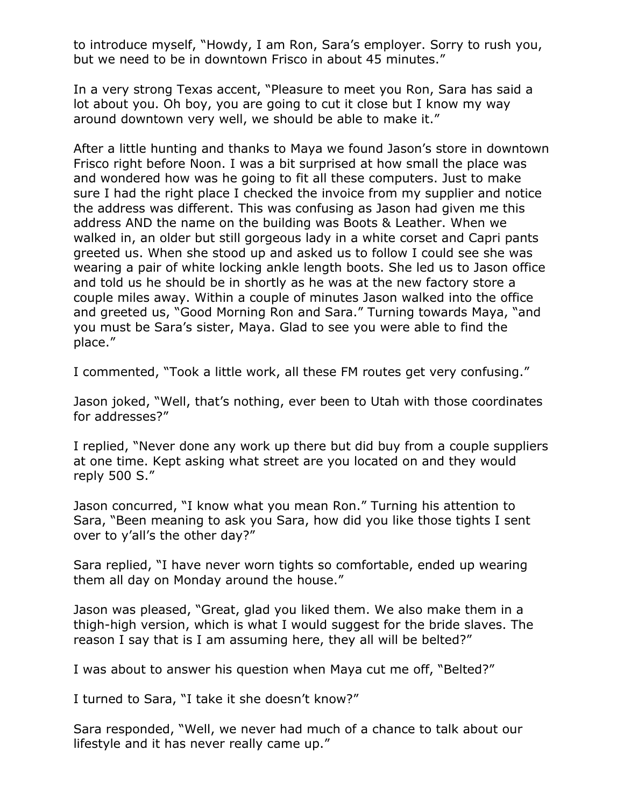to introduce myself, "Howdy, I am Ron, Sara's employer. Sorry to rush you, but we need to be in downtown Frisco in about 45 minutes."

In a very strong Texas accent, "Pleasure to meet you Ron, Sara has said a lot about you. Oh boy, you are going to cut it close but I know my way around downtown very well, we should be able to make it."

After a little hunting and thanks to Maya we found Jason's store in downtown Frisco right before Noon. I was a bit surprised at how small the place was and wondered how was he going to fit all these computers. Just to make sure I had the right place I checked the invoice from my supplier and notice the address was different. This was confusing as Jason had given me this address AND the name on the building was Boots & Leather. When we walked in, an older but still gorgeous lady in a white corset and Capri pants greeted us. When she stood up and asked us to follow I could see she was wearing a pair of white locking ankle length boots. She led us to Jason office and told us he should be in shortly as he was at the new factory store a couple miles away. Within a couple of minutes Jason walked into the office and greeted us, "Good Morning Ron and Sara." Turning towards Maya, "and you must be Sara's sister, Maya. Glad to see you were able to find the place."

I commented, "Took a little work, all these FM routes get very confusing."

Jason joked, "Well, that's nothing, ever been to Utah with those coordinates for addresses?"

I replied, "Never done any work up there but did buy from a couple suppliers at one time. Kept asking what street are you located on and they would reply 500 S."

Jason concurred, "I know what you mean Ron." Turning his attention to Sara, "Been meaning to ask you Sara, how did you like those tights I sent over to y'all's the other day?"

Sara replied, "I have never worn tights so comfortable, ended up wearing them all day on Monday around the house."

Jason was pleased, "Great, glad you liked them. We also make them in a thigh-high version, which is what I would suggest for the bride slaves. The reason I say that is I am assuming here, they all will be belted?"

I was about to answer his question when Maya cut me off, "Belted?"

I turned to Sara, "I take it she doesn't know?"

Sara responded, "Well, we never had much of a chance to talk about our lifestyle and it has never really came up."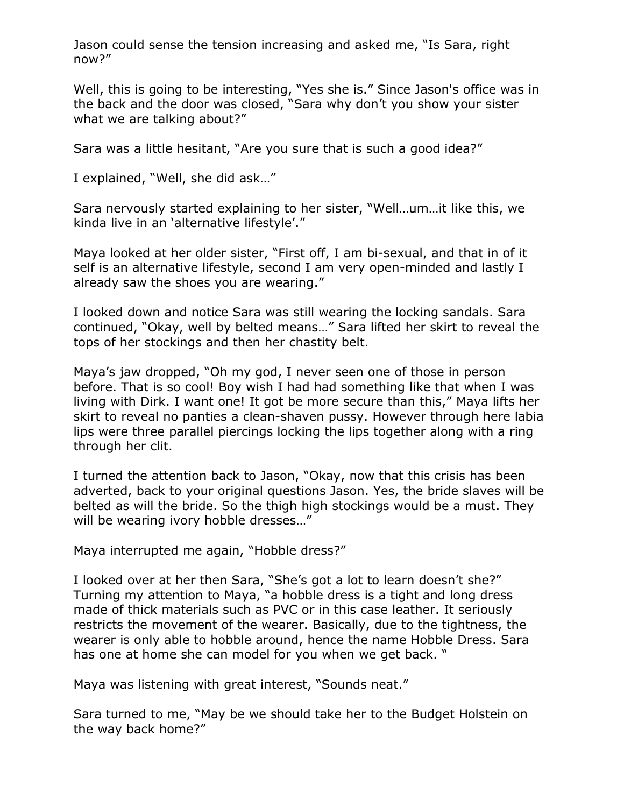Jason could sense the tension increasing and asked me, "Is Sara, right now?"

Well, this is going to be interesting, "Yes she is." Since Jason's office was in the back and the door was closed, "Sara why don't you show your sister what we are talking about?"

Sara was a little hesitant, "Are you sure that is such a good idea?"

I explained, "Well, she did ask…"

Sara nervously started explaining to her sister, "Well…um…it like this, we kinda live in an 'alternative lifestyle'."

Maya looked at her older sister, "First off, I am bi-sexual, and that in of it self is an alternative lifestyle, second I am very open-minded and lastly I already saw the shoes you are wearing."

I looked down and notice Sara was still wearing the locking sandals. Sara continued, "Okay, well by belted means…" Sara lifted her skirt to reveal the tops of her stockings and then her chastity belt.

Maya's jaw dropped, "Oh my god, I never seen one of those in person before. That is so cool! Boy wish I had had something like that when I was living with Dirk. I want one! It got be more secure than this," Maya lifts her skirt to reveal no panties a clean-shaven pussy. However through here labia lips were three parallel piercings locking the lips together along with a ring through her clit.

I turned the attention back to Jason, "Okay, now that this crisis has been adverted, back to your original questions Jason. Yes, the bride slaves will be belted as will the bride. So the thigh high stockings would be a must. They will be wearing ivory hobble dresses…"

Maya interrupted me again, "Hobble dress?"

I looked over at her then Sara, "She's got a lot to learn doesn't she?" Turning my attention to Maya, "a hobble dress is a tight and long dress made of thick materials such as PVC or in this case leather. It seriously restricts the movement of the wearer. Basically, due to the tightness, the wearer is only able to hobble around, hence the name Hobble Dress. Sara has one at home she can model for you when we get back. "

Maya was listening with great interest, "Sounds neat."

Sara turned to me, "May be we should take her to the Budget Holstein on the way back home?"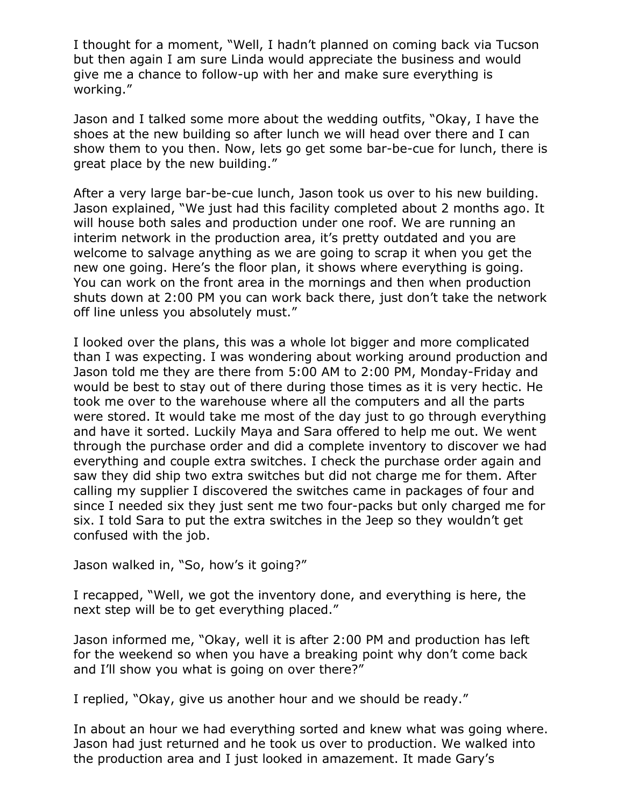I thought for a moment, "Well, I hadn't planned on coming back via Tucson but then again I am sure Linda would appreciate the business and would give me a chance to follow-up with her and make sure everything is working."

Jason and I talked some more about the wedding outfits, "Okay, I have the shoes at the new building so after lunch we will head over there and I can show them to you then. Now, lets go get some bar-be-cue for lunch, there is great place by the new building."

After a very large bar-be-cue lunch, Jason took us over to his new building. Jason explained, "We just had this facility completed about 2 months ago. It will house both sales and production under one roof. We are running an interim network in the production area, it's pretty outdated and you are welcome to salvage anything as we are going to scrap it when you get the new one going. Here's the floor plan, it shows where everything is going. You can work on the front area in the mornings and then when production shuts down at 2:00 PM you can work back there, just don't take the network off line unless you absolutely must."

I looked over the plans, this was a whole lot bigger and more complicated than I was expecting. I was wondering about working around production and Jason told me they are there from 5:00 AM to 2:00 PM, Monday-Friday and would be best to stay out of there during those times as it is very hectic. He took me over to the warehouse where all the computers and all the parts were stored. It would take me most of the day just to go through everything and have it sorted. Luckily Maya and Sara offered to help me out. We went through the purchase order and did a complete inventory to discover we had everything and couple extra switches. I check the purchase order again and saw they did ship two extra switches but did not charge me for them. After calling my supplier I discovered the switches came in packages of four and since I needed six they just sent me two four-packs but only charged me for six. I told Sara to put the extra switches in the Jeep so they wouldn't get confused with the job.

Jason walked in, "So, how's it going?"

I recapped, "Well, we got the inventory done, and everything is here, the next step will be to get everything placed."

Jason informed me, "Okay, well it is after 2:00 PM and production has left for the weekend so when you have a breaking point why don't come back and I'll show you what is going on over there?"

I replied, "Okay, give us another hour and we should be ready."

In about an hour we had everything sorted and knew what was going where. Jason had just returned and he took us over to production. We walked into the production area and I just looked in amazement. It made Gary's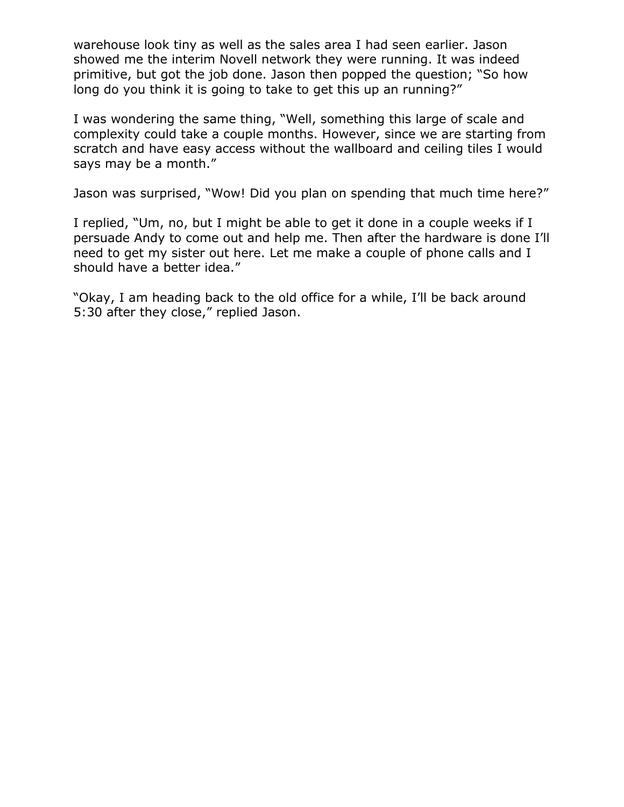warehouse look tiny as well as the sales area I had seen earlier. Jason showed me the interim Novell network they were running. It was indeed primitive, but got the job done. Jason then popped the question; "So how long do you think it is going to take to get this up an running?"

I was wondering the same thing, "Well, something this large of scale and complexity could take a couple months. However, since we are starting from scratch and have easy access without the wallboard and ceiling tiles I would says may be a month."

Jason was surprised, "Wow! Did you plan on spending that much time here?"

I replied, "Um, no, but I might be able to get it done in a couple weeks if I persuade Andy to come out and help me. Then after the hardware is done I'll need to get my sister out here. Let me make a couple of phone calls and I should have a better idea."

"Okay, I am heading back to the old office for a while, I'll be back around 5:30 after they close," replied Jason.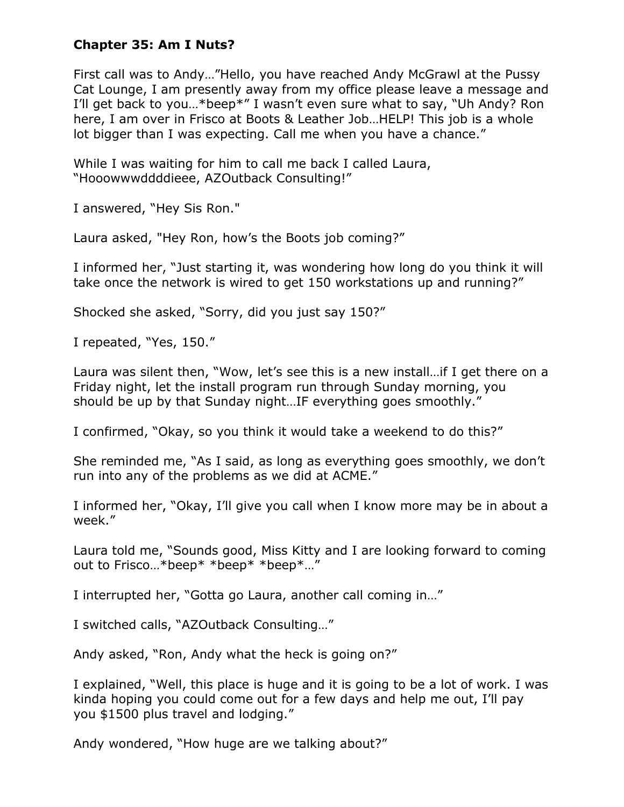## **Chapter 35: Am I Nuts?**

First call was to Andy…"Hello, you have reached Andy McGrawl at the Pussy Cat Lounge, I am presently away from my office please leave a message and I'll get back to you…\*beep\*" I wasn't even sure what to say, "Uh Andy? Ron here, I am over in Frisco at Boots & Leather Job…HELP! This job is a whole lot bigger than I was expecting. Call me when you have a chance."

While I was waiting for him to call me back I called Laura, "Hooowwwddddieee, AZOutback Consulting!"

I answered, "Hey Sis Ron."

Laura asked, "Hey Ron, how's the Boots job coming?"

I informed her, "Just starting it, was wondering how long do you think it will take once the network is wired to get 150 workstations up and running?"

Shocked she asked, "Sorry, did you just say 150?"

I repeated, "Yes, 150."

Laura was silent then, "Wow, let's see this is a new install…if I get there on a Friday night, let the install program run through Sunday morning, you should be up by that Sunday night…IF everything goes smoothly."

I confirmed, "Okay, so you think it would take a weekend to do this?"

She reminded me, "As I said, as long as everything goes smoothly, we don't run into any of the problems as we did at ACME."

I informed her, "Okay, I'll give you call when I know more may be in about a week."

Laura told me, "Sounds good, Miss Kitty and I are looking forward to coming out to Frisco…\*beep\* \*beep\* \*beep\*…"

I interrupted her, "Gotta go Laura, another call coming in…"

I switched calls, "AZOutback Consulting…"

Andy asked, "Ron, Andy what the heck is going on?"

I explained, "Well, this place is huge and it is going to be a lot of work. I was kinda hoping you could come out for a few days and help me out, I'll pay you \$1500 plus travel and lodging."

Andy wondered, "How huge are we talking about?"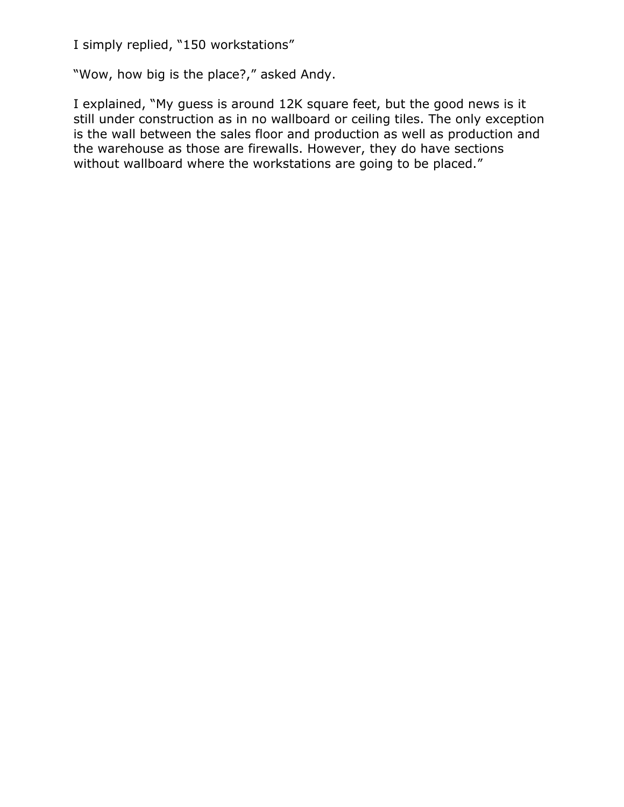I simply replied, "150 workstations"

"Wow, how big is the place?," asked Andy.

I explained, "My guess is around 12K square feet, but the good news is it still under construction as in no wallboard or ceiling tiles. The only exception is the wall between the sales floor and production as well as production and the warehouse as those are firewalls. However, they do have sections without wallboard where the workstations are going to be placed."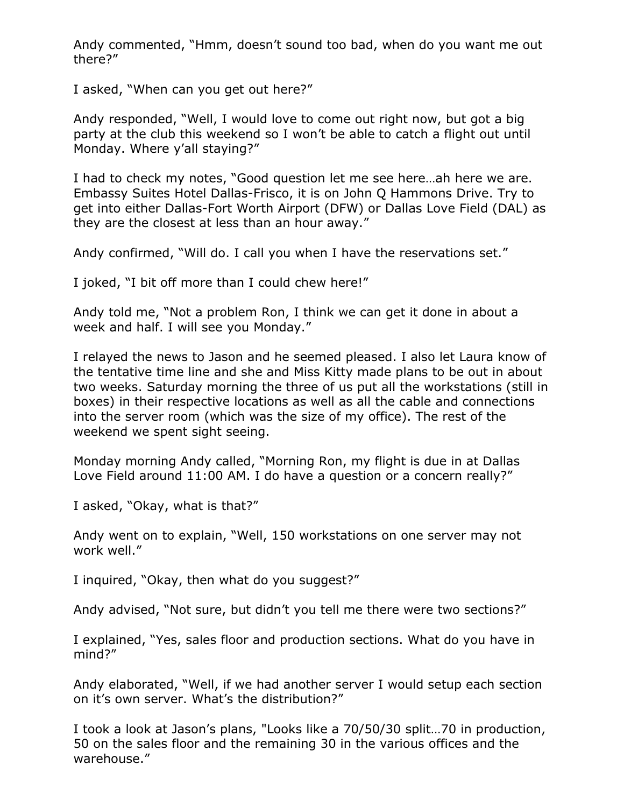Andy commented, "Hmm, doesn't sound too bad, when do you want me out there?"

I asked, "When can you get out here?"

Andy responded, "Well, I would love to come out right now, but got a big party at the club this weekend so I won't be able to catch a flight out until Monday. Where y'all staying?"

I had to check my notes, "Good question let me see here…ah here we are. Embassy Suites Hotel Dallas-Frisco, it is on John Q Hammons Drive. Try to get into either Dallas-Fort Worth Airport (DFW) or Dallas Love Field (DAL) as they are the closest at less than an hour away."

Andy confirmed, "Will do. I call you when I have the reservations set."

I joked, "I bit off more than I could chew here!"

Andy told me, "Not a problem Ron, I think we can get it done in about a week and half. I will see you Monday."

I relayed the news to Jason and he seemed pleased. I also let Laura know of the tentative time line and she and Miss Kitty made plans to be out in about two weeks. Saturday morning the three of us put all the workstations (still in boxes) in their respective locations as well as all the cable and connections into the server room (which was the size of my office). The rest of the weekend we spent sight seeing.

Monday morning Andy called, "Morning Ron, my flight is due in at Dallas Love Field around 11:00 AM. I do have a question or a concern really?"

I asked, "Okay, what is that?"

Andy went on to explain, "Well, 150 workstations on one server may not work well."

I inquired, "Okay, then what do you suggest?"

Andy advised, "Not sure, but didn't you tell me there were two sections?"

I explained, "Yes, sales floor and production sections. What do you have in mind?"

Andy elaborated, "Well, if we had another server I would setup each section on it's own server. What's the distribution?"

I took a look at Jason's plans, "Looks like a 70/50/30 split…70 in production, 50 on the sales floor and the remaining 30 in the various offices and the warehouse."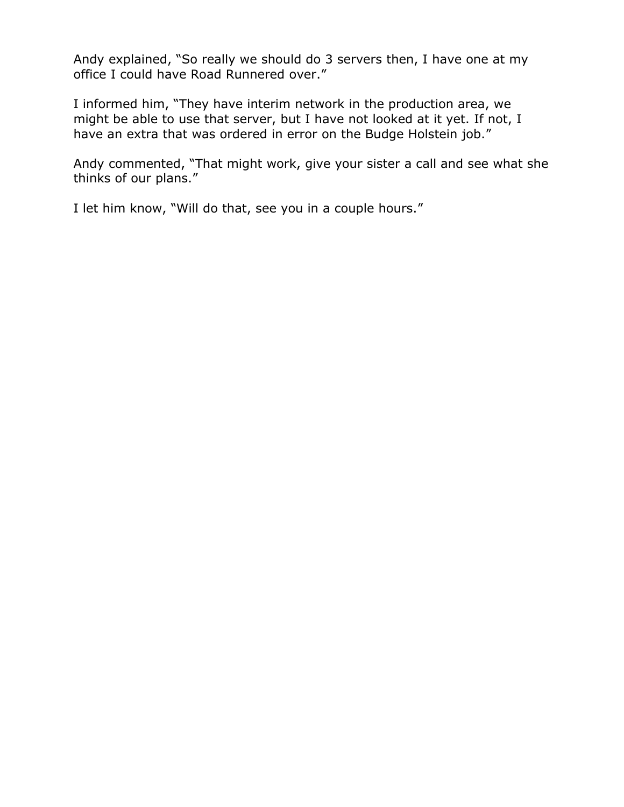Andy explained, "So really we should do 3 servers then, I have one at my office I could have Road Runnered over."

I informed him, "They have interim network in the production area, we might be able to use that server, but I have not looked at it yet. If not, I have an extra that was ordered in error on the Budge Holstein job."

Andy commented, "That might work, give your sister a call and see what she thinks of our plans."

I let him know, "Will do that, see you in a couple hours."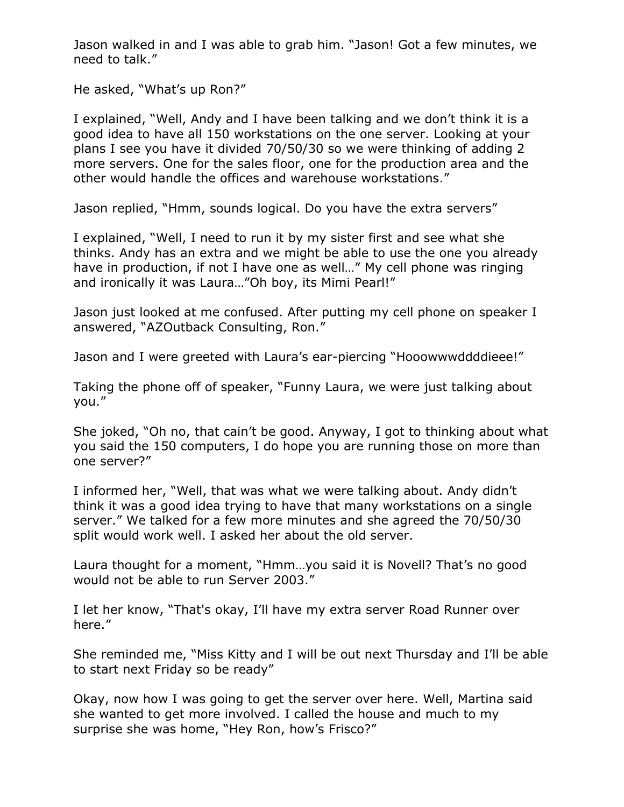Jason walked in and I was able to grab him. "Jason! Got a few minutes, we need to talk."

He asked, "What's up Ron?"

I explained, "Well, Andy and I have been talking and we don't think it is a good idea to have all 150 workstations on the one server. Looking at your plans I see you have it divided 70/50/30 so we were thinking of adding 2 more servers. One for the sales floor, one for the production area and the other would handle the offices and warehouse workstations."

Jason replied, "Hmm, sounds logical. Do you have the extra servers"

I explained, "Well, I need to run it by my sister first and see what she thinks. Andy has an extra and we might be able to use the one you already have in production, if not I have one as well…" My cell phone was ringing and ironically it was Laura…"Oh boy, its Mimi Pearl!"

Jason just looked at me confused. After putting my cell phone on speaker I answered, "AZOutback Consulting, Ron."

Jason and I were greeted with Laura's ear-piercing "Hooowwwddddieee!"

Taking the phone off of speaker, "Funny Laura, we were just talking about you."

She joked, "Oh no, that cain't be good. Anyway, I got to thinking about what you said the 150 computers, I do hope you are running those on more than one server?"

I informed her, "Well, that was what we were talking about. Andy didn't think it was a good idea trying to have that many workstations on a single server." We talked for a few more minutes and she agreed the 70/50/30 split would work well. I asked her about the old server.

Laura thought for a moment, "Hmm…you said it is Novell? That's no good would not be able to run Server 2003."

I let her know, "That's okay, I'll have my extra server Road Runner over here."

She reminded me, "Miss Kitty and I will be out next Thursday and I'll be able to start next Friday so be ready"

Okay, now how I was going to get the server over here. Well, Martina said she wanted to get more involved. I called the house and much to my surprise she was home, "Hey Ron, how's Frisco?"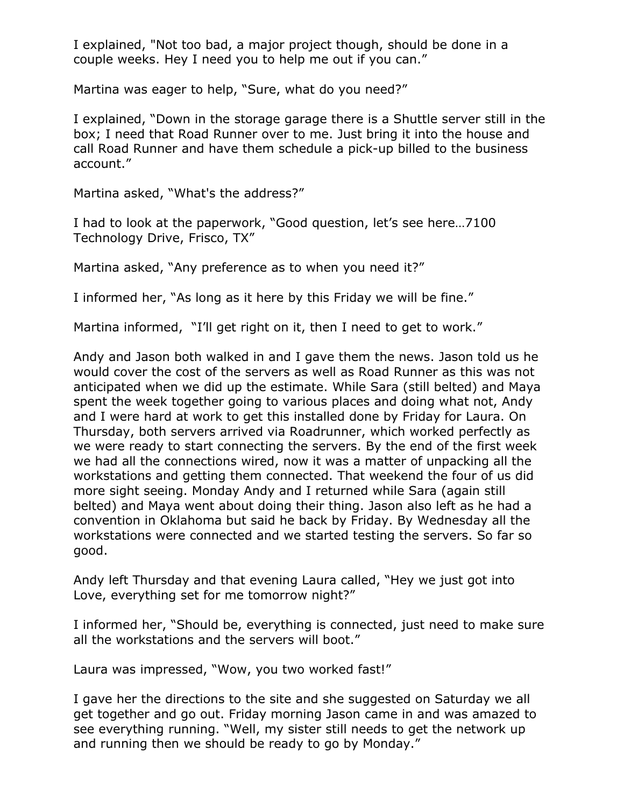I explained, "Not too bad, a major project though, should be done in a couple weeks. Hey I need you to help me out if you can."

Martina was eager to help, "Sure, what do you need?"

I explained, "Down in the storage garage there is a Shuttle server still in the box; I need that Road Runner over to me. Just bring it into the house and call Road Runner and have them schedule a pick-up billed to the business account."

Martina asked, "What's the address?"

I had to look at the paperwork, "Good question, let's see here…7100 Technology Drive, Frisco, TX"

Martina asked, "Any preference as to when you need it?"

I informed her, "As long as it here by this Friday we will be fine."

Martina informed, "I'll get right on it, then I need to get to work."

Andy and Jason both walked in and I gave them the news. Jason told us he would cover the cost of the servers as well as Road Runner as this was not anticipated when we did up the estimate. While Sara (still belted) and Maya spent the week together going to various places and doing what not, Andy and I were hard at work to get this installed done by Friday for Laura. On Thursday, both servers arrived via Roadrunner, which worked perfectly as we were ready to start connecting the servers. By the end of the first week we had all the connections wired, now it was a matter of unpacking all the workstations and getting them connected. That weekend the four of us did more sight seeing. Monday Andy and I returned while Sara (again still belted) and Maya went about doing their thing. Jason also left as he had a convention in Oklahoma but said he back by Friday. By Wednesday all the workstations were connected and we started testing the servers. So far so good.

Andy left Thursday and that evening Laura called, "Hey we just got into Love, everything set for me tomorrow night?"

I informed her, "Should be, everything is connected, just need to make sure all the workstations and the servers will boot."

Laura was impressed, "Wow, you two worked fast!"

I gave her the directions to the site and she suggested on Saturday we all get together and go out. Friday morning Jason came in and was amazed to see everything running. "Well, my sister still needs to get the network up and running then we should be ready to go by Monday."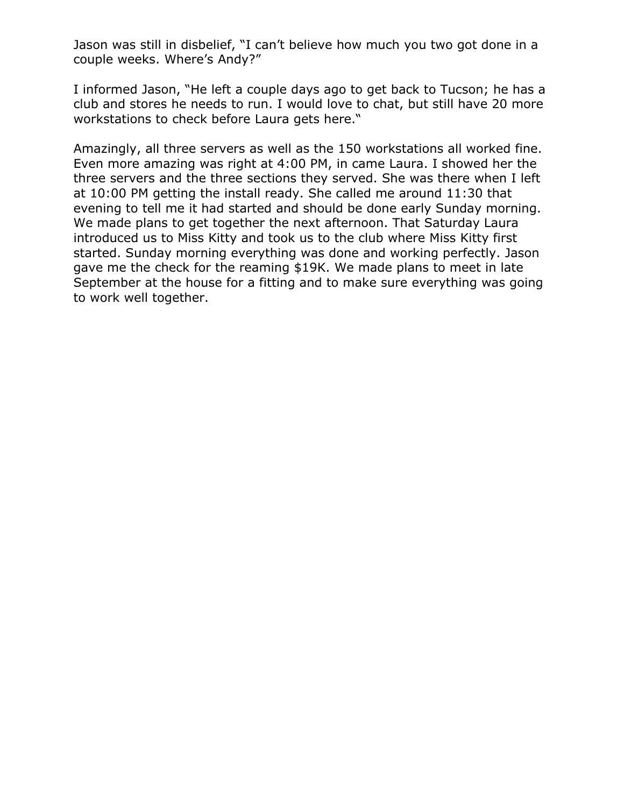Jason was still in disbelief, "I can't believe how much you two got done in a couple weeks. Where's Andy?"

I informed Jason, "He left a couple days ago to get back to Tucson; he has a club and stores he needs to run. I would love to chat, but still have 20 more workstations to check before Laura gets here."

Amazingly, all three servers as well as the 150 workstations all worked fine. Even more amazing was right at 4:00 PM, in came Laura. I showed her the three servers and the three sections they served. She was there when I left at 10:00 PM getting the install ready. She called me around 11:30 that evening to tell me it had started and should be done early Sunday morning. We made plans to get together the next afternoon. That Saturday Laura introduced us to Miss Kitty and took us to the club where Miss Kitty first started. Sunday morning everything was done and working perfectly. Jason gave me the check for the reaming \$19K. We made plans to meet in late September at the house for a fitting and to make sure everything was going to work well together.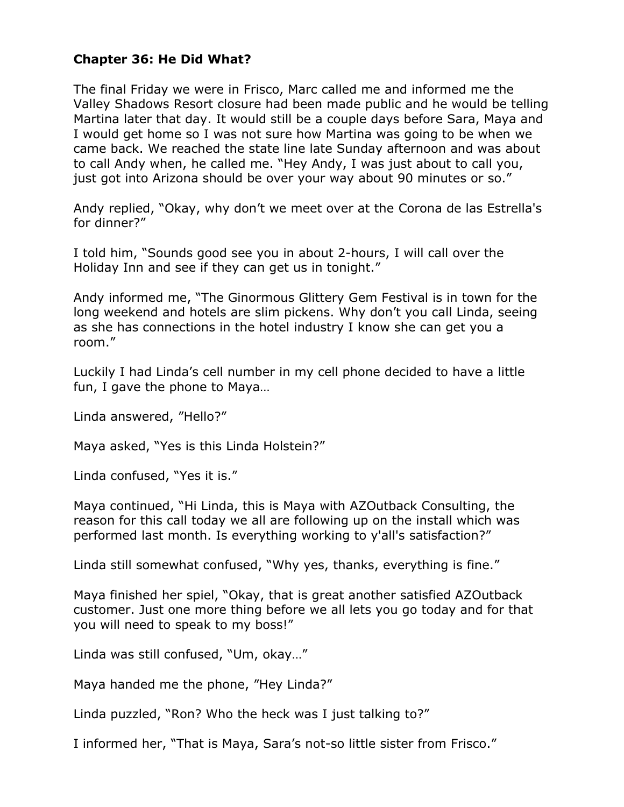### **Chapter 36: He Did What?**

The final Friday we were in Frisco, Marc called me and informed me the Valley Shadows Resort closure had been made public and he would be telling Martina later that day. It would still be a couple days before Sara, Maya and I would get home so I was not sure how Martina was going to be when we came back. We reached the state line late Sunday afternoon and was about to call Andy when, he called me. "Hey Andy, I was just about to call you, just got into Arizona should be over your way about 90 minutes or so."

Andy replied, "Okay, why don't we meet over at the Corona de las Estrella's for dinner?"

I told him, "Sounds good see you in about 2-hours, I will call over the Holiday Inn and see if they can get us in tonight."

Andy informed me, "The Ginormous Glittery Gem Festival is in town for the long weekend and hotels are slim pickens. Why don't you call Linda, seeing as she has connections in the hotel industry I know she can get you a room."

Luckily I had Linda's cell number in my cell phone decided to have a little fun, I gave the phone to Maya…

Linda answered, "Hello?"

Maya asked, "Yes is this Linda Holstein?"

Linda confused, "Yes it is."

Maya continued, "Hi Linda, this is Maya with AZOutback Consulting, the reason for this call today we all are following up on the install which was performed last month. Is everything working to y'all's satisfaction?"

Linda still somewhat confused, "Why yes, thanks, everything is fine."

Maya finished her spiel, "Okay, that is great another satisfied AZOutback customer. Just one more thing before we all lets you go today and for that you will need to speak to my boss!"

Linda was still confused, "Um, okay…"

Maya handed me the phone, "Hey Linda?"

Linda puzzled, "Ron? Who the heck was I just talking to?"

I informed her, "That is Maya, Sara's not-so little sister from Frisco."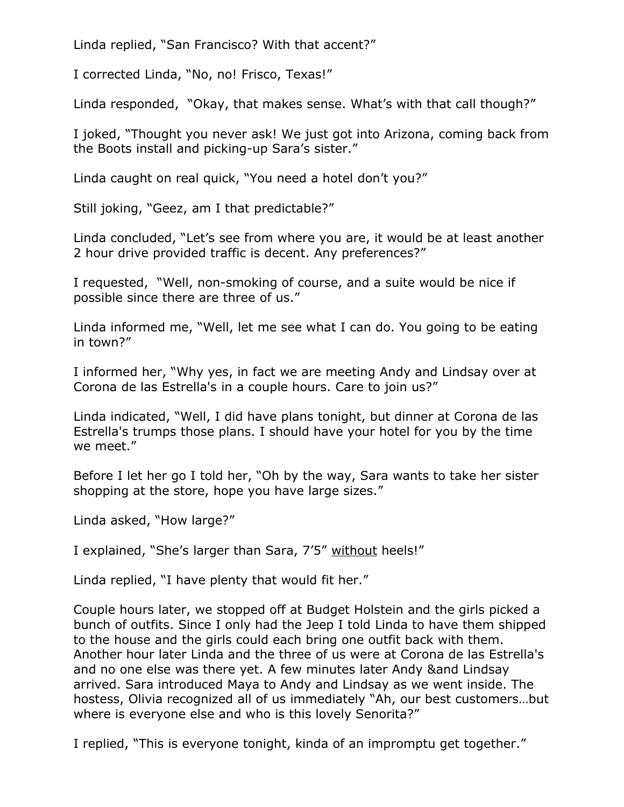Linda replied, "San Francisco? With that accent?"

I corrected Linda, "No, no! Frisco, Texas!"

Linda responded, "Okay, that makes sense. What's with that call though?"

I joked, "Thought you never ask! We just got into Arizona, coming back from the Boots install and picking-up Sara's sister."

Linda caught on real quick, "You need a hotel don't you?"

Still joking, "Geez, am I that predictable?"

Linda concluded, "Let's see from where you are, it would be at least another 2 hour drive provided traffic is decent. Any preferences?"

I requested, "Well, non-smoking of course, and a suite would be nice if possible since there are three of us."

Linda informed me, "Well, let me see what I can do. You going to be eating in town?"

I informed her, "Why yes, in fact we are meeting Andy and Lindsay over at Corona de las Estrella's in a couple hours. Care to join us?"

Linda indicated, "Well, I did have plans tonight, but dinner at Corona de las Estrella's trumps those plans. I should have your hotel for you by the time we meet."

Before I let her go I told her, "Oh by the way, Sara wants to take her sister shopping at the store, hope you have large sizes."

Linda asked, "How large?"

I explained, "She's larger than Sara, 7'5" without heels!"

Linda replied, "I have plenty that would fit her."

Couple hours later, we stopped off at Budget Holstein and the girls picked a bunch of outfits. Since I only had the Jeep I told Linda to have them shipped to the house and the girls could each bring one outfit back with them. Another hour later Linda and the three of us were at Corona de las Estrella's and no one else was there yet. A few minutes later Andy &and Lindsay arrived. Sara introduced Maya to Andy and Lindsay as we went inside. The hostess, Olivia recognized all of us immediately "Ah, our best customers…but where is everyone else and who is this lovely Senorita?"

I replied, "This is everyone tonight, kinda of an impromptu get together."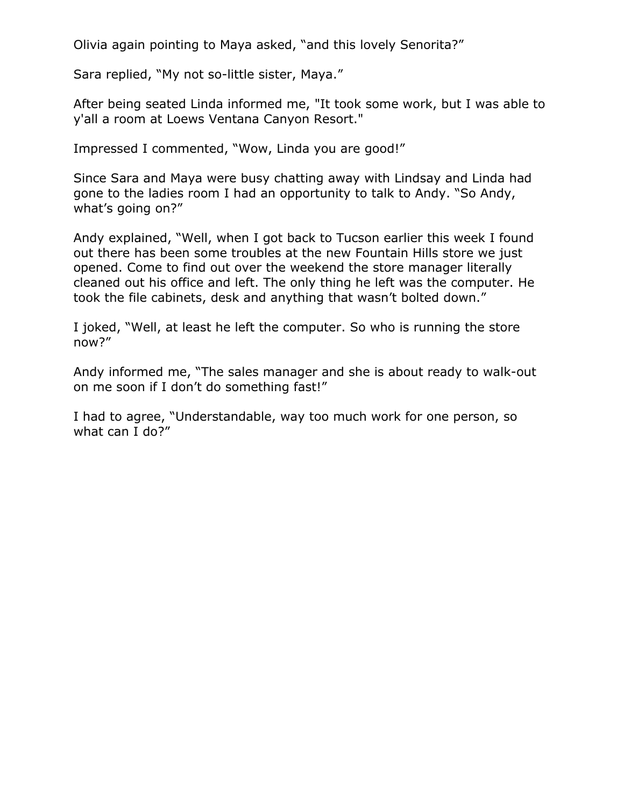Olivia again pointing to Maya asked, "and this lovely Senorita?"

Sara replied, "My not so-little sister, Maya."

After being seated Linda informed me, "It took some work, but I was able to y'all a room at Loews Ventana Canyon Resort."

Impressed I commented, "Wow, Linda you are good!"

Since Sara and Maya were busy chatting away with Lindsay and Linda had gone to the ladies room I had an opportunity to talk to Andy. "So Andy, what's going on?"

Andy explained, "Well, when I got back to Tucson earlier this week I found out there has been some troubles at the new Fountain Hills store we just opened. Come to find out over the weekend the store manager literally cleaned out his office and left. The only thing he left was the computer. He took the file cabinets, desk and anything that wasn't bolted down."

I joked, "Well, at least he left the computer. So who is running the store now?"

Andy informed me, "The sales manager and she is about ready to walk-out on me soon if I don't do something fast!"

I had to agree, "Understandable, way too much work for one person, so what can I do?"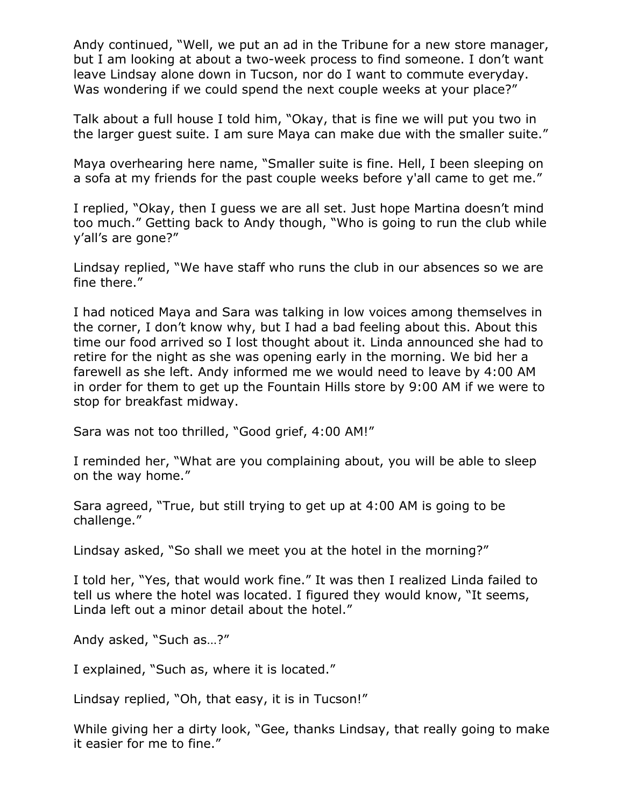Andy continued, "Well, we put an ad in the Tribune for a new store manager, but I am looking at about a two-week process to find someone. I don't want leave Lindsay alone down in Tucson, nor do I want to commute everyday. Was wondering if we could spend the next couple weeks at your place?"

Talk about a full house I told him, "Okay, that is fine we will put you two in the larger guest suite. I am sure Maya can make due with the smaller suite."

Maya overhearing here name, "Smaller suite is fine. Hell, I been sleeping on a sofa at my friends for the past couple weeks before y'all came to get me."

I replied, "Okay, then I guess we are all set. Just hope Martina doesn't mind too much." Getting back to Andy though, "Who is going to run the club while y'all's are gone?"

Lindsay replied, "We have staff who runs the club in our absences so we are fine there."

I had noticed Maya and Sara was talking in low voices among themselves in the corner, I don't know why, but I had a bad feeling about this. About this time our food arrived so I lost thought about it. Linda announced she had to retire for the night as she was opening early in the morning. We bid her a farewell as she left. Andy informed me we would need to leave by 4:00 AM in order for them to get up the Fountain Hills store by 9:00 AM if we were to stop for breakfast midway.

Sara was not too thrilled, "Good grief, 4:00 AM!"

I reminded her, "What are you complaining about, you will be able to sleep on the way home."

Sara agreed, "True, but still trying to get up at 4:00 AM is going to be challenge."

Lindsay asked, "So shall we meet you at the hotel in the morning?"

I told her, "Yes, that would work fine." It was then I realized Linda failed to tell us where the hotel was located. I figured they would know, "It seems, Linda left out a minor detail about the hotel."

Andy asked, "Such as…?"

I explained, "Such as, where it is located."

Lindsay replied, "Oh, that easy, it is in Tucson!"

While giving her a dirty look, "Gee, thanks Lindsay, that really going to make it easier for me to fine."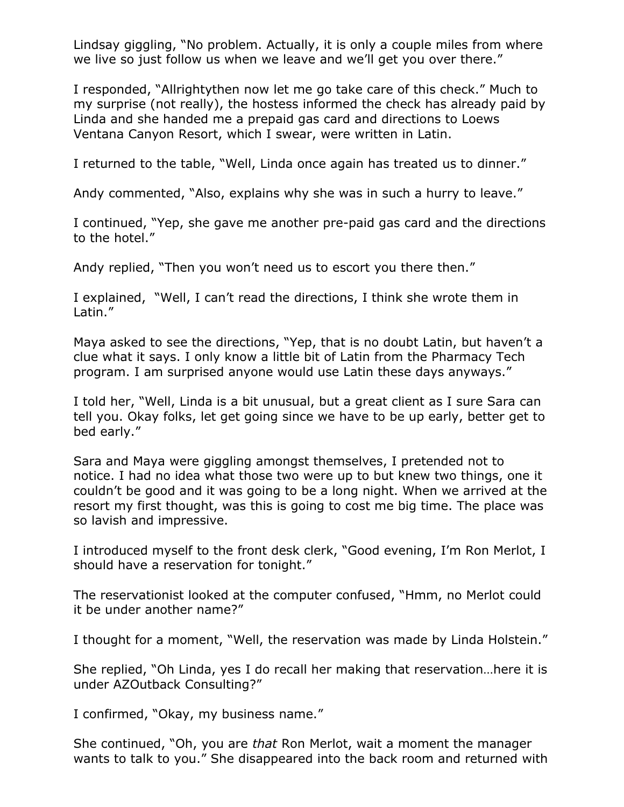Lindsay giggling, "No problem. Actually, it is only a couple miles from where we live so just follow us when we leave and we'll get you over there."

I responded, "Allrightythen now let me go take care of this check." Much to my surprise (not really), the hostess informed the check has already paid by Linda and she handed me a prepaid gas card and directions to Loews Ventana Canyon Resort, which I swear, were written in Latin.

I returned to the table, "Well, Linda once again has treated us to dinner."

Andy commented, "Also, explains why she was in such a hurry to leave."

I continued, "Yep, she gave me another pre-paid gas card and the directions to the hotel."

Andy replied, "Then you won't need us to escort you there then."

I explained, "Well, I can't read the directions, I think she wrote them in Latin."

Maya asked to see the directions, "Yep, that is no doubt Latin, but haven't a clue what it says. I only know a little bit of Latin from the Pharmacy Tech program. I am surprised anyone would use Latin these days anyways."

I told her, "Well, Linda is a bit unusual, but a great client as I sure Sara can tell you. Okay folks, let get going since we have to be up early, better get to bed early."

Sara and Maya were giggling amongst themselves, I pretended not to notice. I had no idea what those two were up to but knew two things, one it couldn't be good and it was going to be a long night. When we arrived at the resort my first thought, was this is going to cost me big time. The place was so lavish and impressive.

I introduced myself to the front desk clerk, "Good evening, I'm Ron Merlot, I should have a reservation for tonight."

The reservationist looked at the computer confused, "Hmm, no Merlot could it be under another name?"

I thought for a moment, "Well, the reservation was made by Linda Holstein."

She replied, "Oh Linda, yes I do recall her making that reservation…here it is under AZOutback Consulting?"

I confirmed, "Okay, my business name."

She continued, "Oh, you are *that* Ron Merlot, wait a moment the manager wants to talk to you." She disappeared into the back room and returned with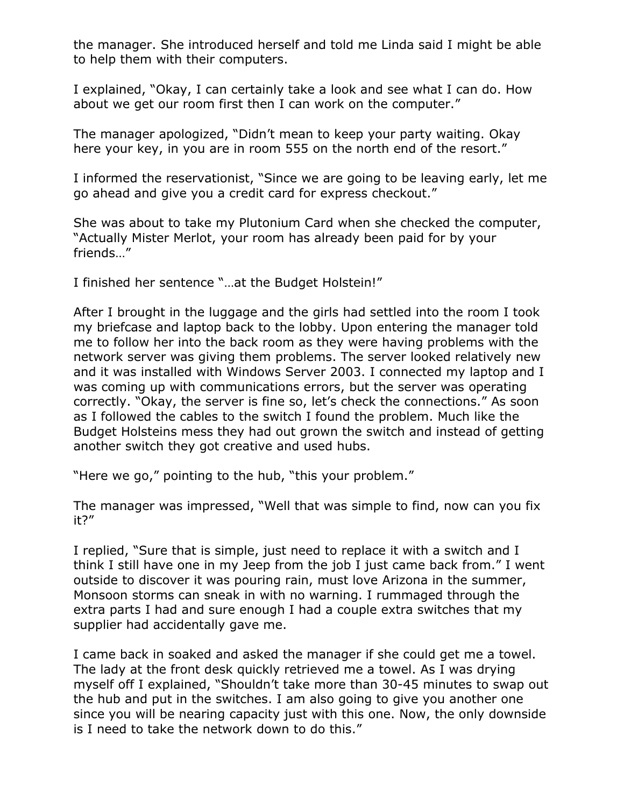the manager. She introduced herself and told me Linda said I might be able to help them with their computers.

I explained, "Okay, I can certainly take a look and see what I can do. How about we get our room first then I can work on the computer."

The manager apologized, "Didn't mean to keep your party waiting. Okay here your key, in you are in room 555 on the north end of the resort."

I informed the reservationist, "Since we are going to be leaving early, let me go ahead and give you a credit card for express checkout."

She was about to take my Plutonium Card when she checked the computer, "Actually Mister Merlot, your room has already been paid for by your friends…"

I finished her sentence "…at the Budget Holstein!"

After I brought in the luggage and the girls had settled into the room I took my briefcase and laptop back to the lobby. Upon entering the manager told me to follow her into the back room as they were having problems with the network server was giving them problems. The server looked relatively new and it was installed with Windows Server 2003. I connected my laptop and I was coming up with communications errors, but the server was operating correctly. "Okay, the server is fine so, let's check the connections." As soon as I followed the cables to the switch I found the problem. Much like the Budget Holsteins mess they had out grown the switch and instead of getting another switch they got creative and used hubs.

"Here we go," pointing to the hub, "this your problem."

The manager was impressed, "Well that was simple to find, now can you fix it?"

I replied, "Sure that is simple, just need to replace it with a switch and I think I still have one in my Jeep from the job I just came back from." I went outside to discover it was pouring rain, must love Arizona in the summer, Monsoon storms can sneak in with no warning. I rummaged through the extra parts I had and sure enough I had a couple extra switches that my supplier had accidentally gave me.

I came back in soaked and asked the manager if she could get me a towel. The lady at the front desk quickly retrieved me a towel. As I was drying myself off I explained, "Shouldn't take more than 30-45 minutes to swap out the hub and put in the switches. I am also going to give you another one since you will be nearing capacity just with this one. Now, the only downside is I need to take the network down to do this."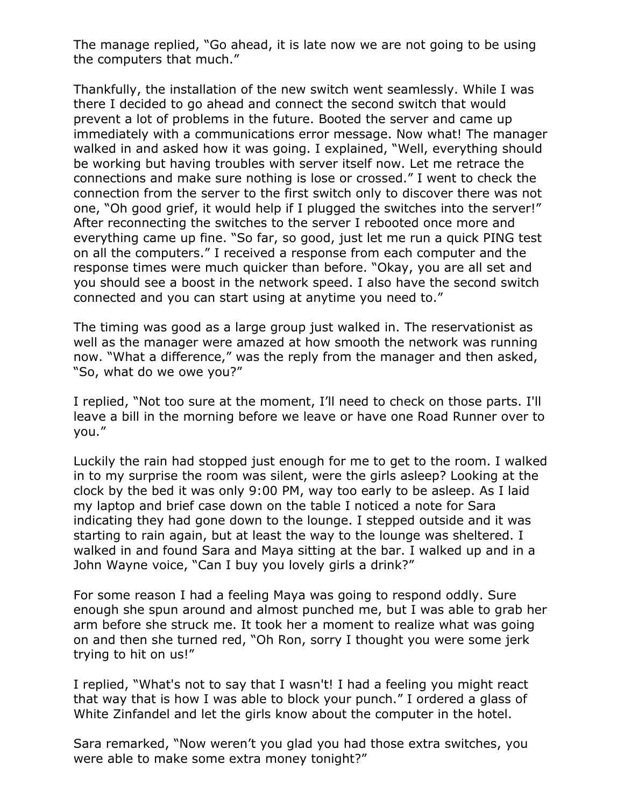The manage replied, "Go ahead, it is late now we are not going to be using the computers that much."

Thankfully, the installation of the new switch went seamlessly. While I was there I decided to go ahead and connect the second switch that would prevent a lot of problems in the future. Booted the server and came up immediately with a communications error message. Now what! The manager walked in and asked how it was going. I explained, "Well, everything should be working but having troubles with server itself now. Let me retrace the connections and make sure nothing is lose or crossed." I went to check the connection from the server to the first switch only to discover there was not one, "Oh good grief, it would help if I plugged the switches into the server!" After reconnecting the switches to the server I rebooted once more and everything came up fine. "So far, so good, just let me run a quick PING test on all the computers." I received a response from each computer and the response times were much quicker than before. "Okay, you are all set and you should see a boost in the network speed. I also have the second switch connected and you can start using at anytime you need to."

The timing was good as a large group just walked in. The reservationist as well as the manager were amazed at how smooth the network was running now. "What a difference," was the reply from the manager and then asked, "So, what do we owe you?"

I replied, "Not too sure at the moment, I'll need to check on those parts. I'll leave a bill in the morning before we leave or have one Road Runner over to you."

Luckily the rain had stopped just enough for me to get to the room. I walked in to my surprise the room was silent, were the girls asleep? Looking at the clock by the bed it was only 9:00 PM, way too early to be asleep. As I laid my laptop and brief case down on the table I noticed a note for Sara indicating they had gone down to the lounge. I stepped outside and it was starting to rain again, but at least the way to the lounge was sheltered. I walked in and found Sara and Maya sitting at the bar. I walked up and in a John Wayne voice, "Can I buy you lovely girls a drink?"

For some reason I had a feeling Maya was going to respond oddly. Sure enough she spun around and almost punched me, but I was able to grab her arm before she struck me. It took her a moment to realize what was going on and then she turned red, "Oh Ron, sorry I thought you were some jerk trying to hit on us!"

I replied, "What's not to say that I wasn't! I had a feeling you might react that way that is how I was able to block your punch." I ordered a glass of White Zinfandel and let the girls know about the computer in the hotel.

Sara remarked, "Now weren't you glad you had those extra switches, you were able to make some extra money tonight?"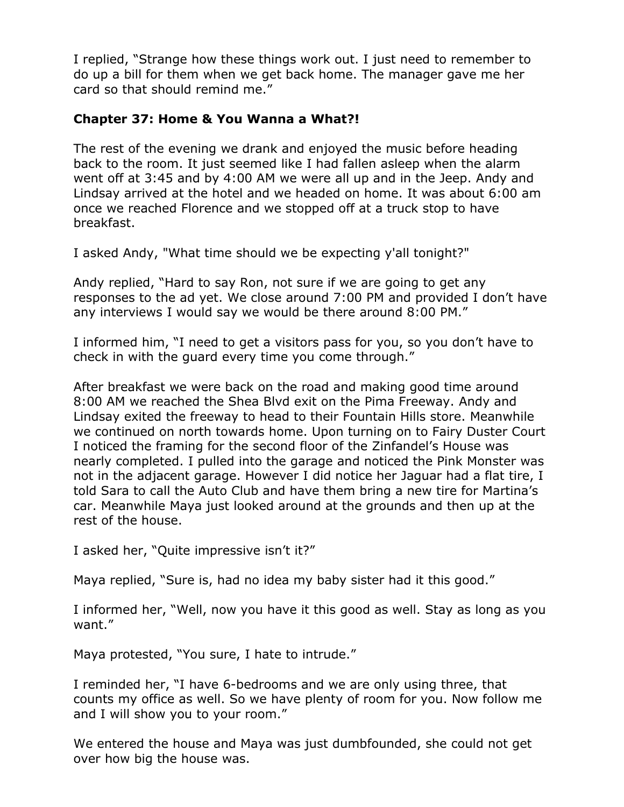I replied, "Strange how these things work out. I just need to remember to do up a bill for them when we get back home. The manager gave me her card so that should remind me."

## **Chapter 37: Home & You Wanna a What?!**

The rest of the evening we drank and enjoyed the music before heading back to the room. It just seemed like I had fallen asleep when the alarm went off at 3:45 and by 4:00 AM we were all up and in the Jeep. Andy and Lindsay arrived at the hotel and we headed on home. It was about 6:00 am once we reached Florence and we stopped off at a truck stop to have breakfast.

I asked Andy, "What time should we be expecting y'all tonight?"

Andy replied, "Hard to say Ron, not sure if we are going to get any responses to the ad yet. We close around 7:00 PM and provided I don't have any interviews I would say we would be there around 8:00 PM."

I informed him, "I need to get a visitors pass for you, so you don't have to check in with the guard every time you come through."

After breakfast we were back on the road and making good time around 8:00 AM we reached the Shea Blvd exit on the Pima Freeway. Andy and Lindsay exited the freeway to head to their Fountain Hills store. Meanwhile we continued on north towards home. Upon turning on to Fairy Duster Court I noticed the framing for the second floor of the Zinfandel's House was nearly completed. I pulled into the garage and noticed the Pink Monster was not in the adjacent garage. However I did notice her Jaguar had a flat tire, I told Sara to call the Auto Club and have them bring a new tire for Martina's car. Meanwhile Maya just looked around at the grounds and then up at the rest of the house.

I asked her, "Quite impressive isn't it?"

Maya replied, "Sure is, had no idea my baby sister had it this good."

I informed her, "Well, now you have it this good as well. Stay as long as you want."

Maya protested, "You sure, I hate to intrude."

I reminded her, "I have 6-bedrooms and we are only using three, that counts my office as well. So we have plenty of room for you. Now follow me and I will show you to your room."

We entered the house and Maya was just dumbfounded, she could not get over how big the house was.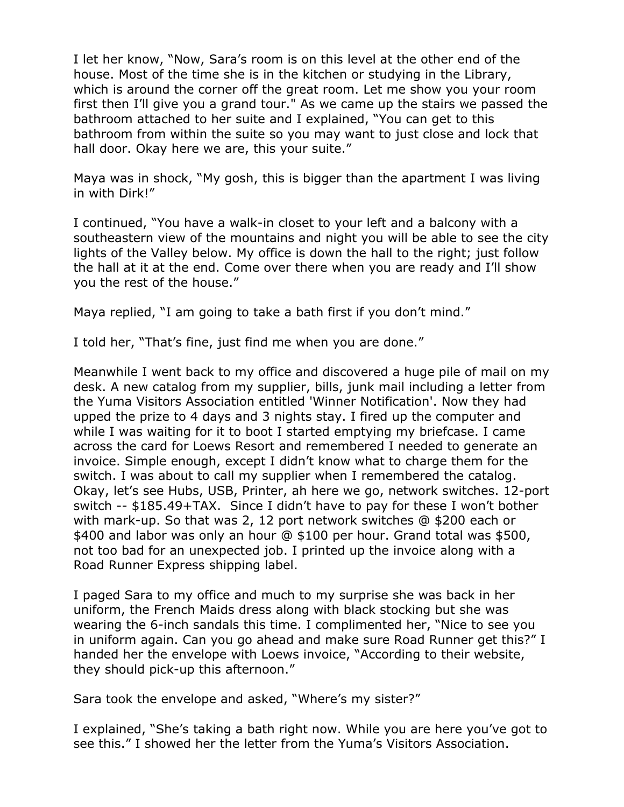I let her know, "Now, Sara's room is on this level at the other end of the house. Most of the time she is in the kitchen or studying in the Library, which is around the corner off the great room. Let me show you your room first then I'll give you a grand tour." As we came up the stairs we passed the bathroom attached to her suite and I explained, "You can get to this bathroom from within the suite so you may want to just close and lock that hall door. Okay here we are, this your suite."

Maya was in shock, "My gosh, this is bigger than the apartment I was living in with Dirk!"

I continued, "You have a walk-in closet to your left and a balcony with a southeastern view of the mountains and night you will be able to see the city lights of the Valley below. My office is down the hall to the right; just follow the hall at it at the end. Come over there when you are ready and I'll show you the rest of the house."

Maya replied, "I am going to take a bath first if you don't mind."

I told her, "That's fine, just find me when you are done."

Meanwhile I went back to my office and discovered a huge pile of mail on my desk. A new catalog from my supplier, bills, junk mail including a letter from the Yuma Visitors Association entitled 'Winner Notification'. Now they had upped the prize to 4 days and 3 nights stay. I fired up the computer and while I was waiting for it to boot I started emptying my briefcase. I came across the card for Loews Resort and remembered I needed to generate an invoice. Simple enough, except I didn't know what to charge them for the switch. I was about to call my supplier when I remembered the catalog. Okay, let's see Hubs, USB, Printer, ah here we go, network switches. 12-port switch -- \$185.49+TAX. Since I didn't have to pay for these I won't bother with mark-up. So that was 2, 12 port network switches @ \$200 each or \$400 and labor was only an hour @ \$100 per hour. Grand total was \$500, not too bad for an unexpected job. I printed up the invoice along with a Road Runner Express shipping label.

I paged Sara to my office and much to my surprise she was back in her uniform, the French Maids dress along with black stocking but she was wearing the 6-inch sandals this time. I complimented her, "Nice to see you in uniform again. Can you go ahead and make sure Road Runner get this?" I handed her the envelope with Loews invoice, "According to their website, they should pick-up this afternoon."

Sara took the envelope and asked, "Where's my sister?"

I explained, "She's taking a bath right now. While you are here you've got to see this." I showed her the letter from the Yuma's Visitors Association.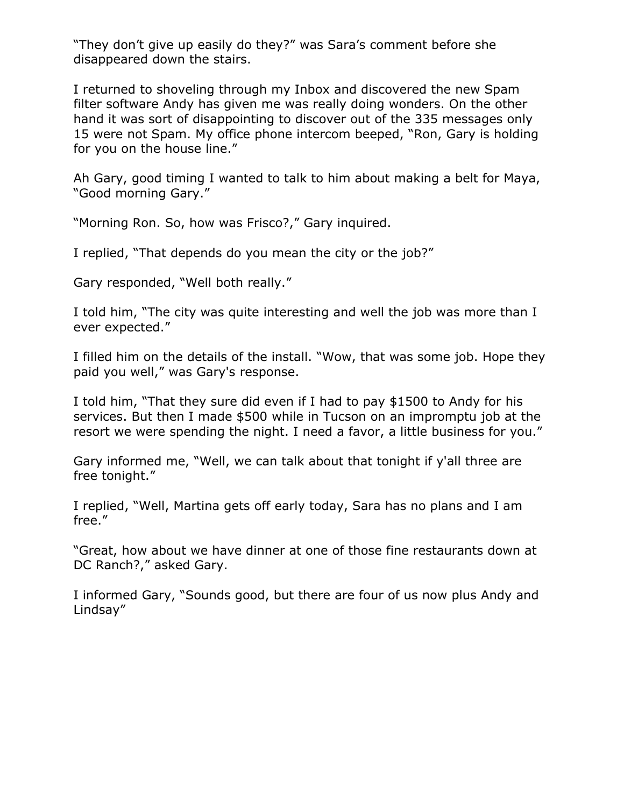"They don't give up easily do they?" was Sara's comment before she disappeared down the stairs.

I returned to shoveling through my Inbox and discovered the new Spam filter software Andy has given me was really doing wonders. On the other hand it was sort of disappointing to discover out of the 335 messages only 15 were not Spam. My office phone intercom beeped, "Ron, Gary is holding for you on the house line."

Ah Gary, good timing I wanted to talk to him about making a belt for Maya, "Good morning Gary."

"Morning Ron. So, how was Frisco?," Gary inquired.

I replied, "That depends do you mean the city or the job?"

Gary responded, "Well both really."

I told him, "The city was quite interesting and well the job was more than I ever expected."

I filled him on the details of the install. "Wow, that was some job. Hope they paid you well," was Gary's response.

I told him, "That they sure did even if I had to pay \$1500 to Andy for his services. But then I made \$500 while in Tucson on an impromptu job at the resort we were spending the night. I need a favor, a little business for you."

Gary informed me, "Well, we can talk about that tonight if y'all three are free tonight."

I replied, "Well, Martina gets off early today, Sara has no plans and I am free."

"Great, how about we have dinner at one of those fine restaurants down at DC Ranch?," asked Gary.

I informed Gary, "Sounds good, but there are four of us now plus Andy and Lindsay"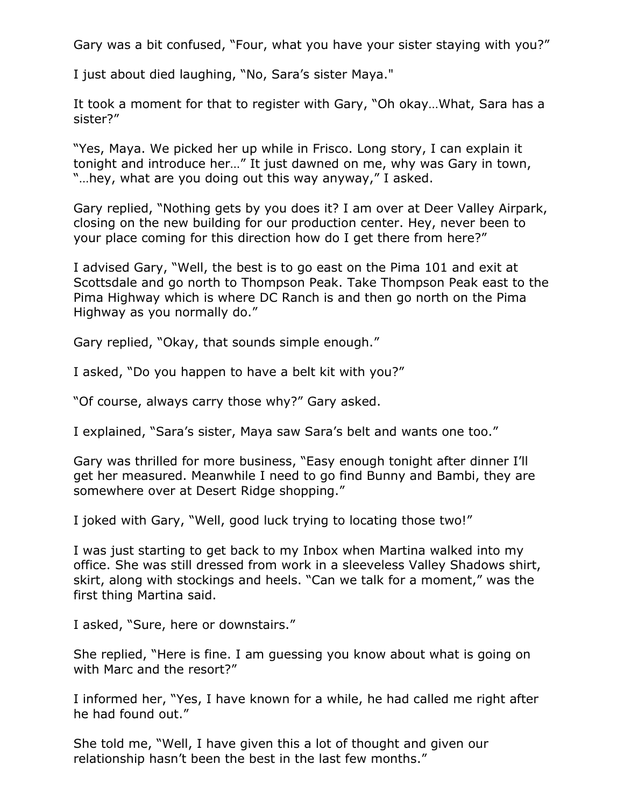Gary was a bit confused, "Four, what you have your sister staying with you?"

I just about died laughing, "No, Sara's sister Maya."

It took a moment for that to register with Gary, "Oh okay…What, Sara has a sister?"

"Yes, Maya. We picked her up while in Frisco. Long story, I can explain it tonight and introduce her…" It just dawned on me, why was Gary in town, "…hey, what are you doing out this way anyway," I asked.

Gary replied, "Nothing gets by you does it? I am over at Deer Valley Airpark, closing on the new building for our production center. Hey, never been to your place coming for this direction how do I get there from here?"

I advised Gary, "Well, the best is to go east on the Pima 101 and exit at Scottsdale and go north to Thompson Peak. Take Thompson Peak east to the Pima Highway which is where DC Ranch is and then go north on the Pima Highway as you normally do."

Gary replied, "Okay, that sounds simple enough."

I asked, "Do you happen to have a belt kit with you?"

"Of course, always carry those why?" Gary asked.

I explained, "Sara's sister, Maya saw Sara's belt and wants one too."

Gary was thrilled for more business, "Easy enough tonight after dinner I'll get her measured. Meanwhile I need to go find Bunny and Bambi, they are somewhere over at Desert Ridge shopping."

I joked with Gary, "Well, good luck trying to locating those two!"

I was just starting to get back to my Inbox when Martina walked into my office. She was still dressed from work in a sleeveless Valley Shadows shirt, skirt, along with stockings and heels. "Can we talk for a moment," was the first thing Martina said.

I asked, "Sure, here or downstairs."

She replied, "Here is fine. I am guessing you know about what is going on with Marc and the resort?"

I informed her, "Yes, I have known for a while, he had called me right after he had found out."

She told me, "Well, I have given this a lot of thought and given our relationship hasn't been the best in the last few months."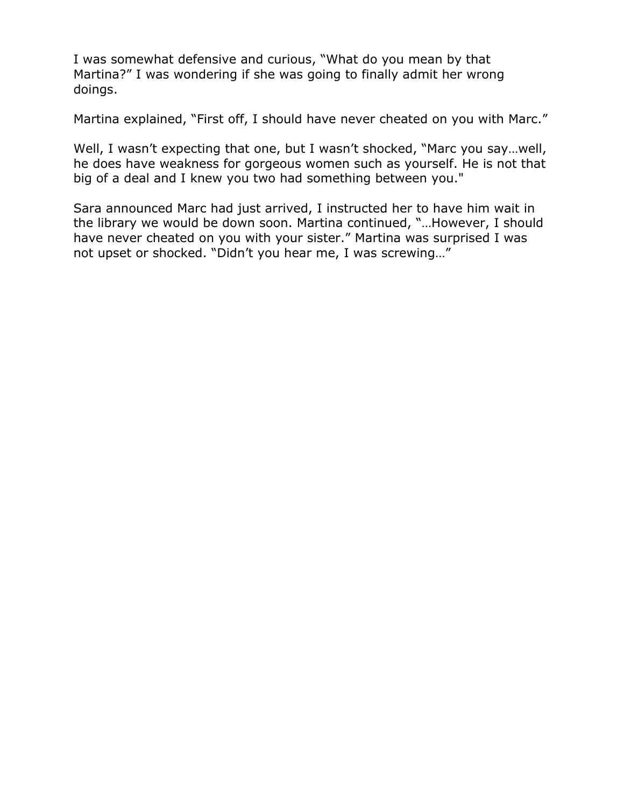I was somewhat defensive and curious, "What do you mean by that Martina?" I was wondering if she was going to finally admit her wrong doings.

Martina explained, "First off, I should have never cheated on you with Marc."

Well, I wasn't expecting that one, but I wasn't shocked, "Marc you say…well, he does have weakness for gorgeous women such as yourself. He is not that big of a deal and I knew you two had something between you."

Sara announced Marc had just arrived, I instructed her to have him wait in the library we would be down soon. Martina continued, "…However, I should have never cheated on you with your sister." Martina was surprised I was not upset or shocked. "Didn't you hear me, I was screwing…"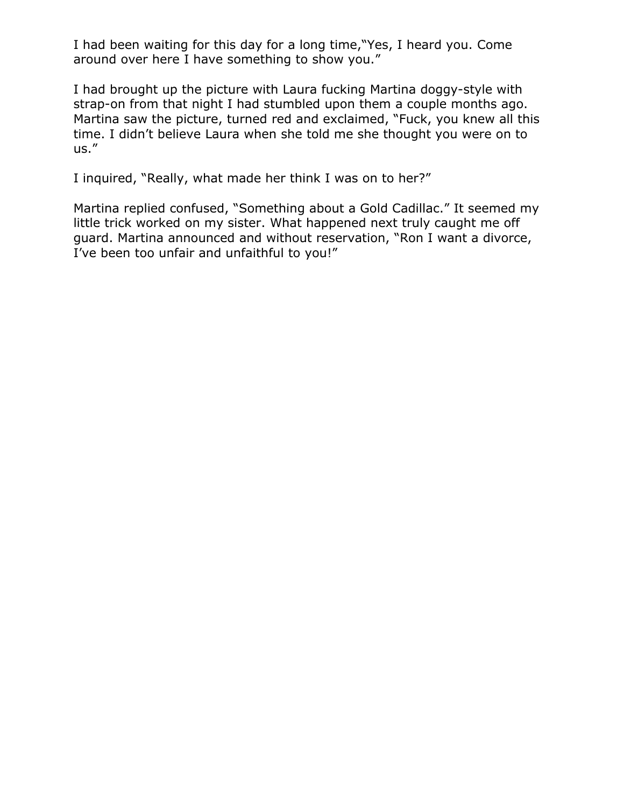I had been waiting for this day for a long time,"Yes, I heard you. Come around over here I have something to show you."

I had brought up the picture with Laura fucking Martina doggy-style with strap-on from that night I had stumbled upon them a couple months ago. Martina saw the picture, turned red and exclaimed, "Fuck, you knew all this time. I didn't believe Laura when she told me she thought you were on to us."

I inquired, "Really, what made her think I was on to her?"

Martina replied confused, "Something about a Gold Cadillac." It seemed my little trick worked on my sister. What happened next truly caught me off guard. Martina announced and without reservation, "Ron I want a divorce, I've been too unfair and unfaithful to you!"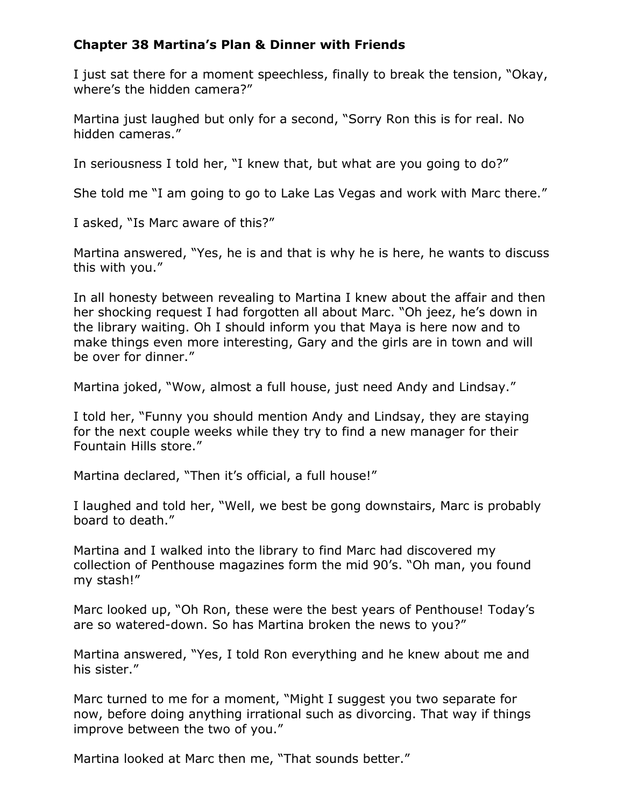## **Chapter 38 Martina's Plan & Dinner with Friends**

I just sat there for a moment speechless, finally to break the tension, "Okay, where's the hidden camera?"

Martina just laughed but only for a second, "Sorry Ron this is for real. No hidden cameras."

In seriousness I told her, "I knew that, but what are you going to do?"

She told me "I am going to go to Lake Las Vegas and work with Marc there."

I asked, "Is Marc aware of this?"

Martina answered, "Yes, he is and that is why he is here, he wants to discuss this with you."

In all honesty between revealing to Martina I knew about the affair and then her shocking request I had forgotten all about Marc. "Oh jeez, he's down in the library waiting. Oh I should inform you that Maya is here now and to make things even more interesting, Gary and the girls are in town and will be over for dinner."

Martina joked, "Wow, almost a full house, just need Andy and Lindsay."

I told her, "Funny you should mention Andy and Lindsay, they are staying for the next couple weeks while they try to find a new manager for their Fountain Hills store."

Martina declared, "Then it's official, a full house!"

I laughed and told her, "Well, we best be gong downstairs, Marc is probably board to death."

Martina and I walked into the library to find Marc had discovered my collection of Penthouse magazines form the mid 90's. "Oh man, you found my stash!"

Marc looked up, "Oh Ron, these were the best years of Penthouse! Today's are so watered-down. So has Martina broken the news to you?"

Martina answered, "Yes, I told Ron everything and he knew about me and his sister."

Marc turned to me for a moment, "Might I suggest you two separate for now, before doing anything irrational such as divorcing. That way if things improve between the two of you."

Martina looked at Marc then me, "That sounds better."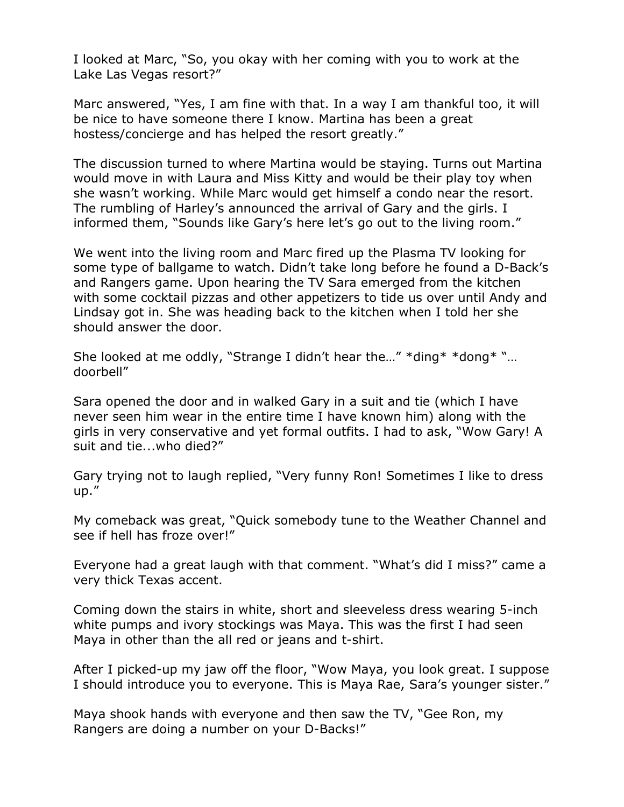I looked at Marc, "So, you okay with her coming with you to work at the Lake Las Vegas resort?"

Marc answered, "Yes, I am fine with that. In a way I am thankful too, it will be nice to have someone there I know. Martina has been a great hostess/concierge and has helped the resort greatly."

The discussion turned to where Martina would be staying. Turns out Martina would move in with Laura and Miss Kitty and would be their play toy when she wasn't working. While Marc would get himself a condo near the resort. The rumbling of Harley's announced the arrival of Gary and the girls. I informed them, "Sounds like Gary's here let's go out to the living room."

We went into the living room and Marc fired up the Plasma TV looking for some type of ballgame to watch. Didn't take long before he found a D-Back's and Rangers game. Upon hearing the TV Sara emerged from the kitchen with some cocktail pizzas and other appetizers to tide us over until Andy and Lindsay got in. She was heading back to the kitchen when I told her she should answer the door.

She looked at me oddly, "Strange I didn't hear the…" \*ding\* \*dong\* "… doorbell"

Sara opened the door and in walked Gary in a suit and tie (which I have never seen him wear in the entire time I have known him) along with the girls in very conservative and yet formal outfits. I had to ask, "Wow Gary! A suit and tie...who died?"

Gary trying not to laugh replied, "Very funny Ron! Sometimes I like to dress up."

My comeback was great, "Quick somebody tune to the Weather Channel and see if hell has froze over!"

Everyone had a great laugh with that comment. "What's did I miss?" came a very thick Texas accent.

Coming down the stairs in white, short and sleeveless dress wearing 5-inch white pumps and ivory stockings was Maya. This was the first I had seen Maya in other than the all red or jeans and t-shirt.

After I picked-up my jaw off the floor, "Wow Maya, you look great. I suppose I should introduce you to everyone. This is Maya Rae, Sara's younger sister."

Maya shook hands with everyone and then saw the TV, "Gee Ron, my Rangers are doing a number on your D-Backs!"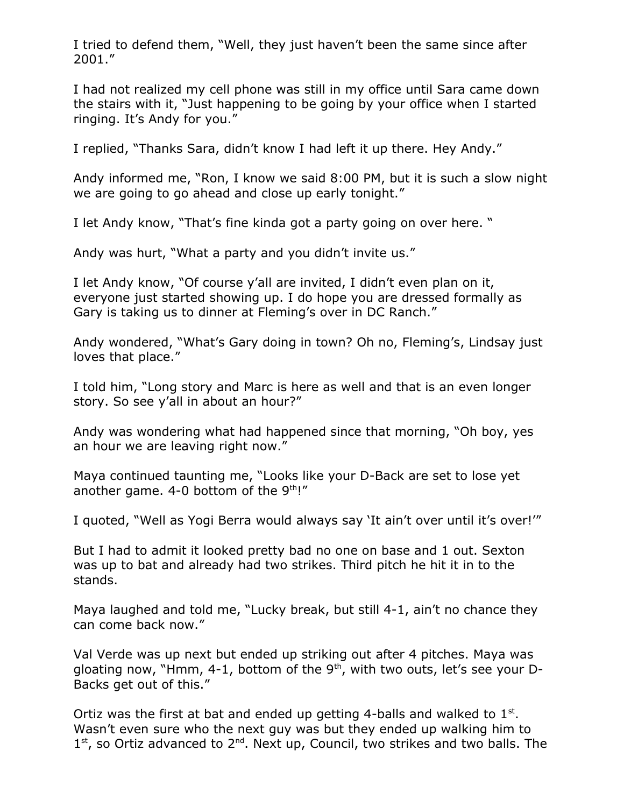I tried to defend them, "Well, they just haven't been the same since after 2001."

I had not realized my cell phone was still in my office until Sara came down the stairs with it, "Just happening to be going by your office when I started ringing. It's Andy for you."

I replied, "Thanks Sara, didn't know I had left it up there. Hey Andy."

Andy informed me, "Ron, I know we said 8:00 PM, but it is such a slow night we are going to go ahead and close up early tonight."

I let Andy know, "That's fine kinda got a party going on over here. "

Andy was hurt, "What a party and you didn't invite us."

I let Andy know, "Of course y'all are invited, I didn't even plan on it, everyone just started showing up. I do hope you are dressed formally as Gary is taking us to dinner at Fleming's over in DC Ranch."

Andy wondered, "What's Gary doing in town? Oh no, Fleming's, Lindsay just loves that place."

I told him, "Long story and Marc is here as well and that is an even longer story. So see y'all in about an hour?"

Andy was wondering what had happened since that morning, "Oh boy, yes an hour we are leaving right now."

Maya continued taunting me, "Looks like your D-Back are set to lose yet another game. 4-0 bottom of the  $9<sup>th</sup>$ !"

I quoted, "Well as Yogi Berra would always say 'It ain't over until it's over!'"

But I had to admit it looked pretty bad no one on base and 1 out. Sexton was up to bat and already had two strikes. Third pitch he hit it in to the stands.

Maya laughed and told me, "Lucky break, but still 4-1, ain't no chance they can come back now."

Val Verde was up next but ended up striking out after 4 pitches. Maya was gloating now, "Hmm, 4-1, bottom of the  $9<sup>th</sup>$ , with two outs, let's see your D-Backs get out of this."

Ortiz was the first at bat and ended up getting 4-balls and walked to  $1<sup>st</sup>$ . Wasn't even sure who the next guy was but they ended up walking him to  $1<sup>st</sup>$ , so Ortiz advanced to  $2<sup>nd</sup>$ . Next up, Council, two strikes and two balls. The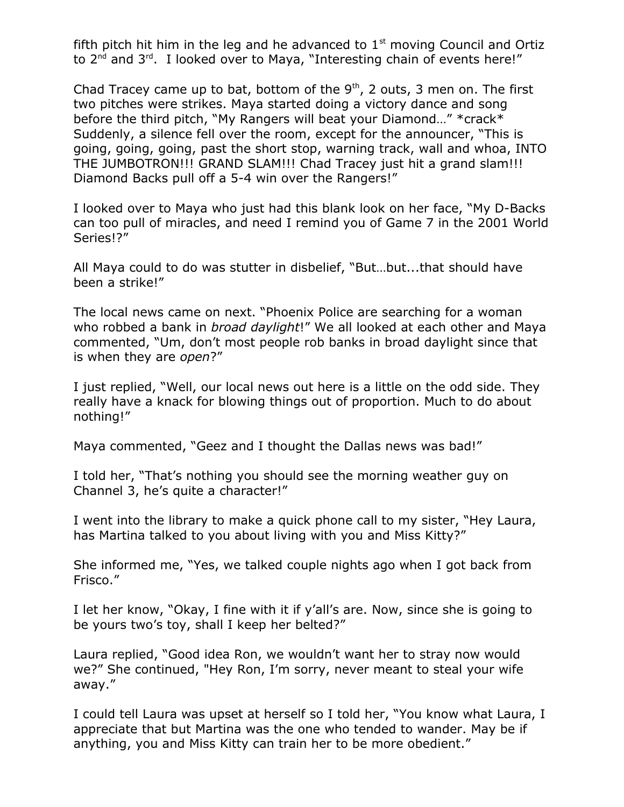fifth pitch hit him in the leg and he advanced to  $1<sup>st</sup>$  moving Council and Ortiz to  $2^{nd}$  and  $3^{rd}$ . I looked over to Maya, "Interesting chain of events here!"

Chad Tracey came up to bat, bottom of the  $9<sup>th</sup>$ , 2 outs, 3 men on. The first two pitches were strikes. Maya started doing a victory dance and song before the third pitch, "My Rangers will beat your Diamond…" \*crack\* Suddenly, a silence fell over the room, except for the announcer, "This is going, going, going, past the short stop, warning track, wall and whoa, INTO THE JUMBOTRON!!! GRAND SLAM!!! Chad Tracey just hit a grand slam!!! Diamond Backs pull off a 5-4 win over the Rangers!"

I looked over to Maya who just had this blank look on her face, "My D-Backs can too pull of miracles, and need I remind you of Game 7 in the 2001 World Series!?"

All Maya could to do was stutter in disbelief, "But…but...that should have been a strike!"

The local news came on next. "Phoenix Police are searching for a woman who robbed a bank in *broad daylight*!" We all looked at each other and Maya commented, "Um, don't most people rob banks in broad daylight since that is when they are *open*?"

I just replied, "Well, our local news out here is a little on the odd side. They really have a knack for blowing things out of proportion. Much to do about nothing!"

Maya commented, "Geez and I thought the Dallas news was bad!"

I told her, "That's nothing you should see the morning weather guy on Channel 3, he's quite a character!"

I went into the library to make a quick phone call to my sister, "Hey Laura, has Martina talked to you about living with you and Miss Kitty?"

She informed me, "Yes, we talked couple nights ago when I got back from Frisco."

I let her know, "Okay, I fine with it if y'all's are. Now, since she is going to be yours two's toy, shall I keep her belted?"

Laura replied, "Good idea Ron, we wouldn't want her to stray now would we?" She continued, "Hey Ron, I'm sorry, never meant to steal your wife away."

I could tell Laura was upset at herself so I told her, "You know what Laura, I appreciate that but Martina was the one who tended to wander. May be if anything, you and Miss Kitty can train her to be more obedient."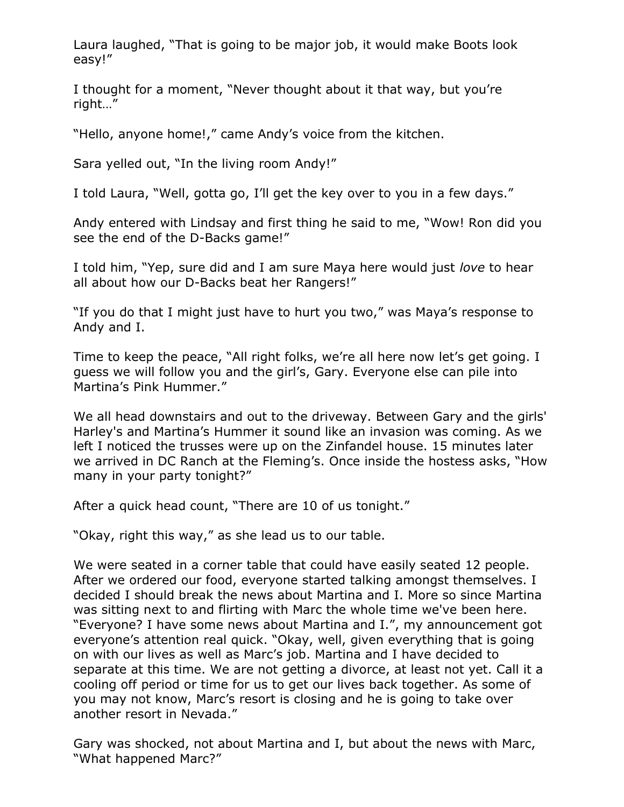Laura laughed, "That is going to be major job, it would make Boots look easy!"

I thought for a moment, "Never thought about it that way, but you're right…"

"Hello, anyone home!," came Andy's voice from the kitchen.

Sara yelled out, "In the living room Andy!"

I told Laura, "Well, gotta go, I'll get the key over to you in a few days."

Andy entered with Lindsay and first thing he said to me, "Wow! Ron did you see the end of the D-Backs game!"

I told him, "Yep, sure did and I am sure Maya here would just *love* to hear all about how our D-Backs beat her Rangers!"

"If you do that I might just have to hurt you two," was Maya's response to Andy and I.

Time to keep the peace, "All right folks, we're all here now let's get going. I guess we will follow you and the girl's, Gary. Everyone else can pile into Martina's Pink Hummer."

We all head downstairs and out to the driveway. Between Gary and the girls' Harley's and Martina's Hummer it sound like an invasion was coming. As we left I noticed the trusses were up on the Zinfandel house. 15 minutes later we arrived in DC Ranch at the Fleming's. Once inside the hostess asks, "How many in your party tonight?"

After a quick head count, "There are 10 of us tonight."

"Okay, right this way," as she lead us to our table.

We were seated in a corner table that could have easily seated 12 people. After we ordered our food, everyone started talking amongst themselves. I decided I should break the news about Martina and I. More so since Martina was sitting next to and flirting with Marc the whole time we've been here. "Everyone? I have some news about Martina and I.", my announcement got everyone's attention real quick. "Okay, well, given everything that is going on with our lives as well as Marc's job. Martina and I have decided to separate at this time. We are not getting a divorce, at least not yet. Call it a cooling off period or time for us to get our lives back together. As some of you may not know, Marc's resort is closing and he is going to take over another resort in Nevada."

Gary was shocked, not about Martina and I, but about the news with Marc, "What happened Marc?"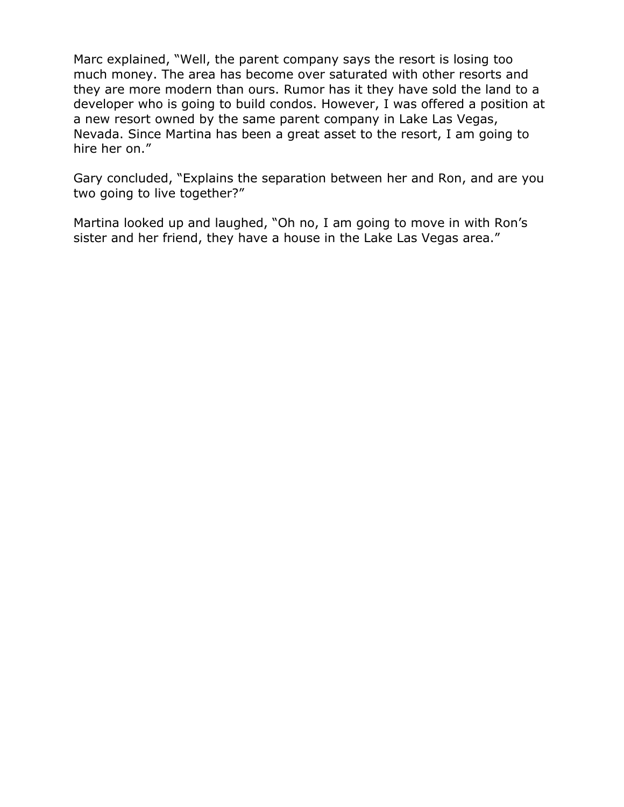Marc explained, "Well, the parent company says the resort is losing too much money. The area has become over saturated with other resorts and they are more modern than ours. Rumor has it they have sold the land to a developer who is going to build condos. However, I was offered a position at a new resort owned by the same parent company in Lake Las Vegas, Nevada. Since Martina has been a great asset to the resort, I am going to hire her on."

Gary concluded, "Explains the separation between her and Ron, and are you two going to live together?"

Martina looked up and laughed, "Oh no, I am going to move in with Ron's sister and her friend, they have a house in the Lake Las Vegas area."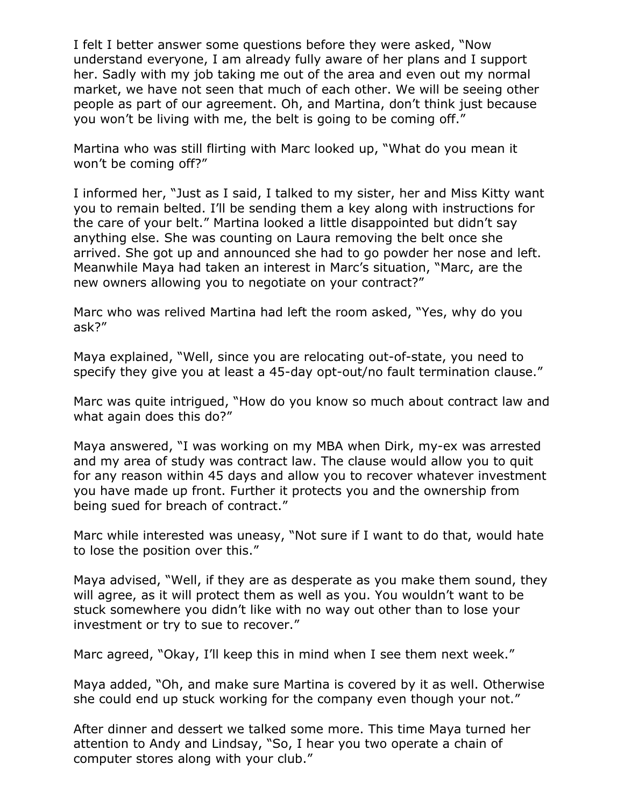I felt I better answer some questions before they were asked, "Now understand everyone, I am already fully aware of her plans and I support her. Sadly with my job taking me out of the area and even out my normal market, we have not seen that much of each other. We will be seeing other people as part of our agreement. Oh, and Martina, don't think just because you won't be living with me, the belt is going to be coming off."

Martina who was still flirting with Marc looked up, "What do you mean it won't be coming off?"

I informed her, "Just as I said, I talked to my sister, her and Miss Kitty want you to remain belted. I'll be sending them a key along with instructions for the care of your belt." Martina looked a little disappointed but didn't say anything else. She was counting on Laura removing the belt once she arrived. She got up and announced she had to go powder her nose and left. Meanwhile Maya had taken an interest in Marc's situation, "Marc, are the new owners allowing you to negotiate on your contract?"

Marc who was relived Martina had left the room asked, "Yes, why do you ask?"

Maya explained, "Well, since you are relocating out-of-state, you need to specify they give you at least a 45-day opt-out/no fault termination clause."

Marc was quite intrigued, "How do you know so much about contract law and what again does this do?"

Maya answered, "I was working on my MBA when Dirk, my-ex was arrested and my area of study was contract law. The clause would allow you to quit for any reason within 45 days and allow you to recover whatever investment you have made up front. Further it protects you and the ownership from being sued for breach of contract."

Marc while interested was uneasy, "Not sure if I want to do that, would hate to lose the position over this."

Maya advised, "Well, if they are as desperate as you make them sound, they will agree, as it will protect them as well as you. You wouldn't want to be stuck somewhere you didn't like with no way out other than to lose your investment or try to sue to recover."

Marc agreed, "Okay, I'll keep this in mind when I see them next week."

Maya added, "Oh, and make sure Martina is covered by it as well. Otherwise she could end up stuck working for the company even though your not."

After dinner and dessert we talked some more. This time Maya turned her attention to Andy and Lindsay, "So, I hear you two operate a chain of computer stores along with your club."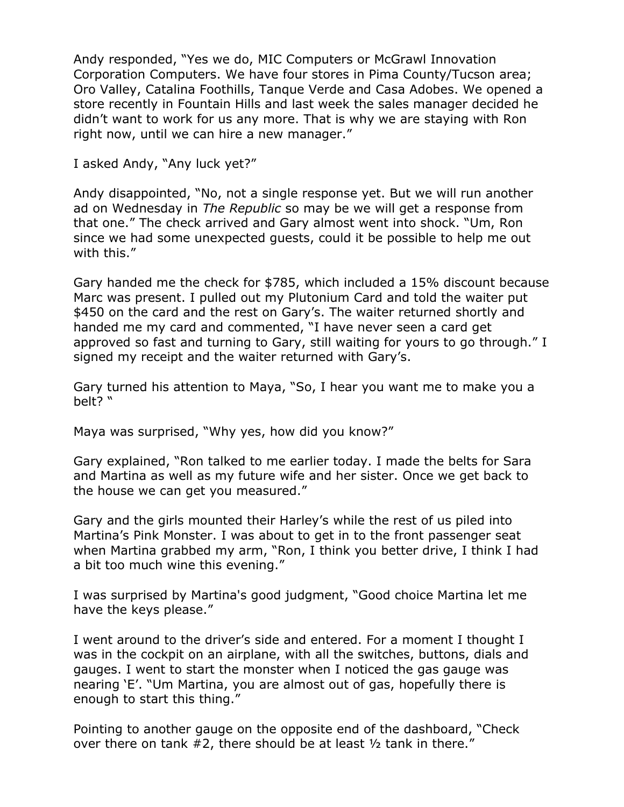Andy responded, "Yes we do, MIC Computers or McGrawl Innovation Corporation Computers. We have four stores in Pima County/Tucson area; Oro Valley, Catalina Foothills, Tanque Verde and Casa Adobes. We opened a store recently in Fountain Hills and last week the sales manager decided he didn't want to work for us any more. That is why we are staying with Ron right now, until we can hire a new manager."

I asked Andy, "Any luck yet?"

Andy disappointed, "No, not a single response yet. But we will run another ad on Wednesday in *The Republic* so may be we will get a response from that one." The check arrived and Gary almost went into shock. "Um, Ron since we had some unexpected guests, could it be possible to help me out with this."

Gary handed me the check for \$785, which included a 15% discount because Marc was present. I pulled out my Plutonium Card and told the waiter put \$450 on the card and the rest on Gary's. The waiter returned shortly and handed me my card and commented, "I have never seen a card get approved so fast and turning to Gary, still waiting for yours to go through." I signed my receipt and the waiter returned with Gary's.

Gary turned his attention to Maya, "So, I hear you want me to make you a belt? "

Maya was surprised, "Why yes, how did you know?"

Gary explained, "Ron talked to me earlier today. I made the belts for Sara and Martina as well as my future wife and her sister. Once we get back to the house we can get you measured."

Gary and the girls mounted their Harley's while the rest of us piled into Martina's Pink Monster. I was about to get in to the front passenger seat when Martina grabbed my arm, "Ron, I think you better drive, I think I had a bit too much wine this evening."

I was surprised by Martina's good judgment, "Good choice Martina let me have the keys please."

I went around to the driver's side and entered. For a moment I thought I was in the cockpit on an airplane, with all the switches, buttons, dials and gauges. I went to start the monster when I noticed the gas gauge was nearing 'E'. "Um Martina, you are almost out of gas, hopefully there is enough to start this thing."

Pointing to another gauge on the opposite end of the dashboard, "Check over there on tank #2, there should be at least ½ tank in there."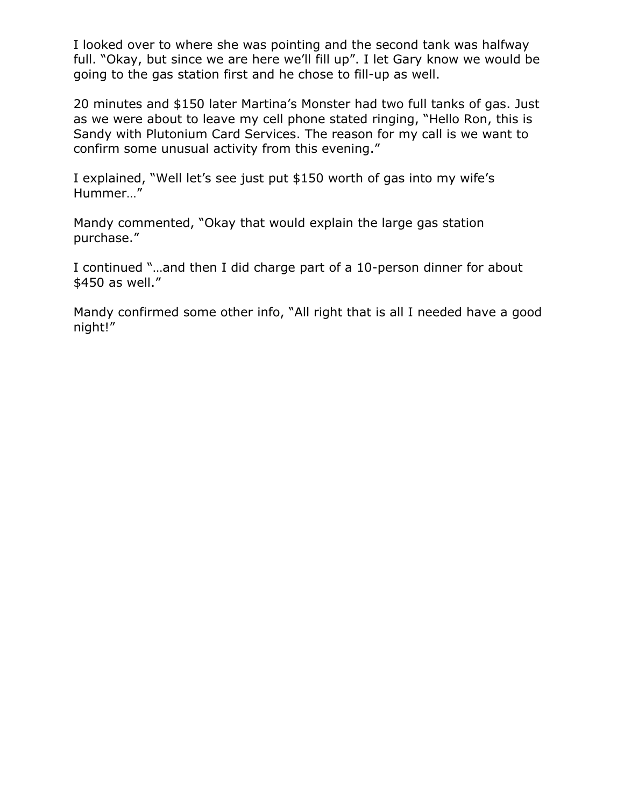I looked over to where she was pointing and the second tank was halfway full. "Okay, but since we are here we'll fill up". I let Gary know we would be going to the gas station first and he chose to fill-up as well.

20 minutes and \$150 later Martina's Monster had two full tanks of gas. Just as we were about to leave my cell phone stated ringing, "Hello Ron, this is Sandy with Plutonium Card Services. The reason for my call is we want to confirm some unusual activity from this evening."

I explained, "Well let's see just put \$150 worth of gas into my wife's Hummer…"

Mandy commented, "Okay that would explain the large gas station purchase."

I continued "…and then I did charge part of a 10-person dinner for about \$450 as well."

Mandy confirmed some other info, "All right that is all I needed have a good night!"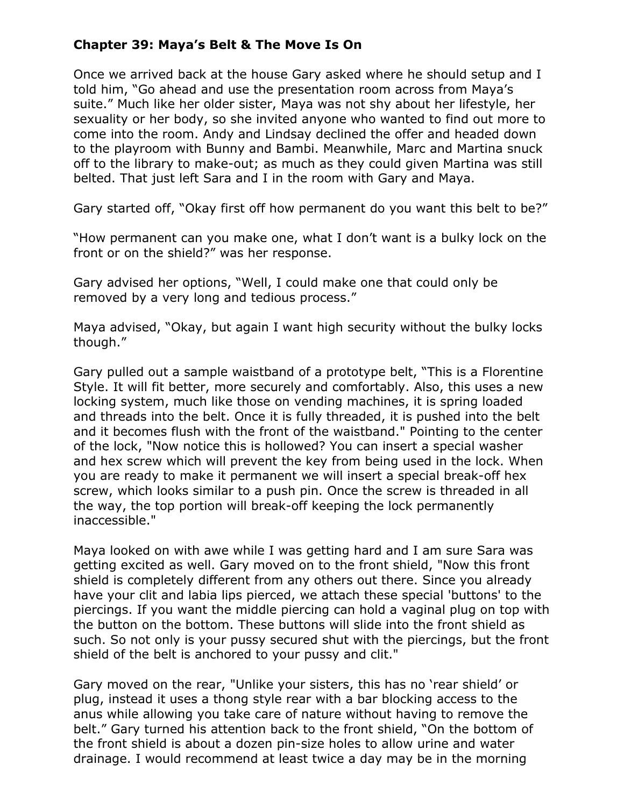## **Chapter 39: Maya's Belt & The Move Is On**

Once we arrived back at the house Gary asked where he should setup and I told him, "Go ahead and use the presentation room across from Maya's suite." Much like her older sister, Maya was not shy about her lifestyle, her sexuality or her body, so she invited anyone who wanted to find out more to come into the room. Andy and Lindsay declined the offer and headed down to the playroom with Bunny and Bambi. Meanwhile, Marc and Martina snuck off to the library to make-out; as much as they could given Martina was still belted. That just left Sara and I in the room with Gary and Maya.

Gary started off, "Okay first off how permanent do you want this belt to be?"

"How permanent can you make one, what I don't want is a bulky lock on the front or on the shield?" was her response.

Gary advised her options, "Well, I could make one that could only be removed by a very long and tedious process."

Maya advised, "Okay, but again I want high security without the bulky locks though."

Gary pulled out a sample waistband of a prototype belt, "This is a Florentine Style. It will fit better, more securely and comfortably. Also, this uses a new locking system, much like those on vending machines, it is spring loaded and threads into the belt. Once it is fully threaded, it is pushed into the belt and it becomes flush with the front of the waistband." Pointing to the center of the lock, "Now notice this is hollowed? You can insert a special washer and hex screw which will prevent the key from being used in the lock. When you are ready to make it permanent we will insert a special break-off hex screw, which looks similar to a push pin. Once the screw is threaded in all the way, the top portion will break-off keeping the lock permanently inaccessible."

Maya looked on with awe while I was getting hard and I am sure Sara was getting excited as well. Gary moved on to the front shield, "Now this front shield is completely different from any others out there. Since you already have your clit and labia lips pierced, we attach these special 'buttons' to the piercings. If you want the middle piercing can hold a vaginal plug on top with the button on the bottom. These buttons will slide into the front shield as such. So not only is your pussy secured shut with the piercings, but the front shield of the belt is anchored to your pussy and clit."

Gary moved on the rear, "Unlike your sisters, this has no 'rear shield' or plug, instead it uses a thong style rear with a bar blocking access to the anus while allowing you take care of nature without having to remove the belt." Gary turned his attention back to the front shield, "On the bottom of the front shield is about a dozen pin-size holes to allow urine and water drainage. I would recommend at least twice a day may be in the morning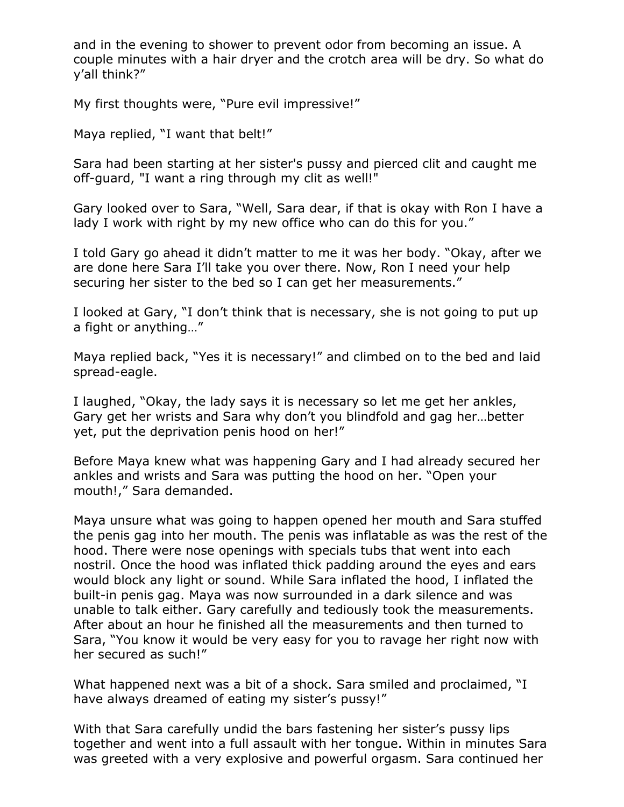and in the evening to shower to prevent odor from becoming an issue. A couple minutes with a hair dryer and the crotch area will be dry. So what do y'all think?"

My first thoughts were, "Pure evil impressive!"

Maya replied, "I want that belt!"

Sara had been starting at her sister's pussy and pierced clit and caught me off-guard, "I want a ring through my clit as well!"

Gary looked over to Sara, "Well, Sara dear, if that is okay with Ron I have a lady I work with right by my new office who can do this for you."

I told Gary go ahead it didn't matter to me it was her body. "Okay, after we are done here Sara I'll take you over there. Now, Ron I need your help securing her sister to the bed so I can get her measurements."

I looked at Gary, "I don't think that is necessary, she is not going to put up a fight or anything…"

Maya replied back, "Yes it is necessary!" and climbed on to the bed and laid spread-eagle.

I laughed, "Okay, the lady says it is necessary so let me get her ankles, Gary get her wrists and Sara why don't you blindfold and gag her…better yet, put the deprivation penis hood on her!"

Before Maya knew what was happening Gary and I had already secured her ankles and wrists and Sara was putting the hood on her. "Open your mouth!," Sara demanded.

Maya unsure what was going to happen opened her mouth and Sara stuffed the penis gag into her mouth. The penis was inflatable as was the rest of the hood. There were nose openings with specials tubs that went into each nostril. Once the hood was inflated thick padding around the eyes and ears would block any light or sound. While Sara inflated the hood, I inflated the built-in penis gag. Maya was now surrounded in a dark silence and was unable to talk either. Gary carefully and tediously took the measurements. After about an hour he finished all the measurements and then turned to Sara, "You know it would be very easy for you to ravage her right now with her secured as such!"

What happened next was a bit of a shock. Sara smiled and proclaimed, "I have always dreamed of eating my sister's pussy!"

With that Sara carefully undid the bars fastening her sister's pussy lips together and went into a full assault with her tongue. Within in minutes Sara was greeted with a very explosive and powerful orgasm. Sara continued her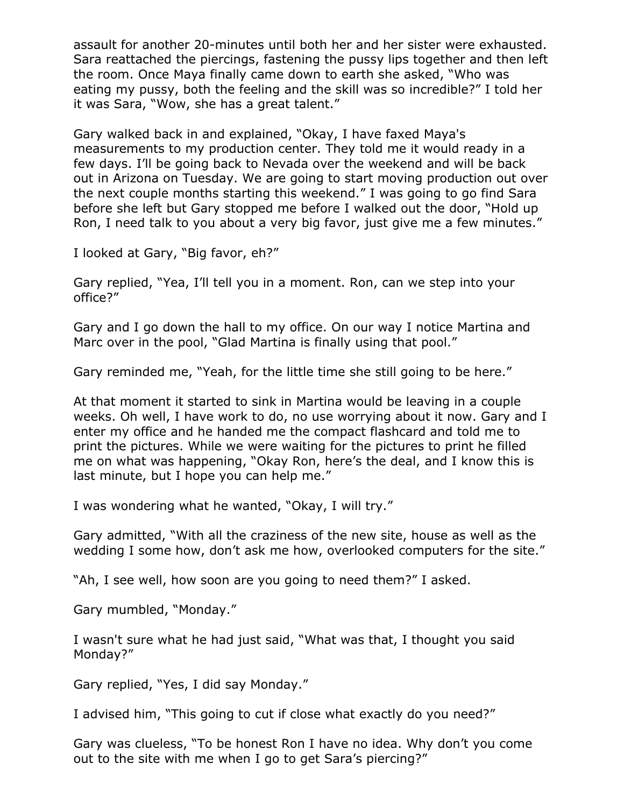assault for another 20-minutes until both her and her sister were exhausted. Sara reattached the piercings, fastening the pussy lips together and then left the room. Once Maya finally came down to earth she asked, "Who was eating my pussy, both the feeling and the skill was so incredible?" I told her it was Sara, "Wow, she has a great talent."

Gary walked back in and explained, "Okay, I have faxed Maya's measurements to my production center. They told me it would ready in a few days. I'll be going back to Nevada over the weekend and will be back out in Arizona on Tuesday. We are going to start moving production out over the next couple months starting this weekend." I was going to go find Sara before she left but Gary stopped me before I walked out the door, "Hold up Ron, I need talk to you about a very big favor, just give me a few minutes."

I looked at Gary, "Big favor, eh?"

Gary replied, "Yea, I'll tell you in a moment. Ron, can we step into your office?"

Gary and I go down the hall to my office. On our way I notice Martina and Marc over in the pool, "Glad Martina is finally using that pool."

Gary reminded me, "Yeah, for the little time she still going to be here."

At that moment it started to sink in Martina would be leaving in a couple weeks. Oh well, I have work to do, no use worrying about it now. Gary and I enter my office and he handed me the compact flashcard and told me to print the pictures. While we were waiting for the pictures to print he filled me on what was happening, "Okay Ron, here's the deal, and I know this is last minute, but I hope you can help me."

I was wondering what he wanted, "Okay, I will try."

Gary admitted, "With all the craziness of the new site, house as well as the wedding I some how, don't ask me how, overlooked computers for the site."

"Ah, I see well, how soon are you going to need them?" I asked.

Gary mumbled, "Monday."

I wasn't sure what he had just said, "What was that, I thought you said Monday?"

Gary replied, "Yes, I did say Monday."

I advised him, "This going to cut if close what exactly do you need?"

Gary was clueless, "To be honest Ron I have no idea. Why don't you come out to the site with me when I go to get Sara's piercing?"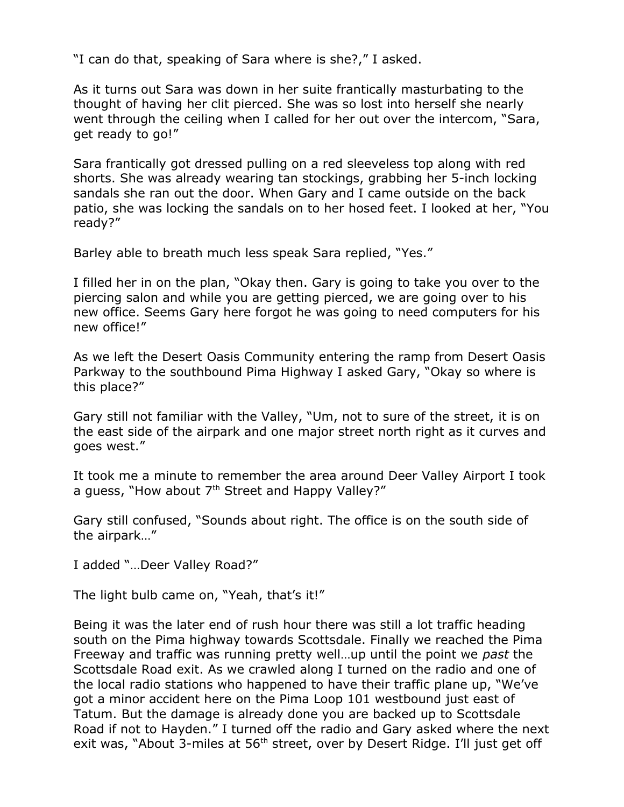"I can do that, speaking of Sara where is she?," I asked.

As it turns out Sara was down in her suite frantically masturbating to the thought of having her clit pierced. She was so lost into herself she nearly went through the ceiling when I called for her out over the intercom, "Sara, get ready to go!"

Sara frantically got dressed pulling on a red sleeveless top along with red shorts. She was already wearing tan stockings, grabbing her 5-inch locking sandals she ran out the door. When Gary and I came outside on the back patio, she was locking the sandals on to her hosed feet. I looked at her, "You ready?"

Barley able to breath much less speak Sara replied, "Yes."

I filled her in on the plan, "Okay then. Gary is going to take you over to the piercing salon and while you are getting pierced, we are going over to his new office. Seems Gary here forgot he was going to need computers for his new office!"

As we left the Desert Oasis Community entering the ramp from Desert Oasis Parkway to the southbound Pima Highway I asked Gary, "Okay so where is this place?"

Gary still not familiar with the Valley, "Um, not to sure of the street, it is on the east side of the airpark and one major street north right as it curves and goes west."

It took me a minute to remember the area around Deer Valley Airport I took a guess, "How about  $7<sup>th</sup>$  Street and Happy Valley?"

Gary still confused, "Sounds about right. The office is on the south side of the airpark…"

I added "…Deer Valley Road?"

The light bulb came on, "Yeah, that's it!"

Being it was the later end of rush hour there was still a lot traffic heading south on the Pima highway towards Scottsdale. Finally we reached the Pima Freeway and traffic was running pretty well…up until the point we *past* the Scottsdale Road exit. As we crawled along I turned on the radio and one of the local radio stations who happened to have their traffic plane up, "We've got a minor accident here on the Pima Loop 101 westbound just east of Tatum. But the damage is already done you are backed up to Scottsdale Road if not to Hayden." I turned off the radio and Gary asked where the next exit was, "About 3-miles at 56<sup>th</sup> street, over by Desert Ridge. I'll just get off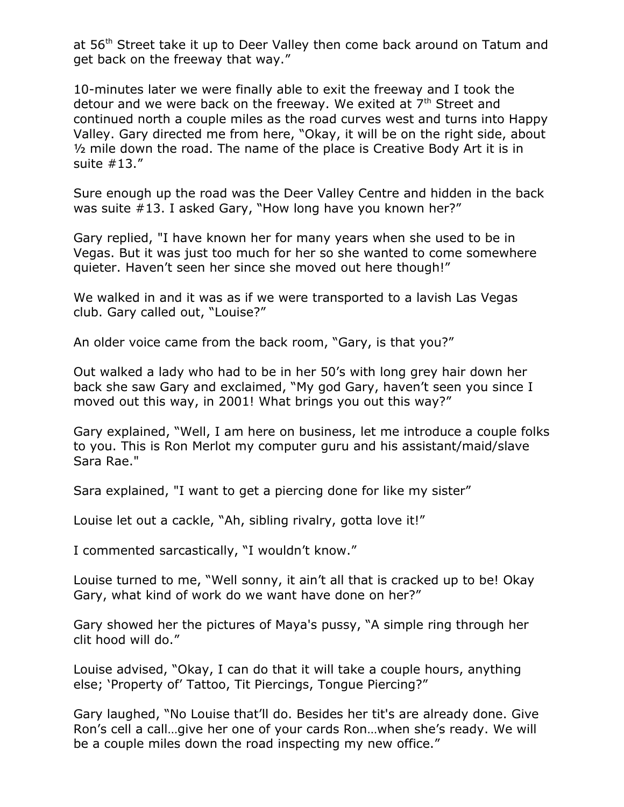at 56<sup>th</sup> Street take it up to Deer Valley then come back around on Tatum and get back on the freeway that way."

10-minutes later we were finally able to exit the freeway and I took the detour and we were back on the freeway. We exited at  $7<sup>th</sup>$  Street and continued north a couple miles as the road curves west and turns into Happy Valley. Gary directed me from here, "Okay, it will be on the right side, about ½ mile down the road. The name of the place is Creative Body Art it is in suite #13."

Sure enough up the road was the Deer Valley Centre and hidden in the back was suite #13. I asked Gary, "How long have you known her?"

Gary replied, "I have known her for many years when she used to be in Vegas. But it was just too much for her so she wanted to come somewhere quieter. Haven't seen her since she moved out here though!"

We walked in and it was as if we were transported to a lavish Las Vegas club. Gary called out, "Louise?"

An older voice came from the back room, "Gary, is that you?"

Out walked a lady who had to be in her 50's with long grey hair down her back she saw Gary and exclaimed, "My god Gary, haven't seen you since I moved out this way, in 2001! What brings you out this way?"

Gary explained, "Well, I am here on business, let me introduce a couple folks to you. This is Ron Merlot my computer guru and his assistant/maid/slave Sara Rae."

Sara explained, "I want to get a piercing done for like my sister"

Louise let out a cackle, "Ah, sibling rivalry, gotta love it!"

I commented sarcastically, "I wouldn't know."

Louise turned to me, "Well sonny, it ain't all that is cracked up to be! Okay Gary, what kind of work do we want have done on her?"

Gary showed her the pictures of Maya's pussy, "A simple ring through her clit hood will do."

Louise advised, "Okay, I can do that it will take a couple hours, anything else; 'Property of' Tattoo, Tit Piercings, Tongue Piercing?"

Gary laughed, "No Louise that'll do. Besides her tit's are already done. Give Ron's cell a call…give her one of your cards Ron…when she's ready. We will be a couple miles down the road inspecting my new office."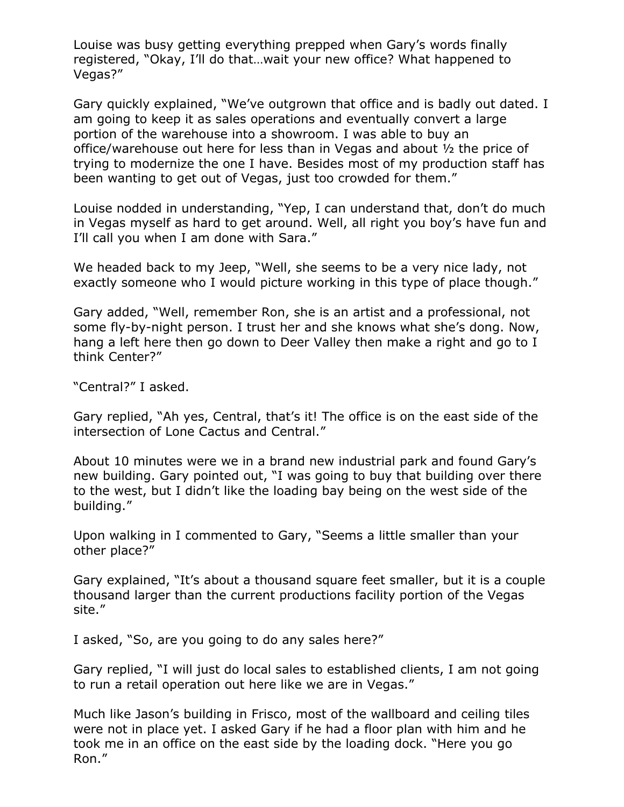Louise was busy getting everything prepped when Gary's words finally registered, "Okay, I'll do that…wait your new office? What happened to Vegas?"

Gary quickly explained, "We've outgrown that office and is badly out dated. I am going to keep it as sales operations and eventually convert a large portion of the warehouse into a showroom. I was able to buy an office/warehouse out here for less than in Vegas and about ½ the price of trying to modernize the one I have. Besides most of my production staff has been wanting to get out of Vegas, just too crowded for them."

Louise nodded in understanding, "Yep, I can understand that, don't do much in Vegas myself as hard to get around. Well, all right you boy's have fun and I'll call you when I am done with Sara."

We headed back to my Jeep, "Well, she seems to be a very nice lady, not exactly someone who I would picture working in this type of place though."

Gary added, "Well, remember Ron, she is an artist and a professional, not some fly-by-night person. I trust her and she knows what she's dong. Now, hang a left here then go down to Deer Valley then make a right and go to I think Center?"

"Central?" I asked.

Gary replied, "Ah yes, Central, that's it! The office is on the east side of the intersection of Lone Cactus and Central."

About 10 minutes were we in a brand new industrial park and found Gary's new building. Gary pointed out, "I was going to buy that building over there to the west, but I didn't like the loading bay being on the west side of the building."

Upon walking in I commented to Gary, "Seems a little smaller than your other place?"

Gary explained, "It's about a thousand square feet smaller, but it is a couple thousand larger than the current productions facility portion of the Vegas site."

I asked, "So, are you going to do any sales here?"

Gary replied, "I will just do local sales to established clients, I am not going to run a retail operation out here like we are in Vegas."

Much like Jason's building in Frisco, most of the wallboard and ceiling tiles were not in place yet. I asked Gary if he had a floor plan with him and he took me in an office on the east side by the loading dock. "Here you go Ron."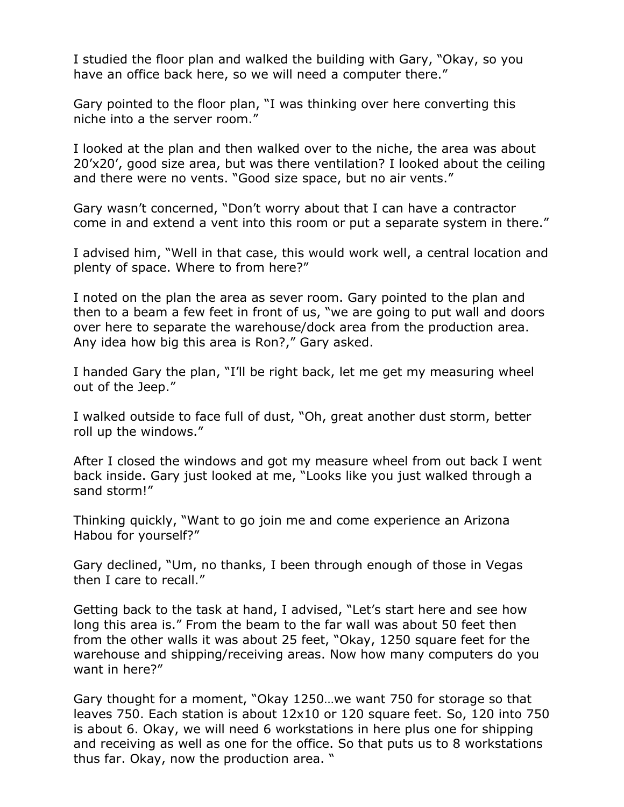I studied the floor plan and walked the building with Gary, "Okay, so you have an office back here, so we will need a computer there."

Gary pointed to the floor plan, "I was thinking over here converting this niche into a the server room."

I looked at the plan and then walked over to the niche, the area was about 20'x20', good size area, but was there ventilation? I looked about the ceiling and there were no vents. "Good size space, but no air vents."

Gary wasn't concerned, "Don't worry about that I can have a contractor come in and extend a vent into this room or put a separate system in there."

I advised him, "Well in that case, this would work well, a central location and plenty of space. Where to from here?"

I noted on the plan the area as sever room. Gary pointed to the plan and then to a beam a few feet in front of us, "we are going to put wall and doors over here to separate the warehouse/dock area from the production area. Any idea how big this area is Ron?," Gary asked.

I handed Gary the plan, "I'll be right back, let me get my measuring wheel out of the Jeep."

I walked outside to face full of dust, "Oh, great another dust storm, better roll up the windows."

After I closed the windows and got my measure wheel from out back I went back inside. Gary just looked at me, "Looks like you just walked through a sand storm!"

Thinking quickly, "Want to go join me and come experience an Arizona Habou for yourself?"

Gary declined, "Um, no thanks, I been through enough of those in Vegas then I care to recall."

Getting back to the task at hand, I advised, "Let's start here and see how long this area is." From the beam to the far wall was about 50 feet then from the other walls it was about 25 feet, "Okay, 1250 square feet for the warehouse and shipping/receiving areas. Now how many computers do you want in here?"

Gary thought for a moment, "Okay 1250…we want 750 for storage so that leaves 750. Each station is about 12x10 or 120 square feet. So, 120 into 750 is about 6. Okay, we will need 6 workstations in here plus one for shipping and receiving as well as one for the office. So that puts us to 8 workstations thus far. Okay, now the production area. "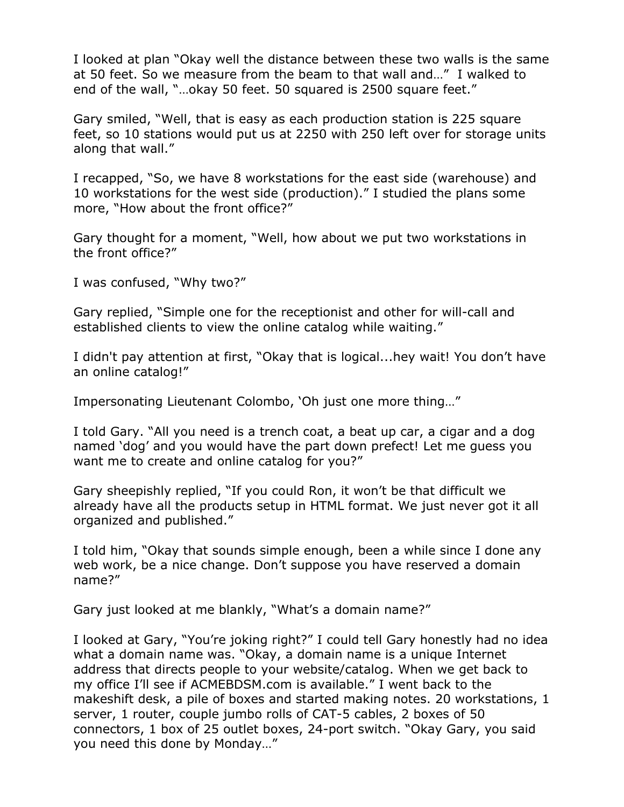I looked at plan "Okay well the distance between these two walls is the same at 50 feet. So we measure from the beam to that wall and…" I walked to end of the wall, "…okay 50 feet. 50 squared is 2500 square feet."

Gary smiled, "Well, that is easy as each production station is 225 square feet, so 10 stations would put us at 2250 with 250 left over for storage units along that wall."

I recapped, "So, we have 8 workstations for the east side (warehouse) and 10 workstations for the west side (production)." I studied the plans some more, "How about the front office?"

Gary thought for a moment, "Well, how about we put two workstations in the front office?"

I was confused, "Why two?"

Gary replied, "Simple one for the receptionist and other for will-call and established clients to view the online catalog while waiting."

I didn't pay attention at first, "Okay that is logical...hey wait! You don't have an online catalog!"

Impersonating Lieutenant Colombo, 'Oh just one more thing…"

I told Gary. "All you need is a trench coat, a beat up car, a cigar and a dog named 'dog' and you would have the part down prefect! Let me guess you want me to create and online catalog for you?"

Gary sheepishly replied, "If you could Ron, it won't be that difficult we already have all the products setup in HTML format. We just never got it all organized and published."

I told him, "Okay that sounds simple enough, been a while since I done any web work, be a nice change. Don't suppose you have reserved a domain name?"

Gary just looked at me blankly, "What's a domain name?"

I looked at Gary, "You're joking right?" I could tell Gary honestly had no idea what a domain name was. "Okay, a domain name is a unique Internet address that directs people to your website/catalog. When we get back to my office I'll see if ACMEBDSM.com is available." I went back to the makeshift desk, a pile of boxes and started making notes. 20 workstations, 1 server, 1 router, couple jumbo rolls of CAT-5 cables, 2 boxes of 50 connectors, 1 box of 25 outlet boxes, 24-port switch. "Okay Gary, you said you need this done by Monday…"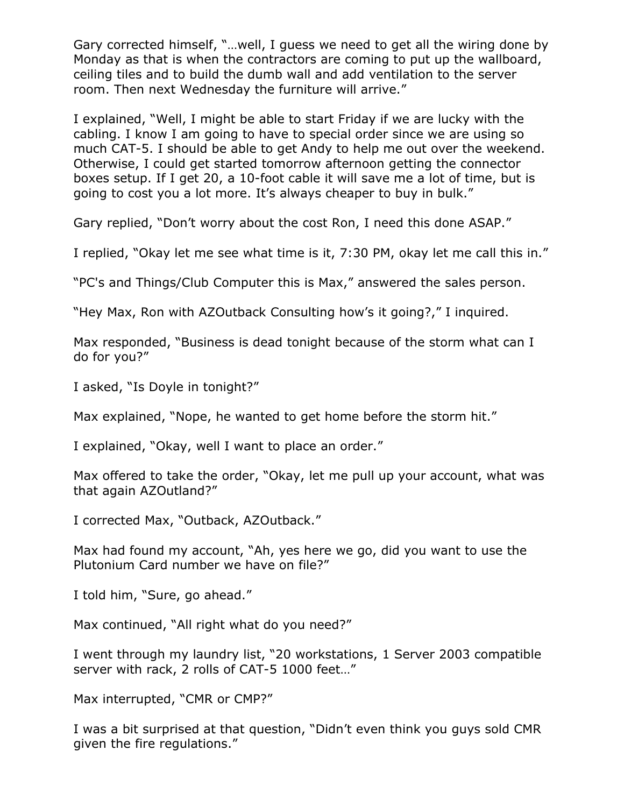Gary corrected himself, "…well, I guess we need to get all the wiring done by Monday as that is when the contractors are coming to put up the wallboard, ceiling tiles and to build the dumb wall and add ventilation to the server room. Then next Wednesday the furniture will arrive."

I explained, "Well, I might be able to start Friday if we are lucky with the cabling. I know I am going to have to special order since we are using so much CAT-5. I should be able to get Andy to help me out over the weekend. Otherwise, I could get started tomorrow afternoon getting the connector boxes setup. If I get 20, a 10-foot cable it will save me a lot of time, but is going to cost you a lot more. It's always cheaper to buy in bulk."

Gary replied, "Don't worry about the cost Ron, I need this done ASAP."

I replied, "Okay let me see what time is it, 7:30 PM, okay let me call this in."

"PC's and Things/Club Computer this is Max," answered the sales person.

"Hey Max, Ron with AZOutback Consulting how's it going?," I inquired.

Max responded, "Business is dead tonight because of the storm what can I do for you?"

I asked, "Is Doyle in tonight?"

Max explained, "Nope, he wanted to get home before the storm hit."

I explained, "Okay, well I want to place an order."

Max offered to take the order, "Okay, let me pull up your account, what was that again AZOutland?"

I corrected Max, "Outback, AZOutback."

Max had found my account, "Ah, yes here we go, did you want to use the Plutonium Card number we have on file?"

I told him, "Sure, go ahead."

Max continued, "All right what do you need?"

I went through my laundry list, "20 workstations, 1 Server 2003 compatible server with rack, 2 rolls of CAT-5 1000 feet…"

Max interrupted, "CMR or CMP?"

I was a bit surprised at that question, "Didn't even think you guys sold CMR given the fire regulations."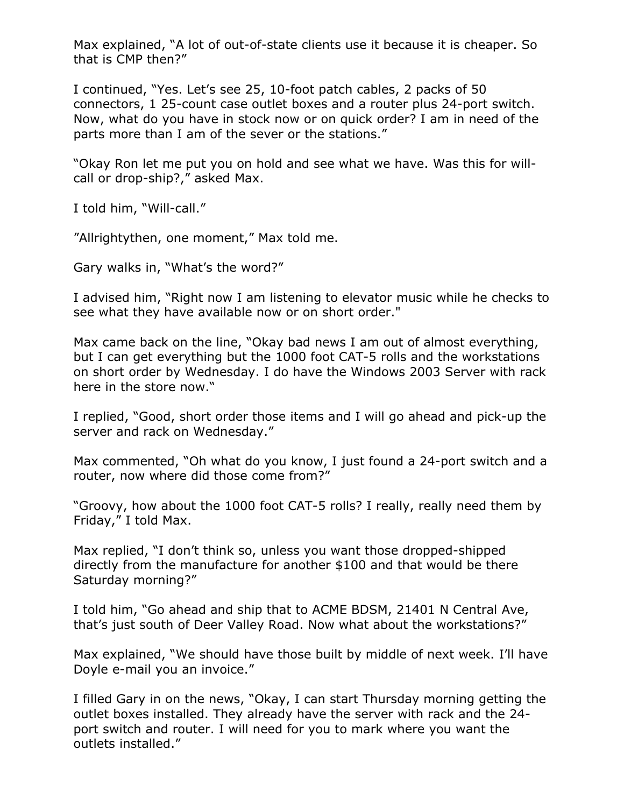Max explained, "A lot of out-of-state clients use it because it is cheaper. So that is CMP then?"

I continued, "Yes. Let's see 25, 10-foot patch cables, 2 packs of 50 connectors, 1 25-count case outlet boxes and a router plus 24-port switch. Now, what do you have in stock now or on quick order? I am in need of the parts more than I am of the sever or the stations."

"Okay Ron let me put you on hold and see what we have. Was this for willcall or drop-ship?," asked Max.

I told him, "Will-call."

"Allrightythen, one moment," Max told me.

Gary walks in, "What's the word?"

I advised him, "Right now I am listening to elevator music while he checks to see what they have available now or on short order."

Max came back on the line, "Okay bad news I am out of almost everything, but I can get everything but the 1000 foot CAT-5 rolls and the workstations on short order by Wednesday. I do have the Windows 2003 Server with rack here in the store now."

I replied, "Good, short order those items and I will go ahead and pick-up the server and rack on Wednesday."

Max commented, "Oh what do you know, I just found a 24-port switch and a router, now where did those come from?"

"Groovy, how about the 1000 foot CAT-5 rolls? I really, really need them by Friday," I told Max.

Max replied, "I don't think so, unless you want those dropped-shipped directly from the manufacture for another \$100 and that would be there Saturday morning?"

I told him, "Go ahead and ship that to ACME BDSM, 21401 N Central Ave, that's just south of Deer Valley Road. Now what about the workstations?"

Max explained, "We should have those built by middle of next week. I'll have Doyle e-mail you an invoice."

I filled Gary in on the news, "Okay, I can start Thursday morning getting the outlet boxes installed. They already have the server with rack and the 24 port switch and router. I will need for you to mark where you want the outlets installed."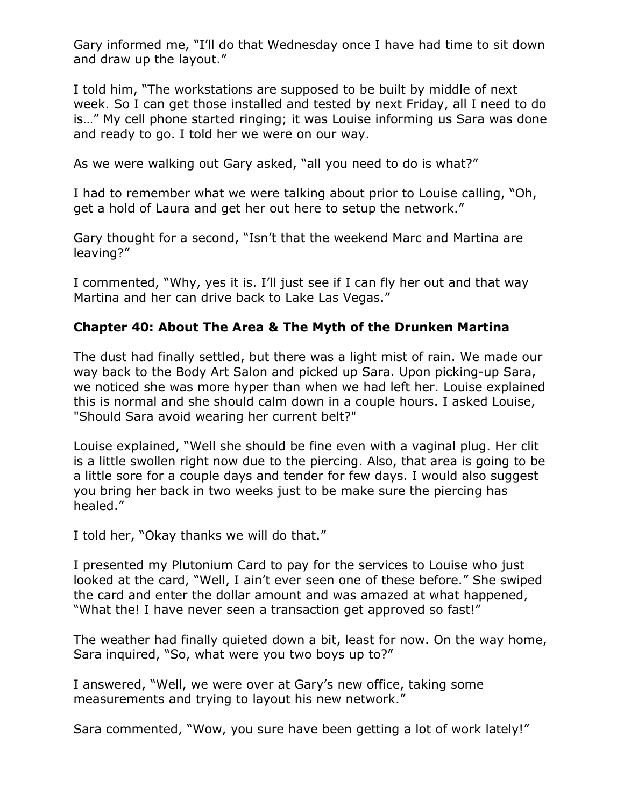Gary informed me, "I'll do that Wednesday once I have had time to sit down and draw up the layout."

I told him, "The workstations are supposed to be built by middle of next week. So I can get those installed and tested by next Friday, all I need to do is…" My cell phone started ringing; it was Louise informing us Sara was done and ready to go. I told her we were on our way.

As we were walking out Gary asked, "all you need to do is what?"

I had to remember what we were talking about prior to Louise calling, "Oh, get a hold of Laura and get her out here to setup the network."

Gary thought for a second, "Isn't that the weekend Marc and Martina are leaving?"

I commented, "Why, yes it is. I'll just see if I can fly her out and that way Martina and her can drive back to Lake Las Vegas."

## **Chapter 40: About The Area & The Myth of the Drunken Martina**

The dust had finally settled, but there was a light mist of rain. We made our way back to the Body Art Salon and picked up Sara. Upon picking-up Sara, we noticed she was more hyper than when we had left her. Louise explained this is normal and she should calm down in a couple hours. I asked Louise, "Should Sara avoid wearing her current belt?"

Louise explained, "Well she should be fine even with a vaginal plug. Her clit is a little swollen right now due to the piercing. Also, that area is going to be a little sore for a couple days and tender for few days. I would also suggest you bring her back in two weeks just to be make sure the piercing has healed."

I told her, "Okay thanks we will do that."

I presented my Plutonium Card to pay for the services to Louise who just looked at the card, "Well, I ain't ever seen one of these before." She swiped the card and enter the dollar amount and was amazed at what happened, "What the! I have never seen a transaction get approved so fast!"

The weather had finally quieted down a bit, least for now. On the way home, Sara inquired, "So, what were you two boys up to?"

I answered, "Well, we were over at Gary's new office, taking some measurements and trying to layout his new network."

Sara commented, "Wow, you sure have been getting a lot of work lately!"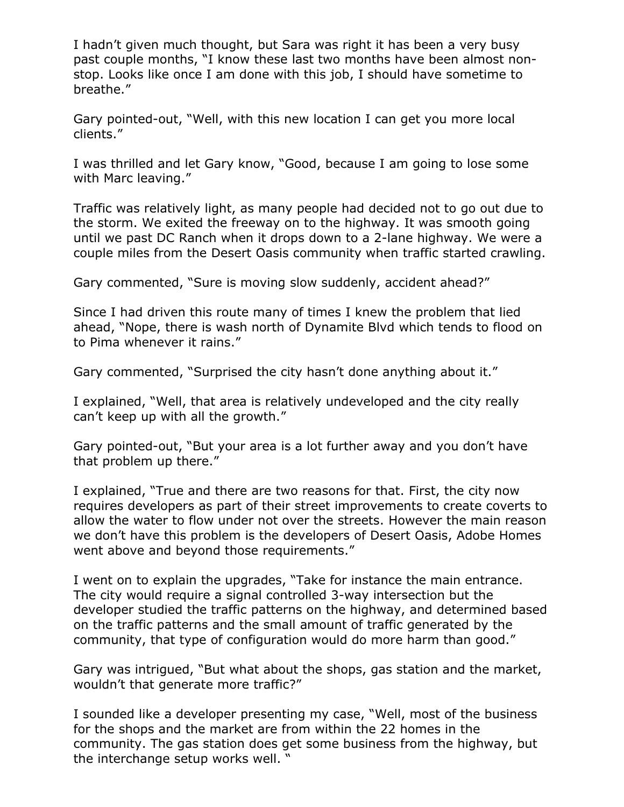I hadn't given much thought, but Sara was right it has been a very busy past couple months, "I know these last two months have been almost nonstop. Looks like once I am done with this job, I should have sometime to breathe."

Gary pointed-out, "Well, with this new location I can get you more local clients."

I was thrilled and let Gary know, "Good, because I am going to lose some with Marc leaving."

Traffic was relatively light, as many people had decided not to go out due to the storm. We exited the freeway on to the highway. It was smooth going until we past DC Ranch when it drops down to a 2-lane highway. We were a couple miles from the Desert Oasis community when traffic started crawling.

Gary commented, "Sure is moving slow suddenly, accident ahead?"

Since I had driven this route many of times I knew the problem that lied ahead, "Nope, there is wash north of Dynamite Blvd which tends to flood on to Pima whenever it rains."

Gary commented, "Surprised the city hasn't done anything about it."

I explained, "Well, that area is relatively undeveloped and the city really can't keep up with all the growth."

Gary pointed-out, "But your area is a lot further away and you don't have that problem up there."

I explained, "True and there are two reasons for that. First, the city now requires developers as part of their street improvements to create coverts to allow the water to flow under not over the streets. However the main reason we don't have this problem is the developers of Desert Oasis, Adobe Homes went above and beyond those requirements."

I went on to explain the upgrades, "Take for instance the main entrance. The city would require a signal controlled 3-way intersection but the developer studied the traffic patterns on the highway, and determined based on the traffic patterns and the small amount of traffic generated by the community, that type of configuration would do more harm than good."

Gary was intrigued, "But what about the shops, gas station and the market, wouldn't that generate more traffic?"

I sounded like a developer presenting my case, "Well, most of the business for the shops and the market are from within the 22 homes in the community. The gas station does get some business from the highway, but the interchange setup works well. "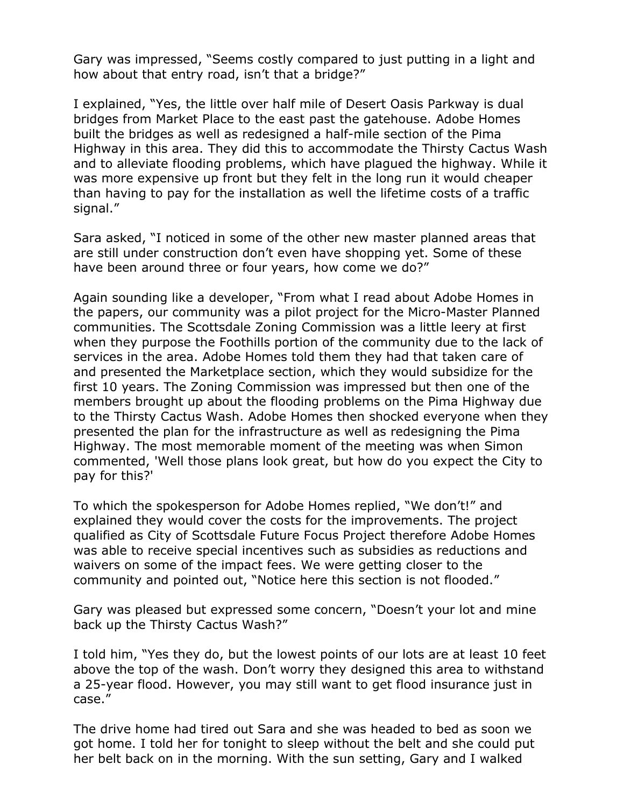Gary was impressed, "Seems costly compared to just putting in a light and how about that entry road, isn't that a bridge?"

I explained, "Yes, the little over half mile of Desert Oasis Parkway is dual bridges from Market Place to the east past the gatehouse. Adobe Homes built the bridges as well as redesigned a half-mile section of the Pima Highway in this area. They did this to accommodate the Thirsty Cactus Wash and to alleviate flooding problems, which have plagued the highway. While it was more expensive up front but they felt in the long run it would cheaper than having to pay for the installation as well the lifetime costs of a traffic signal."

Sara asked, "I noticed in some of the other new master planned areas that are still under construction don't even have shopping yet. Some of these have been around three or four years, how come we do?"

Again sounding like a developer, "From what I read about Adobe Homes in the papers, our community was a pilot project for the Micro-Master Planned communities. The Scottsdale Zoning Commission was a little leery at first when they purpose the Foothills portion of the community due to the lack of services in the area. Adobe Homes told them they had that taken care of and presented the Marketplace section, which they would subsidize for the first 10 years. The Zoning Commission was impressed but then one of the members brought up about the flooding problems on the Pima Highway due to the Thirsty Cactus Wash. Adobe Homes then shocked everyone when they presented the plan for the infrastructure as well as redesigning the Pima Highway. The most memorable moment of the meeting was when Simon commented, 'Well those plans look great, but how do you expect the City to pay for this?'

To which the spokesperson for Adobe Homes replied, "We don't!" and explained they would cover the costs for the improvements. The project qualified as City of Scottsdale Future Focus Project therefore Adobe Homes was able to receive special incentives such as subsidies as reductions and waivers on some of the impact fees. We were getting closer to the community and pointed out, "Notice here this section is not flooded."

Gary was pleased but expressed some concern, "Doesn't your lot and mine back up the Thirsty Cactus Wash?"

I told him, "Yes they do, but the lowest points of our lots are at least 10 feet above the top of the wash. Don't worry they designed this area to withstand a 25-year flood. However, you may still want to get flood insurance just in case."

The drive home had tired out Sara and she was headed to bed as soon we got home. I told her for tonight to sleep without the belt and she could put her belt back on in the morning. With the sun setting, Gary and I walked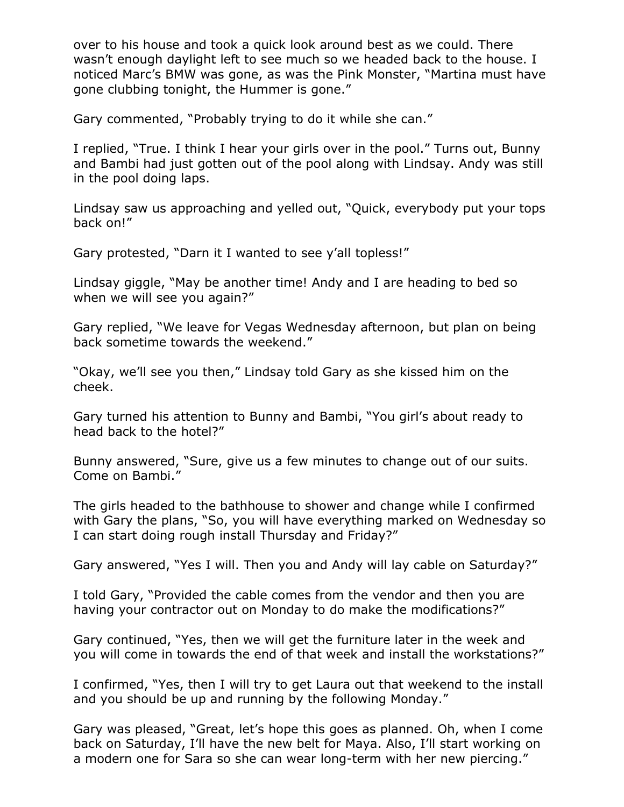over to his house and took a quick look around best as we could. There wasn't enough daylight left to see much so we headed back to the house. I noticed Marc's BMW was gone, as was the Pink Monster, "Martina must have gone clubbing tonight, the Hummer is gone."

Gary commented, "Probably trying to do it while she can."

I replied, "True. I think I hear your girls over in the pool." Turns out, Bunny and Bambi had just gotten out of the pool along with Lindsay. Andy was still in the pool doing laps.

Lindsay saw us approaching and yelled out, "Quick, everybody put your tops back on!"

Gary protested, "Darn it I wanted to see y'all topless!"

Lindsay giggle, "May be another time! Andy and I are heading to bed so when we will see you again?"

Gary replied, "We leave for Vegas Wednesday afternoon, but plan on being back sometime towards the weekend."

"Okay, we'll see you then," Lindsay told Gary as she kissed him on the cheek.

Gary turned his attention to Bunny and Bambi, "You girl's about ready to head back to the hotel?"

Bunny answered, "Sure, give us a few minutes to change out of our suits. Come on Bambi."

The girls headed to the bathhouse to shower and change while I confirmed with Gary the plans, "So, you will have everything marked on Wednesday so I can start doing rough install Thursday and Friday?"

Gary answered, "Yes I will. Then you and Andy will lay cable on Saturday?"

I told Gary, "Provided the cable comes from the vendor and then you are having your contractor out on Monday to do make the modifications?"

Gary continued, "Yes, then we will get the furniture later in the week and you will come in towards the end of that week and install the workstations?"

I confirmed, "Yes, then I will try to get Laura out that weekend to the install and you should be up and running by the following Monday."

Gary was pleased, "Great, let's hope this goes as planned. Oh, when I come back on Saturday, I'll have the new belt for Maya. Also, I'll start working on a modern one for Sara so she can wear long-term with her new piercing."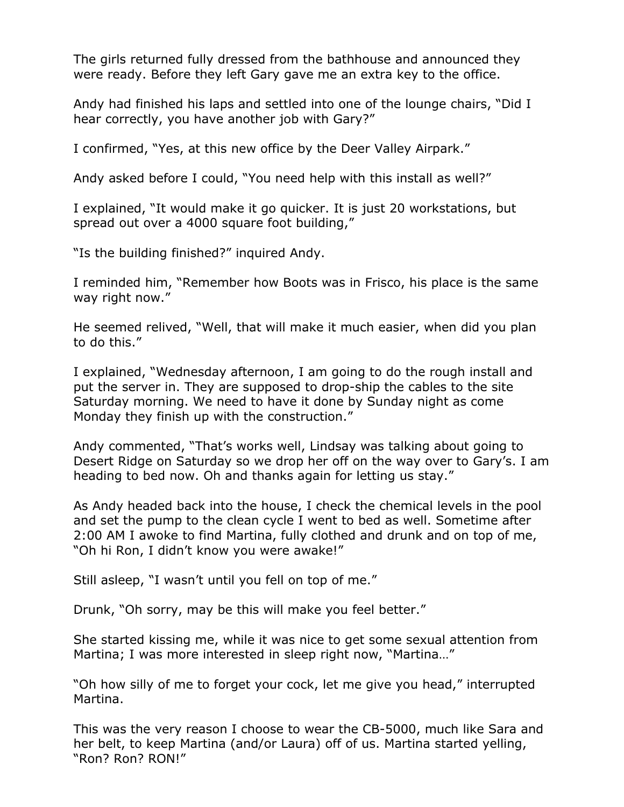The girls returned fully dressed from the bathhouse and announced they were ready. Before they left Gary gave me an extra key to the office.

Andy had finished his laps and settled into one of the lounge chairs, "Did I hear correctly, you have another job with Gary?"

I confirmed, "Yes, at this new office by the Deer Valley Airpark."

Andy asked before I could, "You need help with this install as well?"

I explained, "It would make it go quicker. It is just 20 workstations, but spread out over a 4000 square foot building,"

"Is the building finished?" inquired Andy.

I reminded him, "Remember how Boots was in Frisco, his place is the same way right now."

He seemed relived, "Well, that will make it much easier, when did you plan to do this."

I explained, "Wednesday afternoon, I am going to do the rough install and put the server in. They are supposed to drop-ship the cables to the site Saturday morning. We need to have it done by Sunday night as come Monday they finish up with the construction."

Andy commented, "That's works well, Lindsay was talking about going to Desert Ridge on Saturday so we drop her off on the way over to Gary's. I am heading to bed now. Oh and thanks again for letting us stay."

As Andy headed back into the house, I check the chemical levels in the pool and set the pump to the clean cycle I went to bed as well. Sometime after 2:00 AM I awoke to find Martina, fully clothed and drunk and on top of me, "Oh hi Ron, I didn't know you were awake!"

Still asleep, "I wasn't until you fell on top of me."

Drunk, "Oh sorry, may be this will make you feel better."

She started kissing me, while it was nice to get some sexual attention from Martina; I was more interested in sleep right now, "Martina..."

"Oh how silly of me to forget your cock, let me give you head," interrupted Martina.

This was the very reason I choose to wear the CB-5000, much like Sara and her belt, to keep Martina (and/or Laura) off of us. Martina started yelling, "Ron? Ron? RON!"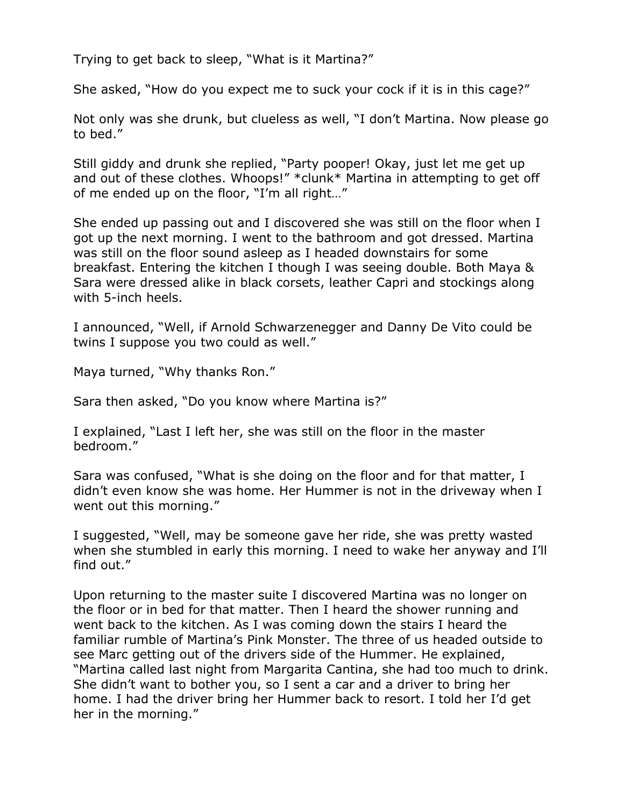Trying to get back to sleep, "What is it Martina?"

She asked, "How do you expect me to suck your cock if it is in this cage?"

Not only was she drunk, but clueless as well, "I don't Martina. Now please go to bed."

Still giddy and drunk she replied, "Party pooper! Okay, just let me get up and out of these clothes. Whoops!" \*clunk\* Martina in attempting to get off of me ended up on the floor, "I'm all right…"

She ended up passing out and I discovered she was still on the floor when I got up the next morning. I went to the bathroom and got dressed. Martina was still on the floor sound asleep as I headed downstairs for some breakfast. Entering the kitchen I though I was seeing double. Both Maya & Sara were dressed alike in black corsets, leather Capri and stockings along with 5-inch heels.

I announced, "Well, if Arnold Schwarzenegger and Danny De Vito could be twins I suppose you two could as well."

Maya turned, "Why thanks Ron."

Sara then asked, "Do you know where Martina is?"

I explained, "Last I left her, she was still on the floor in the master bedroom."

Sara was confused, "What is she doing on the floor and for that matter, I didn't even know she was home. Her Hummer is not in the driveway when I went out this morning."

I suggested, "Well, may be someone gave her ride, she was pretty wasted when she stumbled in early this morning. I need to wake her anyway and I'll find out."

Upon returning to the master suite I discovered Martina was no longer on the floor or in bed for that matter. Then I heard the shower running and went back to the kitchen. As I was coming down the stairs I heard the familiar rumble of Martina's Pink Monster. The three of us headed outside to see Marc getting out of the drivers side of the Hummer. He explained, "Martina called last night from Margarita Cantina, she had too much to drink. She didn't want to bother you, so I sent a car and a driver to bring her home. I had the driver bring her Hummer back to resort. I told her I'd get her in the morning."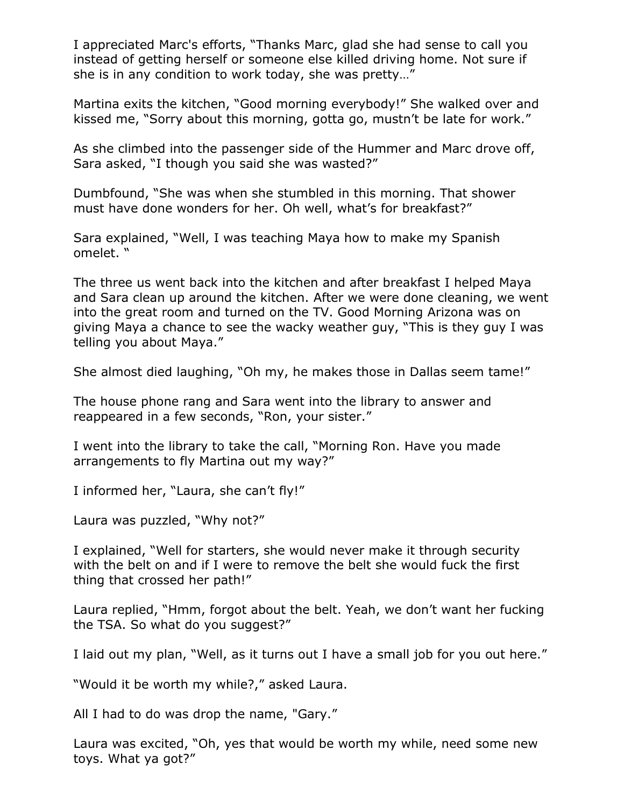I appreciated Marc's efforts, "Thanks Marc, glad she had sense to call you instead of getting herself or someone else killed driving home. Not sure if she is in any condition to work today, she was pretty…"

Martina exits the kitchen, "Good morning everybody!" She walked over and kissed me, "Sorry about this morning, gotta go, mustn't be late for work."

As she climbed into the passenger side of the Hummer and Marc drove off, Sara asked, "I though you said she was wasted?"

Dumbfound, "She was when she stumbled in this morning. That shower must have done wonders for her. Oh well, what's for breakfast?"

Sara explained, "Well, I was teaching Maya how to make my Spanish omelet. "

The three us went back into the kitchen and after breakfast I helped Maya and Sara clean up around the kitchen. After we were done cleaning, we went into the great room and turned on the TV. Good Morning Arizona was on giving Maya a chance to see the wacky weather guy, "This is they guy I was telling you about Maya."

She almost died laughing, "Oh my, he makes those in Dallas seem tame!"

The house phone rang and Sara went into the library to answer and reappeared in a few seconds, "Ron, your sister."

I went into the library to take the call, "Morning Ron. Have you made arrangements to fly Martina out my way?"

I informed her, "Laura, she can't fly!"

Laura was puzzled, "Why not?"

I explained, "Well for starters, she would never make it through security with the belt on and if I were to remove the belt she would fuck the first thing that crossed her path!"

Laura replied, "Hmm, forgot about the belt. Yeah, we don't want her fucking the TSA. So what do you suggest?"

I laid out my plan, "Well, as it turns out I have a small job for you out here."

"Would it be worth my while?," asked Laura.

All I had to do was drop the name, "Gary."

Laura was excited, "Oh, yes that would be worth my while, need some new toys. What ya got?"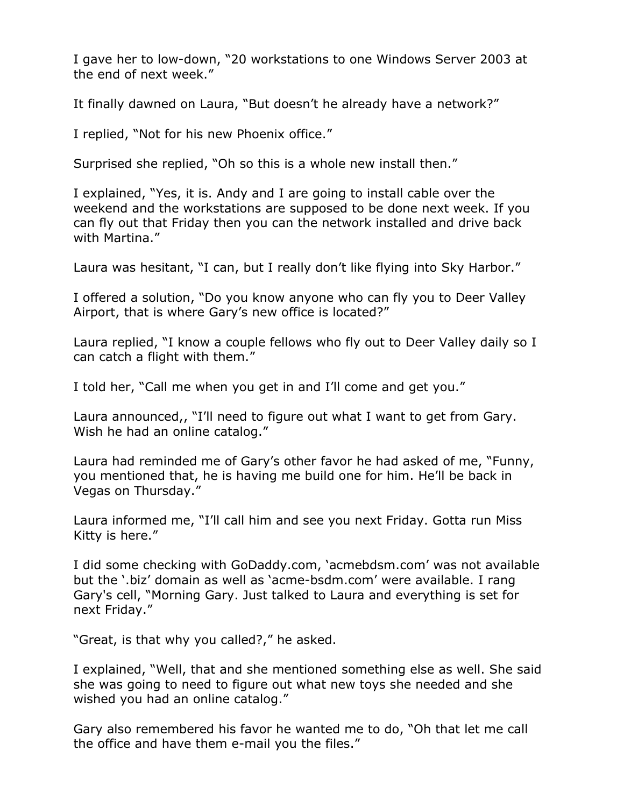I gave her to low-down, "20 workstations to one Windows Server 2003 at the end of next week."

It finally dawned on Laura, "But doesn't he already have a network?"

I replied, "Not for his new Phoenix office."

Surprised she replied, "Oh so this is a whole new install then."

I explained, "Yes, it is. Andy and I are going to install cable over the weekend and the workstations are supposed to be done next week. If you can fly out that Friday then you can the network installed and drive back with Martina."

Laura was hesitant, "I can, but I really don't like flying into Sky Harbor."

I offered a solution, "Do you know anyone who can fly you to Deer Valley Airport, that is where Gary's new office is located?"

Laura replied, "I know a couple fellows who fly out to Deer Valley daily so I can catch a flight with them."

I told her, "Call me when you get in and I'll come and get you."

Laura announced,, "I'll need to figure out what I want to get from Gary. Wish he had an online catalog."

Laura had reminded me of Gary's other favor he had asked of me, "Funny, you mentioned that, he is having me build one for him. He'll be back in Vegas on Thursday."

Laura informed me, "I'll call him and see you next Friday. Gotta run Miss Kitty is here."

I did some checking with GoDaddy.com, 'acmebdsm.com' was not available but the '.biz' domain as well as 'acme-bsdm.com' were available. I rang Gary's cell, "Morning Gary. Just talked to Laura and everything is set for next Friday."

"Great, is that why you called?," he asked.

I explained, "Well, that and she mentioned something else as well. She said she was going to need to figure out what new toys she needed and she wished you had an online catalog."

Gary also remembered his favor he wanted me to do, "Oh that let me call the office and have them e-mail you the files."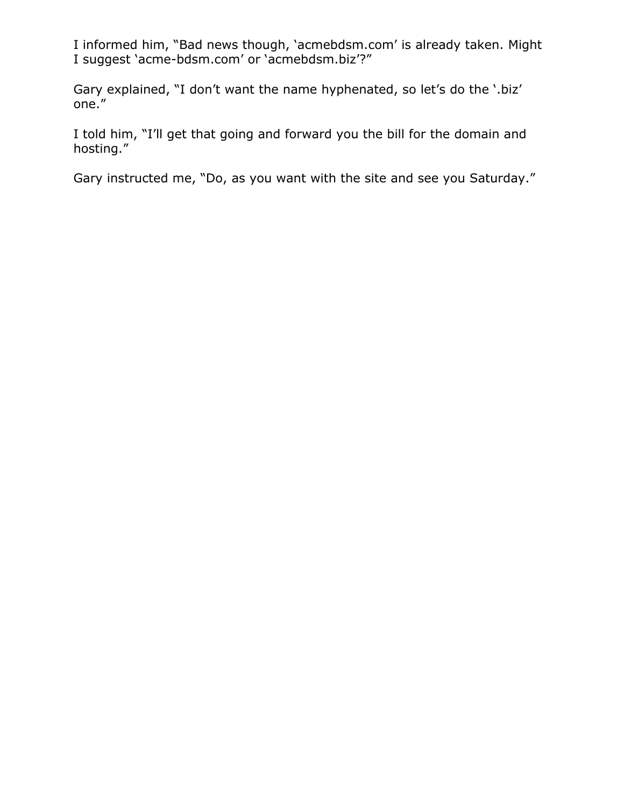I informed him, "Bad news though, 'acmebdsm.com' is already taken. Might I suggest 'acme-bdsm.com' or 'acmebdsm.biz'?"

Gary explained, "I don't want the name hyphenated, so let's do the '.biz' one."

I told him, "I'll get that going and forward you the bill for the domain and hosting."

Gary instructed me, "Do, as you want with the site and see you Saturday."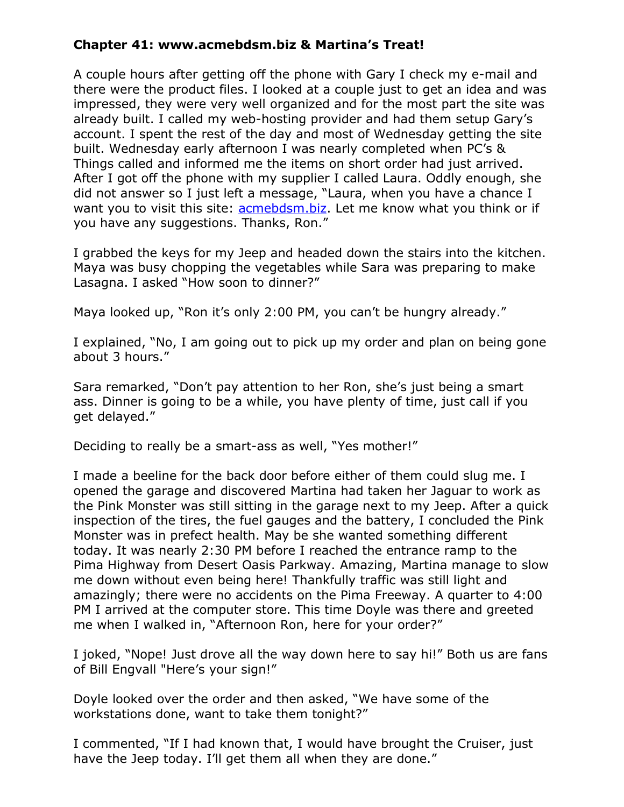## **Chapter 41: www.acmebdsm.biz & Martina's Treat!**

A couple hours after getting off the phone with Gary I check my e-mail and there were the product files. I looked at a couple just to get an idea and was impressed, they were very well organized and for the most part the site was already built. I called my web-hosting provider and had them setup Gary's account. I spent the rest of the day and most of Wednesday getting the site built. Wednesday early afternoon I was nearly completed when PC's & Things called and informed me the items on short order had just arrived. After I got off the phone with my supplier I called Laura. Oddly enough, she did not answer so I just left a message, "Laura, when you have a chance I want you to visit this site: [acmebdsm.biz.](http://www.acmebdsm.biz/) Let me know what you think or if you have any suggestions. Thanks, Ron."

I grabbed the keys for my Jeep and headed down the stairs into the kitchen. Maya was busy chopping the vegetables while Sara was preparing to make Lasagna. I asked "How soon to dinner?"

Maya looked up, "Ron it's only 2:00 PM, you can't be hungry already."

I explained, "No, I am going out to pick up my order and plan on being gone about 3 hours."

Sara remarked, "Don't pay attention to her Ron, she's just being a smart ass. Dinner is going to be a while, you have plenty of time, just call if you get delayed."

Deciding to really be a smart-ass as well, "Yes mother!"

I made a beeline for the back door before either of them could slug me. I opened the garage and discovered Martina had taken her Jaguar to work as the Pink Monster was still sitting in the garage next to my Jeep. After a quick inspection of the tires, the fuel gauges and the battery, I concluded the Pink Monster was in prefect health. May be she wanted something different today. It was nearly 2:30 PM before I reached the entrance ramp to the Pima Highway from Desert Oasis Parkway. Amazing, Martina manage to slow me down without even being here! Thankfully traffic was still light and amazingly; there were no accidents on the Pima Freeway. A quarter to 4:00 PM I arrived at the computer store. This time Doyle was there and greeted me when I walked in, "Afternoon Ron, here for your order?"

I joked, "Nope! Just drove all the way down here to say hi!" Both us are fans of Bill Engvall "Here's your sign!"

Doyle looked over the order and then asked, "We have some of the workstations done, want to take them tonight?"

I commented, "If I had known that, I would have brought the Cruiser, just have the Jeep today. I'll get them all when they are done."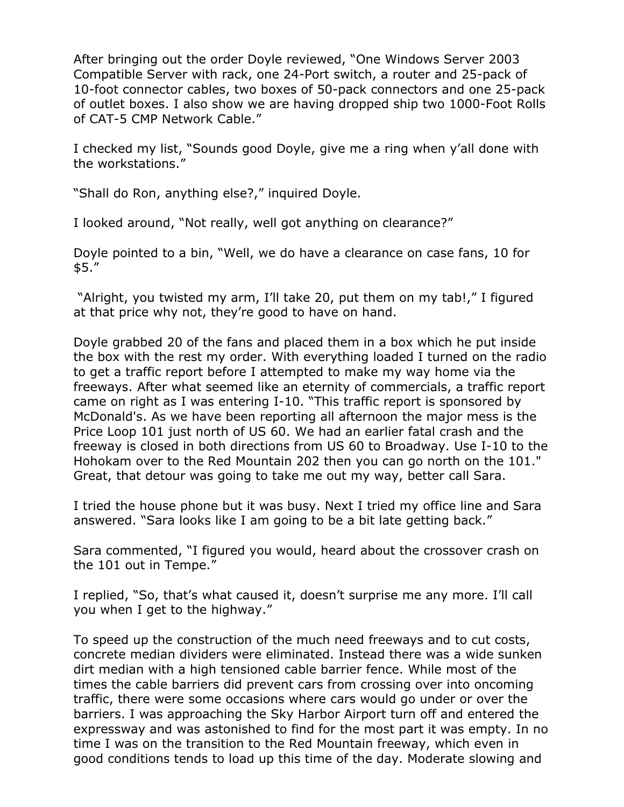After bringing out the order Doyle reviewed, "One Windows Server 2003 Compatible Server with rack, one 24-Port switch, a router and 25-pack of 10-foot connector cables, two boxes of 50-pack connectors and one 25-pack of outlet boxes. I also show we are having dropped ship two 1000-Foot Rolls of CAT-5 CMP Network Cable."

I checked my list, "Sounds good Doyle, give me a ring when y'all done with the workstations."

"Shall do Ron, anything else?," inquired Doyle.

I looked around, "Not really, well got anything on clearance?"

Doyle pointed to a bin, "Well, we do have a clearance on case fans, 10 for \$5."

 "Alright, you twisted my arm, I'll take 20, put them on my tab!," I figured at that price why not, they're good to have on hand.

Doyle grabbed 20 of the fans and placed them in a box which he put inside the box with the rest my order. With everything loaded I turned on the radio to get a traffic report before I attempted to make my way home via the freeways. After what seemed like an eternity of commercials, a traffic report came on right as I was entering I-10. "This traffic report is sponsored by McDonald's. As we have been reporting all afternoon the major mess is the Price Loop 101 just north of US 60. We had an earlier fatal crash and the freeway is closed in both directions from US 60 to Broadway. Use I-10 to the Hohokam over to the Red Mountain 202 then you can go north on the 101." Great, that detour was going to take me out my way, better call Sara.

I tried the house phone but it was busy. Next I tried my office line and Sara answered. "Sara looks like I am going to be a bit late getting back."

Sara commented, "I figured you would, heard about the crossover crash on the 101 out in Tempe."

I replied, "So, that's what caused it, doesn't surprise me any more. I'll call you when I get to the highway."

To speed up the construction of the much need freeways and to cut costs, concrete median dividers were eliminated. Instead there was a wide sunken dirt median with a high tensioned cable barrier fence. While most of the times the cable barriers did prevent cars from crossing over into oncoming traffic, there were some occasions where cars would go under or over the barriers. I was approaching the Sky Harbor Airport turn off and entered the expressway and was astonished to find for the most part it was empty. In no time I was on the transition to the Red Mountain freeway, which even in good conditions tends to load up this time of the day. Moderate slowing and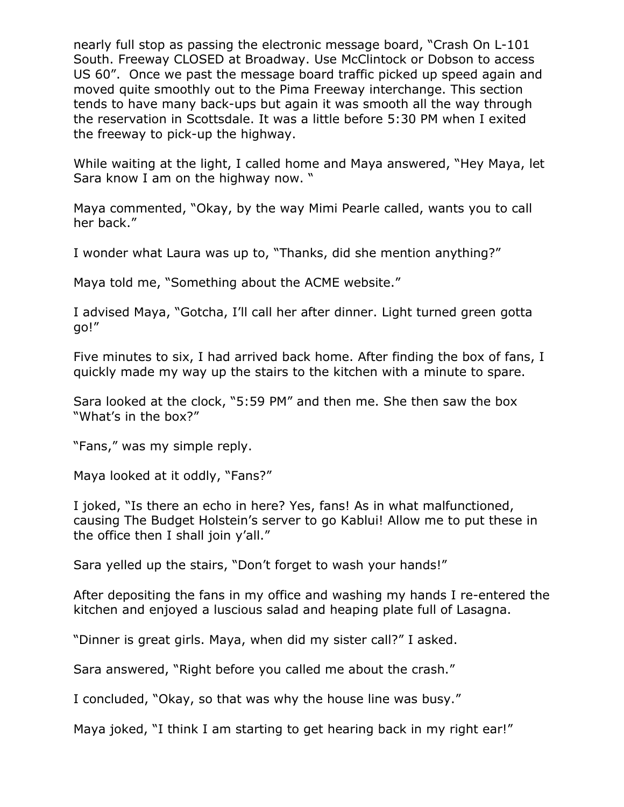nearly full stop as passing the electronic message board, "Crash On L-101 South. Freeway CLOSED at Broadway. Use McClintock or Dobson to access US 60". Once we past the message board traffic picked up speed again and moved quite smoothly out to the Pima Freeway interchange. This section tends to have many back-ups but again it was smooth all the way through the reservation in Scottsdale. It was a little before 5:30 PM when I exited the freeway to pick-up the highway.

While waiting at the light, I called home and Maya answered, "Hey Maya, let Sara know I am on the highway now. "

Maya commented, "Okay, by the way Mimi Pearle called, wants you to call her back."

I wonder what Laura was up to, "Thanks, did she mention anything?"

Maya told me, "Something about the ACME website."

I advised Maya, "Gotcha, I'll call her after dinner. Light turned green gotta go!"

Five minutes to six, I had arrived back home. After finding the box of fans, I quickly made my way up the stairs to the kitchen with a minute to spare.

Sara looked at the clock, "5:59 PM" and then me. She then saw the box "What's in the box?"

"Fans," was my simple reply.

Maya looked at it oddly, "Fans?"

I joked, "Is there an echo in here? Yes, fans! As in what malfunctioned, causing The Budget Holstein's server to go Kablui! Allow me to put these in the office then I shall join y'all."

Sara yelled up the stairs, "Don't forget to wash your hands!"

After depositing the fans in my office and washing my hands I re-entered the kitchen and enjoyed a luscious salad and heaping plate full of Lasagna.

"Dinner is great girls. Maya, when did my sister call?" I asked.

Sara answered, "Right before you called me about the crash."

I concluded, "Okay, so that was why the house line was busy."

Maya joked, "I think I am starting to get hearing back in my right ear!"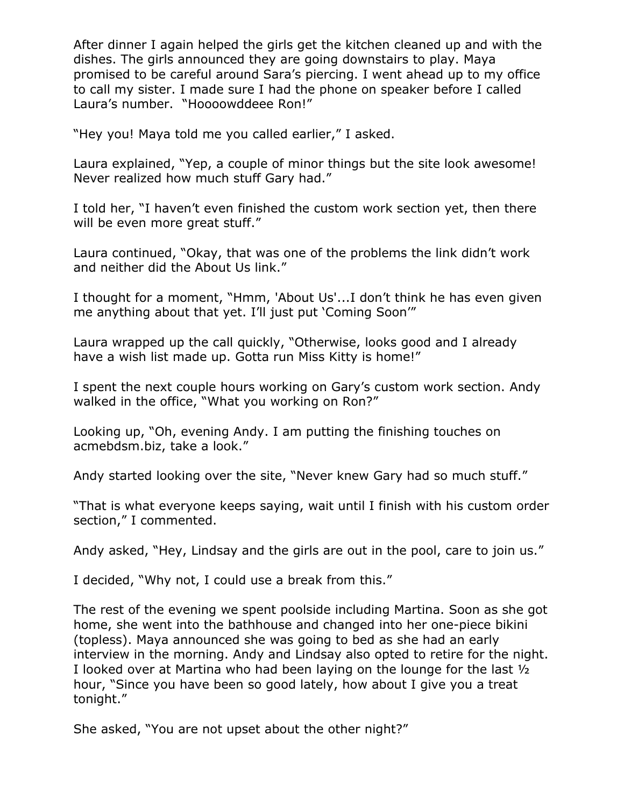After dinner I again helped the girls get the kitchen cleaned up and with the dishes. The girls announced they are going downstairs to play. Maya promised to be careful around Sara's piercing. I went ahead up to my office to call my sister. I made sure I had the phone on speaker before I called Laura's number. "Hoooowddeee Ron!"

"Hey you! Maya told me you called earlier," I asked.

Laura explained, "Yep, a couple of minor things but the site look awesome! Never realized how much stuff Gary had."

I told her, "I haven't even finished the custom work section yet, then there will be even more great stuff."

Laura continued, "Okay, that was one of the problems the link didn't work and neither did the About Us link."

I thought for a moment, "Hmm, 'About Us'...I don't think he has even given me anything about that yet. I'll just put 'Coming Soon'"

Laura wrapped up the call quickly, "Otherwise, looks good and I already have a wish list made up. Gotta run Miss Kitty is home!"

I spent the next couple hours working on Gary's custom work section. Andy walked in the office, "What you working on Ron?"

Looking up, "Oh, evening Andy. I am putting the finishing touches on acmebdsm.biz, take a look."

Andy started looking over the site, "Never knew Gary had so much stuff."

"That is what everyone keeps saying, wait until I finish with his custom order section," I commented.

Andy asked, "Hey, Lindsay and the girls are out in the pool, care to join us."

I decided, "Why not, I could use a break from this."

The rest of the evening we spent poolside including Martina. Soon as she got home, she went into the bathhouse and changed into her one-piece bikini (topless). Maya announced she was going to bed as she had an early interview in the morning. Andy and Lindsay also opted to retire for the night. I looked over at Martina who had been laying on the lounge for the last ½ hour, "Since you have been so good lately, how about I give you a treat tonight."

She asked, "You are not upset about the other night?"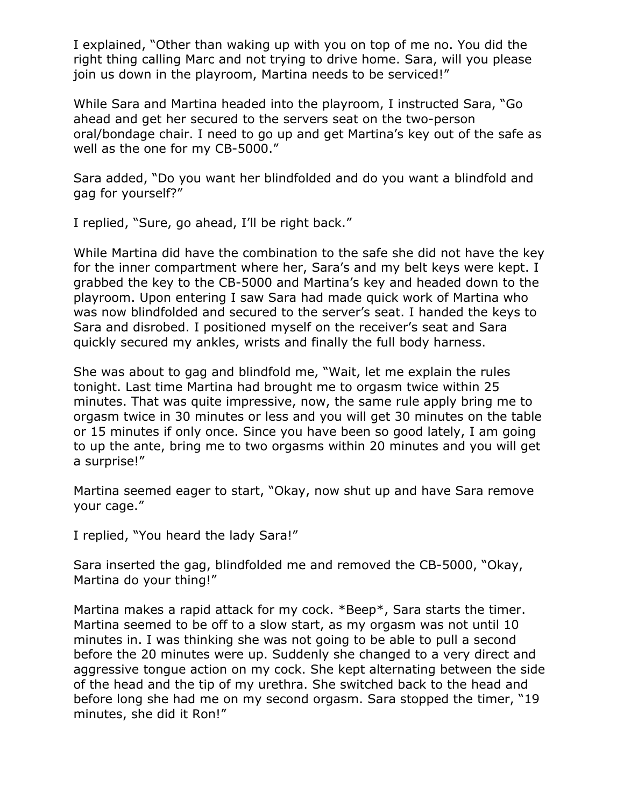I explained, "Other than waking up with you on top of me no. You did the right thing calling Marc and not trying to drive home. Sara, will you please join us down in the playroom, Martina needs to be serviced!"

While Sara and Martina headed into the playroom, I instructed Sara, "Go ahead and get her secured to the servers seat on the two-person oral/bondage chair. I need to go up and get Martina's key out of the safe as well as the one for my CB-5000."

Sara added, "Do you want her blindfolded and do you want a blindfold and gag for yourself?"

I replied, "Sure, go ahead, I'll be right back."

While Martina did have the combination to the safe she did not have the key for the inner compartment where her, Sara's and my belt keys were kept. I grabbed the key to the CB-5000 and Martina's key and headed down to the playroom. Upon entering I saw Sara had made quick work of Martina who was now blindfolded and secured to the server's seat. I handed the keys to Sara and disrobed. I positioned myself on the receiver's seat and Sara quickly secured my ankles, wrists and finally the full body harness.

She was about to gag and blindfold me, "Wait, let me explain the rules tonight. Last time Martina had brought me to orgasm twice within 25 minutes. That was quite impressive, now, the same rule apply bring me to orgasm twice in 30 minutes or less and you will get 30 minutes on the table or 15 minutes if only once. Since you have been so good lately, I am going to up the ante, bring me to two orgasms within 20 minutes and you will get a surprise!"

Martina seemed eager to start, "Okay, now shut up and have Sara remove your cage."

I replied, "You heard the lady Sara!"

Sara inserted the gag, blindfolded me and removed the CB-5000, "Okay, Martina do your thing!"

Martina makes a rapid attack for my cock. \*Beep\*, Sara starts the timer. Martina seemed to be off to a slow start, as my orgasm was not until 10 minutes in. I was thinking she was not going to be able to pull a second before the 20 minutes were up. Suddenly she changed to a very direct and aggressive tongue action on my cock. She kept alternating between the side of the head and the tip of my urethra. She switched back to the head and before long she had me on my second orgasm. Sara stopped the timer, "19 minutes, she did it Ron!"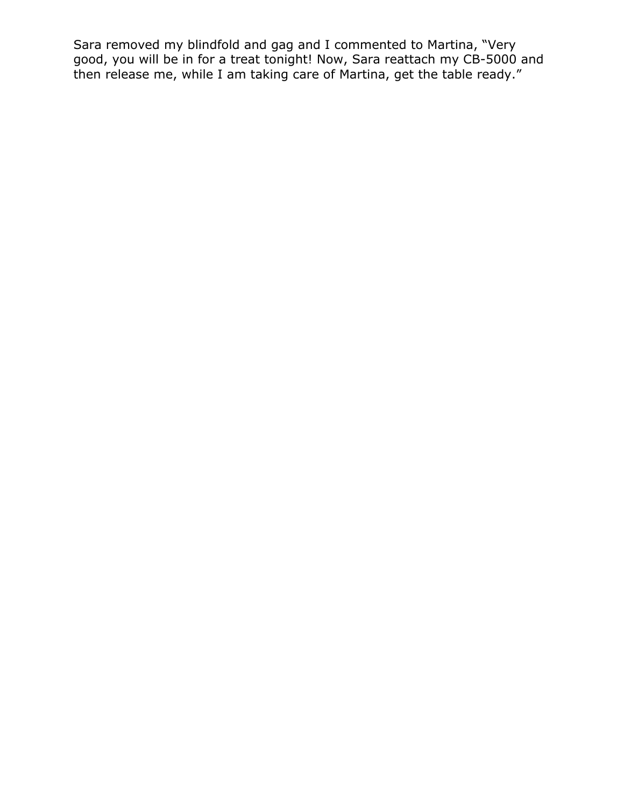Sara removed my blindfold and gag and I commented to Martina, "Very good, you will be in for a treat tonight! Now, Sara reattach my CB-5000 and then release me, while I am taking care of Martina, get the table ready."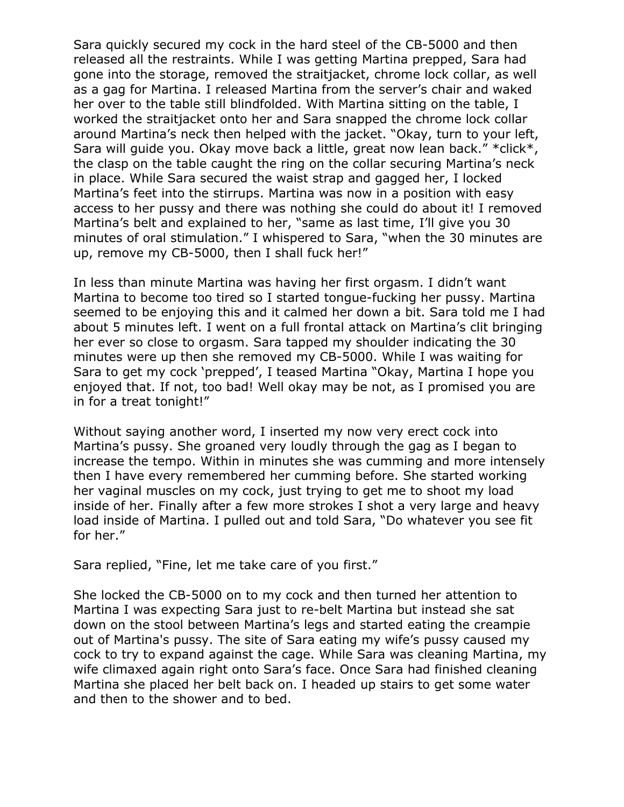Sara quickly secured my cock in the hard steel of the CB-5000 and then released all the restraints. While I was getting Martina prepped, Sara had gone into the storage, removed the straitjacket, chrome lock collar, as well as a gag for Martina. I released Martina from the server's chair and waked her over to the table still blindfolded. With Martina sitting on the table, I worked the straitjacket onto her and Sara snapped the chrome lock collar around Martina's neck then helped with the jacket. "Okay, turn to your left, Sara will guide you. Okay move back a little, great now lean back." \*click\*, the clasp on the table caught the ring on the collar securing Martina's neck in place. While Sara secured the waist strap and gagged her, I locked Martina's feet into the stirrups. Martina was now in a position with easy access to her pussy and there was nothing she could do about it! I removed Martina's belt and explained to her, "same as last time, I'll give you 30 minutes of oral stimulation." I whispered to Sara, "when the 30 minutes are up, remove my CB-5000, then I shall fuck her!"

In less than minute Martina was having her first orgasm. I didn't want Martina to become too tired so I started tongue-fucking her pussy. Martina seemed to be enjoying this and it calmed her down a bit. Sara told me I had about 5 minutes left. I went on a full frontal attack on Martina's clit bringing her ever so close to orgasm. Sara tapped my shoulder indicating the 30 minutes were up then she removed my CB-5000. While I was waiting for Sara to get my cock 'prepped', I teased Martina "Okay, Martina I hope you enjoyed that. If not, too bad! Well okay may be not, as I promised you are in for a treat tonight!"

Without saying another word, I inserted my now very erect cock into Martina's pussy. She groaned very loudly through the gag as I began to increase the tempo. Within in minutes she was cumming and more intensely then I have every remembered her cumming before. She started working her vaginal muscles on my cock, just trying to get me to shoot my load inside of her. Finally after a few more strokes I shot a very large and heavy load inside of Martina. I pulled out and told Sara, "Do whatever you see fit for her."

Sara replied, "Fine, let me take care of you first."

She locked the CB-5000 on to my cock and then turned her attention to Martina I was expecting Sara just to re-belt Martina but instead she sat down on the stool between Martina's legs and started eating the creampie out of Martina's pussy. The site of Sara eating my wife's pussy caused my cock to try to expand against the cage. While Sara was cleaning Martina, my wife climaxed again right onto Sara's face. Once Sara had finished cleaning Martina she placed her belt back on. I headed up stairs to get some water and then to the shower and to bed.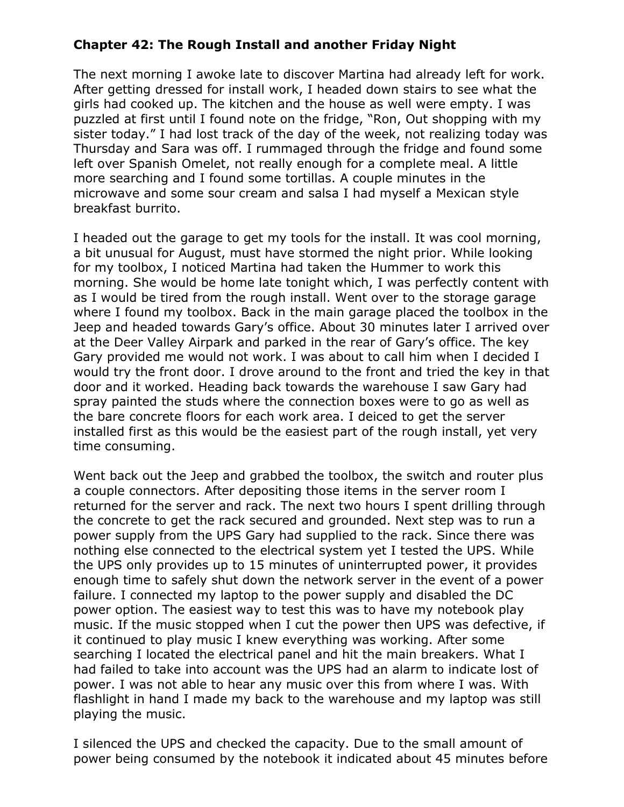## **Chapter 42: The Rough Install and another Friday Night**

The next morning I awoke late to discover Martina had already left for work. After getting dressed for install work, I headed down stairs to see what the girls had cooked up. The kitchen and the house as well were empty. I was puzzled at first until I found note on the fridge, "Ron, Out shopping with my sister today." I had lost track of the day of the week, not realizing today was Thursday and Sara was off. I rummaged through the fridge and found some left over Spanish Omelet, not really enough for a complete meal. A little more searching and I found some tortillas. A couple minutes in the microwave and some sour cream and salsa I had myself a Mexican style breakfast burrito.

I headed out the garage to get my tools for the install. It was cool morning, a bit unusual for August, must have stormed the night prior. While looking for my toolbox, I noticed Martina had taken the Hummer to work this morning. She would be home late tonight which, I was perfectly content with as I would be tired from the rough install. Went over to the storage garage where I found my toolbox. Back in the main garage placed the toolbox in the Jeep and headed towards Gary's office. About 30 minutes later I arrived over at the Deer Valley Airpark and parked in the rear of Gary's office. The key Gary provided me would not work. I was about to call him when I decided I would try the front door. I drove around to the front and tried the key in that door and it worked. Heading back towards the warehouse I saw Gary had spray painted the studs where the connection boxes were to go as well as the bare concrete floors for each work area. I deiced to get the server installed first as this would be the easiest part of the rough install, yet very time consuming.

Went back out the Jeep and grabbed the toolbox, the switch and router plus a couple connectors. After depositing those items in the server room I returned for the server and rack. The next two hours I spent drilling through the concrete to get the rack secured and grounded. Next step was to run a power supply from the UPS Gary had supplied to the rack. Since there was nothing else connected to the electrical system yet I tested the UPS. While the UPS only provides up to 15 minutes of uninterrupted power, it provides enough time to safely shut down the network server in the event of a power failure. I connected my laptop to the power supply and disabled the DC power option. The easiest way to test this was to have my notebook play music. If the music stopped when I cut the power then UPS was defective, if it continued to play music I knew everything was working. After some searching I located the electrical panel and hit the main breakers. What I had failed to take into account was the UPS had an alarm to indicate lost of power. I was not able to hear any music over this from where I was. With flashlight in hand I made my back to the warehouse and my laptop was still playing the music.

I silenced the UPS and checked the capacity. Due to the small amount of power being consumed by the notebook it indicated about 45 minutes before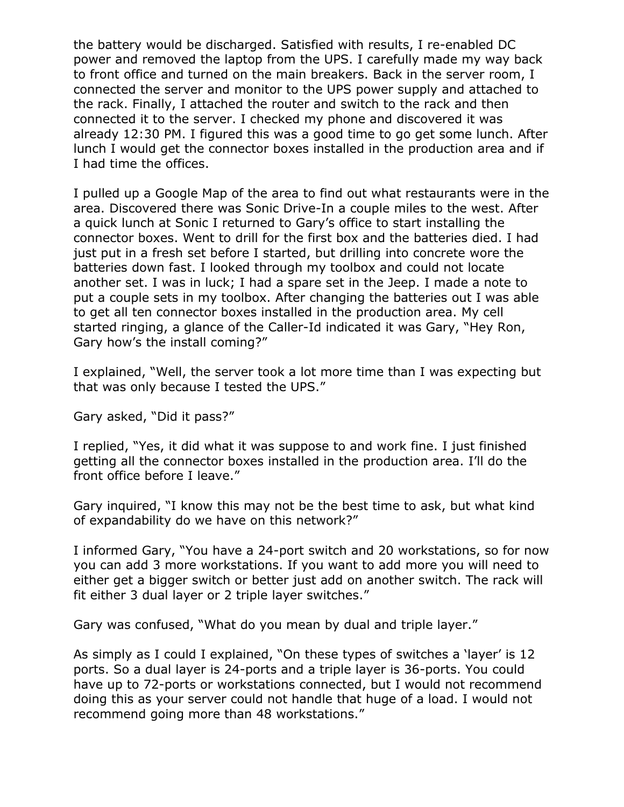the battery would be discharged. Satisfied with results, I re-enabled DC power and removed the laptop from the UPS. I carefully made my way back to front office and turned on the main breakers. Back in the server room, I connected the server and monitor to the UPS power supply and attached to the rack. Finally, I attached the router and switch to the rack and then connected it to the server. I checked my phone and discovered it was already 12:30 PM. I figured this was a good time to go get some lunch. After lunch I would get the connector boxes installed in the production area and if I had time the offices.

I pulled up a Google Map of the area to find out what restaurants were in the area. Discovered there was Sonic Drive-In a couple miles to the west. After a quick lunch at Sonic I returned to Gary's office to start installing the connector boxes. Went to drill for the first box and the batteries died. I had just put in a fresh set before I started, but drilling into concrete wore the batteries down fast. I looked through my toolbox and could not locate another set. I was in luck; I had a spare set in the Jeep. I made a note to put a couple sets in my toolbox. After changing the batteries out I was able to get all ten connector boxes installed in the production area. My cell started ringing, a glance of the Caller-Id indicated it was Gary, "Hey Ron, Gary how's the install coming?"

I explained, "Well, the server took a lot more time than I was expecting but that was only because I tested the UPS."

Gary asked, "Did it pass?"

I replied, "Yes, it did what it was suppose to and work fine. I just finished getting all the connector boxes installed in the production area. I'll do the front office before I leave."

Gary inquired, "I know this may not be the best time to ask, but what kind of expandability do we have on this network?"

I informed Gary, "You have a 24-port switch and 20 workstations, so for now you can add 3 more workstations. If you want to add more you will need to either get a bigger switch or better just add on another switch. The rack will fit either 3 dual layer or 2 triple layer switches."

Gary was confused, "What do you mean by dual and triple layer."

As simply as I could I explained, "On these types of switches a 'layer' is 12 ports. So a dual layer is 24-ports and a triple layer is 36-ports. You could have up to 72-ports or workstations connected, but I would not recommend doing this as your server could not handle that huge of a load. I would not recommend going more than 48 workstations."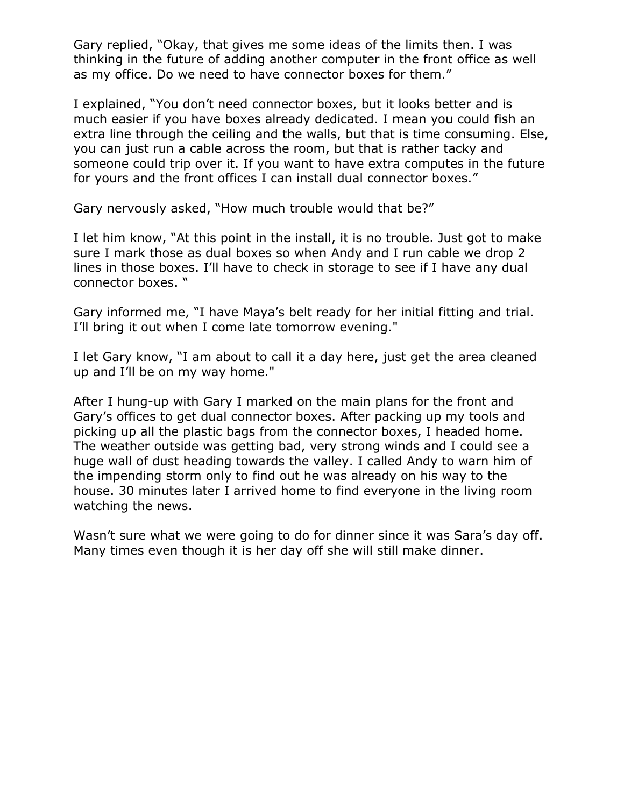Gary replied, "Okay, that gives me some ideas of the limits then. I was thinking in the future of adding another computer in the front office as well as my office. Do we need to have connector boxes for them."

I explained, "You don't need connector boxes, but it looks better and is much easier if you have boxes already dedicated. I mean you could fish an extra line through the ceiling and the walls, but that is time consuming. Else, you can just run a cable across the room, but that is rather tacky and someone could trip over it. If you want to have extra computes in the future for yours and the front offices I can install dual connector boxes."

Gary nervously asked, "How much trouble would that be?"

I let him know, "At this point in the install, it is no trouble. Just got to make sure I mark those as dual boxes so when Andy and I run cable we drop 2 lines in those boxes. I'll have to check in storage to see if I have any dual connector boxes. "

Gary informed me, "I have Maya's belt ready for her initial fitting and trial. I'll bring it out when I come late tomorrow evening."

I let Gary know, "I am about to call it a day here, just get the area cleaned up and I'll be on my way home."

After I hung-up with Gary I marked on the main plans for the front and Gary's offices to get dual connector boxes. After packing up my tools and picking up all the plastic bags from the connector boxes, I headed home. The weather outside was getting bad, very strong winds and I could see a huge wall of dust heading towards the valley. I called Andy to warn him of the impending storm only to find out he was already on his way to the house. 30 minutes later I arrived home to find everyone in the living room watching the news.

Wasn't sure what we were going to do for dinner since it was Sara's day off. Many times even though it is her day off she will still make dinner.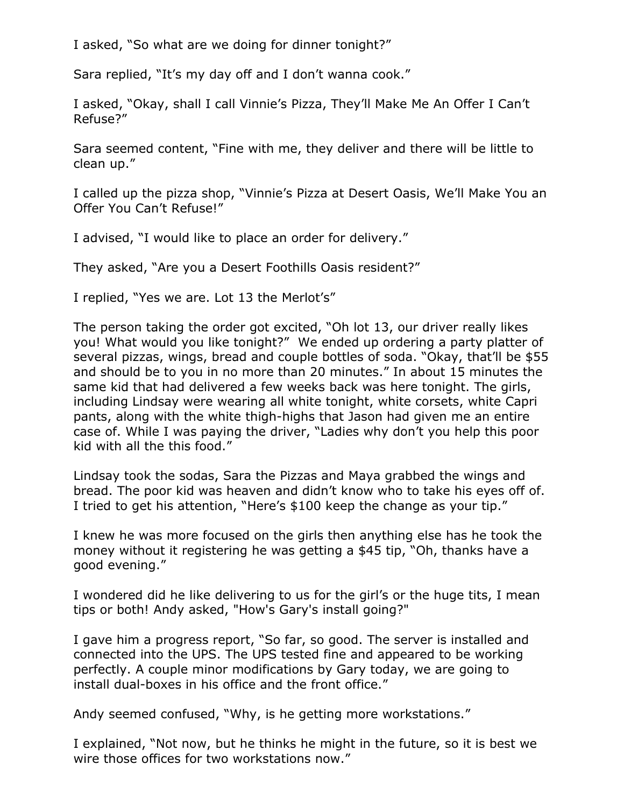I asked, "So what are we doing for dinner tonight?"

Sara replied, "It's my day off and I don't wanna cook."

I asked, "Okay, shall I call Vinnie's Pizza, They'll Make Me An Offer I Can't Refuse?"

Sara seemed content, "Fine with me, they deliver and there will be little to clean up."

I called up the pizza shop, "Vinnie's Pizza at Desert Oasis, We'll Make You an Offer You Can't Refuse!"

I advised, "I would like to place an order for delivery."

They asked, "Are you a Desert Foothills Oasis resident?"

I replied, "Yes we are. Lot 13 the Merlot's"

The person taking the order got excited, "Oh lot 13, our driver really likes you! What would you like tonight?" We ended up ordering a party platter of several pizzas, wings, bread and couple bottles of soda. "Okay, that'll be \$55 and should be to you in no more than 20 minutes." In about 15 minutes the same kid that had delivered a few weeks back was here tonight. The girls, including Lindsay were wearing all white tonight, white corsets, white Capri pants, along with the white thigh-highs that Jason had given me an entire case of. While I was paying the driver, "Ladies why don't you help this poor kid with all the this food."

Lindsay took the sodas, Sara the Pizzas and Maya grabbed the wings and bread. The poor kid was heaven and didn't know who to take his eyes off of. I tried to get his attention, "Here's \$100 keep the change as your tip."

I knew he was more focused on the girls then anything else has he took the money without it registering he was getting a \$45 tip, "Oh, thanks have a good evening."

I wondered did he like delivering to us for the girl's or the huge tits, I mean tips or both! Andy asked, "How's Gary's install going?"

I gave him a progress report, "So far, so good. The server is installed and connected into the UPS. The UPS tested fine and appeared to be working perfectly. A couple minor modifications by Gary today, we are going to install dual-boxes in his office and the front office."

Andy seemed confused, "Why, is he getting more workstations."

I explained, "Not now, but he thinks he might in the future, so it is best we wire those offices for two workstations now."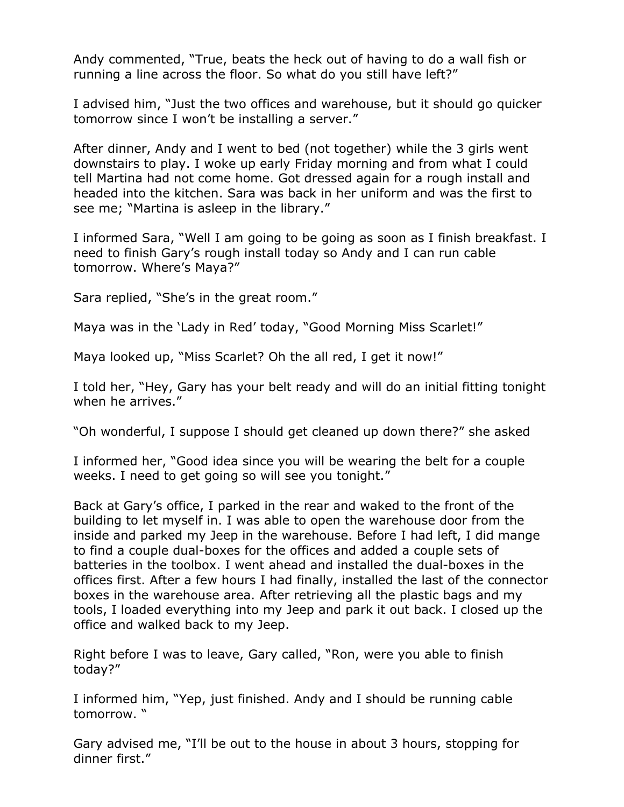Andy commented, "True, beats the heck out of having to do a wall fish or running a line across the floor. So what do you still have left?"

I advised him, "Just the two offices and warehouse, but it should go quicker tomorrow since I won't be installing a server."

After dinner, Andy and I went to bed (not together) while the 3 girls went downstairs to play. I woke up early Friday morning and from what I could tell Martina had not come home. Got dressed again for a rough install and headed into the kitchen. Sara was back in her uniform and was the first to see me; "Martina is asleep in the library."

I informed Sara, "Well I am going to be going as soon as I finish breakfast. I need to finish Gary's rough install today so Andy and I can run cable tomorrow. Where's Maya?"

Sara replied, "She's in the great room."

Maya was in the 'Lady in Red' today, "Good Morning Miss Scarlet!"

Maya looked up, "Miss Scarlet? Oh the all red, I get it now!"

I told her, "Hey, Gary has your belt ready and will do an initial fitting tonight when he arrives."

"Oh wonderful, I suppose I should get cleaned up down there?" she asked

I informed her, "Good idea since you will be wearing the belt for a couple weeks. I need to get going so will see you tonight."

Back at Gary's office, I parked in the rear and waked to the front of the building to let myself in. I was able to open the warehouse door from the inside and parked my Jeep in the warehouse. Before I had left, I did mange to find a couple dual-boxes for the offices and added a couple sets of batteries in the toolbox. I went ahead and installed the dual-boxes in the offices first. After a few hours I had finally, installed the last of the connector boxes in the warehouse area. After retrieving all the plastic bags and my tools, I loaded everything into my Jeep and park it out back. I closed up the office and walked back to my Jeep.

Right before I was to leave, Gary called, "Ron, were you able to finish today?"

I informed him, "Yep, just finished. Andy and I should be running cable tomorrow. "

Gary advised me, "I'll be out to the house in about 3 hours, stopping for dinner first."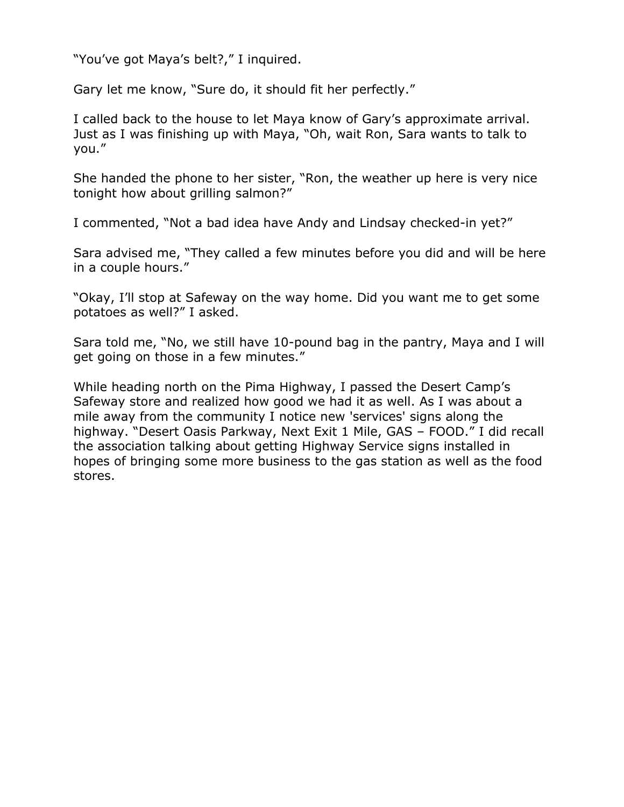"You've got Maya's belt?," I inquired.

Gary let me know, "Sure do, it should fit her perfectly."

I called back to the house to let Maya know of Gary's approximate arrival. Just as I was finishing up with Maya, "Oh, wait Ron, Sara wants to talk to you."

She handed the phone to her sister, "Ron, the weather up here is very nice tonight how about grilling salmon?"

I commented, "Not a bad idea have Andy and Lindsay checked-in yet?"

Sara advised me, "They called a few minutes before you did and will be here in a couple hours."

"Okay, I'll stop at Safeway on the way home. Did you want me to get some potatoes as well?" I asked.

Sara told me, "No, we still have 10-pound bag in the pantry, Maya and I will get going on those in a few minutes."

While heading north on the Pima Highway, I passed the Desert Camp's Safeway store and realized how good we had it as well. As I was about a mile away from the community I notice new 'services' signs along the highway. "Desert Oasis Parkway, Next Exit 1 Mile, GAS – FOOD." I did recall the association talking about getting Highway Service signs installed in hopes of bringing some more business to the gas station as well as the food stores.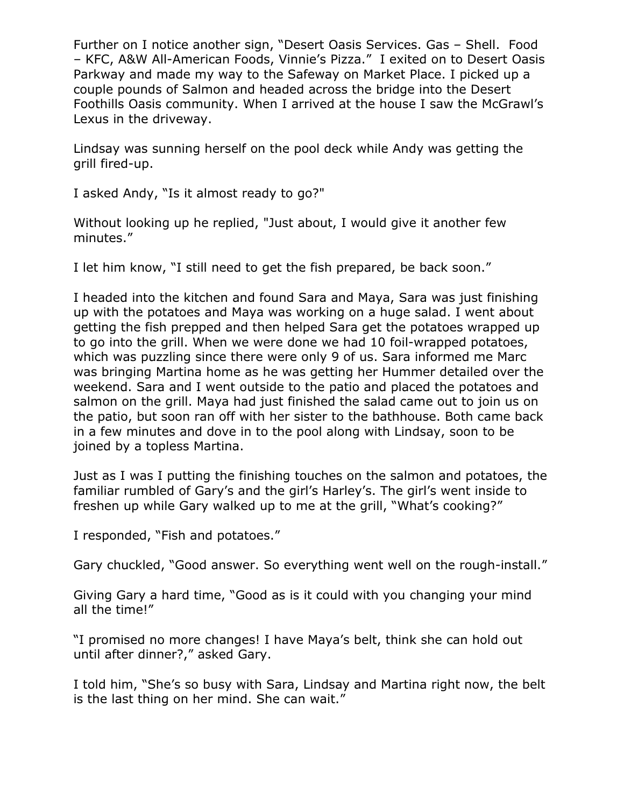Further on I notice another sign, "Desert Oasis Services. Gas – Shell. Food – KFC, A&W All-American Foods, Vinnie's Pizza." I exited on to Desert Oasis Parkway and made my way to the Safeway on Market Place. I picked up a couple pounds of Salmon and headed across the bridge into the Desert Foothills Oasis community. When I arrived at the house I saw the McGrawl's Lexus in the driveway.

Lindsay was sunning herself on the pool deck while Andy was getting the grill fired-up.

I asked Andy, "Is it almost ready to go?"

Without looking up he replied, "Just about, I would give it another few minutes."

I let him know, "I still need to get the fish prepared, be back soon."

I headed into the kitchen and found Sara and Maya, Sara was just finishing up with the potatoes and Maya was working on a huge salad. I went about getting the fish prepped and then helped Sara get the potatoes wrapped up to go into the grill. When we were done we had 10 foil-wrapped potatoes, which was puzzling since there were only 9 of us. Sara informed me Marc was bringing Martina home as he was getting her Hummer detailed over the weekend. Sara and I went outside to the patio and placed the potatoes and salmon on the grill. Maya had just finished the salad came out to join us on the patio, but soon ran off with her sister to the bathhouse. Both came back in a few minutes and dove in to the pool along with Lindsay, soon to be joined by a topless Martina.

Just as I was I putting the finishing touches on the salmon and potatoes, the familiar rumbled of Gary's and the girl's Harley's. The girl's went inside to freshen up while Gary walked up to me at the grill, "What's cooking?"

I responded, "Fish and potatoes."

Gary chuckled, "Good answer. So everything went well on the rough-install."

Giving Gary a hard time, "Good as is it could with you changing your mind all the time!"

"I promised no more changes! I have Maya's belt, think she can hold out until after dinner?," asked Gary.

I told him, "She's so busy with Sara, Lindsay and Martina right now, the belt is the last thing on her mind. She can wait."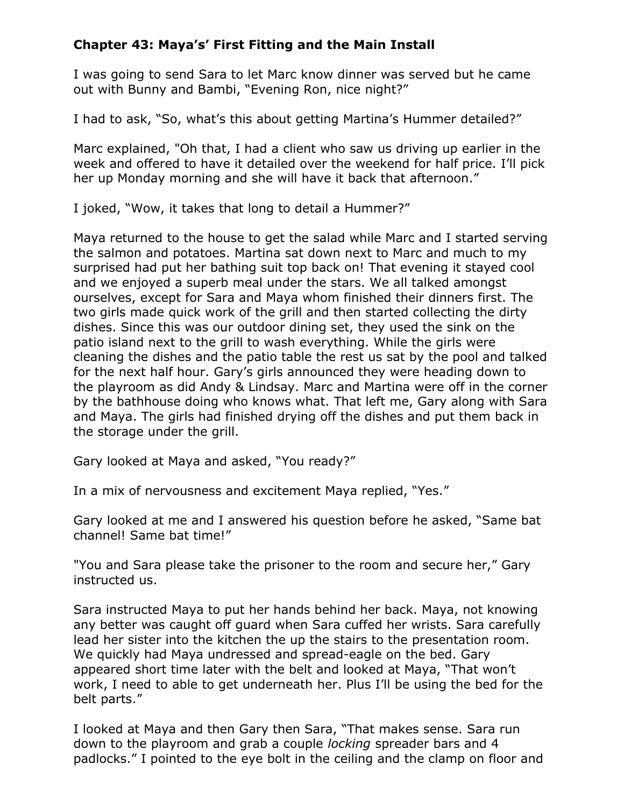## **Chapter 43: Maya's' First Fitting and the Main Install**

I was going to send Sara to let Marc know dinner was served but he came out with Bunny and Bambi, "Evening Ron, nice night?"

I had to ask, "So, what's this about getting Martina's Hummer detailed?"

Marc explained, "Oh that, I had a client who saw us driving up earlier in the week and offered to have it detailed over the weekend for half price. I'll pick her up Monday morning and she will have it back that afternoon."

I joked, "Wow, it takes that long to detail a Hummer?"

Maya returned to the house to get the salad while Marc and I started serving the salmon and potatoes. Martina sat down next to Marc and much to my surprised had put her bathing suit top back on! That evening it stayed cool and we enjoyed a superb meal under the stars. We all talked amongst ourselves, except for Sara and Maya whom finished their dinners first. The two girls made quick work of the grill and then started collecting the dirty dishes. Since this was our outdoor dining set, they used the sink on the patio island next to the grill to wash everything. While the girls were cleaning the dishes and the patio table the rest us sat by the pool and talked for the next half hour. Gary's girls announced they were heading down to the playroom as did Andy & Lindsay. Marc and Martina were off in the corner by the bathhouse doing who knows what. That left me, Gary along with Sara and Maya. The girls had finished drying off the dishes and put them back in the storage under the grill.

Gary looked at Maya and asked, "You ready?"

In a mix of nervousness and excitement Maya replied, "Yes."

Gary looked at me and I answered his question before he asked, "Same bat channel! Same bat time!"

"You and Sara please take the prisoner to the room and secure her," Gary instructed us.

Sara instructed Maya to put her hands behind her back. Maya, not knowing any better was caught off guard when Sara cuffed her wrists. Sara carefully lead her sister into the kitchen the up the stairs to the presentation room. We quickly had Maya undressed and spread-eagle on the bed. Gary appeared short time later with the belt and looked at Maya, "That won't work, I need to able to get underneath her. Plus I'll be using the bed for the belt parts."

I looked at Maya and then Gary then Sara, "That makes sense. Sara run down to the playroom and grab a couple *locking* spreader bars and 4 padlocks." I pointed to the eye bolt in the ceiling and the clamp on floor and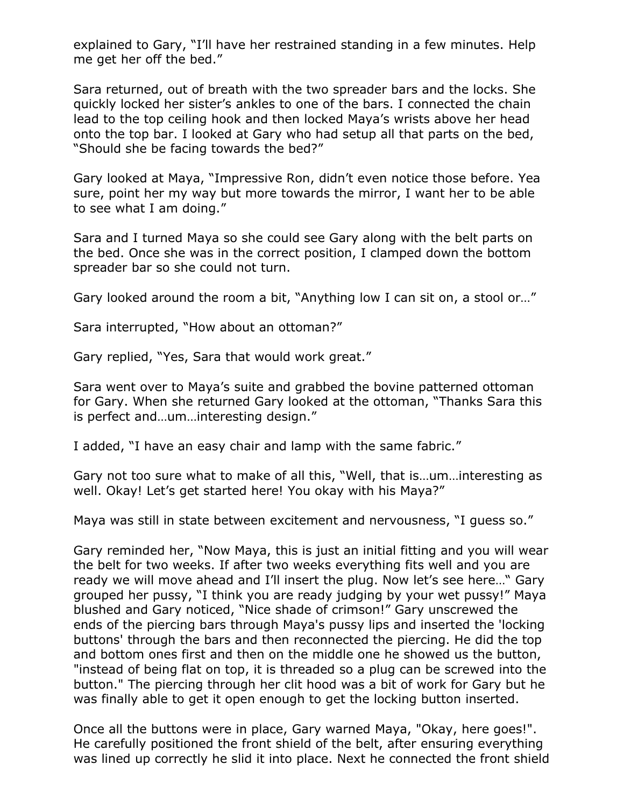explained to Gary, "I'll have her restrained standing in a few minutes. Help me get her off the bed."

Sara returned, out of breath with the two spreader bars and the locks. She quickly locked her sister's ankles to one of the bars. I connected the chain lead to the top ceiling hook and then locked Maya's wrists above her head onto the top bar. I looked at Gary who had setup all that parts on the bed, "Should she be facing towards the bed?"

Gary looked at Maya, "Impressive Ron, didn't even notice those before. Yea sure, point her my way but more towards the mirror, I want her to be able to see what I am doing."

Sara and I turned Maya so she could see Gary along with the belt parts on the bed. Once she was in the correct position, I clamped down the bottom spreader bar so she could not turn.

Gary looked around the room a bit, "Anything low I can sit on, a stool or…"

Sara interrupted, "How about an ottoman?"

Gary replied, "Yes, Sara that would work great."

Sara went over to Maya's suite and grabbed the bovine patterned ottoman for Gary. When she returned Gary looked at the ottoman, "Thanks Sara this is perfect and…um…interesting design."

I added, "I have an easy chair and lamp with the same fabric."

Gary not too sure what to make of all this, "Well, that is…um…interesting as well. Okay! Let's get started here! You okay with his Maya?"

Maya was still in state between excitement and nervousness, "I guess so."

Gary reminded her, "Now Maya, this is just an initial fitting and you will wear the belt for two weeks. If after two weeks everything fits well and you are ready we will move ahead and I'll insert the plug. Now let's see here…" Gary grouped her pussy, "I think you are ready judging by your wet pussy!" Maya blushed and Gary noticed, "Nice shade of crimson!" Gary unscrewed the ends of the piercing bars through Maya's pussy lips and inserted the 'locking buttons' through the bars and then reconnected the piercing. He did the top and bottom ones first and then on the middle one he showed us the button, "instead of being flat on top, it is threaded so a plug can be screwed into the button." The piercing through her clit hood was a bit of work for Gary but he was finally able to get it open enough to get the locking button inserted.

Once all the buttons were in place, Gary warned Maya, "Okay, here goes!". He carefully positioned the front shield of the belt, after ensuring everything was lined up correctly he slid it into place. Next he connected the front shield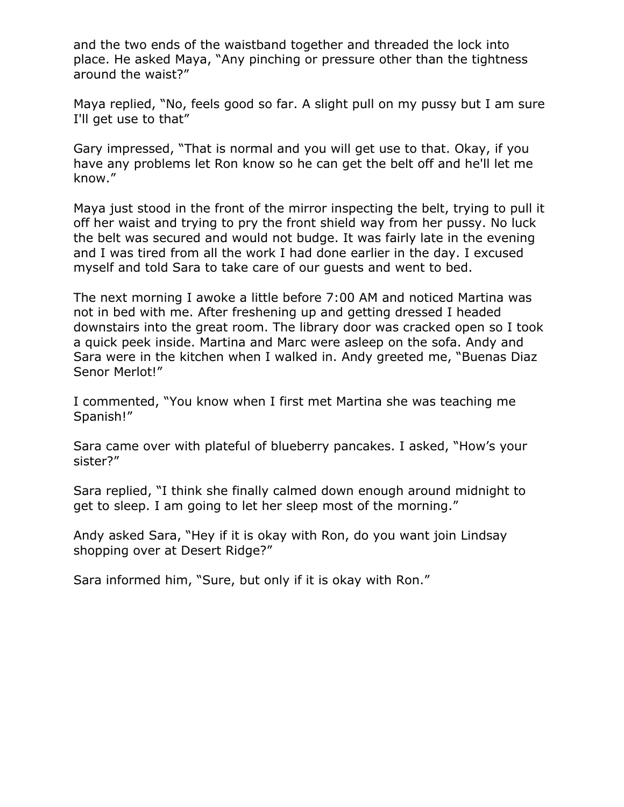and the two ends of the waistband together and threaded the lock into place. He asked Maya, "Any pinching or pressure other than the tightness around the waist?"

Maya replied, "No, feels good so far. A slight pull on my pussy but I am sure I'll get use to that"

Gary impressed, "That is normal and you will get use to that. Okay, if you have any problems let Ron know so he can get the belt off and he'll let me know."

Maya just stood in the front of the mirror inspecting the belt, trying to pull it off her waist and trying to pry the front shield way from her pussy. No luck the belt was secured and would not budge. It was fairly late in the evening and I was tired from all the work I had done earlier in the day. I excused myself and told Sara to take care of our guests and went to bed.

The next morning I awoke a little before 7:00 AM and noticed Martina was not in bed with me. After freshening up and getting dressed I headed downstairs into the great room. The library door was cracked open so I took a quick peek inside. Martina and Marc were asleep on the sofa. Andy and Sara were in the kitchen when I walked in. Andy greeted me, "Buenas Diaz Senor Merlot!"

I commented, "You know when I first met Martina she was teaching me Spanish!"

Sara came over with plateful of blueberry pancakes. I asked, "How's your sister?"

Sara replied, "I think she finally calmed down enough around midnight to get to sleep. I am going to let her sleep most of the morning."

Andy asked Sara, "Hey if it is okay with Ron, do you want join Lindsay shopping over at Desert Ridge?"

Sara informed him, "Sure, but only if it is okay with Ron."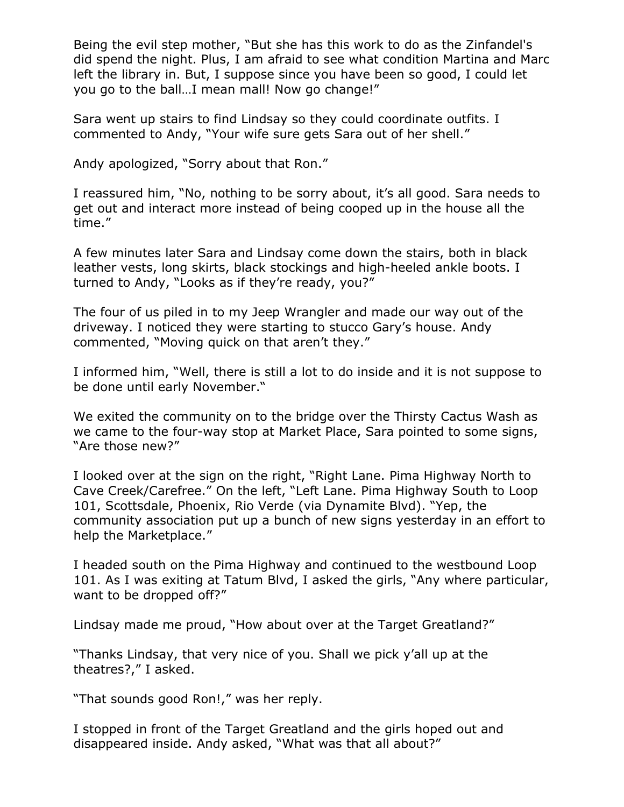Being the evil step mother, "But she has this work to do as the Zinfandel's did spend the night. Plus, I am afraid to see what condition Martina and Marc left the library in. But, I suppose since you have been so good, I could let you go to the ball…I mean mall! Now go change!"

Sara went up stairs to find Lindsay so they could coordinate outfits. I commented to Andy, "Your wife sure gets Sara out of her shell."

Andy apologized, "Sorry about that Ron."

I reassured him, "No, nothing to be sorry about, it's all good. Sara needs to get out and interact more instead of being cooped up in the house all the time."

A few minutes later Sara and Lindsay come down the stairs, both in black leather vests, long skirts, black stockings and high-heeled ankle boots. I turned to Andy, "Looks as if they're ready, you?"

The four of us piled in to my Jeep Wrangler and made our way out of the driveway. I noticed they were starting to stucco Gary's house. Andy commented, "Moving quick on that aren't they."

I informed him, "Well, there is still a lot to do inside and it is not suppose to be done until early November."

We exited the community on to the bridge over the Thirsty Cactus Wash as we came to the four-way stop at Market Place, Sara pointed to some signs, "Are those new?"

I looked over at the sign on the right, "Right Lane. Pima Highway North to Cave Creek/Carefree." On the left, "Left Lane. Pima Highway South to Loop 101, Scottsdale, Phoenix, Rio Verde (via Dynamite Blvd). "Yep, the community association put up a bunch of new signs yesterday in an effort to help the Marketplace."

I headed south on the Pima Highway and continued to the westbound Loop 101. As I was exiting at Tatum Blvd, I asked the girls, "Any where particular, want to be dropped off?"

Lindsay made me proud, "How about over at the Target Greatland?"

"Thanks Lindsay, that very nice of you. Shall we pick y'all up at the theatres?," I asked.

"That sounds good Ron!," was her reply.

I stopped in front of the Target Greatland and the girls hoped out and disappeared inside. Andy asked, "What was that all about?"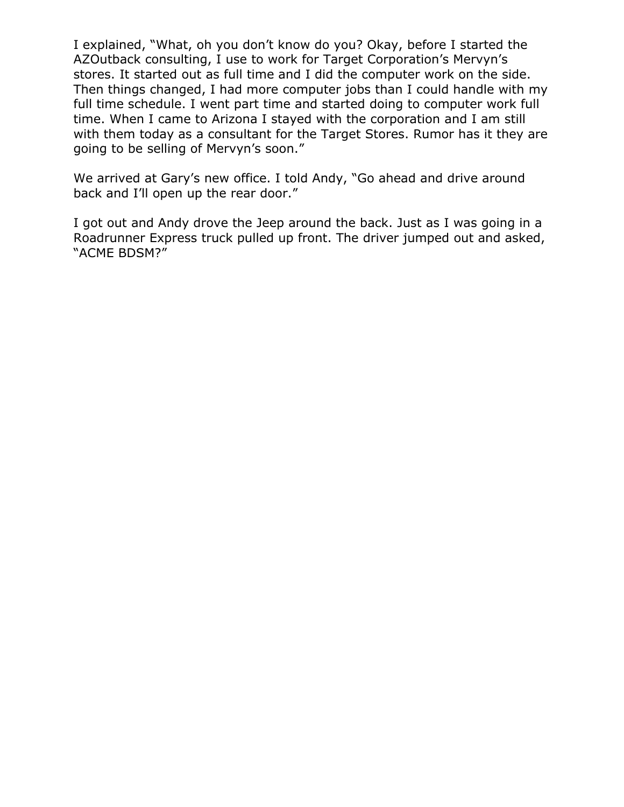I explained, "What, oh you don't know do you? Okay, before I started the AZOutback consulting, I use to work for Target Corporation's Mervyn's stores. It started out as full time and I did the computer work on the side. Then things changed, I had more computer jobs than I could handle with my full time schedule. I went part time and started doing to computer work full time. When I came to Arizona I stayed with the corporation and I am still with them today as a consultant for the Target Stores. Rumor has it they are going to be selling of Mervyn's soon."

We arrived at Gary's new office. I told Andy, "Go ahead and drive around back and I'll open up the rear door."

I got out and Andy drove the Jeep around the back. Just as I was going in a Roadrunner Express truck pulled up front. The driver jumped out and asked, "ACME BDSM?"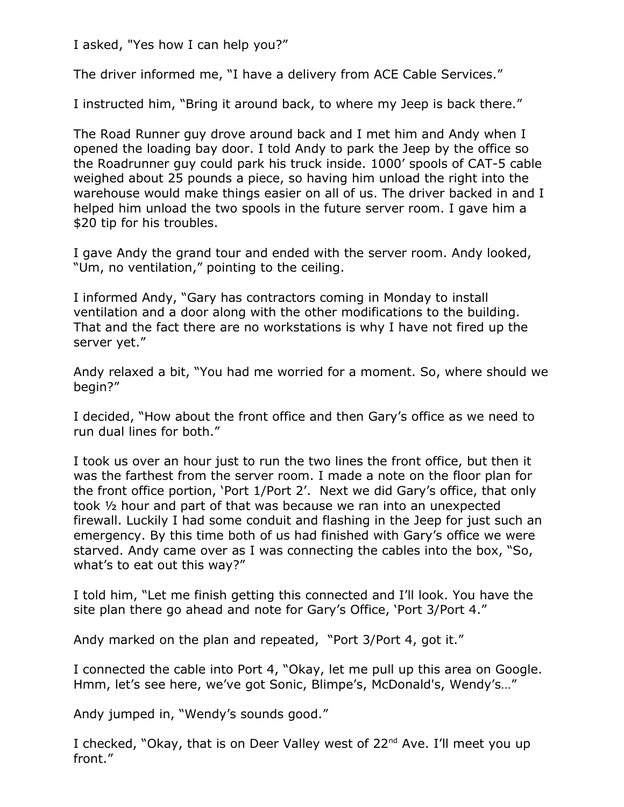I asked, "Yes how I can help you?"

The driver informed me, "I have a delivery from ACE Cable Services."

I instructed him, "Bring it around back, to where my Jeep is back there."

The Road Runner guy drove around back and I met him and Andy when I opened the loading bay door. I told Andy to park the Jeep by the office so the Roadrunner guy could park his truck inside. 1000' spools of CAT-5 cable weighed about 25 pounds a piece, so having him unload the right into the warehouse would make things easier on all of us. The driver backed in and I helped him unload the two spools in the future server room. I gave him a \$20 tip for his troubles.

I gave Andy the grand tour and ended with the server room. Andy looked, "Um, no ventilation," pointing to the ceiling.

I informed Andy, "Gary has contractors coming in Monday to install ventilation and a door along with the other modifications to the building. That and the fact there are no workstations is why I have not fired up the server yet."

Andy relaxed a bit, "You had me worried for a moment. So, where should we begin?"

I decided, "How about the front office and then Gary's office as we need to run dual lines for both."

I took us over an hour just to run the two lines the front office, but then it was the farthest from the server room. I made a note on the floor plan for the front office portion, 'Port 1/Port 2'. Next we did Gary's office, that only took ½ hour and part of that was because we ran into an unexpected firewall. Luckily I had some conduit and flashing in the Jeep for just such an emergency. By this time both of us had finished with Gary's office we were starved. Andy came over as I was connecting the cables into the box, "So, what's to eat out this way?"

I told him, "Let me finish getting this connected and I'll look. You have the site plan there go ahead and note for Gary's Office, 'Port 3/Port 4."

Andy marked on the plan and repeated, "Port 3/Port 4, got it."

I connected the cable into Port 4, "Okay, let me pull up this area on Google. Hmm, let's see here, we've got Sonic, Blimpe's, McDonald's, Wendy's…"

Andy jumped in, "Wendy's sounds good."

I checked, "Okay, that is on Deer Valley west of 22<sup>nd</sup> Ave. I'll meet you up front."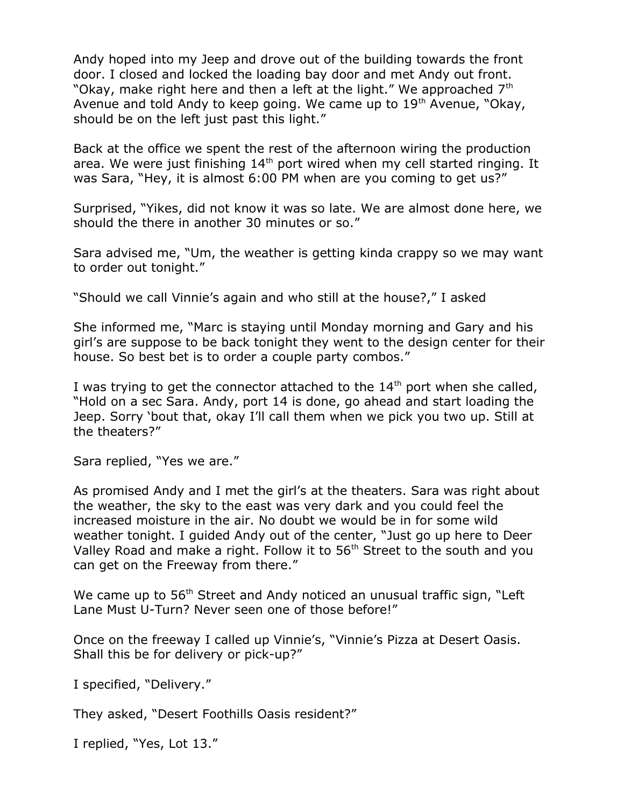Andy hoped into my Jeep and drove out of the building towards the front door. I closed and locked the loading bay door and met Andy out front. "Okay, make right here and then a left at the light." We approached 7<sup>th</sup> Avenue and told Andy to keep going. We came up to  $19<sup>th</sup>$  Avenue, "Okay, should be on the left just past this light."

Back at the office we spent the rest of the afternoon wiring the production area. We were just finishing 14<sup>th</sup> port wired when my cell started ringing. It was Sara, "Hey, it is almost 6:00 PM when are you coming to get us?"

Surprised, "Yikes, did not know it was so late. We are almost done here, we should the there in another 30 minutes or so."

Sara advised me, "Um, the weather is getting kinda crappy so we may want to order out tonight."

"Should we call Vinnie's again and who still at the house?," I asked

She informed me, "Marc is staying until Monday morning and Gary and his girl's are suppose to be back tonight they went to the design center for their house. So best bet is to order a couple party combos."

I was trying to get the connector attached to the  $14<sup>th</sup>$  port when she called, "Hold on a sec Sara. Andy, port 14 is done, go ahead and start loading the Jeep. Sorry 'bout that, okay I'll call them when we pick you two up. Still at the theaters?"

Sara replied, "Yes we are."

As promised Andy and I met the girl's at the theaters. Sara was right about the weather, the sky to the east was very dark and you could feel the increased moisture in the air. No doubt we would be in for some wild weather tonight. I guided Andy out of the center, "Just go up here to Deer Valley Road and make a right. Follow it to 56<sup>th</sup> Street to the south and you can get on the Freeway from there."

We came up to 56<sup>th</sup> Street and Andy noticed an unusual traffic sign, "Left Lane Must U-Turn? Never seen one of those before!"

Once on the freeway I called up Vinnie's, "Vinnie's Pizza at Desert Oasis. Shall this be for delivery or pick-up?"

I specified, "Delivery."

They asked, "Desert Foothills Oasis resident?"

I replied, "Yes, Lot 13."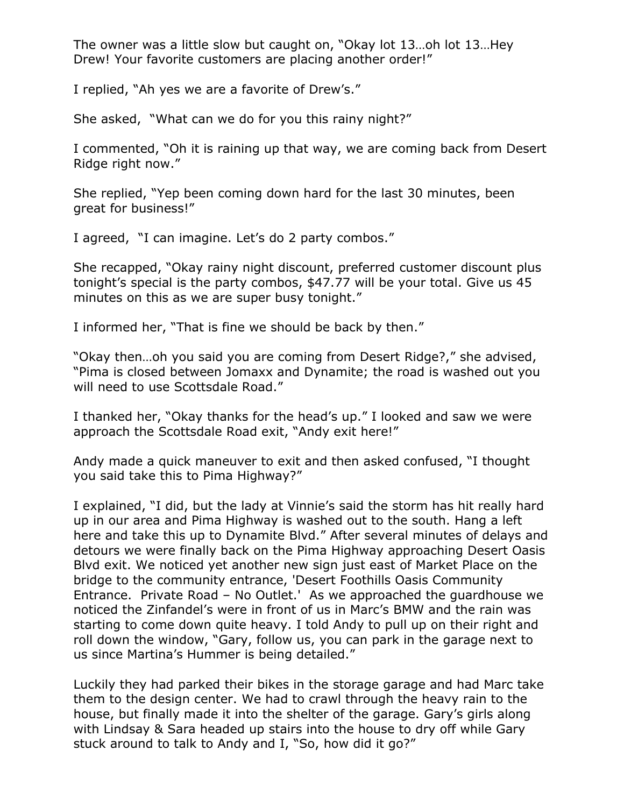The owner was a little slow but caught on, "Okay lot 13…oh lot 13…Hey Drew! Your favorite customers are placing another order!"

I replied, "Ah yes we are a favorite of Drew's."

She asked, "What can we do for you this rainy night?"

I commented, "Oh it is raining up that way, we are coming back from Desert Ridge right now."

She replied, "Yep been coming down hard for the last 30 minutes, been great for business!"

I agreed, "I can imagine. Let's do 2 party combos."

She recapped, "Okay rainy night discount, preferred customer discount plus tonight's special is the party combos, \$47.77 will be your total. Give us 45 minutes on this as we are super busy tonight."

I informed her, "That is fine we should be back by then."

"Okay then…oh you said you are coming from Desert Ridge?," she advised, "Pima is closed between Jomaxx and Dynamite; the road is washed out you will need to use Scottsdale Road."

I thanked her, "Okay thanks for the head's up." I looked and saw we were approach the Scottsdale Road exit, "Andy exit here!"

Andy made a quick maneuver to exit and then asked confused, "I thought you said take this to Pima Highway?"

I explained, "I did, but the lady at Vinnie's said the storm has hit really hard up in our area and Pima Highway is washed out to the south. Hang a left here and take this up to Dynamite Blvd." After several minutes of delays and detours we were finally back on the Pima Highway approaching Desert Oasis Blvd exit. We noticed yet another new sign just east of Market Place on the bridge to the community entrance, 'Desert Foothills Oasis Community Entrance. Private Road – No Outlet.' As we approached the guardhouse we noticed the Zinfandel's were in front of us in Marc's BMW and the rain was starting to come down quite heavy. I told Andy to pull up on their right and roll down the window, "Gary, follow us, you can park in the garage next to us since Martina's Hummer is being detailed."

Luckily they had parked their bikes in the storage garage and had Marc take them to the design center. We had to crawl through the heavy rain to the house, but finally made it into the shelter of the garage. Gary's girls along with Lindsay & Sara headed up stairs into the house to dry off while Gary stuck around to talk to Andy and I, "So, how did it go?"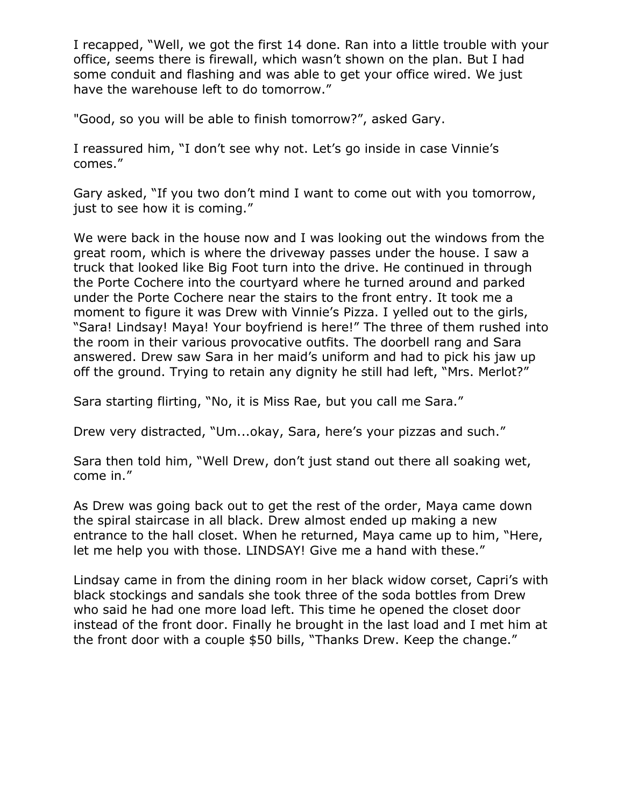I recapped, "Well, we got the first 14 done. Ran into a little trouble with your office, seems there is firewall, which wasn't shown on the plan. But I had some conduit and flashing and was able to get your office wired. We just have the warehouse left to do tomorrow."

"Good, so you will be able to finish tomorrow?", asked Gary.

I reassured him, "I don't see why not. Let's go inside in case Vinnie's comes."

Gary asked, "If you two don't mind I want to come out with you tomorrow, just to see how it is coming."

We were back in the house now and I was looking out the windows from the great room, which is where the driveway passes under the house. I saw a truck that looked like Big Foot turn into the drive. He continued in through the Porte Cochere into the courtyard where he turned around and parked under the Porte Cochere near the stairs to the front entry. It took me a moment to figure it was Drew with Vinnie's Pizza. I yelled out to the girls, "Sara! Lindsay! Maya! Your boyfriend is here!" The three of them rushed into the room in their various provocative outfits. The doorbell rang and Sara answered. Drew saw Sara in her maid's uniform and had to pick his jaw up off the ground. Trying to retain any dignity he still had left, "Mrs. Merlot?"

Sara starting flirting, "No, it is Miss Rae, but you call me Sara."

Drew very distracted, "Um...okay, Sara, here's your pizzas and such."

Sara then told him, "Well Drew, don't just stand out there all soaking wet, come in."

As Drew was going back out to get the rest of the order, Maya came down the spiral staircase in all black. Drew almost ended up making a new entrance to the hall closet. When he returned, Maya came up to him, "Here, let me help you with those. LINDSAY! Give me a hand with these."

Lindsay came in from the dining room in her black widow corset, Capri's with black stockings and sandals she took three of the soda bottles from Drew who said he had one more load left. This time he opened the closet door instead of the front door. Finally he brought in the last load and I met him at the front door with a couple \$50 bills, "Thanks Drew. Keep the change."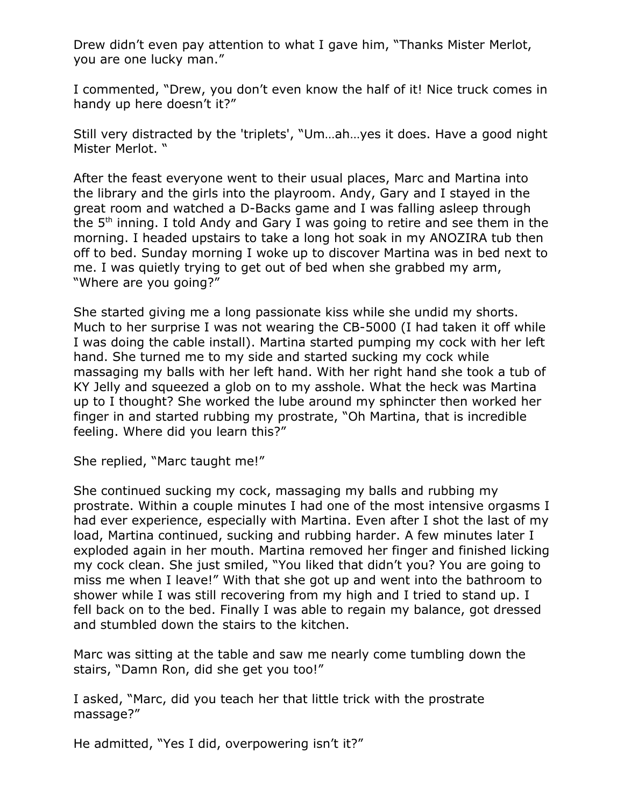Drew didn't even pay attention to what I gave him, "Thanks Mister Merlot, you are one lucky man."

I commented, "Drew, you don't even know the half of it! Nice truck comes in handy up here doesn't it?"

Still very distracted by the 'triplets', "Um…ah…yes it does. Have a good night Mister Merlot. "

After the feast everyone went to their usual places, Marc and Martina into the library and the girls into the playroom. Andy, Gary and I stayed in the great room and watched a D-Backs game and I was falling asleep through the  $5<sup>th</sup>$  inning. I told Andy and Gary I was going to retire and see them in the morning. I headed upstairs to take a long hot soak in my ANOZIRA tub then off to bed. Sunday morning I woke up to discover Martina was in bed next to me. I was quietly trying to get out of bed when she grabbed my arm, "Where are you going?"

She started giving me a long passionate kiss while she undid my shorts. Much to her surprise I was not wearing the CB-5000 (I had taken it off while I was doing the cable install). Martina started pumping my cock with her left hand. She turned me to my side and started sucking my cock while massaging my balls with her left hand. With her right hand she took a tub of KY Jelly and squeezed a glob on to my asshole. What the heck was Martina up to I thought? She worked the lube around my sphincter then worked her finger in and started rubbing my prostrate, "Oh Martina, that is incredible feeling. Where did you learn this?"

She replied, "Marc taught me!"

She continued sucking my cock, massaging my balls and rubbing my prostrate. Within a couple minutes I had one of the most intensive orgasms I had ever experience, especially with Martina. Even after I shot the last of my load, Martina continued, sucking and rubbing harder. A few minutes later I exploded again in her mouth. Martina removed her finger and finished licking my cock clean. She just smiled, "You liked that didn't you? You are going to miss me when I leave!" With that she got up and went into the bathroom to shower while I was still recovering from my high and I tried to stand up. I fell back on to the bed. Finally I was able to regain my balance, got dressed and stumbled down the stairs to the kitchen.

Marc was sitting at the table and saw me nearly come tumbling down the stairs, "Damn Ron, did she get you too!"

I asked, "Marc, did you teach her that little trick with the prostrate massage?"

He admitted, "Yes I did, overpowering isn't it?"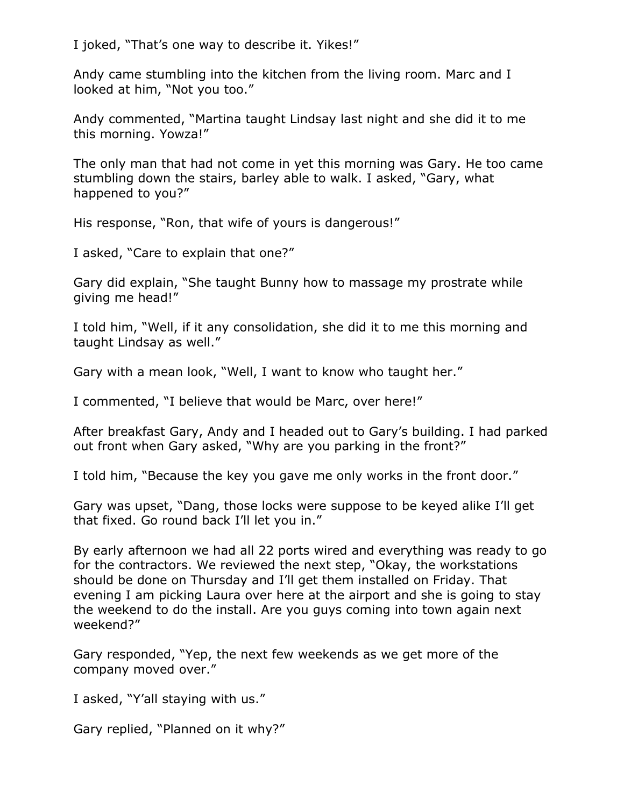I joked, "That's one way to describe it. Yikes!"

Andy came stumbling into the kitchen from the living room. Marc and I looked at him, "Not you too."

Andy commented, "Martina taught Lindsay last night and she did it to me this morning. Yowza!"

The only man that had not come in yet this morning was Gary. He too came stumbling down the stairs, barley able to walk. I asked, "Gary, what happened to you?"

His response, "Ron, that wife of yours is dangerous!"

I asked, "Care to explain that one?"

Gary did explain, "She taught Bunny how to massage my prostrate while giving me head!"

I told him, "Well, if it any consolidation, she did it to me this morning and taught Lindsay as well."

Gary with a mean look, "Well, I want to know who taught her."

I commented, "I believe that would be Marc, over here!"

After breakfast Gary, Andy and I headed out to Gary's building. I had parked out front when Gary asked, "Why are you parking in the front?"

I told him, "Because the key you gave me only works in the front door."

Gary was upset, "Dang, those locks were suppose to be keyed alike I'll get that fixed. Go round back I'll let you in."

By early afternoon we had all 22 ports wired and everything was ready to go for the contractors. We reviewed the next step, "Okay, the workstations should be done on Thursday and I'll get them installed on Friday. That evening I am picking Laura over here at the airport and she is going to stay the weekend to do the install. Are you guys coming into town again next weekend?"

Gary responded, "Yep, the next few weekends as we get more of the company moved over."

I asked, "Y'all staying with us."

Gary replied, "Planned on it why?"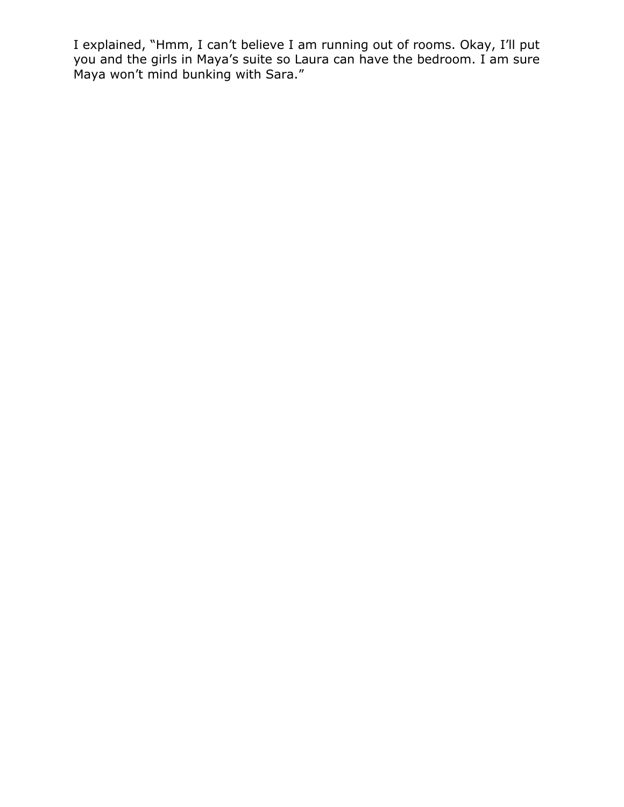I explained, "Hmm, I can't believe I am running out of rooms. Okay, I'll put you and the girls in Maya's suite so Laura can have the bedroom. I am sure Maya won't mind bunking with Sara."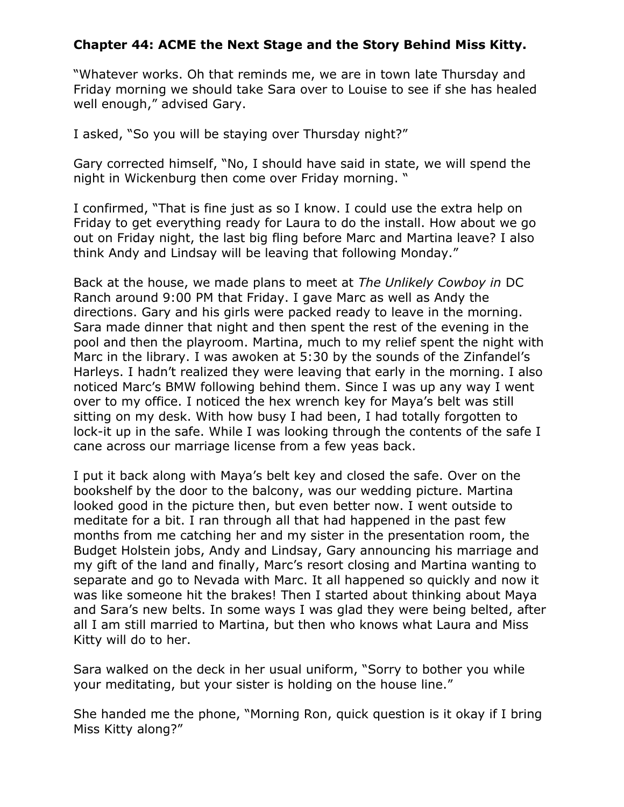## **Chapter 44: ACME the Next Stage and the Story Behind Miss Kitty.**

"Whatever works. Oh that reminds me, we are in town late Thursday and Friday morning we should take Sara over to Louise to see if she has healed well enough," advised Gary.

I asked, "So you will be staying over Thursday night?"

Gary corrected himself, "No, I should have said in state, we will spend the night in Wickenburg then come over Friday morning. "

I confirmed, "That is fine just as so I know. I could use the extra help on Friday to get everything ready for Laura to do the install. How about we go out on Friday night, the last big fling before Marc and Martina leave? I also think Andy and Lindsay will be leaving that following Monday."

Back at the house, we made plans to meet at *The Unlikely Cowboy in* DC Ranch around 9:00 PM that Friday. I gave Marc as well as Andy the directions. Gary and his girls were packed ready to leave in the morning. Sara made dinner that night and then spent the rest of the evening in the pool and then the playroom. Martina, much to my relief spent the night with Marc in the library. I was awoken at 5:30 by the sounds of the Zinfandel's Harleys. I hadn't realized they were leaving that early in the morning. I also noticed Marc's BMW following behind them. Since I was up any way I went over to my office. I noticed the hex wrench key for Maya's belt was still sitting on my desk. With how busy I had been, I had totally forgotten to lock-it up in the safe. While I was looking through the contents of the safe I cane across our marriage license from a few yeas back.

I put it back along with Maya's belt key and closed the safe. Over on the bookshelf by the door to the balcony, was our wedding picture. Martina looked good in the picture then, but even better now. I went outside to meditate for a bit. I ran through all that had happened in the past few months from me catching her and my sister in the presentation room, the Budget Holstein jobs, Andy and Lindsay, Gary announcing his marriage and my gift of the land and finally, Marc's resort closing and Martina wanting to separate and go to Nevada with Marc. It all happened so quickly and now it was like someone hit the brakes! Then I started about thinking about Maya and Sara's new belts. In some ways I was glad they were being belted, after all I am still married to Martina, but then who knows what Laura and Miss Kitty will do to her.

Sara walked on the deck in her usual uniform, "Sorry to bother you while your meditating, but your sister is holding on the house line."

She handed me the phone, "Morning Ron, quick question is it okay if I bring Miss Kitty along?"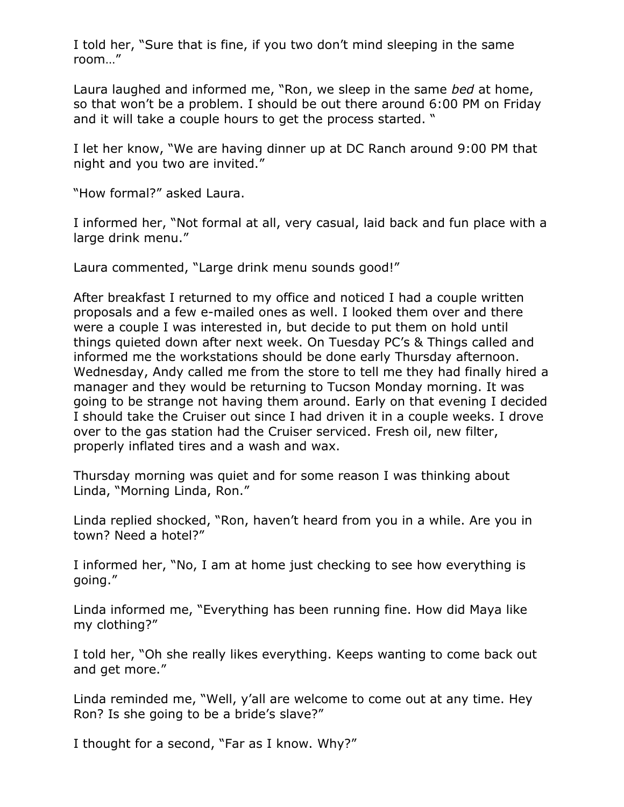I told her, "Sure that is fine, if you two don't mind sleeping in the same room…"

Laura laughed and informed me, "Ron, we sleep in the same *bed* at home, so that won't be a problem. I should be out there around 6:00 PM on Friday and it will take a couple hours to get the process started. "

I let her know, "We are having dinner up at DC Ranch around 9:00 PM that night and you two are invited."

"How formal?" asked Laura.

I informed her, "Not formal at all, very casual, laid back and fun place with a large drink menu."

Laura commented, "Large drink menu sounds good!"

After breakfast I returned to my office and noticed I had a couple written proposals and a few e-mailed ones as well. I looked them over and there were a couple I was interested in, but decide to put them on hold until things quieted down after next week. On Tuesday PC's & Things called and informed me the workstations should be done early Thursday afternoon. Wednesday, Andy called me from the store to tell me they had finally hired a manager and they would be returning to Tucson Monday morning. It was going to be strange not having them around. Early on that evening I decided I should take the Cruiser out since I had driven it in a couple weeks. I drove over to the gas station had the Cruiser serviced. Fresh oil, new filter, properly inflated tires and a wash and wax.

Thursday morning was quiet and for some reason I was thinking about Linda, "Morning Linda, Ron."

Linda replied shocked, "Ron, haven't heard from you in a while. Are you in town? Need a hotel?"

I informed her, "No, I am at home just checking to see how everything is going."

Linda informed me, "Everything has been running fine. How did Maya like my clothing?"

I told her, "Oh she really likes everything. Keeps wanting to come back out and get more."

Linda reminded me, "Well, y'all are welcome to come out at any time. Hey Ron? Is she going to be a bride's slave?"

I thought for a second, "Far as I know. Why?"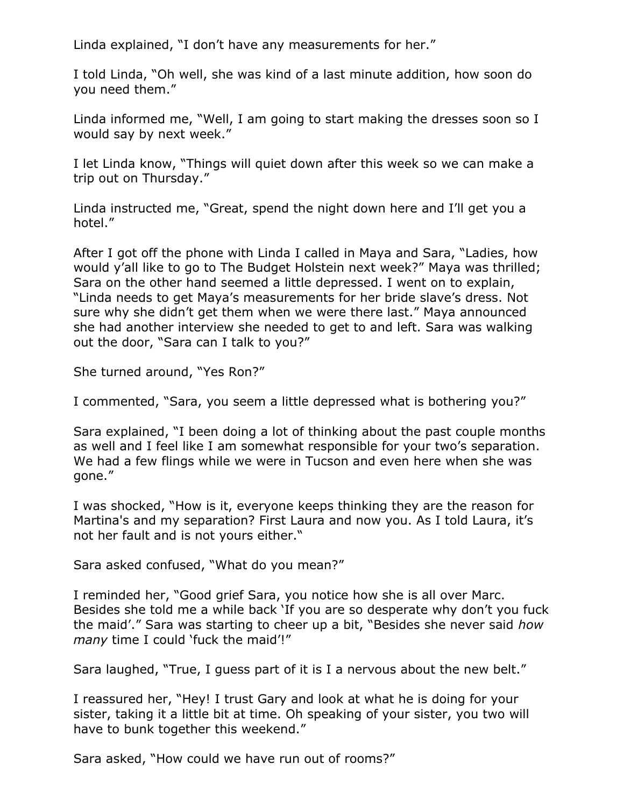Linda explained, "I don't have any measurements for her."

I told Linda, "Oh well, she was kind of a last minute addition, how soon do you need them."

Linda informed me, "Well, I am going to start making the dresses soon so I would say by next week."

I let Linda know, "Things will quiet down after this week so we can make a trip out on Thursday."

Linda instructed me, "Great, spend the night down here and I'll get you a hotel."

After I got off the phone with Linda I called in Maya and Sara, "Ladies, how would y'all like to go to The Budget Holstein next week?" Maya was thrilled; Sara on the other hand seemed a little depressed. I went on to explain, "Linda needs to get Maya's measurements for her bride slave's dress. Not sure why she didn't get them when we were there last." Maya announced she had another interview she needed to get to and left. Sara was walking out the door, "Sara can I talk to you?"

She turned around, "Yes Ron?"

I commented, "Sara, you seem a little depressed what is bothering you?"

Sara explained, "I been doing a lot of thinking about the past couple months as well and I feel like I am somewhat responsible for your two's separation. We had a few flings while we were in Tucson and even here when she was gone."

I was shocked, "How is it, everyone keeps thinking they are the reason for Martina's and my separation? First Laura and now you. As I told Laura, it's not her fault and is not yours either."

Sara asked confused, "What do you mean?"

I reminded her, "Good grief Sara, you notice how she is all over Marc. Besides she told me a while back 'If you are so desperate why don't you fuck the maid'." Sara was starting to cheer up a bit, "Besides she never said *how many* time I could 'fuck the maid'!"

Sara laughed, "True, I guess part of it is I a nervous about the new belt."

I reassured her, "Hey! I trust Gary and look at what he is doing for your sister, taking it a little bit at time. Oh speaking of your sister, you two will have to bunk together this weekend."

Sara asked, "How could we have run out of rooms?"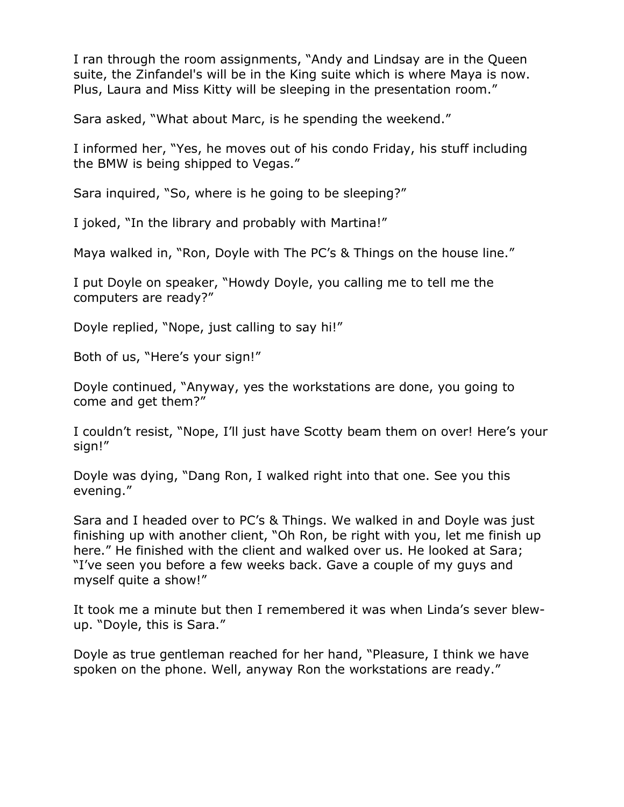I ran through the room assignments, "Andy and Lindsay are in the Queen suite, the Zinfandel's will be in the King suite which is where Maya is now. Plus, Laura and Miss Kitty will be sleeping in the presentation room."

Sara asked, "What about Marc, is he spending the weekend."

I informed her, "Yes, he moves out of his condo Friday, his stuff including the BMW is being shipped to Vegas."

Sara inquired, "So, where is he going to be sleeping?"

I joked, "In the library and probably with Martina!"

Maya walked in, "Ron, Doyle with The PC's & Things on the house line."

I put Doyle on speaker, "Howdy Doyle, you calling me to tell me the computers are ready?"

Doyle replied, "Nope, just calling to say hi!"

Both of us, "Here's your sign!"

Doyle continued, "Anyway, yes the workstations are done, you going to come and get them?"

I couldn't resist, "Nope, I'll just have Scotty beam them on over! Here's your sign!"

Doyle was dying, "Dang Ron, I walked right into that one. See you this evening."

Sara and I headed over to PC's & Things. We walked in and Doyle was just finishing up with another client, "Oh Ron, be right with you, let me finish up here." He finished with the client and walked over us. He looked at Sara; "I've seen you before a few weeks back. Gave a couple of my guys and myself quite a show!"

It took me a minute but then I remembered it was when Linda's sever blewup. "Doyle, this is Sara."

Doyle as true gentleman reached for her hand, "Pleasure, I think we have spoken on the phone. Well, anyway Ron the workstations are ready."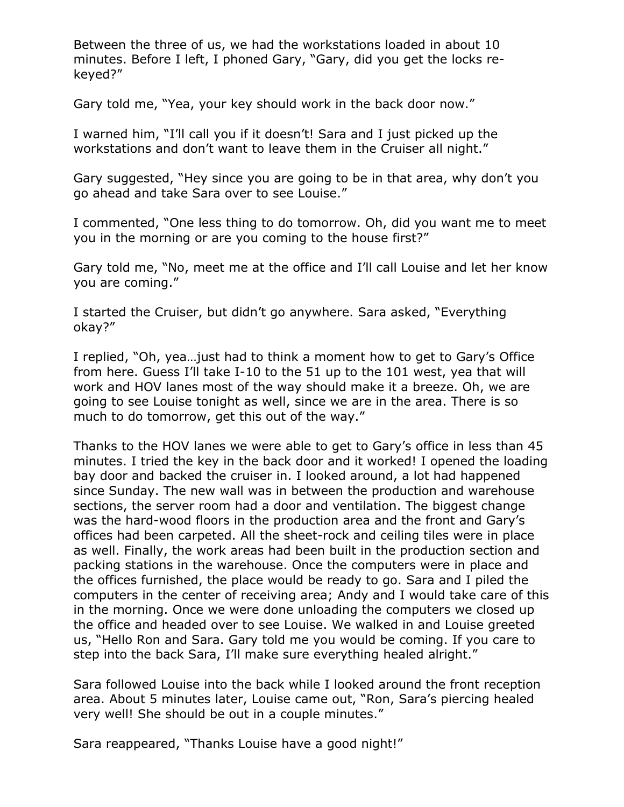Between the three of us, we had the workstations loaded in about 10 minutes. Before I left, I phoned Gary, "Gary, did you get the locks rekeyed?"

Gary told me, "Yea, your key should work in the back door now."

I warned him, "I'll call you if it doesn't! Sara and I just picked up the workstations and don't want to leave them in the Cruiser all night."

Gary suggested, "Hey since you are going to be in that area, why don't you go ahead and take Sara over to see Louise."

I commented, "One less thing to do tomorrow. Oh, did you want me to meet you in the morning or are you coming to the house first?"

Gary told me, "No, meet me at the office and I'll call Louise and let her know you are coming."

I started the Cruiser, but didn't go anywhere. Sara asked, "Everything okay?"

I replied, "Oh, yea…just had to think a moment how to get to Gary's Office from here. Guess I'll take I-10 to the 51 up to the 101 west, yea that will work and HOV lanes most of the way should make it a breeze. Oh, we are going to see Louise tonight as well, since we are in the area. There is so much to do tomorrow, get this out of the way."

Thanks to the HOV lanes we were able to get to Gary's office in less than 45 minutes. I tried the key in the back door and it worked! I opened the loading bay door and backed the cruiser in. I looked around, a lot had happened since Sunday. The new wall was in between the production and warehouse sections, the server room had a door and ventilation. The biggest change was the hard-wood floors in the production area and the front and Gary's offices had been carpeted. All the sheet-rock and ceiling tiles were in place as well. Finally, the work areas had been built in the production section and packing stations in the warehouse. Once the computers were in place and the offices furnished, the place would be ready to go. Sara and I piled the computers in the center of receiving area; Andy and I would take care of this in the morning. Once we were done unloading the computers we closed up the office and headed over to see Louise. We walked in and Louise greeted us, "Hello Ron and Sara. Gary told me you would be coming. If you care to step into the back Sara, I'll make sure everything healed alright."

Sara followed Louise into the back while I looked around the front reception area. About 5 minutes later, Louise came out, "Ron, Sara's piercing healed very well! She should be out in a couple minutes."

Sara reappeared, "Thanks Louise have a good night!"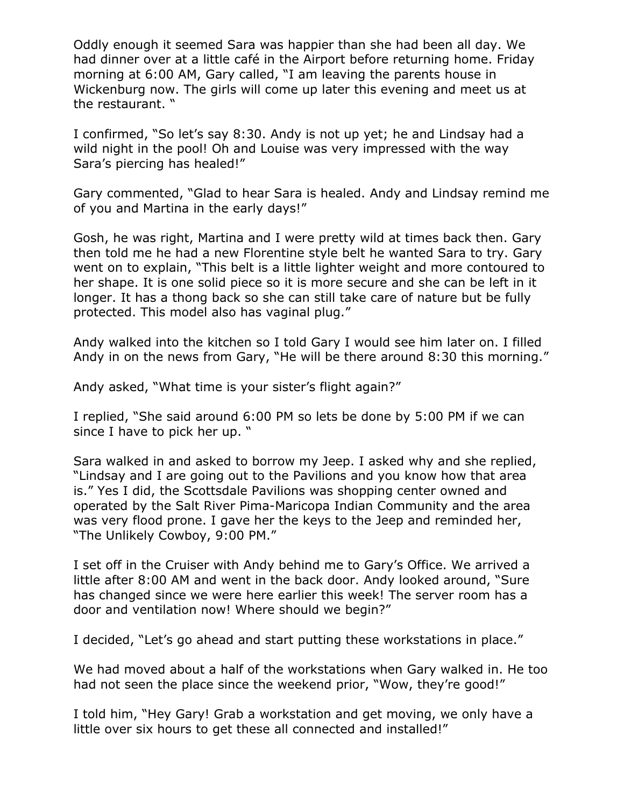Oddly enough it seemed Sara was happier than she had been all day. We had dinner over at a little café in the Airport before returning home. Friday morning at 6:00 AM, Gary called, "I am leaving the parents house in Wickenburg now. The girls will come up later this evening and meet us at the restaurant. "

I confirmed, "So let's say 8:30. Andy is not up yet; he and Lindsay had a wild night in the pool! Oh and Louise was very impressed with the way Sara's piercing has healed!"

Gary commented, "Glad to hear Sara is healed. Andy and Lindsay remind me of you and Martina in the early days!"

Gosh, he was right, Martina and I were pretty wild at times back then. Gary then told me he had a new Florentine style belt he wanted Sara to try. Gary went on to explain, "This belt is a little lighter weight and more contoured to her shape. It is one solid piece so it is more secure and she can be left in it longer. It has a thong back so she can still take care of nature but be fully protected. This model also has vaginal plug."

Andy walked into the kitchen so I told Gary I would see him later on. I filled Andy in on the news from Gary, "He will be there around 8:30 this morning."

Andy asked, "What time is your sister's flight again?"

I replied, "She said around 6:00 PM so lets be done by 5:00 PM if we can since I have to pick her up. "

Sara walked in and asked to borrow my Jeep. I asked why and she replied, "Lindsay and I are going out to the Pavilions and you know how that area is." Yes I did, the Scottsdale Pavilions was shopping center owned and operated by the Salt River Pima-Maricopa Indian Community and the area was very flood prone. I gave her the keys to the Jeep and reminded her, "The Unlikely Cowboy, 9:00 PM."

I set off in the Cruiser with Andy behind me to Gary's Office. We arrived a little after 8:00 AM and went in the back door. Andy looked around, "Sure has changed since we were here earlier this week! The server room has a door and ventilation now! Where should we begin?"

I decided, "Let's go ahead and start putting these workstations in place."

We had moved about a half of the workstations when Gary walked in. He too had not seen the place since the weekend prior, "Wow, they're good!"

I told him, "Hey Gary! Grab a workstation and get moving, we only have a little over six hours to get these all connected and installed!"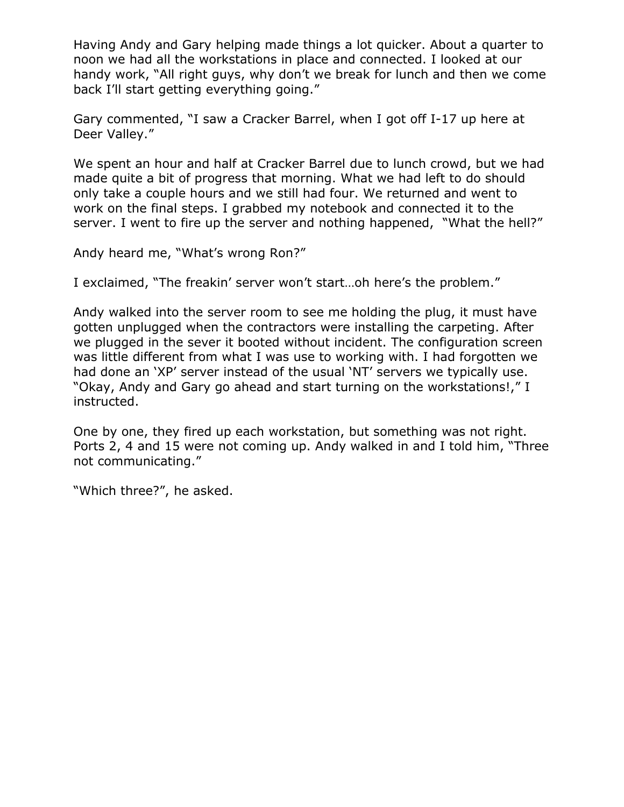Having Andy and Gary helping made things a lot quicker. About a quarter to noon we had all the workstations in place and connected. I looked at our handy work, "All right guys, why don't we break for lunch and then we come back I'll start getting everything going."

Gary commented, "I saw a Cracker Barrel, when I got off I-17 up here at Deer Valley."

We spent an hour and half at Cracker Barrel due to lunch crowd, but we had made quite a bit of progress that morning. What we had left to do should only take a couple hours and we still had four. We returned and went to work on the final steps. I grabbed my notebook and connected it to the server. I went to fire up the server and nothing happened, "What the hell?"

Andy heard me, "What's wrong Ron?"

I exclaimed, "The freakin' server won't start…oh here's the problem."

Andy walked into the server room to see me holding the plug, it must have gotten unplugged when the contractors were installing the carpeting. After we plugged in the sever it booted without incident. The configuration screen was little different from what I was use to working with. I had forgotten we had done an 'XP' server instead of the usual 'NT' servers we typically use. "Okay, Andy and Gary go ahead and start turning on the workstations!," I instructed.

One by one, they fired up each workstation, but something was not right. Ports 2, 4 and 15 were not coming up. Andy walked in and I told him, "Three not communicating."

"Which three?", he asked.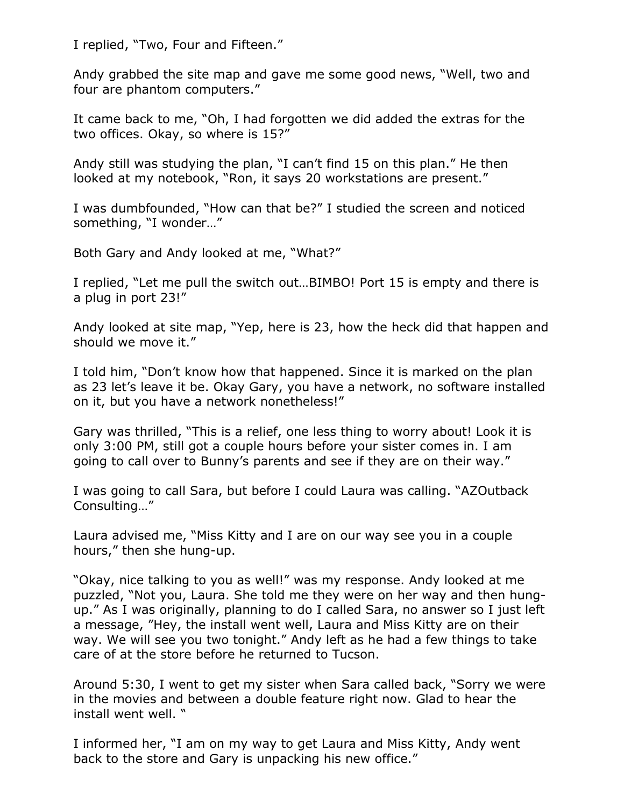I replied, "Two, Four and Fifteen."

Andy grabbed the site map and gave me some good news, "Well, two and four are phantom computers."

It came back to me, "Oh, I had forgotten we did added the extras for the two offices. Okay, so where is 15?"

Andy still was studying the plan, "I can't find 15 on this plan." He then looked at my notebook, "Ron, it says 20 workstations are present."

I was dumbfounded, "How can that be?" I studied the screen and noticed something, "I wonder…"

Both Gary and Andy looked at me, "What?"

I replied, "Let me pull the switch out…BIMBO! Port 15 is empty and there is a plug in port 23!"

Andy looked at site map, "Yep, here is 23, how the heck did that happen and should we move it."

I told him, "Don't know how that happened. Since it is marked on the plan as 23 let's leave it be. Okay Gary, you have a network, no software installed on it, but you have a network nonetheless!"

Gary was thrilled, "This is a relief, one less thing to worry about! Look it is only 3:00 PM, still got a couple hours before your sister comes in. I am going to call over to Bunny's parents and see if they are on their way."

I was going to call Sara, but before I could Laura was calling. "AZOutback Consulting…"

Laura advised me, "Miss Kitty and I are on our way see you in a couple hours," then she hung-up.

"Okay, nice talking to you as well!" was my response. Andy looked at me puzzled, "Not you, Laura. She told me they were on her way and then hungup." As I was originally, planning to do I called Sara, no answer so I just left a message, "Hey, the install went well, Laura and Miss Kitty are on their way. We will see you two tonight." Andy left as he had a few things to take care of at the store before he returned to Tucson.

Around 5:30, I went to get my sister when Sara called back, "Sorry we were in the movies and between a double feature right now. Glad to hear the install went well. "

I informed her, "I am on my way to get Laura and Miss Kitty, Andy went back to the store and Gary is unpacking his new office."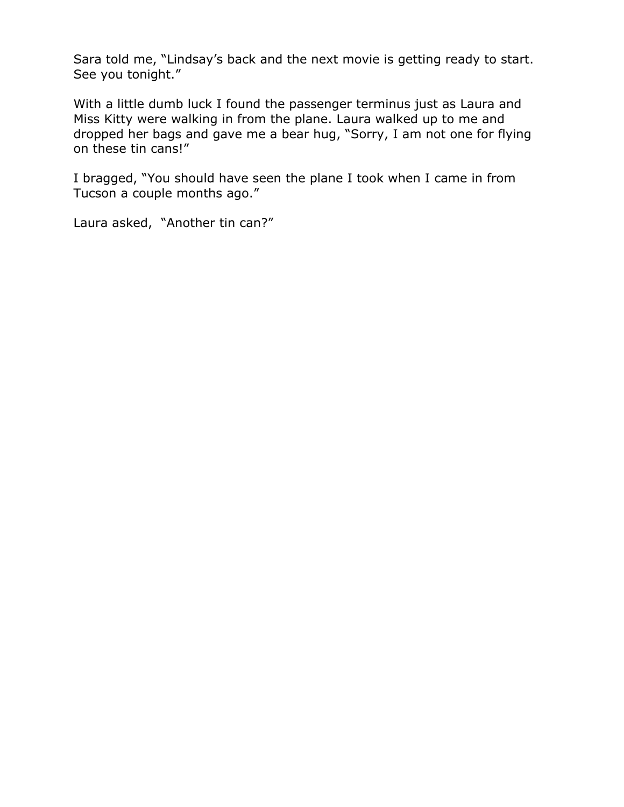Sara told me, "Lindsay's back and the next movie is getting ready to start. See you tonight."

With a little dumb luck I found the passenger terminus just as Laura and Miss Kitty were walking in from the plane. Laura walked up to me and dropped her bags and gave me a bear hug, "Sorry, I am not one for flying on these tin cans!"

I bragged, "You should have seen the plane I took when I came in from Tucson a couple months ago."

Laura asked, "Another tin can?"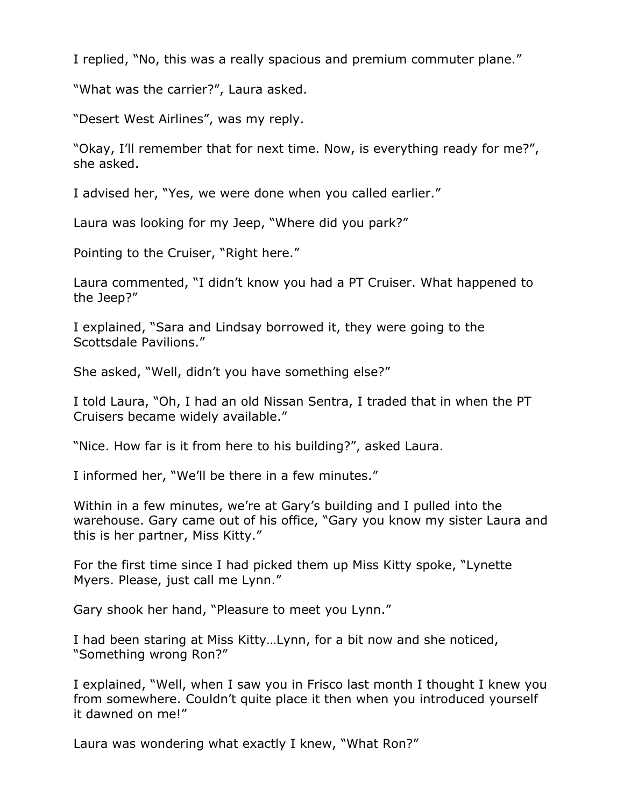I replied, "No, this was a really spacious and premium commuter plane."

"What was the carrier?", Laura asked.

"Desert West Airlines", was my reply.

"Okay, I'll remember that for next time. Now, is everything ready for me?", she asked.

I advised her, "Yes, we were done when you called earlier."

Laura was looking for my Jeep, "Where did you park?"

Pointing to the Cruiser, "Right here."

Laura commented, "I didn't know you had a PT Cruiser. What happened to the Jeep?"

I explained, "Sara and Lindsay borrowed it, they were going to the Scottsdale Pavilions."

She asked, "Well, didn't you have something else?"

I told Laura, "Oh, I had an old Nissan Sentra, I traded that in when the PT Cruisers became widely available."

"Nice. How far is it from here to his building?", asked Laura.

I informed her, "We'll be there in a few minutes."

Within in a few minutes, we're at Gary's building and I pulled into the warehouse. Gary came out of his office, "Gary you know my sister Laura and this is her partner, Miss Kitty."

For the first time since I had picked them up Miss Kitty spoke, "Lynette Myers. Please, just call me Lynn."

Gary shook her hand, "Pleasure to meet you Lynn."

I had been staring at Miss Kitty…Lynn, for a bit now and she noticed, "Something wrong Ron?"

I explained, "Well, when I saw you in Frisco last month I thought I knew you from somewhere. Couldn't quite place it then when you introduced yourself it dawned on me!"

Laura was wondering what exactly I knew, "What Ron?"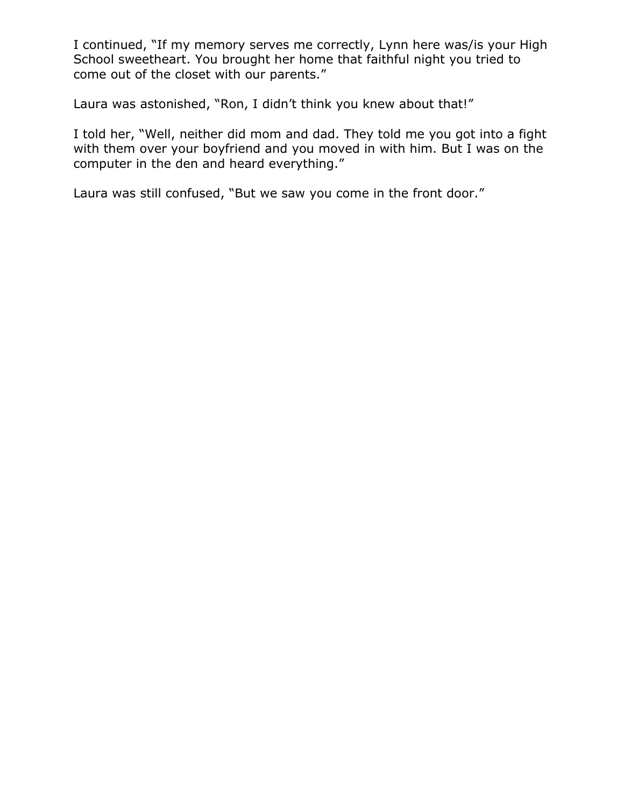I continued, "If my memory serves me correctly, Lynn here was/is your High School sweetheart. You brought her home that faithful night you tried to come out of the closet with our parents."

Laura was astonished, "Ron, I didn't think you knew about that!"

I told her, "Well, neither did mom and dad. They told me you got into a fight with them over your boyfriend and you moved in with him. But I was on the computer in the den and heard everything."

Laura was still confused, "But we saw you come in the front door."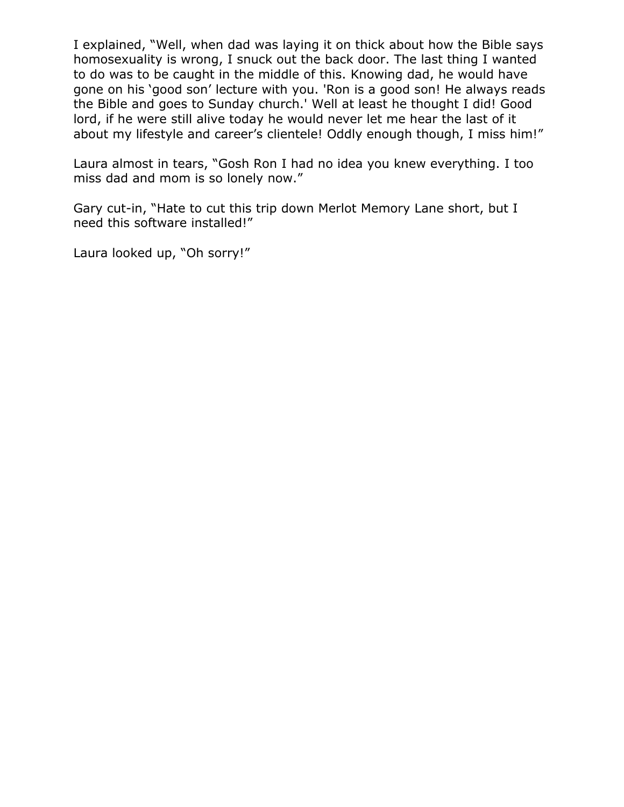I explained, "Well, when dad was laying it on thick about how the Bible says homosexuality is wrong, I snuck out the back door. The last thing I wanted to do was to be caught in the middle of this. Knowing dad, he would have gone on his 'good son' lecture with you. 'Ron is a good son! He always reads the Bible and goes to Sunday church.' Well at least he thought I did! Good lord, if he were still alive today he would never let me hear the last of it about my lifestyle and career's clientele! Oddly enough though, I miss him!"

Laura almost in tears, "Gosh Ron I had no idea you knew everything. I too miss dad and mom is so lonely now."

Gary cut-in, "Hate to cut this trip down Merlot Memory Lane short, but I need this software installed!"

Laura looked up, "Oh sorry!"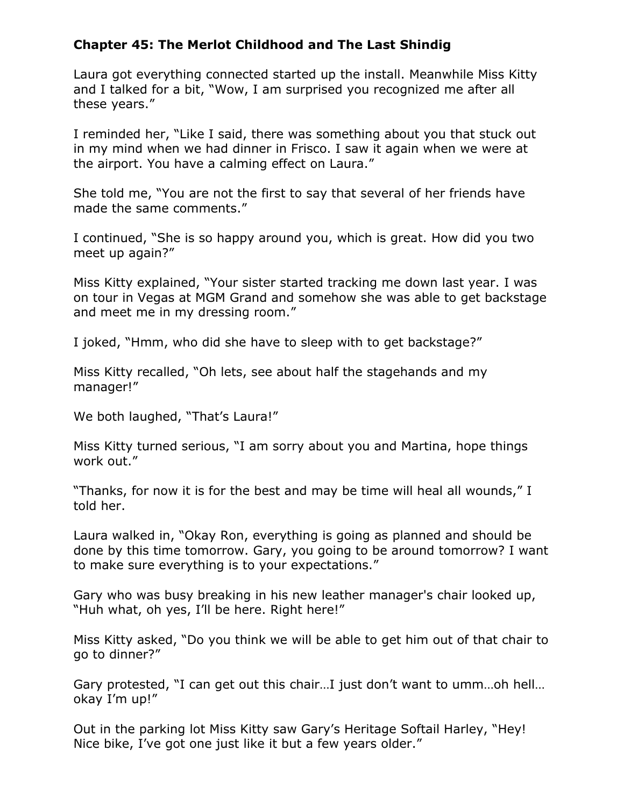# **Chapter 45: The Merlot Childhood and The Last Shindig**

Laura got everything connected started up the install. Meanwhile Miss Kitty and I talked for a bit, "Wow, I am surprised you recognized me after all these years."

I reminded her, "Like I said, there was something about you that stuck out in my mind when we had dinner in Frisco. I saw it again when we were at the airport. You have a calming effect on Laura."

She told me, "You are not the first to say that several of her friends have made the same comments."

I continued, "She is so happy around you, which is great. How did you two meet up again?"

Miss Kitty explained, "Your sister started tracking me down last year. I was on tour in Vegas at MGM Grand and somehow she was able to get backstage and meet me in my dressing room."

I joked, "Hmm, who did she have to sleep with to get backstage?"

Miss Kitty recalled, "Oh lets, see about half the stagehands and my manager!"

We both laughed, "That's Laura!"

Miss Kitty turned serious, "I am sorry about you and Martina, hope things work out."

"Thanks, for now it is for the best and may be time will heal all wounds," I told her.

Laura walked in, "Okay Ron, everything is going as planned and should be done by this time tomorrow. Gary, you going to be around tomorrow? I want to make sure everything is to your expectations."

Gary who was busy breaking in his new leather manager's chair looked up, "Huh what, oh yes, I'll be here. Right here!"

Miss Kitty asked, "Do you think we will be able to get him out of that chair to go to dinner?"

Gary protested, "I can get out this chair…I just don't want to umm…oh hell… okay I'm up!"

Out in the parking lot Miss Kitty saw Gary's Heritage Softail Harley, "Hey! Nice bike, I've got one just like it but a few years older."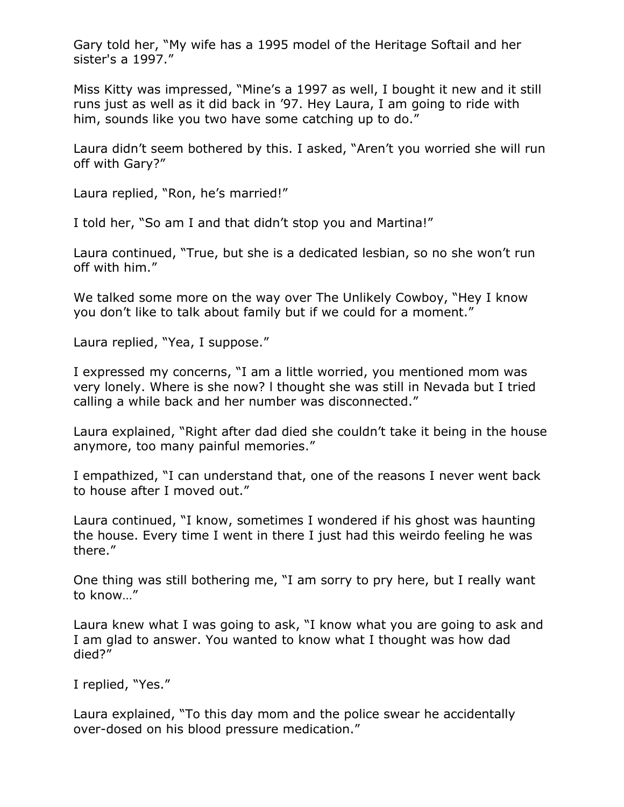Gary told her, "My wife has a 1995 model of the Heritage Softail and her sister's a 1997."

Miss Kitty was impressed, "Mine's a 1997 as well, I bought it new and it still runs just as well as it did back in '97. Hey Laura, I am going to ride with him, sounds like you two have some catching up to do."

Laura didn't seem bothered by this. I asked, "Aren't you worried she will run off with Gary?"

Laura replied, "Ron, he's married!"

I told her, "So am I and that didn't stop you and Martina!"

Laura continued, "True, but she is a dedicated lesbian, so no she won't run off with him."

We talked some more on the way over The Unlikely Cowboy, "Hey I know you don't like to talk about family but if we could for a moment."

Laura replied, "Yea, I suppose."

I expressed my concerns, "I am a little worried, you mentioned mom was very lonely. Where is she now? l thought she was still in Nevada but I tried calling a while back and her number was disconnected."

Laura explained, "Right after dad died she couldn't take it being in the house anymore, too many painful memories."

I empathized, "I can understand that, one of the reasons I never went back to house after I moved out."

Laura continued, "I know, sometimes I wondered if his ghost was haunting the house. Every time I went in there I just had this weirdo feeling he was there."

One thing was still bothering me, "I am sorry to pry here, but I really want to know…"

Laura knew what I was going to ask, "I know what you are going to ask and I am glad to answer. You wanted to know what I thought was how dad died?"

I replied, "Yes."

Laura explained, "To this day mom and the police swear he accidentally over-dosed on his blood pressure medication."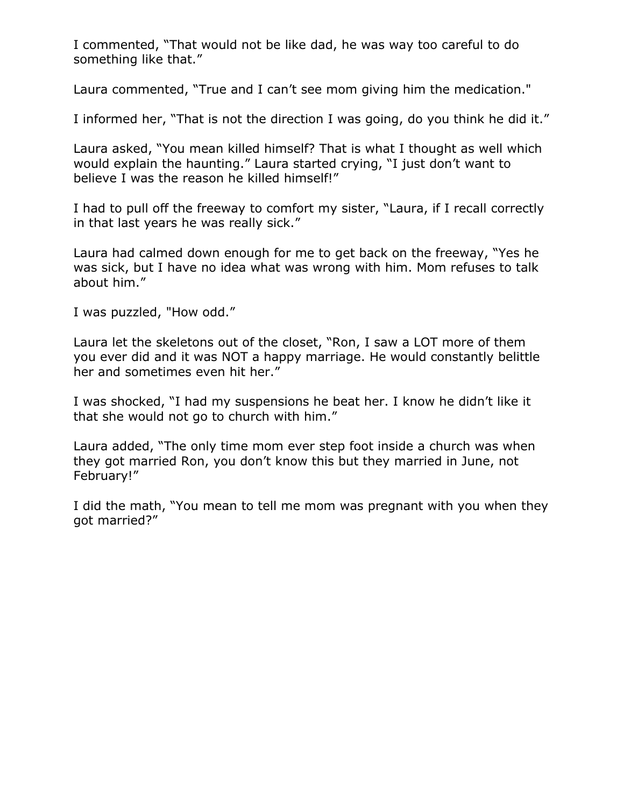I commented, "That would not be like dad, he was way too careful to do something like that."

Laura commented, "True and I can't see mom giving him the medication."

I informed her, "That is not the direction I was going, do you think he did it."

Laura asked, "You mean killed himself? That is what I thought as well which would explain the haunting." Laura started crying, "I just don't want to believe I was the reason he killed himself!"

I had to pull off the freeway to comfort my sister, "Laura, if I recall correctly in that last years he was really sick."

Laura had calmed down enough for me to get back on the freeway, "Yes he was sick, but I have no idea what was wrong with him. Mom refuses to talk about him."

I was puzzled, "How odd."

Laura let the skeletons out of the closet, "Ron, I saw a LOT more of them you ever did and it was NOT a happy marriage. He would constantly belittle her and sometimes even hit her."

I was shocked, "I had my suspensions he beat her. I know he didn't like it that she would not go to church with him."

Laura added, "The only time mom ever step foot inside a church was when they got married Ron, you don't know this but they married in June, not February!"

I did the math, "You mean to tell me mom was pregnant with you when they got married?"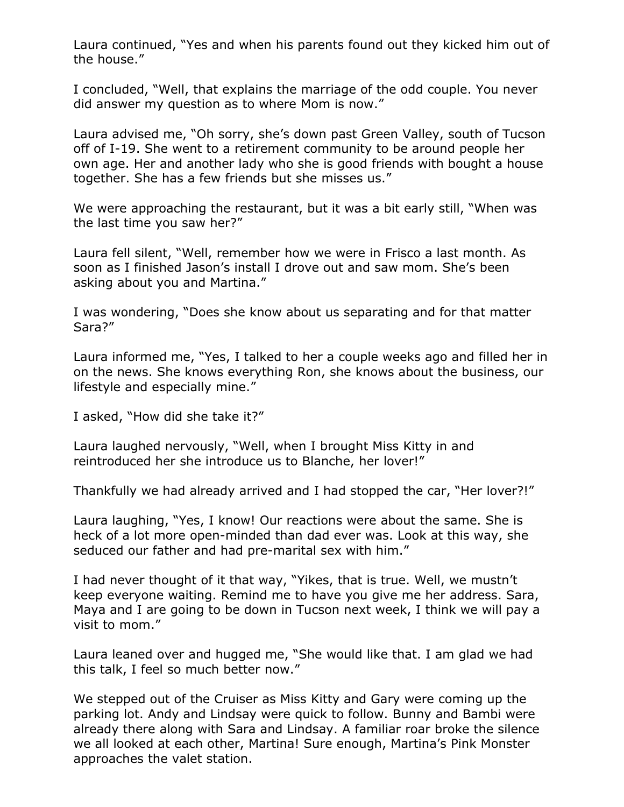Laura continued, "Yes and when his parents found out they kicked him out of the house."

I concluded, "Well, that explains the marriage of the odd couple. You never did answer my question as to where Mom is now."

Laura advised me, "Oh sorry, she's down past Green Valley, south of Tucson off of I-19. She went to a retirement community to be around people her own age. Her and another lady who she is good friends with bought a house together. She has a few friends but she misses us."

We were approaching the restaurant, but it was a bit early still, "When was the last time you saw her?"

Laura fell silent, "Well, remember how we were in Frisco a last month. As soon as I finished Jason's install I drove out and saw mom. She's been asking about you and Martina."

I was wondering, "Does she know about us separating and for that matter Sara?"

Laura informed me, "Yes, I talked to her a couple weeks ago and filled her in on the news. She knows everything Ron, she knows about the business, our lifestyle and especially mine."

I asked, "How did she take it?"

Laura laughed nervously, "Well, when I brought Miss Kitty in and reintroduced her she introduce us to Blanche, her lover!"

Thankfully we had already arrived and I had stopped the car, "Her lover?!"

Laura laughing, "Yes, I know! Our reactions were about the same. She is heck of a lot more open-minded than dad ever was. Look at this way, she seduced our father and had pre-marital sex with him."

I had never thought of it that way, "Yikes, that is true. Well, we mustn't keep everyone waiting. Remind me to have you give me her address. Sara, Maya and I are going to be down in Tucson next week, I think we will pay a visit to mom."

Laura leaned over and hugged me, "She would like that. I am glad we had this talk, I feel so much better now."

We stepped out of the Cruiser as Miss Kitty and Gary were coming up the parking lot. Andy and Lindsay were quick to follow. Bunny and Bambi were already there along with Sara and Lindsay. A familiar roar broke the silence we all looked at each other, Martina! Sure enough, Martina's Pink Monster approaches the valet station.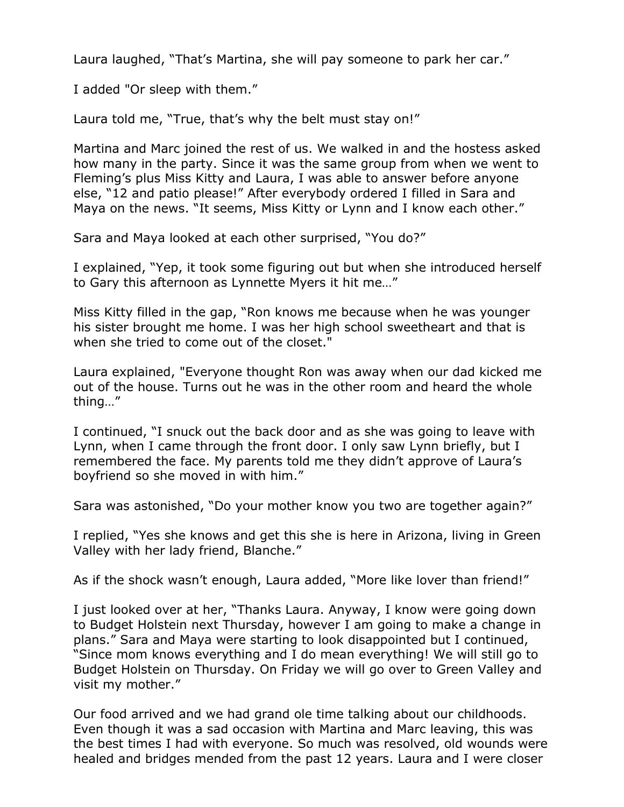Laura laughed, "That's Martina, she will pay someone to park her car."

I added "Or sleep with them."

Laura told me, "True, that's why the belt must stay on!"

Martina and Marc joined the rest of us. We walked in and the hostess asked how many in the party. Since it was the same group from when we went to Fleming's plus Miss Kitty and Laura, I was able to answer before anyone else, "12 and patio please!" After everybody ordered I filled in Sara and Maya on the news. "It seems, Miss Kitty or Lynn and I know each other."

Sara and Maya looked at each other surprised, "You do?"

I explained, "Yep, it took some figuring out but when she introduced herself to Gary this afternoon as Lynnette Myers it hit me…"

Miss Kitty filled in the gap, "Ron knows me because when he was younger his sister brought me home. I was her high school sweetheart and that is when she tried to come out of the closet."

Laura explained, "Everyone thought Ron was away when our dad kicked me out of the house. Turns out he was in the other room and heard the whole thing…"

I continued, "I snuck out the back door and as she was going to leave with Lynn, when I came through the front door. I only saw Lynn briefly, but I remembered the face. My parents told me they didn't approve of Laura's boyfriend so she moved in with him."

Sara was astonished, "Do your mother know you two are together again?"

I replied, "Yes she knows and get this she is here in Arizona, living in Green Valley with her lady friend, Blanche."

As if the shock wasn't enough, Laura added, "More like lover than friend!"

I just looked over at her, "Thanks Laura. Anyway, I know were going down to Budget Holstein next Thursday, however I am going to make a change in plans." Sara and Maya were starting to look disappointed but I continued, "Since mom knows everything and I do mean everything! We will still go to Budget Holstein on Thursday. On Friday we will go over to Green Valley and visit my mother."

Our food arrived and we had grand ole time talking about our childhoods. Even though it was a sad occasion with Martina and Marc leaving, this was the best times I had with everyone. So much was resolved, old wounds were healed and bridges mended from the past 12 years. Laura and I were closer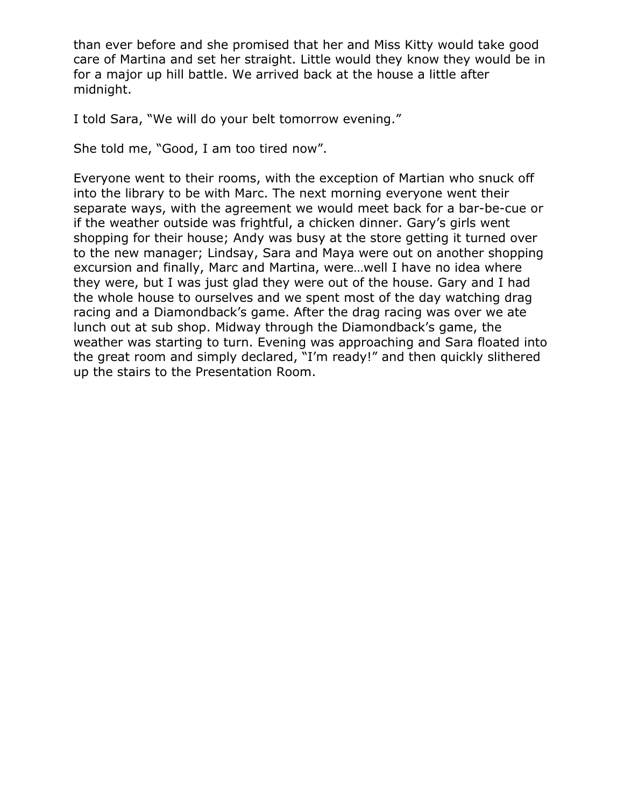than ever before and she promised that her and Miss Kitty would take good care of Martina and set her straight. Little would they know they would be in for a major up hill battle. We arrived back at the house a little after midnight.

I told Sara, "We will do your belt tomorrow evening."

She told me, "Good, I am too tired now".

Everyone went to their rooms, with the exception of Martian who snuck off into the library to be with Marc. The next morning everyone went their separate ways, with the agreement we would meet back for a bar-be-cue or if the weather outside was frightful, a chicken dinner. Gary's girls went shopping for their house; Andy was busy at the store getting it turned over to the new manager; Lindsay, Sara and Maya were out on another shopping excursion and finally, Marc and Martina, were…well I have no idea where they were, but I was just glad they were out of the house. Gary and I had the whole house to ourselves and we spent most of the day watching drag racing and a Diamondback's game. After the drag racing was over we ate lunch out at sub shop. Midway through the Diamondback's game, the weather was starting to turn. Evening was approaching and Sara floated into the great room and simply declared, "I'm ready!" and then quickly slithered up the stairs to the Presentation Room.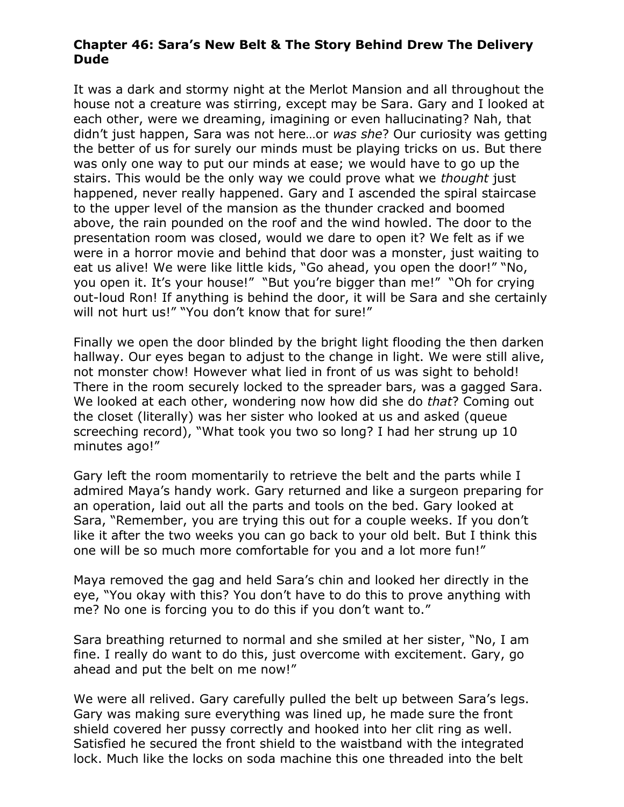#### **Chapter 46: Sara's New Belt & The Story Behind Drew The Delivery Dude**

It was a dark and stormy night at the Merlot Mansion and all throughout the house not a creature was stirring, except may be Sara. Gary and I looked at each other, were we dreaming, imagining or even hallucinating? Nah, that didn't just happen, Sara was not here…or *was she*? Our curiosity was getting the better of us for surely our minds must be playing tricks on us. But there was only one way to put our minds at ease; we would have to go up the stairs. This would be the only way we could prove what we *thought* just happened, never really happened. Gary and I ascended the spiral staircase to the upper level of the mansion as the thunder cracked and boomed above, the rain pounded on the roof and the wind howled. The door to the presentation room was closed, would we dare to open it? We felt as if we were in a horror movie and behind that door was a monster, just waiting to eat us alive! We were like little kids, "Go ahead, you open the door!" "No, you open it. It's your house!" "But you're bigger than me!" "Oh for crying out-loud Ron! If anything is behind the door, it will be Sara and she certainly will not hurt us!" "You don't know that for sure!"

Finally we open the door blinded by the bright light flooding the then darken hallway. Our eyes began to adjust to the change in light. We were still alive, not monster chow! However what lied in front of us was sight to behold! There in the room securely locked to the spreader bars, was a gagged Sara. We looked at each other, wondering now how did she do *that*? Coming out the closet (literally) was her sister who looked at us and asked (queue screeching record), "What took you two so long? I had her strung up 10 minutes ago!"

Gary left the room momentarily to retrieve the belt and the parts while I admired Maya's handy work. Gary returned and like a surgeon preparing for an operation, laid out all the parts and tools on the bed. Gary looked at Sara, "Remember, you are trying this out for a couple weeks. If you don't like it after the two weeks you can go back to your old belt. But I think this one will be so much more comfortable for you and a lot more fun!"

Maya removed the gag and held Sara's chin and looked her directly in the eye, "You okay with this? You don't have to do this to prove anything with me? No one is forcing you to do this if you don't want to."

Sara breathing returned to normal and she smiled at her sister, "No, I am fine. I really do want to do this, just overcome with excitement. Gary, go ahead and put the belt on me now!"

We were all relived. Gary carefully pulled the belt up between Sara's legs. Gary was making sure everything was lined up, he made sure the front shield covered her pussy correctly and hooked into her clit ring as well. Satisfied he secured the front shield to the waistband with the integrated lock. Much like the locks on soda machine this one threaded into the belt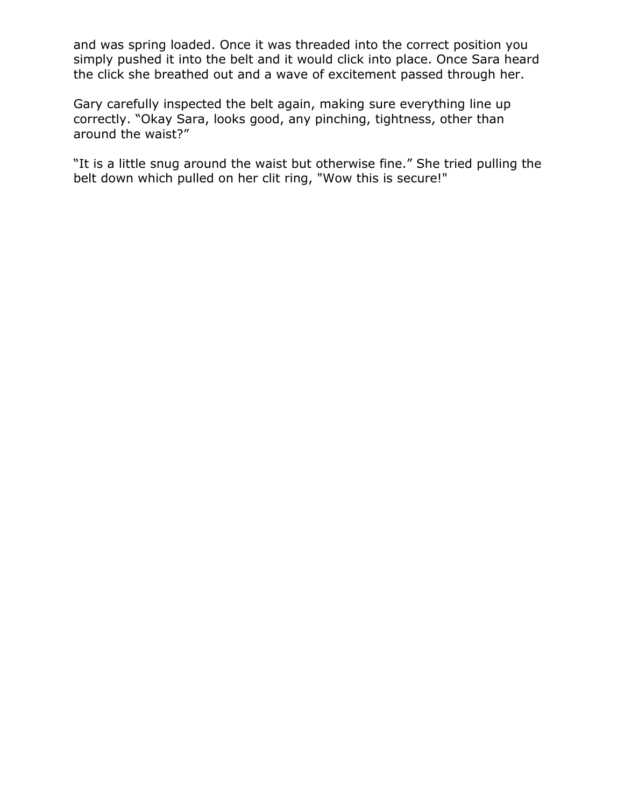and was spring loaded. Once it was threaded into the correct position you simply pushed it into the belt and it would click into place. Once Sara heard the click she breathed out and a wave of excitement passed through her.

Gary carefully inspected the belt again, making sure everything line up correctly. "Okay Sara, looks good, any pinching, tightness, other than around the waist?"

"It is a little snug around the waist but otherwise fine." She tried pulling the belt down which pulled on her clit ring, "Wow this is secure!"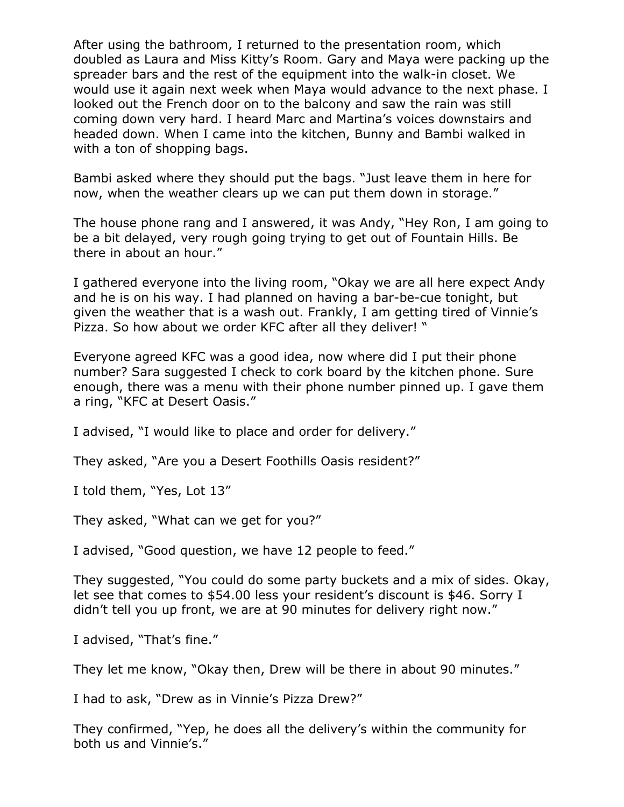After using the bathroom, I returned to the presentation room, which doubled as Laura and Miss Kitty's Room. Gary and Maya were packing up the spreader bars and the rest of the equipment into the walk-in closet. We would use it again next week when Maya would advance to the next phase. I looked out the French door on to the balcony and saw the rain was still coming down very hard. I heard Marc and Martina's voices downstairs and headed down. When I came into the kitchen, Bunny and Bambi walked in with a ton of shopping bags.

Bambi asked where they should put the bags. "Just leave them in here for now, when the weather clears up we can put them down in storage."

The house phone rang and I answered, it was Andy, "Hey Ron, I am going to be a bit delayed, very rough going trying to get out of Fountain Hills. Be there in about an hour."

I gathered everyone into the living room, "Okay we are all here expect Andy and he is on his way. I had planned on having a bar-be-cue tonight, but given the weather that is a wash out. Frankly, I am getting tired of Vinnie's Pizza. So how about we order KFC after all they deliver! "

Everyone agreed KFC was a good idea, now where did I put their phone number? Sara suggested I check to cork board by the kitchen phone. Sure enough, there was a menu with their phone number pinned up. I gave them a ring, "KFC at Desert Oasis."

I advised, "I would like to place and order for delivery."

They asked, "Are you a Desert Foothills Oasis resident?"

I told them, "Yes, Lot 13"

They asked, "What can we get for you?"

I advised, "Good question, we have 12 people to feed."

They suggested, "You could do some party buckets and a mix of sides. Okay, let see that comes to \$54.00 less your resident's discount is \$46. Sorry I didn't tell you up front, we are at 90 minutes for delivery right now."

I advised, "That's fine."

They let me know, "Okay then, Drew will be there in about 90 minutes."

I had to ask, "Drew as in Vinnie's Pizza Drew?"

They confirmed, "Yep, he does all the delivery's within the community for both us and Vinnie's."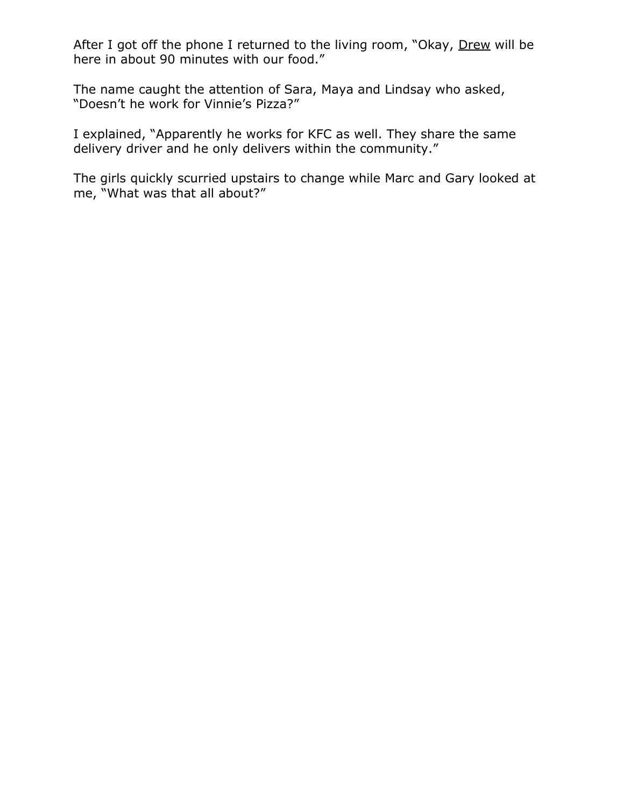After I got off the phone I returned to the living room, "Okay, Drew will be here in about 90 minutes with our food."

The name caught the attention of Sara, Maya and Lindsay who asked, "Doesn't he work for Vinnie's Pizza?"

I explained, "Apparently he works for KFC as well. They share the same delivery driver and he only delivers within the community."

The girls quickly scurried upstairs to change while Marc and Gary looked at me, "What was that all about?"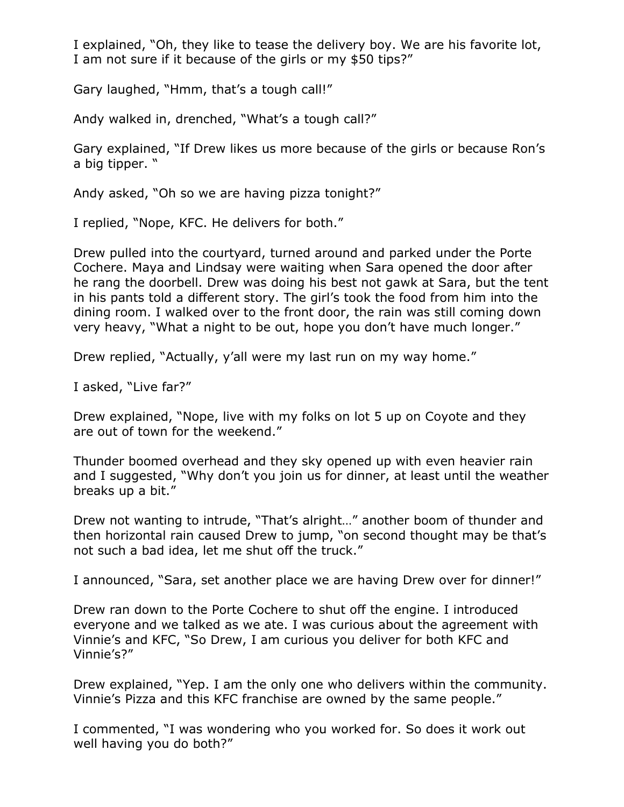I explained, "Oh, they like to tease the delivery boy. We are his favorite lot, I am not sure if it because of the girls or my \$50 tips?"

Gary laughed, "Hmm, that's a tough call!"

Andy walked in, drenched, "What's a tough call?"

Gary explained, "If Drew likes us more because of the girls or because Ron's a big tipper. "

Andy asked, "Oh so we are having pizza tonight?"

I replied, "Nope, KFC. He delivers for both."

Drew pulled into the courtyard, turned around and parked under the Porte Cochere. Maya and Lindsay were waiting when Sara opened the door after he rang the doorbell. Drew was doing his best not gawk at Sara, but the tent in his pants told a different story. The girl's took the food from him into the dining room. I walked over to the front door, the rain was still coming down very heavy, "What a night to be out, hope you don't have much longer."

Drew replied, "Actually, y'all were my last run on my way home."

I asked, "Live far?"

Drew explained, "Nope, live with my folks on lot 5 up on Coyote and they are out of town for the weekend."

Thunder boomed overhead and they sky opened up with even heavier rain and I suggested, "Why don't you join us for dinner, at least until the weather breaks up a bit."

Drew not wanting to intrude, "That's alright…" another boom of thunder and then horizontal rain caused Drew to jump, "on second thought may be that's not such a bad idea, let me shut off the truck."

I announced, "Sara, set another place we are having Drew over for dinner!"

Drew ran down to the Porte Cochere to shut off the engine. I introduced everyone and we talked as we ate. I was curious about the agreement with Vinnie's and KFC, "So Drew, I am curious you deliver for both KFC and Vinnie's?"

Drew explained, "Yep. I am the only one who delivers within the community. Vinnie's Pizza and this KFC franchise are owned by the same people."

I commented, "I was wondering who you worked for. So does it work out well having you do both?"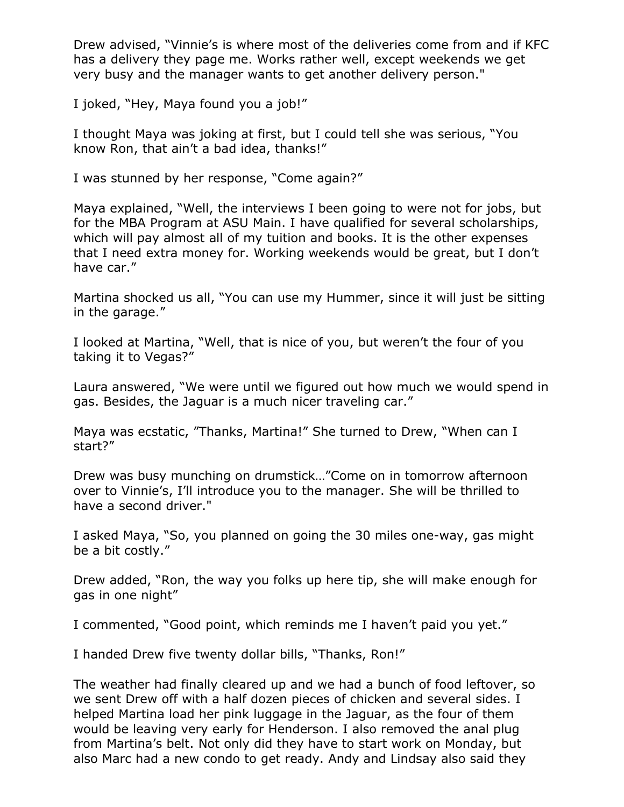Drew advised, "Vinnie's is where most of the deliveries come from and if KFC has a delivery they page me. Works rather well, except weekends we get very busy and the manager wants to get another delivery person."

I joked, "Hey, Maya found you a job!"

I thought Maya was joking at first, but I could tell she was serious, "You know Ron, that ain't a bad idea, thanks!"

I was stunned by her response, "Come again?"

Maya explained, "Well, the interviews I been going to were not for jobs, but for the MBA Program at ASU Main. I have qualified for several scholarships, which will pay almost all of my tuition and books. It is the other expenses that I need extra money for. Working weekends would be great, but I don't have car."

Martina shocked us all, "You can use my Hummer, since it will just be sitting in the garage."

I looked at Martina, "Well, that is nice of you, but weren't the four of you taking it to Vegas?"

Laura answered, "We were until we figured out how much we would spend in gas. Besides, the Jaguar is a much nicer traveling car."

Maya was ecstatic, "Thanks, Martina!" She turned to Drew, "When can I start?"

Drew was busy munching on drumstick…"Come on in tomorrow afternoon over to Vinnie's, I'll introduce you to the manager. She will be thrilled to have a second driver."

I asked Maya, "So, you planned on going the 30 miles one-way, gas might be a bit costly."

Drew added, "Ron, the way you folks up here tip, she will make enough for gas in one night"

I commented, "Good point, which reminds me I haven't paid you yet."

I handed Drew five twenty dollar bills, "Thanks, Ron!"

The weather had finally cleared up and we had a bunch of food leftover, so we sent Drew off with a half dozen pieces of chicken and several sides. I helped Martina load her pink luggage in the Jaguar, as the four of them would be leaving very early for Henderson. I also removed the anal plug from Martina's belt. Not only did they have to start work on Monday, but also Marc had a new condo to get ready. Andy and Lindsay also said they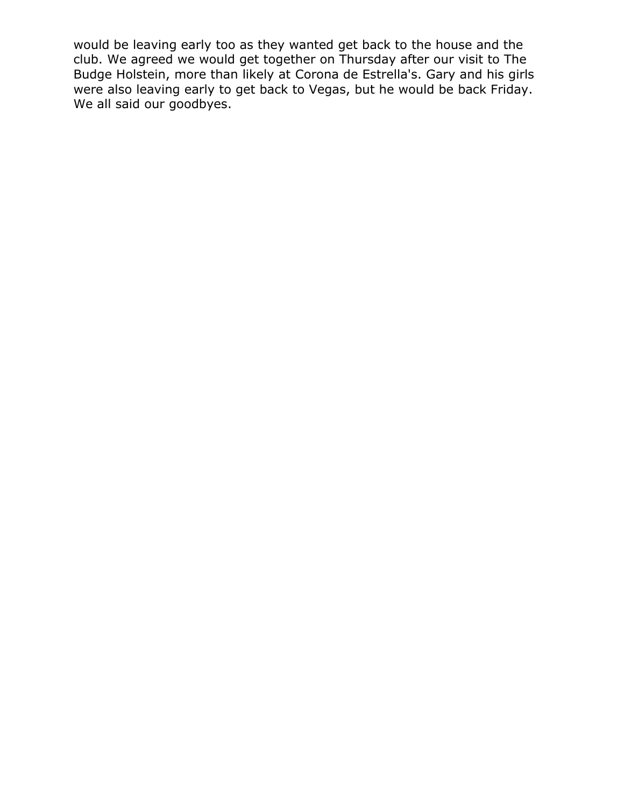would be leaving early too as they wanted get back to the house and the club. We agreed we would get together on Thursday after our visit to The Budge Holstein, more than likely at Corona de Estrella's. Gary and his girls were also leaving early to get back to Vegas, but he would be back Friday. We all said our goodbyes.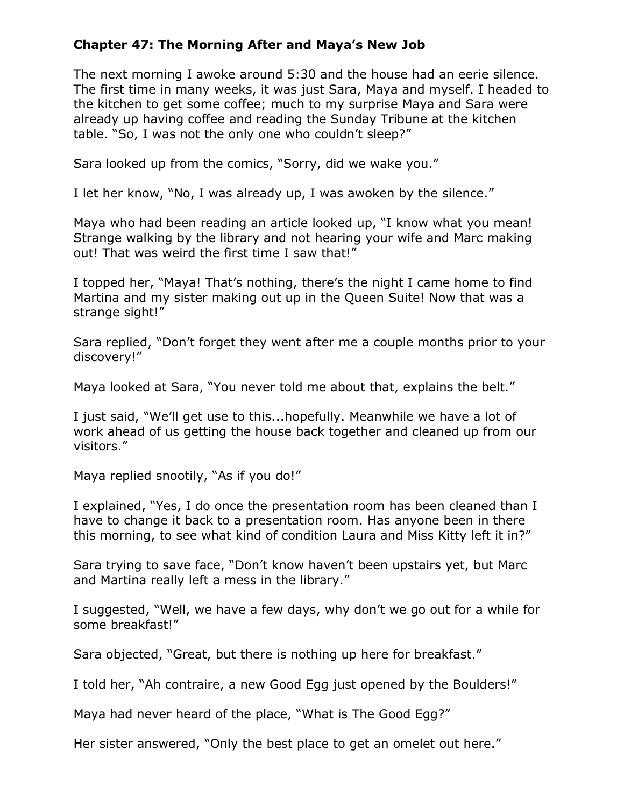# **Chapter 47: The Morning After and Maya's New Job**

The next morning I awoke around 5:30 and the house had an eerie silence. The first time in many weeks, it was just Sara, Maya and myself. I headed to the kitchen to get some coffee; much to my surprise Maya and Sara were already up having coffee and reading the Sunday Tribune at the kitchen table. "So, I was not the only one who couldn't sleep?"

Sara looked up from the comics, "Sorry, did we wake you."

I let her know, "No, I was already up, I was awoken by the silence."

Maya who had been reading an article looked up, "I know what you mean! Strange walking by the library and not hearing your wife and Marc making out! That was weird the first time I saw that!"

I topped her, "Maya! That's nothing, there's the night I came home to find Martina and my sister making out up in the Queen Suite! Now that was a strange sight!"

Sara replied, "Don't forget they went after me a couple months prior to your discovery!"

Maya looked at Sara, "You never told me about that, explains the belt."

I just said, "We'll get use to this...hopefully. Meanwhile we have a lot of work ahead of us getting the house back together and cleaned up from our visitors."

Maya replied snootily, "As if you do!"

I explained, "Yes, I do once the presentation room has been cleaned than I have to change it back to a presentation room. Has anyone been in there this morning, to see what kind of condition Laura and Miss Kitty left it in?"

Sara trying to save face, "Don't know haven't been upstairs yet, but Marc and Martina really left a mess in the library."

I suggested, "Well, we have a few days, why don't we go out for a while for some breakfast!"

Sara objected, "Great, but there is nothing up here for breakfast."

I told her, "Ah contraire, a new Good Egg just opened by the Boulders!"

Maya had never heard of the place, "What is The Good Egg?"

Her sister answered, "Only the best place to get an omelet out here."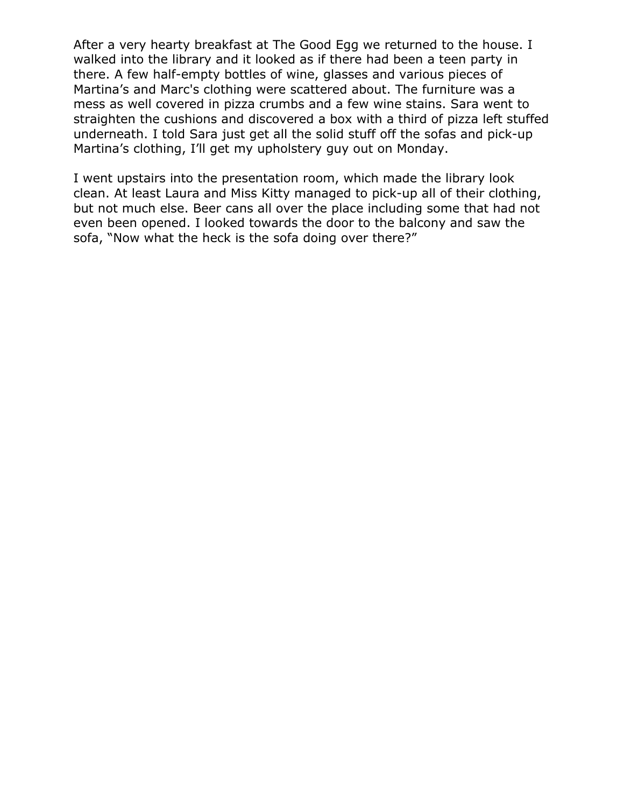After a very hearty breakfast at The Good Egg we returned to the house. I walked into the library and it looked as if there had been a teen party in there. A few half-empty bottles of wine, glasses and various pieces of Martina's and Marc's clothing were scattered about. The furniture was a mess as well covered in pizza crumbs and a few wine stains. Sara went to straighten the cushions and discovered a box with a third of pizza left stuffed underneath. I told Sara just get all the solid stuff off the sofas and pick-up Martina's clothing, I'll get my upholstery guy out on Monday.

I went upstairs into the presentation room, which made the library look clean. At least Laura and Miss Kitty managed to pick-up all of their clothing, but not much else. Beer cans all over the place including some that had not even been opened. I looked towards the door to the balcony and saw the sofa, "Now what the heck is the sofa doing over there?"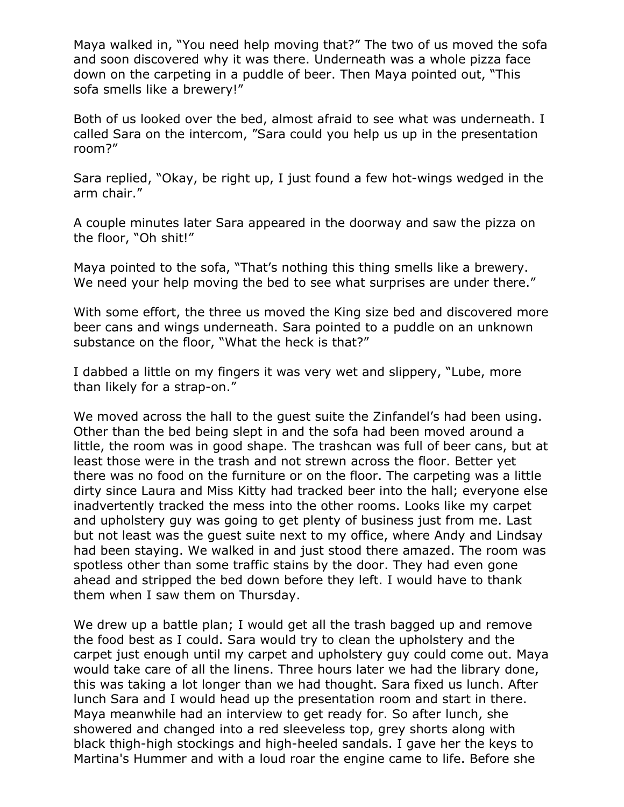Maya walked in, "You need help moving that?" The two of us moved the sofa and soon discovered why it was there. Underneath was a whole pizza face down on the carpeting in a puddle of beer. Then Maya pointed out, "This sofa smells like a brewery!"

Both of us looked over the bed, almost afraid to see what was underneath. I called Sara on the intercom, "Sara could you help us up in the presentation room?"

Sara replied, "Okay, be right up, I just found a few hot-wings wedged in the arm chair."

A couple minutes later Sara appeared in the doorway and saw the pizza on the floor, "Oh shit!"

Maya pointed to the sofa, "That's nothing this thing smells like a brewery. We need your help moving the bed to see what surprises are under there."

With some effort, the three us moved the King size bed and discovered more beer cans and wings underneath. Sara pointed to a puddle on an unknown substance on the floor, "What the heck is that?"

I dabbed a little on my fingers it was very wet and slippery, "Lube, more than likely for a strap-on."

We moved across the hall to the guest suite the Zinfandel's had been using. Other than the bed being slept in and the sofa had been moved around a little, the room was in good shape. The trashcan was full of beer cans, but at least those were in the trash and not strewn across the floor. Better yet there was no food on the furniture or on the floor. The carpeting was a little dirty since Laura and Miss Kitty had tracked beer into the hall; everyone else inadvertently tracked the mess into the other rooms. Looks like my carpet and upholstery guy was going to get plenty of business just from me. Last but not least was the guest suite next to my office, where Andy and Lindsay had been staying. We walked in and just stood there amazed. The room was spotless other than some traffic stains by the door. They had even gone ahead and stripped the bed down before they left. I would have to thank them when I saw them on Thursday.

We drew up a battle plan; I would get all the trash bagged up and remove the food best as I could. Sara would try to clean the upholstery and the carpet just enough until my carpet and upholstery guy could come out. Maya would take care of all the linens. Three hours later we had the library done, this was taking a lot longer than we had thought. Sara fixed us lunch. After lunch Sara and I would head up the presentation room and start in there. Maya meanwhile had an interview to get ready for. So after lunch, she showered and changed into a red sleeveless top, grey shorts along with black thigh-high stockings and high-heeled sandals. I gave her the keys to Martina's Hummer and with a loud roar the engine came to life. Before she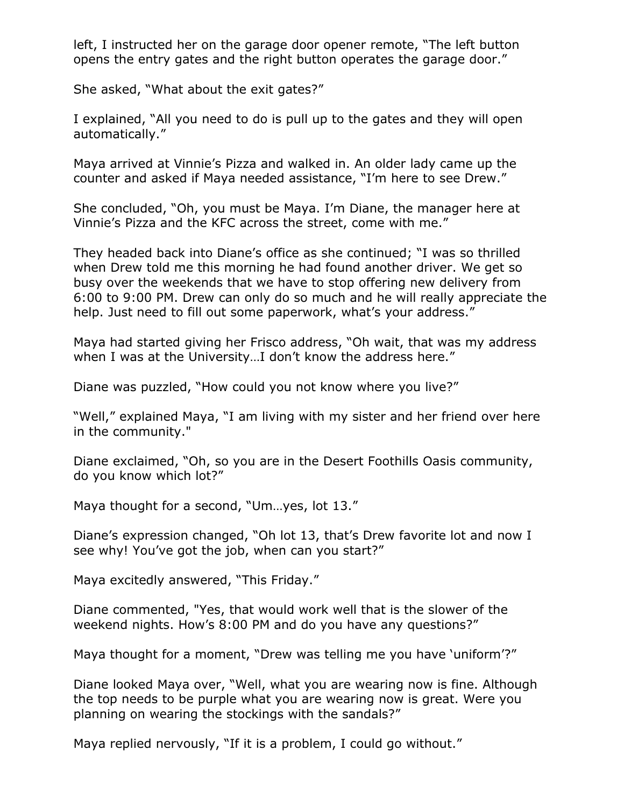left, I instructed her on the garage door opener remote, "The left button opens the entry gates and the right button operates the garage door."

She asked, "What about the exit gates?"

I explained, "All you need to do is pull up to the gates and they will open automatically."

Maya arrived at Vinnie's Pizza and walked in. An older lady came up the counter and asked if Maya needed assistance, "I'm here to see Drew."

She concluded, "Oh, you must be Maya. I'm Diane, the manager here at Vinnie's Pizza and the KFC across the street, come with me."

They headed back into Diane's office as she continued; "I was so thrilled when Drew told me this morning he had found another driver. We get so busy over the weekends that we have to stop offering new delivery from 6:00 to 9:00 PM. Drew can only do so much and he will really appreciate the help. Just need to fill out some paperwork, what's your address."

Maya had started giving her Frisco address, "Oh wait, that was my address when I was at the University...I don't know the address here."

Diane was puzzled, "How could you not know where you live?"

"Well," explained Maya, "I am living with my sister and her friend over here in the community."

Diane exclaimed, "Oh, so you are in the Desert Foothills Oasis community, do you know which lot?"

Maya thought for a second, "Um…yes, lot 13."

Diane's expression changed, "Oh lot 13, that's Drew favorite lot and now I see why! You've got the job, when can you start?"

Maya excitedly answered, "This Friday."

Diane commented, "Yes, that would work well that is the slower of the weekend nights. How's 8:00 PM and do you have any questions?"

Maya thought for a moment, "Drew was telling me you have 'uniform'?"

Diane looked Maya over, "Well, what you are wearing now is fine. Although the top needs to be purple what you are wearing now is great. Were you planning on wearing the stockings with the sandals?"

Maya replied nervously, "If it is a problem, I could go without."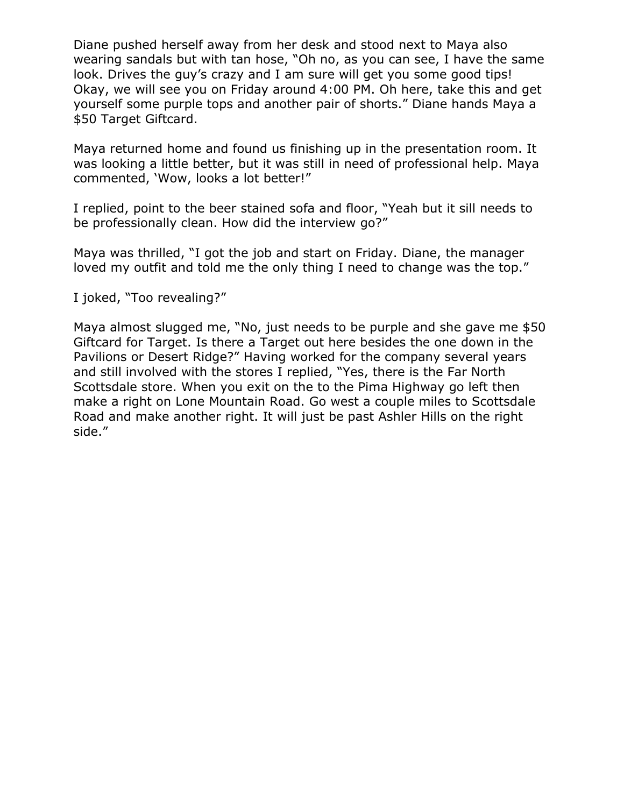Diane pushed herself away from her desk and stood next to Maya also wearing sandals but with tan hose, "Oh no, as you can see, I have the same look. Drives the guy's crazy and I am sure will get you some good tips! Okay, we will see you on Friday around 4:00 PM. Oh here, take this and get yourself some purple tops and another pair of shorts." Diane hands Maya a \$50 Target Giftcard.

Maya returned home and found us finishing up in the presentation room. It was looking a little better, but it was still in need of professional help. Maya commented, 'Wow, looks a lot better!"

I replied, point to the beer stained sofa and floor, "Yeah but it sill needs to be professionally clean. How did the interview go?"

Maya was thrilled, "I got the job and start on Friday. Diane, the manager loved my outfit and told me the only thing I need to change was the top."

I joked, "Too revealing?"

Maya almost slugged me, "No, just needs to be purple and she gave me \$50 Giftcard for Target. Is there a Target out here besides the one down in the Pavilions or Desert Ridge?" Having worked for the company several years and still involved with the stores I replied, "Yes, there is the Far North Scottsdale store. When you exit on the to the Pima Highway go left then make a right on Lone Mountain Road. Go west a couple miles to Scottsdale Road and make another right. It will just be past Ashler Hills on the right side."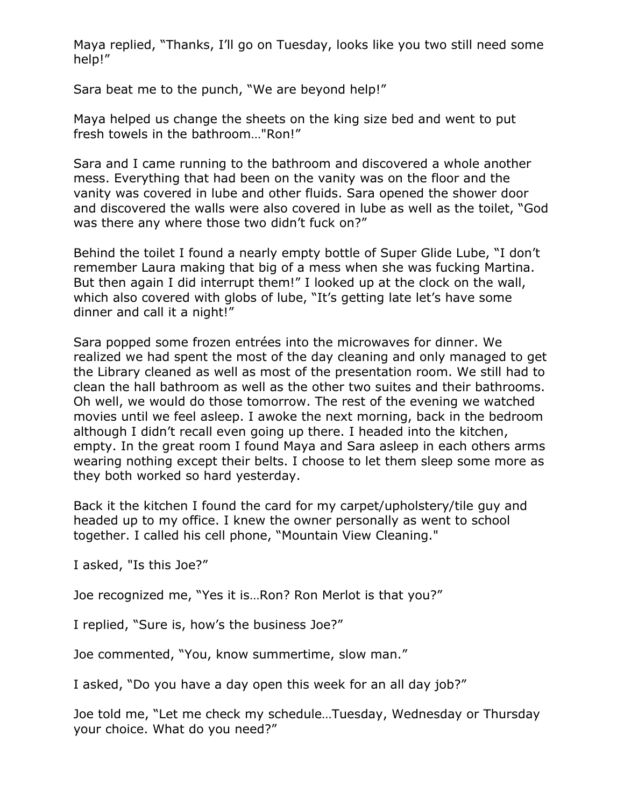Maya replied, "Thanks, I'll go on Tuesday, looks like you two still need some help!"

Sara beat me to the punch, "We are beyond help!"

Maya helped us change the sheets on the king size bed and went to put fresh towels in the bathroom…"Ron!"

Sara and I came running to the bathroom and discovered a whole another mess. Everything that had been on the vanity was on the floor and the vanity was covered in lube and other fluids. Sara opened the shower door and discovered the walls were also covered in lube as well as the toilet, "God was there any where those two didn't fuck on?"

Behind the toilet I found a nearly empty bottle of Super Glide Lube, "I don't remember Laura making that big of a mess when she was fucking Martina. But then again I did interrupt them!" I looked up at the clock on the wall, which also covered with globs of lube, "It's getting late let's have some dinner and call it a night!"

Sara popped some frozen entrées into the microwaves for dinner. We realized we had spent the most of the day cleaning and only managed to get the Library cleaned as well as most of the presentation room. We still had to clean the hall bathroom as well as the other two suites and their bathrooms. Oh well, we would do those tomorrow. The rest of the evening we watched movies until we feel asleep. I awoke the next morning, back in the bedroom although I didn't recall even going up there. I headed into the kitchen, empty. In the great room I found Maya and Sara asleep in each others arms wearing nothing except their belts. I choose to let them sleep some more as they both worked so hard yesterday.

Back it the kitchen I found the card for my carpet/upholstery/tile guy and headed up to my office. I knew the owner personally as went to school together. I called his cell phone, "Mountain View Cleaning."

I asked, "Is this Joe?"

Joe recognized me, "Yes it is…Ron? Ron Merlot is that you?"

I replied, "Sure is, how's the business Joe?"

Joe commented, "You, know summertime, slow man."

I asked, "Do you have a day open this week for an all day job?"

Joe told me, "Let me check my schedule…Tuesday, Wednesday or Thursday your choice. What do you need?"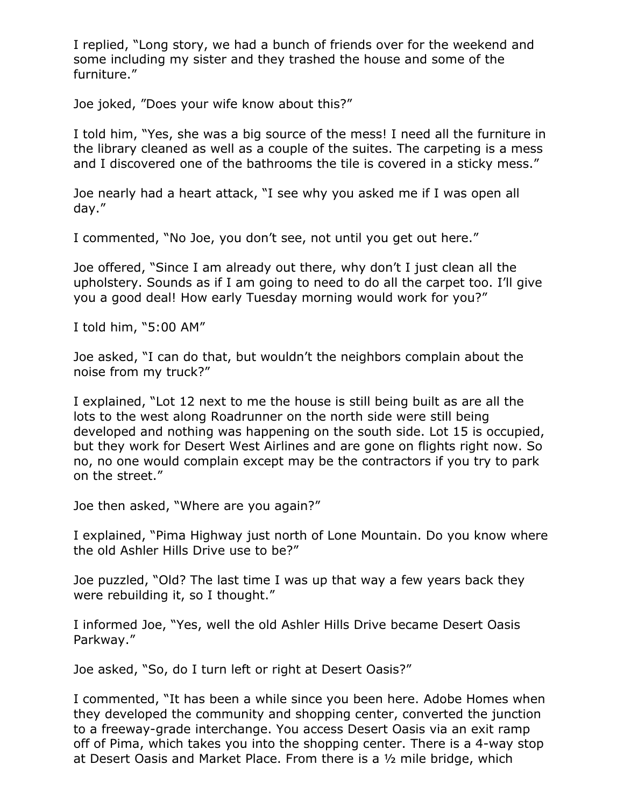I replied, "Long story, we had a bunch of friends over for the weekend and some including my sister and they trashed the house and some of the furniture."

Joe joked, "Does your wife know about this?"

I told him, "Yes, she was a big source of the mess! I need all the furniture in the library cleaned as well as a couple of the suites. The carpeting is a mess and I discovered one of the bathrooms the tile is covered in a sticky mess."

Joe nearly had a heart attack, "I see why you asked me if I was open all day."

I commented, "No Joe, you don't see, not until you get out here."

Joe offered, "Since I am already out there, why don't I just clean all the upholstery. Sounds as if I am going to need to do all the carpet too. I'll give you a good deal! How early Tuesday morning would work for you?"

I told him, "5:00 AM"

Joe asked, "I can do that, but wouldn't the neighbors complain about the noise from my truck?"

I explained, "Lot 12 next to me the house is still being built as are all the lots to the west along Roadrunner on the north side were still being developed and nothing was happening on the south side. Lot 15 is occupied, but they work for Desert West Airlines and are gone on flights right now. So no, no one would complain except may be the contractors if you try to park on the street."

Joe then asked, "Where are you again?"

I explained, "Pima Highway just north of Lone Mountain. Do you know where the old Ashler Hills Drive use to be?"

Joe puzzled, "Old? The last time I was up that way a few years back they were rebuilding it, so I thought."

I informed Joe, "Yes, well the old Ashler Hills Drive became Desert Oasis Parkway."

Joe asked, "So, do I turn left or right at Desert Oasis?"

I commented, "It has been a while since you been here. Adobe Homes when they developed the community and shopping center, converted the junction to a freeway-grade interchange. You access Desert Oasis via an exit ramp off of Pima, which takes you into the shopping center. There is a 4-way stop at Desert Oasis and Market Place. From there is a ½ mile bridge, which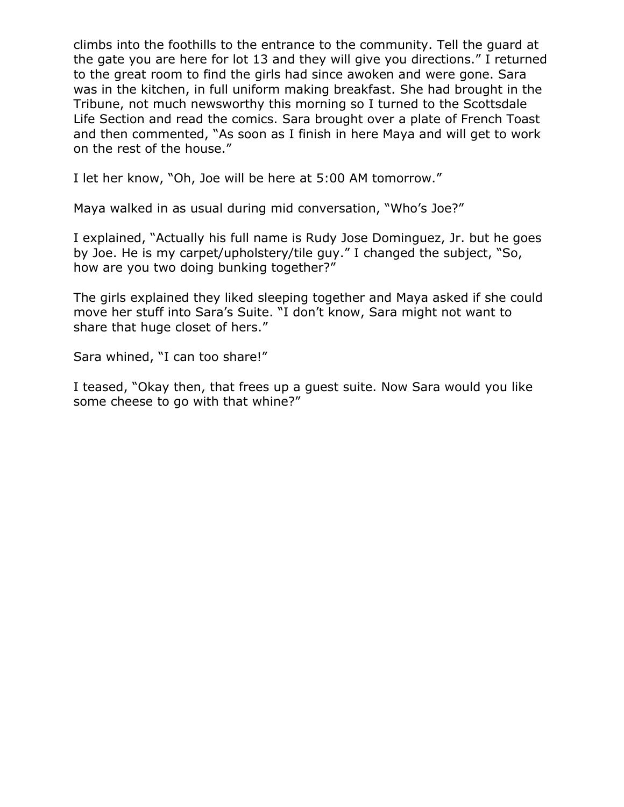climbs into the foothills to the entrance to the community. Tell the guard at the gate you are here for lot 13 and they will give you directions." I returned to the great room to find the girls had since awoken and were gone. Sara was in the kitchen, in full uniform making breakfast. She had brought in the Tribune, not much newsworthy this morning so I turned to the Scottsdale Life Section and read the comics. Sara brought over a plate of French Toast and then commented, "As soon as I finish in here Maya and will get to work on the rest of the house."

I let her know, "Oh, Joe will be here at 5:00 AM tomorrow."

Maya walked in as usual during mid conversation, "Who's Joe?"

I explained, "Actually his full name is Rudy Jose Dominguez, Jr. but he goes by Joe. He is my carpet/upholstery/tile guy." I changed the subject, "So, how are you two doing bunking together?"

The girls explained they liked sleeping together and Maya asked if she could move her stuff into Sara's Suite. "I don't know, Sara might not want to share that huge closet of hers."

Sara whined, "I can too share!"

I teased, "Okay then, that frees up a guest suite. Now Sara would you like some cheese to go with that whine?"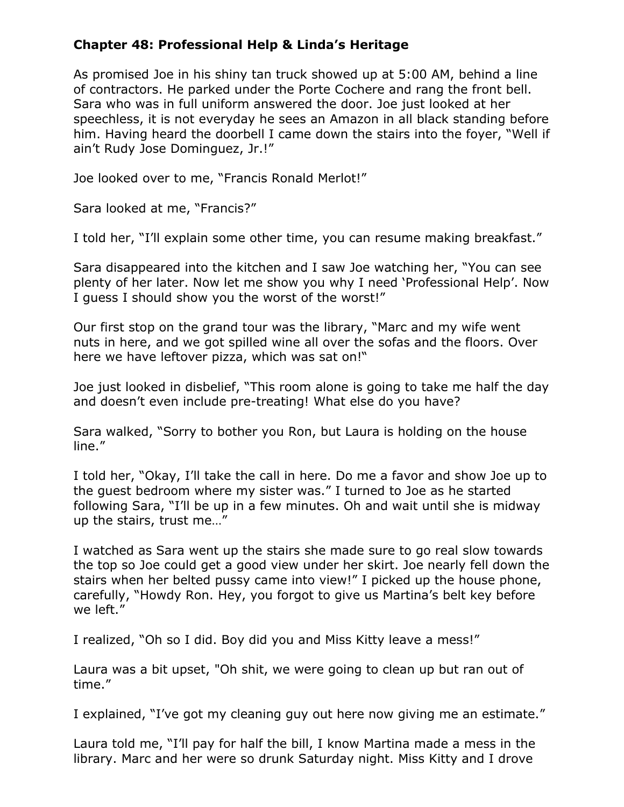## **Chapter 48: Professional Help & Linda's Heritage**

As promised Joe in his shiny tan truck showed up at 5:00 AM, behind a line of contractors. He parked under the Porte Cochere and rang the front bell. Sara who was in full uniform answered the door. Joe just looked at her speechless, it is not everyday he sees an Amazon in all black standing before him. Having heard the doorbell I came down the stairs into the foyer, "Well if ain't Rudy Jose Dominguez, Jr.!"

Joe looked over to me, "Francis Ronald Merlot!"

Sara looked at me, "Francis?"

I told her, "I'll explain some other time, you can resume making breakfast."

Sara disappeared into the kitchen and I saw Joe watching her, "You can see plenty of her later. Now let me show you why I need 'Professional Help'. Now I guess I should show you the worst of the worst!"

Our first stop on the grand tour was the library, "Marc and my wife went nuts in here, and we got spilled wine all over the sofas and the floors. Over here we have leftover pizza, which was sat on!"

Joe just looked in disbelief, "This room alone is going to take me half the day and doesn't even include pre-treating! What else do you have?

Sara walked, "Sorry to bother you Ron, but Laura is holding on the house line."

I told her, "Okay, I'll take the call in here. Do me a favor and show Joe up to the guest bedroom where my sister was." I turned to Joe as he started following Sara, "I'll be up in a few minutes. Oh and wait until she is midway up the stairs, trust me…"

I watched as Sara went up the stairs she made sure to go real slow towards the top so Joe could get a good view under her skirt. Joe nearly fell down the stairs when her belted pussy came into view!" I picked up the house phone, carefully, "Howdy Ron. Hey, you forgot to give us Martina's belt key before we left."

I realized, "Oh so I did. Boy did you and Miss Kitty leave a mess!"

Laura was a bit upset, "Oh shit, we were going to clean up but ran out of time."

I explained, "I've got my cleaning guy out here now giving me an estimate."

Laura told me, "I'll pay for half the bill, I know Martina made a mess in the library. Marc and her were so drunk Saturday night. Miss Kitty and I drove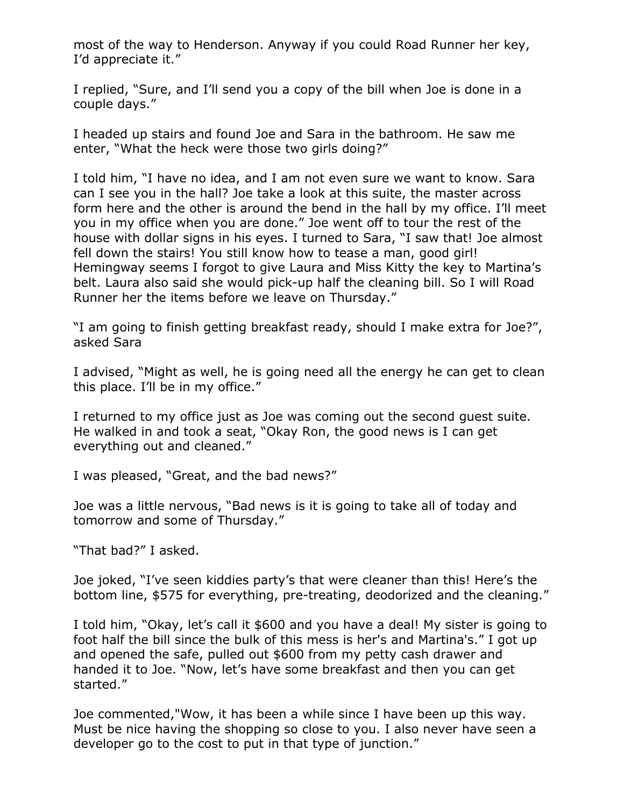most of the way to Henderson. Anyway if you could Road Runner her key, I'd appreciate it."

I replied, "Sure, and I'll send you a copy of the bill when Joe is done in a couple days."

I headed up stairs and found Joe and Sara in the bathroom. He saw me enter, "What the heck were those two girls doing?"

I told him, "I have no idea, and I am not even sure we want to know. Sara can I see you in the hall? Joe take a look at this suite, the master across form here and the other is around the bend in the hall by my office. I'll meet you in my office when you are done." Joe went off to tour the rest of the house with dollar signs in his eyes. I turned to Sara, "I saw that! Joe almost fell down the stairs! You still know how to tease a man, good girl! Hemingway seems I forgot to give Laura and Miss Kitty the key to Martina's belt. Laura also said she would pick-up half the cleaning bill. So I will Road Runner her the items before we leave on Thursday."

"I am going to finish getting breakfast ready, should I make extra for Joe?", asked Sara

I advised, "Might as well, he is going need all the energy he can get to clean this place. I'll be in my office."

I returned to my office just as Joe was coming out the second guest suite. He walked in and took a seat, "Okay Ron, the good news is I can get everything out and cleaned."

I was pleased, "Great, and the bad news?"

Joe was a little nervous, "Bad news is it is going to take all of today and tomorrow and some of Thursday."

"That bad?" I asked.

Joe joked, "I've seen kiddies party's that were cleaner than this! Here's the bottom line, \$575 for everything, pre-treating, deodorized and the cleaning."

I told him, "Okay, let's call it \$600 and you have a deal! My sister is going to foot half the bill since the bulk of this mess is her's and Martina's." I got up and opened the safe, pulled out \$600 from my petty cash drawer and handed it to Joe. "Now, let's have some breakfast and then you can get started."

Joe commented,"Wow, it has been a while since I have been up this way. Must be nice having the shopping so close to you. I also never have seen a developer go to the cost to put in that type of junction."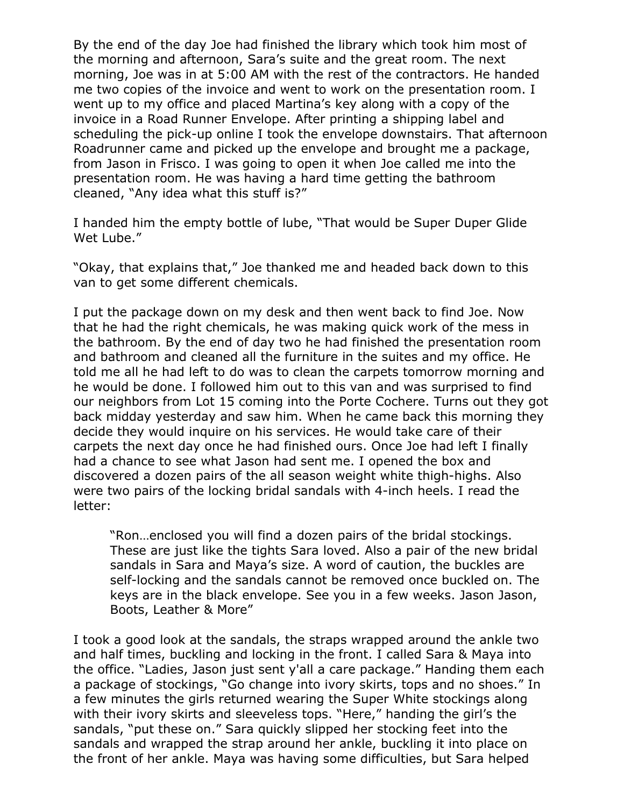By the end of the day Joe had finished the library which took him most of the morning and afternoon, Sara's suite and the great room. The next morning, Joe was in at 5:00 AM with the rest of the contractors. He handed me two copies of the invoice and went to work on the presentation room. I went up to my office and placed Martina's key along with a copy of the invoice in a Road Runner Envelope. After printing a shipping label and scheduling the pick-up online I took the envelope downstairs. That afternoon Roadrunner came and picked up the envelope and brought me a package, from Jason in Frisco. I was going to open it when Joe called me into the presentation room. He was having a hard time getting the bathroom cleaned, "Any idea what this stuff is?"

I handed him the empty bottle of lube, "That would be Super Duper Glide Wet Lube."

"Okay, that explains that," Joe thanked me and headed back down to this van to get some different chemicals.

I put the package down on my desk and then went back to find Joe. Now that he had the right chemicals, he was making quick work of the mess in the bathroom. By the end of day two he had finished the presentation room and bathroom and cleaned all the furniture in the suites and my office. He told me all he had left to do was to clean the carpets tomorrow morning and he would be done. I followed him out to this van and was surprised to find our neighbors from Lot 15 coming into the Porte Cochere. Turns out they got back midday yesterday and saw him. When he came back this morning they decide they would inquire on his services. He would take care of their carpets the next day once he had finished ours. Once Joe had left I finally had a chance to see what Jason had sent me. I opened the box and discovered a dozen pairs of the all season weight white thigh-highs. Also were two pairs of the locking bridal sandals with 4-inch heels. I read the letter:

"Ron…enclosed you will find a dozen pairs of the bridal stockings. These are just like the tights Sara loved. Also a pair of the new bridal sandals in Sara and Maya's size. A word of caution, the buckles are self-locking and the sandals cannot be removed once buckled on. The keys are in the black envelope. See you in a few weeks. Jason Jason, Boots, Leather & More"

I took a good look at the sandals, the straps wrapped around the ankle two and half times, buckling and locking in the front. I called Sara & Maya into the office. "Ladies, Jason just sent y'all a care package." Handing them each a package of stockings, "Go change into ivory skirts, tops and no shoes." In a few minutes the girls returned wearing the Super White stockings along with their ivory skirts and sleeveless tops. "Here," handing the girl's the sandals, "put these on." Sara quickly slipped her stocking feet into the sandals and wrapped the strap around her ankle, buckling it into place on the front of her ankle. Maya was having some difficulties, but Sara helped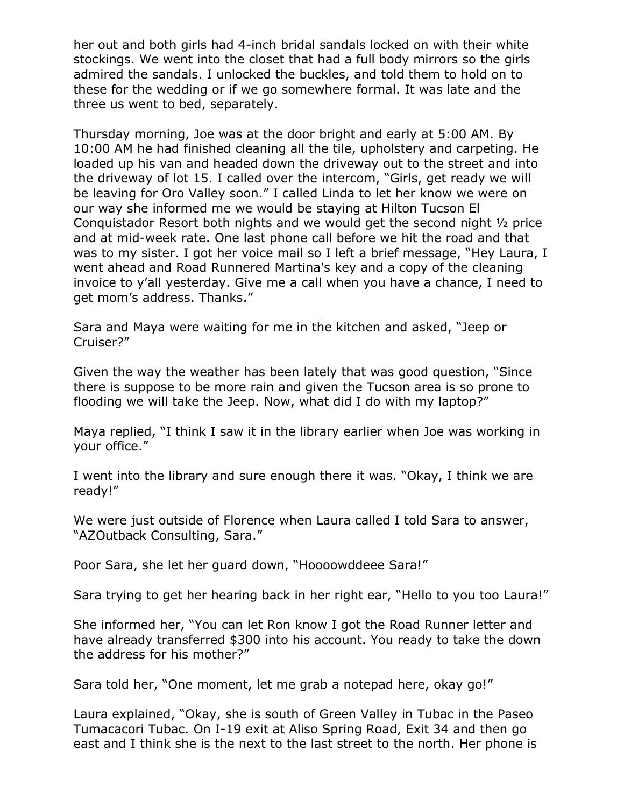her out and both girls had 4-inch bridal sandals locked on with their white stockings. We went into the closet that had a full body mirrors so the girls admired the sandals. I unlocked the buckles, and told them to hold on to these for the wedding or if we go somewhere formal. It was late and the three us went to bed, separately.

Thursday morning, Joe was at the door bright and early at 5:00 AM. By 10:00 AM he had finished cleaning all the tile, upholstery and carpeting. He loaded up his van and headed down the driveway out to the street and into the driveway of lot 15. I called over the intercom, "Girls, get ready we will be leaving for Oro Valley soon." I called Linda to let her know we were on our way she informed me we would be staying at Hilton Tucson El Conquistador Resort both nights and we would get the second night ½ price and at mid-week rate. One last phone call before we hit the road and that was to my sister. I got her voice mail so I left a brief message, "Hey Laura, I went ahead and Road Runnered Martina's key and a copy of the cleaning invoice to y'all yesterday. Give me a call when you have a chance, I need to get mom's address. Thanks."

Sara and Maya were waiting for me in the kitchen and asked, "Jeep or Cruiser?"

Given the way the weather has been lately that was good question, "Since there is suppose to be more rain and given the Tucson area is so prone to flooding we will take the Jeep. Now, what did I do with my laptop?"

Maya replied, "I think I saw it in the library earlier when Joe was working in your office."

I went into the library and sure enough there it was. "Okay, I think we are ready!"

We were just outside of Florence when Laura called I told Sara to answer, "AZOutback Consulting, Sara."

Poor Sara, she let her guard down, "Hoooowddeee Sara!"

Sara trying to get her hearing back in her right ear, "Hello to you too Laura!"

She informed her, "You can let Ron know I got the Road Runner letter and have already transferred \$300 into his account. You ready to take the down the address for his mother?"

Sara told her, "One moment, let me grab a notepad here, okay go!"

Laura explained, "Okay, she is south of Green Valley in Tubac in the Paseo Tumacacori Tubac. On I-19 exit at Aliso Spring Road, Exit 34 and then go east and I think she is the next to the last street to the north. Her phone is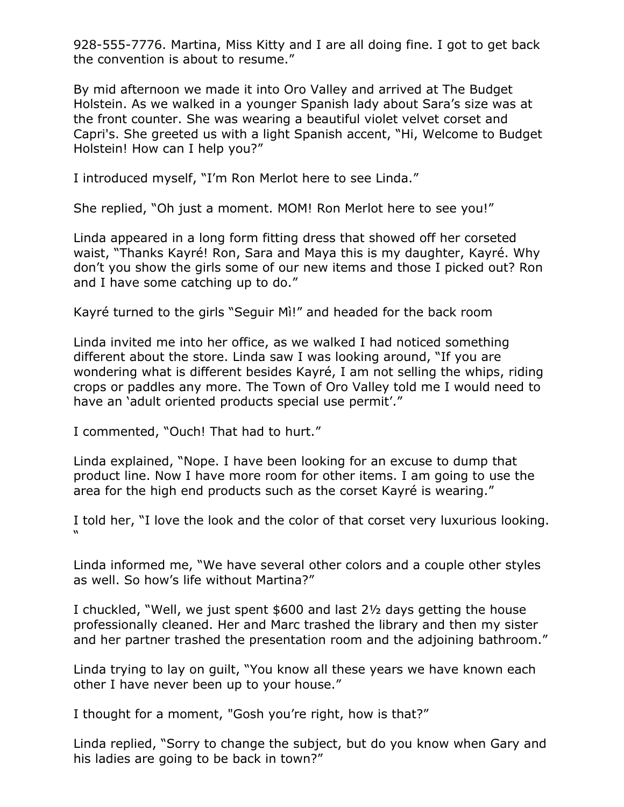928-555-7776. Martina, Miss Kitty and I are all doing fine. I got to get back the convention is about to resume."

By mid afternoon we made it into Oro Valley and arrived at The Budget Holstein. As we walked in a younger Spanish lady about Sara's size was at the front counter. She was wearing a beautiful violet velvet corset and Capri's. She greeted us with a light Spanish accent, "Hi, Welcome to Budget Holstein! How can I help you?"

I introduced myself, "I'm Ron Merlot here to see Linda."

She replied, "Oh just a moment. MOM! Ron Merlot here to see you!"

Linda appeared in a long form fitting dress that showed off her corseted waist, "Thanks Kayré! Ron, Sara and Maya this is my daughter, Kayré. Why don't you show the girls some of our new items and those I picked out? Ron and I have some catching up to do."

Kayré turned to the girls "Seguir Mì!" and headed for the back room

Linda invited me into her office, as we walked I had noticed something different about the store. Linda saw I was looking around, "If you are wondering what is different besides Kayré, I am not selling the whips, riding crops or paddles any more. The Town of Oro Valley told me I would need to have an 'adult oriented products special use permit'."

I commented, "Ouch! That had to hurt."

Linda explained, "Nope. I have been looking for an excuse to dump that product line. Now I have more room for other items. I am going to use the area for the high end products such as the corset Kayré is wearing."

I told her, "I love the look and the color of that corset very luxurious looking. "

Linda informed me, "We have several other colors and a couple other styles as well. So how's life without Martina?"

I chuckled, "Well, we just spent \$600 and last 2½ days getting the house professionally cleaned. Her and Marc trashed the library and then my sister and her partner trashed the presentation room and the adioining bathroom."

Linda trying to lay on guilt, "You know all these years we have known each other I have never been up to your house."

I thought for a moment, "Gosh you're right, how is that?"

Linda replied, "Sorry to change the subject, but do you know when Gary and his ladies are going to be back in town?"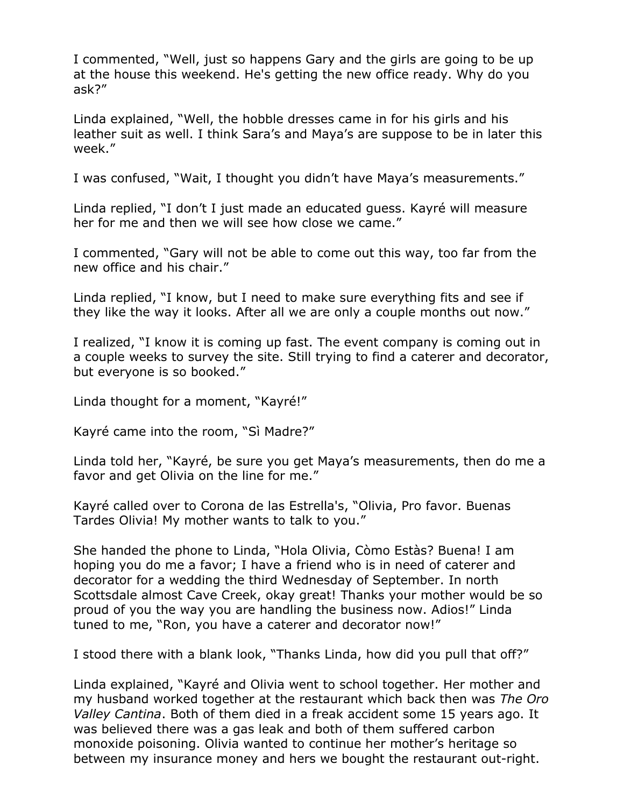I commented, "Well, just so happens Gary and the girls are going to be up at the house this weekend. He's getting the new office ready. Why do you ask?"

Linda explained, "Well, the hobble dresses came in for his girls and his leather suit as well. I think Sara's and Maya's are suppose to be in later this week."

I was confused, "Wait, I thought you didn't have Maya's measurements."

Linda replied, "I don't I just made an educated guess. Kayré will measure her for me and then we will see how close we came."

I commented, "Gary will not be able to come out this way, too far from the new office and his chair."

Linda replied, "I know, but I need to make sure everything fits and see if they like the way it looks. After all we are only a couple months out now."

I realized, "I know it is coming up fast. The event company is coming out in a couple weeks to survey the site. Still trying to find a caterer and decorator, but everyone is so booked."

Linda thought for a moment, "Kayré!"

Kayré came into the room, "Sì Madre?"

Linda told her, "Kayré, be sure you get Maya's measurements, then do me a favor and get Olivia on the line for me."

Kayré called over to Corona de las Estrella's, "Olivia, Pro favor. Buenas Tardes Olivia! My mother wants to talk to you."

She handed the phone to Linda, "Hola Olivia, Còmo Estàs? Buena! I am hoping you do me a favor; I have a friend who is in need of caterer and decorator for a wedding the third Wednesday of September. In north Scottsdale almost Cave Creek, okay great! Thanks your mother would be so proud of you the way you are handling the business now. Adios!" Linda tuned to me, "Ron, you have a caterer and decorator now!"

I stood there with a blank look, "Thanks Linda, how did you pull that off?"

Linda explained, "Kayré and Olivia went to school together. Her mother and my husband worked together at the restaurant which back then was *The Oro Valley Cantina*. Both of them died in a freak accident some 15 years ago. It was believed there was a gas leak and both of them suffered carbon monoxide poisoning. Olivia wanted to continue her mother's heritage so between my insurance money and hers we bought the restaurant out-right.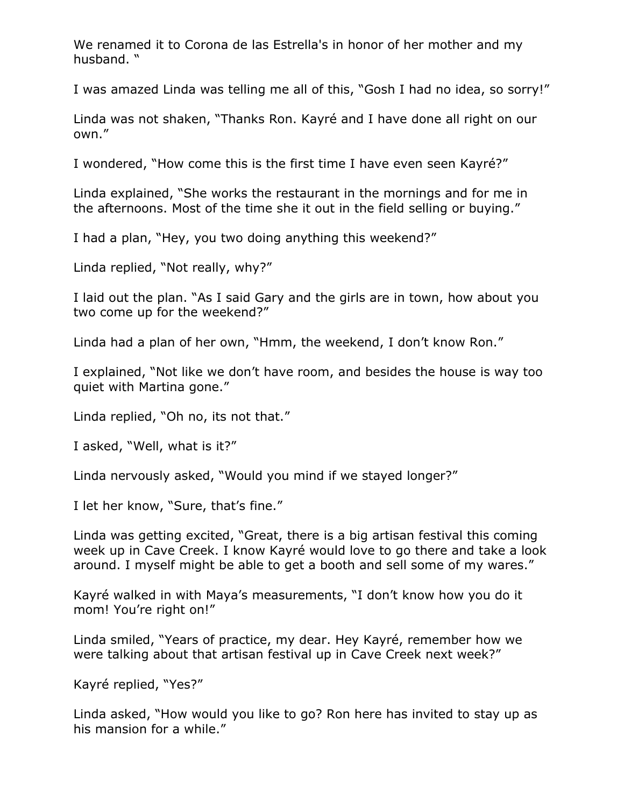We renamed it to Corona de las Estrella's in honor of her mother and my husband. "

I was amazed Linda was telling me all of this, "Gosh I had no idea, so sorry!"

Linda was not shaken, "Thanks Ron. Kayré and I have done all right on our own."

I wondered, "How come this is the first time I have even seen Kayré?"

Linda explained, "She works the restaurant in the mornings and for me in the afternoons. Most of the time she it out in the field selling or buying."

I had a plan, "Hey, you two doing anything this weekend?"

Linda replied, "Not really, why?"

I laid out the plan. "As I said Gary and the girls are in town, how about you two come up for the weekend?"

Linda had a plan of her own, "Hmm, the weekend, I don't know Ron."

I explained, "Not like we don't have room, and besides the house is way too quiet with Martina gone."

Linda replied, "Oh no, its not that."

I asked, "Well, what is it?"

Linda nervously asked, "Would you mind if we stayed longer?"

I let her know, "Sure, that's fine."

Linda was getting excited, "Great, there is a big artisan festival this coming week up in Cave Creek. I know Kayré would love to go there and take a look around. I myself might be able to get a booth and sell some of my wares."

Kayré walked in with Maya's measurements, "I don't know how you do it mom! You're right on!"

Linda smiled, "Years of practice, my dear. Hey Kayré, remember how we were talking about that artisan festival up in Cave Creek next week?"

Kayré replied, "Yes?"

Linda asked, "How would you like to go? Ron here has invited to stay up as his mansion for a while."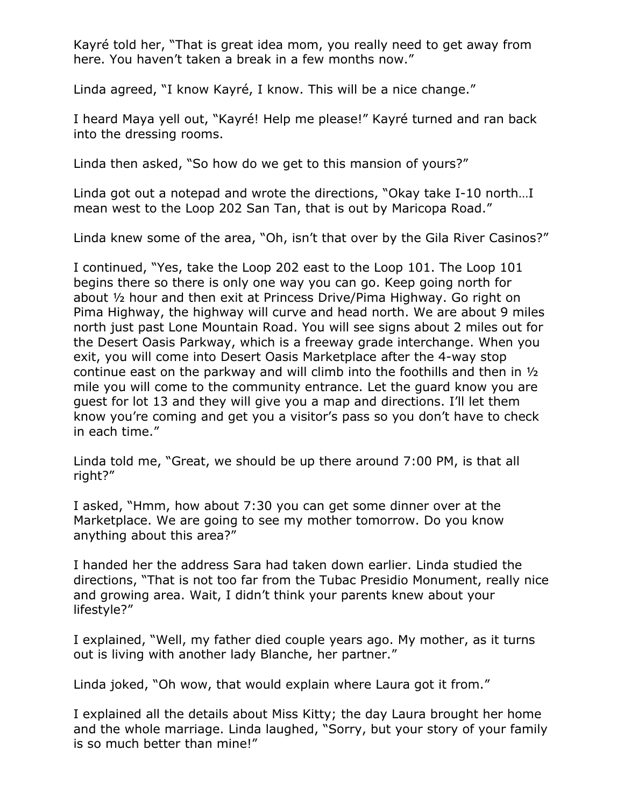Kayré told her, "That is great idea mom, you really need to get away from here. You haven't taken a break in a few months now."

Linda agreed, "I know Kayré, I know. This will be a nice change."

I heard Maya yell out, "Kayré! Help me please!" Kayré turned and ran back into the dressing rooms.

Linda then asked, "So how do we get to this mansion of yours?"

Linda got out a notepad and wrote the directions, "Okay take I-10 north…I mean west to the Loop 202 San Tan, that is out by Maricopa Road."

Linda knew some of the area, "Oh, isn't that over by the Gila River Casinos?"

I continued, "Yes, take the Loop 202 east to the Loop 101. The Loop 101 begins there so there is only one way you can go. Keep going north for about ½ hour and then exit at Princess Drive/Pima Highway. Go right on Pima Highway, the highway will curve and head north. We are about 9 miles north just past Lone Mountain Road. You will see signs about 2 miles out for the Desert Oasis Parkway, which is a freeway grade interchange. When you exit, you will come into Desert Oasis Marketplace after the 4-way stop continue east on the parkway and will climb into the foothills and then in ½ mile you will come to the community entrance. Let the guard know you are guest for lot 13 and they will give you a map and directions. I'll let them know you're coming and get you a visitor's pass so you don't have to check in each time."

Linda told me, "Great, we should be up there around 7:00 PM, is that all right?"

I asked, "Hmm, how about 7:30 you can get some dinner over at the Marketplace. We are going to see my mother tomorrow. Do you know anything about this area?"

I handed her the address Sara had taken down earlier. Linda studied the directions, "That is not too far from the Tubac Presidio Monument, really nice and growing area. Wait, I didn't think your parents knew about your lifestyle?"

I explained, "Well, my father died couple years ago. My mother, as it turns out is living with another lady Blanche, her partner."

Linda joked, "Oh wow, that would explain where Laura got it from."

I explained all the details about Miss Kitty; the day Laura brought her home and the whole marriage. Linda laughed, "Sorry, but your story of your family is so much better than mine!"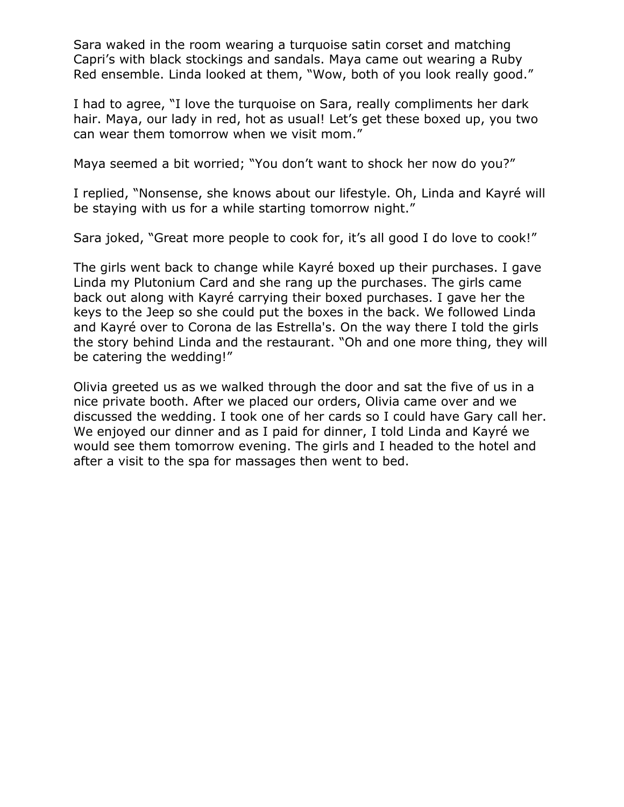Sara waked in the room wearing a turquoise satin corset and matching Capri's with black stockings and sandals. Maya came out wearing a Ruby Red ensemble. Linda looked at them, "Wow, both of you look really good."

I had to agree, "I love the turquoise on Sara, really compliments her dark hair. Maya, our lady in red, hot as usual! Let's get these boxed up, you two can wear them tomorrow when we visit mom."

Maya seemed a bit worried; "You don't want to shock her now do you?"

I replied, "Nonsense, she knows about our lifestyle. Oh, Linda and Kayré will be staying with us for a while starting tomorrow night."

Sara joked, "Great more people to cook for, it's all good I do love to cook!"

The girls went back to change while Kayré boxed up their purchases. I gave Linda my Plutonium Card and she rang up the purchases. The girls came back out along with Kayré carrying their boxed purchases. I gave her the keys to the Jeep so she could put the boxes in the back. We followed Linda and Kayré over to Corona de las Estrella's. On the way there I told the girls the story behind Linda and the restaurant. "Oh and one more thing, they will be catering the wedding!"

Olivia greeted us as we walked through the door and sat the five of us in a nice private booth. After we placed our orders, Olivia came over and we discussed the wedding. I took one of her cards so I could have Gary call her. We enjoyed our dinner and as I paid for dinner, I told Linda and Kayré we would see them tomorrow evening. The girls and I headed to the hotel and after a visit to the spa for massages then went to bed.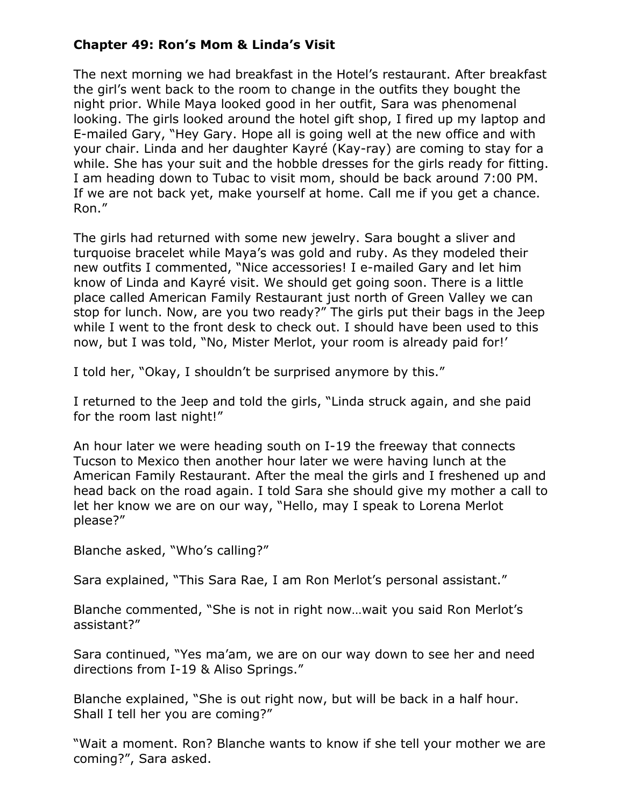# **Chapter 49: Ron's Mom & Linda's Visit**

The next morning we had breakfast in the Hotel's restaurant. After breakfast the girl's went back to the room to change in the outfits they bought the night prior. While Maya looked good in her outfit, Sara was phenomenal looking. The girls looked around the hotel gift shop, I fired up my laptop and E-mailed Gary, "Hey Gary. Hope all is going well at the new office and with your chair. Linda and her daughter Kayré (Kay-ray) are coming to stay for a while. She has your suit and the hobble dresses for the girls ready for fitting. I am heading down to Tubac to visit mom, should be back around 7:00 PM. If we are not back yet, make yourself at home. Call me if you get a chance. Ron."

The girls had returned with some new jewelry. Sara bought a sliver and turquoise bracelet while Maya's was gold and ruby. As they modeled their new outfits I commented, "Nice accessories! I e-mailed Gary and let him know of Linda and Kayré visit. We should get going soon. There is a little place called American Family Restaurant just north of Green Valley we can stop for lunch. Now, are you two ready?" The girls put their bags in the Jeep while I went to the front desk to check out. I should have been used to this now, but I was told, "No, Mister Merlot, your room is already paid for!'

I told her, "Okay, I shouldn't be surprised anymore by this."

I returned to the Jeep and told the girls, "Linda struck again, and she paid for the room last night!"

An hour later we were heading south on I-19 the freeway that connects Tucson to Mexico then another hour later we were having lunch at the American Family Restaurant. After the meal the girls and I freshened up and head back on the road again. I told Sara she should give my mother a call to let her know we are on our way, "Hello, may I speak to Lorena Merlot please?"

Blanche asked, "Who's calling?"

Sara explained, "This Sara Rae, I am Ron Merlot's personal assistant."

Blanche commented, "She is not in right now…wait you said Ron Merlot's assistant?"

Sara continued, "Yes ma'am, we are on our way down to see her and need directions from I-19 & Aliso Springs."

Blanche explained, "She is out right now, but will be back in a half hour. Shall I tell her you are coming?"

"Wait a moment. Ron? Blanche wants to know if she tell your mother we are coming?", Sara asked.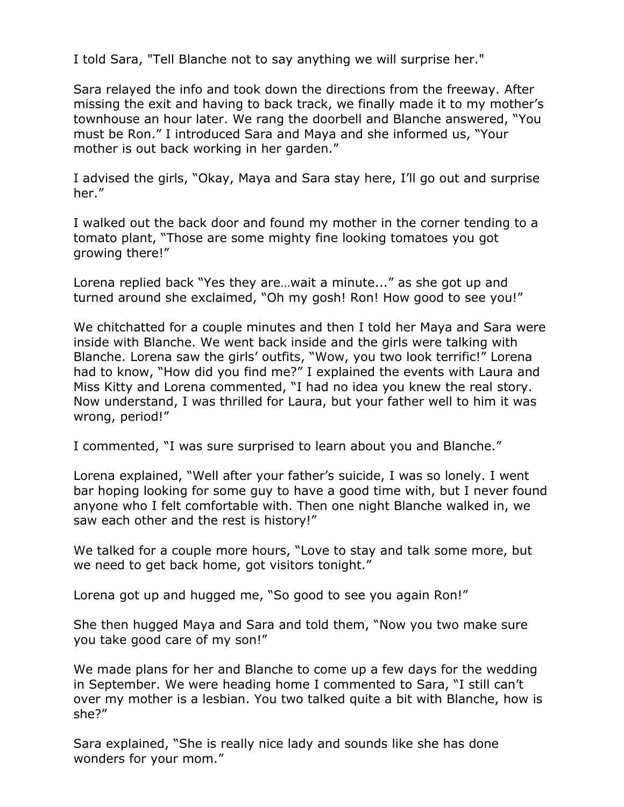I told Sara, "Tell Blanche not to say anything we will surprise her."

Sara relayed the info and took down the directions from the freeway. After missing the exit and having to back track, we finally made it to my mother's townhouse an hour later. We rang the doorbell and Blanche answered, "You must be Ron." I introduced Sara and Maya and she informed us, "Your mother is out back working in her garden."

I advised the girls, "Okay, Maya and Sara stay here, I'll go out and surprise her."

I walked out the back door and found my mother in the corner tending to a tomato plant, "Those are some mighty fine looking tomatoes you got growing there!"

Lorena replied back "Yes they are…wait a minute..." as she got up and turned around she exclaimed, "Oh my gosh! Ron! How good to see you!"

We chitchatted for a couple minutes and then I told her Maya and Sara were inside with Blanche. We went back inside and the girls were talking with Blanche. Lorena saw the girls' outfits, "Wow, you two look terrific!" Lorena had to know, "How did you find me?" I explained the events with Laura and Miss Kitty and Lorena commented, "I had no idea you knew the real story. Now understand, I was thrilled for Laura, but your father well to him it was wrong, period!"

I commented, "I was sure surprised to learn about you and Blanche."

Lorena explained, "Well after your father's suicide, I was so lonely. I went bar hoping looking for some guy to have a good time with, but I never found anyone who I felt comfortable with. Then one night Blanche walked in, we saw each other and the rest is history!"

We talked for a couple more hours, "Love to stay and talk some more, but we need to get back home, got visitors tonight."

Lorena got up and hugged me, "So good to see you again Ron!"

She then hugged Maya and Sara and told them, "Now you two make sure you take good care of my son!"

We made plans for her and Blanche to come up a few days for the wedding in September. We were heading home I commented to Sara, "I still can't over my mother is a lesbian. You two talked quite a bit with Blanche, how is she?"

Sara explained, "She is really nice lady and sounds like she has done wonders for your mom."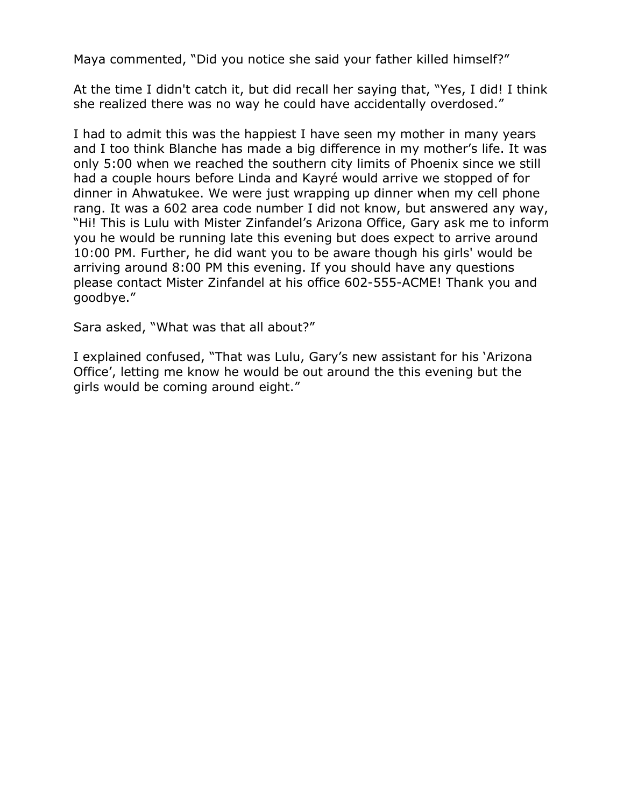Maya commented, "Did you notice she said your father killed himself?"

At the time I didn't catch it, but did recall her saying that, "Yes, I did! I think she realized there was no way he could have accidentally overdosed."

I had to admit this was the happiest I have seen my mother in many years and I too think Blanche has made a big difference in my mother's life. It was only 5:00 when we reached the southern city limits of Phoenix since we still had a couple hours before Linda and Kayré would arrive we stopped of for dinner in Ahwatukee. We were just wrapping up dinner when my cell phone rang. It was a 602 area code number I did not know, but answered any way, "Hi! This is Lulu with Mister Zinfandel's Arizona Office, Gary ask me to inform you he would be running late this evening but does expect to arrive around 10:00 PM. Further, he did want you to be aware though his girls' would be arriving around 8:00 PM this evening. If you should have any questions please contact Mister Zinfandel at his office 602-555-ACME! Thank you and goodbye."

Sara asked, "What was that all about?"

I explained confused, "That was Lulu, Gary's new assistant for his 'Arizona Office', letting me know he would be out around the this evening but the girls would be coming around eight."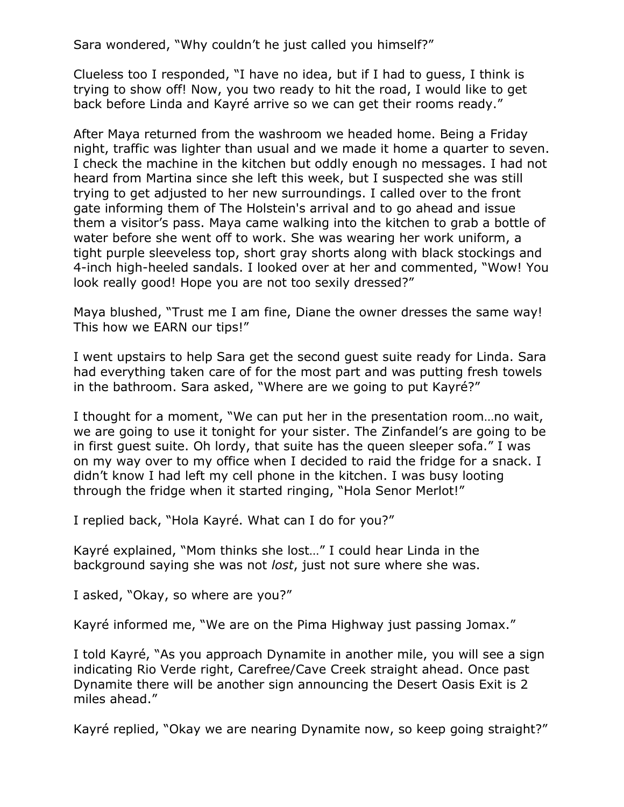Sara wondered, "Why couldn't he just called you himself?"

Clueless too I responded, "I have no idea, but if I had to guess, I think is trying to show off! Now, you two ready to hit the road, I would like to get back before Linda and Kayré arrive so we can get their rooms ready."

After Maya returned from the washroom we headed home. Being a Friday night, traffic was lighter than usual and we made it home a quarter to seven. I check the machine in the kitchen but oddly enough no messages. I had not heard from Martina since she left this week, but I suspected she was still trying to get adjusted to her new surroundings. I called over to the front gate informing them of The Holstein's arrival and to go ahead and issue them a visitor's pass. Maya came walking into the kitchen to grab a bottle of water before she went off to work. She was wearing her work uniform, a tight purple sleeveless top, short gray shorts along with black stockings and 4-inch high-heeled sandals. I looked over at her and commented, "Wow! You look really good! Hope you are not too sexily dressed?"

Maya blushed, "Trust me I am fine, Diane the owner dresses the same way! This how we EARN our tips!"

I went upstairs to help Sara get the second guest suite ready for Linda. Sara had everything taken care of for the most part and was putting fresh towels in the bathroom. Sara asked, "Where are we going to put Kayré?"

I thought for a moment, "We can put her in the presentation room…no wait, we are going to use it tonight for your sister. The Zinfandel's are going to be in first guest suite. Oh lordy, that suite has the queen sleeper sofa." I was on my way over to my office when I decided to raid the fridge for a snack. I didn't know I had left my cell phone in the kitchen. I was busy looting through the fridge when it started ringing, "Hola Senor Merlot!"

I replied back, "Hola Kayré. What can I do for you?"

Kayré explained, "Mom thinks she lost…" I could hear Linda in the background saying she was not *lost*, just not sure where she was.

I asked, "Okay, so where are you?"

Kayré informed me, "We are on the Pima Highway just passing Jomax."

I told Kayré, "As you approach Dynamite in another mile, you will see a sign indicating Rio Verde right, Carefree/Cave Creek straight ahead. Once past Dynamite there will be another sign announcing the Desert Oasis Exit is 2 miles ahead."

Kayré replied, "Okay we are nearing Dynamite now, so keep going straight?"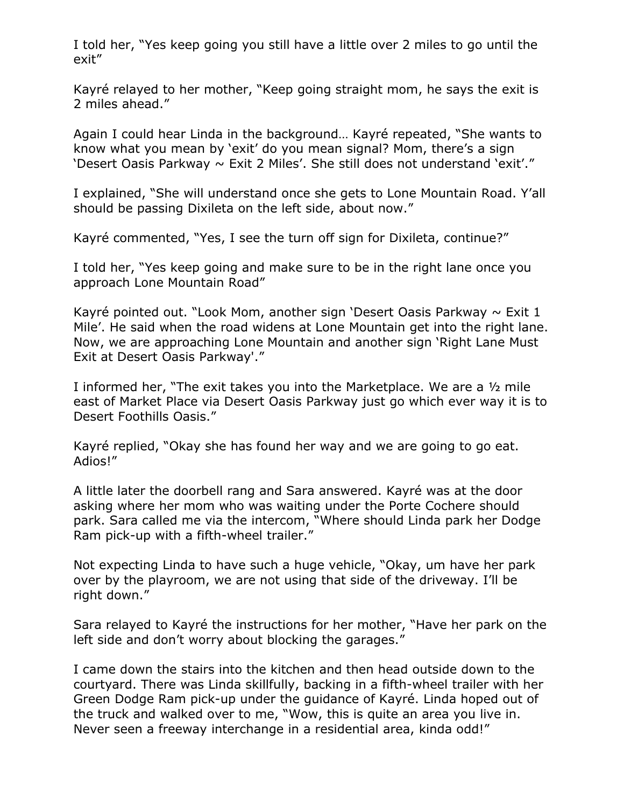I told her, "Yes keep going you still have a little over 2 miles to go until the exit"

Kayré relayed to her mother, "Keep going straight mom, he says the exit is 2 miles ahead."

Again I could hear Linda in the background… Kayré repeated, "She wants to know what you mean by 'exit' do you mean signal? Mom, there's a sign 'Desert Oasis Parkway ~ Exit 2 Miles'. She still does not understand 'exit'."

I explained, "She will understand once she gets to Lone Mountain Road. Y'all should be passing Dixileta on the left side, about now."

Kayré commented, "Yes, I see the turn off sign for Dixileta, continue?"

I told her, "Yes keep going and make sure to be in the right lane once you approach Lone Mountain Road"

Kayré pointed out. "Look Mom, another sign 'Desert Oasis Parkway  $\sim$  Exit 1 Mile'. He said when the road widens at Lone Mountain get into the right lane. Now, we are approaching Lone Mountain and another sign 'Right Lane Must Exit at Desert Oasis Parkway'."

I informed her, "The exit takes you into the Marketplace. We are a ½ mile east of Market Place via Desert Oasis Parkway just go which ever way it is to Desert Foothills Oasis."

Kayré replied, "Okay she has found her way and we are going to go eat. Adios!"

A little later the doorbell rang and Sara answered. Kayré was at the door asking where her mom who was waiting under the Porte Cochere should park. Sara called me via the intercom, "Where should Linda park her Dodge Ram pick-up with a fifth-wheel trailer."

Not expecting Linda to have such a huge vehicle, "Okay, um have her park over by the playroom, we are not using that side of the driveway. I'll be right down."

Sara relayed to Kayré the instructions for her mother, "Have her park on the left side and don't worry about blocking the garages."

I came down the stairs into the kitchen and then head outside down to the courtyard. There was Linda skillfully, backing in a fifth-wheel trailer with her Green Dodge Ram pick-up under the guidance of Kayré. Linda hoped out of the truck and walked over to me, "Wow, this is quite an area you live in. Never seen a freeway interchange in a residential area, kinda odd!"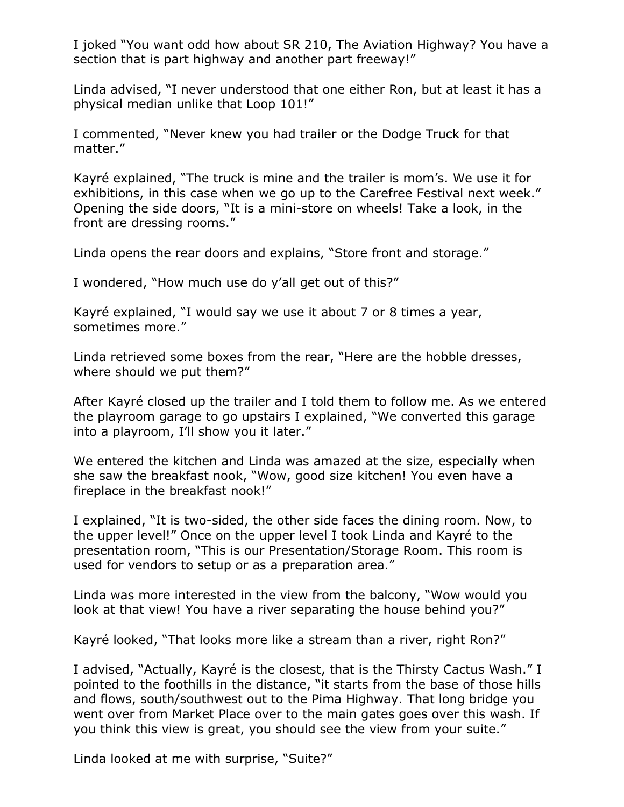I joked "You want odd how about SR 210, The Aviation Highway? You have a section that is part highway and another part freeway!"

Linda advised, "I never understood that one either Ron, but at least it has a physical median unlike that Loop 101!"

I commented, "Never knew you had trailer or the Dodge Truck for that matter."

Kayré explained, "The truck is mine and the trailer is mom's. We use it for exhibitions, in this case when we go up to the Carefree Festival next week." Opening the side doors, "It is a mini-store on wheels! Take a look, in the front are dressing rooms."

Linda opens the rear doors and explains, "Store front and storage."

I wondered, "How much use do y'all get out of this?"

Kayré explained, "I would say we use it about 7 or 8 times a year, sometimes more."

Linda retrieved some boxes from the rear, "Here are the hobble dresses, where should we put them?"

After Kayré closed up the trailer and I told them to follow me. As we entered the playroom garage to go upstairs I explained, "We converted this garage into a playroom, I'll show you it later."

We entered the kitchen and Linda was amazed at the size, especially when she saw the breakfast nook, "Wow, good size kitchen! You even have a fireplace in the breakfast nook!"

I explained, "It is two-sided, the other side faces the dining room. Now, to the upper level!" Once on the upper level I took Linda and Kayré to the presentation room, "This is our Presentation/Storage Room. This room is used for vendors to setup or as a preparation area."

Linda was more interested in the view from the balcony, "Wow would you look at that view! You have a river separating the house behind you?"

Kayré looked, "That looks more like a stream than a river, right Ron?"

I advised, "Actually, Kayré is the closest, that is the Thirsty Cactus Wash." I pointed to the foothills in the distance, "it starts from the base of those hills and flows, south/southwest out to the Pima Highway. That long bridge you went over from Market Place over to the main gates goes over this wash. If you think this view is great, you should see the view from your suite."

Linda looked at me with surprise, "Suite?"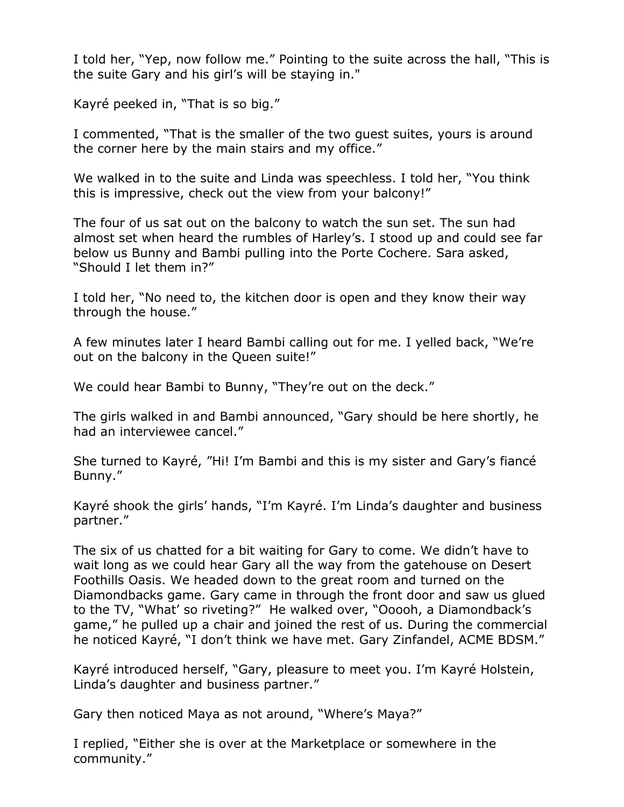I told her, "Yep, now follow me." Pointing to the suite across the hall, "This is the suite Gary and his girl's will be staying in."

Kayré peeked in, "That is so big."

I commented, "That is the smaller of the two guest suites, yours is around the corner here by the main stairs and my office."

We walked in to the suite and Linda was speechless. I told her, "You think this is impressive, check out the view from your balcony!"

The four of us sat out on the balcony to watch the sun set. The sun had almost set when heard the rumbles of Harley's. I stood up and could see far below us Bunny and Bambi pulling into the Porte Cochere. Sara asked, "Should I let them in?"

I told her, "No need to, the kitchen door is open and they know their way through the house."

A few minutes later I heard Bambi calling out for me. I yelled back, "We're out on the balcony in the Queen suite!"

We could hear Bambi to Bunny, "They're out on the deck."

The girls walked in and Bambi announced, "Gary should be here shortly, he had an interviewee cancel."

She turned to Kayré, "Hi! I'm Bambi and this is my sister and Gary's fiancé Bunny."

Kayré shook the girls' hands, "I'm Kayré. I'm Linda's daughter and business partner."

The six of us chatted for a bit waiting for Gary to come. We didn't have to wait long as we could hear Gary all the way from the gatehouse on Desert Foothills Oasis. We headed down to the great room and turned on the Diamondbacks game. Gary came in through the front door and saw us glued to the TV, "What' so riveting?" He walked over, "Ooooh, a Diamondback's game," he pulled up a chair and joined the rest of us. During the commercial he noticed Kayré, "I don't think we have met. Gary Zinfandel, ACME BDSM."

Kayré introduced herself, "Gary, pleasure to meet you. I'm Kayré Holstein, Linda's daughter and business partner."

Gary then noticed Maya as not around, "Where's Maya?"

I replied, "Either she is over at the Marketplace or somewhere in the community."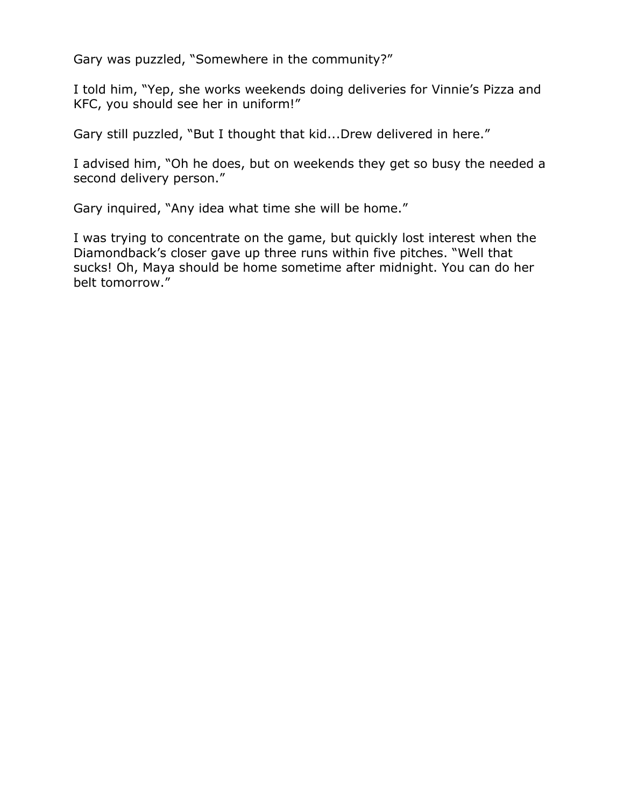Gary was puzzled, "Somewhere in the community?"

I told him, "Yep, she works weekends doing deliveries for Vinnie's Pizza and KFC, you should see her in uniform!"

Gary still puzzled, "But I thought that kid...Drew delivered in here."

I advised him, "Oh he does, but on weekends they get so busy the needed a second delivery person."

Gary inquired, "Any idea what time she will be home."

I was trying to concentrate on the game, but quickly lost interest when the Diamondback's closer gave up three runs within five pitches. "Well that sucks! Oh, Maya should be home sometime after midnight. You can do her belt tomorrow."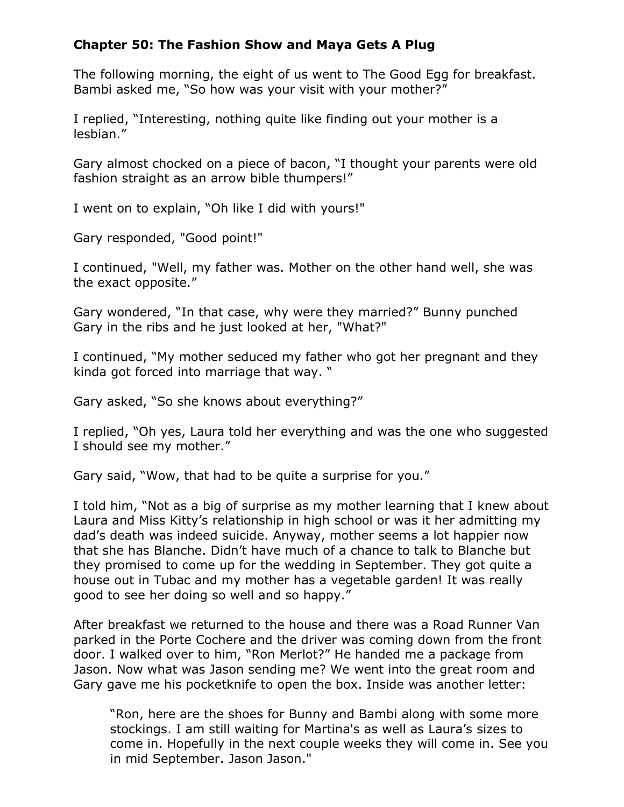### **Chapter 50: The Fashion Show and Maya Gets A Plug**

The following morning, the eight of us went to The Good Egg for breakfast. Bambi asked me, "So how was your visit with your mother?"

I replied, "Interesting, nothing quite like finding out your mother is a lesbian."

Gary almost chocked on a piece of bacon, "I thought your parents were old fashion straight as an arrow bible thumpers!"

I went on to explain, "Oh like I did with yours!"

Gary responded, "Good point!"

I continued, "Well, my father was. Mother on the other hand well, she was the exact opposite."

Gary wondered, "In that case, why were they married?" Bunny punched Gary in the ribs and he just looked at her, "What?"

I continued, "My mother seduced my father who got her pregnant and they kinda got forced into marriage that way. "

Gary asked, "So she knows about everything?"

I replied, "Oh yes, Laura told her everything and was the one who suggested I should see my mother."

Gary said, "Wow, that had to be quite a surprise for you."

I told him, "Not as a big of surprise as my mother learning that I knew about Laura and Miss Kitty's relationship in high school or was it her admitting my dad's death was indeed suicide. Anyway, mother seems a lot happier now that she has Blanche. Didn't have much of a chance to talk to Blanche but they promised to come up for the wedding in September. They got quite a house out in Tubac and my mother has a vegetable garden! It was really good to see her doing so well and so happy."

After breakfast we returned to the house and there was a Road Runner Van parked in the Porte Cochere and the driver was coming down from the front door. I walked over to him, "Ron Merlot?" He handed me a package from Jason. Now what was Jason sending me? We went into the great room and Gary gave me his pocketknife to open the box. Inside was another letter:

"Ron, here are the shoes for Bunny and Bambi along with some more stockings. I am still waiting for Martina's as well as Laura's sizes to come in. Hopefully in the next couple weeks they will come in. See you in mid September. Jason Jason."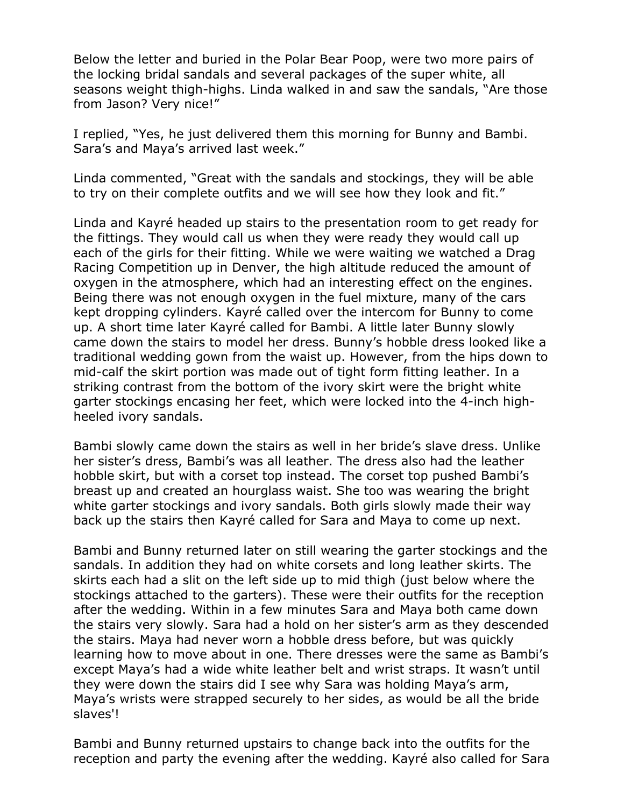Below the letter and buried in the Polar Bear Poop, were two more pairs of the locking bridal sandals and several packages of the super white, all seasons weight thigh-highs. Linda walked in and saw the sandals, "Are those from Jason? Very nice!"

I replied, "Yes, he just delivered them this morning for Bunny and Bambi. Sara's and Maya's arrived last week."

Linda commented, "Great with the sandals and stockings, they will be able to try on their complete outfits and we will see how they look and fit."

Linda and Kayré headed up stairs to the presentation room to get ready for the fittings. They would call us when they were ready they would call up each of the girls for their fitting. While we were waiting we watched a Drag Racing Competition up in Denver, the high altitude reduced the amount of oxygen in the atmosphere, which had an interesting effect on the engines. Being there was not enough oxygen in the fuel mixture, many of the cars kept dropping cylinders. Kayré called over the intercom for Bunny to come up. A short time later Kayré called for Bambi. A little later Bunny slowly came down the stairs to model her dress. Bunny's hobble dress looked like a traditional wedding gown from the waist up. However, from the hips down to mid-calf the skirt portion was made out of tight form fitting leather. In a striking contrast from the bottom of the ivory skirt were the bright white garter stockings encasing her feet, which were locked into the 4-inch highheeled ivory sandals.

Bambi slowly came down the stairs as well in her bride's slave dress. Unlike her sister's dress, Bambi's was all leather. The dress also had the leather hobble skirt, but with a corset top instead. The corset top pushed Bambi's breast up and created an hourglass waist. She too was wearing the bright white garter stockings and ivory sandals. Both girls slowly made their way back up the stairs then Kayré called for Sara and Maya to come up next.

Bambi and Bunny returned later on still wearing the garter stockings and the sandals. In addition they had on white corsets and long leather skirts. The skirts each had a slit on the left side up to mid thigh (just below where the stockings attached to the garters). These were their outfits for the reception after the wedding. Within in a few minutes Sara and Maya both came down the stairs very slowly. Sara had a hold on her sister's arm as they descended the stairs. Maya had never worn a hobble dress before, but was quickly learning how to move about in one. There dresses were the same as Bambi's except Maya's had a wide white leather belt and wrist straps. It wasn't until they were down the stairs did I see why Sara was holding Maya's arm, Maya's wrists were strapped securely to her sides, as would be all the bride slaves'!

Bambi and Bunny returned upstairs to change back into the outfits for the reception and party the evening after the wedding. Kayré also called for Sara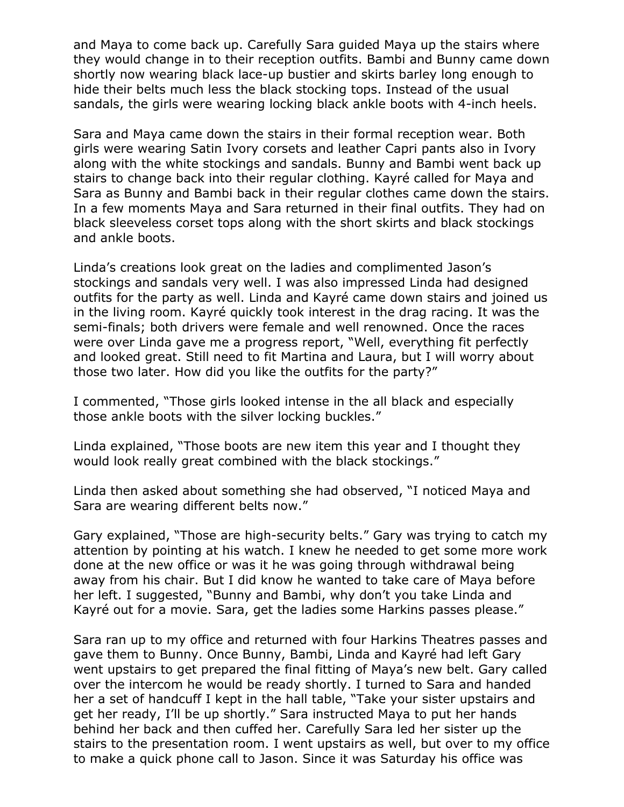and Maya to come back up. Carefully Sara guided Maya up the stairs where they would change in to their reception outfits. Bambi and Bunny came down shortly now wearing black lace-up bustier and skirts barley long enough to hide their belts much less the black stocking tops. Instead of the usual sandals, the girls were wearing locking black ankle boots with 4-inch heels.

Sara and Maya came down the stairs in their formal reception wear. Both girls were wearing Satin Ivory corsets and leather Capri pants also in Ivory along with the white stockings and sandals. Bunny and Bambi went back up stairs to change back into their regular clothing. Kayré called for Maya and Sara as Bunny and Bambi back in their regular clothes came down the stairs. In a few moments Maya and Sara returned in their final outfits. They had on black sleeveless corset tops along with the short skirts and black stockings and ankle boots.

Linda's creations look great on the ladies and complimented Jason's stockings and sandals very well. I was also impressed Linda had designed outfits for the party as well. Linda and Kayré came down stairs and joined us in the living room. Kayré quickly took interest in the drag racing. It was the semi-finals; both drivers were female and well renowned. Once the races were over Linda gave me a progress report, "Well, everything fit perfectly and looked great. Still need to fit Martina and Laura, but I will worry about those two later. How did you like the outfits for the party?"

I commented, "Those girls looked intense in the all black and especially those ankle boots with the silver locking buckles."

Linda explained, "Those boots are new item this year and I thought they would look really great combined with the black stockings."

Linda then asked about something she had observed, "I noticed Maya and Sara are wearing different belts now."

Gary explained, "Those are high-security belts." Gary was trying to catch my attention by pointing at his watch. I knew he needed to get some more work done at the new office or was it he was going through withdrawal being away from his chair. But I did know he wanted to take care of Maya before her left. I suggested, "Bunny and Bambi, why don't you take Linda and Kayré out for a movie. Sara, get the ladies some Harkins passes please."

Sara ran up to my office and returned with four Harkins Theatres passes and gave them to Bunny. Once Bunny, Bambi, Linda and Kayré had left Gary went upstairs to get prepared the final fitting of Maya's new belt. Gary called over the intercom he would be ready shortly. I turned to Sara and handed her a set of handcuff I kept in the hall table, "Take your sister upstairs and get her ready, I'll be up shortly." Sara instructed Maya to put her hands behind her back and then cuffed her. Carefully Sara led her sister up the stairs to the presentation room. I went upstairs as well, but over to my office to make a quick phone call to Jason. Since it was Saturday his office was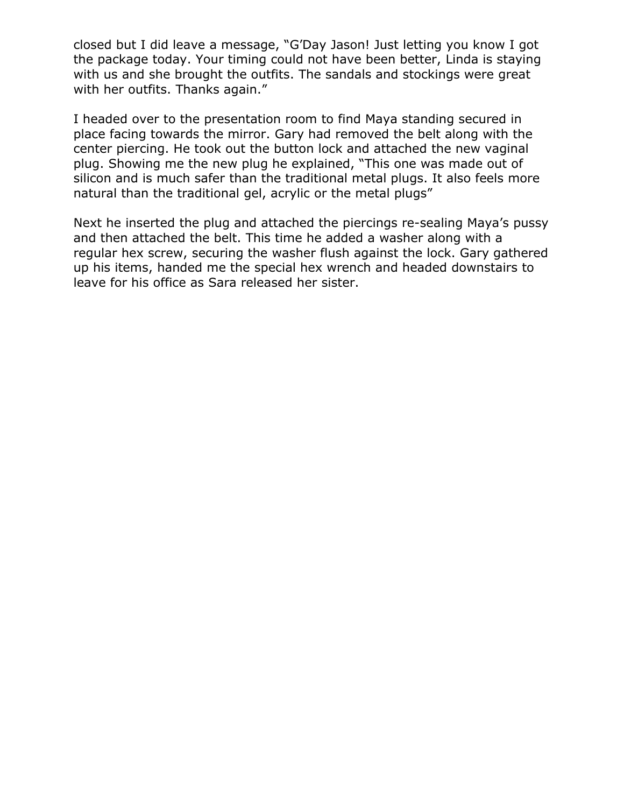closed but I did leave a message, "G'Day Jason! Just letting you know I got the package today. Your timing could not have been better, Linda is staying with us and she brought the outfits. The sandals and stockings were great with her outfits. Thanks again."

I headed over to the presentation room to find Maya standing secured in place facing towards the mirror. Gary had removed the belt along with the center piercing. He took out the button lock and attached the new vaginal plug. Showing me the new plug he explained, "This one was made out of silicon and is much safer than the traditional metal plugs. It also feels more natural than the traditional gel, acrylic or the metal plugs"

Next he inserted the plug and attached the piercings re-sealing Maya's pussy and then attached the belt. This time he added a washer along with a regular hex screw, securing the washer flush against the lock. Gary gathered up his items, handed me the special hex wrench and headed downstairs to leave for his office as Sara released her sister.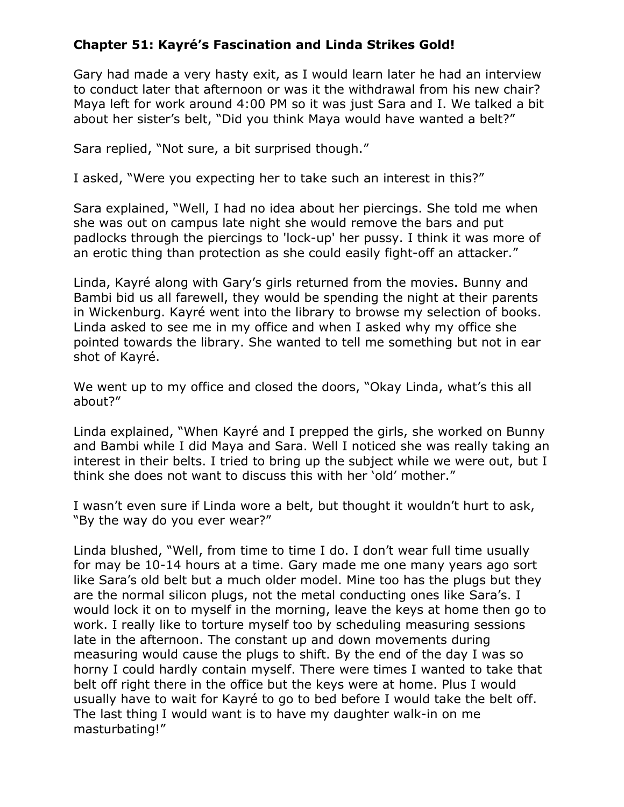# **Chapter 51: Kayré's Fascination and Linda Strikes Gold!**

Gary had made a very hasty exit, as I would learn later he had an interview to conduct later that afternoon or was it the withdrawal from his new chair? Maya left for work around 4:00 PM so it was just Sara and I. We talked a bit about her sister's belt, "Did you think Maya would have wanted a belt?"

Sara replied, "Not sure, a bit surprised though."

I asked, "Were you expecting her to take such an interest in this?"

Sara explained, "Well, I had no idea about her piercings. She told me when she was out on campus late night she would remove the bars and put padlocks through the piercings to 'lock-up' her pussy. I think it was more of an erotic thing than protection as she could easily fight-off an attacker."

Linda, Kayré along with Gary's girls returned from the movies. Bunny and Bambi bid us all farewell, they would be spending the night at their parents in Wickenburg. Kayré went into the library to browse my selection of books. Linda asked to see me in my office and when I asked why my office she pointed towards the library. She wanted to tell me something but not in ear shot of Kayré.

We went up to my office and closed the doors, "Okay Linda, what's this all about?"

Linda explained, "When Kayré and I prepped the girls, she worked on Bunny and Bambi while I did Maya and Sara. Well I noticed she was really taking an interest in their belts. I tried to bring up the subject while we were out, but I think she does not want to discuss this with her 'old' mother."

I wasn't even sure if Linda wore a belt, but thought it wouldn't hurt to ask, "By the way do you ever wear?"

Linda blushed, "Well, from time to time I do. I don't wear full time usually for may be 10-14 hours at a time. Gary made me one many years ago sort like Sara's old belt but a much older model. Mine too has the plugs but they are the normal silicon plugs, not the metal conducting ones like Sara's. I would lock it on to myself in the morning, leave the keys at home then go to work. I really like to torture myself too by scheduling measuring sessions late in the afternoon. The constant up and down movements during measuring would cause the plugs to shift. By the end of the day I was so horny I could hardly contain myself. There were times I wanted to take that belt off right there in the office but the keys were at home. Plus I would usually have to wait for Kayré to go to bed before I would take the belt off. The last thing I would want is to have my daughter walk-in on me masturbating!"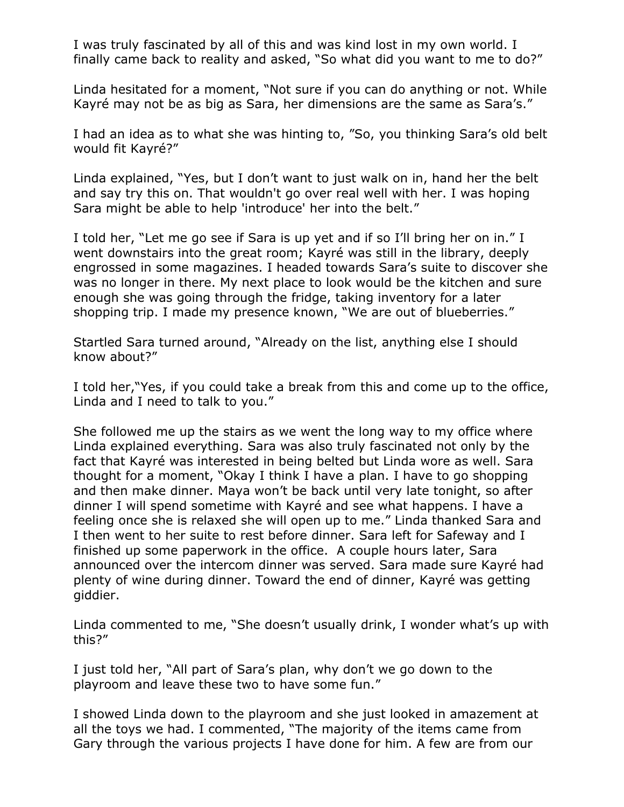I was truly fascinated by all of this and was kind lost in my own world. I finally came back to reality and asked, "So what did you want to me to do?"

Linda hesitated for a moment, "Not sure if you can do anything or not. While Kayré may not be as big as Sara, her dimensions are the same as Sara's."

I had an idea as to what she was hinting to, "So, you thinking Sara's old belt would fit Kayré?"

Linda explained, "Yes, but I don't want to just walk on in, hand her the belt and say try this on. That wouldn't go over real well with her. I was hoping Sara might be able to help 'introduce' her into the belt."

I told her, "Let me go see if Sara is up yet and if so I'll bring her on in." I went downstairs into the great room; Kayré was still in the library, deeply engrossed in some magazines. I headed towards Sara's suite to discover she was no longer in there. My next place to look would be the kitchen and sure enough she was going through the fridge, taking inventory for a later shopping trip. I made my presence known, "We are out of blueberries."

Startled Sara turned around, "Already on the list, anything else I should know about?"

I told her,"Yes, if you could take a break from this and come up to the office, Linda and I need to talk to you."

She followed me up the stairs as we went the long way to my office where Linda explained everything. Sara was also truly fascinated not only by the fact that Kayré was interested in being belted but Linda wore as well. Sara thought for a moment, "Okay I think I have a plan. I have to go shopping and then make dinner. Maya won't be back until very late tonight, so after dinner I will spend sometime with Kayré and see what happens. I have a feeling once she is relaxed she will open up to me." Linda thanked Sara and I then went to her suite to rest before dinner. Sara left for Safeway and I finished up some paperwork in the office. A couple hours later, Sara announced over the intercom dinner was served. Sara made sure Kayré had plenty of wine during dinner. Toward the end of dinner, Kayré was getting giddier.

Linda commented to me, "She doesn't usually drink, I wonder what's up with this?"

I just told her, "All part of Sara's plan, why don't we go down to the playroom and leave these two to have some fun."

I showed Linda down to the playroom and she just looked in amazement at all the toys we had. I commented, "The majority of the items came from Gary through the various projects I have done for him. A few are from our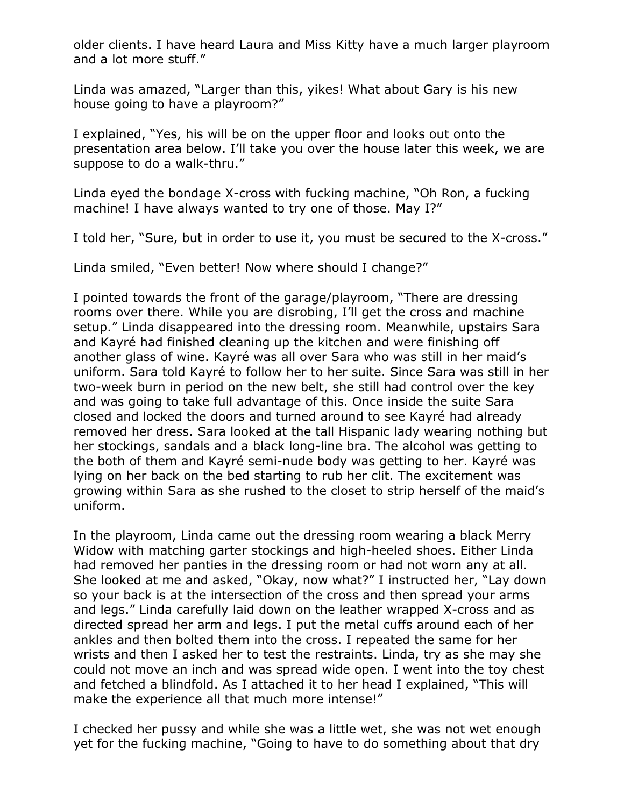older clients. I have heard Laura and Miss Kitty have a much larger playroom and a lot more stuff."

Linda was amazed, "Larger than this, yikes! What about Gary is his new house going to have a playroom?"

I explained, "Yes, his will be on the upper floor and looks out onto the presentation area below. I'll take you over the house later this week, we are suppose to do a walk-thru."

Linda eyed the bondage X-cross with fucking machine, "Oh Ron, a fucking machine! I have always wanted to try one of those. May I?"

I told her, "Sure, but in order to use it, you must be secured to the X-cross."

Linda smiled, "Even better! Now where should I change?"

I pointed towards the front of the garage/playroom, "There are dressing rooms over there. While you are disrobing, I'll get the cross and machine setup." Linda disappeared into the dressing room. Meanwhile, upstairs Sara and Kayré had finished cleaning up the kitchen and were finishing off another glass of wine. Kayré was all over Sara who was still in her maid's uniform. Sara told Kayré to follow her to her suite. Since Sara was still in her two-week burn in period on the new belt, she still had control over the key and was going to take full advantage of this. Once inside the suite Sara closed and locked the doors and turned around to see Kayré had already removed her dress. Sara looked at the tall Hispanic lady wearing nothing but her stockings, sandals and a black long-line bra. The alcohol was getting to the both of them and Kayré semi-nude body was getting to her. Kayré was lying on her back on the bed starting to rub her clit. The excitement was growing within Sara as she rushed to the closet to strip herself of the maid's uniform.

In the playroom, Linda came out the dressing room wearing a black Merry Widow with matching garter stockings and high-heeled shoes. Either Linda had removed her panties in the dressing room or had not worn any at all. She looked at me and asked, "Okay, now what?" I instructed her, "Lay down so your back is at the intersection of the cross and then spread your arms and legs." Linda carefully laid down on the leather wrapped X-cross and as directed spread her arm and legs. I put the metal cuffs around each of her ankles and then bolted them into the cross. I repeated the same for her wrists and then I asked her to test the restraints. Linda, try as she may she could not move an inch and was spread wide open. I went into the toy chest and fetched a blindfold. As I attached it to her head I explained, "This will make the experience all that much more intense!"

I checked her pussy and while she was a little wet, she was not wet enough yet for the fucking machine, "Going to have to do something about that dry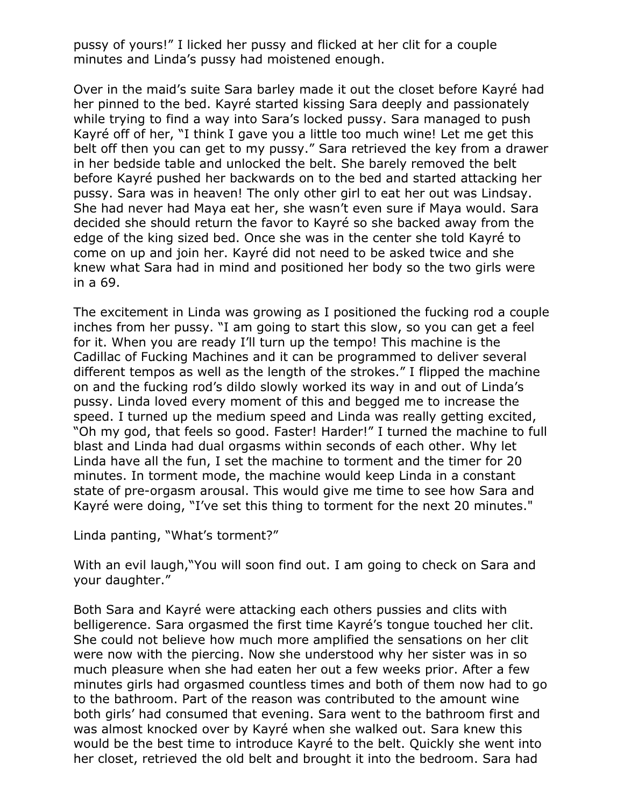pussy of yours!" I licked her pussy and flicked at her clit for a couple minutes and Linda's pussy had moistened enough.

Over in the maid's suite Sara barley made it out the closet before Kayré had her pinned to the bed. Kayré started kissing Sara deeply and passionately while trying to find a way into Sara's locked pussy. Sara managed to push Kayré off of her, "I think I gave you a little too much wine! Let me get this belt off then you can get to my pussy." Sara retrieved the key from a drawer in her bedside table and unlocked the belt. She barely removed the belt before Kayré pushed her backwards on to the bed and started attacking her pussy. Sara was in heaven! The only other girl to eat her out was Lindsay. She had never had Maya eat her, she wasn't even sure if Maya would. Sara decided she should return the favor to Kayré so she backed away from the edge of the king sized bed. Once she was in the center she told Kayré to come on up and join her. Kayré did not need to be asked twice and she knew what Sara had in mind and positioned her body so the two girls were in a 69.

The excitement in Linda was growing as I positioned the fucking rod a couple inches from her pussy. "I am going to start this slow, so you can get a feel for it. When you are ready I'll turn up the tempo! This machine is the Cadillac of Fucking Machines and it can be programmed to deliver several different tempos as well as the length of the strokes." I flipped the machine on and the fucking rod's dildo slowly worked its way in and out of Linda's pussy. Linda loved every moment of this and begged me to increase the speed. I turned up the medium speed and Linda was really getting excited, "Oh my god, that feels so good. Faster! Harder!" I turned the machine to full blast and Linda had dual orgasms within seconds of each other. Why let Linda have all the fun, I set the machine to torment and the timer for 20 minutes. In torment mode, the machine would keep Linda in a constant state of pre-orgasm arousal. This would give me time to see how Sara and Kayré were doing, "I've set this thing to torment for the next 20 minutes."

Linda panting, "What's torment?"

With an evil laugh,"You will soon find out. I am going to check on Sara and your daughter."

Both Sara and Kayré were attacking each others pussies and clits with belligerence. Sara orgasmed the first time Kayré's tongue touched her clit. She could not believe how much more amplified the sensations on her clit were now with the piercing. Now she understood why her sister was in so much pleasure when she had eaten her out a few weeks prior. After a few minutes girls had orgasmed countless times and both of them now had to go to the bathroom. Part of the reason was contributed to the amount wine both girls' had consumed that evening. Sara went to the bathroom first and was almost knocked over by Kayré when she walked out. Sara knew this would be the best time to introduce Kayré to the belt. Quickly she went into her closet, retrieved the old belt and brought it into the bedroom. Sara had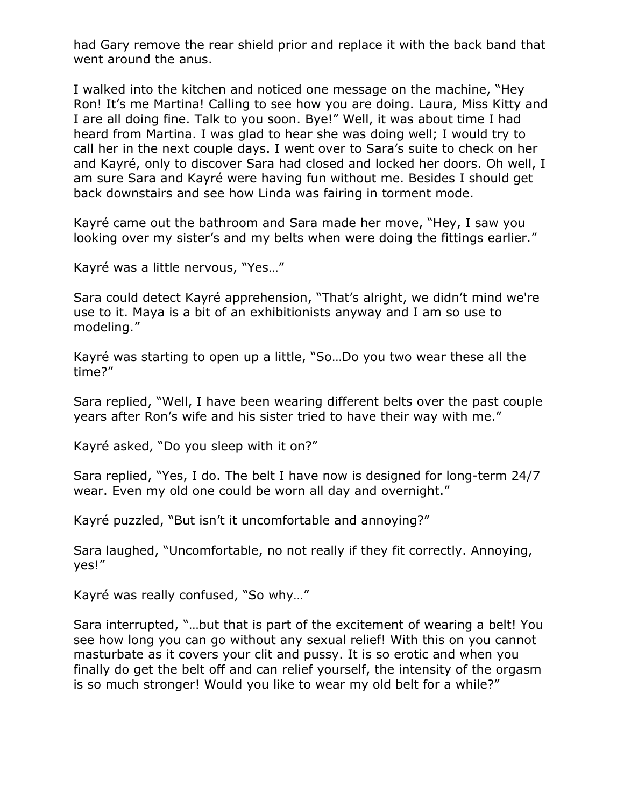had Gary remove the rear shield prior and replace it with the back band that went around the anus.

I walked into the kitchen and noticed one message on the machine, "Hey Ron! It's me Martina! Calling to see how you are doing. Laura, Miss Kitty and I are all doing fine. Talk to you soon. Bye!" Well, it was about time I had heard from Martina. I was glad to hear she was doing well; I would try to call her in the next couple days. I went over to Sara's suite to check on her and Kayré, only to discover Sara had closed and locked her doors. Oh well, I am sure Sara and Kayré were having fun without me. Besides I should get back downstairs and see how Linda was fairing in torment mode.

Kayré came out the bathroom and Sara made her move, "Hey, I saw you looking over my sister's and my belts when were doing the fittings earlier."

Kayré was a little nervous, "Yes…"

Sara could detect Kayré apprehension, "That's alright, we didn't mind we're use to it. Maya is a bit of an exhibitionists anyway and I am so use to modeling."

Kayré was starting to open up a little, "So…Do you two wear these all the time?"

Sara replied, "Well, I have been wearing different belts over the past couple years after Ron's wife and his sister tried to have their way with me."

Kayré asked, "Do you sleep with it on?"

Sara replied, "Yes, I do. The belt I have now is designed for long-term 24/7 wear. Even my old one could be worn all day and overnight."

Kayré puzzled, "But isn't it uncomfortable and annoying?"

Sara laughed, "Uncomfortable, no not really if they fit correctly. Annoying, yes!"

Kayré was really confused, "So why…"

Sara interrupted, "…but that is part of the excitement of wearing a belt! You see how long you can go without any sexual relief! With this on you cannot masturbate as it covers your clit and pussy. It is so erotic and when you finally do get the belt off and can relief yourself, the intensity of the orgasm is so much stronger! Would you like to wear my old belt for a while?"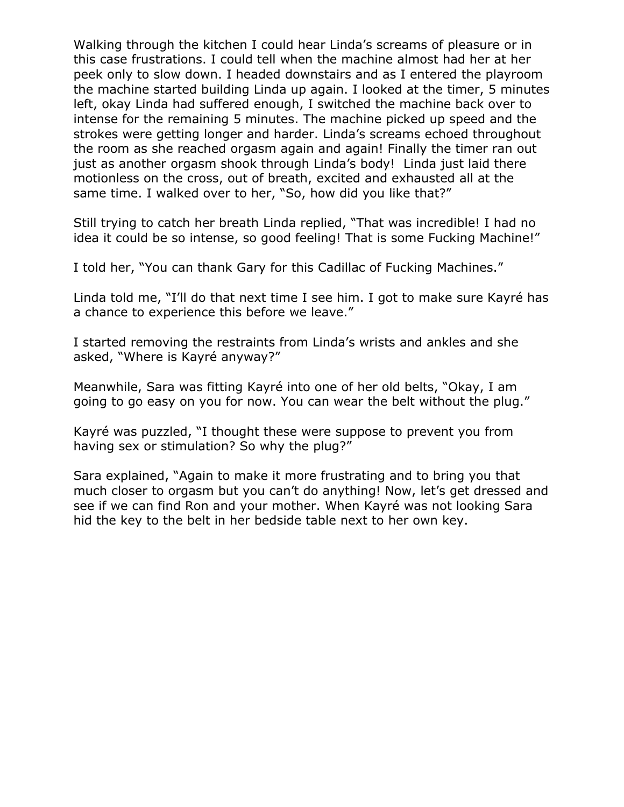Walking through the kitchen I could hear Linda's screams of pleasure or in this case frustrations. I could tell when the machine almost had her at her peek only to slow down. I headed downstairs and as I entered the playroom the machine started building Linda up again. I looked at the timer, 5 minutes left, okay Linda had suffered enough, I switched the machine back over to intense for the remaining 5 minutes. The machine picked up speed and the strokes were getting longer and harder. Linda's screams echoed throughout the room as she reached orgasm again and again! Finally the timer ran out just as another orgasm shook through Linda's body! Linda just laid there motionless on the cross, out of breath, excited and exhausted all at the same time. I walked over to her, "So, how did you like that?"

Still trying to catch her breath Linda replied, "That was incredible! I had no idea it could be so intense, so good feeling! That is some Fucking Machine!"

I told her, "You can thank Gary for this Cadillac of Fucking Machines."

Linda told me, "I'll do that next time I see him. I got to make sure Kayré has a chance to experience this before we leave."

I started removing the restraints from Linda's wrists and ankles and she asked, "Where is Kayré anyway?"

Meanwhile, Sara was fitting Kayré into one of her old belts, "Okay, I am going to go easy on you for now. You can wear the belt without the plug."

Kayré was puzzled, "I thought these were suppose to prevent you from having sex or stimulation? So why the plug?"

Sara explained, "Again to make it more frustrating and to bring you that much closer to orgasm but you can't do anything! Now, let's get dressed and see if we can find Ron and your mother. When Kayré was not looking Sara hid the key to the belt in her bedside table next to her own key.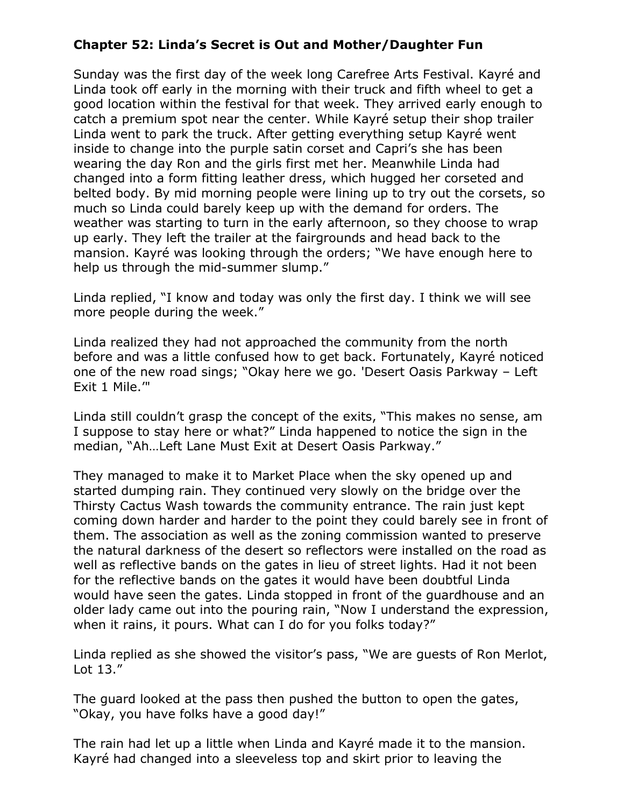# **Chapter 52: Linda's Secret is Out and Mother/Daughter Fun**

Sunday was the first day of the week long Carefree Arts Festival. Kayré and Linda took off early in the morning with their truck and fifth wheel to get a good location within the festival for that week. They arrived early enough to catch a premium spot near the center. While Kayré setup their shop trailer Linda went to park the truck. After getting everything setup Kayré went inside to change into the purple satin corset and Capri's she has been wearing the day Ron and the girls first met her. Meanwhile Linda had changed into a form fitting leather dress, which hugged her corseted and belted body. By mid morning people were lining up to try out the corsets, so much so Linda could barely keep up with the demand for orders. The weather was starting to turn in the early afternoon, so they choose to wrap up early. They left the trailer at the fairgrounds and head back to the mansion. Kayré was looking through the orders; "We have enough here to help us through the mid-summer slump."

Linda replied, "I know and today was only the first day. I think we will see more people during the week."

Linda realized they had not approached the community from the north before and was a little confused how to get back. Fortunately, Kayré noticed one of the new road sings; "Okay here we go. 'Desert Oasis Parkway – Left Exit 1 Mile.'"

Linda still couldn't grasp the concept of the exits, "This makes no sense, am I suppose to stay here or what?" Linda happened to notice the sign in the median, "Ah…Left Lane Must Exit at Desert Oasis Parkway."

They managed to make it to Market Place when the sky opened up and started dumping rain. They continued very slowly on the bridge over the Thirsty Cactus Wash towards the community entrance. The rain just kept coming down harder and harder to the point they could barely see in front of them. The association as well as the zoning commission wanted to preserve the natural darkness of the desert so reflectors were installed on the road as well as reflective bands on the gates in lieu of street lights. Had it not been for the reflective bands on the gates it would have been doubtful Linda would have seen the gates. Linda stopped in front of the guardhouse and an older lady came out into the pouring rain, "Now I understand the expression, when it rains, it pours. What can I do for you folks today?"

Linda replied as she showed the visitor's pass, "We are guests of Ron Merlot, Lot 13."

The guard looked at the pass then pushed the button to open the gates, "Okay, you have folks have a good day!"

The rain had let up a little when Linda and Kayré made it to the mansion. Kayré had changed into a sleeveless top and skirt prior to leaving the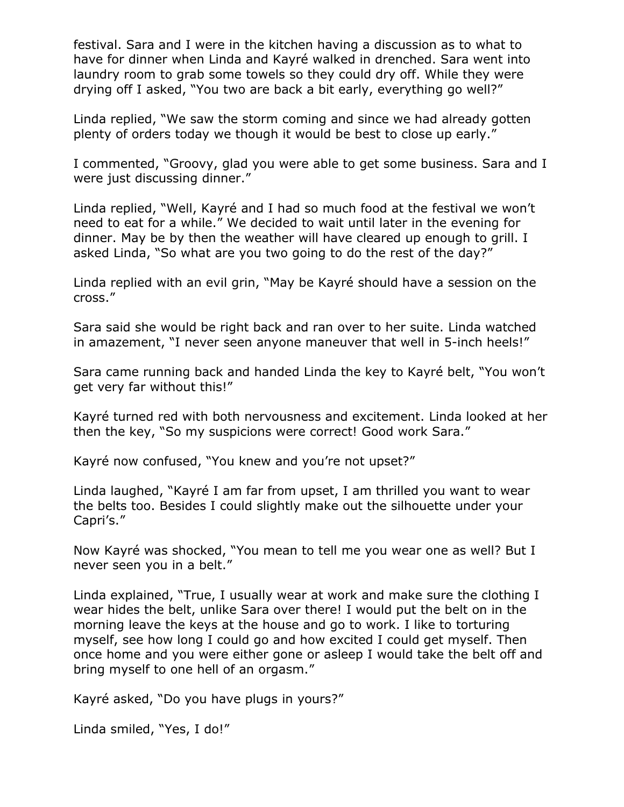festival. Sara and I were in the kitchen having a discussion as to what to have for dinner when Linda and Kayré walked in drenched. Sara went into laundry room to grab some towels so they could dry off. While they were drying off I asked, "You two are back a bit early, everything go well?"

Linda replied, "We saw the storm coming and since we had already gotten plenty of orders today we though it would be best to close up early."

I commented, "Groovy, glad you were able to get some business. Sara and I were just discussing dinner."

Linda replied, "Well, Kayré and I had so much food at the festival we won't need to eat for a while." We decided to wait until later in the evening for dinner. May be by then the weather will have cleared up enough to grill. I asked Linda, "So what are you two going to do the rest of the day?"

Linda replied with an evil grin, "May be Kayré should have a session on the cross."

Sara said she would be right back and ran over to her suite. Linda watched in amazement, "I never seen anyone maneuver that well in 5-inch heels!"

Sara came running back and handed Linda the key to Kayré belt, "You won't get very far without this!"

Kayré turned red with both nervousness and excitement. Linda looked at her then the key, "So my suspicions were correct! Good work Sara."

Kayré now confused, "You knew and you're not upset?"

Linda laughed, "Kayré I am far from upset, I am thrilled you want to wear the belts too. Besides I could slightly make out the silhouette under your Capri's."

Now Kayré was shocked, "You mean to tell me you wear one as well? But I never seen you in a belt."

Linda explained, "True, I usually wear at work and make sure the clothing I wear hides the belt, unlike Sara over there! I would put the belt on in the morning leave the keys at the house and go to work. I like to torturing myself, see how long I could go and how excited I could get myself. Then once home and you were either gone or asleep I would take the belt off and bring myself to one hell of an orgasm."

Kayré asked, "Do you have plugs in yours?"

Linda smiled, "Yes, I do!"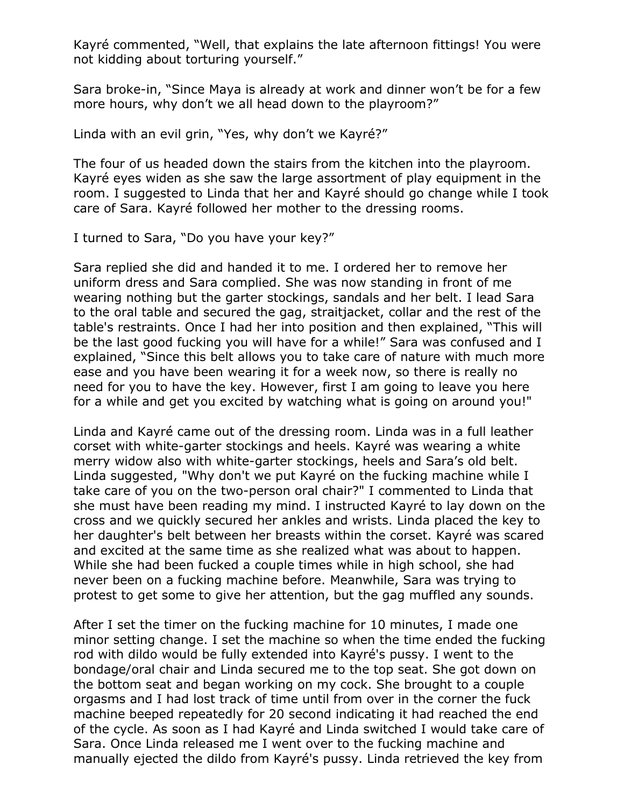Kayré commented, "Well, that explains the late afternoon fittings! You were not kidding about torturing yourself."

Sara broke-in, "Since Maya is already at work and dinner won't be for a few more hours, why don't we all head down to the playroom?"

Linda with an evil grin, "Yes, why don't we Kayré?"

The four of us headed down the stairs from the kitchen into the playroom. Kayré eyes widen as she saw the large assortment of play equipment in the room. I suggested to Linda that her and Kayré should go change while I took care of Sara. Kayré followed her mother to the dressing rooms.

I turned to Sara, "Do you have your key?"

Sara replied she did and handed it to me. I ordered her to remove her uniform dress and Sara complied. She was now standing in front of me wearing nothing but the garter stockings, sandals and her belt. I lead Sara to the oral table and secured the gag, straitjacket, collar and the rest of the table's restraints. Once I had her into position and then explained, "This will be the last good fucking you will have for a while!" Sara was confused and I explained, "Since this belt allows you to take care of nature with much more ease and you have been wearing it for a week now, so there is really no need for you to have the key. However, first I am going to leave you here for a while and get you excited by watching what is going on around you!"

Linda and Kayré came out of the dressing room. Linda was in a full leather corset with white-garter stockings and heels. Kayré was wearing a white merry widow also with white-garter stockings, heels and Sara's old belt. Linda suggested, "Why don't we put Kayré on the fucking machine while I take care of you on the two-person oral chair?" I commented to Linda that she must have been reading my mind. I instructed Kayré to lay down on the cross and we quickly secured her ankles and wrists. Linda placed the key to her daughter's belt between her breasts within the corset. Kayré was scared and excited at the same time as she realized what was about to happen. While she had been fucked a couple times while in high school, she had never been on a fucking machine before. Meanwhile, Sara was trying to protest to get some to give her attention, but the gag muffled any sounds.

After I set the timer on the fucking machine for 10 minutes, I made one minor setting change. I set the machine so when the time ended the fucking rod with dildo would be fully extended into Kayré's pussy. I went to the bondage/oral chair and Linda secured me to the top seat. She got down on the bottom seat and began working on my cock. She brought to a couple orgasms and I had lost track of time until from over in the corner the fuck machine beeped repeatedly for 20 second indicating it had reached the end of the cycle. As soon as I had Kayré and Linda switched I would take care of Sara. Once Linda released me I went over to the fucking machine and manually ejected the dildo from Kayré's pussy. Linda retrieved the key from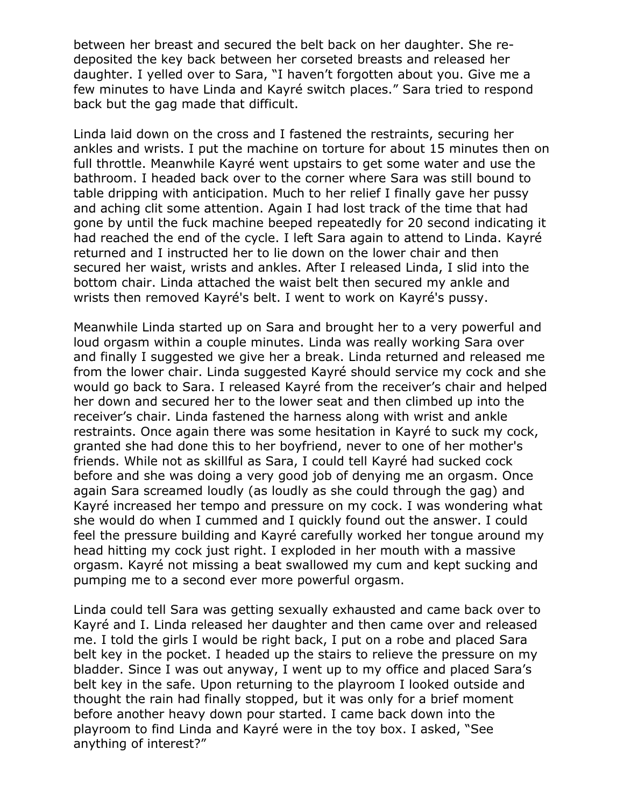between her breast and secured the belt back on her daughter. She redeposited the key back between her corseted breasts and released her daughter. I yelled over to Sara, "I haven't forgotten about you. Give me a few minutes to have Linda and Kayré switch places." Sara tried to respond back but the gag made that difficult.

Linda laid down on the cross and I fastened the restraints, securing her ankles and wrists. I put the machine on torture for about 15 minutes then on full throttle. Meanwhile Kayré went upstairs to get some water and use the bathroom. I headed back over to the corner where Sara was still bound to table dripping with anticipation. Much to her relief I finally gave her pussy and aching clit some attention. Again I had lost track of the time that had gone by until the fuck machine beeped repeatedly for 20 second indicating it had reached the end of the cycle. I left Sara again to attend to Linda. Kayré returned and I instructed her to lie down on the lower chair and then secured her waist, wrists and ankles. After I released Linda, I slid into the bottom chair. Linda attached the waist belt then secured my ankle and wrists then removed Kayré's belt. I went to work on Kayré's pussy.

Meanwhile Linda started up on Sara and brought her to a very powerful and loud orgasm within a couple minutes. Linda was really working Sara over and finally I suggested we give her a break. Linda returned and released me from the lower chair. Linda suggested Kayré should service my cock and she would go back to Sara. I released Kayré from the receiver's chair and helped her down and secured her to the lower seat and then climbed up into the receiver's chair. Linda fastened the harness along with wrist and ankle restraints. Once again there was some hesitation in Kayré to suck my cock, granted she had done this to her boyfriend, never to one of her mother's friends. While not as skillful as Sara, I could tell Kayré had sucked cock before and she was doing a very good job of denying me an orgasm. Once again Sara screamed loudly (as loudly as she could through the gag) and Kayré increased her tempo and pressure on my cock. I was wondering what she would do when I cummed and I quickly found out the answer. I could feel the pressure building and Kayré carefully worked her tongue around my head hitting my cock just right. I exploded in her mouth with a massive orgasm. Kayré not missing a beat swallowed my cum and kept sucking and pumping me to a second ever more powerful orgasm.

Linda could tell Sara was getting sexually exhausted and came back over to Kayré and I. Linda released her daughter and then came over and released me. I told the girls I would be right back, I put on a robe and placed Sara belt key in the pocket. I headed up the stairs to relieve the pressure on my bladder. Since I was out anyway, I went up to my office and placed Sara's belt key in the safe. Upon returning to the playroom I looked outside and thought the rain had finally stopped, but it was only for a brief moment before another heavy down pour started. I came back down into the playroom to find Linda and Kayré were in the toy box. I asked, "See anything of interest?"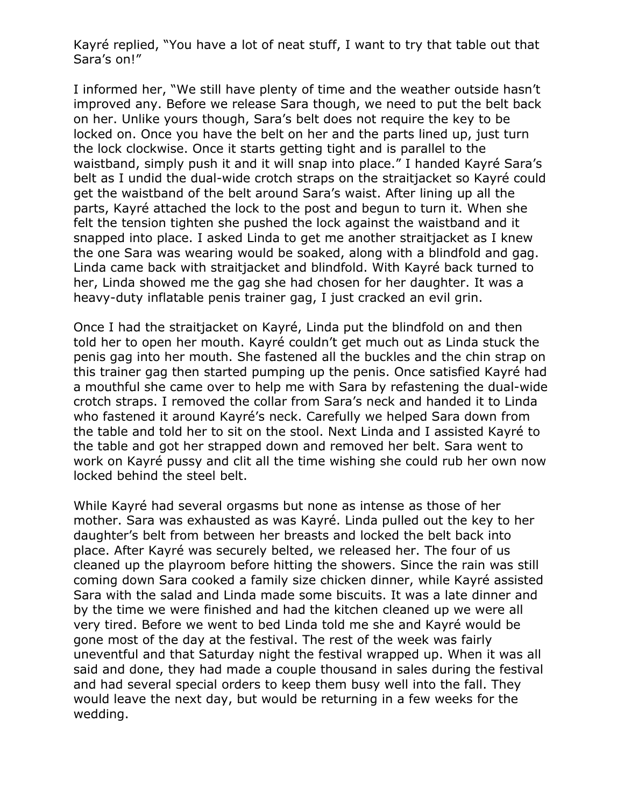Kayré replied, "You have a lot of neat stuff, I want to try that table out that Sara's on!"

I informed her, "We still have plenty of time and the weather outside hasn't improved any. Before we release Sara though, we need to put the belt back on her. Unlike yours though, Sara's belt does not require the key to be locked on. Once you have the belt on her and the parts lined up, just turn the lock clockwise. Once it starts getting tight and is parallel to the waistband, simply push it and it will snap into place." I handed Kayré Sara's belt as I undid the dual-wide crotch straps on the straitjacket so Kayré could get the waistband of the belt around Sara's waist. After lining up all the parts, Kayré attached the lock to the post and begun to turn it. When she felt the tension tighten she pushed the lock against the waistband and it snapped into place. I asked Linda to get me another straitjacket as I knew the one Sara was wearing would be soaked, along with a blindfold and gag. Linda came back with straitjacket and blindfold. With Kayré back turned to her, Linda showed me the gag she had chosen for her daughter. It was a heavy-duty inflatable penis trainer gag, I just cracked an evil grin.

Once I had the straitjacket on Kayré, Linda put the blindfold on and then told her to open her mouth. Kayré couldn't get much out as Linda stuck the penis gag into her mouth. She fastened all the buckles and the chin strap on this trainer gag then started pumping up the penis. Once satisfied Kayré had a mouthful she came over to help me with Sara by refastening the dual-wide crotch straps. I removed the collar from Sara's neck and handed it to Linda who fastened it around Kayré's neck. Carefully we helped Sara down from the table and told her to sit on the stool. Next Linda and I assisted Kayré to the table and got her strapped down and removed her belt. Sara went to work on Kayré pussy and clit all the time wishing she could rub her own now locked behind the steel belt.

While Kayré had several orgasms but none as intense as those of her mother. Sara was exhausted as was Kayré. Linda pulled out the key to her daughter's belt from between her breasts and locked the belt back into place. After Kayré was securely belted, we released her. The four of us cleaned up the playroom before hitting the showers. Since the rain was still coming down Sara cooked a family size chicken dinner, while Kayré assisted Sara with the salad and Linda made some biscuits. It was a late dinner and by the time we were finished and had the kitchen cleaned up we were all very tired. Before we went to bed Linda told me she and Kayré would be gone most of the day at the festival. The rest of the week was fairly uneventful and that Saturday night the festival wrapped up. When it was all said and done, they had made a couple thousand in sales during the festival and had several special orders to keep them busy well into the fall. They would leave the next day, but would be returning in a few weeks for the wedding.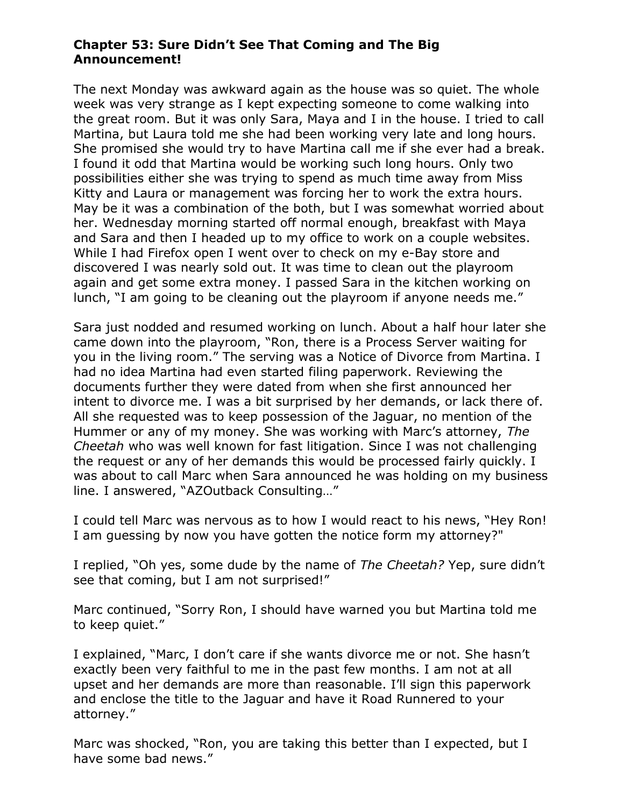### **Chapter 53: Sure Didn't See That Coming and The Big Announcement!**

The next Monday was awkward again as the house was so quiet. The whole week was very strange as I kept expecting someone to come walking into the great room. But it was only Sara, Maya and I in the house. I tried to call Martina, but Laura told me she had been working very late and long hours. She promised she would try to have Martina call me if she ever had a break. I found it odd that Martina would be working such long hours. Only two possibilities either she was trying to spend as much time away from Miss Kitty and Laura or management was forcing her to work the extra hours. May be it was a combination of the both, but I was somewhat worried about her. Wednesday morning started off normal enough, breakfast with Maya and Sara and then I headed up to my office to work on a couple websites. While I had Firefox open I went over to check on my e-Bay store and discovered I was nearly sold out. It was time to clean out the playroom again and get some extra money. I passed Sara in the kitchen working on lunch, "I am going to be cleaning out the playroom if anyone needs me."

Sara just nodded and resumed working on lunch. About a half hour later she came down into the playroom, "Ron, there is a Process Server waiting for you in the living room." The serving was a Notice of Divorce from Martina. I had no idea Martina had even started filing paperwork. Reviewing the documents further they were dated from when she first announced her intent to divorce me. I was a bit surprised by her demands, or lack there of. All she requested was to keep possession of the Jaguar, no mention of the Hummer or any of my money. She was working with Marc's attorney, *The Cheetah* who was well known for fast litigation. Since I was not challenging the request or any of her demands this would be processed fairly quickly. I was about to call Marc when Sara announced he was holding on my business line. I answered, "AZOutback Consulting…"

I could tell Marc was nervous as to how I would react to his news, "Hey Ron! I am guessing by now you have gotten the notice form my attorney?"

I replied, "Oh yes, some dude by the name of *The Cheetah?* Yep, sure didn't see that coming, but I am not surprised!"

Marc continued, "Sorry Ron, I should have warned you but Martina told me to keep quiet."

I explained, "Marc, I don't care if she wants divorce me or not. She hasn't exactly been very faithful to me in the past few months. I am not at all upset and her demands are more than reasonable. I'll sign this paperwork and enclose the title to the Jaguar and have it Road Runnered to your attorney."

Marc was shocked, "Ron, you are taking this better than I expected, but I have some bad news."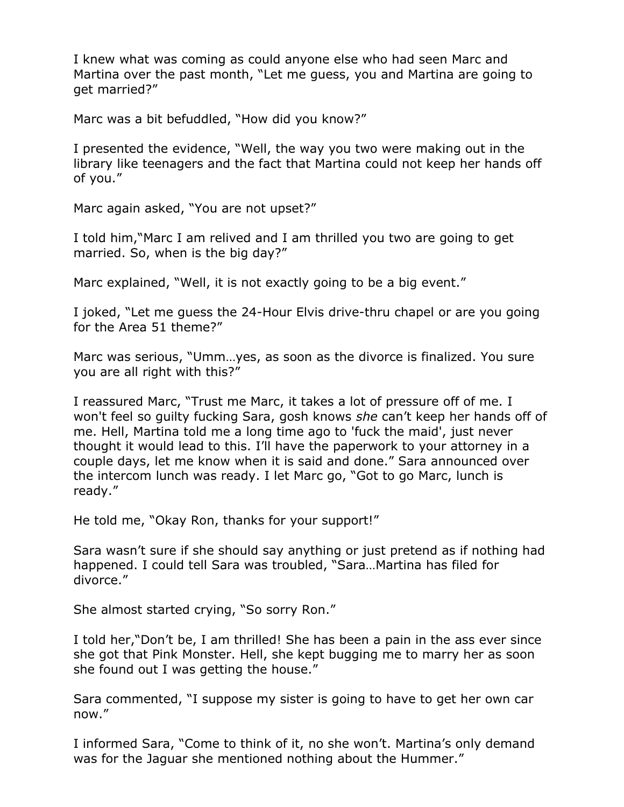I knew what was coming as could anyone else who had seen Marc and Martina over the past month, "Let me guess, you and Martina are going to get married?"

Marc was a bit befuddled, "How did you know?"

I presented the evidence, "Well, the way you two were making out in the library like teenagers and the fact that Martina could not keep her hands off of you."

Marc again asked, "You are not upset?"

I told him,"Marc I am relived and I am thrilled you two are going to get married. So, when is the big day?"

Marc explained, "Well, it is not exactly going to be a big event."

I joked, "Let me guess the 24-Hour Elvis drive-thru chapel or are you going for the Area 51 theme?"

Marc was serious, "Umm…yes, as soon as the divorce is finalized. You sure you are all right with this?"

I reassured Marc, "Trust me Marc, it takes a lot of pressure off of me. I won't feel so guilty fucking Sara, gosh knows *she* can't keep her hands off of me. Hell, Martina told me a long time ago to 'fuck the maid', just never thought it would lead to this. I'll have the paperwork to your attorney in a couple days, let me know when it is said and done." Sara announced over the intercom lunch was ready. I let Marc go, "Got to go Marc, lunch is ready."

He told me, "Okay Ron, thanks for your support!"

Sara wasn't sure if she should say anything or just pretend as if nothing had happened. I could tell Sara was troubled, "Sara…Martina has filed for divorce."

She almost started crying, "So sorry Ron."

I told her,"Don't be, I am thrilled! She has been a pain in the ass ever since she got that Pink Monster. Hell, she kept bugging me to marry her as soon she found out I was getting the house."

Sara commented, "I suppose my sister is going to have to get her own car now."

I informed Sara, "Come to think of it, no she won't. Martina's only demand was for the Jaguar she mentioned nothing about the Hummer."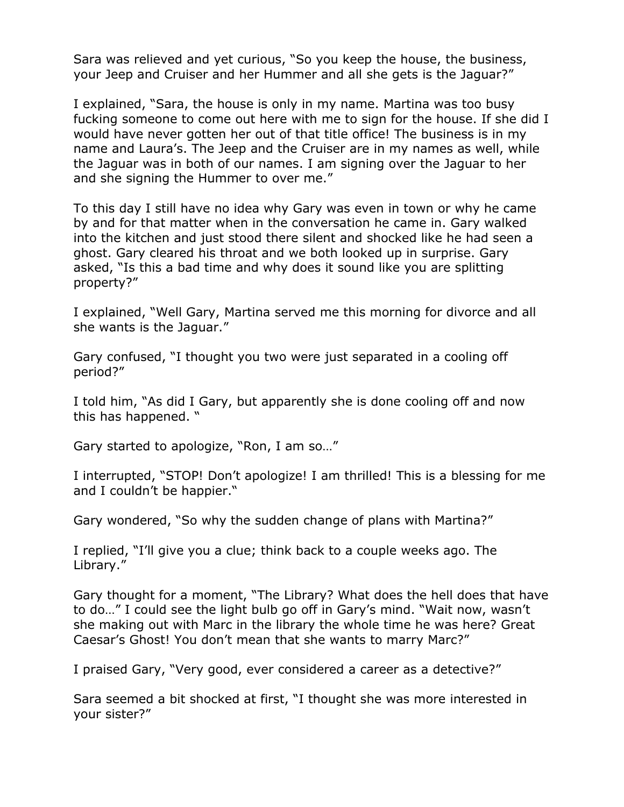Sara was relieved and yet curious, "So you keep the house, the business, your Jeep and Cruiser and her Hummer and all she gets is the Jaguar?"

I explained, "Sara, the house is only in my name. Martina was too busy fucking someone to come out here with me to sign for the house. If she did I would have never gotten her out of that title office! The business is in my name and Laura's. The Jeep and the Cruiser are in my names as well, while the Jaguar was in both of our names. I am signing over the Jaguar to her and she signing the Hummer to over me."

To this day I still have no idea why Gary was even in town or why he came by and for that matter when in the conversation he came in. Gary walked into the kitchen and just stood there silent and shocked like he had seen a ghost. Gary cleared his throat and we both looked up in surprise. Gary asked, "Is this a bad time and why does it sound like you are splitting property?"

I explained, "Well Gary, Martina served me this morning for divorce and all she wants is the Jaguar."

Gary confused, "I thought you two were just separated in a cooling off period?"

I told him, "As did I Gary, but apparently she is done cooling off and now this has happened. "

Gary started to apologize, "Ron, I am so…"

I interrupted, "STOP! Don't apologize! I am thrilled! This is a blessing for me and I couldn't be happier."

Gary wondered, "So why the sudden change of plans with Martina?"

I replied, "I'll give you a clue; think back to a couple weeks ago. The Library."

Gary thought for a moment, "The Library? What does the hell does that have to do…" I could see the light bulb go off in Gary's mind. "Wait now, wasn't she making out with Marc in the library the whole time he was here? Great Caesar's Ghost! You don't mean that she wants to marry Marc?"

I praised Gary, "Very good, ever considered a career as a detective?"

Sara seemed a bit shocked at first, "I thought she was more interested in your sister?"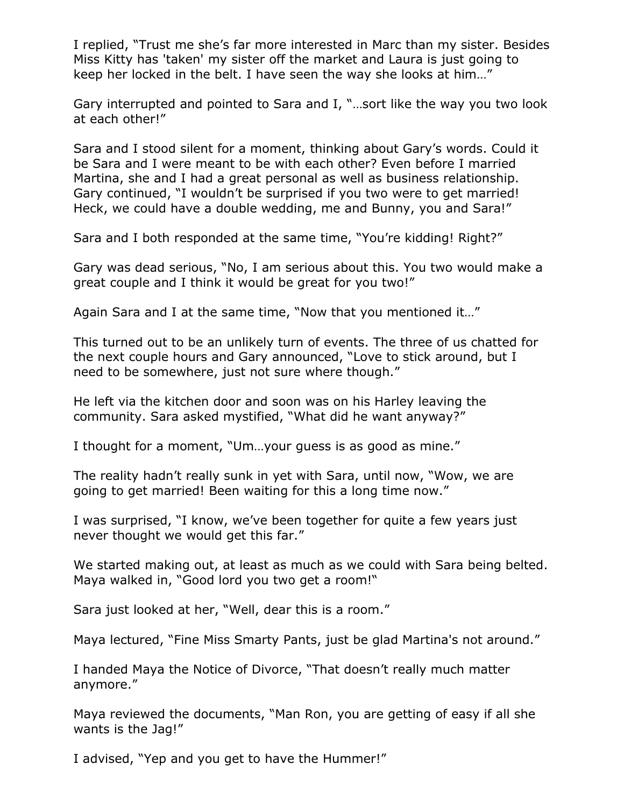I replied, "Trust me she's far more interested in Marc than my sister. Besides Miss Kitty has 'taken' my sister off the market and Laura is just going to keep her locked in the belt. I have seen the way she looks at him…"

Gary interrupted and pointed to Sara and I, "…sort like the way you two look at each other!"

Sara and I stood silent for a moment, thinking about Gary's words. Could it be Sara and I were meant to be with each other? Even before I married Martina, she and I had a great personal as well as business relationship. Gary continued, "I wouldn't be surprised if you two were to get married! Heck, we could have a double wedding, me and Bunny, you and Sara!"

Sara and I both responded at the same time, "You're kidding! Right?"

Gary was dead serious, "No, I am serious about this. You two would make a great couple and I think it would be great for you two!"

Again Sara and I at the same time, "Now that you mentioned it…"

This turned out to be an unlikely turn of events. The three of us chatted for the next couple hours and Gary announced, "Love to stick around, but I need to be somewhere, just not sure where though."

He left via the kitchen door and soon was on his Harley leaving the community. Sara asked mystified, "What did he want anyway?"

I thought for a moment, "Um…your guess is as good as mine."

The reality hadn't really sunk in yet with Sara, until now, "Wow, we are going to get married! Been waiting for this a long time now."

I was surprised, "I know, we've been together for quite a few years just never thought we would get this far."

We started making out, at least as much as we could with Sara being belted. Maya walked in, "Good lord you two get a room!"

Sara just looked at her, "Well, dear this is a room."

Maya lectured, "Fine Miss Smarty Pants, just be glad Martina's not around."

I handed Maya the Notice of Divorce, "That doesn't really much matter anymore."

Maya reviewed the documents, "Man Ron, you are getting of easy if all she wants is the Jag!"

I advised, "Yep and you get to have the Hummer!"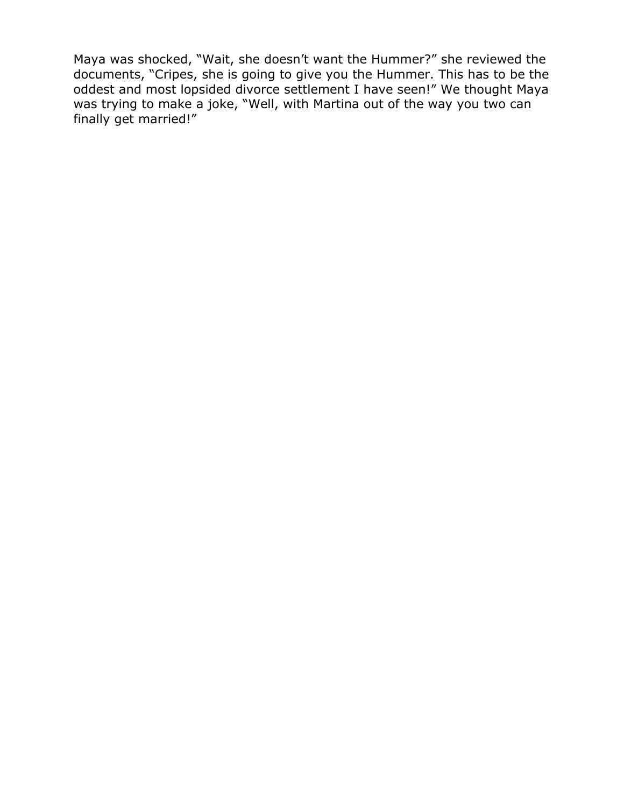Maya was shocked, "Wait, she doesn't want the Hummer?" she reviewed the documents, "Cripes, she is going to give you the Hummer. This has to be the oddest and most lopsided divorce settlement I have seen!" We thought Maya was trying to make a joke, "Well, with Martina out of the way you two can finally get married!"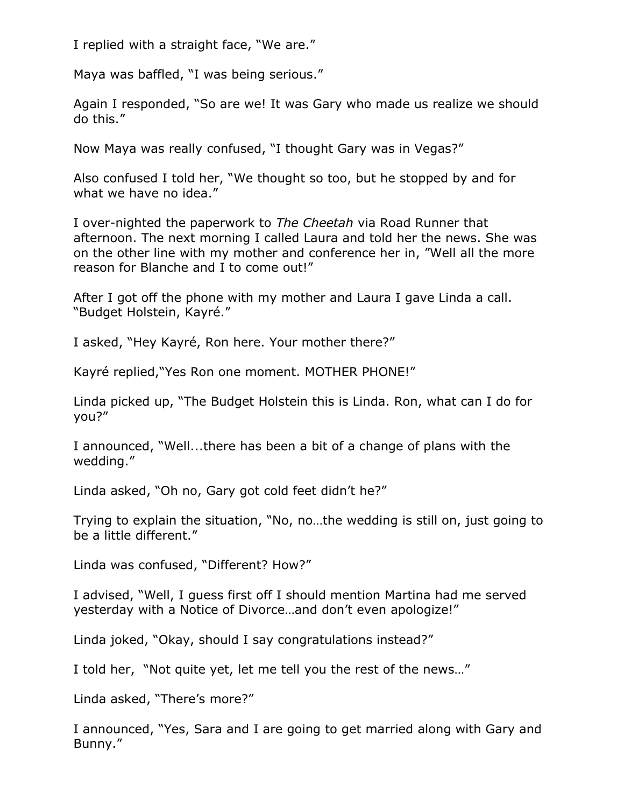I replied with a straight face, "We are."

Maya was baffled, "I was being serious."

Again I responded, "So are we! It was Gary who made us realize we should do this."

Now Maya was really confused, "I thought Gary was in Vegas?"

Also confused I told her, "We thought so too, but he stopped by and for what we have no idea."

I over-nighted the paperwork to *The Cheetah* via Road Runner that afternoon. The next morning I called Laura and told her the news. She was on the other line with my mother and conference her in, "Well all the more reason for Blanche and I to come out!"

After I got off the phone with my mother and Laura I gave Linda a call. "Budget Holstein, Kayré."

I asked, "Hey Kayré, Ron here. Your mother there?"

Kayré replied,"Yes Ron one moment. MOTHER PHONE!"

Linda picked up, "The Budget Holstein this is Linda. Ron, what can I do for you?"

I announced, "Well...there has been a bit of a change of plans with the wedding."

Linda asked, "Oh no, Gary got cold feet didn't he?"

Trying to explain the situation, "No, no…the wedding is still on, just going to be a little different."

Linda was confused, "Different? How?"

I advised, "Well, I guess first off I should mention Martina had me served yesterday with a Notice of Divorce…and don't even apologize!"

Linda joked, "Okay, should I say congratulations instead?"

I told her, "Not quite yet, let me tell you the rest of the news…"

Linda asked, "There's more?"

I announced, "Yes, Sara and I are going to get married along with Gary and Bunny."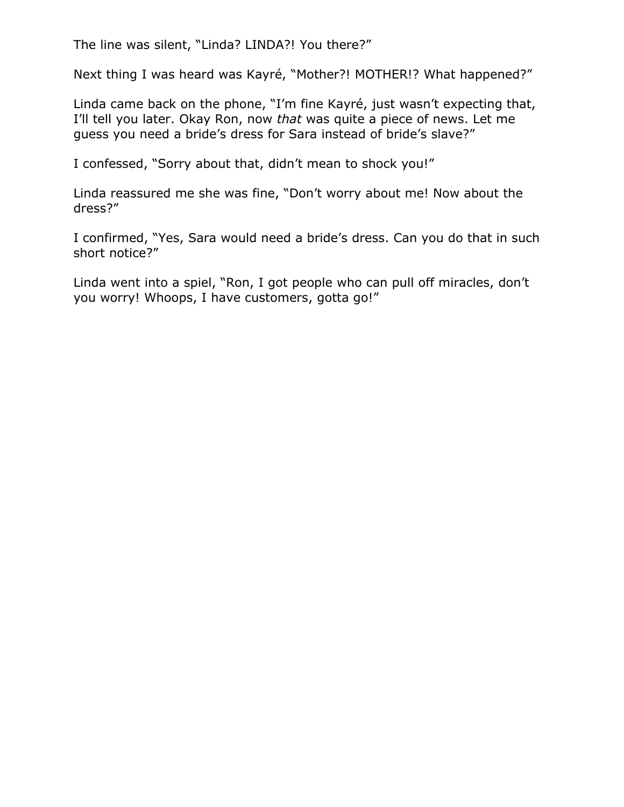The line was silent, "Linda? LINDA?! You there?"

Next thing I was heard was Kayré, "Mother?! MOTHER!? What happened?"

Linda came back on the phone, "I'm fine Kayré, just wasn't expecting that, I'll tell you later. Okay Ron, now *that* was quite a piece of news. Let me guess you need a bride's dress for Sara instead of bride's slave?"

I confessed, "Sorry about that, didn't mean to shock you!"

Linda reassured me she was fine, "Don't worry about me! Now about the dress?"

I confirmed, "Yes, Sara would need a bride's dress. Can you do that in such short notice?"

Linda went into a spiel, "Ron, I got people who can pull off miracles, don't you worry! Whoops, I have customers, gotta go!"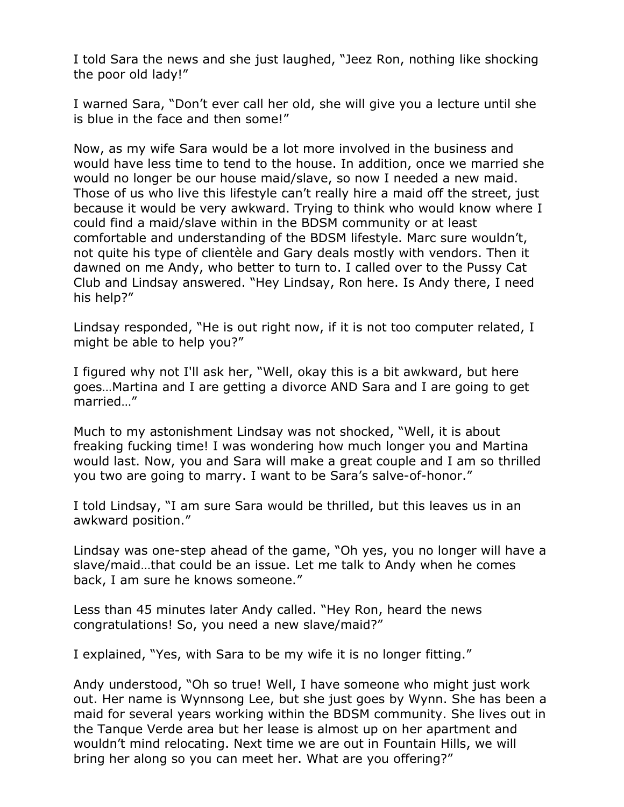I told Sara the news and she just laughed, "Jeez Ron, nothing like shocking the poor old lady!"

I warned Sara, "Don't ever call her old, she will give you a lecture until she is blue in the face and then some!"

Now, as my wife Sara would be a lot more involved in the business and would have less time to tend to the house. In addition, once we married she would no longer be our house maid/slave, so now I needed a new maid. Those of us who live this lifestyle can't really hire a maid off the street, just because it would be very awkward. Trying to think who would know where I could find a maid/slave within in the BDSM community or at least comfortable and understanding of the BDSM lifestyle. Marc sure wouldn't, not quite his type of clientèle and Gary deals mostly with vendors. Then it dawned on me Andy, who better to turn to. I called over to the Pussy Cat Club and Lindsay answered. "Hey Lindsay, Ron here. Is Andy there, I need his help?"

Lindsay responded, "He is out right now, if it is not too computer related, I might be able to help you?"

I figured why not I'll ask her, "Well, okay this is a bit awkward, but here goes…Martina and I are getting a divorce AND Sara and I are going to get married…"

Much to my astonishment Lindsay was not shocked, "Well, it is about freaking fucking time! I was wondering how much longer you and Martina would last. Now, you and Sara will make a great couple and I am so thrilled you two are going to marry. I want to be Sara's salve-of-honor."

I told Lindsay, "I am sure Sara would be thrilled, but this leaves us in an awkward position."

Lindsay was one-step ahead of the game, "Oh yes, you no longer will have a slave/maid…that could be an issue. Let me talk to Andy when he comes back, I am sure he knows someone."

Less than 45 minutes later Andy called. "Hey Ron, heard the news congratulations! So, you need a new slave/maid?"

I explained, "Yes, with Sara to be my wife it is no longer fitting."

Andy understood, "Oh so true! Well, I have someone who might just work out. Her name is Wynnsong Lee, but she just goes by Wynn. She has been a maid for several years working within the BDSM community. She lives out in the Tanque Verde area but her lease is almost up on her apartment and wouldn't mind relocating. Next time we are out in Fountain Hills, we will bring her along so you can meet her. What are you offering?"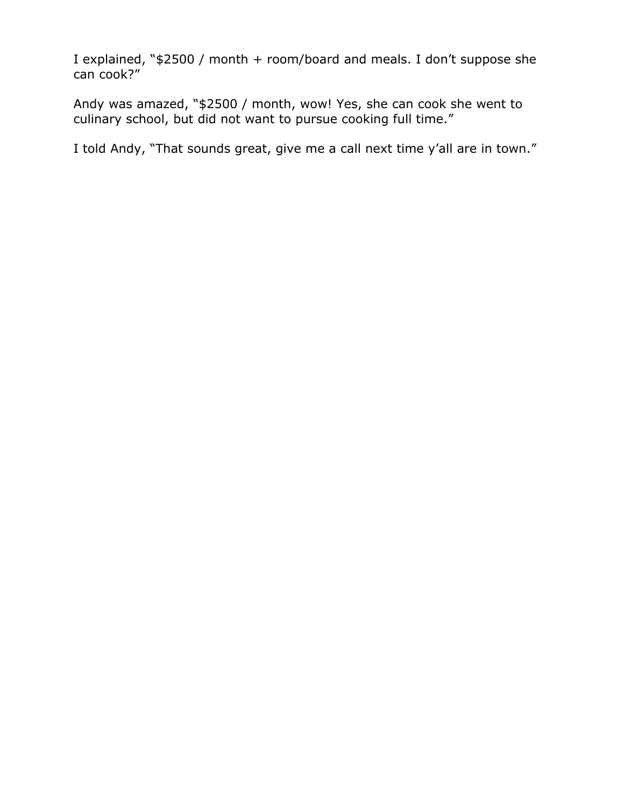I explained, "\$2500 / month + room/board and meals. I don't suppose she can cook?"

Andy was amazed, "\$2500 / month, wow! Yes, she can cook she went to culinary school, but did not want to pursue cooking full time."

I told Andy, "That sounds great, give me a call next time y'all are in town."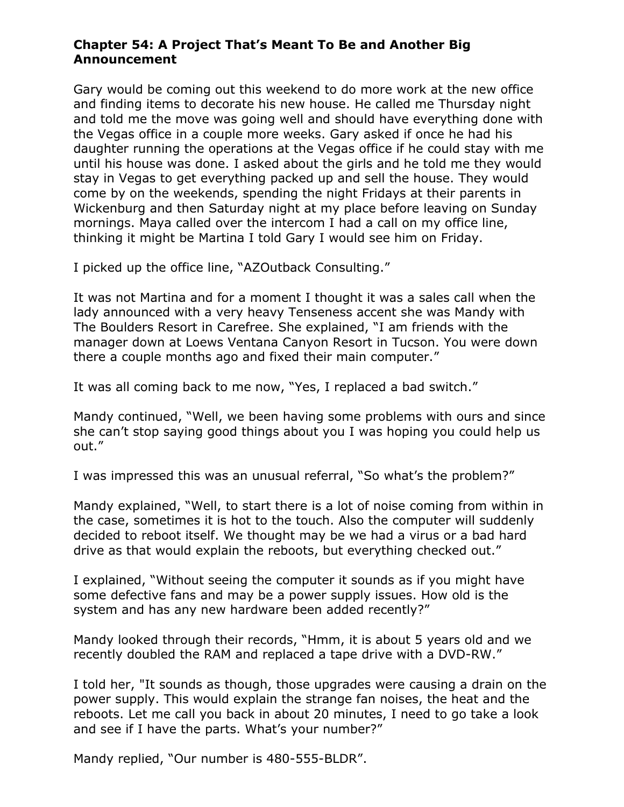### **Chapter 54: A Project That's Meant To Be and Another Big Announcement**

Gary would be coming out this weekend to do more work at the new office and finding items to decorate his new house. He called me Thursday night and told me the move was going well and should have everything done with the Vegas office in a couple more weeks. Gary asked if once he had his daughter running the operations at the Vegas office if he could stay with me until his house was done. I asked about the girls and he told me they would stay in Vegas to get everything packed up and sell the house. They would come by on the weekends, spending the night Fridays at their parents in Wickenburg and then Saturday night at my place before leaving on Sunday mornings. Maya called over the intercom I had a call on my office line, thinking it might be Martina I told Gary I would see him on Friday.

I picked up the office line, "AZOutback Consulting."

It was not Martina and for a moment I thought it was a sales call when the lady announced with a very heavy Tenseness accent she was Mandy with The Boulders Resort in Carefree. She explained, "I am friends with the manager down at Loews Ventana Canyon Resort in Tucson. You were down there a couple months ago and fixed their main computer."

It was all coming back to me now, "Yes, I replaced a bad switch."

Mandy continued, "Well, we been having some problems with ours and since she can't stop saying good things about you I was hoping you could help us out."

I was impressed this was an unusual referral, "So what's the problem?"

Mandy explained, "Well, to start there is a lot of noise coming from within in the case, sometimes it is hot to the touch. Also the computer will suddenly decided to reboot itself. We thought may be we had a virus or a bad hard drive as that would explain the reboots, but everything checked out."

I explained, "Without seeing the computer it sounds as if you might have some defective fans and may be a power supply issues. How old is the system and has any new hardware been added recently?"

Mandy looked through their records, "Hmm, it is about 5 years old and we recently doubled the RAM and replaced a tape drive with a DVD-RW."

I told her, "It sounds as though, those upgrades were causing a drain on the power supply. This would explain the strange fan noises, the heat and the reboots. Let me call you back in about 20 minutes, I need to go take a look and see if I have the parts. What's your number?"

Mandy replied, "Our number is 480-555-BLDR".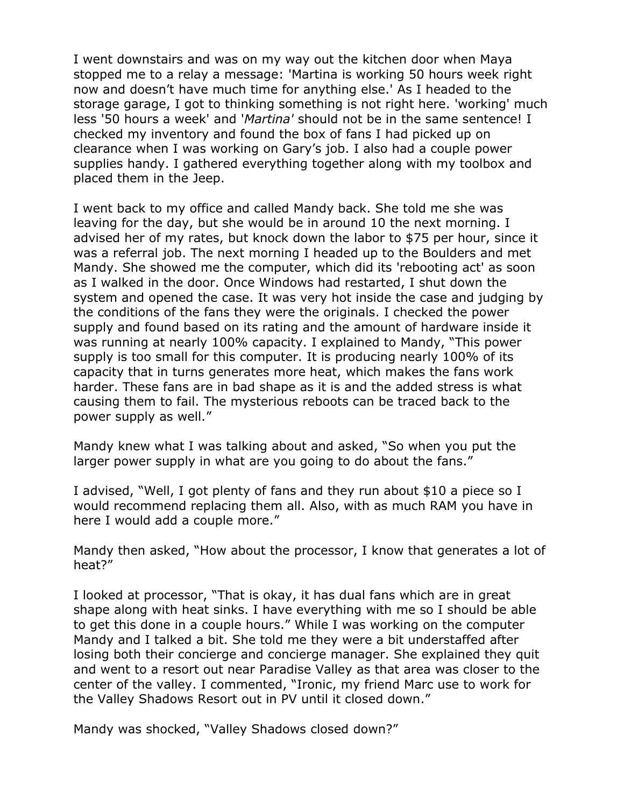I went downstairs and was on my way out the kitchen door when Maya stopped me to a relay a message: 'Martina is working 50 hours week right now and doesn't have much time for anything else.' As I headed to the storage garage, I got to thinking something is not right here. 'working' much less '50 hours a week' and '*Martina'* should not be in the same sentence! I checked my inventory and found the box of fans I had picked up on clearance when I was working on Gary's job. I also had a couple power supplies handy. I gathered everything together along with my toolbox and placed them in the Jeep.

I went back to my office and called Mandy back. She told me she was leaving for the day, but she would be in around 10 the next morning. I advised her of my rates, but knock down the labor to \$75 per hour, since it was a referral job. The next morning I headed up to the Boulders and met Mandy. She showed me the computer, which did its 'rebooting act' as soon as I walked in the door. Once Windows had restarted, I shut down the system and opened the case. It was very hot inside the case and judging by the conditions of the fans they were the originals. I checked the power supply and found based on its rating and the amount of hardware inside it was running at nearly 100% capacity. I explained to Mandy, "This power supply is too small for this computer. It is producing nearly 100% of its capacity that in turns generates more heat, which makes the fans work harder. These fans are in bad shape as it is and the added stress is what causing them to fail. The mysterious reboots can be traced back to the power supply as well."

Mandy knew what I was talking about and asked, "So when you put the larger power supply in what are you going to do about the fans."

I advised, "Well, I got plenty of fans and they run about \$10 a piece so I would recommend replacing them all. Also, with as much RAM you have in here I would add a couple more."

Mandy then asked, "How about the processor, I know that generates a lot of heat?"

I looked at processor, "That is okay, it has dual fans which are in great shape along with heat sinks. I have everything with me so I should be able to get this done in a couple hours." While I was working on the computer Mandy and I talked a bit. She told me they were a bit understaffed after losing both their concierge and concierge manager. She explained they quit and went to a resort out near Paradise Valley as that area was closer to the center of the valley. I commented, "Ironic, my friend Marc use to work for the Valley Shadows Resort out in PV until it closed down."

Mandy was shocked, "Valley Shadows closed down?"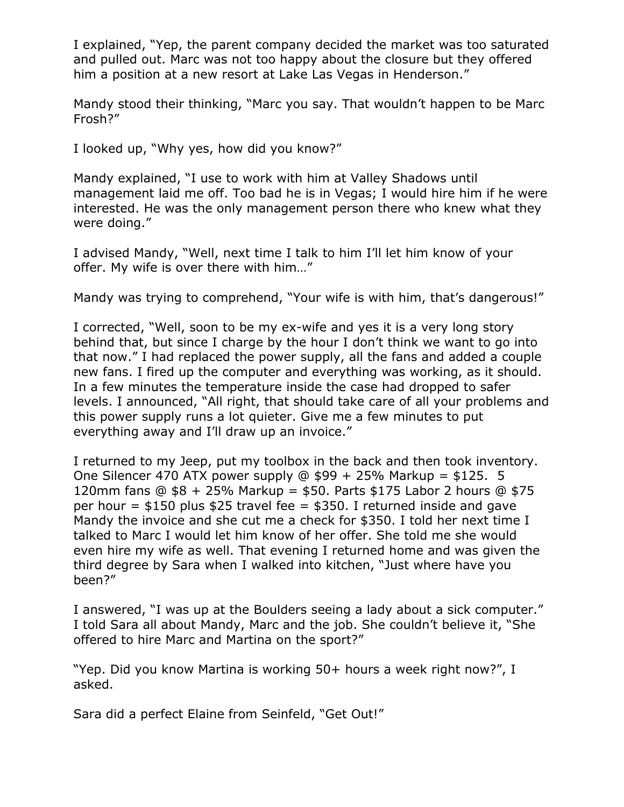I explained, "Yep, the parent company decided the market was too saturated and pulled out. Marc was not too happy about the closure but they offered him a position at a new resort at Lake Las Vegas in Henderson."

Mandy stood their thinking, "Marc you say. That wouldn't happen to be Marc Frosh?"

I looked up, "Why yes, how did you know?"

Mandy explained, "I use to work with him at Valley Shadows until management laid me off. Too bad he is in Vegas; I would hire him if he were interested. He was the only management person there who knew what they were doing."

I advised Mandy, "Well, next time I talk to him I'll let him know of your offer. My wife is over there with him…"

Mandy was trying to comprehend, "Your wife is with him, that's dangerous!"

I corrected, "Well, soon to be my ex-wife and yes it is a very long story behind that, but since I charge by the hour I don't think we want to go into that now." I had replaced the power supply, all the fans and added a couple new fans. I fired up the computer and everything was working, as it should. In a few minutes the temperature inside the case had dropped to safer levels. I announced, "All right, that should take care of all your problems and this power supply runs a lot quieter. Give me a few minutes to put everything away and I'll draw up an invoice."

I returned to my Jeep, put my toolbox in the back and then took inventory. One Silencer 470 ATX power supply  $\textcircled{a}$  \$99 + 25% Markup = \$125. 5 120mm fans @ \$8 + 25% Markup = \$50. Parts \$175 Labor 2 hours @ \$75 per hour =  $$150$  plus  $$25$  travel fee =  $$350$ . I returned inside and gave Mandy the invoice and she cut me a check for \$350. I told her next time I talked to Marc I would let him know of her offer. She told me she would even hire my wife as well. That evening I returned home and was given the third degree by Sara when I walked into kitchen, "Just where have you been?"

I answered, "I was up at the Boulders seeing a lady about a sick computer." I told Sara all about Mandy, Marc and the job. She couldn't believe it, "She offered to hire Marc and Martina on the sport?"

"Yep. Did you know Martina is working 50+ hours a week right now?", I asked.

Sara did a perfect Elaine from Seinfeld, "Get Out!"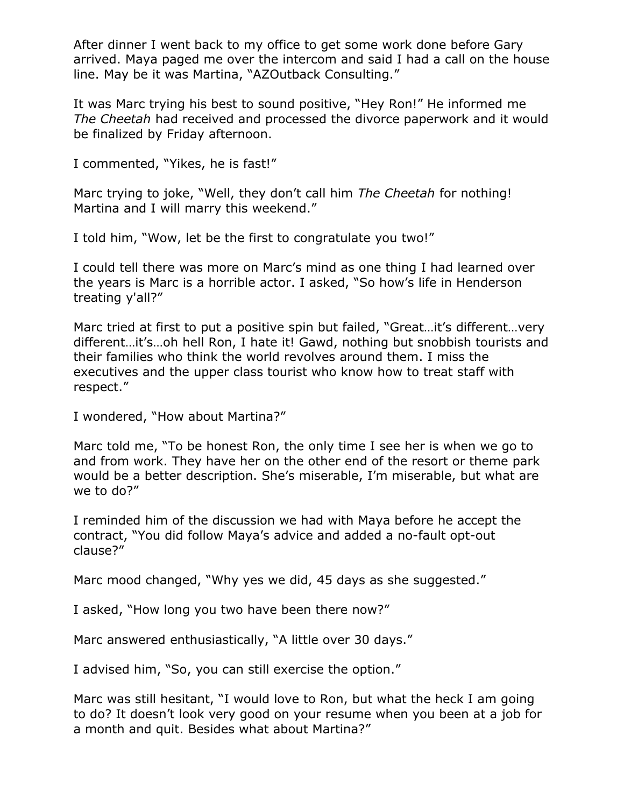After dinner I went back to my office to get some work done before Gary arrived. Maya paged me over the intercom and said I had a call on the house line. May be it was Martina, "AZOutback Consulting."

It was Marc trying his best to sound positive, "Hey Ron!" He informed me *The Cheetah* had received and processed the divorce paperwork and it would be finalized by Friday afternoon.

I commented, "Yikes, he is fast!"

Marc trying to joke, "Well, they don't call him *The Cheetah* for nothing! Martina and I will marry this weekend."

I told him, "Wow, let be the first to congratulate you two!"

I could tell there was more on Marc's mind as one thing I had learned over the years is Marc is a horrible actor. I asked, "So how's life in Henderson treating y'all?"

Marc tried at first to put a positive spin but failed, "Great...it's different...very different…it's…oh hell Ron, I hate it! Gawd, nothing but snobbish tourists and their families who think the world revolves around them. I miss the executives and the upper class tourist who know how to treat staff with respect."

I wondered, "How about Martina?"

Marc told me, "To be honest Ron, the only time I see her is when we go to and from work. They have her on the other end of the resort or theme park would be a better description. She's miserable, I'm miserable, but what are we to do?"

I reminded him of the discussion we had with Maya before he accept the contract, "You did follow Maya's advice and added a no-fault opt-out clause?"

Marc mood changed, "Why yes we did, 45 days as she suggested."

I asked, "How long you two have been there now?"

Marc answered enthusiastically, "A little over 30 days."

I advised him, "So, you can still exercise the option."

Marc was still hesitant, "I would love to Ron, but what the heck I am going to do? It doesn't look very good on your resume when you been at a job for a month and quit. Besides what about Martina?"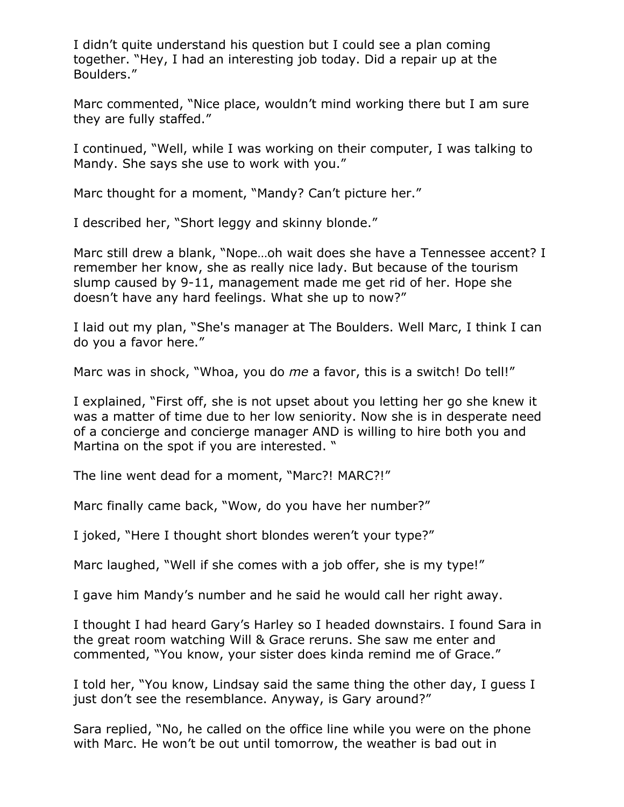I didn't quite understand his question but I could see a plan coming together. "Hey, I had an interesting job today. Did a repair up at the Boulders."

Marc commented, "Nice place, wouldn't mind working there but I am sure they are fully staffed."

I continued, "Well, while I was working on their computer, I was talking to Mandy. She says she use to work with you."

Marc thought for a moment, "Mandy? Can't picture her."

I described her, "Short leggy and skinny blonde."

Marc still drew a blank, "Nope…oh wait does she have a Tennessee accent? I remember her know, she as really nice lady. But because of the tourism slump caused by 9-11, management made me get rid of her. Hope she doesn't have any hard feelings. What she up to now?"

I laid out my plan, "She's manager at The Boulders. Well Marc, I think I can do you a favor here."

Marc was in shock, "Whoa, you do *me* a favor, this is a switch! Do tell!"

I explained, "First off, she is not upset about you letting her go she knew it was a matter of time due to her low seniority. Now she is in desperate need of a concierge and concierge manager AND is willing to hire both you and Martina on the spot if you are interested. "

The line went dead for a moment, "Marc?! MARC?!"

Marc finally came back, "Wow, do you have her number?"

I joked, "Here I thought short blondes weren't your type?"

Marc laughed, "Well if she comes with a job offer, she is my type!"

I gave him Mandy's number and he said he would call her right away.

I thought I had heard Gary's Harley so I headed downstairs. I found Sara in the great room watching Will & Grace reruns. She saw me enter and commented, "You know, your sister does kinda remind me of Grace."

I told her, "You know, Lindsay said the same thing the other day, I guess I just don't see the resemblance. Anyway, is Gary around?"

Sara replied, "No, he called on the office line while you were on the phone with Marc. He won't be out until tomorrow, the weather is bad out in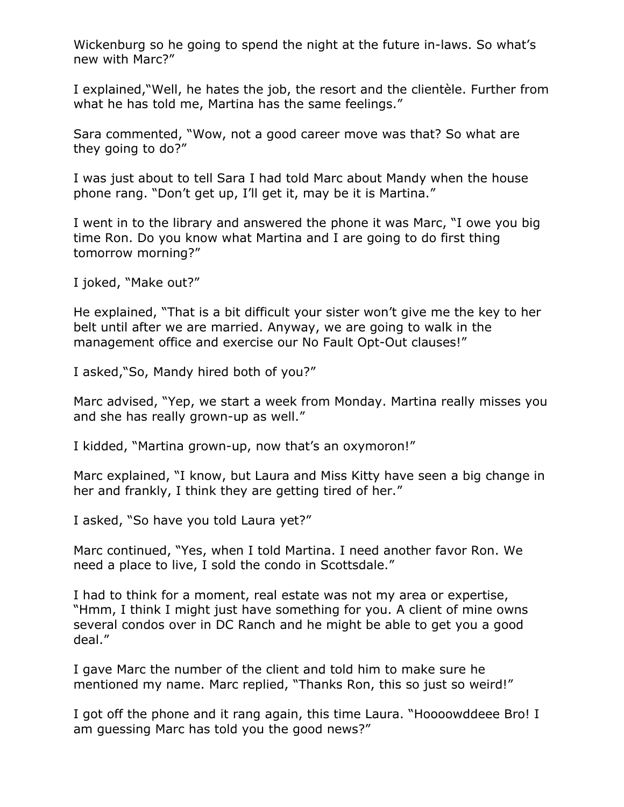Wickenburg so he going to spend the night at the future in-laws. So what's new with Marc?"

I explained,"Well, he hates the job, the resort and the clientèle. Further from what he has told me, Martina has the same feelings."

Sara commented, "Wow, not a good career move was that? So what are they going to do?"

I was just about to tell Sara I had told Marc about Mandy when the house phone rang. "Don't get up, I'll get it, may be it is Martina."

I went in to the library and answered the phone it was Marc, "I owe you big time Ron. Do you know what Martina and I are going to do first thing tomorrow morning?"

I joked, "Make out?"

He explained, "That is a bit difficult your sister won't give me the key to her belt until after we are married. Anyway, we are going to walk in the management office and exercise our No Fault Opt-Out clauses!"

I asked,"So, Mandy hired both of you?"

Marc advised, "Yep, we start a week from Monday. Martina really misses you and she has really grown-up as well."

I kidded, "Martina grown-up, now that's an oxymoron!"

Marc explained, "I know, but Laura and Miss Kitty have seen a big change in her and frankly, I think they are getting tired of her."

I asked, "So have you told Laura yet?"

Marc continued, "Yes, when I told Martina. I need another favor Ron. We need a place to live, I sold the condo in Scottsdale."

I had to think for a moment, real estate was not my area or expertise, "Hmm, I think I might just have something for you. A client of mine owns several condos over in DC Ranch and he might be able to get you a good deal."

I gave Marc the number of the client and told him to make sure he mentioned my name. Marc replied, "Thanks Ron, this so just so weird!"

I got off the phone and it rang again, this time Laura. "Hoooowddeee Bro! I am guessing Marc has told you the good news?"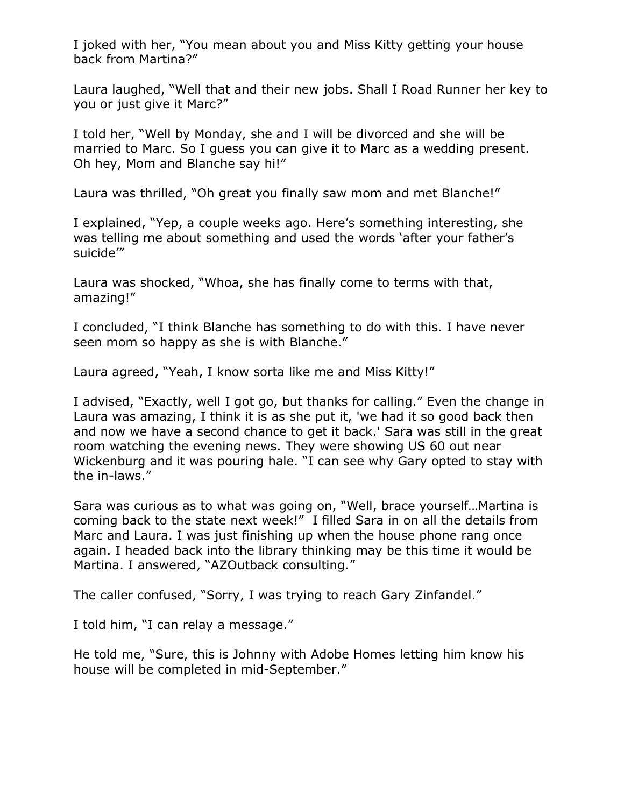I joked with her, "You mean about you and Miss Kitty getting your house back from Martina?"

Laura laughed, "Well that and their new jobs. Shall I Road Runner her key to you or just give it Marc?"

I told her, "Well by Monday, she and I will be divorced and she will be married to Marc. So I guess you can give it to Marc as a wedding present. Oh hey, Mom and Blanche say hi!"

Laura was thrilled, "Oh great you finally saw mom and met Blanche!"

I explained, "Yep, a couple weeks ago. Here's something interesting, she was telling me about something and used the words 'after your father's suicide'"

Laura was shocked, "Whoa, she has finally come to terms with that, amazing!"

I concluded, "I think Blanche has something to do with this. I have never seen mom so happy as she is with Blanche."

Laura agreed, "Yeah, I know sorta like me and Miss Kitty!"

I advised, "Exactly, well I got go, but thanks for calling." Even the change in Laura was amazing, I think it is as she put it, 'we had it so good back then and now we have a second chance to get it back.' Sara was still in the great room watching the evening news. They were showing US 60 out near Wickenburg and it was pouring hale. "I can see why Gary opted to stay with the in-laws."

Sara was curious as to what was going on, "Well, brace yourself…Martina is coming back to the state next week!" I filled Sara in on all the details from Marc and Laura. I was just finishing up when the house phone rang once again. I headed back into the library thinking may be this time it would be Martina. I answered, "AZOutback consulting."

The caller confused, "Sorry, I was trying to reach Gary Zinfandel."

I told him, "I can relay a message."

He told me, "Sure, this is Johnny with Adobe Homes letting him know his house will be completed in mid-September."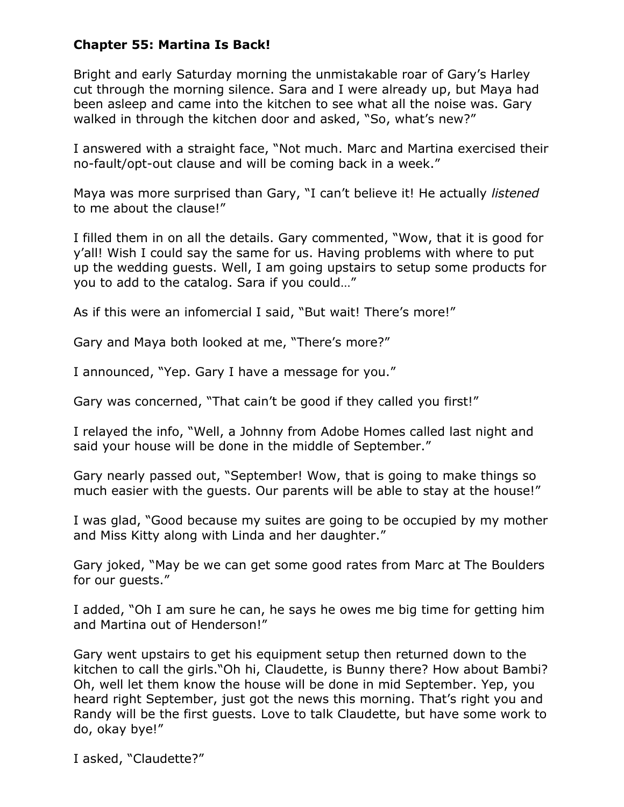## **Chapter 55: Martina Is Back!**

Bright and early Saturday morning the unmistakable roar of Gary's Harley cut through the morning silence. Sara and I were already up, but Maya had been asleep and came into the kitchen to see what all the noise was. Gary walked in through the kitchen door and asked, "So, what's new?"

I answered with a straight face, "Not much. Marc and Martina exercised their no-fault/opt-out clause and will be coming back in a week."

Maya was more surprised than Gary, "I can't believe it! He actually *listened* to me about the clause!"

I filled them in on all the details. Gary commented, "Wow, that it is good for y'all! Wish I could say the same for us. Having problems with where to put up the wedding guests. Well, I am going upstairs to setup some products for you to add to the catalog. Sara if you could…"

As if this were an infomercial I said, "But wait! There's more!"

Gary and Maya both looked at me, "There's more?"

I announced, "Yep. Gary I have a message for you."

Gary was concerned, "That cain't be good if they called you first!"

I relayed the info, "Well, a Johnny from Adobe Homes called last night and said your house will be done in the middle of September."

Gary nearly passed out, "September! Wow, that is going to make things so much easier with the guests. Our parents will be able to stay at the house!"

I was glad, "Good because my suites are going to be occupied by my mother and Miss Kitty along with Linda and her daughter."

Gary joked, "May be we can get some good rates from Marc at The Boulders for our guests."

I added, "Oh I am sure he can, he says he owes me big time for getting him and Martina out of Henderson!"

Gary went upstairs to get his equipment setup then returned down to the kitchen to call the girls."Oh hi, Claudette, is Bunny there? How about Bambi? Oh, well let them know the house will be done in mid September. Yep, you heard right September, just got the news this morning. That's right you and Randy will be the first guests. Love to talk Claudette, but have some work to do, okay bye!"

I asked, "Claudette?"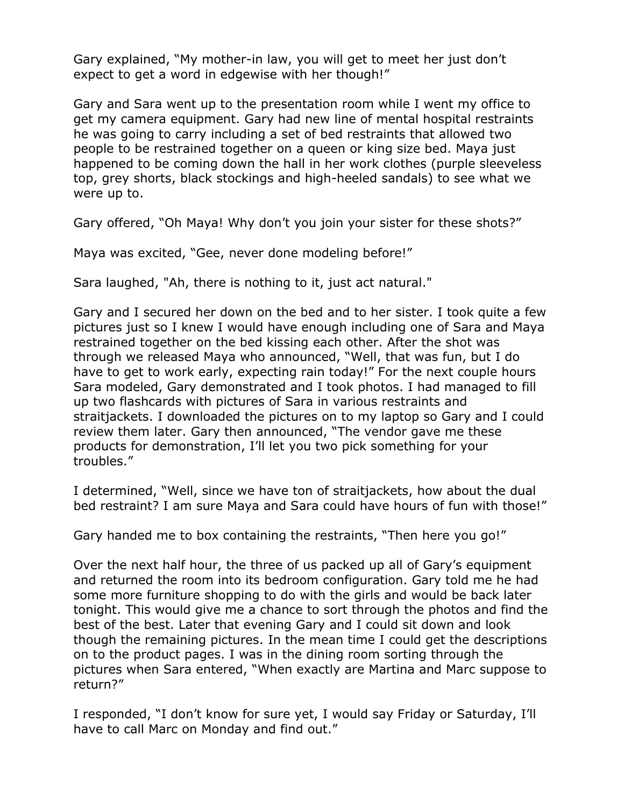Gary explained, "My mother-in law, you will get to meet her just don't expect to get a word in edgewise with her though!"

Gary and Sara went up to the presentation room while I went my office to get my camera equipment. Gary had new line of mental hospital restraints he was going to carry including a set of bed restraints that allowed two people to be restrained together on a queen or king size bed. Maya just happened to be coming down the hall in her work clothes (purple sleeveless top, grey shorts, black stockings and high-heeled sandals) to see what we were up to.

Gary offered, "Oh Maya! Why don't you join your sister for these shots?"

Maya was excited, "Gee, never done modeling before!"

Sara laughed, "Ah, there is nothing to it, just act natural."

Gary and I secured her down on the bed and to her sister. I took quite a few pictures just so I knew I would have enough including one of Sara and Maya restrained together on the bed kissing each other. After the shot was through we released Maya who announced, "Well, that was fun, but I do have to get to work early, expecting rain today!" For the next couple hours Sara modeled, Gary demonstrated and I took photos. I had managed to fill up two flashcards with pictures of Sara in various restraints and straitjackets. I downloaded the pictures on to my laptop so Gary and I could review them later. Gary then announced, "The vendor gave me these products for demonstration, I'll let you two pick something for your troubles."

I determined, "Well, since we have ton of straitjackets, how about the dual bed restraint? I am sure Maya and Sara could have hours of fun with those!"

Gary handed me to box containing the restraints, "Then here you go!"

Over the next half hour, the three of us packed up all of Gary's equipment and returned the room into its bedroom configuration. Gary told me he had some more furniture shopping to do with the girls and would be back later tonight. This would give me a chance to sort through the photos and find the best of the best. Later that evening Gary and I could sit down and look though the remaining pictures. In the mean time I could get the descriptions on to the product pages. I was in the dining room sorting through the pictures when Sara entered, "When exactly are Martina and Marc suppose to return?"

I responded, "I don't know for sure yet, I would say Friday or Saturday, I'll have to call Marc on Monday and find out."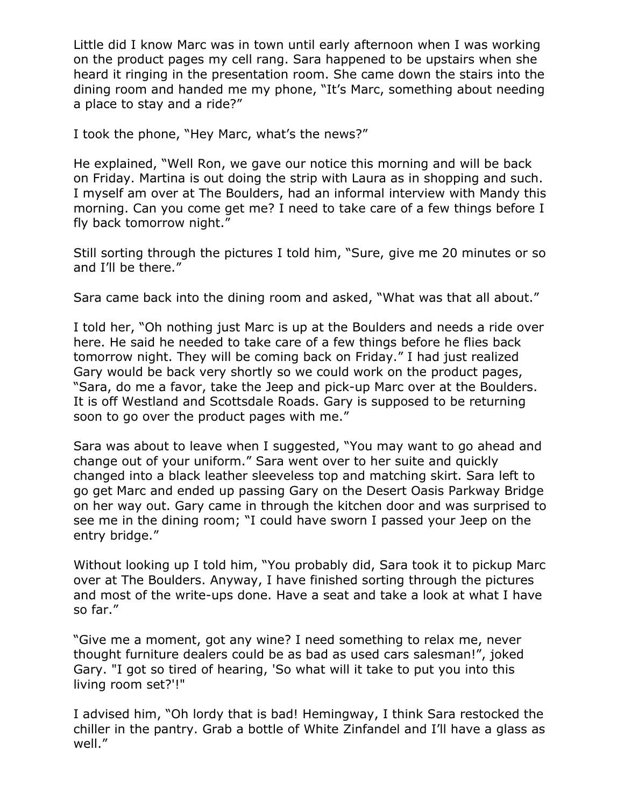Little did I know Marc was in town until early afternoon when I was working on the product pages my cell rang. Sara happened to be upstairs when she heard it ringing in the presentation room. She came down the stairs into the dining room and handed me my phone, "It's Marc, something about needing a place to stay and a ride?"

I took the phone, "Hey Marc, what's the news?"

He explained, "Well Ron, we gave our notice this morning and will be back on Friday. Martina is out doing the strip with Laura as in shopping and such. I myself am over at The Boulders, had an informal interview with Mandy this morning. Can you come get me? I need to take care of a few things before I fly back tomorrow night."

Still sorting through the pictures I told him, "Sure, give me 20 minutes or so and I'll be there."

Sara came back into the dining room and asked, "What was that all about."

I told her, "Oh nothing just Marc is up at the Boulders and needs a ride over here. He said he needed to take care of a few things before he flies back tomorrow night. They will be coming back on Friday." I had just realized Gary would be back very shortly so we could work on the product pages, "Sara, do me a favor, take the Jeep and pick-up Marc over at the Boulders. It is off Westland and Scottsdale Roads. Gary is supposed to be returning soon to go over the product pages with me."

Sara was about to leave when I suggested, "You may want to go ahead and change out of your uniform." Sara went over to her suite and quickly changed into a black leather sleeveless top and matching skirt. Sara left to go get Marc and ended up passing Gary on the Desert Oasis Parkway Bridge on her way out. Gary came in through the kitchen door and was surprised to see me in the dining room; "I could have sworn I passed your Jeep on the entry bridge."

Without looking up I told him, "You probably did, Sara took it to pickup Marc over at The Boulders. Anyway, I have finished sorting through the pictures and most of the write-ups done. Have a seat and take a look at what I have so far."

"Give me a moment, got any wine? I need something to relax me, never thought furniture dealers could be as bad as used cars salesman!", joked Gary. "I got so tired of hearing, 'So what will it take to put you into this living room set?'!"

I advised him, "Oh lordy that is bad! Hemingway, I think Sara restocked the chiller in the pantry. Grab a bottle of White Zinfandel and I'll have a glass as well."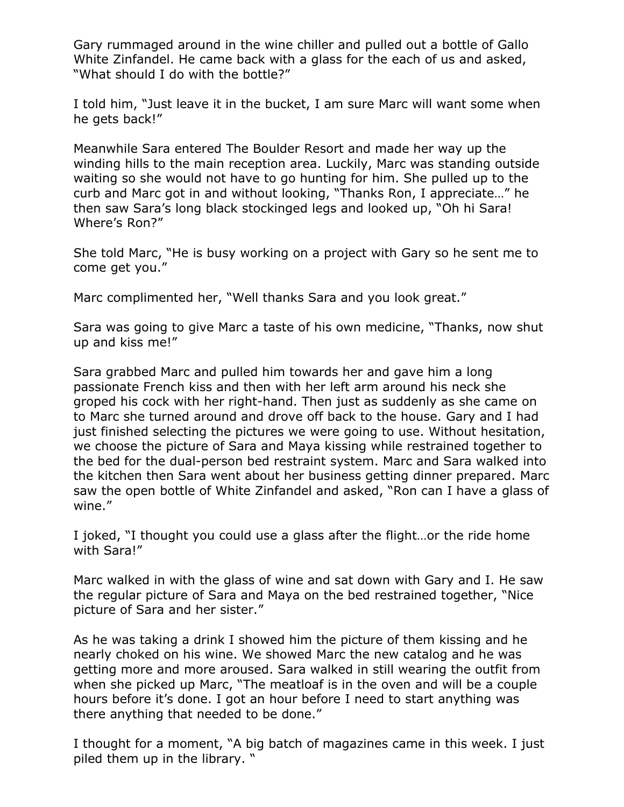Gary rummaged around in the wine chiller and pulled out a bottle of Gallo White Zinfandel. He came back with a glass for the each of us and asked, "What should I do with the bottle?"

I told him, "Just leave it in the bucket, I am sure Marc will want some when he gets back!"

Meanwhile Sara entered The Boulder Resort and made her way up the winding hills to the main reception area. Luckily, Marc was standing outside waiting so she would not have to go hunting for him. She pulled up to the curb and Marc got in and without looking, "Thanks Ron, I appreciate…" he then saw Sara's long black stockinged legs and looked up, "Oh hi Sara! Where's Ron?"

She told Marc, "He is busy working on a project with Gary so he sent me to come get you."

Marc complimented her, "Well thanks Sara and you look great."

Sara was going to give Marc a taste of his own medicine, "Thanks, now shut up and kiss me!"

Sara grabbed Marc and pulled him towards her and gave him a long passionate French kiss and then with her left arm around his neck she groped his cock with her right-hand. Then just as suddenly as she came on to Marc she turned around and drove off back to the house. Gary and I had just finished selecting the pictures we were going to use. Without hesitation, we choose the picture of Sara and Maya kissing while restrained together to the bed for the dual-person bed restraint system. Marc and Sara walked into the kitchen then Sara went about her business getting dinner prepared. Marc saw the open bottle of White Zinfandel and asked, "Ron can I have a glass of wine."

I joked, "I thought you could use a glass after the flight…or the ride home with Sara!"

Marc walked in with the glass of wine and sat down with Gary and I. He saw the regular picture of Sara and Maya on the bed restrained together, "Nice picture of Sara and her sister."

As he was taking a drink I showed him the picture of them kissing and he nearly choked on his wine. We showed Marc the new catalog and he was getting more and more aroused. Sara walked in still wearing the outfit from when she picked up Marc, "The meatloaf is in the oven and will be a couple hours before it's done. I got an hour before I need to start anything was there anything that needed to be done."

I thought for a moment, "A big batch of magazines came in this week. I just piled them up in the library. "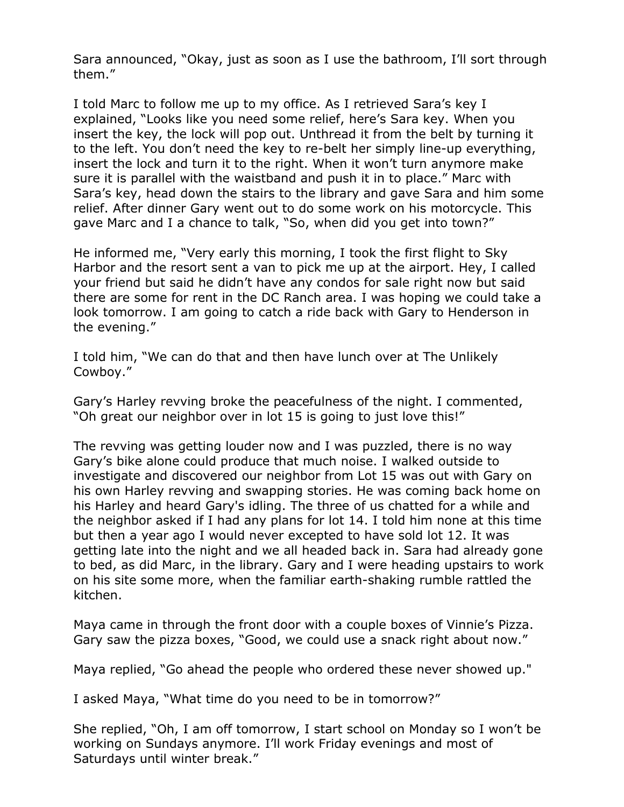Sara announced, "Okay, just as soon as I use the bathroom, I'll sort through them."

I told Marc to follow me up to my office. As I retrieved Sara's key I explained, "Looks like you need some relief, here's Sara key. When you insert the key, the lock will pop out. Unthread it from the belt by turning it to the left. You don't need the key to re-belt her simply line-up everything, insert the lock and turn it to the right. When it won't turn anymore make sure it is parallel with the waistband and push it in to place." Marc with Sara's key, head down the stairs to the library and gave Sara and him some relief. After dinner Gary went out to do some work on his motorcycle. This gave Marc and I a chance to talk, "So, when did you get into town?"

He informed me, "Very early this morning, I took the first flight to Sky Harbor and the resort sent a van to pick me up at the airport. Hey, I called your friend but said he didn't have any condos for sale right now but said there are some for rent in the DC Ranch area. I was hoping we could take a look tomorrow. I am going to catch a ride back with Gary to Henderson in the evening."

I told him, "We can do that and then have lunch over at The Unlikely Cowboy."

Gary's Harley revving broke the peacefulness of the night. I commented, "Oh great our neighbor over in lot 15 is going to just love this!"

The revving was getting louder now and I was puzzled, there is no way Gary's bike alone could produce that much noise. I walked outside to investigate and discovered our neighbor from Lot 15 was out with Gary on his own Harley revving and swapping stories. He was coming back home on his Harley and heard Gary's idling. The three of us chatted for a while and the neighbor asked if I had any plans for lot 14. I told him none at this time but then a year ago I would never excepted to have sold lot 12. It was getting late into the night and we all headed back in. Sara had already gone to bed, as did Marc, in the library. Gary and I were heading upstairs to work on his site some more, when the familiar earth-shaking rumble rattled the kitchen.

Maya came in through the front door with a couple boxes of Vinnie's Pizza. Gary saw the pizza boxes, "Good, we could use a snack right about now."

Maya replied, "Go ahead the people who ordered these never showed up."

I asked Maya, "What time do you need to be in tomorrow?"

She replied, "Oh, I am off tomorrow, I start school on Monday so I won't be working on Sundays anymore. I'll work Friday evenings and most of Saturdays until winter break."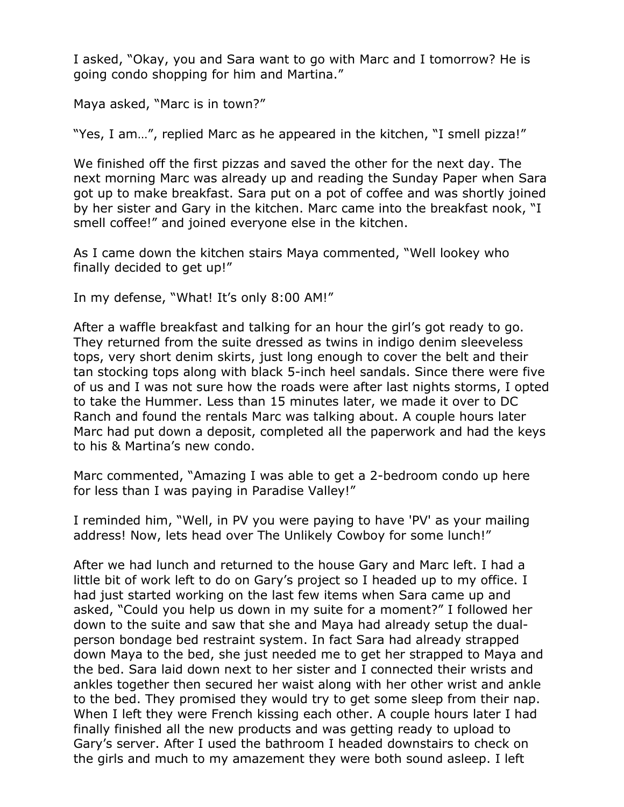I asked, "Okay, you and Sara want to go with Marc and I tomorrow? He is going condo shopping for him and Martina."

Maya asked, "Marc is in town?"

"Yes, I am…", replied Marc as he appeared in the kitchen, "I smell pizza!"

We finished off the first pizzas and saved the other for the next day. The next morning Marc was already up and reading the Sunday Paper when Sara got up to make breakfast. Sara put on a pot of coffee and was shortly joined by her sister and Gary in the kitchen. Marc came into the breakfast nook, "I smell coffee!" and joined everyone else in the kitchen.

As I came down the kitchen stairs Maya commented, "Well lookey who finally decided to get up!"

In my defense, "What! It's only 8:00 AM!"

After a waffle breakfast and talking for an hour the girl's got ready to go. They returned from the suite dressed as twins in indigo denim sleeveless tops, very short denim skirts, just long enough to cover the belt and their tan stocking tops along with black 5-inch heel sandals. Since there were five of us and I was not sure how the roads were after last nights storms, I opted to take the Hummer. Less than 15 minutes later, we made it over to DC Ranch and found the rentals Marc was talking about. A couple hours later Marc had put down a deposit, completed all the paperwork and had the keys to his & Martina's new condo.

Marc commented, "Amazing I was able to get a 2-bedroom condo up here for less than I was paying in Paradise Valley!"

I reminded him, "Well, in PV you were paying to have 'PV' as your mailing address! Now, lets head over The Unlikely Cowboy for some lunch!"

After we had lunch and returned to the house Gary and Marc left. I had a little bit of work left to do on Gary's project so I headed up to my office. I had just started working on the last few items when Sara came up and asked, "Could you help us down in my suite for a moment?" I followed her down to the suite and saw that she and Maya had already setup the dualperson bondage bed restraint system. In fact Sara had already strapped down Maya to the bed, she just needed me to get her strapped to Maya and the bed. Sara laid down next to her sister and I connected their wrists and ankles together then secured her waist along with her other wrist and ankle to the bed. They promised they would try to get some sleep from their nap. When I left they were French kissing each other. A couple hours later I had finally finished all the new products and was getting ready to upload to Gary's server. After I used the bathroom I headed downstairs to check on the girls and much to my amazement they were both sound asleep. I left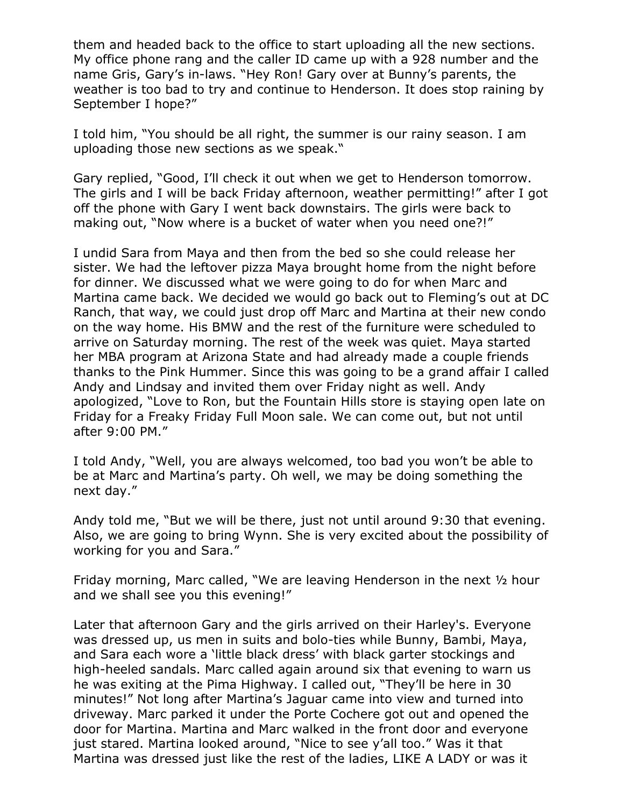them and headed back to the office to start uploading all the new sections. My office phone rang and the caller ID came up with a 928 number and the name Gris, Gary's in-laws. "Hey Ron! Gary over at Bunny's parents, the weather is too bad to try and continue to Henderson. It does stop raining by September I hope?"

I told him, "You should be all right, the summer is our rainy season. I am uploading those new sections as we speak."

Gary replied, "Good, I'll check it out when we get to Henderson tomorrow. The girls and I will be back Friday afternoon, weather permitting!" after I got off the phone with Gary I went back downstairs. The girls were back to making out, "Now where is a bucket of water when you need one?!"

I undid Sara from Maya and then from the bed so she could release her sister. We had the leftover pizza Maya brought home from the night before for dinner. We discussed what we were going to do for when Marc and Martina came back. We decided we would go back out to Fleming's out at DC Ranch, that way, we could just drop off Marc and Martina at their new condo on the way home. His BMW and the rest of the furniture were scheduled to arrive on Saturday morning. The rest of the week was quiet. Maya started her MBA program at Arizona State and had already made a couple friends thanks to the Pink Hummer. Since this was going to be a grand affair I called Andy and Lindsay and invited them over Friday night as well. Andy apologized, "Love to Ron, but the Fountain Hills store is staying open late on Friday for a Freaky Friday Full Moon sale. We can come out, but not until after 9:00 PM."

I told Andy, "Well, you are always welcomed, too bad you won't be able to be at Marc and Martina's party. Oh well, we may be doing something the next day."

Andy told me, "But we will be there, just not until around 9:30 that evening. Also, we are going to bring Wynn. She is very excited about the possibility of working for you and Sara."

Friday morning, Marc called, "We are leaving Henderson in the next ½ hour and we shall see you this evening!"

Later that afternoon Gary and the girls arrived on their Harley's. Everyone was dressed up, us men in suits and bolo-ties while Bunny, Bambi, Maya, and Sara each wore a 'little black dress' with black garter stockings and high-heeled sandals. Marc called again around six that evening to warn us he was exiting at the Pima Highway. I called out, "They'll be here in 30 minutes!" Not long after Martina's Jaguar came into view and turned into driveway. Marc parked it under the Porte Cochere got out and opened the door for Martina. Martina and Marc walked in the front door and everyone just stared. Martina looked around, "Nice to see y'all too." Was it that Martina was dressed just like the rest of the ladies, LIKE A LADY or was it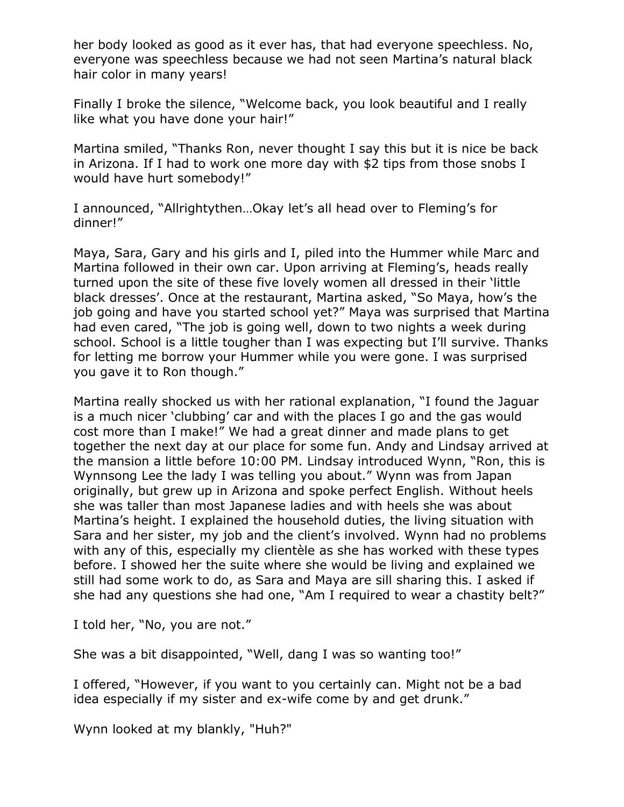her body looked as good as it ever has, that had everyone speechless. No, everyone was speechless because we had not seen Martina's natural black hair color in many years!

Finally I broke the silence, "Welcome back, you look beautiful and I really like what you have done your hair!"

Martina smiled, "Thanks Ron, never thought I say this but it is nice be back in Arizona. If I had to work one more day with \$2 tips from those snobs I would have hurt somebody!"

I announced, "Allrightythen…Okay let's all head over to Fleming's for dinner!"

Maya, Sara, Gary and his girls and I, piled into the Hummer while Marc and Martina followed in their own car. Upon arriving at Fleming's, heads really turned upon the site of these five lovely women all dressed in their 'little black dresses'. Once at the restaurant, Martina asked, "So Maya, how's the job going and have you started school yet?" Maya was surprised that Martina had even cared, "The job is going well, down to two nights a week during school. School is a little tougher than I was expecting but I'll survive. Thanks for letting me borrow your Hummer while you were gone. I was surprised you gave it to Ron though."

Martina really shocked us with her rational explanation, "I found the Jaguar is a much nicer 'clubbing' car and with the places I go and the gas would cost more than I make!" We had a great dinner and made plans to get together the next day at our place for some fun. Andy and Lindsay arrived at the mansion a little before 10:00 PM. Lindsay introduced Wynn, "Ron, this is Wynnsong Lee the lady I was telling you about." Wynn was from Japan originally, but grew up in Arizona and spoke perfect English. Without heels she was taller than most Japanese ladies and with heels she was about Martina's height. I explained the household duties, the living situation with Sara and her sister, my job and the client's involved. Wynn had no problems with any of this, especially my clientèle as she has worked with these types before. I showed her the suite where she would be living and explained we still had some work to do, as Sara and Maya are sill sharing this. I asked if she had any questions she had one, "Am I required to wear a chastity belt?"

I told her, "No, you are not."

She was a bit disappointed, "Well, dang I was so wanting too!"

I offered, "However, if you want to you certainly can. Might not be a bad idea especially if my sister and ex-wife come by and get drunk."

Wynn looked at my blankly, "Huh?"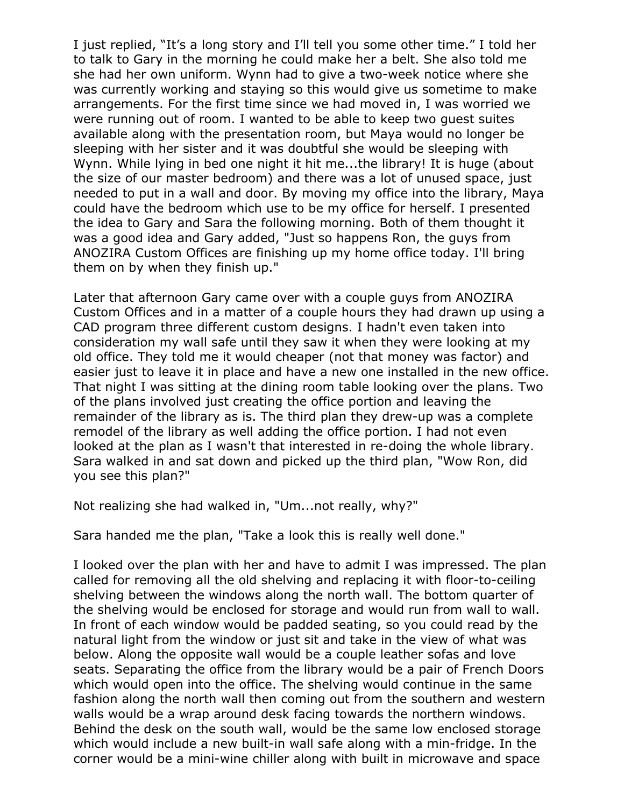I just replied, "It's a long story and I'll tell you some other time." I told her to talk to Gary in the morning he could make her a belt. She also told me she had her own uniform. Wynn had to give a two-week notice where she was currently working and staying so this would give us sometime to make arrangements. For the first time since we had moved in, I was worried we were running out of room. I wanted to be able to keep two guest suites available along with the presentation room, but Maya would no longer be sleeping with her sister and it was doubtful she would be sleeping with Wynn. While lying in bed one night it hit me...the library! It is huge (about the size of our master bedroom) and there was a lot of unused space, just needed to put in a wall and door. By moving my office into the library, Maya could have the bedroom which use to be my office for herself. I presented the idea to Gary and Sara the following morning. Both of them thought it was a good idea and Gary added, "Just so happens Ron, the guys from ANOZIRA Custom Offices are finishing up my home office today. I'll bring them on by when they finish up."

Later that afternoon Gary came over with a couple guys from ANOZIRA Custom Offices and in a matter of a couple hours they had drawn up using a CAD program three different custom designs. I hadn't even taken into consideration my wall safe until they saw it when they were looking at my old office. They told me it would cheaper (not that money was factor) and easier just to leave it in place and have a new one installed in the new office. That night I was sitting at the dining room table looking over the plans. Two of the plans involved just creating the office portion and leaving the remainder of the library as is. The third plan they drew-up was a complete remodel of the library as well adding the office portion. I had not even looked at the plan as I wasn't that interested in re-doing the whole library. Sara walked in and sat down and picked up the third plan, "Wow Ron, did you see this plan?"

Not realizing she had walked in, "Um...not really, why?"

Sara handed me the plan, "Take a look this is really well done."

I looked over the plan with her and have to admit I was impressed. The plan called for removing all the old shelving and replacing it with floor-to-ceiling shelving between the windows along the north wall. The bottom quarter of the shelving would be enclosed for storage and would run from wall to wall. In front of each window would be padded seating, so you could read by the natural light from the window or just sit and take in the view of what was below. Along the opposite wall would be a couple leather sofas and love seats. Separating the office from the library would be a pair of French Doors which would open into the office. The shelving would continue in the same fashion along the north wall then coming out from the southern and western walls would be a wrap around desk facing towards the northern windows. Behind the desk on the south wall, would be the same low enclosed storage which would include a new built-in wall safe along with a min-fridge. In the corner would be a mini-wine chiller along with built in microwave and space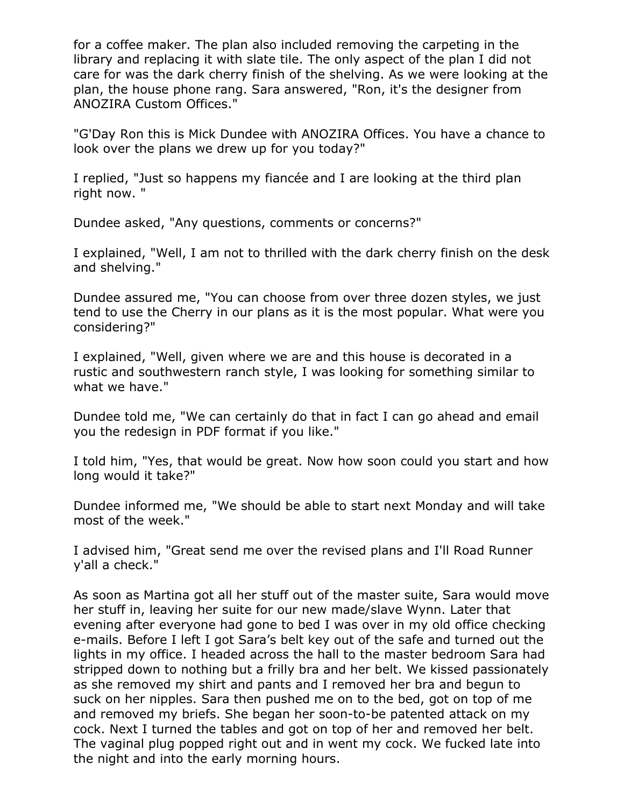for a coffee maker. The plan also included removing the carpeting in the library and replacing it with slate tile. The only aspect of the plan I did not care for was the dark cherry finish of the shelving. As we were looking at the plan, the house phone rang. Sara answered, "Ron, it's the designer from ANOZIRA Custom Offices."

"G'Day Ron this is Mick Dundee with ANOZIRA Offices. You have a chance to look over the plans we drew up for you today?"

I replied, "Just so happens my fiancée and I are looking at the third plan right now. "

Dundee asked, "Any questions, comments or concerns?"

I explained, "Well, I am not to thrilled with the dark cherry finish on the desk and shelving."

Dundee assured me, "You can choose from over three dozen styles, we just tend to use the Cherry in our plans as it is the most popular. What were you considering?"

I explained, "Well, given where we are and this house is decorated in a rustic and southwestern ranch style, I was looking for something similar to what we have."

Dundee told me, "We can certainly do that in fact I can go ahead and email you the redesign in PDF format if you like."

I told him, "Yes, that would be great. Now how soon could you start and how long would it take?"

Dundee informed me, "We should be able to start next Monday and will take most of the week."

I advised him, "Great send me over the revised plans and I'll Road Runner y'all a check."

As soon as Martina got all her stuff out of the master suite, Sara would move her stuff in, leaving her suite for our new made/slave Wynn. Later that evening after everyone had gone to bed I was over in my old office checking e-mails. Before I left I got Sara's belt key out of the safe and turned out the lights in my office. I headed across the hall to the master bedroom Sara had stripped down to nothing but a frilly bra and her belt. We kissed passionately as she removed my shirt and pants and I removed her bra and begun to suck on her nipples. Sara then pushed me on to the bed, got on top of me and removed my briefs. She began her soon-to-be patented attack on my cock. Next I turned the tables and got on top of her and removed her belt. The vaginal plug popped right out and in went my cock. We fucked late into the night and into the early morning hours.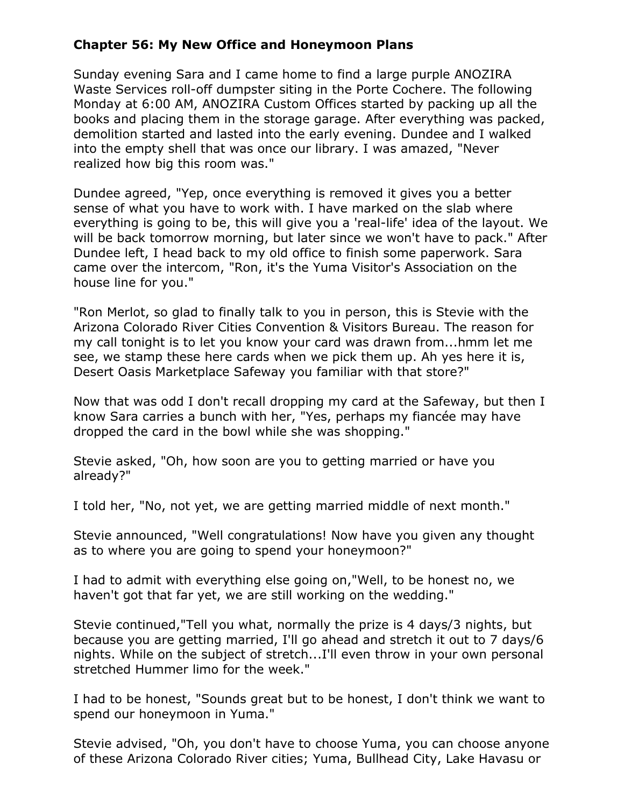## **Chapter 56: My New Office and Honeymoon Plans**

Sunday evening Sara and I came home to find a large purple ANOZIRA Waste Services roll-off dumpster siting in the Porte Cochere. The following Monday at 6:00 AM, ANOZIRA Custom Offices started by packing up all the books and placing them in the storage garage. After everything was packed, demolition started and lasted into the early evening. Dundee and I walked into the empty shell that was once our library. I was amazed, "Never realized how big this room was."

Dundee agreed, "Yep, once everything is removed it gives you a better sense of what you have to work with. I have marked on the slab where everything is going to be, this will give you a 'real-life' idea of the layout. We will be back tomorrow morning, but later since we won't have to pack." After Dundee left, I head back to my old office to finish some paperwork. Sara came over the intercom, "Ron, it's the Yuma Visitor's Association on the house line for you."

"Ron Merlot, so glad to finally talk to you in person, this is Stevie with the Arizona Colorado River Cities Convention & Visitors Bureau. The reason for my call tonight is to let you know your card was drawn from...hmm let me see, we stamp these here cards when we pick them up. Ah yes here it is, Desert Oasis Marketplace Safeway you familiar with that store?"

Now that was odd I don't recall dropping my card at the Safeway, but then I know Sara carries a bunch with her, "Yes, perhaps my fiancée may have dropped the card in the bowl while she was shopping."

Stevie asked, "Oh, how soon are you to getting married or have you already?"

I told her, "No, not yet, we are getting married middle of next month."

Stevie announced, "Well congratulations! Now have you given any thought as to where you are going to spend your honeymoon?"

I had to admit with everything else going on,"Well, to be honest no, we haven't got that far yet, we are still working on the wedding."

Stevie continued,"Tell you what, normally the prize is 4 days/3 nights, but because you are getting married, I'll go ahead and stretch it out to 7 days/6 nights. While on the subject of stretch...I'll even throw in your own personal stretched Hummer limo for the week."

I had to be honest, "Sounds great but to be honest, I don't think we want to spend our honeymoon in Yuma."

Stevie advised, "Oh, you don't have to choose Yuma, you can choose anyone of these Arizona Colorado River cities; Yuma, Bullhead City, Lake Havasu or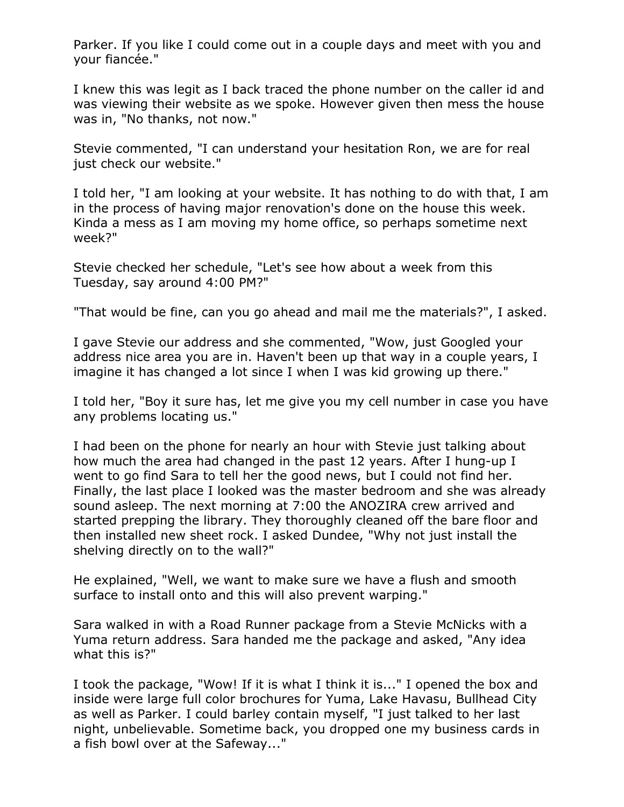Parker. If you like I could come out in a couple days and meet with you and your fiancée."

I knew this was legit as I back traced the phone number on the caller id and was viewing their website as we spoke. However given then mess the house was in, "No thanks, not now."

Stevie commented, "I can understand your hesitation Ron, we are for real just check our website."

I told her, "I am looking at your website. It has nothing to do with that, I am in the process of having major renovation's done on the house this week. Kinda a mess as I am moving my home office, so perhaps sometime next week?"

Stevie checked her schedule, "Let's see how about a week from this Tuesday, say around 4:00 PM?"

"That would be fine, can you go ahead and mail me the materials?", I asked.

I gave Stevie our address and she commented, "Wow, just Googled your address nice area you are in. Haven't been up that way in a couple years, I imagine it has changed a lot since I when I was kid growing up there."

I told her, "Boy it sure has, let me give you my cell number in case you have any problems locating us."

I had been on the phone for nearly an hour with Stevie just talking about how much the area had changed in the past 12 years. After I hung-up I went to go find Sara to tell her the good news, but I could not find her. Finally, the last place I looked was the master bedroom and she was already sound asleep. The next morning at 7:00 the ANOZIRA crew arrived and started prepping the library. They thoroughly cleaned off the bare floor and then installed new sheet rock. I asked Dundee, "Why not just install the shelving directly on to the wall?"

He explained, "Well, we want to make sure we have a flush and smooth surface to install onto and this will also prevent warping."

Sara walked in with a Road Runner package from a Stevie McNicks with a Yuma return address. Sara handed me the package and asked, "Any idea what this is?"

I took the package, "Wow! If it is what I think it is..." I opened the box and inside were large full color brochures for Yuma, Lake Havasu, Bullhead City as well as Parker. I could barley contain myself, "I just talked to her last night, unbelievable. Sometime back, you dropped one my business cards in a fish bowl over at the Safeway..."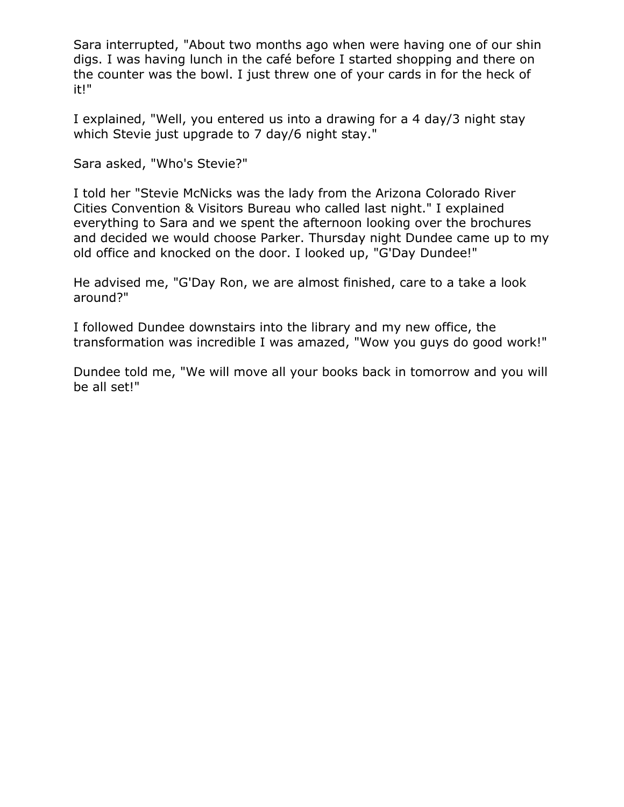Sara interrupted, "About two months ago when were having one of our shin digs. I was having lunch in the café before I started shopping and there on the counter was the bowl. I just threw one of your cards in for the heck of it!"

I explained, "Well, you entered us into a drawing for a 4 day/3 night stay which Stevie just upgrade to 7 day/6 night stay."

Sara asked, "Who's Stevie?"

I told her "Stevie McNicks was the lady from the Arizona Colorado River Cities Convention & Visitors Bureau who called last night." I explained everything to Sara and we spent the afternoon looking over the brochures and decided we would choose Parker. Thursday night Dundee came up to my old office and knocked on the door. I looked up, "G'Day Dundee!"

He advised me, "G'Day Ron, we are almost finished, care to a take a look around?"

I followed Dundee downstairs into the library and my new office, the transformation was incredible I was amazed, "Wow you guys do good work!"

Dundee told me, "We will move all your books back in tomorrow and you will be all set!"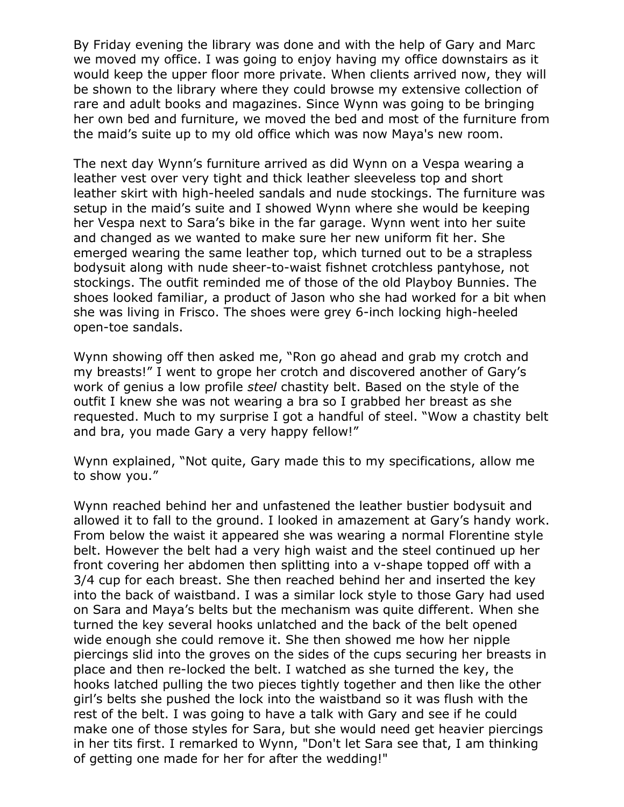By Friday evening the library was done and with the help of Gary and Marc we moved my office. I was going to enjoy having my office downstairs as it would keep the upper floor more private. When clients arrived now, they will be shown to the library where they could browse my extensive collection of rare and adult books and magazines. Since Wynn was going to be bringing her own bed and furniture, we moved the bed and most of the furniture from the maid's suite up to my old office which was now Maya's new room.

The next day Wynn's furniture arrived as did Wynn on a Vespa wearing a leather vest over very tight and thick leather sleeveless top and short leather skirt with high-heeled sandals and nude stockings. The furniture was setup in the maid's suite and I showed Wynn where she would be keeping her Vespa next to Sara's bike in the far garage. Wynn went into her suite and changed as we wanted to make sure her new uniform fit her. She emerged wearing the same leather top, which turned out to be a strapless bodysuit along with nude sheer-to-waist fishnet crotchless pantyhose, not stockings. The outfit reminded me of those of the old Playboy Bunnies. The shoes looked familiar, a product of Jason who she had worked for a bit when she was living in Frisco. The shoes were grey 6-inch locking high-heeled open-toe sandals.

Wynn showing off then asked me, "Ron go ahead and grab my crotch and my breasts!" I went to grope her crotch and discovered another of Gary's work of genius a low profile *steel* chastity belt. Based on the style of the outfit I knew she was not wearing a bra so I grabbed her breast as she requested. Much to my surprise I got a handful of steel. "Wow a chastity belt and bra, you made Gary a very happy fellow!"

Wynn explained, "Not quite, Gary made this to my specifications, allow me to show you."

Wynn reached behind her and unfastened the leather bustier bodysuit and allowed it to fall to the ground. I looked in amazement at Gary's handy work. From below the waist it appeared she was wearing a normal Florentine style belt. However the belt had a very high waist and the steel continued up her front covering her abdomen then splitting into a v-shape topped off with a 3/4 cup for each breast. She then reached behind her and inserted the key into the back of waistband. I was a similar lock style to those Gary had used on Sara and Maya's belts but the mechanism was quite different. When she turned the key several hooks unlatched and the back of the belt opened wide enough she could remove it. She then showed me how her nipple piercings slid into the groves on the sides of the cups securing her breasts in place and then re-locked the belt. I watched as she turned the key, the hooks latched pulling the two pieces tightly together and then like the other girl's belts she pushed the lock into the waistband so it was flush with the rest of the belt. I was going to have a talk with Gary and see if he could make one of those styles for Sara, but she would need get heavier piercings in her tits first. I remarked to Wynn, "Don't let Sara see that, I am thinking of getting one made for her for after the wedding!"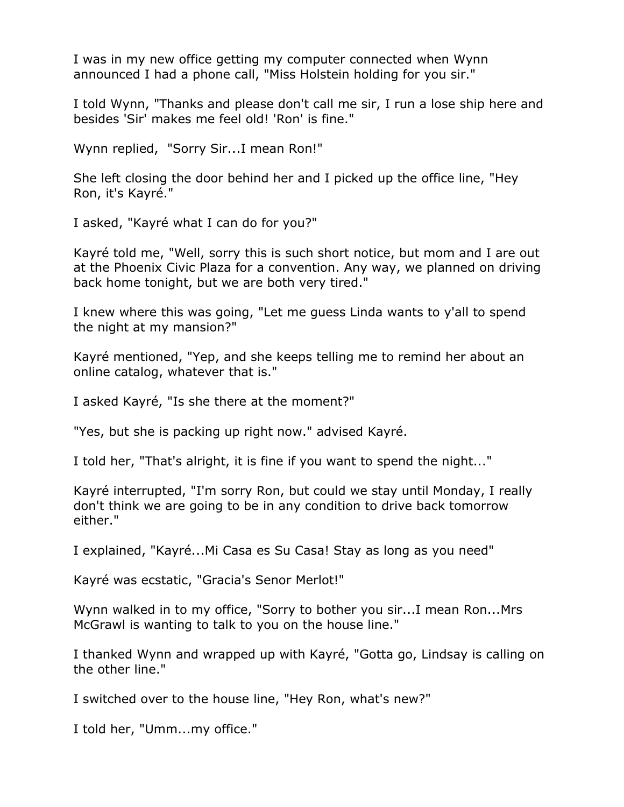I was in my new office getting my computer connected when Wynn announced I had a phone call, "Miss Holstein holding for you sir."

I told Wynn, "Thanks and please don't call me sir, I run a lose ship here and besides 'Sir' makes me feel old! 'Ron' is fine."

Wynn replied, "Sorry Sir...I mean Ron!"

She left closing the door behind her and I picked up the office line, "Hey Ron, it's Kayré."

I asked, "Kayré what I can do for you?"

Kayré told me, "Well, sorry this is such short notice, but mom and I are out at the Phoenix Civic Plaza for a convention. Any way, we planned on driving back home tonight, but we are both very tired."

I knew where this was going, "Let me guess Linda wants to y'all to spend the night at my mansion?"

Kayré mentioned, "Yep, and she keeps telling me to remind her about an online catalog, whatever that is."

I asked Kayré, "Is she there at the moment?"

"Yes, but she is packing up right now." advised Kayré.

I told her, "That's alright, it is fine if you want to spend the night..."

Kayré interrupted, "I'm sorry Ron, but could we stay until Monday, I really don't think we are going to be in any condition to drive back tomorrow either."

I explained, "Kayré...Mi Casa es Su Casa! Stay as long as you need"

Kayré was ecstatic, "Gracia's Senor Merlot!"

Wynn walked in to my office, "Sorry to bother you sir...I mean Ron...Mrs McGrawl is wanting to talk to you on the house line."

I thanked Wynn and wrapped up with Kayré, "Gotta go, Lindsay is calling on the other line."

I switched over to the house line, "Hey Ron, what's new?"

I told her, "Umm...my office."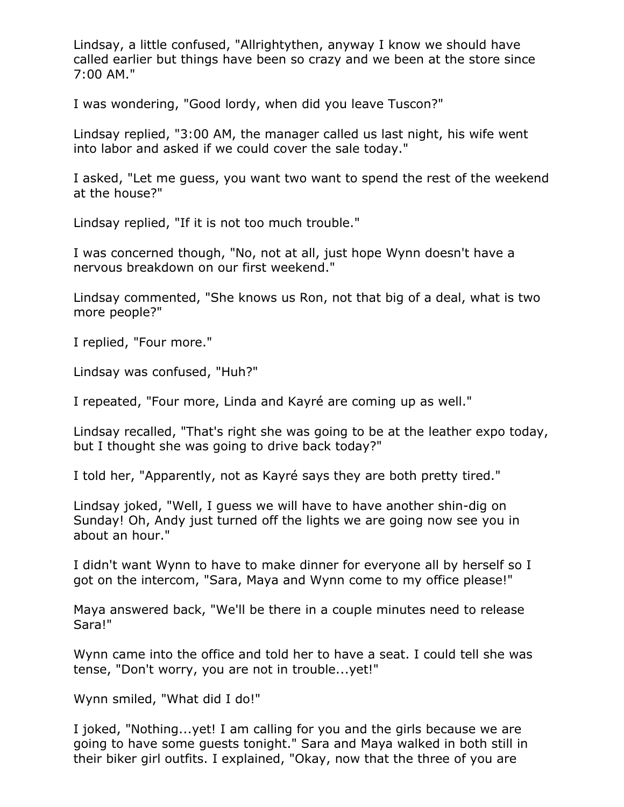Lindsay, a little confused, "Allrightythen, anyway I know we should have called earlier but things have been so crazy and we been at the store since 7:00 AM."

I was wondering, "Good lordy, when did you leave Tuscon?"

Lindsay replied, "3:00 AM, the manager called us last night, his wife went into labor and asked if we could cover the sale today."

I asked, "Let me guess, you want two want to spend the rest of the weekend at the house?"

Lindsay replied, "If it is not too much trouble."

I was concerned though, "No, not at all, just hope Wynn doesn't have a nervous breakdown on our first weekend."

Lindsay commented, "She knows us Ron, not that big of a deal, what is two more people?"

I replied, "Four more."

Lindsay was confused, "Huh?"

I repeated, "Four more, Linda and Kayré are coming up as well."

Lindsay recalled, "That's right she was going to be at the leather expo today, but I thought she was going to drive back today?"

I told her, "Apparently, not as Kayré says they are both pretty tired."

Lindsay joked, "Well, I guess we will have to have another shin-dig on Sunday! Oh, Andy just turned off the lights we are going now see you in about an hour."

I didn't want Wynn to have to make dinner for everyone all by herself so I got on the intercom, "Sara, Maya and Wynn come to my office please!"

Maya answered back, "We'll be there in a couple minutes need to release Sara!"

Wynn came into the office and told her to have a seat. I could tell she was tense, "Don't worry, you are not in trouble...yet!"

Wynn smiled, "What did I do!"

I joked, "Nothing...yet! I am calling for you and the girls because we are going to have some guests tonight." Sara and Maya walked in both still in their biker girl outfits. I explained, "Okay, now that the three of you are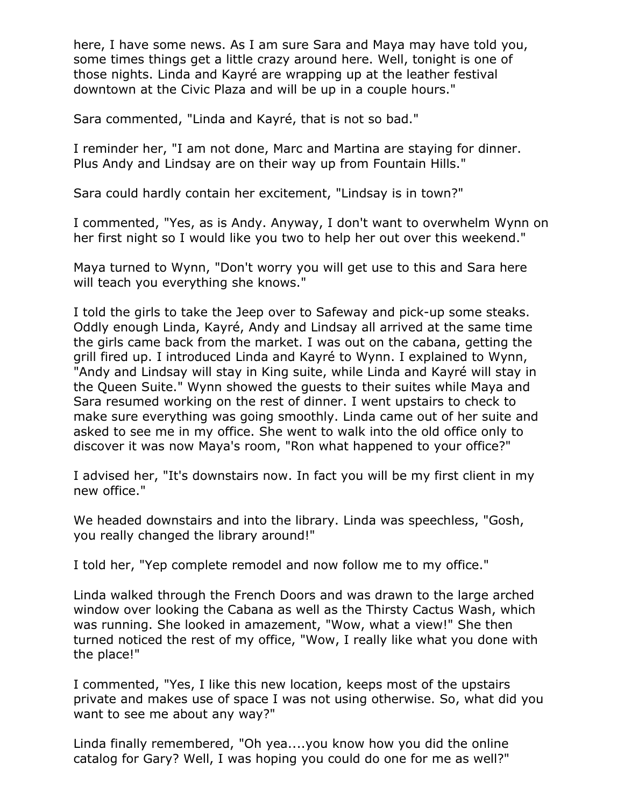here, I have some news. As I am sure Sara and Maya may have told you, some times things get a little crazy around here. Well, tonight is one of those nights. Linda and Kayré are wrapping up at the leather festival downtown at the Civic Plaza and will be up in a couple hours."

Sara commented, "Linda and Kayré, that is not so bad."

I reminder her, "I am not done, Marc and Martina are staying for dinner. Plus Andy and Lindsay are on their way up from Fountain Hills."

Sara could hardly contain her excitement, "Lindsay is in town?"

I commented, "Yes, as is Andy. Anyway, I don't want to overwhelm Wynn on her first night so I would like you two to help her out over this weekend."

Maya turned to Wynn, "Don't worry you will get use to this and Sara here will teach you everything she knows."

I told the girls to take the Jeep over to Safeway and pick-up some steaks. Oddly enough Linda, Kayré, Andy and Lindsay all arrived at the same time the girls came back from the market. I was out on the cabana, getting the grill fired up. I introduced Linda and Kayré to Wynn. I explained to Wynn, "Andy and Lindsay will stay in King suite, while Linda and Kayré will stay in the Queen Suite." Wynn showed the guests to their suites while Maya and Sara resumed working on the rest of dinner. I went upstairs to check to make sure everything was going smoothly. Linda came out of her suite and asked to see me in my office. She went to walk into the old office only to discover it was now Maya's room, "Ron what happened to your office?"

I advised her, "It's downstairs now. In fact you will be my first client in my new office."

We headed downstairs and into the library. Linda was speechless, "Gosh, you really changed the library around!"

I told her, "Yep complete remodel and now follow me to my office."

Linda walked through the French Doors and was drawn to the large arched window over looking the Cabana as well as the Thirsty Cactus Wash, which was running. She looked in amazement, "Wow, what a view!" She then turned noticed the rest of my office, "Wow, I really like what you done with the place!"

I commented, "Yes, I like this new location, keeps most of the upstairs private and makes use of space I was not using otherwise. So, what did you want to see me about any way?"

Linda finally remembered, "Oh yea....you know how you did the online catalog for Gary? Well, I was hoping you could do one for me as well?"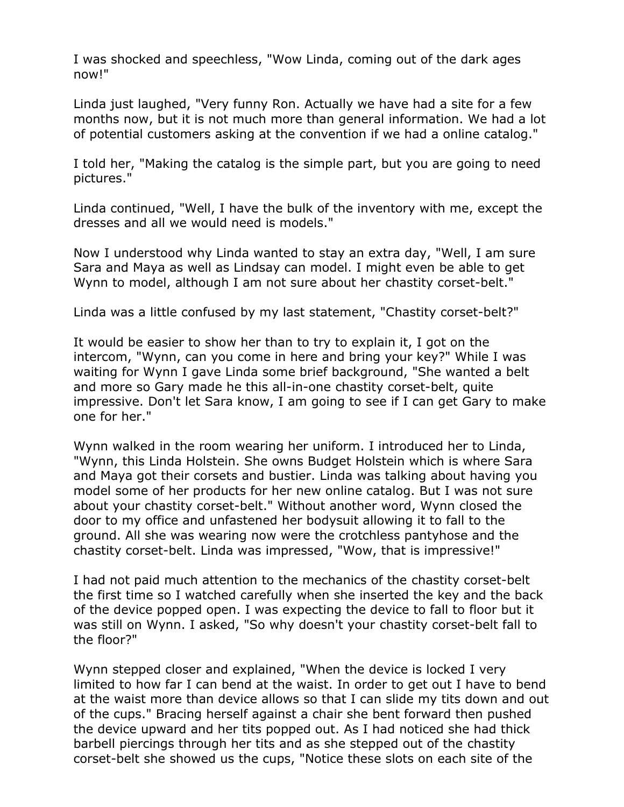I was shocked and speechless, "Wow Linda, coming out of the dark ages now!"

Linda just laughed, "Very funny Ron. Actually we have had a site for a few months now, but it is not much more than general information. We had a lot of potential customers asking at the convention if we had a online catalog."

I told her, "Making the catalog is the simple part, but you are going to need pictures."

Linda continued, "Well, I have the bulk of the inventory with me, except the dresses and all we would need is models."

Now I understood why Linda wanted to stay an extra day, "Well, I am sure Sara and Maya as well as Lindsay can model. I might even be able to get Wynn to model, although I am not sure about her chastity corset-belt."

Linda was a little confused by my last statement, "Chastity corset-belt?"

It would be easier to show her than to try to explain it, I got on the intercom, "Wynn, can you come in here and bring your key?" While I was waiting for Wynn I gave Linda some brief background, "She wanted a belt and more so Gary made he this all-in-one chastity corset-belt, quite impressive. Don't let Sara know, I am going to see if I can get Gary to make one for her."

Wynn walked in the room wearing her uniform. I introduced her to Linda, "Wynn, this Linda Holstein. She owns Budget Holstein which is where Sara and Maya got their corsets and bustier. Linda was talking about having you model some of her products for her new online catalog. But I was not sure about your chastity corset-belt." Without another word, Wynn closed the door to my office and unfastened her bodysuit allowing it to fall to the ground. All she was wearing now were the crotchless pantyhose and the chastity corset-belt. Linda was impressed, "Wow, that is impressive!"

I had not paid much attention to the mechanics of the chastity corset-belt the first time so I watched carefully when she inserted the key and the back of the device popped open. I was expecting the device to fall to floor but it was still on Wynn. I asked, "So why doesn't your chastity corset-belt fall to the floor?"

Wynn stepped closer and explained, "When the device is locked I very limited to how far I can bend at the waist. In order to get out I have to bend at the waist more than device allows so that I can slide my tits down and out of the cups." Bracing herself against a chair she bent forward then pushed the device upward and her tits popped out. As I had noticed she had thick barbell piercings through her tits and as she stepped out of the chastity corset-belt she showed us the cups, "Notice these slots on each site of the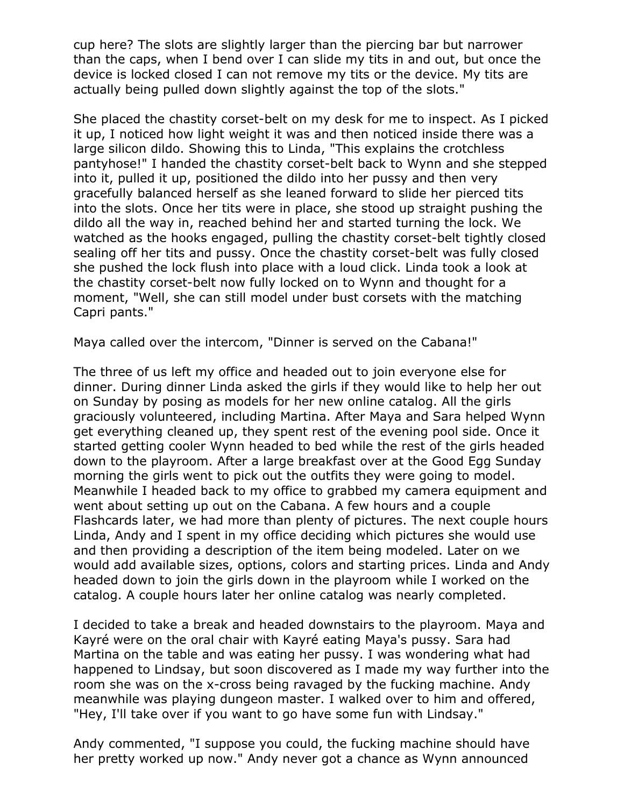cup here? The slots are slightly larger than the piercing bar but narrower than the caps, when I bend over I can slide my tits in and out, but once the device is locked closed I can not remove my tits or the device. My tits are actually being pulled down slightly against the top of the slots."

She placed the chastity corset-belt on my desk for me to inspect. As I picked it up, I noticed how light weight it was and then noticed inside there was a large silicon dildo. Showing this to Linda, "This explains the crotchless pantyhose!" I handed the chastity corset-belt back to Wynn and she stepped into it, pulled it up, positioned the dildo into her pussy and then very gracefully balanced herself as she leaned forward to slide her pierced tits into the slots. Once her tits were in place, she stood up straight pushing the dildo all the way in, reached behind her and started turning the lock. We watched as the hooks engaged, pulling the chastity corset-belt tightly closed sealing off her tits and pussy. Once the chastity corset-belt was fully closed she pushed the lock flush into place with a loud click. Linda took a look at the chastity corset-belt now fully locked on to Wynn and thought for a moment, "Well, she can still model under bust corsets with the matching Capri pants."

Maya called over the intercom, "Dinner is served on the Cabana!"

The three of us left my office and headed out to join everyone else for dinner. During dinner Linda asked the girls if they would like to help her out on Sunday by posing as models for her new online catalog. All the girls graciously volunteered, including Martina. After Maya and Sara helped Wynn get everything cleaned up, they spent rest of the evening pool side. Once it started getting cooler Wynn headed to bed while the rest of the girls headed down to the playroom. After a large breakfast over at the Good Egg Sunday morning the girls went to pick out the outfits they were going to model. Meanwhile I headed back to my office to grabbed my camera equipment and went about setting up out on the Cabana. A few hours and a couple Flashcards later, we had more than plenty of pictures. The next couple hours Linda, Andy and I spent in my office deciding which pictures she would use and then providing a description of the item being modeled. Later on we would add available sizes, options, colors and starting prices. Linda and Andy headed down to join the girls down in the playroom while I worked on the catalog. A couple hours later her online catalog was nearly completed.

I decided to take a break and headed downstairs to the playroom. Maya and Kayré were on the oral chair with Kayré eating Maya's pussy. Sara had Martina on the table and was eating her pussy. I was wondering what had happened to Lindsay, but soon discovered as I made my way further into the room she was on the x-cross being ravaged by the fucking machine. Andy meanwhile was playing dungeon master. I walked over to him and offered, "Hey, I'll take over if you want to go have some fun with Lindsay."

Andy commented, "I suppose you could, the fucking machine should have her pretty worked up now." Andy never got a chance as Wynn announced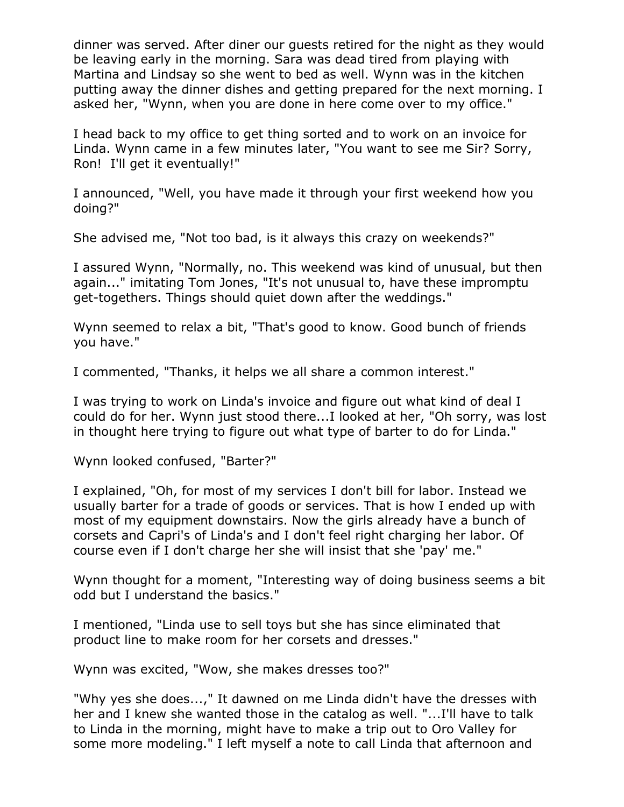dinner was served. After diner our guests retired for the night as they would be leaving early in the morning. Sara was dead tired from playing with Martina and Lindsay so she went to bed as well. Wynn was in the kitchen putting away the dinner dishes and getting prepared for the next morning. I asked her, "Wynn, when you are done in here come over to my office."

I head back to my office to get thing sorted and to work on an invoice for Linda. Wynn came in a few minutes later, "You want to see me Sir? Sorry, Ron! I'll get it eventually!"

I announced, "Well, you have made it through your first weekend how you doing?"

She advised me, "Not too bad, is it always this crazy on weekends?"

I assured Wynn, "Normally, no. This weekend was kind of unusual, but then again..." imitating Tom Jones, "It's not unusual to, have these impromptu get-togethers. Things should quiet down after the weddings."

Wynn seemed to relax a bit, "That's good to know. Good bunch of friends you have."

I commented, "Thanks, it helps we all share a common interest."

I was trying to work on Linda's invoice and figure out what kind of deal I could do for her. Wynn just stood there...I looked at her, "Oh sorry, was lost in thought here trying to figure out what type of barter to do for Linda."

Wynn looked confused, "Barter?"

I explained, "Oh, for most of my services I don't bill for labor. Instead we usually barter for a trade of goods or services. That is how I ended up with most of my equipment downstairs. Now the girls already have a bunch of corsets and Capri's of Linda's and I don't feel right charging her labor. Of course even if I don't charge her she will insist that she 'pay' me."

Wynn thought for a moment, "Interesting way of doing business seems a bit odd but I understand the basics."

I mentioned, "Linda use to sell toys but she has since eliminated that product line to make room for her corsets and dresses."

Wynn was excited, "Wow, she makes dresses too?"

"Why yes she does...," It dawned on me Linda didn't have the dresses with her and I knew she wanted those in the catalog as well. "...I'll have to talk to Linda in the morning, might have to make a trip out to Oro Valley for some more modeling." I left myself a note to call Linda that afternoon and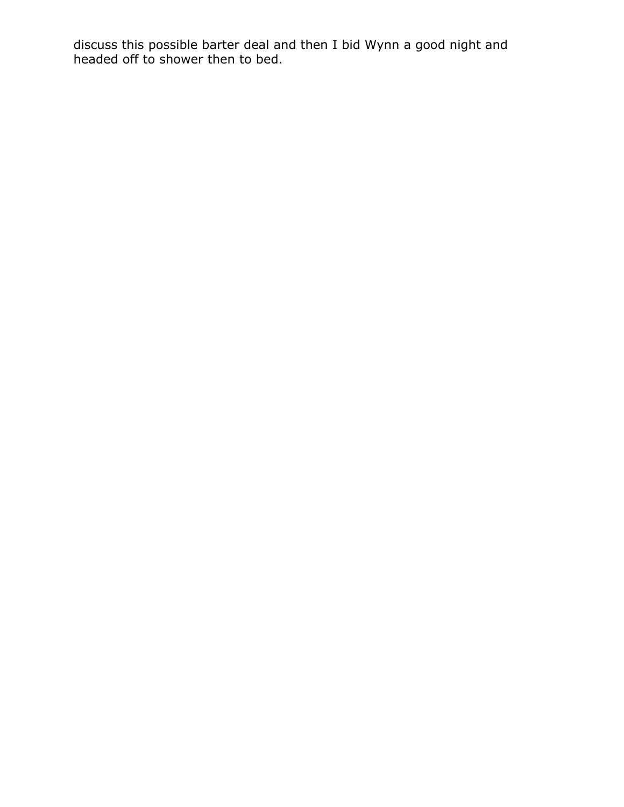discuss this possible barter deal and then I bid Wynn a good night and headed off to shower then to bed.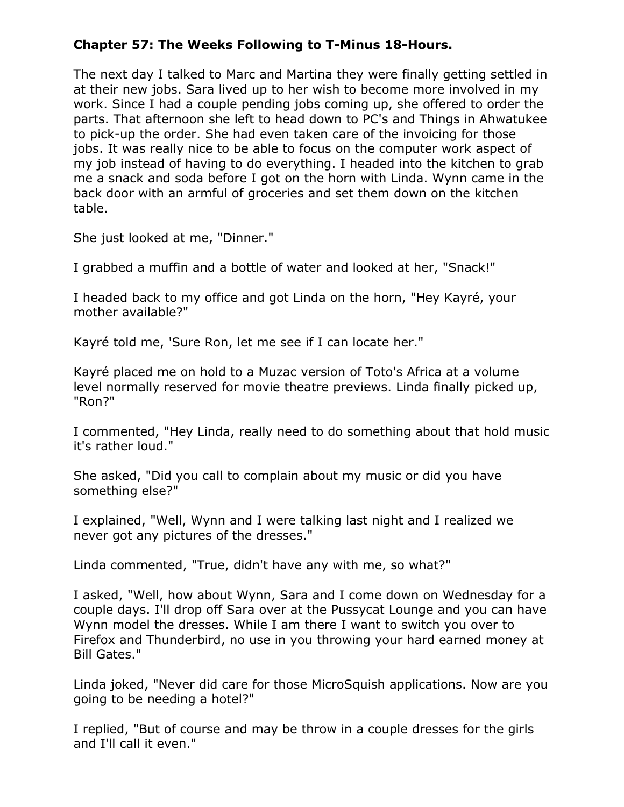## **Chapter 57: The Weeks Following to T-Minus 18-Hours.**

The next day I talked to Marc and Martina they were finally getting settled in at their new jobs. Sara lived up to her wish to become more involved in my work. Since I had a couple pending jobs coming up, she offered to order the parts. That afternoon she left to head down to PC's and Things in Ahwatukee to pick-up the order. She had even taken care of the invoicing for those jobs. It was really nice to be able to focus on the computer work aspect of my job instead of having to do everything. I headed into the kitchen to grab me a snack and soda before I got on the horn with Linda. Wynn came in the back door with an armful of groceries and set them down on the kitchen table.

She just looked at me, "Dinner."

I grabbed a muffin and a bottle of water and looked at her, "Snack!"

I headed back to my office and got Linda on the horn, "Hey Kayré, your mother available?"

Kayré told me, 'Sure Ron, let me see if I can locate her."

Kayré placed me on hold to a Muzac version of Toto's Africa at a volume level normally reserved for movie theatre previews. Linda finally picked up, "Ron?"

I commented, "Hey Linda, really need to do something about that hold music it's rather loud."

She asked, "Did you call to complain about my music or did you have something else?"

I explained, "Well, Wynn and I were talking last night and I realized we never got any pictures of the dresses."

Linda commented, "True, didn't have any with me, so what?"

I asked, "Well, how about Wynn, Sara and I come down on Wednesday for a couple days. I'll drop off Sara over at the Pussycat Lounge and you can have Wynn model the dresses. While I am there I want to switch you over to Firefox and Thunderbird, no use in you throwing your hard earned money at Bill Gates."

Linda joked, "Never did care for those MicroSquish applications. Now are you going to be needing a hotel?"

I replied, "But of course and may be throw in a couple dresses for the girls and I'll call it even."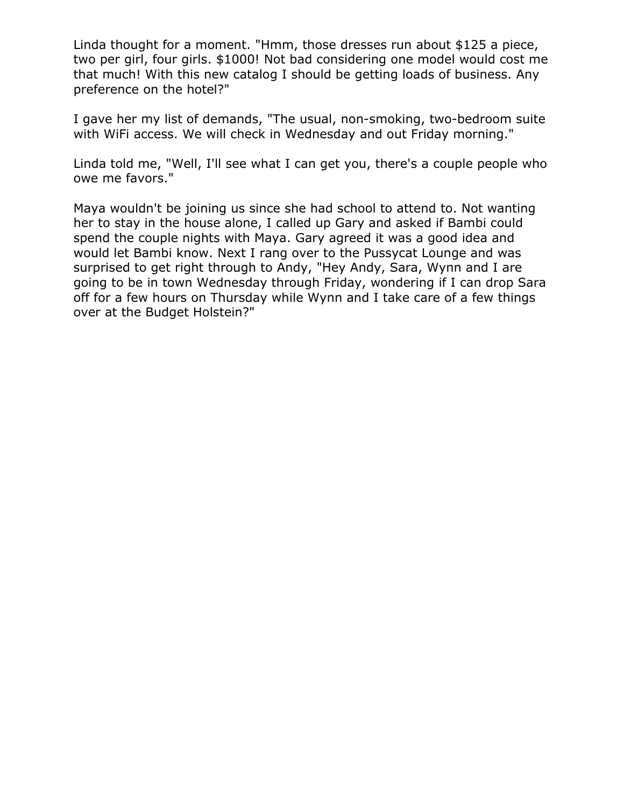Linda thought for a moment. "Hmm, those dresses run about \$125 a piece, two per girl, four girls. \$1000! Not bad considering one model would cost me that much! With this new catalog I should be getting loads of business. Any preference on the hotel?"

I gave her my list of demands, "The usual, non-smoking, two-bedroom suite with WiFi access. We will check in Wednesday and out Friday morning."

Linda told me, "Well, I'll see what I can get you, there's a couple people who owe me favors."

Maya wouldn't be joining us since she had school to attend to. Not wanting her to stay in the house alone, I called up Gary and asked if Bambi could spend the couple nights with Maya. Gary agreed it was a good idea and would let Bambi know. Next I rang over to the Pussycat Lounge and was surprised to get right through to Andy, "Hey Andy, Sara, Wynn and I are going to be in town Wednesday through Friday, wondering if I can drop Sara off for a few hours on Thursday while Wynn and I take care of a few things over at the Budget Holstein?"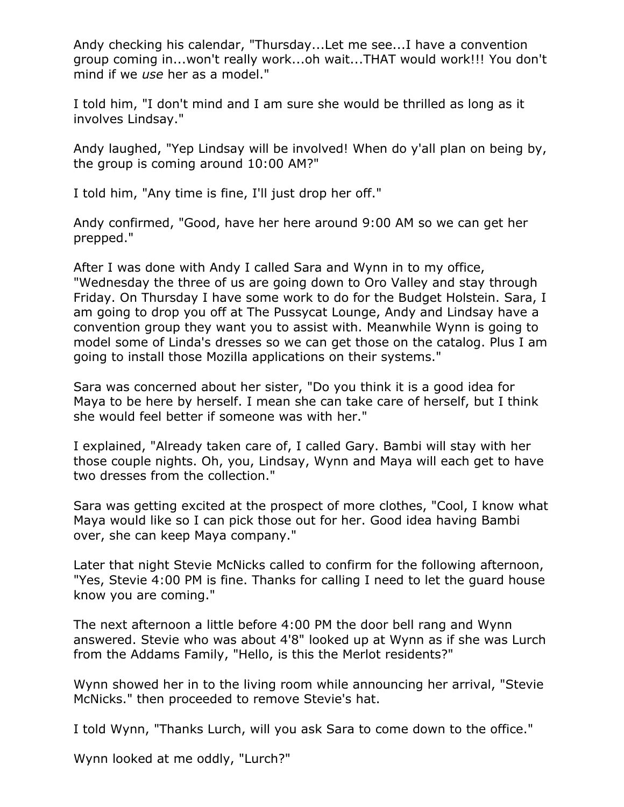Andy checking his calendar, "Thursday...Let me see...I have a convention group coming in...won't really work...oh wait...THAT would work!!! You don't mind if we *use* her as a model."

I told him, "I don't mind and I am sure she would be thrilled as long as it involves Lindsay."

Andy laughed, "Yep Lindsay will be involved! When do y'all plan on being by, the group is coming around 10:00 AM?"

I told him, "Any time is fine, I'll just drop her off."

Andy confirmed, "Good, have her here around 9:00 AM so we can get her prepped."

After I was done with Andy I called Sara and Wynn in to my office, "Wednesday the three of us are going down to Oro Valley and stay through Friday. On Thursday I have some work to do for the Budget Holstein. Sara, I am going to drop you off at The Pussycat Lounge, Andy and Lindsay have a convention group they want you to assist with. Meanwhile Wynn is going to model some of Linda's dresses so we can get those on the catalog. Plus I am going to install those Mozilla applications on their systems."

Sara was concerned about her sister, "Do you think it is a good idea for Maya to be here by herself. I mean she can take care of herself, but I think she would feel better if someone was with her."

I explained, "Already taken care of, I called Gary. Bambi will stay with her those couple nights. Oh, you, Lindsay, Wynn and Maya will each get to have two dresses from the collection."

Sara was getting excited at the prospect of more clothes, "Cool, I know what Maya would like so I can pick those out for her. Good idea having Bambi over, she can keep Maya company."

Later that night Stevie McNicks called to confirm for the following afternoon, "Yes, Stevie 4:00 PM is fine. Thanks for calling I need to let the guard house know you are coming."

The next afternoon a little before 4:00 PM the door bell rang and Wynn answered. Stevie who was about 4'8" looked up at Wynn as if she was Lurch from the Addams Family, "Hello, is this the Merlot residents?"

Wynn showed her in to the living room while announcing her arrival, "Stevie McNicks." then proceeded to remove Stevie's hat.

I told Wynn, "Thanks Lurch, will you ask Sara to come down to the office."

Wynn looked at me oddly, "Lurch?"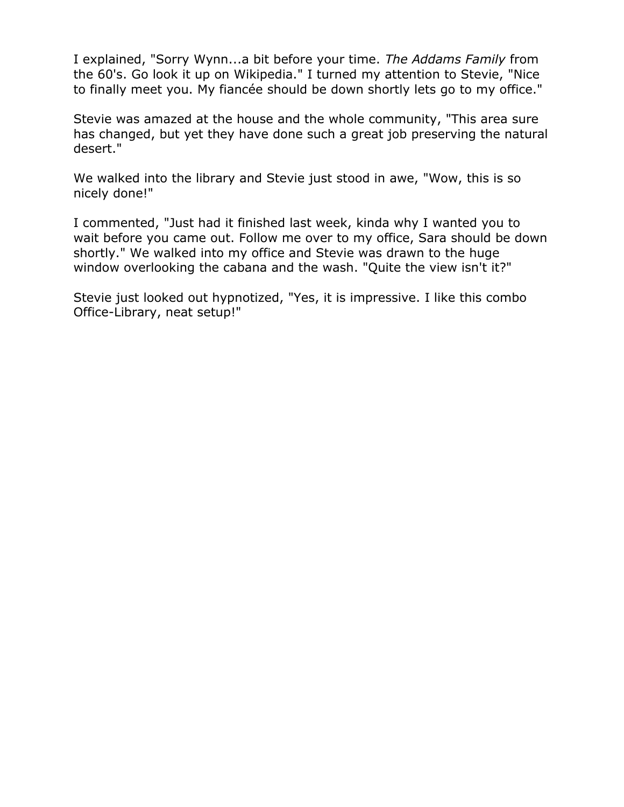I explained, "Sorry Wynn...a bit before your time. *The Addams Family* from the 60's. Go look it up on Wikipedia." I turned my attention to Stevie, "Nice to finally meet you. My fiancée should be down shortly lets go to my office."

Stevie was amazed at the house and the whole community, "This area sure has changed, but yet they have done such a great job preserving the natural desert."

We walked into the library and Stevie just stood in awe, "Wow, this is so nicely done!"

I commented, "Just had it finished last week, kinda why I wanted you to wait before you came out. Follow me over to my office, Sara should be down shortly." We walked into my office and Stevie was drawn to the huge window overlooking the cabana and the wash. "Quite the view isn't it?"

Stevie just looked out hypnotized, "Yes, it is impressive. I like this combo Office-Library, neat setup!"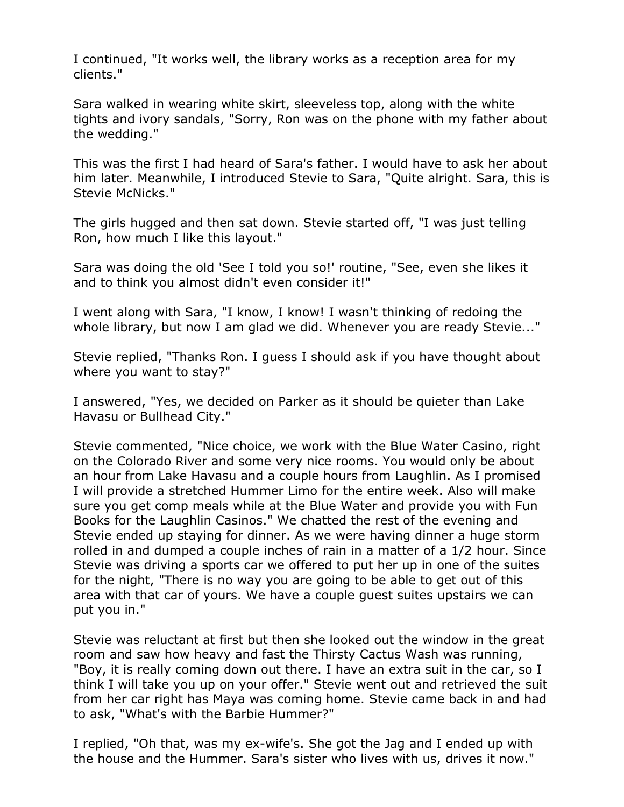I continued, "It works well, the library works as a reception area for my clients."

Sara walked in wearing white skirt, sleeveless top, along with the white tights and ivory sandals, "Sorry, Ron was on the phone with my father about the wedding."

This was the first I had heard of Sara's father. I would have to ask her about him later. Meanwhile, I introduced Stevie to Sara, "Quite alright. Sara, this is Stevie McNicks."

The girls hugged and then sat down. Stevie started off, "I was just telling Ron, how much I like this layout."

Sara was doing the old 'See I told you so!' routine, "See, even she likes it and to think you almost didn't even consider it!"

I went along with Sara, "I know, I know! I wasn't thinking of redoing the whole library, but now I am glad we did. Whenever you are ready Stevie..."

Stevie replied, "Thanks Ron. I guess I should ask if you have thought about where you want to stay?"

I answered, "Yes, we decided on Parker as it should be quieter than Lake Havasu or Bullhead City."

Stevie commented, "Nice choice, we work with the Blue Water Casino, right on the Colorado River and some very nice rooms. You would only be about an hour from Lake Havasu and a couple hours from Laughlin. As I promised I will provide a stretched Hummer Limo for the entire week. Also will make sure you get comp meals while at the Blue Water and provide you with Fun Books for the Laughlin Casinos." We chatted the rest of the evening and Stevie ended up staying for dinner. As we were having dinner a huge storm rolled in and dumped a couple inches of rain in a matter of a 1/2 hour. Since Stevie was driving a sports car we offered to put her up in one of the suites for the night, "There is no way you are going to be able to get out of this area with that car of yours. We have a couple guest suites upstairs we can put you in."

Stevie was reluctant at first but then she looked out the window in the great room and saw how heavy and fast the Thirsty Cactus Wash was running, "Boy, it is really coming down out there. I have an extra suit in the car, so I think I will take you up on your offer." Stevie went out and retrieved the suit from her car right has Maya was coming home. Stevie came back in and had to ask, "What's with the Barbie Hummer?"

I replied, "Oh that, was my ex-wife's. She got the Jag and I ended up with the house and the Hummer. Sara's sister who lives with us, drives it now."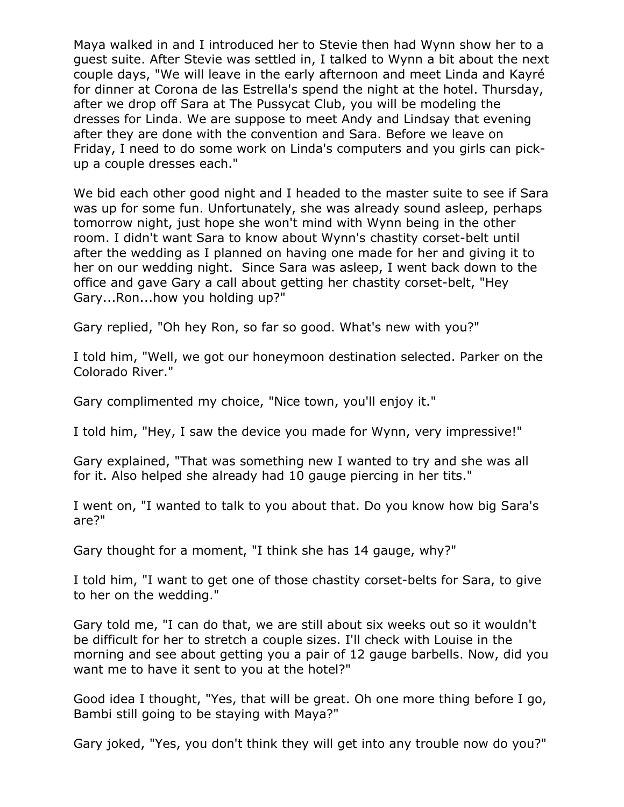Maya walked in and I introduced her to Stevie then had Wynn show her to a guest suite. After Stevie was settled in, I talked to Wynn a bit about the next couple days, "We will leave in the early afternoon and meet Linda and Kayré for dinner at Corona de las Estrella's spend the night at the hotel. Thursday, after we drop off Sara at The Pussycat Club, you will be modeling the dresses for Linda. We are suppose to meet Andy and Lindsay that evening after they are done with the convention and Sara. Before we leave on Friday, I need to do some work on Linda's computers and you girls can pickup a couple dresses each."

We bid each other good night and I headed to the master suite to see if Sara was up for some fun. Unfortunately, she was already sound asleep, perhaps tomorrow night, just hope she won't mind with Wynn being in the other room. I didn't want Sara to know about Wynn's chastity corset-belt until after the wedding as I planned on having one made for her and giving it to her on our wedding night. Since Sara was asleep, I went back down to the office and gave Gary a call about getting her chastity corset-belt, "Hey Gary...Ron...how you holding up?"

Gary replied, "Oh hey Ron, so far so good. What's new with you?"

I told him, "Well, we got our honeymoon destination selected. Parker on the Colorado River."

Gary complimented my choice, "Nice town, you'll enjoy it."

I told him, "Hey, I saw the device you made for Wynn, very impressive!"

Gary explained, "That was something new I wanted to try and she was all for it. Also helped she already had 10 gauge piercing in her tits."

I went on, "I wanted to talk to you about that. Do you know how big Sara's are?"

Gary thought for a moment, "I think she has 14 gauge, why?"

I told him, "I want to get one of those chastity corset-belts for Sara, to give to her on the wedding."

Gary told me, "I can do that, we are still about six weeks out so it wouldn't be difficult for her to stretch a couple sizes. I'll check with Louise in the morning and see about getting you a pair of 12 gauge barbells. Now, did you want me to have it sent to you at the hotel?"

Good idea I thought, "Yes, that will be great. Oh one more thing before I go, Bambi still going to be staying with Maya?"

Gary joked, "Yes, you don't think they will get into any trouble now do you?"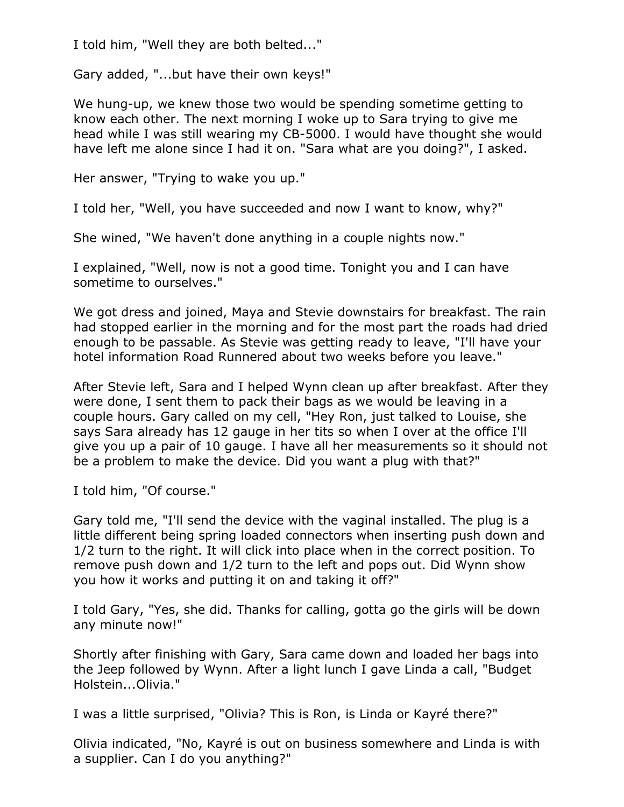I told him, "Well they are both belted..."

Gary added, "...but have their own keys!"

We hung-up, we knew those two would be spending sometime getting to know each other. The next morning I woke up to Sara trying to give me head while I was still wearing my CB-5000. I would have thought she would have left me alone since I had it on. "Sara what are you doing?", I asked.

Her answer, "Trying to wake you up."

I told her, "Well, you have succeeded and now I want to know, why?"

She wined, "We haven't done anything in a couple nights now."

I explained, "Well, now is not a good time. Tonight you and I can have sometime to ourselves."

We got dress and joined, Maya and Stevie downstairs for breakfast. The rain had stopped earlier in the morning and for the most part the roads had dried enough to be passable. As Stevie was getting ready to leave, "I'll have your hotel information Road Runnered about two weeks before you leave."

After Stevie left, Sara and I helped Wynn clean up after breakfast. After they were done, I sent them to pack their bags as we would be leaving in a couple hours. Gary called on my cell, "Hey Ron, just talked to Louise, she says Sara already has 12 gauge in her tits so when I over at the office I'll give you up a pair of 10 gauge. I have all her measurements so it should not be a problem to make the device. Did you want a plug with that?"

I told him, "Of course."

Gary told me, "I'll send the device with the vaginal installed. The plug is a little different being spring loaded connectors when inserting push down and 1/2 turn to the right. It will click into place when in the correct position. To remove push down and 1/2 turn to the left and pops out. Did Wynn show you how it works and putting it on and taking it off?"

I told Gary, "Yes, she did. Thanks for calling, gotta go the girls will be down any minute now!"

Shortly after finishing with Gary, Sara came down and loaded her bags into the Jeep followed by Wynn. After a light lunch I gave Linda a call, "Budget Holstein...Olivia."

I was a little surprised, "Olivia? This is Ron, is Linda or Kayré there?"

Olivia indicated, "No, Kayré is out on business somewhere and Linda is with a supplier. Can I do you anything?"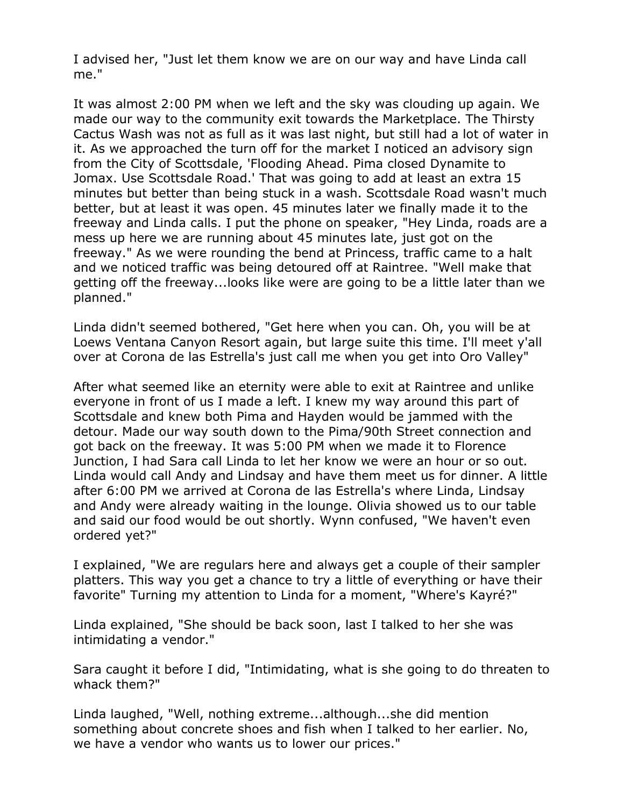I advised her, "Just let them know we are on our way and have Linda call me."

It was almost 2:00 PM when we left and the sky was clouding up again. We made our way to the community exit towards the Marketplace. The Thirsty Cactus Wash was not as full as it was last night, but still had a lot of water in it. As we approached the turn off for the market I noticed an advisory sign from the City of Scottsdale, 'Flooding Ahead. Pima closed Dynamite to Jomax. Use Scottsdale Road.' That was going to add at least an extra 15 minutes but better than being stuck in a wash. Scottsdale Road wasn't much better, but at least it was open. 45 minutes later we finally made it to the freeway and Linda calls. I put the phone on speaker, "Hey Linda, roads are a mess up here we are running about 45 minutes late, just got on the freeway." As we were rounding the bend at Princess, traffic came to a halt and we noticed traffic was being detoured off at Raintree. "Well make that getting off the freeway...looks like were are going to be a little later than we planned."

Linda didn't seemed bothered, "Get here when you can. Oh, you will be at Loews Ventana Canyon Resort again, but large suite this time. I'll meet y'all over at Corona de las Estrella's just call me when you get into Oro Valley"

After what seemed like an eternity were able to exit at Raintree and unlike everyone in front of us I made a left. I knew my way around this part of Scottsdale and knew both Pima and Hayden would be jammed with the detour. Made our way south down to the Pima/90th Street connection and got back on the freeway. It was 5:00 PM when we made it to Florence Junction, I had Sara call Linda to let her know we were an hour or so out. Linda would call Andy and Lindsay and have them meet us for dinner. A little after 6:00 PM we arrived at Corona de las Estrella's where Linda, Lindsay and Andy were already waiting in the lounge. Olivia showed us to our table and said our food would be out shortly. Wynn confused, "We haven't even ordered yet?"

I explained, "We are regulars here and always get a couple of their sampler platters. This way you get a chance to try a little of everything or have their favorite" Turning my attention to Linda for a moment, "Where's Kayré?"

Linda explained, "She should be back soon, last I talked to her she was intimidating a vendor."

Sara caught it before I did, "Intimidating, what is she going to do threaten to whack them?"

Linda laughed, "Well, nothing extreme...although...she did mention something about concrete shoes and fish when I talked to her earlier. No, we have a vendor who wants us to lower our prices."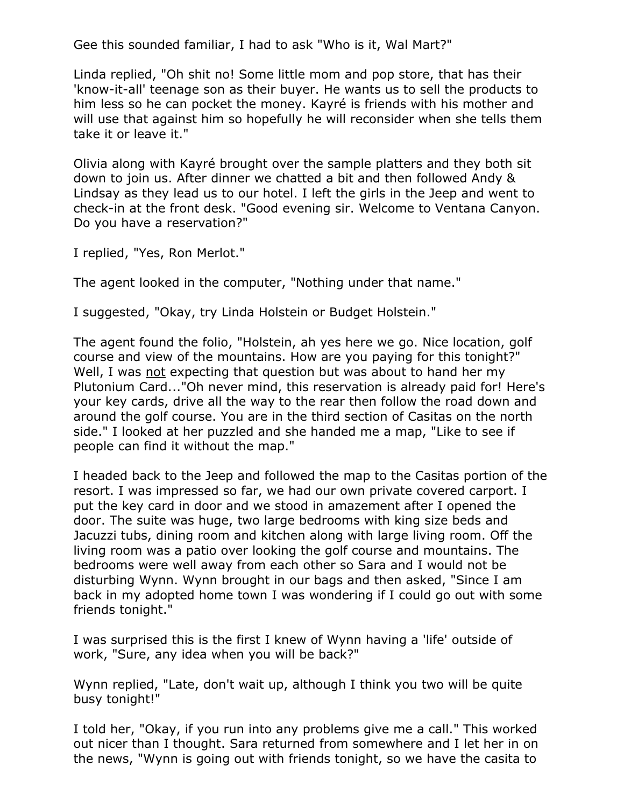Gee this sounded familiar, I had to ask "Who is it, Wal Mart?"

Linda replied, "Oh shit no! Some little mom and pop store, that has their 'know-it-all' teenage son as their buyer. He wants us to sell the products to him less so he can pocket the money. Kayré is friends with his mother and will use that against him so hopefully he will reconsider when she tells them take it or leave it."

Olivia along with Kayré brought over the sample platters and they both sit down to join us. After dinner we chatted a bit and then followed Andy & Lindsay as they lead us to our hotel. I left the girls in the Jeep and went to check-in at the front desk. "Good evening sir. Welcome to Ventana Canyon. Do you have a reservation?"

I replied, "Yes, Ron Merlot."

The agent looked in the computer, "Nothing under that name."

I suggested, "Okay, try Linda Holstein or Budget Holstein."

The agent found the folio, "Holstein, ah yes here we go. Nice location, golf course and view of the mountains. How are you paying for this tonight?" Well, I was not expecting that question but was about to hand her my Plutonium Card..."Oh never mind, this reservation is already paid for! Here's your key cards, drive all the way to the rear then follow the road down and around the golf course. You are in the third section of Casitas on the north side." I looked at her puzzled and she handed me a map, "Like to see if people can find it without the map."

I headed back to the Jeep and followed the map to the Casitas portion of the resort. I was impressed so far, we had our own private covered carport. I put the key card in door and we stood in amazement after I opened the door. The suite was huge, two large bedrooms with king size beds and Jacuzzi tubs, dining room and kitchen along with large living room. Off the living room was a patio over looking the golf course and mountains. The bedrooms were well away from each other so Sara and I would not be disturbing Wynn. Wynn brought in our bags and then asked, "Since I am back in my adopted home town I was wondering if I could go out with some friends tonight."

I was surprised this is the first I knew of Wynn having a 'life' outside of work, "Sure, any idea when you will be back?"

Wynn replied, "Late, don't wait up, although I think you two will be quite busy tonight!"

I told her, "Okay, if you run into any problems give me a call." This worked out nicer than I thought. Sara returned from somewhere and I let her in on the news, "Wynn is going out with friends tonight, so we have the casita to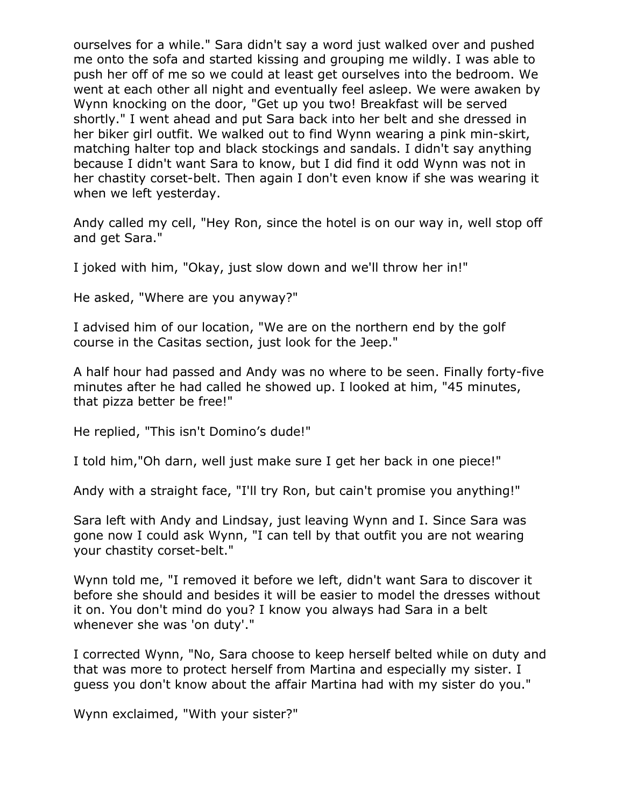ourselves for a while." Sara didn't say a word just walked over and pushed me onto the sofa and started kissing and grouping me wildly. I was able to push her off of me so we could at least get ourselves into the bedroom. We went at each other all night and eventually feel asleep. We were awaken by Wynn knocking on the door, "Get up you two! Breakfast will be served shortly." I went ahead and put Sara back into her belt and she dressed in her biker girl outfit. We walked out to find Wynn wearing a pink min-skirt, matching halter top and black stockings and sandals. I didn't say anything because I didn't want Sara to know, but I did find it odd Wynn was not in her chastity corset-belt. Then again I don't even know if she was wearing it when we left yesterday.

Andy called my cell, "Hey Ron, since the hotel is on our way in, well stop off and get Sara."

I joked with him, "Okay, just slow down and we'll throw her in!"

He asked, "Where are you anyway?"

I advised him of our location, "We are on the northern end by the golf course in the Casitas section, just look for the Jeep."

A half hour had passed and Andy was no where to be seen. Finally forty-five minutes after he had called he showed up. I looked at him, "45 minutes, that pizza better be free!"

He replied, "This isn't Domino's dude!"

I told him,"Oh darn, well just make sure I get her back in one piece!"

Andy with a straight face, "I'll try Ron, but cain't promise you anything!"

Sara left with Andy and Lindsay, just leaving Wynn and I. Since Sara was gone now I could ask Wynn, "I can tell by that outfit you are not wearing your chastity corset-belt."

Wynn told me, "I removed it before we left, didn't want Sara to discover it before she should and besides it will be easier to model the dresses without it on. You don't mind do you? I know you always had Sara in a belt whenever she was 'on duty'."

I corrected Wynn, "No, Sara choose to keep herself belted while on duty and that was more to protect herself from Martina and especially my sister. I guess you don't know about the affair Martina had with my sister do you."

Wynn exclaimed, "With your sister?"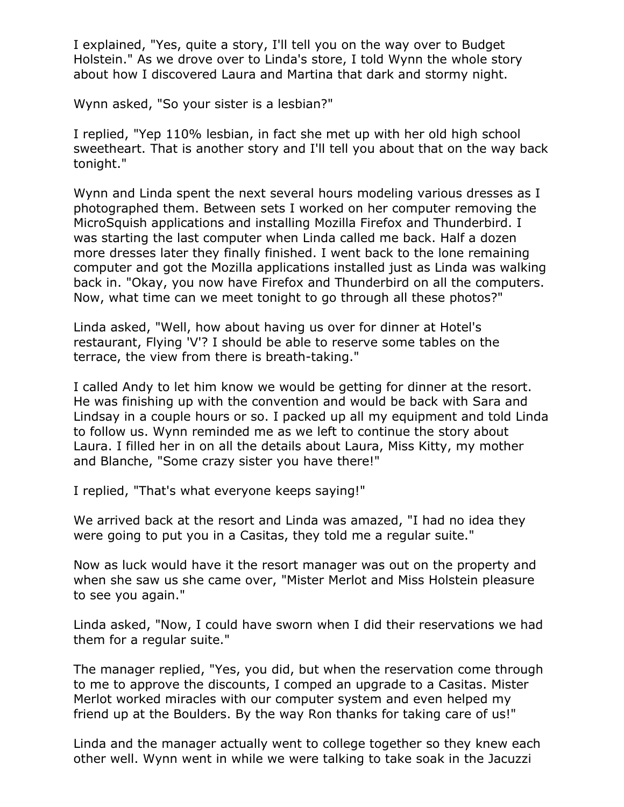I explained, "Yes, quite a story, I'll tell you on the way over to Budget Holstein." As we drove over to Linda's store, I told Wynn the whole story about how I discovered Laura and Martina that dark and stormy night.

Wynn asked, "So your sister is a lesbian?"

I replied, "Yep 110% lesbian, in fact she met up with her old high school sweetheart. That is another story and I'll tell you about that on the way back tonight."

Wynn and Linda spent the next several hours modeling various dresses as I photographed them. Between sets I worked on her computer removing the MicroSquish applications and installing Mozilla Firefox and Thunderbird. I was starting the last computer when Linda called me back. Half a dozen more dresses later they finally finished. I went back to the lone remaining computer and got the Mozilla applications installed just as Linda was walking back in. "Okay, you now have Firefox and Thunderbird on all the computers. Now, what time can we meet tonight to go through all these photos?"

Linda asked, "Well, how about having us over for dinner at Hotel's restaurant, Flying 'V'? I should be able to reserve some tables on the terrace, the view from there is breath-taking."

I called Andy to let him know we would be getting for dinner at the resort. He was finishing up with the convention and would be back with Sara and Lindsay in a couple hours or so. I packed up all my equipment and told Linda to follow us. Wynn reminded me as we left to continue the story about Laura. I filled her in on all the details about Laura, Miss Kitty, my mother and Blanche, "Some crazy sister you have there!"

I replied, "That's what everyone keeps saying!"

We arrived back at the resort and Linda was amazed, "I had no idea they were going to put you in a Casitas, they told me a regular suite."

Now as luck would have it the resort manager was out on the property and when she saw us she came over, "Mister Merlot and Miss Holstein pleasure to see you again."

Linda asked, "Now, I could have sworn when I did their reservations we had them for a regular suite."

The manager replied, "Yes, you did, but when the reservation come through to me to approve the discounts, I comped an upgrade to a Casitas. Mister Merlot worked miracles with our computer system and even helped my friend up at the Boulders. By the way Ron thanks for taking care of us!"

Linda and the manager actually went to college together so they knew each other well. Wynn went in while we were talking to take soak in the Jacuzzi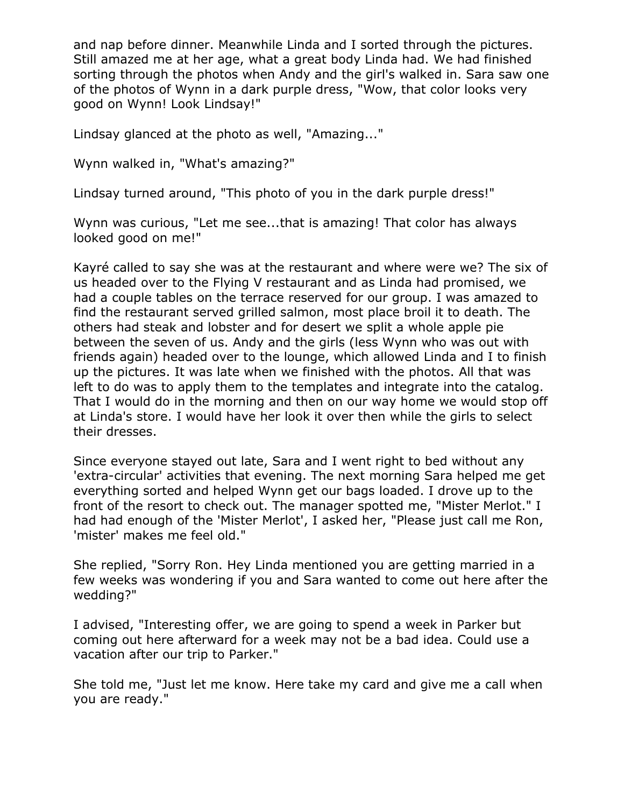and nap before dinner. Meanwhile Linda and I sorted through the pictures. Still amazed me at her age, what a great body Linda had. We had finished sorting through the photos when Andy and the girl's walked in. Sara saw one of the photos of Wynn in a dark purple dress, "Wow, that color looks very good on Wynn! Look Lindsay!"

Lindsay glanced at the photo as well, "Amazing..."

Wynn walked in, "What's amazing?"

Lindsay turned around, "This photo of you in the dark purple dress!"

Wynn was curious, "Let me see...that is amazing! That color has always looked good on me!"

Kayré called to say she was at the restaurant and where were we? The six of us headed over to the Flying V restaurant and as Linda had promised, we had a couple tables on the terrace reserved for our group. I was amazed to find the restaurant served grilled salmon, most place broil it to death. The others had steak and lobster and for desert we split a whole apple pie between the seven of us. Andy and the girls (less Wynn who was out with friends again) headed over to the lounge, which allowed Linda and I to finish up the pictures. It was late when we finished with the photos. All that was left to do was to apply them to the templates and integrate into the catalog. That I would do in the morning and then on our way home we would stop off at Linda's store. I would have her look it over then while the girls to select their dresses.

Since everyone stayed out late, Sara and I went right to bed without any 'extra-circular' activities that evening. The next morning Sara helped me get everything sorted and helped Wynn get our bags loaded. I drove up to the front of the resort to check out. The manager spotted me, "Mister Merlot." I had had enough of the 'Mister Merlot', I asked her, "Please just call me Ron, 'mister' makes me feel old."

She replied, "Sorry Ron. Hey Linda mentioned you are getting married in a few weeks was wondering if you and Sara wanted to come out here after the wedding?"

I advised, "Interesting offer, we are going to spend a week in Parker but coming out here afterward for a week may not be a bad idea. Could use a vacation after our trip to Parker."

She told me, "Just let me know. Here take my card and give me a call when you are ready."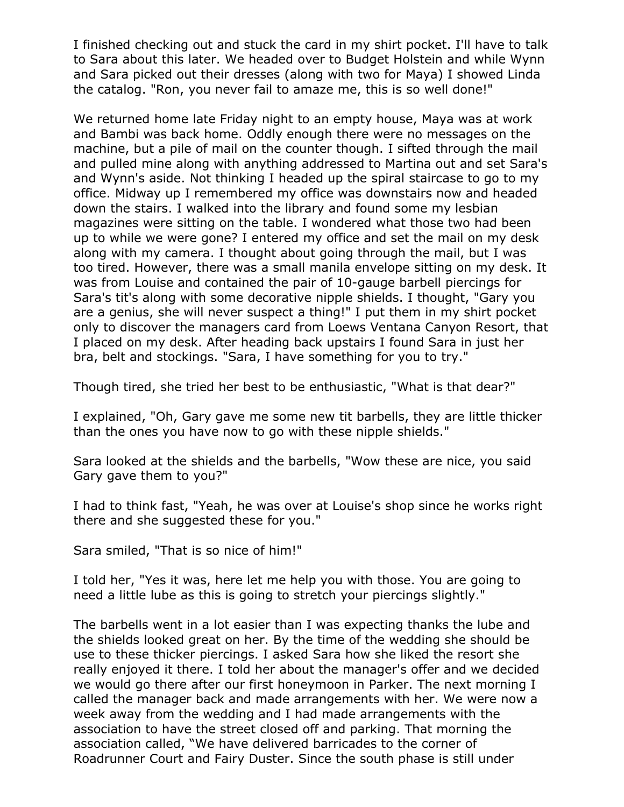I finished checking out and stuck the card in my shirt pocket. I'll have to talk to Sara about this later. We headed over to Budget Holstein and while Wynn and Sara picked out their dresses (along with two for Maya) I showed Linda the catalog. "Ron, you never fail to amaze me, this is so well done!"

We returned home late Friday night to an empty house, Maya was at work and Bambi was back home. Oddly enough there were no messages on the machine, but a pile of mail on the counter though. I sifted through the mail and pulled mine along with anything addressed to Martina out and set Sara's and Wynn's aside. Not thinking I headed up the spiral staircase to go to my office. Midway up I remembered my office was downstairs now and headed down the stairs. I walked into the library and found some my lesbian magazines were sitting on the table. I wondered what those two had been up to while we were gone? I entered my office and set the mail on my desk along with my camera. I thought about going through the mail, but I was too tired. However, there was a small manila envelope sitting on my desk. It was from Louise and contained the pair of 10-gauge barbell piercings for Sara's tit's along with some decorative nipple shields. I thought, "Gary you are a genius, she will never suspect a thing!" I put them in my shirt pocket only to discover the managers card from Loews Ventana Canyon Resort, that I placed on my desk. After heading back upstairs I found Sara in just her bra, belt and stockings. "Sara, I have something for you to try."

Though tired, she tried her best to be enthusiastic, "What is that dear?"

I explained, "Oh, Gary gave me some new tit barbells, they are little thicker than the ones you have now to go with these nipple shields."

Sara looked at the shields and the barbells, "Wow these are nice, you said Gary gave them to you?"

I had to think fast, "Yeah, he was over at Louise's shop since he works right there and she suggested these for you."

Sara smiled, "That is so nice of him!"

I told her, "Yes it was, here let me help you with those. You are going to need a little lube as this is going to stretch your piercings slightly."

The barbells went in a lot easier than I was expecting thanks the lube and the shields looked great on her. By the time of the wedding she should be use to these thicker piercings. I asked Sara how she liked the resort she really enjoyed it there. I told her about the manager's offer and we decided we would go there after our first honeymoon in Parker. The next morning I called the manager back and made arrangements with her. We were now a week away from the wedding and I had made arrangements with the association to have the street closed off and parking. That morning the association called, "We have delivered barricades to the corner of Roadrunner Court and Fairy Duster. Since the south phase is still under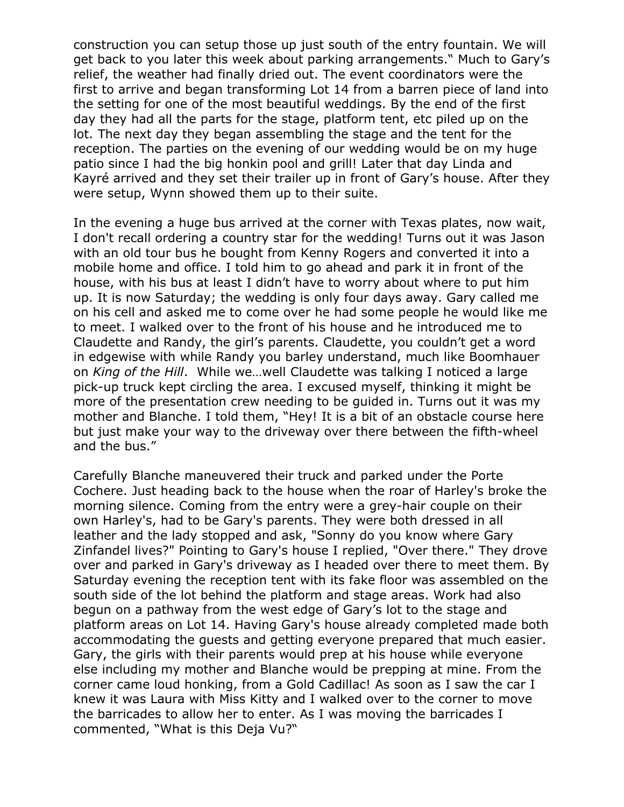construction you can setup those up just south of the entry fountain. We will get back to you later this week about parking arrangements." Much to Gary's relief, the weather had finally dried out. The event coordinators were the first to arrive and began transforming Lot 14 from a barren piece of land into the setting for one of the most beautiful weddings. By the end of the first day they had all the parts for the stage, platform tent, etc piled up on the lot. The next day they began assembling the stage and the tent for the reception. The parties on the evening of our wedding would be on my huge patio since I had the big honkin pool and grill! Later that day Linda and Kayré arrived and they set their trailer up in front of Gary's house. After they were setup, Wynn showed them up to their suite.

In the evening a huge bus arrived at the corner with Texas plates, now wait, I don't recall ordering a country star for the wedding! Turns out it was Jason with an old tour bus he bought from Kenny Rogers and converted it into a mobile home and office. I told him to go ahead and park it in front of the house, with his bus at least I didn't have to worry about where to put him up. It is now Saturday; the wedding is only four days away. Gary called me on his cell and asked me to come over he had some people he would like me to meet. I walked over to the front of his house and he introduced me to Claudette and Randy, the girl's parents. Claudette, you couldn't get a word in edgewise with while Randy you barley understand, much like Boomhauer on *King of the Hill*. While we…well Claudette was talking I noticed a large pick-up truck kept circling the area. I excused myself, thinking it might be more of the presentation crew needing to be guided in. Turns out it was my mother and Blanche. I told them, "Hey! It is a bit of an obstacle course here but just make your way to the driveway over there between the fifth-wheel and the bus."

Carefully Blanche maneuvered their truck and parked under the Porte Cochere. Just heading back to the house when the roar of Harley's broke the morning silence. Coming from the entry were a grey-hair couple on their own Harley's, had to be Gary's parents. They were both dressed in all leather and the lady stopped and ask, "Sonny do you know where Gary Zinfandel lives?" Pointing to Gary's house I replied, "Over there." They drove over and parked in Gary's driveway as I headed over there to meet them. By Saturday evening the reception tent with its fake floor was assembled on the south side of the lot behind the platform and stage areas. Work had also begun on a pathway from the west edge of Gary's lot to the stage and platform areas on Lot 14. Having Gary's house already completed made both accommodating the guests and getting everyone prepared that much easier. Gary, the girls with their parents would prep at his house while everyone else including my mother and Blanche would be prepping at mine. From the corner came loud honking, from a Gold Cadillac! As soon as I saw the car I knew it was Laura with Miss Kitty and I walked over to the corner to move the barricades to allow her to enter. As I was moving the barricades I commented, "What is this Deja Vu?"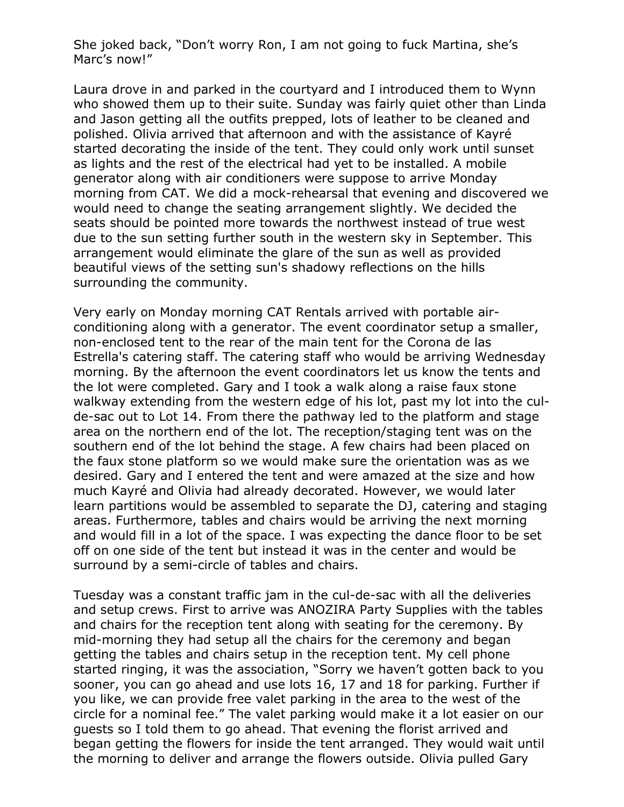She joked back, "Don't worry Ron, I am not going to fuck Martina, she's Marc's now!"

Laura drove in and parked in the courtyard and I introduced them to Wynn who showed them up to their suite. Sunday was fairly quiet other than Linda and Jason getting all the outfits prepped, lots of leather to be cleaned and polished. Olivia arrived that afternoon and with the assistance of Kayré started decorating the inside of the tent. They could only work until sunset as lights and the rest of the electrical had yet to be installed. A mobile generator along with air conditioners were suppose to arrive Monday morning from CAT. We did a mock-rehearsal that evening and discovered we would need to change the seating arrangement slightly. We decided the seats should be pointed more towards the northwest instead of true west due to the sun setting further south in the western sky in September. This arrangement would eliminate the glare of the sun as well as provided beautiful views of the setting sun's shadowy reflections on the hills surrounding the community.

Very early on Monday morning CAT Rentals arrived with portable airconditioning along with a generator. The event coordinator setup a smaller, non-enclosed tent to the rear of the main tent for the Corona de las Estrella's catering staff. The catering staff who would be arriving Wednesday morning. By the afternoon the event coordinators let us know the tents and the lot were completed. Gary and I took a walk along a raise faux stone walkway extending from the western edge of his lot, past my lot into the culde-sac out to Lot 14. From there the pathway led to the platform and stage area on the northern end of the lot. The reception/staging tent was on the southern end of the lot behind the stage. A few chairs had been placed on the faux stone platform so we would make sure the orientation was as we desired. Gary and I entered the tent and were amazed at the size and how much Kayré and Olivia had already decorated. However, we would later learn partitions would be assembled to separate the DJ, catering and staging areas. Furthermore, tables and chairs would be arriving the next morning and would fill in a lot of the space. I was expecting the dance floor to be set off on one side of the tent but instead it was in the center and would be surround by a semi-circle of tables and chairs.

Tuesday was a constant traffic jam in the cul-de-sac with all the deliveries and setup crews. First to arrive was ANOZIRA Party Supplies with the tables and chairs for the reception tent along with seating for the ceremony. By mid-morning they had setup all the chairs for the ceremony and began getting the tables and chairs setup in the reception tent. My cell phone started ringing, it was the association, "Sorry we haven't gotten back to you sooner, you can go ahead and use lots 16, 17 and 18 for parking. Further if you like, we can provide free valet parking in the area to the west of the circle for a nominal fee." The valet parking would make it a lot easier on our guests so I told them to go ahead. That evening the florist arrived and began getting the flowers for inside the tent arranged. They would wait until the morning to deliver and arrange the flowers outside. Olivia pulled Gary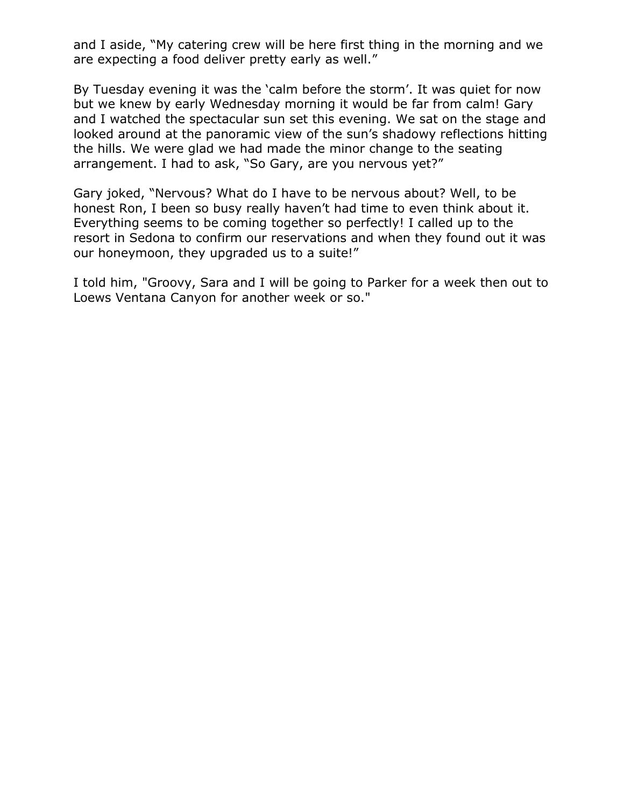and I aside, "My catering crew will be here first thing in the morning and we are expecting a food deliver pretty early as well."

By Tuesday evening it was the 'calm before the storm'. It was quiet for now but we knew by early Wednesday morning it would be far from calm! Gary and I watched the spectacular sun set this evening. We sat on the stage and looked around at the panoramic view of the sun's shadowy reflections hitting the hills. We were glad we had made the minor change to the seating arrangement. I had to ask, "So Gary, are you nervous yet?"

Gary joked, "Nervous? What do I have to be nervous about? Well, to be honest Ron, I been so busy really haven't had time to even think about it. Everything seems to be coming together so perfectly! I called up to the resort in Sedona to confirm our reservations and when they found out it was our honeymoon, they upgraded us to a suite!"

I told him, "Groovy, Sara and I will be going to Parker for a week then out to Loews Ventana Canyon for another week or so."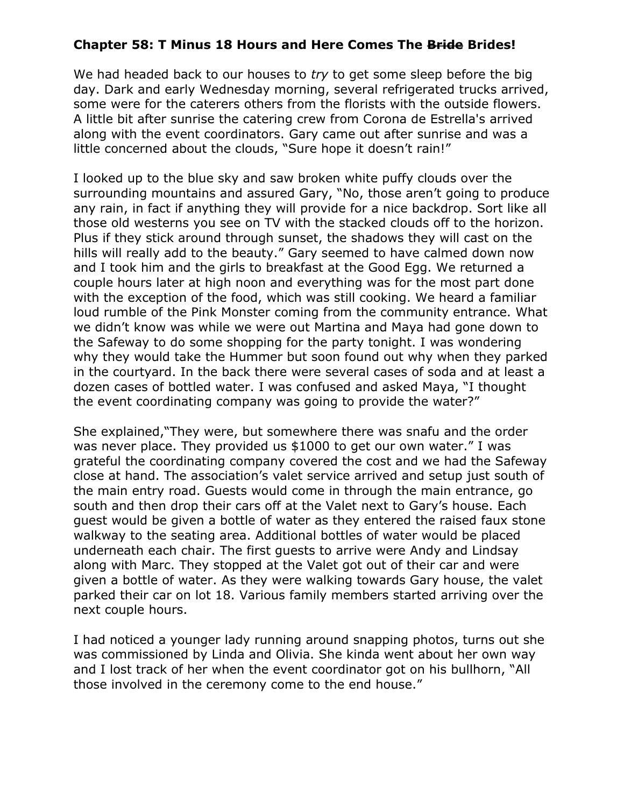## **Chapter 58: T Minus 18 Hours and Here Comes The Bride Brides!**

We had headed back to our houses to *try* to get some sleep before the big day. Dark and early Wednesday morning, several refrigerated trucks arrived, some were for the caterers others from the florists with the outside flowers. A little bit after sunrise the catering crew from Corona de Estrella's arrived along with the event coordinators. Gary came out after sunrise and was a little concerned about the clouds, "Sure hope it doesn't rain!"

I looked up to the blue sky and saw broken white puffy clouds over the surrounding mountains and assured Gary, "No, those aren't going to produce any rain, in fact if anything they will provide for a nice backdrop. Sort like all those old westerns you see on TV with the stacked clouds off to the horizon. Plus if they stick around through sunset, the shadows they will cast on the hills will really add to the beauty." Gary seemed to have calmed down now and I took him and the girls to breakfast at the Good Egg. We returned a couple hours later at high noon and everything was for the most part done with the exception of the food, which was still cooking. We heard a familiar loud rumble of the Pink Monster coming from the community entrance. What we didn't know was while we were out Martina and Maya had gone down to the Safeway to do some shopping for the party tonight. I was wondering why they would take the Hummer but soon found out why when they parked in the courtyard. In the back there were several cases of soda and at least a dozen cases of bottled water. I was confused and asked Maya, "I thought the event coordinating company was going to provide the water?"

She explained,"They were, but somewhere there was snafu and the order was never place. They provided us \$1000 to get our own water." I was grateful the coordinating company covered the cost and we had the Safeway close at hand. The association's valet service arrived and setup just south of the main entry road. Guests would come in through the main entrance, go south and then drop their cars off at the Valet next to Gary's house. Each guest would be given a bottle of water as they entered the raised faux stone walkway to the seating area. Additional bottles of water would be placed underneath each chair. The first guests to arrive were Andy and Lindsay along with Marc. They stopped at the Valet got out of their car and were given a bottle of water. As they were walking towards Gary house, the valet parked their car on lot 18. Various family members started arriving over the next couple hours.

I had noticed a younger lady running around snapping photos, turns out she was commissioned by Linda and Olivia. She kinda went about her own way and I lost track of her when the event coordinator got on his bullhorn, "All those involved in the ceremony come to the end house."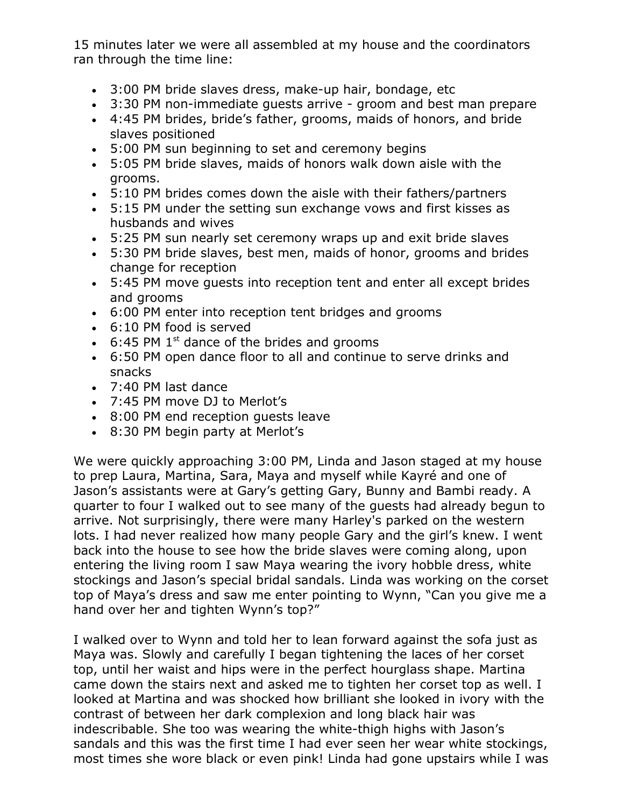15 minutes later we were all assembled at my house and the coordinators ran through the time line:

- 3:00 PM bride slaves dress, make-up hair, bondage, etc
- 3:30 PM non-immediate guests arrive groom and best man prepare
- 4:45 PM brides, bride's father, grooms, maids of honors, and bride slaves positioned
- 5:00 PM sun beginning to set and ceremony begins
- 5:05 PM bride slaves, maids of honors walk down aisle with the grooms.
- 5:10 PM brides comes down the aisle with their fathers/partners
- 5:15 PM under the setting sun exchange vows and first kisses as husbands and wives
- 5:25 PM sun nearly set ceremony wraps up and exit bride slaves
- 5:30 PM bride slaves, best men, maids of honor, grooms and brides change for reception
- 5:45 PM move guests into reception tent and enter all except brides and grooms
- 6:00 PM enter into reception tent bridges and grooms
- 6:10 PM food is served
- $\cdot$  6:45 PM 1<sup>st</sup> dance of the brides and grooms
- 6:50 PM open dance floor to all and continue to serve drinks and snacks
- 7:40 PM last dance
- 7:45 PM move DJ to Merlot's
- 8:00 PM end reception quests leave
- 8:30 PM begin party at Merlot's

We were quickly approaching 3:00 PM, Linda and Jason staged at my house to prep Laura, Martina, Sara, Maya and myself while Kayré and one of Jason's assistants were at Gary's getting Gary, Bunny and Bambi ready. A quarter to four I walked out to see many of the guests had already begun to arrive. Not surprisingly, there were many Harley's parked on the western lots. I had never realized how many people Gary and the girl's knew. I went back into the house to see how the bride slaves were coming along, upon entering the living room I saw Maya wearing the ivory hobble dress, white stockings and Jason's special bridal sandals. Linda was working on the corset top of Maya's dress and saw me enter pointing to Wynn, "Can you give me a hand over her and tighten Wynn's top?"

I walked over to Wynn and told her to lean forward against the sofa just as Maya was. Slowly and carefully I began tightening the laces of her corset top, until her waist and hips were in the perfect hourglass shape. Martina came down the stairs next and asked me to tighten her corset top as well. I looked at Martina and was shocked how brilliant she looked in ivory with the contrast of between her dark complexion and long black hair was indescribable. She too was wearing the white-thigh highs with Jason's sandals and this was the first time I had ever seen her wear white stockings, most times she wore black or even pink! Linda had gone upstairs while I was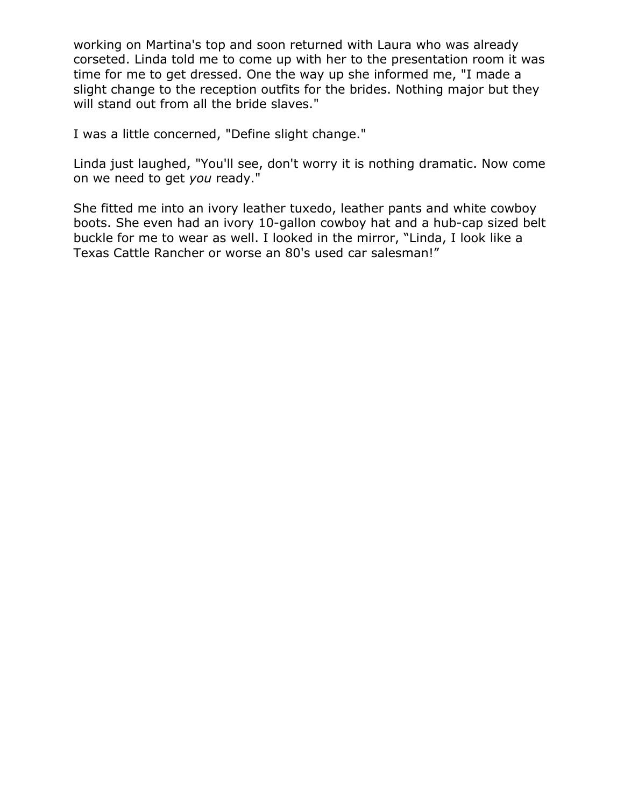working on Martina's top and soon returned with Laura who was already corseted. Linda told me to come up with her to the presentation room it was time for me to get dressed. One the way up she informed me, "I made a slight change to the reception outfits for the brides. Nothing major but they will stand out from all the bride slaves."

I was a little concerned, "Define slight change."

Linda just laughed, "You'll see, don't worry it is nothing dramatic. Now come on we need to get *you* ready."

She fitted me into an ivory leather tuxedo, leather pants and white cowboy boots. She even had an ivory 10-gallon cowboy hat and a hub-cap sized belt buckle for me to wear as well. I looked in the mirror, "Linda, I look like a Texas Cattle Rancher or worse an 80's used car salesman!"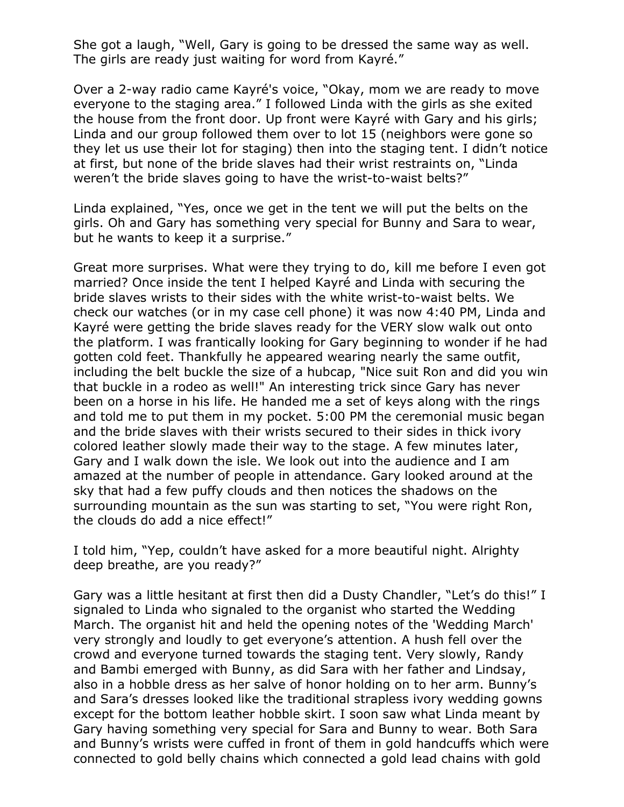She got a laugh, "Well, Gary is going to be dressed the same way as well. The girls are ready just waiting for word from Kayré."

Over a 2-way radio came Kayré's voice, "Okay, mom we are ready to move everyone to the staging area." I followed Linda with the girls as she exited the house from the front door. Up front were Kayré with Gary and his girls; Linda and our group followed them over to lot 15 (neighbors were gone so they let us use their lot for staging) then into the staging tent. I didn't notice at first, but none of the bride slaves had their wrist restraints on, "Linda weren't the bride slaves going to have the wrist-to-waist belts?"

Linda explained, "Yes, once we get in the tent we will put the belts on the girls. Oh and Gary has something very special for Bunny and Sara to wear, but he wants to keep it a surprise."

Great more surprises. What were they trying to do, kill me before I even got married? Once inside the tent I helped Kayré and Linda with securing the bride slaves wrists to their sides with the white wrist-to-waist belts. We check our watches (or in my case cell phone) it was now 4:40 PM, Linda and Kayré were getting the bride slaves ready for the VERY slow walk out onto the platform. I was frantically looking for Gary beginning to wonder if he had gotten cold feet. Thankfully he appeared wearing nearly the same outfit, including the belt buckle the size of a hubcap, "Nice suit Ron and did you win that buckle in a rodeo as well!" An interesting trick since Gary has never been on a horse in his life. He handed me a set of keys along with the rings and told me to put them in my pocket. 5:00 PM the ceremonial music began and the bride slaves with their wrists secured to their sides in thick ivory colored leather slowly made their way to the stage. A few minutes later, Gary and I walk down the isle. We look out into the audience and I am amazed at the number of people in attendance. Gary looked around at the sky that had a few puffy clouds and then notices the shadows on the surrounding mountain as the sun was starting to set, "You were right Ron, the clouds do add a nice effect!"

I told him, "Yep, couldn't have asked for a more beautiful night. Alrighty deep breathe, are you ready?"

Gary was a little hesitant at first then did a Dusty Chandler, "Let's do this!" I signaled to Linda who signaled to the organist who started the Wedding March. The organist hit and held the opening notes of the 'Wedding March' very strongly and loudly to get everyone's attention. A hush fell over the crowd and everyone turned towards the staging tent. Very slowly, Randy and Bambi emerged with Bunny, as did Sara with her father and Lindsay, also in a hobble dress as her salve of honor holding on to her arm. Bunny's and Sara's dresses looked like the traditional strapless ivory wedding gowns except for the bottom leather hobble skirt. I soon saw what Linda meant by Gary having something very special for Sara and Bunny to wear. Both Sara and Bunny's wrists were cuffed in front of them in gold handcuffs which were connected to gold belly chains which connected a gold lead chains with gold